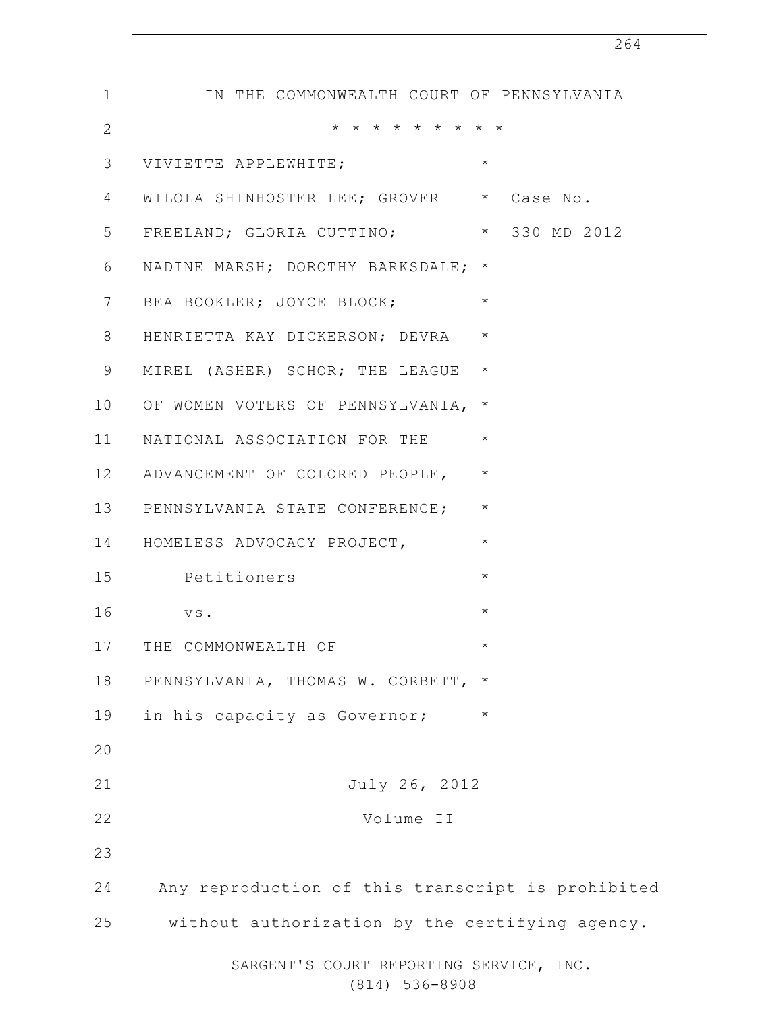|                | 264                                               |
|----------------|---------------------------------------------------|
| $\mathbf 1$    | IN THE COMMONWEALTH COURT OF PENNSYLVANIA         |
| $\overline{2}$ | * * * * * * * * *                                 |
| 3              | $\star$<br>VIVIETTE APPLEWHITE;                   |
| 4              | WILOLA SHINHOSTER LEE; GROVER * Case No.          |
| 5              | FREELAND; GLORIA CUTTINO; * 330 MD 2012           |
| 6              | NADINE MARSH; DOROTHY BARKSDALE; *                |
| $7\phantom{.}$ | $\star$<br>BEA BOOKLER; JOYCE BLOCK;              |
| $8\,$          | $\star$<br>HENRIETTA KAY DICKERSON; DEVRA         |
| 9              | $\star$<br>MIREL (ASHER) SCHOR; THE LEAGUE        |
| 10             | $^\star$<br>OF WOMEN VOTERS OF PENNSYLVANIA,      |
| 11             | $\star$<br>NATIONAL ASSOCIATION FOR THE           |
| 12             | $\star$<br>ADVANCEMENT OF COLORED PEOPLE,         |
| 13             | $\star$<br>PENNSYLVANIA STATE CONFERENCE;         |
| 14             | $\star$<br>HOMELESS ADVOCACY PROJECT,             |
| 15             | $\star$<br>Petitioners                            |
| 16             | $^\star$<br>VS.                                   |
| 17             | $\star$<br>THE COMMONWEALTH OF                    |
| 18             | PENNSYLVANIA, THOMAS W. CORBETT,<br>$\star$       |
| 19             | in his capacity as Governor;<br>$\star$           |
| 20             |                                                   |
| 21             | July 26, 2012                                     |
| 22             | Volume II                                         |
| 23             |                                                   |
| 24             | Any reproduction of this transcript is prohibited |
| 25             | without authorization by the certifying agency.   |

 $\overline{\phantom{a}}$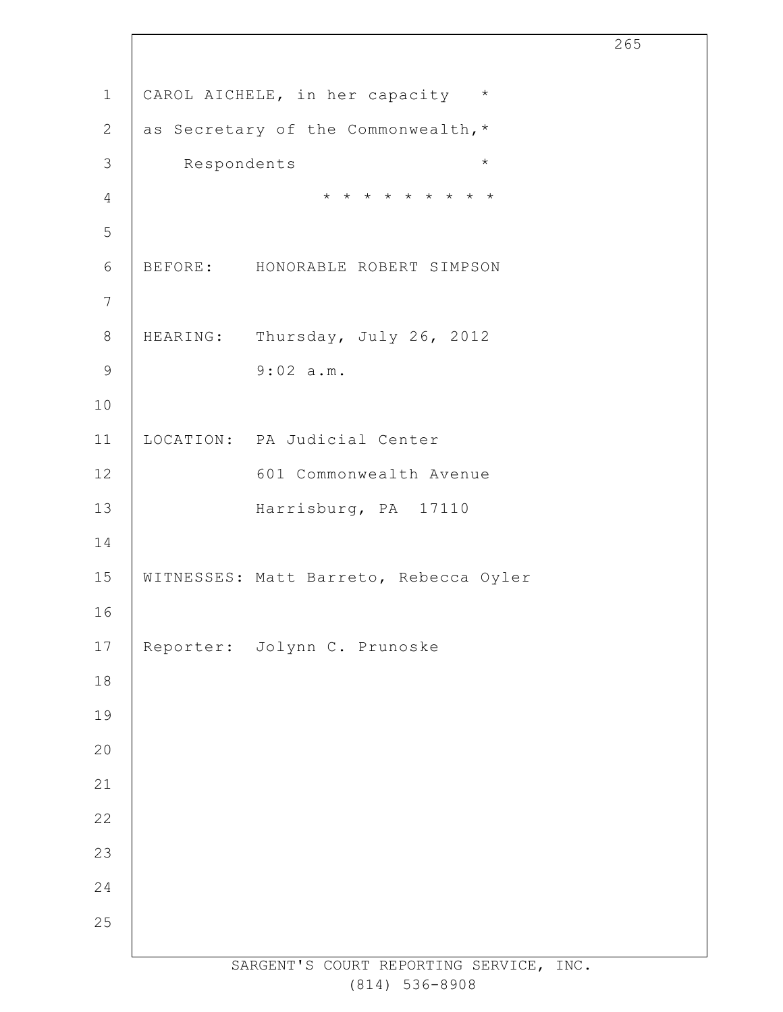|                 |             |                                        | 265 |
|-----------------|-------------|----------------------------------------|-----|
| $\mathbbm{1}$   |             | CAROL AICHELE, in her capacity *       |     |
| 2               |             | as Secretary of the Commonwealth, *    |     |
| $\mathcal{S}$   | Respondents | $\star$                                |     |
| $\overline{4}$  |             | * * * * * * * * *                      |     |
| 5               |             |                                        |     |
| $\sqrt{6}$      |             | BEFORE: HONORABLE ROBERT SIMPSON       |     |
| $7\phantom{.0}$ |             |                                        |     |
| $\,8\,$         |             | HEARING: Thursday, July 26, 2012       |     |
| $\mathsf 9$     |             | 9:02 a.m.                              |     |
| 10              |             |                                        |     |
| 11              |             | LOCATION: PA Judicial Center           |     |
| 12              |             | 601 Commonwealth Avenue                |     |
| 13              |             | Harrisburg, PA 17110                   |     |
| 14              |             |                                        |     |
| 15              |             | WITNESSES: Matt Barreto, Rebecca Oyler |     |
| 16              |             |                                        |     |
| $17\,$          |             | Reporter: Jolynn C. Prunoske           |     |
| $18\,$          |             |                                        |     |
| 19              |             |                                        |     |
| 20              |             |                                        |     |
| 21              |             |                                        |     |
| 22              |             |                                        |     |
| 23              |             |                                        |     |
| 24              |             |                                        |     |
| 25              |             |                                        |     |
|                 |             |                                        |     |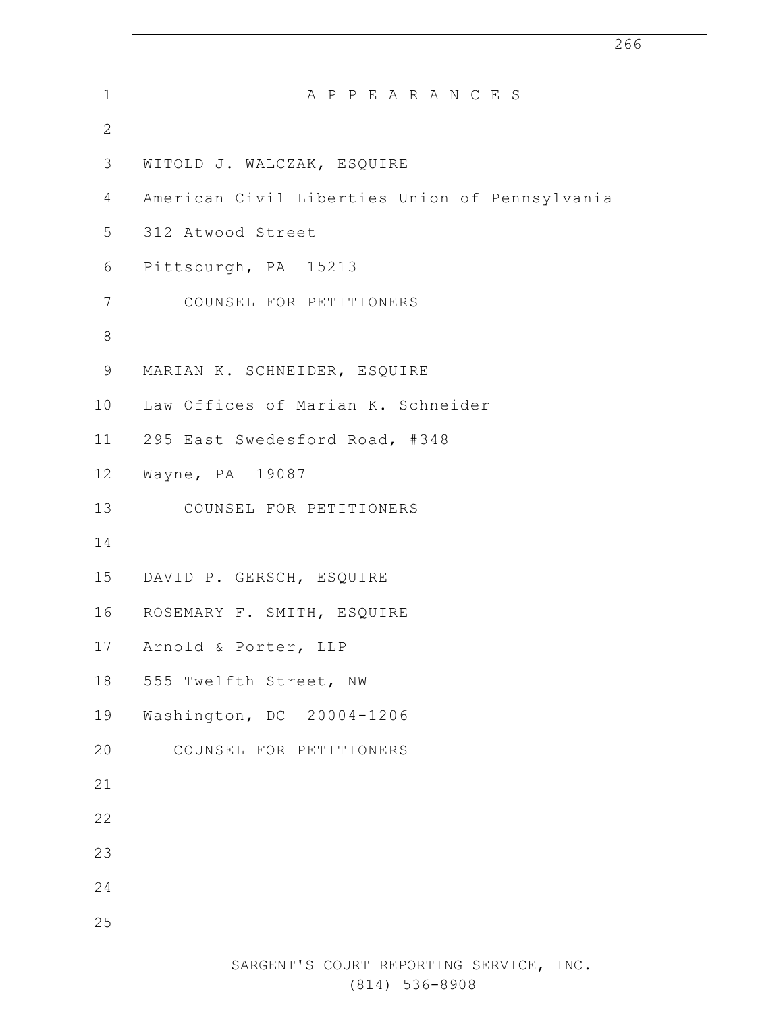1 2 3 4 5 6 7 8 9 10 11 12 13 14 15 16 17 18 19 20 21 22 23 24 25 266 A P P E A R A N C E S WITOLD J. WALCZAK, ESQUIRE American Civil Liberties Union of Pennsylvania 312 Atwood Street Pittsburgh, PA 15213 COUNSEL FOR PETITIONERS MARIAN K. SCHNEIDER, ESQUIRE Law Offices of Marian K. Schneider 295 East Swedesford Road, #348 Wayne, PA 19087 COUNSEL FOR PETITIONERS DAVID P. GERSCH, ESQUIRE ROSEMARY F. SMITH, ESQUIRE Arnold & Porter, LLP 555 Twelfth Street, NW Washington, DC 20004-1206 COUNSEL FOR PETITIONERS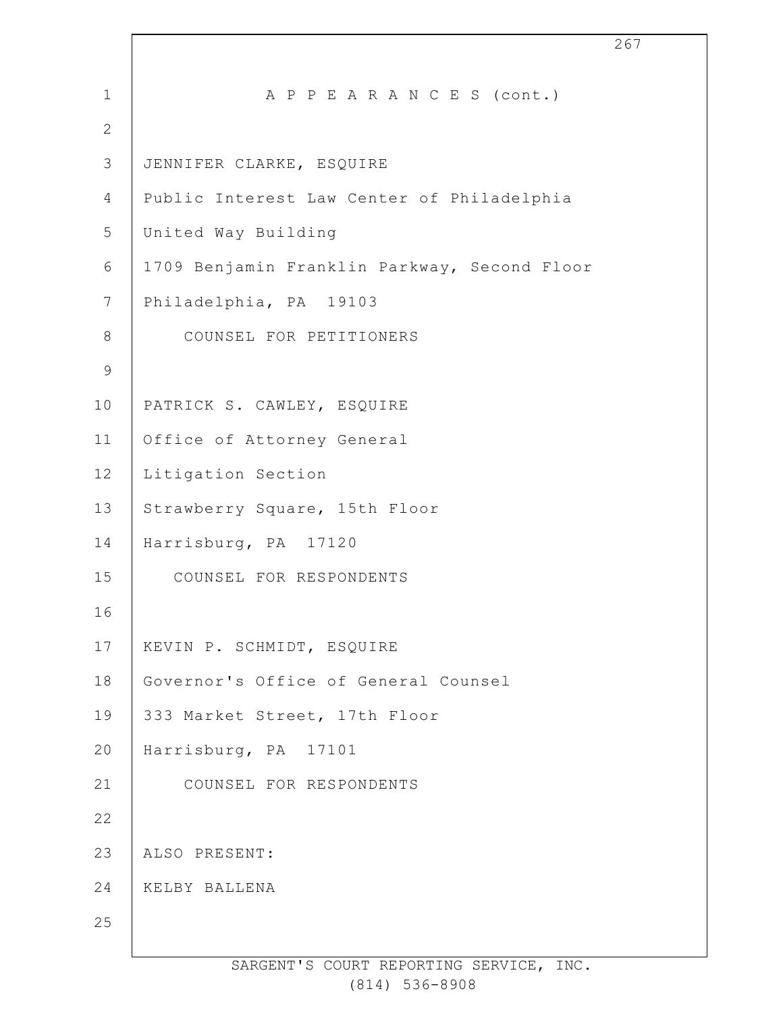| $\mathbf 1$    | A P P E A R A N C E S (cont.)                |
|----------------|----------------------------------------------|
| $\overline{2}$ |                                              |
| 3              | JENNIFER CLARKE, ESQUIRE                     |
| 4              | Public Interest Law Center of Philadelphia   |
| 5              | United Way Building                          |
| 6              | 1709 Benjamin Franklin Parkway, Second Floor |
| $7\phantom{.}$ | Philadelphia, PA 19103                       |
| $8\,$          | COUNSEL FOR PETITIONERS                      |
| $\mathsf 9$    |                                              |
| 10             | PATRICK S. CAWLEY, ESQUIRE                   |
| 11             | Office of Attorney General                   |
| 12             | Litigation Section                           |
| 13             | Strawberry Square, 15th Floor                |
| 14             | Harrisburg, PA 17120                         |
| 15             | COUNSEL FOR RESPONDENTS                      |
| 16             |                                              |
| 17             | KEVIN P. SCHMIDT, ESQUIRE                    |
| 18             | Governor's Office of General Counsel         |
| 19             | 333 Market Street, 17th Floor                |
| 20             | Harrisburg, PA 17101                         |
| 21             | COUNSEL FOR RESPONDENTS                      |
| 22             |                                              |
| 23             | ALSO PRESENT:                                |
| 24             | KELBY BALLENA                                |
| 25             |                                              |
|                |                                              |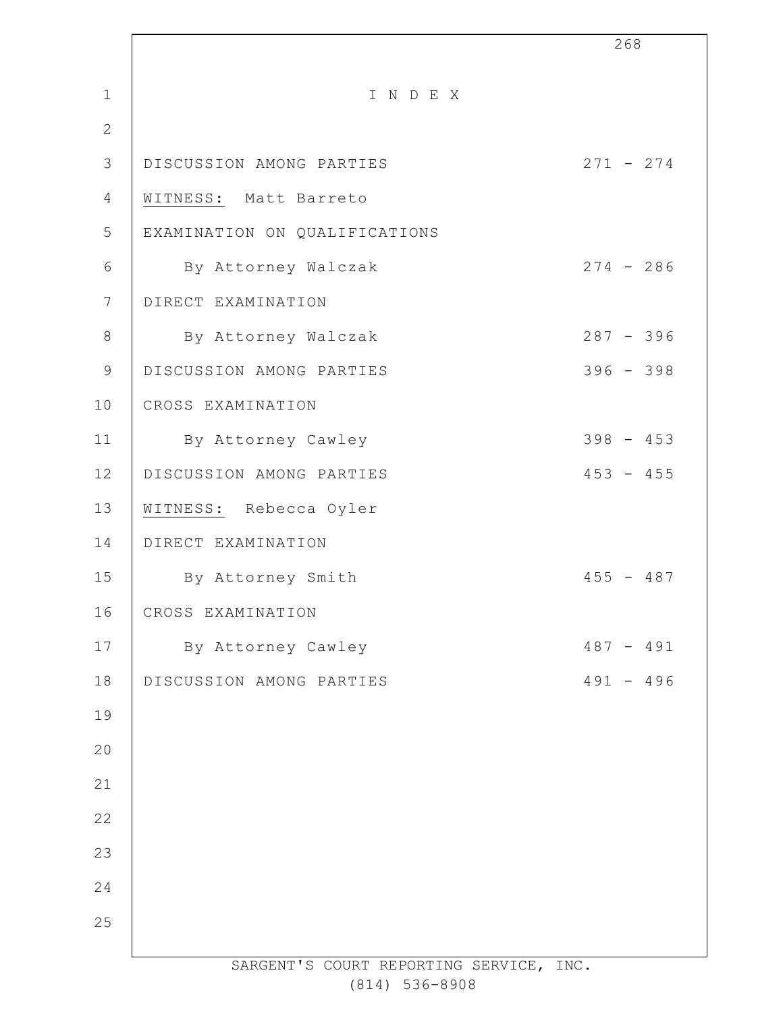|                 |                                    | 268         |
|-----------------|------------------------------------|-------------|
| $\mathbf{1}$    | INDEX                              |             |
| $\mathbf{2}$    |                                    |             |
| 3               | DISCUSSION AMONG PARTIES           | $271 - 274$ |
| 4               | WITNESS: Matt Barreto              |             |
| 5               | EXAMINATION ON QUALIFICATIONS      |             |
| 6               | By Attorney Walczak                | $274 - 286$ |
| $7\phantom{.0}$ | DIRECT EXAMINATION                 |             |
| $8\,$           | By Attorney Walczak                | $287 - 396$ |
| $\mathcal{G}$   | DISCUSSION AMONG PARTIES           | $396 - 398$ |
| 10              | CROSS EXAMINATION                  |             |
| 11              | By Attorney Cawley                 | $398 - 453$ |
| 12              | DISCUSSION AMONG PARTIES           | $453 - 455$ |
| 13              | WITNESS: Rebecca Oyler             |             |
| 14              | DIRECT EXAMINATION                 |             |
| 15              | By Attorney Smith                  | $455 - 487$ |
| 16              | CROSS EXAMINATION                  |             |
| 17              | By Attorney Cawley                 | $487 - 491$ |
| 18              | DISCUSSION AMONG PARTIES           | $491 - 496$ |
| 19              |                                    |             |
| 20              |                                    |             |
| 21              |                                    |             |
| 22              |                                    |             |
| 23              |                                    |             |
| 24              |                                    |             |
| 25              |                                    |             |
|                 | CADCENTIC COUDT DEDOPTING CEDUITOR | TNTC        |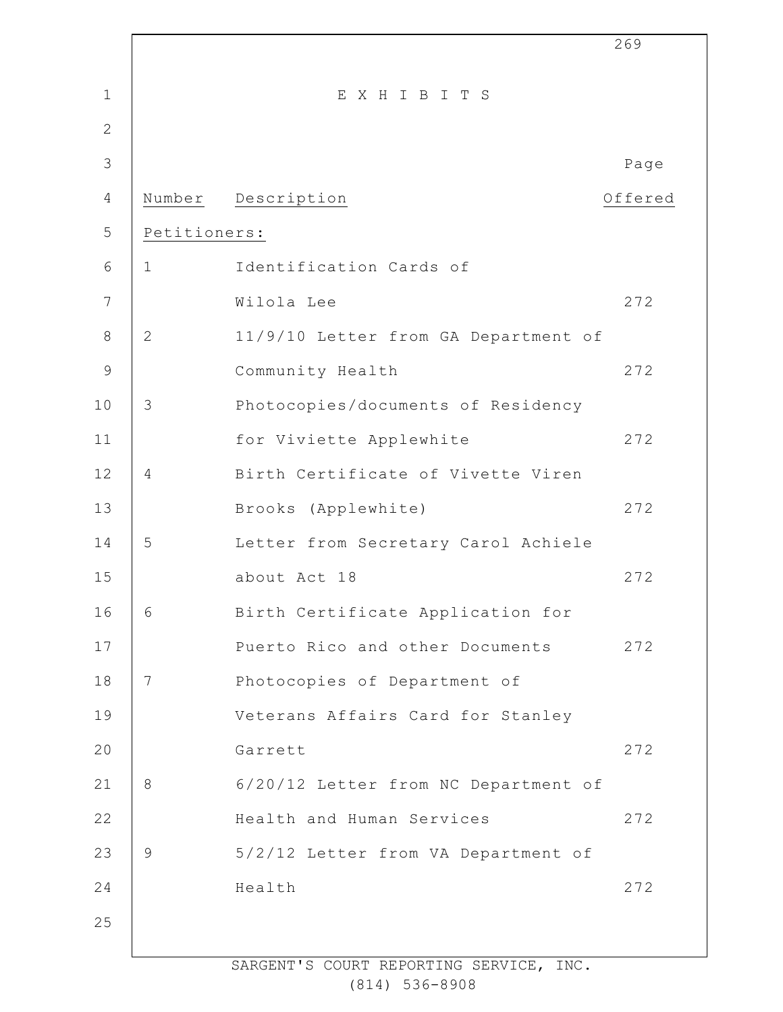|              |                 |                                      | 269     |
|--------------|-----------------|--------------------------------------|---------|
| $\mathbf{1}$ |                 | EXHIBITS                             |         |
| $\mathbf{2}$ |                 |                                      |         |
| 3            |                 |                                      | Page    |
| 4            |                 | Number Description                   | Offered |
| 5            | Petitioners:    |                                      |         |
| 6            | $\mathbf{1}$    | Identification Cards of              |         |
| 7            |                 | Wilola Lee                           | 272     |
| $8\,$        | $\mathbf{2}$    | 11/9/10 Letter from GA Department of |         |
| $\mathsf 9$  |                 | Community Health                     | 272     |
| 10           | 3               | Photocopies/documents of Residency   |         |
| 11           |                 | for Viviette Applewhite              | 272     |
| 12           | $\overline{4}$  | Birth Certificate of Vivette Viren   |         |
| 13           |                 | Brooks (Applewhite)                  | 272     |
| 14           | 5               | Letter from Secretary Carol Achiele  |         |
| 15           |                 | about Act 18                         | 272     |
| 16           | 6               | Birth Certificate Application for    |         |
| 17           |                 | Puerto Rico and other Documents      | 272     |
| 18           | $7\phantom{.0}$ | Photocopies of Department of         |         |
| 19           |                 | Veterans Affairs Card for Stanley    |         |
| 20           |                 | Garrett                              | 272     |
| 21           | 8               | 6/20/12 Letter from NC Department of |         |
| 22           |                 | Health and Human Services            | 272     |
| 23           | 9               | 5/2/12 Letter from VA Department of  |         |
| 24           |                 | Health                               | 272     |
| 25           |                 |                                      |         |
|              |                 |                                      |         |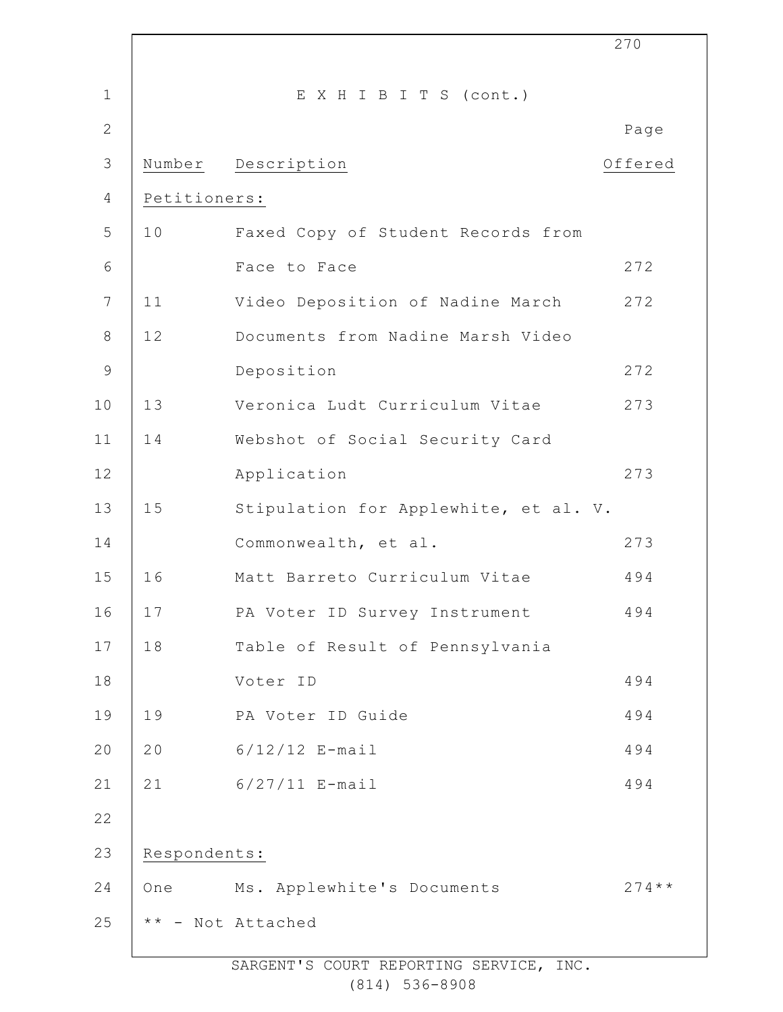|                 |              |                                       | 270       |
|-----------------|--------------|---------------------------------------|-----------|
| $\mathbf 1$     |              | EXHIBITS (cont.)                      |           |
| $\overline{2}$  |              |                                       | Page      |
| $\mathfrak{Z}$  | Number       | Description                           | Offered   |
| $\overline{4}$  | Petitioners: |                                       |           |
| 5               | 10           | Faxed Copy of Student Records from    |           |
| 6               |              | Face to Face                          | 272       |
| $7\phantom{.0}$ | 11           | Video Deposition of Nadine March      | 272       |
| $\,8\,$         | 12           | Documents from Nadine Marsh Video     |           |
| $\mathsf 9$     |              | Deposition                            | 272       |
| 10              | 13           | Veronica Ludt Curriculum Vitae        | 273       |
| 11              | 14           | Webshot of Social Security Card       |           |
| 12              |              | Application                           | 273       |
| 13              | 15           | Stipulation for Applewhite, et al. V. |           |
| 14              |              | Commonwealth, et al.                  | 273       |
| 15              | 16           | Matt Barreto Curriculum Vitae         | 494       |
| 16              | 17           | PA Voter ID Survey Instrument         | 494       |
| $17$            | 18           | Table of Result of Pennsylvania       |           |
| 18              |              | Voter ID                              | 494       |
| 19              | 19           | PA Voter ID Guide                     | 494       |
| 20              | 20           | $6/12/12$ E-mail                      | 494       |
| 21              | 21           | $6/27/11$ E-mail                      | 494       |
| 22              |              |                                       |           |
| 23              | Respondents: |                                       |           |
| 24              | One          | Ms. Applewhite's Documents            | $274$ * * |
| 25              |              | ** - Not Attached                     |           |
|                 |              |                                       |           |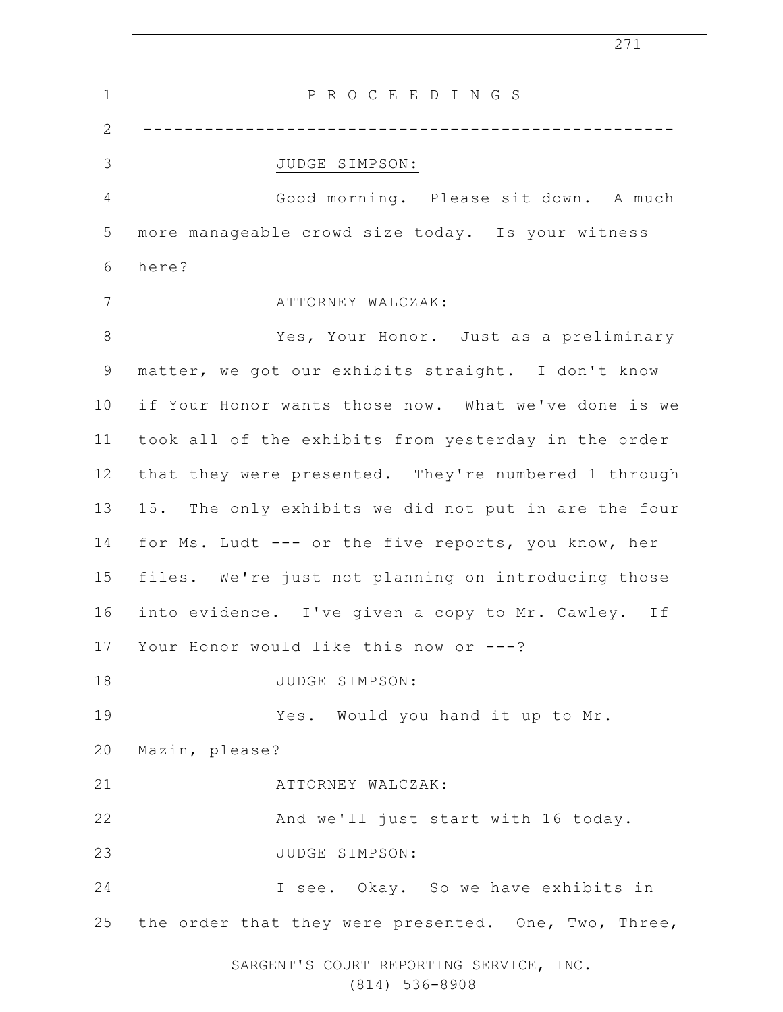1 2 3 4 5 6 7 8 9 10 11 12 13 14 15 16 17 18 19 20 21 22 23 24 25 271 P R O C E E D I N G S ---------------------------------------------------- JUDGE SIMPSON: Good morning. Please sit down. A much more manageable crowd size today. Is your witness here? ATTORNEY WALCZAK: Yes, Your Honor. Just as a preliminary matter, we got our exhibits straight. I don't know if Your Honor wants those now. What we've done is we took all of the exhibits from yesterday in the order that they were presented. They're numbered 1 through 15. The only exhibits we did not put in are the four for Ms. Ludt --- or the five reports, you know, her files. We're just not planning on introducing those into evidence. I've given a copy to Mr. Cawley. If Your Honor would like this now or ---? JUDGE SIMPSON: Yes. Would you hand it up to Mr. Mazin, please? ATTORNEY WALCZAK: And we'll just start with 16 today. JUDGE SIMPSON: I see. Okay. So we have exhibits in the order that they were presented. One, Two, Three,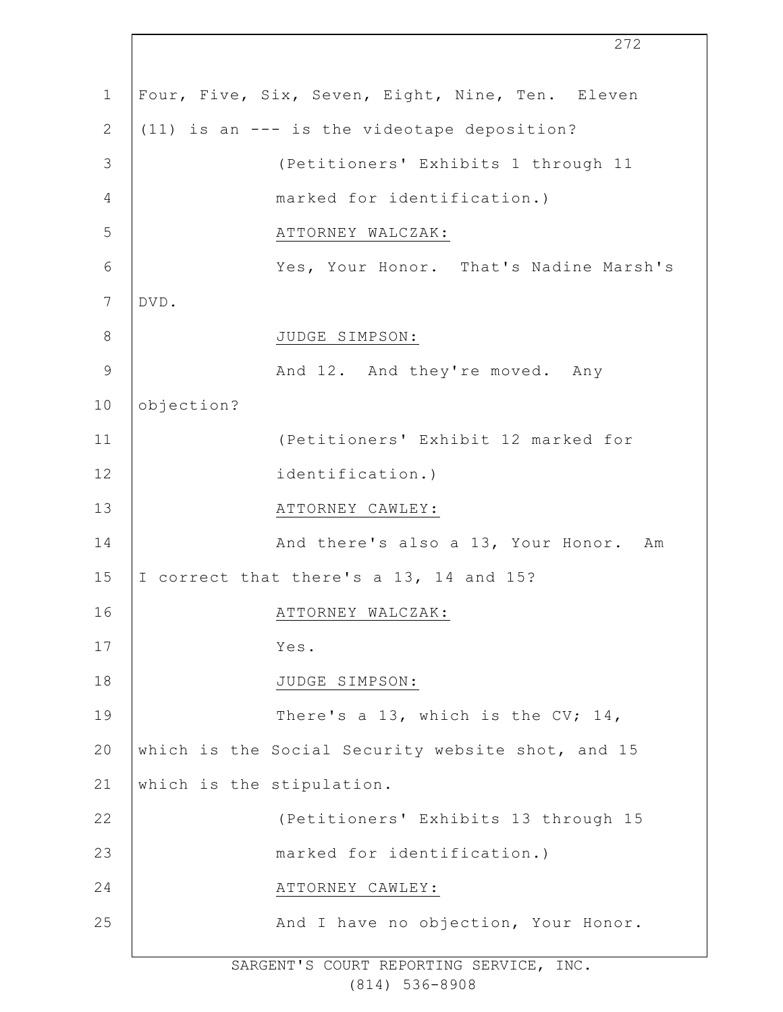1 2 3 4 5 6 7 8 9 10 11 12 13 14 15 16 17 18 19 20 21 22 23 24 25 272 Four, Five, Six, Seven, Eight, Nine, Ten. Eleven (11) is an --- is the videotape deposition? (Petitioners' Exhibits 1 through 11 marked for identification.) ATTORNEY WALCZAK: Yes, Your Honor. That's Nadine Marsh's DVD. JUDGE SIMPSON: And 12. And they're moved. Any objection? (Petitioners' Exhibit 12 marked for identification.) ATTORNEY CAWLEY: And there's also a 13, Your Honor. Am I correct that there's a 13, 14 and 15? ATTORNEY WALCZAK: Yes. JUDGE SIMPSON: There's a 13, which is the CV; 14, which is the Social Security website shot, and 15 which is the stipulation. (Petitioners' Exhibits 13 through 15 marked for identification.) ATTORNEY CAWLEY: And I have no objection, Your Honor.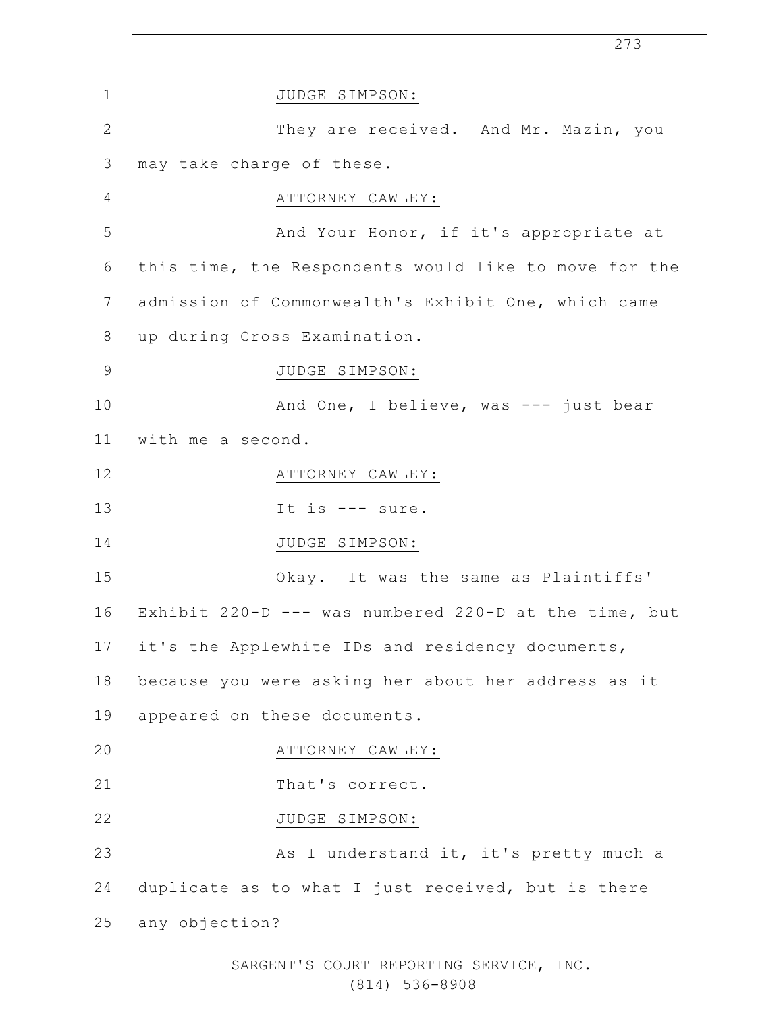|                 | 273                                                   |
|-----------------|-------------------------------------------------------|
| $\mathbf 1$     | JUDGE SIMPSON:                                        |
| $\mathbf{2}$    | They are received. And Mr. Mazin, you                 |
| 3               | may take charge of these.                             |
| 4               | ATTORNEY CAWLEY:                                      |
| 5               | And Your Honor, if it's appropriate at                |
| 6               | this time, the Respondents would like to move for the |
| $7\phantom{.0}$ | admission of Commonwealth's Exhibit One, which came   |
| 8               | up during Cross Examination.                          |
| $\mathsf 9$     | JUDGE SIMPSON:                                        |
| 10              | And One, I believe, was --- just bear                 |
| 11              | with me a second.                                     |
| 12              | ATTORNEY CAWLEY:                                      |
| 13              | It is $---$ sure.                                     |
| 14              | JUDGE SIMPSON:                                        |
| 15              | Okay. It was the same as Plaintiffs'                  |
| 16              | Exhibit 220-D --- was numbered 220-D at the time, but |
| 17              | it's the Applewhite IDs and residency documents,      |
| 18              | because you were asking her about her address as it   |
| 19              | appeared on these documents.                          |
| 20              | ATTORNEY CAWLEY:                                      |
| 21              | That's correct.                                       |
| 22              | JUDGE SIMPSON:                                        |
| 23              | As I understand it, it's pretty much a                |
| 24              | duplicate as to what I just received, but is there    |
| 25              | any objection?                                        |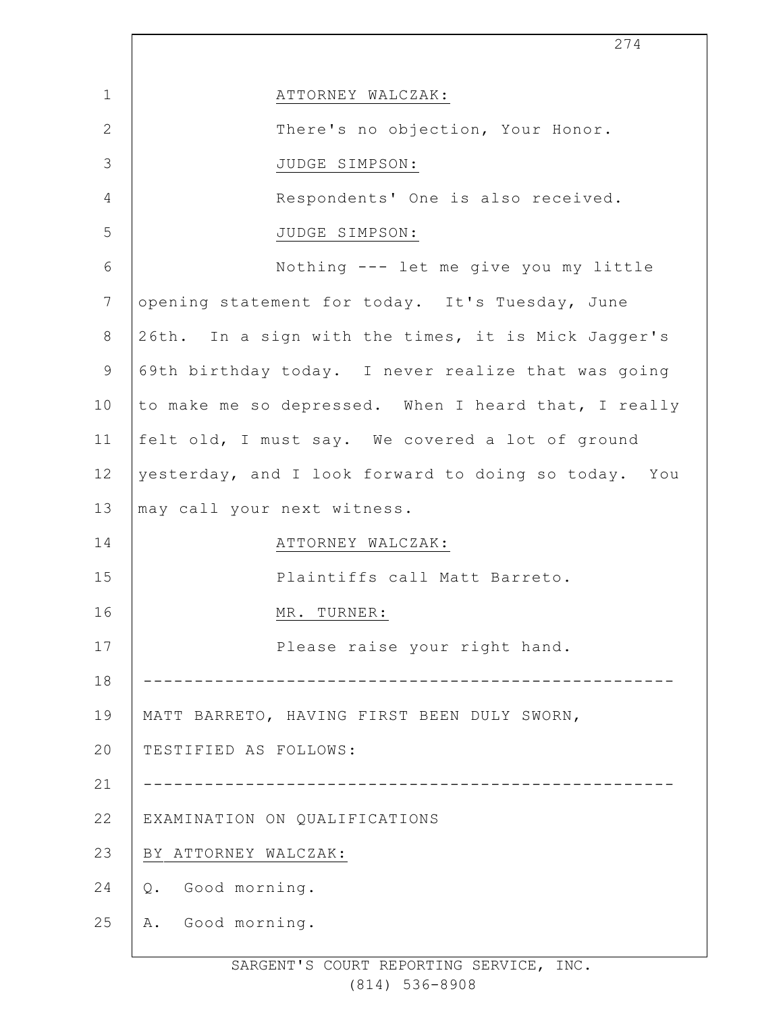|              | 274                                                  |
|--------------|------------------------------------------------------|
| $\mathbf{1}$ | ATTORNEY WALCZAK:                                    |
| $\mathbf{2}$ | There's no objection, Your Honor.                    |
| 3            | JUDGE SIMPSON:                                       |
| 4            | Respondents' One is also received.                   |
| 5            | JUDGE SIMPSON:                                       |
| 6            | Nothing --- let me give you my little                |
| 7            | opening statement for today. It's Tuesday, June      |
| 8            | 26th. In a sign with the times, it is Mick Jagger's  |
| 9            | 69th birthday today. I never realize that was going  |
| 10           | to make me so depressed. When I heard that, I really |
| 11           | felt old, I must say. We covered a lot of ground     |
| 12           | yesterday, and I look forward to doing so today. You |
| 13           | may call your next witness.                          |
| 14           | ATTORNEY WALCZAK:                                    |
| 15           | Plaintiffs call Matt Barreto.                        |
| 16           | MR. TURNER:                                          |
| 17           | Please raise your right hand.                        |
| 18           |                                                      |
| 19           | MATT BARRETO, HAVING FIRST BEEN DULY SWORN,          |
| 20           | TESTIFIED AS FOLLOWS:                                |
| 21           |                                                      |
| 22           | EXAMINATION ON QUALIFICATIONS                        |
| 23           | BY ATTORNEY WALCZAK:                                 |
| 24           | Good morning.<br>Q.                                  |
| 25           | Good morning.<br>Α.                                  |
|              |                                                      |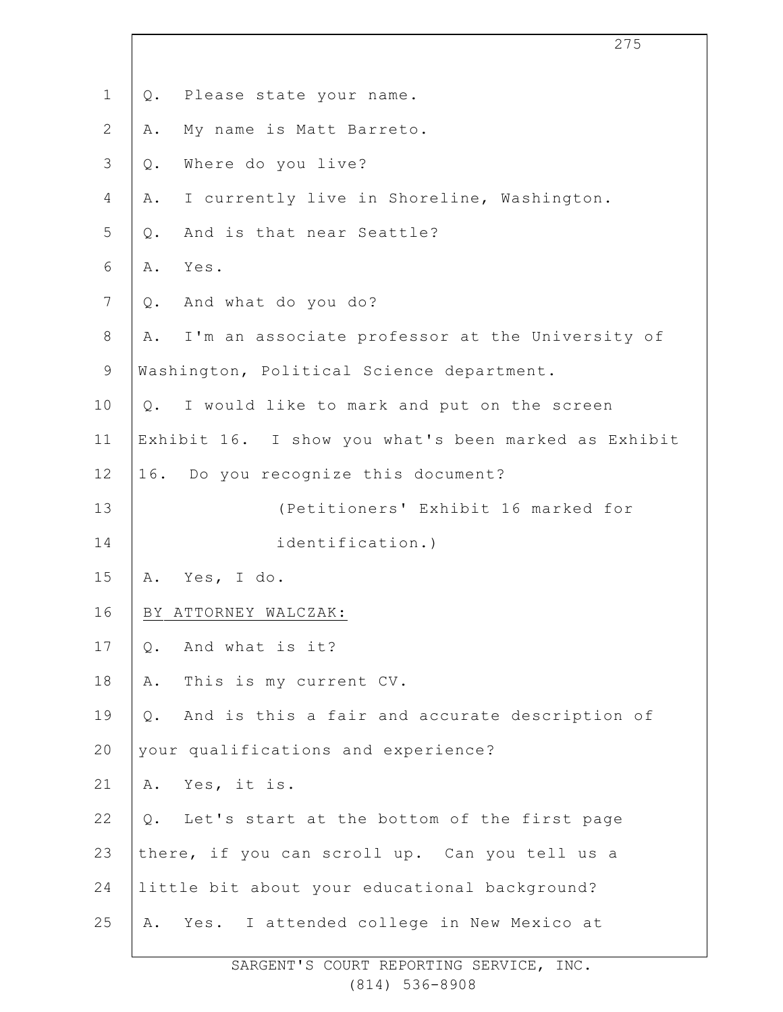|                | 275                                                     |
|----------------|---------------------------------------------------------|
| $\mathbf 1$    | Please state your name.<br>Q.                           |
| $\mathbf{2}$   | My name is Matt Barreto.<br>Α.                          |
| $\mathfrak{Z}$ | Where do you live?<br>$Q$ .                             |
| 4              | I currently live in Shoreline, Washington.<br>Α.        |
| 5              | And is that near Seattle?<br>Q.                         |
| 6              | Yes.<br>Α.                                              |
| $7\phantom{.}$ | And what do you do?<br>Q.                               |
| 8              | I'm an associate professor at the University of<br>Α.   |
| $\mathsf 9$    | Washington, Political Science department.               |
| 10             | I would like to mark and put on the screen<br>$Q$ .     |
| 11             | Exhibit 16. I show you what's been marked as Exhibit    |
| 12             | 16. Do you recognize this document?                     |
| 13             | (Petitioners' Exhibit 16 marked for                     |
| 14             | identification.)                                        |
| 15             | Α.<br>Yes, I do.                                        |
| 16             | BY ATTORNEY WALCZAK:                                    |
| 17             | And what is it?<br>$Q$ .                                |
| 18             | This is my current CV.<br>Α.                            |
| 19             | And is this a fair and accurate description of<br>$Q$ . |
| 20             | your qualifications and experience?                     |
| 21             | Yes, it is.<br>Α.                                       |
| 22             | $Q$ .<br>Let's start at the bottom of the first page    |
| 23             | there, if you can scroll up. Can you tell us a          |
| 24             | little bit about your educational background?           |
| 25             | Yes. I attended college in New Mexico at<br>Α.          |
|                |                                                         |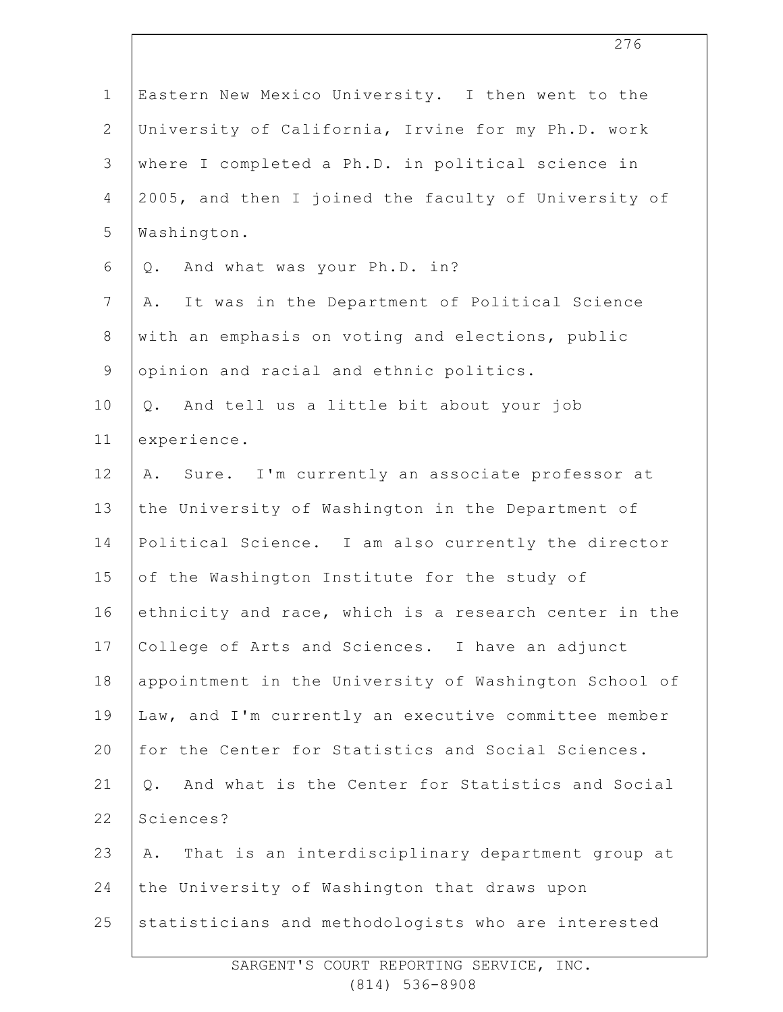| $\mathbf 1$     | Eastern New Mexico University. I then went to the         |
|-----------------|-----------------------------------------------------------|
| $\mathbf{2}$    | University of California, Irvine for my Ph.D. work        |
| $\mathcal{S}$   | where I completed a Ph.D. in political science in         |
| 4               | 2005, and then I joined the faculty of University of      |
| 5               | Washington.                                               |
| 6               | And what was your Ph.D. in?<br>Q.                         |
| $7\phantom{.0}$ | It was in the Department of Political Science<br>Α.       |
| $8\,$           | with an emphasis on voting and elections, public          |
| $\mathsf 9$     | opinion and racial and ethnic politics.                   |
| 10              | And tell us a little bit about your job<br>Q.             |
| 11              | experience.                                               |
| 12              | Sure. I'm currently an associate professor at<br>Α.       |
| 13              | the University of Washington in the Department of         |
| 14              | Political Science. I am also currently the director       |
| 15              | of the Washington Institute for the study of              |
| 16              | ethnicity and race, which is a research center in the     |
| 17              | College of Arts and Sciences. I have an adjunct           |
| 18              | appointment in the University of Washington School of     |
| 19              | Law, and I'm currently an executive committee member      |
| 20              | for the Center for Statistics and Social Sciences.        |
| 21              | And what is the Center for Statistics and Social<br>$Q$ . |
| 22              | Sciences?                                                 |
| 23              | That is an interdisciplinary department group at<br>Α.    |
| 24              | the University of Washington that draws upon              |
| 25              | statisticians and methodologists who are interested       |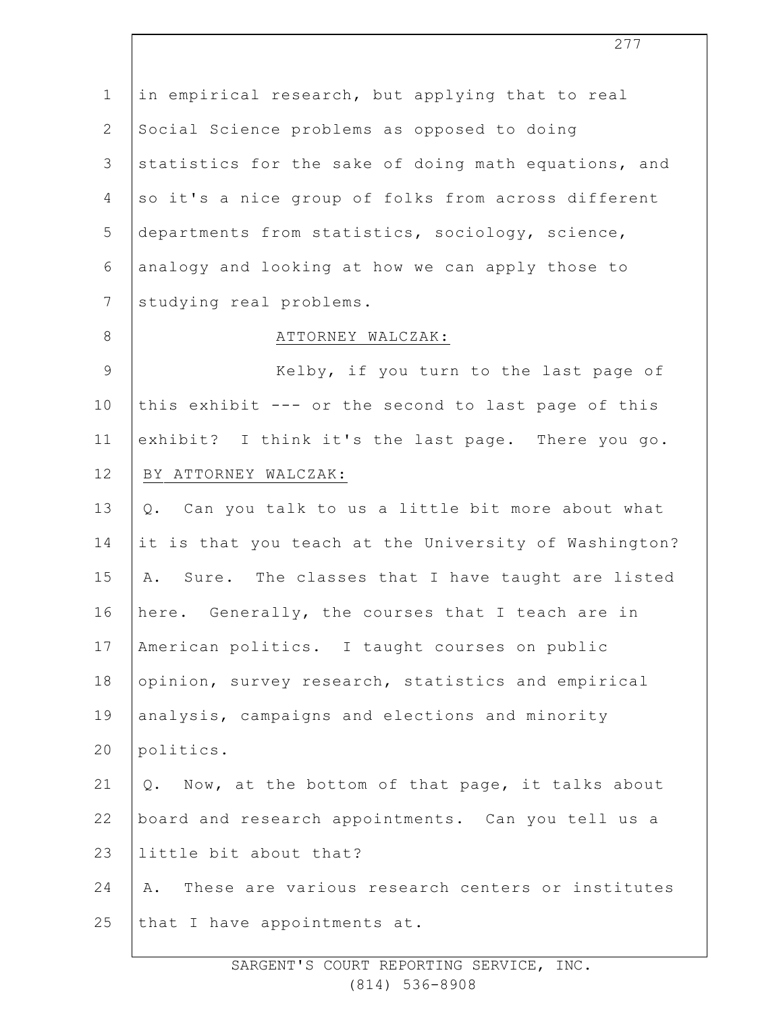1 2 3 4 5 6 7 8 9 10 11 12 13 14 15 16 17 18 19 20 21 22 23 24 25 in empirical research, but applying that to real Social Science problems as opposed to doing statistics for the sake of doing math equations, and so it's a nice group of folks from across different departments from statistics, sociology, science, analogy and looking at how we can apply those to studying real problems. ATTORNEY WALCZAK: Kelby, if you turn to the last page of this exhibit --- or the second to last page of this exhibit? I think it's the last page. There you go. BY ATTORNEY WALCZAK: Q. Can you talk to us a little bit more about what it is that you teach at the University of Washington? A. Sure. The classes that I have taught are listed here. Generally, the courses that I teach are in American politics. I taught courses on public opinion, survey research, statistics and empirical analysis, campaigns and elections and minority politics. Q. Now, at the bottom of that page, it talks about board and research appointments. Can you tell us a little bit about that? A. These are various research centers or institutes that I have appointments at.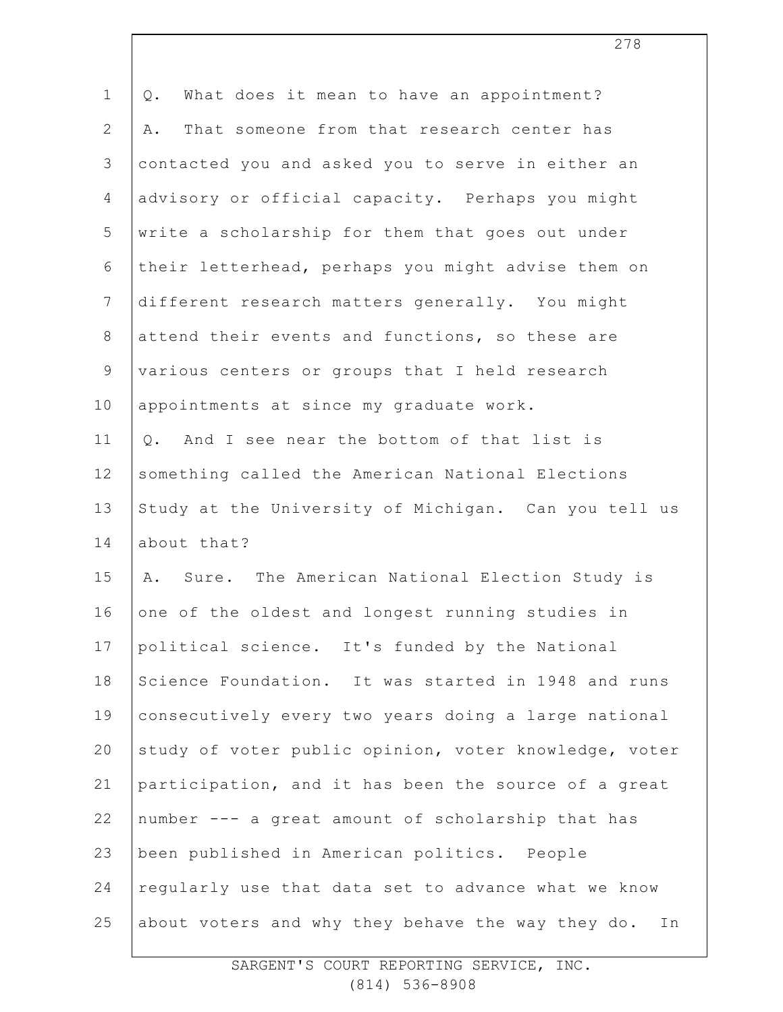| $\mathbf 1$     | What does it mean to have an appointment?<br>Q.         |
|-----------------|---------------------------------------------------------|
| $\overline{2}$  | That someone from that research center has<br>Α.        |
| 3               | contacted you and asked you to serve in either an       |
| 4               | advisory or official capacity. Perhaps you might        |
| 5               | write a scholarship for them that goes out under        |
| 6               | their letterhead, perhaps you might advise them on      |
| $7\overline{ }$ | different research matters generally. You might         |
| $8\,$           | attend their events and functions, so these are         |
| 9               | various centers or groups that I held research          |
| 10              | appointments at since my graduate work.                 |
| 11              | And I see near the bottom of that list is<br>$Q$ .      |
| 12              | something called the American National Elections        |
| 13              | Study at the University of Michigan. Can you tell us    |
| 14              | about that?                                             |
| 15              | A. Sure. The American National Election Study is        |
| 16              | one of the oldest and longest running studies in        |
| 17              | political science. It's funded by the National          |
| 18              | Science Foundation. It was started in 1948 and runs     |
| 19              | consecutively every two years doing a large national    |
| 20              | study of voter public opinion, voter knowledge, voter   |
| 21              | participation, and it has been the source of a great    |
| 22              | number --- a great amount of scholarship that has       |
| 23              | been published in American politics. People             |
| 24              | regularly use that data set to advance what we know     |
| 25              | about voters and why they behave the way they do.<br>In |
|                 |                                                         |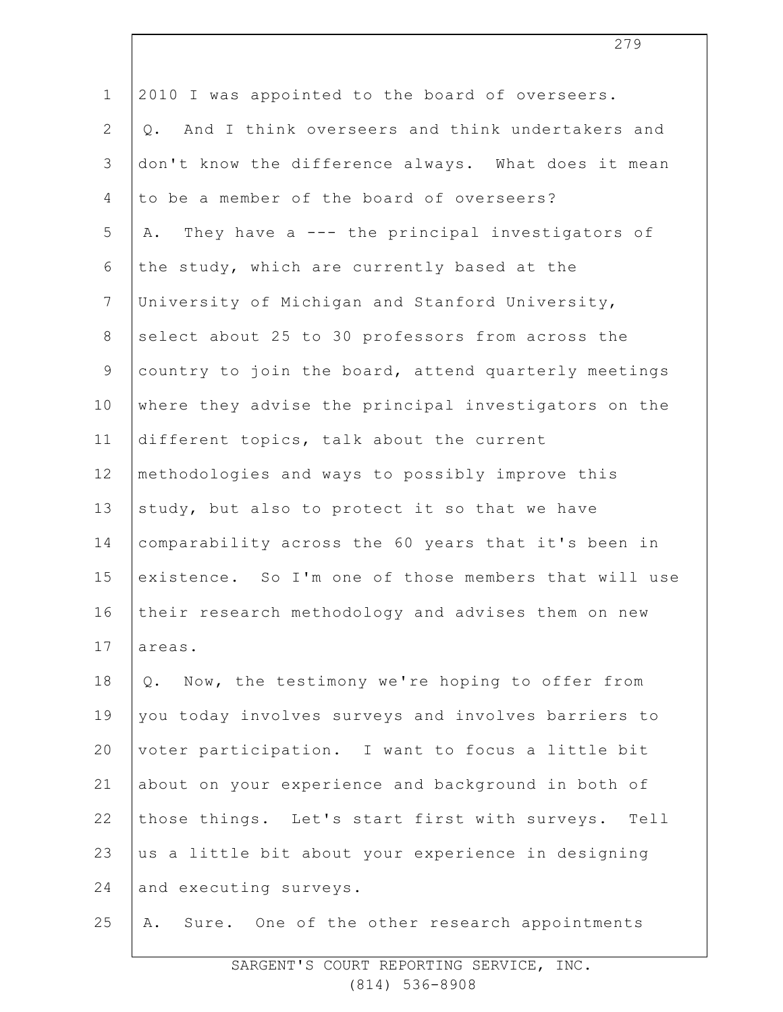| $\mathbf 1$     | 2010 I was appointed to the board of overseers.          |
|-----------------|----------------------------------------------------------|
| $\mathbf{2}$    | And I think overseers and think undertakers and<br>$Q$ . |
| 3               | don't know the difference always. What does it mean      |
| 4               | to be a member of the board of overseers?                |
| 5               | They have a --- the principal investigators of<br>Α.     |
| 6               | the study, which are currently based at the              |
| $7\phantom{.0}$ | University of Michigan and Stanford University,          |
| $\,8\,$         | select about 25 to 30 professors from across the         |
| $\mathsf 9$     | country to join the board, attend quarterly meetings     |
| 10              | where they advise the principal investigators on the     |
| 11              | different topics, talk about the current                 |
| 12              | methodologies and ways to possibly improve this          |
| 13              | study, but also to protect it so that we have            |
| 14              | comparability across the 60 years that it's been in      |
| 15              | existence. So I'm one of those members that will use     |
| 16              | their research methodology and advises them on new       |
| 17              | areas.                                                   |
| 18              | Now, the testimony we're hoping to offer from<br>Q.      |
| 19              | you today involves surveys and involves barriers to      |
| 20              | voter participation. I want to focus a little bit        |
| 21              | about on your experience and background in both of       |
| 22              | those things. Let's start first with surveys. Tell       |
| 23              | us a little bit about your experience in designing       |
| 24              | and executing surveys.                                   |
| 25              | Sure. One of the other research appointments<br>Α.       |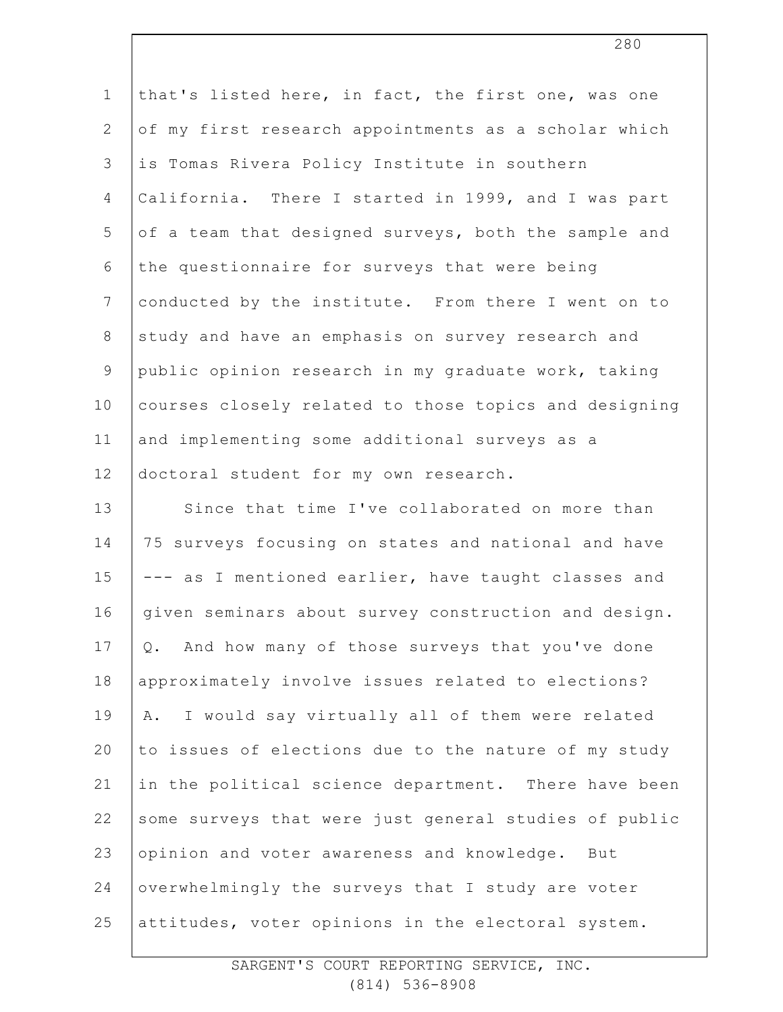| $\mathbf 1$   | that's listed here, in fact, the first one, was one   |
|---------------|-------------------------------------------------------|
| $\mathbf{2}$  | of my first research appointments as a scholar which  |
| 3             | is Tomas Rivera Policy Institute in southern          |
| 4             | California. There I started in 1999, and I was part   |
| 5             | of a team that designed surveys, both the sample and  |
| 6             | the questionnaire for surveys that were being         |
| 7             | conducted by the institute. From there I went on to   |
| 8             | study and have an emphasis on survey research and     |
| $\mathcal{G}$ | public opinion research in my graduate work, taking   |
| 10            | courses closely related to those topics and designing |
| 11            | and implementing some additional surveys as a         |
| 12            | doctoral student for my own research.                 |
| 13            | Since that time I've collaborated on more than        |
| 14            | 75 surveys focusing on states and national and have   |
| 15            | --- as I mentioned earlier, have taught classes and   |
| 16            | given seminars about survey construction and design.  |
| 17            | Q. And how many of those surveys that you've done     |
| 18            | approximately involve issues related to elections?    |
| 19            | I would say virtually all of them were related<br>Α.  |
| 20            | to issues of elections due to the nature of my study  |
| 21            | in the political science department. There have been  |
| 22            | some surveys that were just general studies of public |
| 23            | opinion and voter awareness and knowledge.<br>But     |
| 24            | overwhelmingly the surveys that I study are voter     |
| 25            | attitudes, voter opinions in the electoral system.    |
|               |                                                       |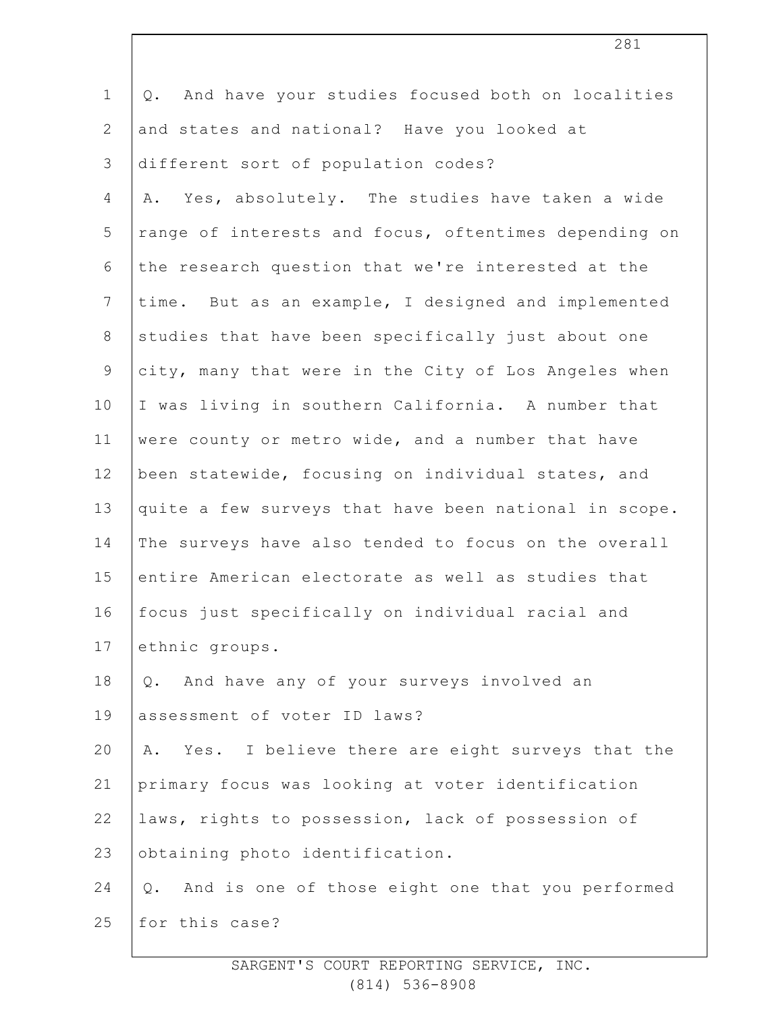| $\mathbf 1$    | And have your studies focused both on localities<br>Q.            |
|----------------|-------------------------------------------------------------------|
| $\mathbf{2}$   | and states and national? Have you looked at                       |
| 3              | different sort of population codes?                               |
| 4              | A. Yes, absolutely. The studies have taken a wide                 |
| 5              | range of interests and focus, oftentimes depending on             |
| 6              | the research question that we're interested at the                |
| $7\phantom{.}$ | time. But as an example, I designed and implemented               |
| $\,8\,$        | studies that have been specifically just about one                |
| 9              | city, many that were in the City of Los Angeles when              |
| 10             | I was living in southern California. A number that                |
| 11             | were county or metro wide, and a number that have                 |
| 12             | been statewide, focusing on individual states, and                |
| 13             | quite a few surveys that have been national in scope.             |
| 14             | The surveys have also tended to focus on the overall              |
| 15             | entire American electorate as well as studies that                |
| 16             | focus just specifically on individual racial and                  |
| 17             | ethnic groups.                                                    |
| 18             | Q. And have any of your surveys involved an                       |
| 19             | assessment of voter ID laws?                                      |
| 20             | Yes. I believe there are eight surveys that the<br>Α.             |
| 21             | primary focus was looking at voter identification                 |
| 22             | laws, rights to possession, lack of possession of                 |
| 23             | obtaining photo identification.                                   |
| 24             | And is one of those eight one that you performed<br>$Q_{\bullet}$ |
| 25             | for this case?                                                    |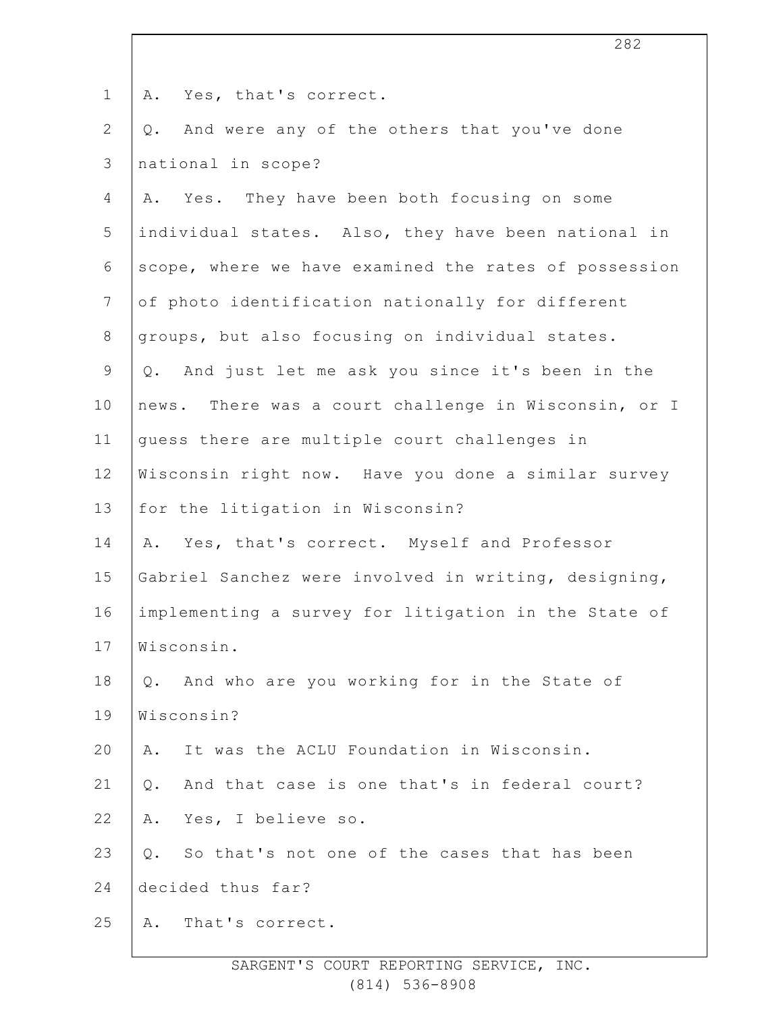| $\mathbf 1$    | Yes, that's correct.<br>Α.                            |
|----------------|-------------------------------------------------------|
| $\overline{2}$ | And were any of the others that you've done<br>Q.     |
| 3              | national in scope?                                    |
| 4              | A. Yes. They have been both focusing on some          |
| 5              | individual states. Also, they have been national in   |
| 6              | scope, where we have examined the rates of possession |
| $7\phantom{.}$ | of photo identification nationally for different      |
| $8\,$          | groups, but also focusing on individual states.       |
| 9              | And just let me ask you since it's been in the<br>Q.  |
| 10             | news. There was a court challenge in Wisconsin, or I  |
| 11             | guess there are multiple court challenges in          |
| 12             | Wisconsin right now. Have you done a similar survey   |
| 13             | for the litigation in Wisconsin?                      |
| 14             | A. Yes, that's correct. Myself and Professor          |
| 15             | Gabriel Sanchez were involved in writing, designing,  |
| 16             | implementing a survey for litigation in the State of  |
| 17             | Wisconsin.                                            |
| 18             | Q. And who are you working for in the State of        |
| 19             | Wisconsin?                                            |
| 20             | It was the ACLU Foundation in Wisconsin.<br>Α.        |
| 21             | And that case is one that's in federal court?<br>Q.   |
| 22             | Yes, I believe so.<br>Α.                              |
| 23             | So that's not one of the cases that has been<br>$Q$ . |
| 24             | decided thus far?                                     |
| 25             | That's correct.<br>Α.                                 |
|                |                                                       |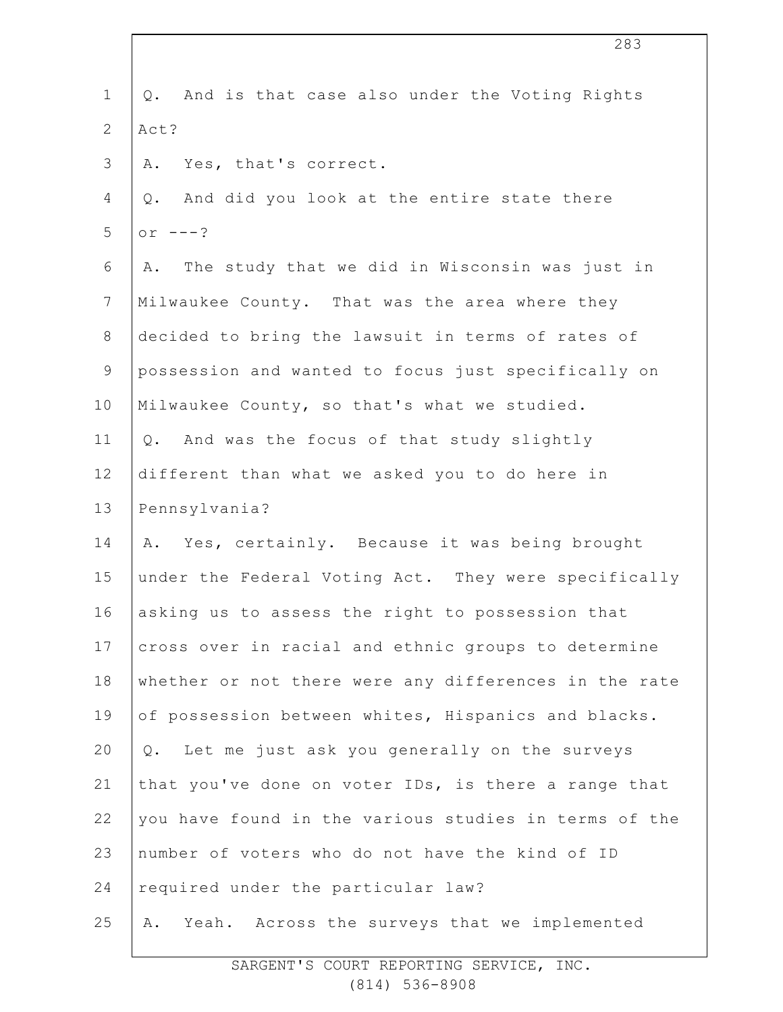| $\mathbf 1$    | And is that case also under the Voting Rights<br>$Q$ . |
|----------------|--------------------------------------------------------|
| $\overline{2}$ | Act?                                                   |
| 3              | Yes, that's correct.<br>Α.                             |
| 4              | And did you look at the entire state there<br>Q.       |
| 5              | or $---?$                                              |
| 6              | A. The study that we did in Wisconsin was just in      |
| $7\phantom{.}$ | Milwaukee County. That was the area where they         |
| $8\,$          | decided to bring the lawsuit in terms of rates of      |
| $\overline{9}$ | possession and wanted to focus just specifically on    |
| 10             | Milwaukee County, so that's what we studied.           |
| 11             | And was the focus of that study slightly<br>$Q$ .      |
| 12             | different than what we asked you to do here in         |
| 13             | Pennsylvania?                                          |
| 14             | A. Yes, certainly. Because it was being brought        |
| 15             | under the Federal Voting Act. They were specifically   |
| 16             | asking us to assess the right to possession that       |
| 17             | cross over in racial and ethnic groups to determine    |
| 18             | whether or not there were any differences in the rate  |
| 19             | of possession between whites, Hispanics and blacks.    |
| 20             | Q. Let me just ask you generally on the surveys        |
| 21             | that you've done on voter IDs, is there a range that   |
| 22             | you have found in the various studies in terms of the  |
| 23             | number of voters who do not have the kind of ID        |
| 24             | required under the particular law?                     |
| 25             | Yeah. Across the surveys that we implemented<br>Α.     |
|                |                                                        |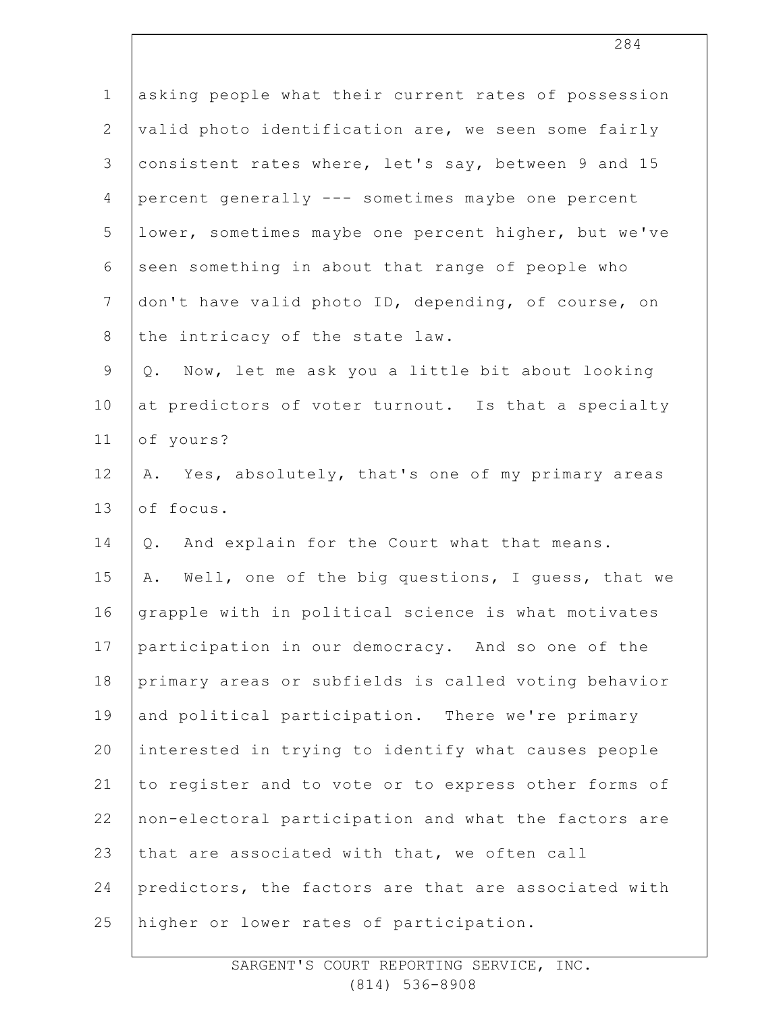| $\mathbf 1$    | asking people what their current rates of possession   |
|----------------|--------------------------------------------------------|
| $\overline{2}$ | valid photo identification are, we seen some fairly    |
| 3              | consistent rates where, let's say, between 9 and 15    |
| 4              | percent generally --- sometimes maybe one percent      |
| 5              | lower, sometimes maybe one percent higher, but we've   |
| 6              | seen something in about that range of people who       |
| $7\phantom{.}$ | don't have valid photo ID, depending, of course, on    |
| $8\,$          | the intricacy of the state law.                        |
| $\mathsf 9$    | Now, let me ask you a little bit about looking<br>Q.   |
| 10             | at predictors of voter turnout. Is that a specialty    |
| 11             | of yours?                                              |
| 12             | A. Yes, absolutely, that's one of my primary areas     |
| 13             | of focus.                                              |
| 14             | And explain for the Court what that means.<br>Q.       |
| 15             | Well, one of the big questions, I guess, that we<br>Α. |
| 16             | grapple with in political science is what motivates    |
| 17             | participation in our democracy. And so one of the      |
| 18             | primary areas or subfields is called voting behavior   |
| 19             | and political participation. There we're primary       |
| 20             | interested in trying to identify what causes people    |
| 21             | to register and to vote or to express other forms of   |
| 22             | non-electoral participation and what the factors are   |
| 23             | that are associated with that, we often call           |
| 24             | predictors, the factors are that are associated with   |
| 25             | higher or lower rates of participation.                |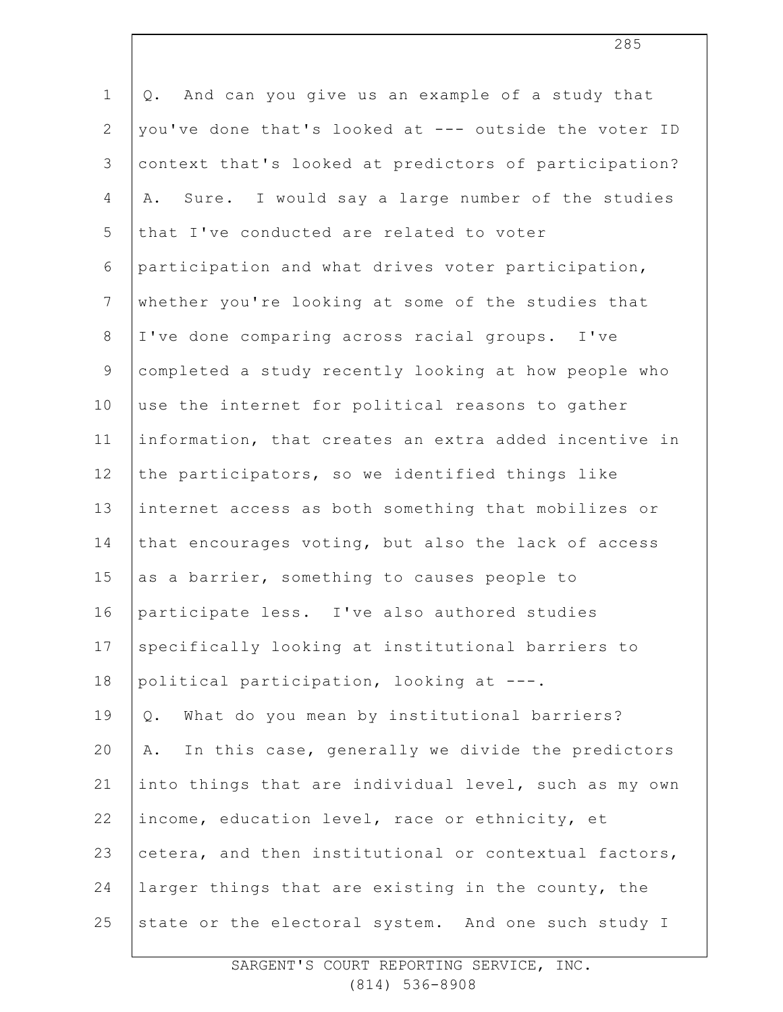1 2 3 4 5 6 7 8 9 10 11 12 13 14 15 16 17 18 19 20 21 22 23 24 25 Q. And can you give us an example of a study that you've done that's looked at --- outside the voter ID context that's looked at predictors of participation? A. Sure. I would say a large number of the studies that I've conducted are related to voter participation and what drives voter participation, whether you're looking at some of the studies that I've done comparing across racial groups. I've completed a study recently looking at how people who use the internet for political reasons to gather information, that creates an extra added incentive in the participators, so we identified things like internet access as both something that mobilizes or that encourages voting, but also the lack of access as a barrier, something to causes people to participate less. I've also authored studies specifically looking at institutional barriers to political participation, looking at ---. Q. What do you mean by institutional barriers? A. In this case, generally we divide the predictors into things that are individual level, such as my own income, education level, race or ethnicity, et cetera, and then institutional or contextual factors, larger things that are existing in the county, the state or the electoral system. And one such study I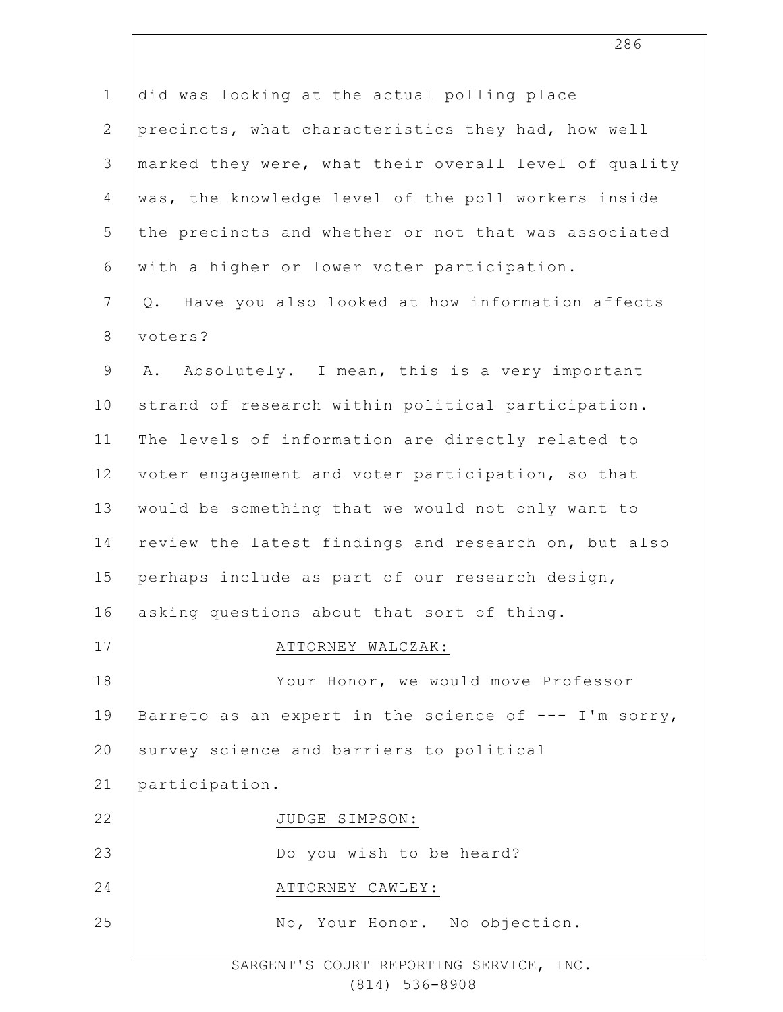| $\mathbf 1$    | did was looking at the actual polling place             |
|----------------|---------------------------------------------------------|
| $\mathbf{2}$   | precincts, what characteristics they had, how well      |
| 3              | marked they were, what their overall level of quality   |
| $\overline{4}$ | was, the knowledge level of the poll workers inside     |
| 5              | the precincts and whether or not that was associated    |
| 6              | with a higher or lower voter participation.             |
| $\overline{7}$ | Have you also looked at how information affects<br>Q.   |
| $8\,$          | voters?                                                 |
| $\mathsf 9$    | Absolutely. I mean, this is a very important<br>Α.      |
| 10             | strand of research within political participation.      |
| 11             | The levels of information are directly related to       |
| 12             | voter engagement and voter participation, so that       |
| 13             | would be something that we would not only want to       |
| 14             | review the latest findings and research on, but also    |
| 15             | perhaps include as part of our research design,         |
| 16             | asking questions about that sort of thing.              |
| 17             | ATTORNEY WALCZAK:                                       |
| 18             | Your Honor, we would move Professor                     |
| 19             | Barreto as an expert in the science of $---$ I'm sorry, |
| 20             | survey science and barriers to political                |
| 21             | participation.                                          |
| 22             | JUDGE SIMPSON:                                          |
| 23             | Do you wish to be heard?                                |
| 24             | ATTORNEY CAWLEY:                                        |
| 25             | No, Your Honor. No objection.                           |
|                |                                                         |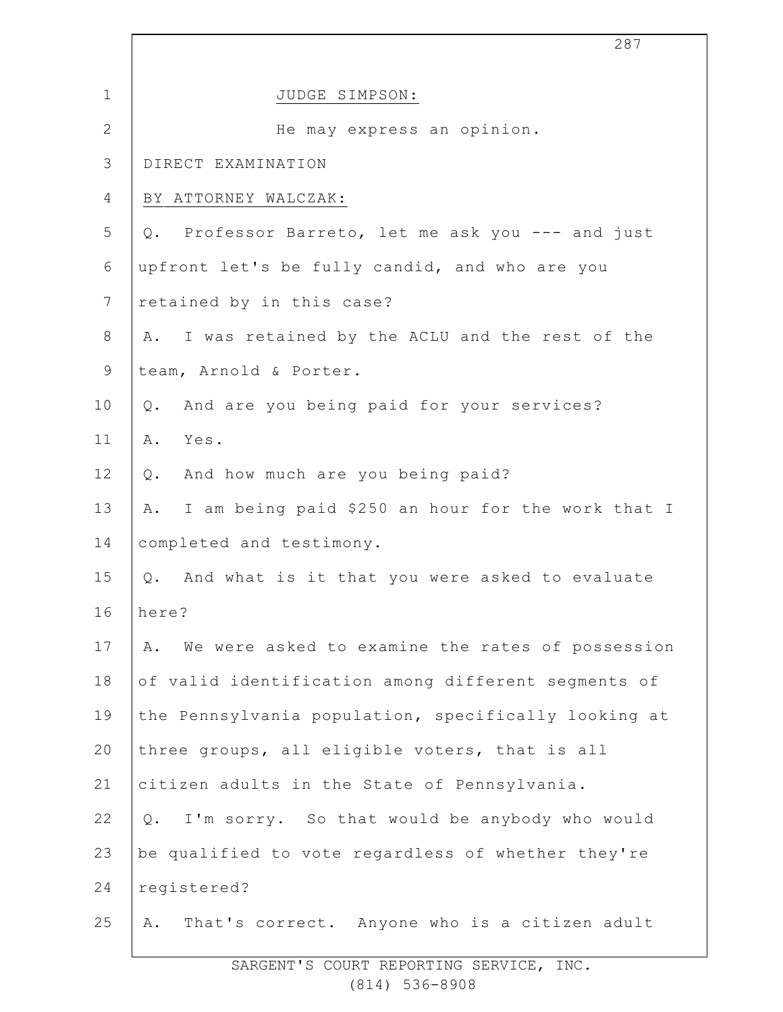|                | 287                                                    |
|----------------|--------------------------------------------------------|
| $\mathbf 1$    | JUDGE SIMPSON:                                         |
| $\overline{2}$ | He may express an opinion.                             |
| 3              | DIRECT EXAMINATION                                     |
| 4              | BY ATTORNEY WALCZAK:                                   |
| 5              | Q. Professor Barreto, let me ask you --- and just      |
| 6              | upfront let's be fully candid, and who are you         |
| $\overline{7}$ | retained by in this case?                              |
| 8              | I was retained by the ACLU and the rest of the<br>Α.   |
| $\mathsf 9$    | team, Arnold & Porter.                                 |
| 10             | And are you being paid for your services?<br>$Q$ .     |
| 11             | Α.<br>Yes.                                             |
| 12             | Q. And how much are you being paid?                    |
| 13             | A. I am being paid \$250 an hour for the work that I   |
| 14             | completed and testimony.                               |
| 15             | Q. And what is it that you were asked to evaluate      |
| 16             | here?                                                  |
| 17             | We were asked to examine the rates of possession<br>Α. |
| 18             | of valid identification among different segments of    |
| 19             | the Pennsylvania population, specifically looking at   |
| 20             | three groups, all eligible voters, that is all         |
| 21             | citizen adults in the State of Pennsylvania.           |
| 22             | I'm sorry. So that would be anybody who would<br>$Q$ . |
| 23             | be qualified to vote regardless of whether they're     |
| 24             | registered?                                            |
| 25             | That's correct. Anyone who is a citizen adult<br>Α.    |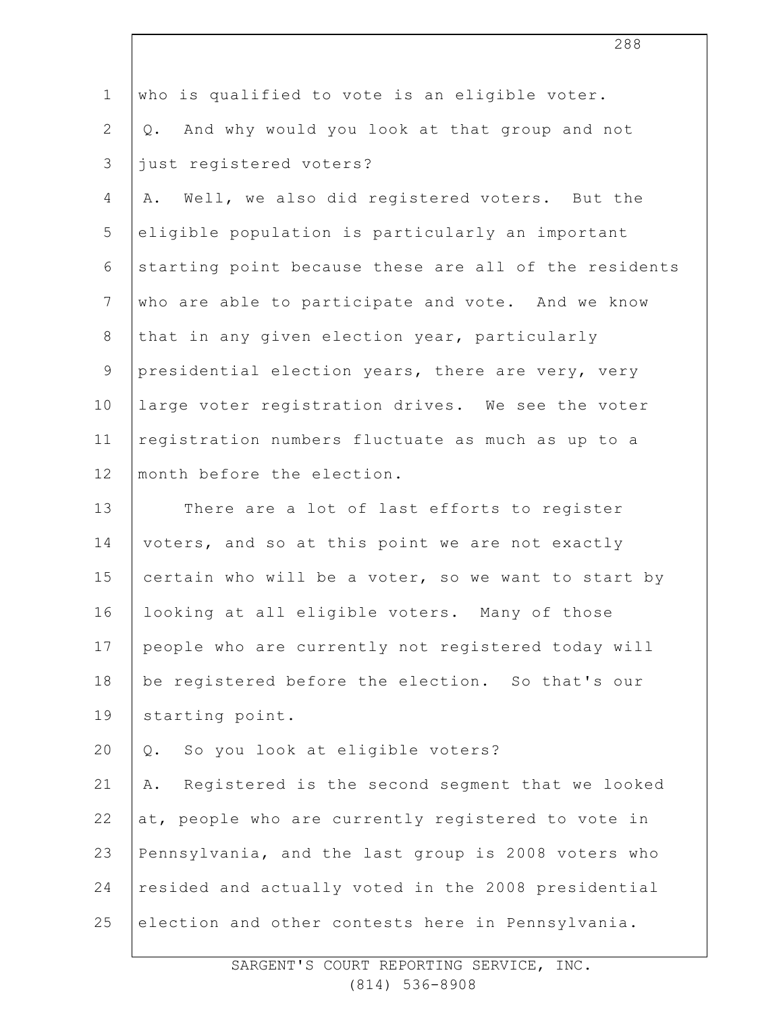| $\mathbf 1$    | who is qualified to vote is an eligible voter.        |
|----------------|-------------------------------------------------------|
| $\overline{2}$ | Q. And why would you look at that group and not       |
| 3              | just registered voters?                               |
| $\overline{4}$ | Well, we also did registered voters. But the<br>Α.    |
| 5              | eligible population is particularly an important      |
| 6              | starting point because these are all of the residents |
| $\overline{7}$ | who are able to participate and vote. And we know     |
| $8\,$          | that in any given election year, particularly         |
| 9              | presidential election years, there are very, very     |
| 10             | large voter registration drives. We see the voter     |
| 11             | registration numbers fluctuate as much as up to a     |
| 12             | month before the election.                            |
| 13             | There are a lot of last efforts to register           |
| 14             | voters, and so at this point we are not exactly       |
| 15             | certain who will be a voter, so we want to start by   |
| 16             | looking at all eligible voters. Many of those         |
| 17             | people who are currently not registered today will    |
| 18             | be registered before the election. So that's our      |
| 19             | starting point.                                       |
| 20             | So you look at eligible voters?<br>Q.                 |
| 21             | Registered is the second segment that we looked<br>Α. |
| 22             | at, people who are currently registered to vote in    |
| 23             | Pennsylvania, and the last group is 2008 voters who   |
| 24             | resided and actually voted in the 2008 presidential   |
| 25             | election and other contests here in Pennsylvania.     |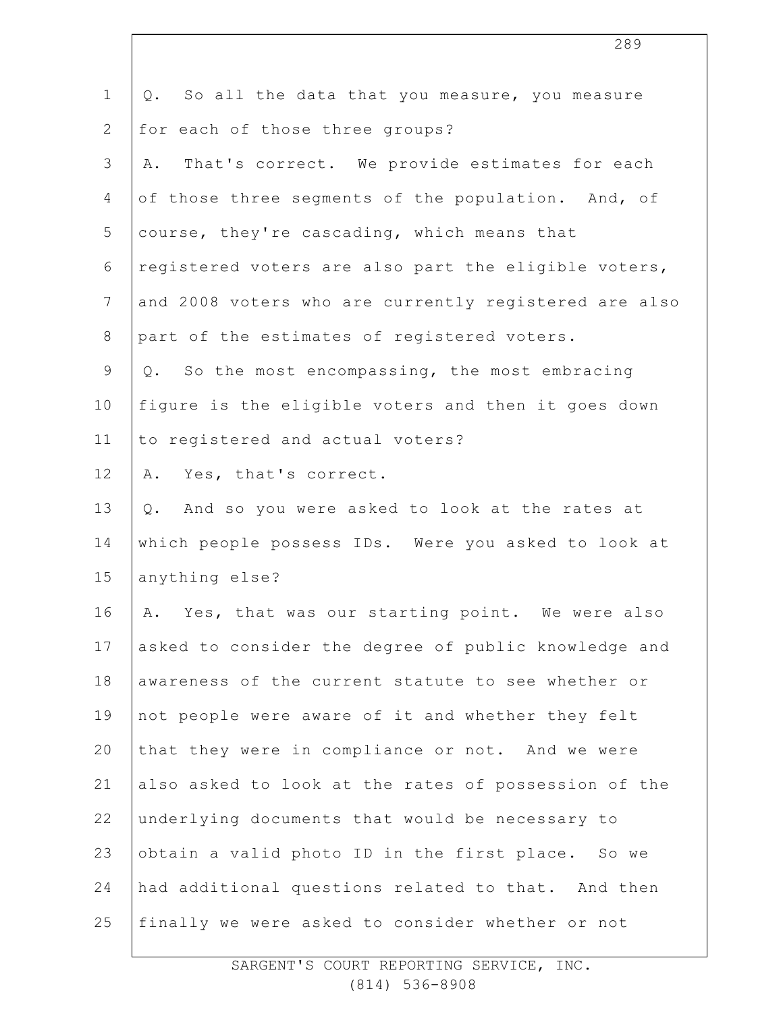| $\mathbf 1$    | So all the data that you measure, you measure<br>Q.   |
|----------------|-------------------------------------------------------|
| $\overline{2}$ | for each of those three groups?                       |
| 3              | That's correct. We provide estimates for each<br>Α.   |
| 4              | of those three segments of the population. And, of    |
| 5              | course, they're cascading, which means that           |
| 6              | registered voters are also part the eligible voters,  |
| $7\phantom{.}$ | and 2008 voters who are currently registered are also |
| 8              | part of the estimates of registered voters.           |
| 9              | Q. So the most encompassing, the most embracing       |
| 10             | figure is the eligible voters and then it goes down   |
| 11             | to registered and actual voters?                      |
| 12             | Yes, that's correct.<br>Α.                            |
| 13             | And so you were asked to look at the rates at<br>Q.   |
| 14             | which people possess IDs. Were you asked to look at   |
| 15             | anything else?                                        |
| 16             | A. Yes, that was our starting point. We were also     |
| 17             | asked to consider the degree of public knowledge and  |
| 18             | awareness of the current statute to see whether or    |
| 19             | not people were aware of it and whether they felt     |
| 20             | that they were in compliance or not. And we were      |
| 21             | also asked to look at the rates of possession of the  |
| 22             | underlying documents that would be necessary to       |
| 23             | obtain a valid photo ID in the first place. So we     |
| 24             | had additional questions related to that. And then    |
| 25             | finally we were asked to consider whether or not      |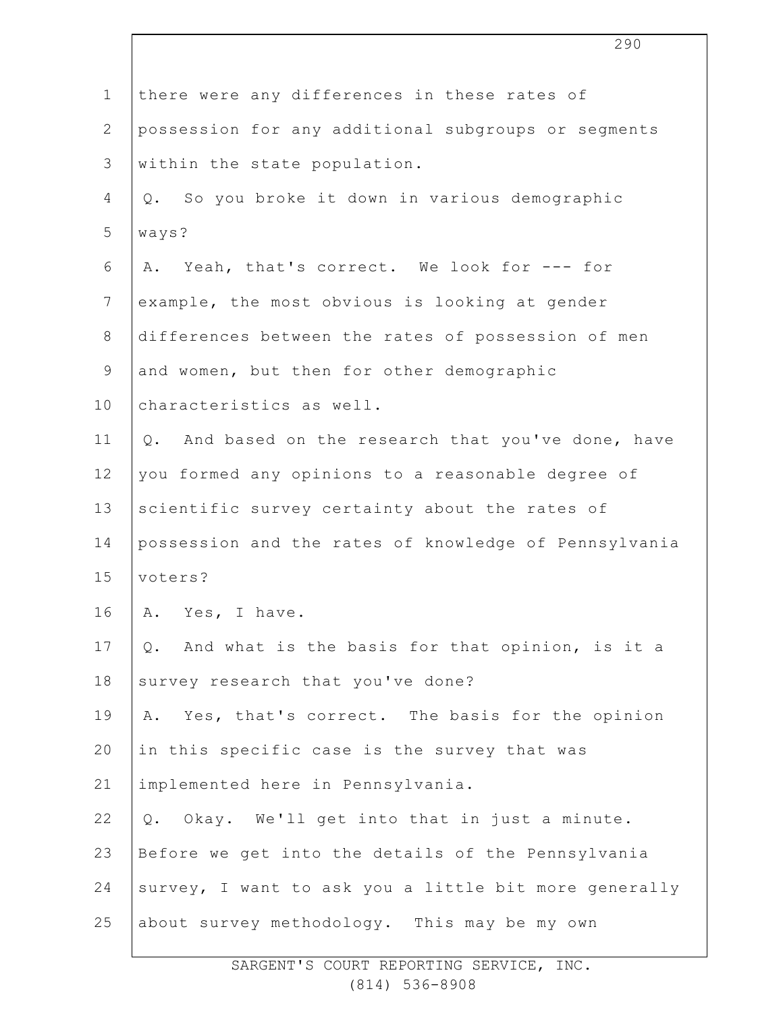|                | 290                                                          |
|----------------|--------------------------------------------------------------|
| $\mathbf 1$    | there were any differences in these rates of                 |
| $\overline{2}$ | possession for any additional subgroups or segments          |
| 3              | within the state population.                                 |
| 4              | So you broke it down in various demographic<br>$Q_{\bullet}$ |
| 5              | ways?                                                        |
| 6              | A. Yeah, that's correct. We look for --- for                 |
| $\overline{7}$ | example, the most obvious is looking at gender               |
| 8              | differences between the rates of possession of men           |
| 9              | and women, but then for other demographic                    |
| 10             | characteristics as well.                                     |
| 11             | Q. And based on the research that you've done, have          |
| 12             | you formed any opinions to a reasonable degree of            |
| 13             | scientific survey certainty about the rates of               |
| 14             | possession and the rates of knowledge of Pennsylvania        |
| 15             | voters?                                                      |
| 16             | Α.<br>Yes, I have.                                           |
| 17             | And what is the basis for that opinion, is it a<br>$Q$ .     |
| 18             | survey research that you've done?                            |
| 19             | Yes, that's correct. The basis for the opinion<br>Α.         |
| 20             | in this specific case is the survey that was                 |
| 21             | implemented here in Pennsylvania.                            |
| 22             | Okay. We'll get into that in just a minute.<br>Q.            |
| 23             | Before we get into the details of the Pennsylvania           |
| 24             | survey, I want to ask you a little bit more generally        |
| 25             | about survey methodology. This may be my own                 |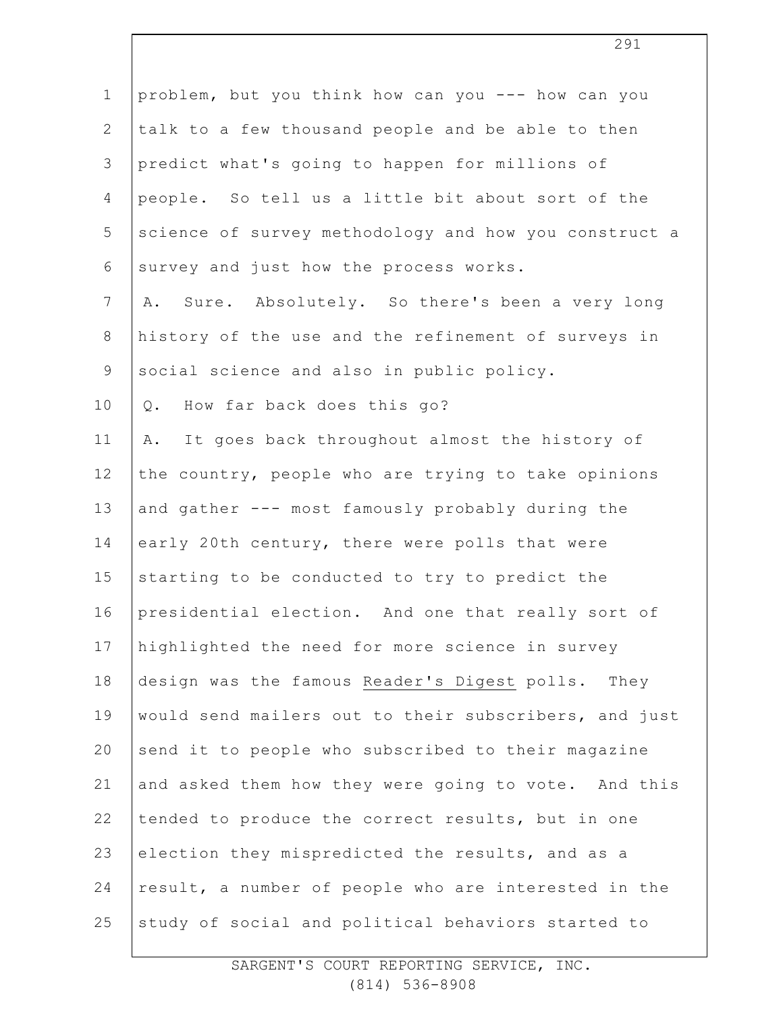| $\mathbf 1$    | problem, but you think how can you --- how can you    |
|----------------|-------------------------------------------------------|
| $\overline{2}$ | talk to a few thousand people and be able to then     |
| 3              | predict what's going to happen for millions of        |
| $\overline{4}$ | people. So tell us a little bit about sort of the     |
| 5              | science of survey methodology and how you construct a |
| 6              | survey and just how the process works.                |
| $7\phantom{.}$ | Sure. Absolutely. So there's been a very long<br>Α.   |
| $8\,$          | history of the use and the refinement of surveys in   |
| $\mathsf 9$    | social science and also in public policy.             |
| 10             | How far back does this go?<br>$Q$ .                   |
| 11             | It goes back throughout almost the history of<br>Α.   |
| 12             | the country, people who are trying to take opinions   |
| 13             | and gather --- most famously probably during the      |
| 14             | early 20th century, there were polls that were        |
| 15             | starting to be conducted to try to predict the        |
| 16             | presidential election. And one that really sort of    |
| 17             | highlighted the need for more science in survey       |
| 18             | design was the famous Reader's Digest polls. They     |
| 19             | would send mailers out to their subscribers, and just |
| 20             | send it to people who subscribed to their magazine    |
| 21             | and asked them how they were going to vote. And this  |
| 22             | tended to produce the correct results, but in one     |
| 23             | election they mispredicted the results, and as a      |
| 24             | result, a number of people who are interested in the  |
| 25             | study of social and political behaviors started to    |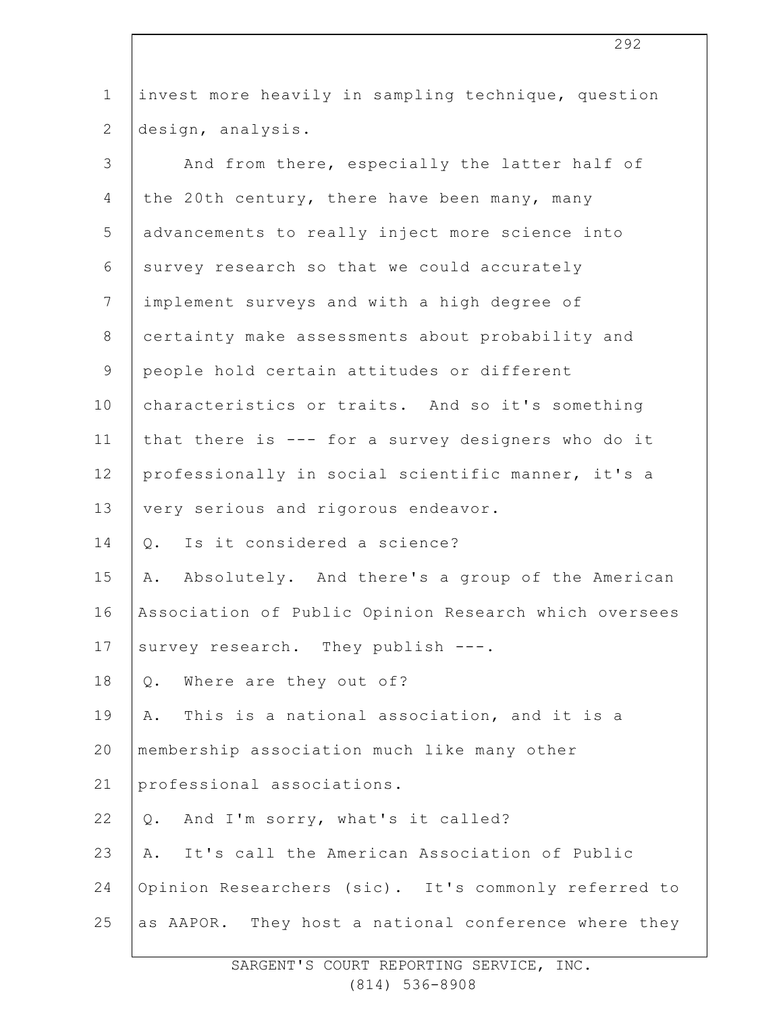| $\mathbf 1$    | invest more heavily in sampling technique, question   |
|----------------|-------------------------------------------------------|
| $\overline{2}$ | design, analysis.                                     |
| 3              | And from there, especially the latter half of         |
| 4              | the 20th century, there have been many, many          |
| 5              | advancements to really inject more science into       |
| 6              | survey research so that we could accurately           |
| $\overline{7}$ | implement surveys and with a high degree of           |
| $\,8\,$        | certainty make assessments about probability and      |
| $\mathsf 9$    | people hold certain attitudes or different            |
| 10             | characteristics or traits. And so it's something      |
| 11             | that there is --- for a survey designers who do it    |
| 12             | professionally in social scientific manner, it's a    |
| 13             | very serious and rigorous endeavor.                   |
| 14             | Is it considered a science?<br>Q.                     |
| 15             | Absolutely. And there's a group of the American<br>Α. |
| 16             | Association of Public Opinion Research which oversees |
| 17             | survey research. They publish ---.                    |
| 18             | Where are they out of?<br>Q.                          |
| 19             | This is a national association, and it is a<br>Α.     |
| 20             | membership association much like many other           |
| 21             | professional associations.                            |
| 22             | And I'm sorry, what's it called?<br>Q.                |
| 23             | It's call the American Association of Public<br>Α.    |
| 24             | Opinion Researchers (sic). It's commonly referred to  |
| 25             | as AAPOR. They host a national conference where they  |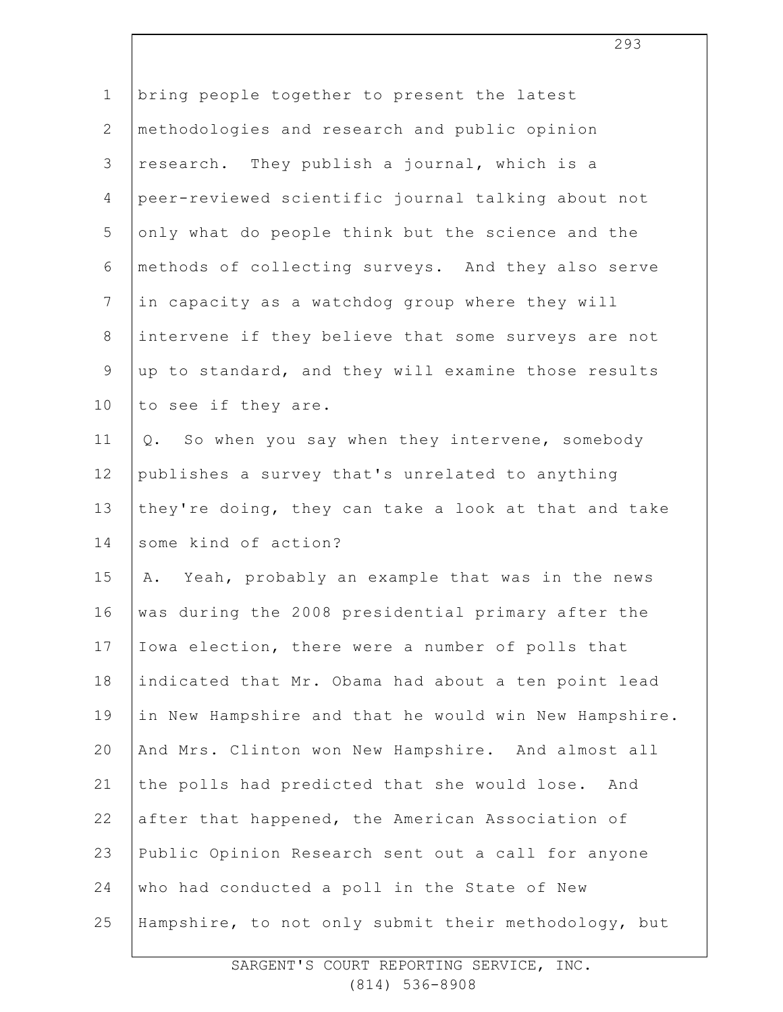| $\mathbf 1$    | bring people together to present the latest           |
|----------------|-------------------------------------------------------|
| 2              | methodologies and research and public opinion         |
| 3              | research. They publish a journal, which is a          |
| 4              | peer-reviewed scientific journal talking about not    |
| 5              | only what do people think but the science and the     |
| 6              | methods of collecting surveys. And they also serve    |
| $\overline{7}$ | in capacity as a watchdog group where they will       |
| $\,8\,$        | intervene if they believe that some surveys are not   |
| 9              | up to standard, and they will examine those results   |
| 10             | to see if they are.                                   |
| 11             | So when you say when they intervene, somebody<br>Q.   |
| 12             | publishes a survey that's unrelated to anything       |
| 13             | they're doing, they can take a look at that and take  |
| 14             | some kind of action?                                  |
| 15             | Yeah, probably an example that was in the news<br>Α.  |
| 16             | was during the 2008 presidential primary after the    |
| 17             | Iowa election, there were a number of polls that      |
| 18             | indicated that Mr. Obama had about a ten point lead   |
| 19             | in New Hampshire and that he would win New Hampshire. |
| 20             | And Mrs. Clinton won New Hampshire. And almost all    |
| 21             | the polls had predicted that she would lose.<br>And   |
| 22             | after that happened, the American Association of      |
| 23             | Public Opinion Research sent out a call for anyone    |
| 24             | who had conducted a poll in the State of New          |
| 25             | Hampshire, to not only submit their methodology, but  |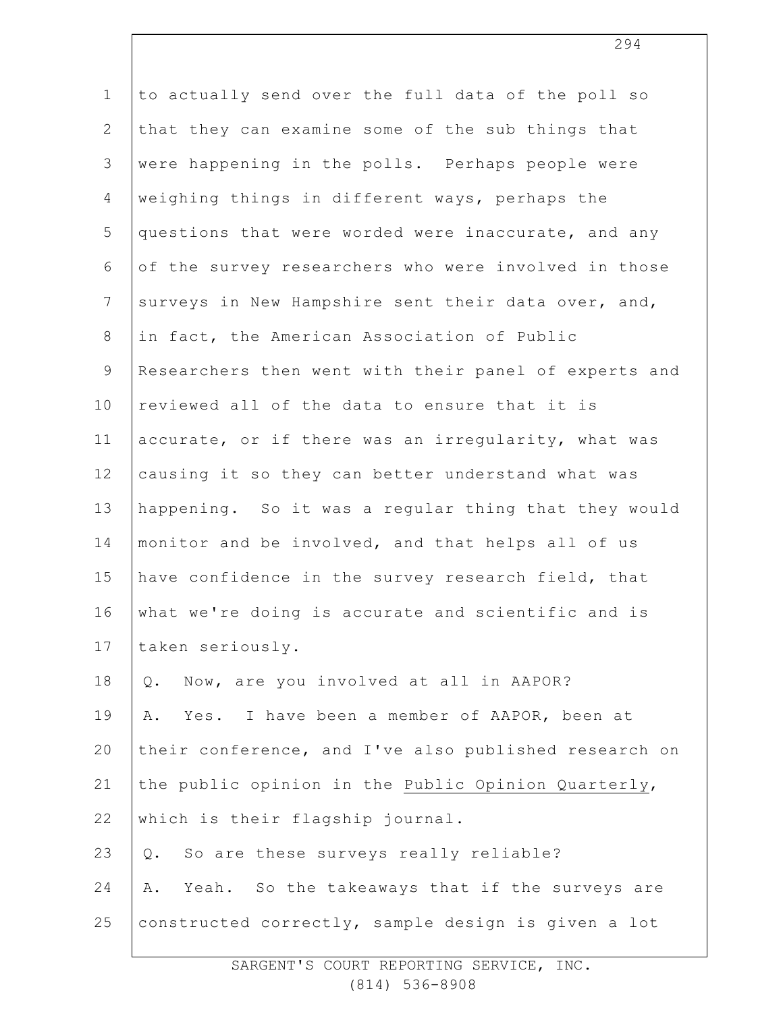| $\mathbf 1$     | to actually send over the full data of the poll so    |
|-----------------|-------------------------------------------------------|
| $\overline{2}$  | that they can examine some of the sub things that     |
| 3               | were happening in the polls. Perhaps people were      |
| 4               | weighing things in different ways, perhaps the        |
| 5               | questions that were worded were inaccurate, and any   |
| 6               | of the survey researchers who were involved in those  |
| $7\phantom{.0}$ | surveys in New Hampshire sent their data over, and,   |
| $8\,$           | in fact, the American Association of Public           |
| $\mathsf 9$     | Researchers then went with their panel of experts and |
| 10              | reviewed all of the data to ensure that it is         |
| 11              | accurate, or if there was an irregularity, what was   |
| 12              | causing it so they can better understand what was     |
| 13              | happening. So it was a regular thing that they would  |
| 14              | monitor and be involved, and that helps all of us     |
| 15              | have confidence in the survey research field, that    |
| 16              | what we're doing is accurate and scientific and is    |
| 17              | taken seriously.                                      |
| 18              | Now, are you involved at all in AAPOR?<br>Q.          |
| 19              | Yes. I have been a member of AAPOR, been at<br>Α.     |
| 20              | their conference, and I've also published research on |
| 21              | the public opinion in the Public Opinion Quarterly,   |
| 22              | which is their flagship journal.                      |
| 23              | So are these surveys really reliable?<br>Q.           |
| 24              | Yeah. So the takeaways that if the surveys are<br>Α.  |
| 25              | constructed correctly, sample design is given a lot   |
|                 |                                                       |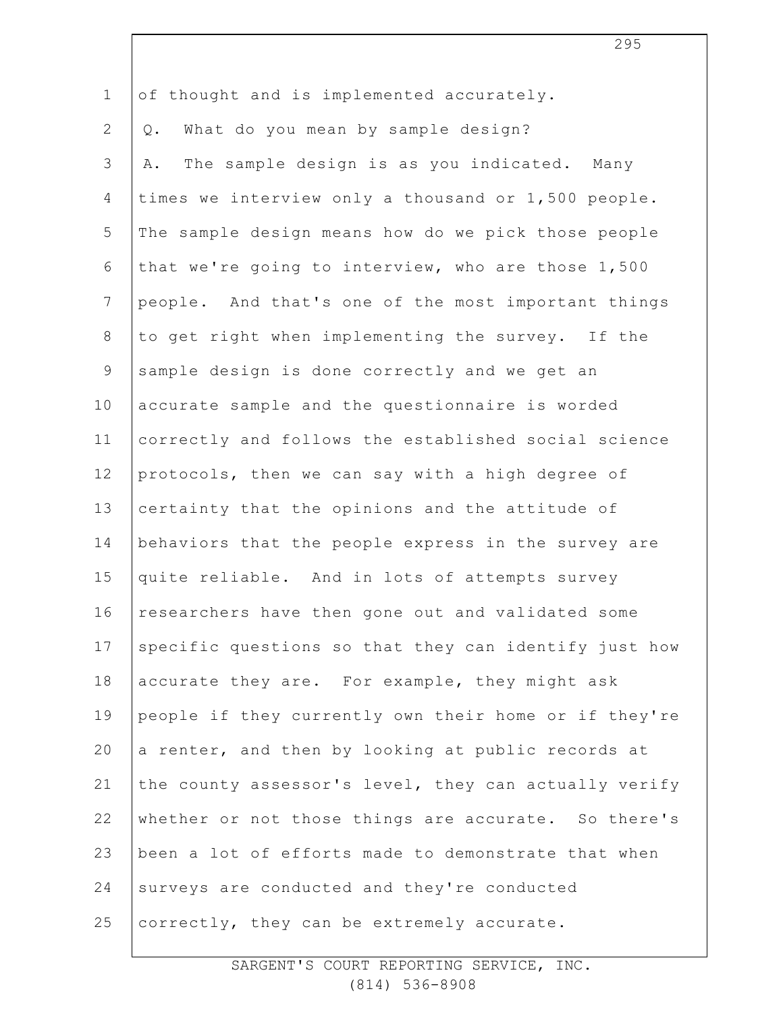| $\mathbf 1$    | of thought and is implemented accurately.             |
|----------------|-------------------------------------------------------|
| $\overline{2}$ | What do you mean by sample design?<br>Q.              |
| 3              | The sample design is as you indicated. Many<br>Α.     |
| 4              | times we interview only a thousand or 1,500 people.   |
| 5              | The sample design means how do we pick those people   |
| 6              | that we're going to interview, who are those 1,500    |
| $\overline{7}$ | people. And that's one of the most important things   |
| 8              | to get right when implementing the survey. If the     |
| $\mathsf 9$    | sample design is done correctly and we get an         |
| 10             | accurate sample and the questionnaire is worded       |
| 11             | correctly and follows the established social science  |
| 12             | protocols, then we can say with a high degree of      |
| 13             | certainty that the opinions and the attitude of       |
| 14             | behaviors that the people express in the survey are   |
| 15             | quite reliable. And in lots of attempts survey        |
| 16             | researchers have then gone out and validated some     |
| 17             | specific questions so that they can identify just how |
| 18             | accurate they are. For example, they might ask        |
| 19             | people if they currently own their home or if they're |
| 20             | a renter, and then by looking at public records at    |
| 21             | the county assessor's level, they can actually verify |
| 22             | whether or not those things are accurate. So there's  |
| 23             | been a lot of efforts made to demonstrate that when   |
| 24             | surveys are conducted and they're conducted           |
| 25             | correctly, they can be extremely accurate.            |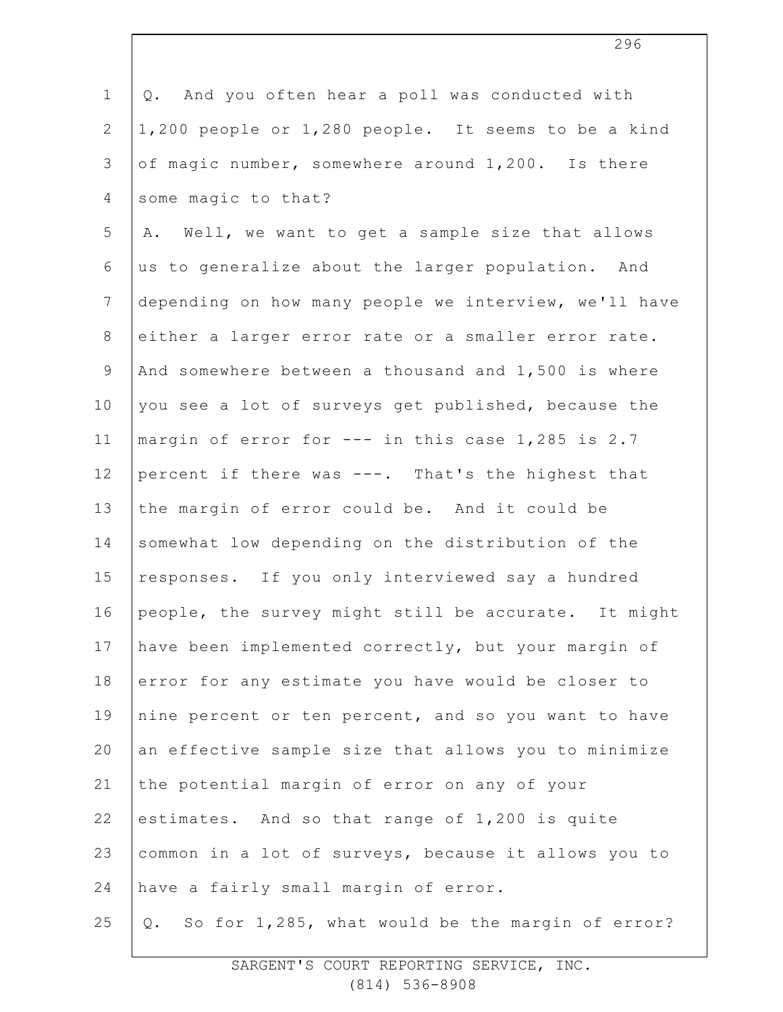| $\mathbf{1}$    | And you often hear a poll was conducted with<br>Q.     |
|-----------------|--------------------------------------------------------|
| $\mathbf{2}$    | 1,200 people or 1,280 people. It seems to be a kind    |
| $\mathfrak{Z}$  | of magic number, somewhere around 1,200. Is there      |
| 4               | some magic to that?                                    |
| 5               | A. Well, we want to get a sample size that allows      |
| 6               | us to generalize about the larger population. And      |
| $7\phantom{.0}$ | depending on how many people we interview, we'll have  |
| $\,8\,$         | either a larger error rate or a smaller error rate.    |
| $\overline{9}$  | And somewhere between a thousand and 1,500 is where    |
| 10              | you see a lot of surveys get published, because the    |
| 11              | margin of error for --- in this case 1,285 is 2.7      |
| 12              | percent if there was ---. That's the highest that      |
| 13              | the margin of error could be. And it could be          |
| 14              | somewhat low depending on the distribution of the      |
| 15              | responses. If you only interviewed say a hundred       |
| 16              | people, the survey might still be accurate. It might   |
| 17              | have been implemented correctly, but your margin of    |
| 18              | error for any estimate you have would be closer to     |
| 19              | nine percent or ten percent, and so you want to have   |
| 20              | an effective sample size that allows you to minimize   |
| 21              | the potential margin of error on any of your           |
| 22              | estimates. And so that range of 1,200 is quite         |
| 23              | common in a lot of surveys, because it allows you to   |
| 24              | have a fairly small margin of error.                   |
| 25              | So for 1,285, what would be the margin of error?<br>Q. |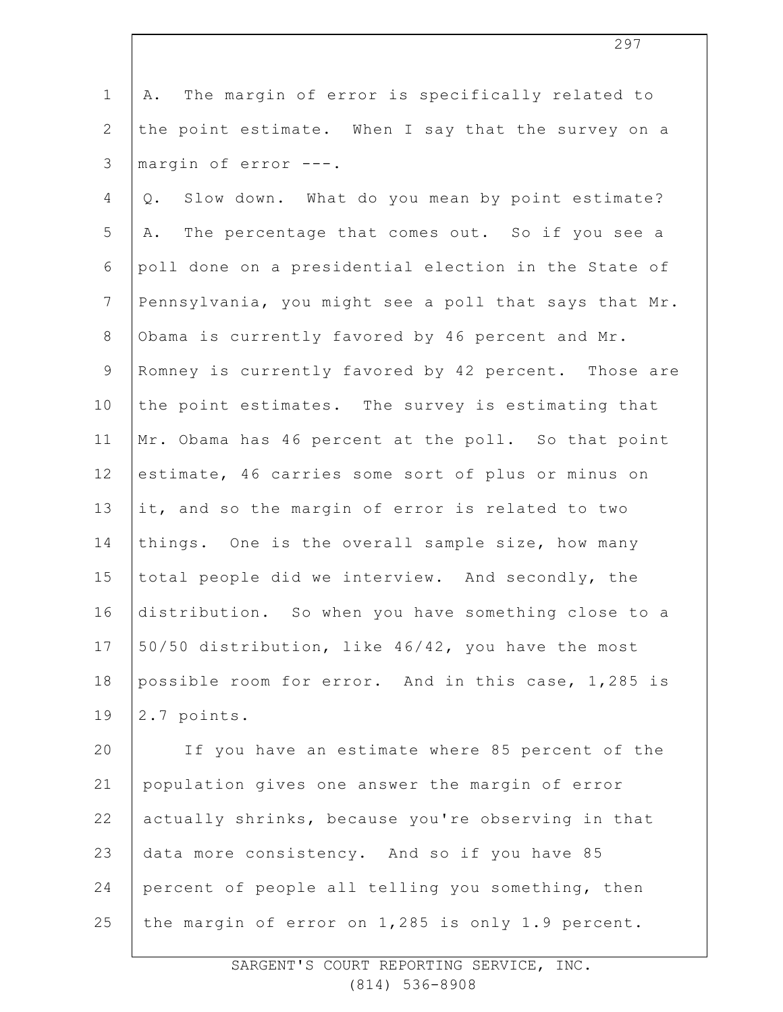1 2 3 A. The margin of error is specifically related to the point estimate. When I say that the survey on a margin of error ---.

4 5 6 7 8 9 10 11 12 13 14 15 16 17 18 19 Q. Slow down. What do you mean by point estimate? A. The percentage that comes out. So if you see a poll done on a presidential election in the State of Pennsylvania, you might see a poll that says that Mr. Obama is currently favored by 46 percent and Mr. Romney is currently favored by 42 percent. Those are the point estimates. The survey is estimating that Mr. Obama has 46 percent at the poll. So that point estimate, 46 carries some sort of plus or minus on it, and so the margin of error is related to two things. One is the overall sample size, how many total people did we interview. And secondly, the distribution. So when you have something close to a 50/50 distribution, like 46/42, you have the most possible room for error. And in this case, 1,285 is 2.7 points.

20 21 22 23 24 25 If you have an estimate where 85 percent of the population gives one answer the margin of error actually shrinks, because you're observing in that data more consistency. And so if you have 85 percent of people all telling you something, then the margin of error on 1,285 is only 1.9 percent.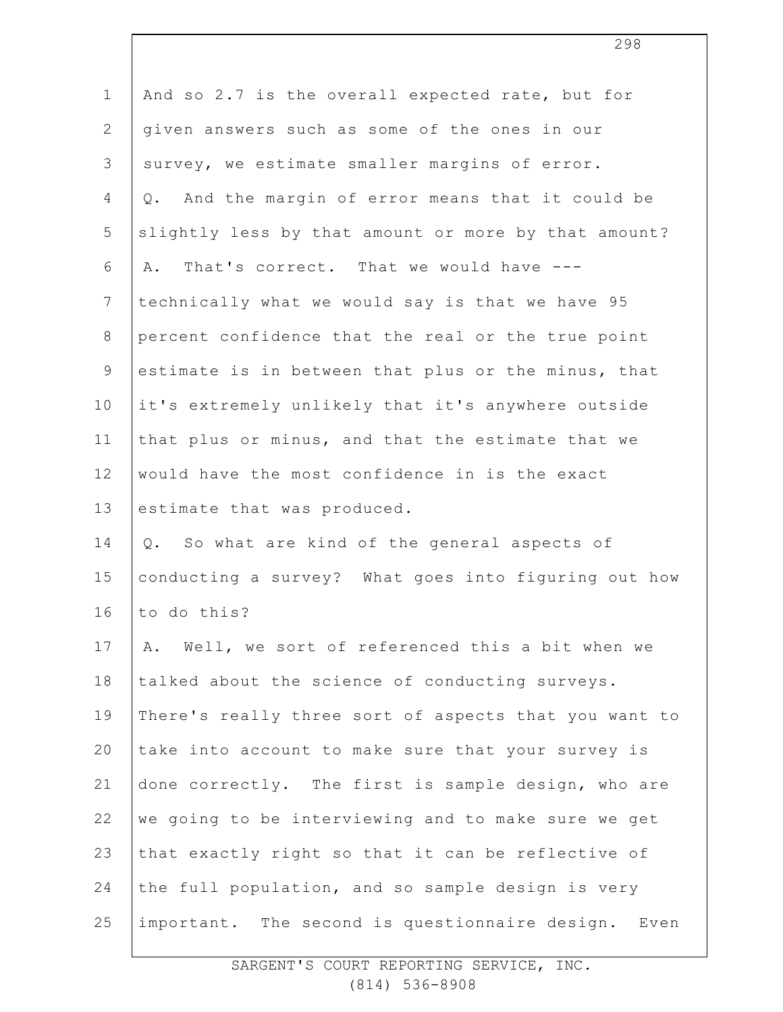| $\mathbf 1$    | And so 2.7 is the overall expected rate, but for      |
|----------------|-------------------------------------------------------|
| $\mathbf{2}$   | given answers such as some of the ones in our         |
| 3              | survey, we estimate smaller margins of error.         |
| $\overline{4}$ | And the margin of error means that it could be<br>Q.  |
| 5              | slightly less by that amount or more by that amount?  |
| 6              | That's correct. That we would have ---<br>Α.          |
| $7\phantom{.}$ | technically what we would say is that we have 95      |
| $8\,$          | percent confidence that the real or the true point    |
| $\mathsf 9$    | estimate is in between that plus or the minus, that   |
| 10             | it's extremely unlikely that it's anywhere outside    |
| 11             | that plus or minus, and that the estimate that we     |
| 12             | would have the most confidence in is the exact        |
| 13             | estimate that was produced.                           |
| 14             | So what are kind of the general aspects of<br>Q.      |
| 15             | conducting a survey? What goes into figuring out how  |
| 16             | to do this?                                           |
| 17             | Well, we sort of referenced this a bit when we<br>Α.  |
| 18             | talked about the science of conducting surveys.       |
| 19             | There's really three sort of aspects that you want to |
| 20             | take into account to make sure that your survey is    |
| 21             | done correctly. The first is sample design, who are   |
| 22             | we going to be interviewing and to make sure we get   |
| 23             | that exactly right so that it can be reflective of    |
| 24             | the full population, and so sample design is very     |
| 25             | important. The second is questionnaire design. Even   |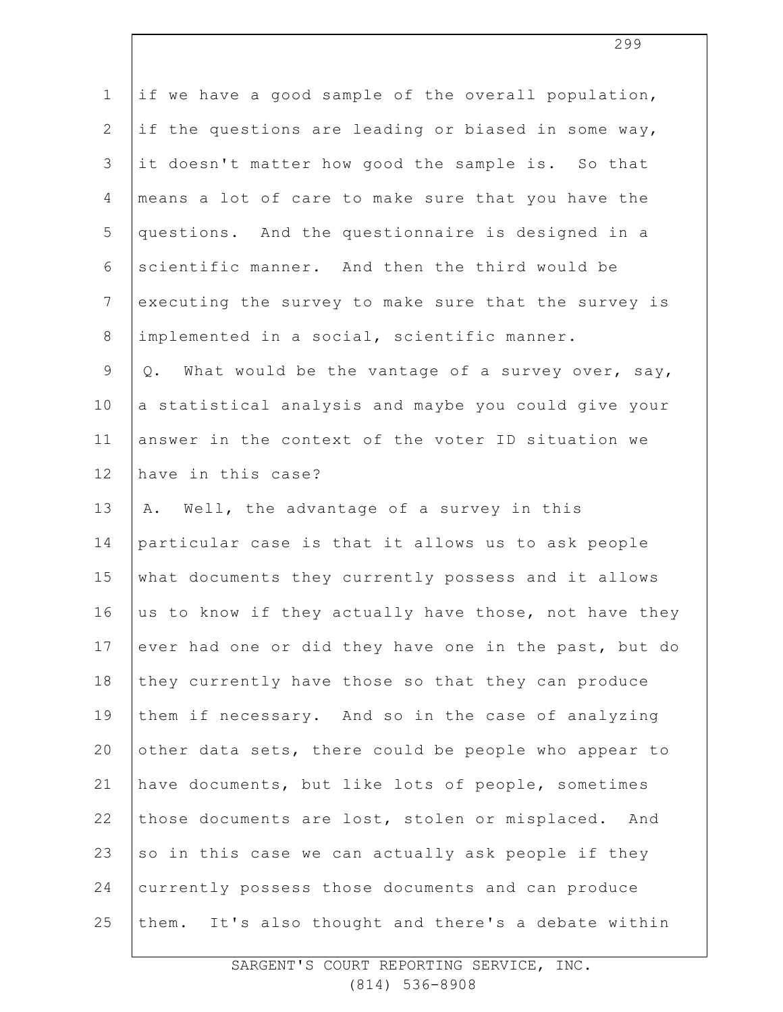| $\mathbf 1$    | if we have a good sample of the overall population,       |
|----------------|-----------------------------------------------------------|
| $\overline{2}$ | if the questions are leading or biased in some way,       |
| 3              | it doesn't matter how good the sample is. So that         |
| 4              | means a lot of care to make sure that you have the        |
| 5              | questions. And the questionnaire is designed in a         |
| 6              | scientific manner. And then the third would be            |
| $7\phantom{.}$ | executing the survey to make sure that the survey is      |
| $\,8\,$        | implemented in a social, scientific manner.               |
| $\mathcal{G}$  | What would be the vantage of a survey over, say,<br>$Q$ . |
| 10             | a statistical analysis and maybe you could give your      |
| 11             | answer in the context of the voter ID situation we        |
| 12             | have in this case?                                        |
| 13             | Well, the advantage of a survey in this<br>Α.             |
| 14             | particular case is that it allows us to ask people        |
| 15             | what documents they currently possess and it allows       |
| 16             | us to know if they actually have those, not have they     |
| 17             | ever had one or did they have one in the past, but do     |
| 18             | they currently have those so that they can produce        |
| 19             | them if necessary. And so in the case of analyzing        |
| 20             | other data sets, there could be people who appear to      |
| 21             | have documents, but like lots of people, sometimes        |
| 22             | those documents are lost, stolen or misplaced. And        |
| 23             | so in this case we can actually ask people if they        |
| 24             | currently possess those documents and can produce         |
| 25             | them. It's also thought and there's a debate within       |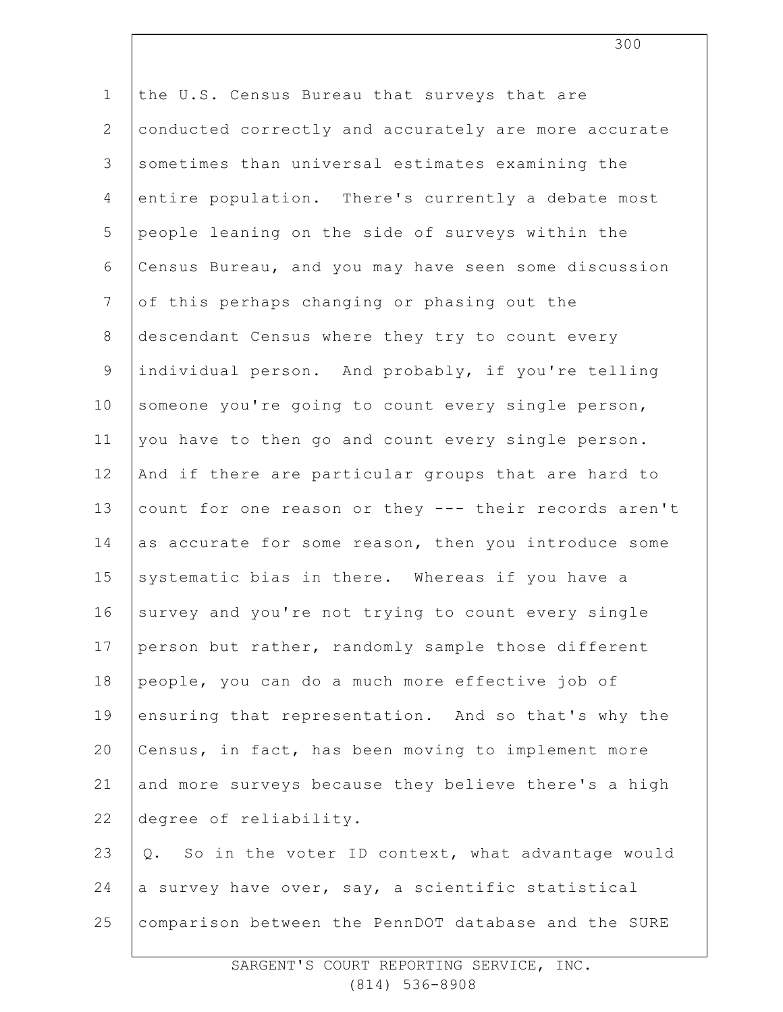1 2 3 4 5 6 7 8 9 10 11 12 13 14 15 16 17 18 19 20 21 22 23 24 25 the U.S. Census Bureau that surveys that are conducted correctly and accurately are more accurate sometimes than universal estimates examining the entire population. There's currently a debate most people leaning on the side of surveys within the Census Bureau, and you may have seen some discussion of this perhaps changing or phasing out the descendant Census where they try to count every individual person. And probably, if you're telling someone you're going to count every single person, you have to then go and count every single person. And if there are particular groups that are hard to count for one reason or they --- their records aren't as accurate for some reason, then you introduce some systematic bias in there. Whereas if you have a survey and you're not trying to count every single person but rather, randomly sample those different people, you can do a much more effective job of ensuring that representation. And so that's why the Census, in fact, has been moving to implement more and more surveys because they believe there's a high degree of reliability. Q. So in the voter ID context, what advantage would a survey have over, say, a scientific statistical comparison between the PennDOT database and the SURE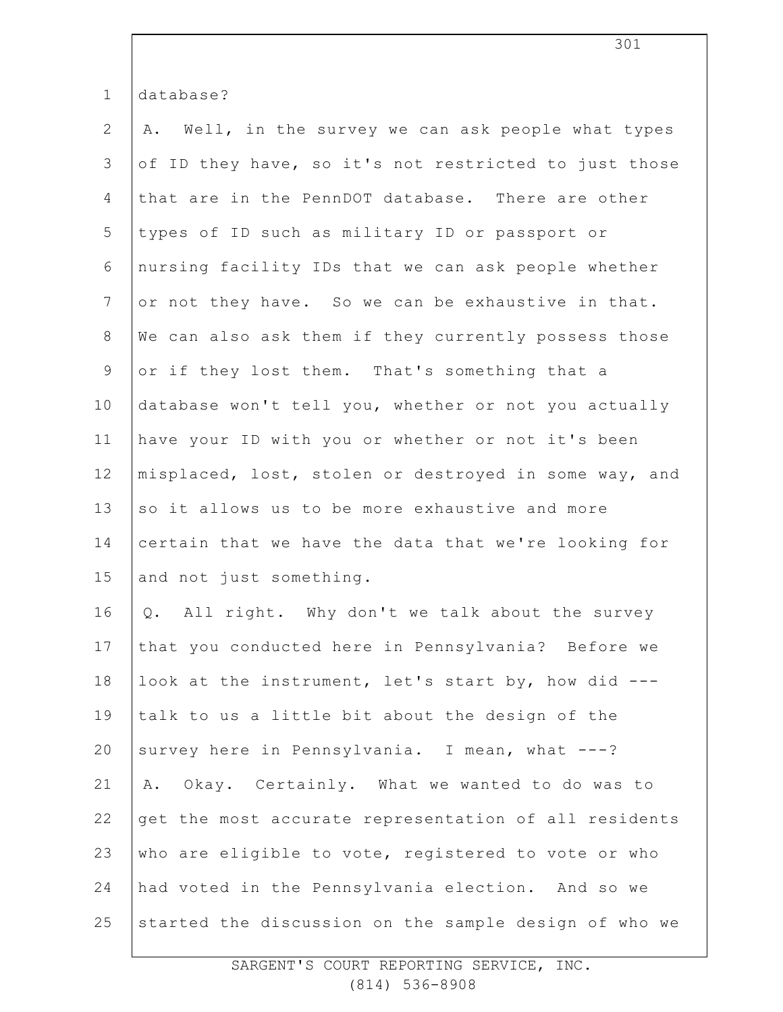| $\mathbf 1$     | database?                                             |
|-----------------|-------------------------------------------------------|
| $\mathbf{2}$    | A. Well, in the survey we can ask people what types   |
| 3               | of ID they have, so it's not restricted to just those |
| 4               | that are in the PennDOT database. There are other     |
| 5               | types of ID such as military ID or passport or        |
| 6               | nursing facility IDs that we can ask people whether   |
| $7\phantom{.0}$ | or not they have. So we can be exhaustive in that.    |
| $8\,$           | We can also ask them if they currently possess those  |
| $\mathsf 9$     | or if they lost them. That's something that a         |
| 10              | database won't tell you, whether or not you actually  |
| 11              | have your ID with you or whether or not it's been     |
| 12              | misplaced, lost, stolen or destroyed in some way, and |
| 13              | so it allows us to be more exhaustive and more        |
| 14              | certain that we have the data that we're looking for  |
| 15              | and not just something.                               |
| 16              | Q. All right. Why don't we talk about the survey      |
| 17              | that you conducted here in Pennsylvania? Before we    |
| 18              | look at the instrument, let's start by, how did ---   |
| 19              | talk to us a little bit about the design of the       |
| 20              | survey here in Pennsylvania. I mean, what ---?        |
| 21              | Okay. Certainly. What we wanted to do was to<br>Α.    |
| 22              | get the most accurate representation of all residents |
| 23              | who are eligible to vote, registered to vote or who   |
| 24              | had voted in the Pennsylvania election. And so we     |
| 25              | started the discussion on the sample design of who we |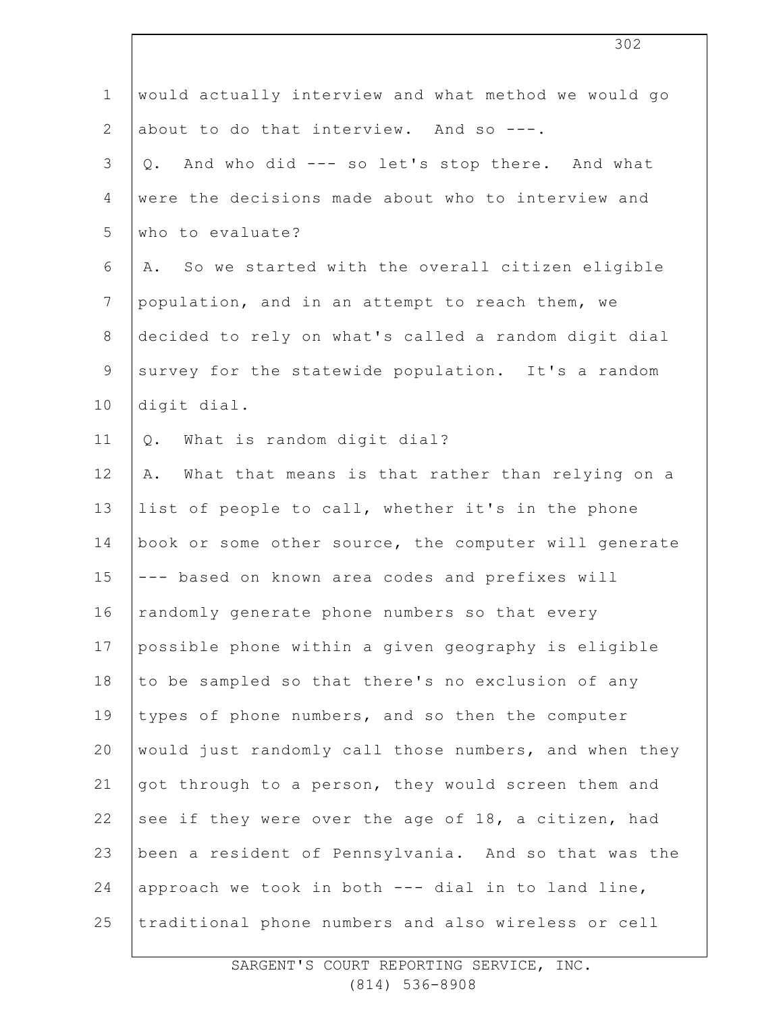| $\mathbf 1$    | would actually interview and what method we would go   |
|----------------|--------------------------------------------------------|
| $\mathbf{2}$   | about to do that interview. And so ---.                |
| 3              | And who did --- so let's stop there. And what<br>Q.    |
| 4              | were the decisions made about who to interview and     |
| 5              | who to evaluate?                                       |
| 6              | A. So we started with the overall citizen eligible     |
| $\overline{7}$ | population, and in an attempt to reach them, we        |
| $\,8\,$        | decided to rely on what's called a random digit dial   |
| $\mathsf 9$    | survey for the statewide population. It's a random     |
| 10             | digit dial.                                            |
| 11             | Q. What is random digit dial?                          |
| 12             | What that means is that rather than relying on a<br>Α. |
| 13             | list of people to call, whether it's in the phone      |
| 14             | book or some other source, the computer will generate  |
| 15             | --- based on known area codes and prefixes will        |
| 16             | randomly generate phone numbers so that every          |
| 17             | possible phone within a given geography is eligible    |
| 18             | to be sampled so that there's no exclusion of any      |
| 19             | types of phone numbers, and so then the computer       |
| 20             | would just randomly call those numbers, and when they  |
| 21             | got through to a person, they would screen them and    |
| 22             | see if they were over the age of 18, a citizen, had    |
| 23             | been a resident of Pennsylvania. And so that was the   |
| 24             | approach we took in both --- dial in to land line,     |
| 25             | traditional phone numbers and also wireless or cell    |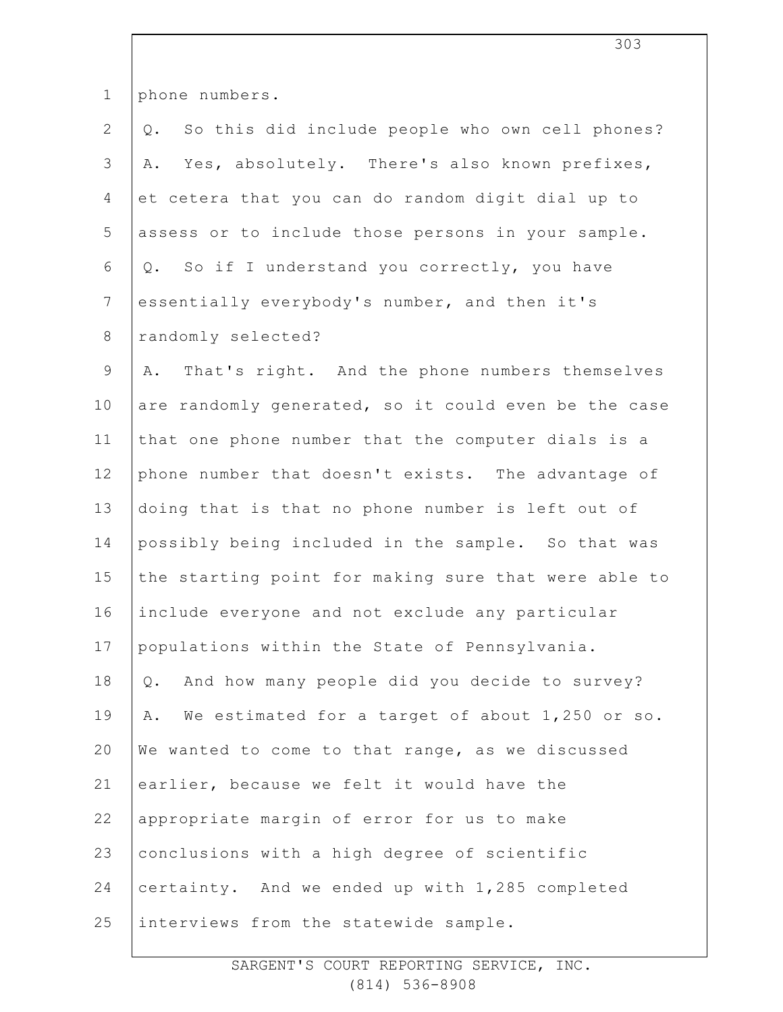| $\mathbf 1$    | phone numbers.                                        |
|----------------|-------------------------------------------------------|
| $\mathbf{2}$   | So this did include people who own cell phones?<br>Q. |
| 3              | Yes, absolutely. There's also known prefixes,<br>Α.   |
| $\overline{4}$ | et cetera that you can do random digit dial up to     |
| 5              | assess or to include those persons in your sample.    |
| 6              | So if I understand you correctly, you have<br>Q.      |
| $7\phantom{.}$ | essentially everybody's number, and then it's         |
| $\,8\,$        | randomly selected?                                    |
| $\mathsf 9$    | That's right. And the phone numbers themselves<br>Α.  |
| 10             | are randomly generated, so it could even be the case  |
| 11             | that one phone number that the computer dials is a    |
| 12             | phone number that doesn't exists. The advantage of    |
| 13             | doing that is that no phone number is left out of     |
| 14             | possibly being included in the sample. So that was    |
| 15             | the starting point for making sure that were able to  |
| 16             | include everyone and not exclude any particular       |
| 17             | populations within the State of Pennsylvania.         |
| 18             | And how many people did you decide to survey?<br>Q.   |
| 19             | We estimated for a target of about 1,250 or so.<br>Α. |
| 20             | We wanted to come to that range, as we discussed      |
| 21             | earlier, because we felt it would have the            |
| 22             | appropriate margin of error for us to make            |
| 23             | conclusions with a high degree of scientific          |
| 24             | certainty. And we ended up with 1,285 completed       |
| 25             | interviews from the statewide sample.                 |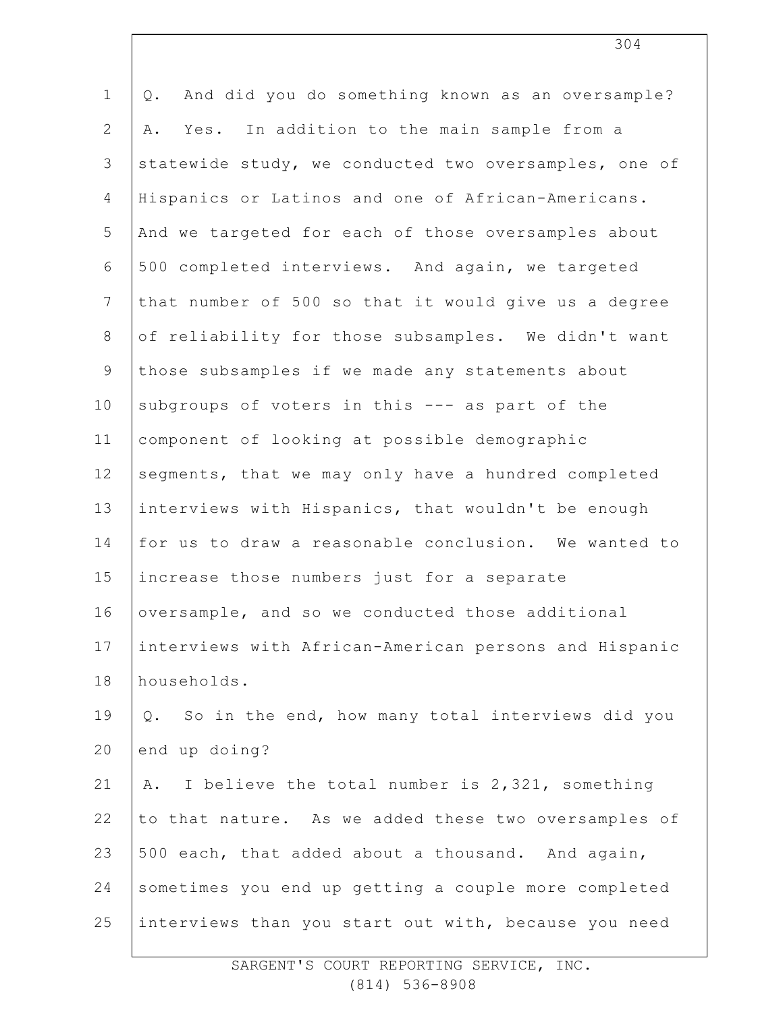| $\mathbf 1$    | And did you do something known as an oversample?<br>Q. |
|----------------|--------------------------------------------------------|
| $\mathbf{2}$   | Yes. In addition to the main sample from a<br>Α.       |
| 3              | statewide study, we conducted two oversamples, one of  |
| 4              | Hispanics or Latinos and one of African-Americans.     |
| 5              | And we targeted for each of those oversamples about    |
| 6              | 500 completed interviews. And again, we targeted       |
| $7\phantom{.}$ | that number of 500 so that it would give us a degree   |
| $8\,$          | of reliability for those subsamples. We didn't want    |
| $\mathsf 9$    | those subsamples if we made any statements about       |
| 10             | subgroups of voters in this --- as part of the         |
| 11             | component of looking at possible demographic           |
| 12             | segments, that we may only have a hundred completed    |
| 13             | interviews with Hispanics, that wouldn't be enough     |
| 14             | for us to draw a reasonable conclusion. We wanted to   |
| 15             | increase those numbers just for a separate             |
| 16             | oversample, and so we conducted those additional       |
| 17             | interviews with African-American persons and Hispanic  |
| 18             | households.                                            |
| 19             | So in the end, how many total interviews did you<br>Q. |
| 20             | end up doing?                                          |
| 21             | I believe the total number is 2,321, something<br>Α.   |
| 22             | to that nature. As we added these two oversamples of   |
| 23             | 500 each, that added about a thousand. And again,      |
| 24             | sometimes you end up getting a couple more completed   |
| 25             | interviews than you start out with, because you need   |
|                |                                                        |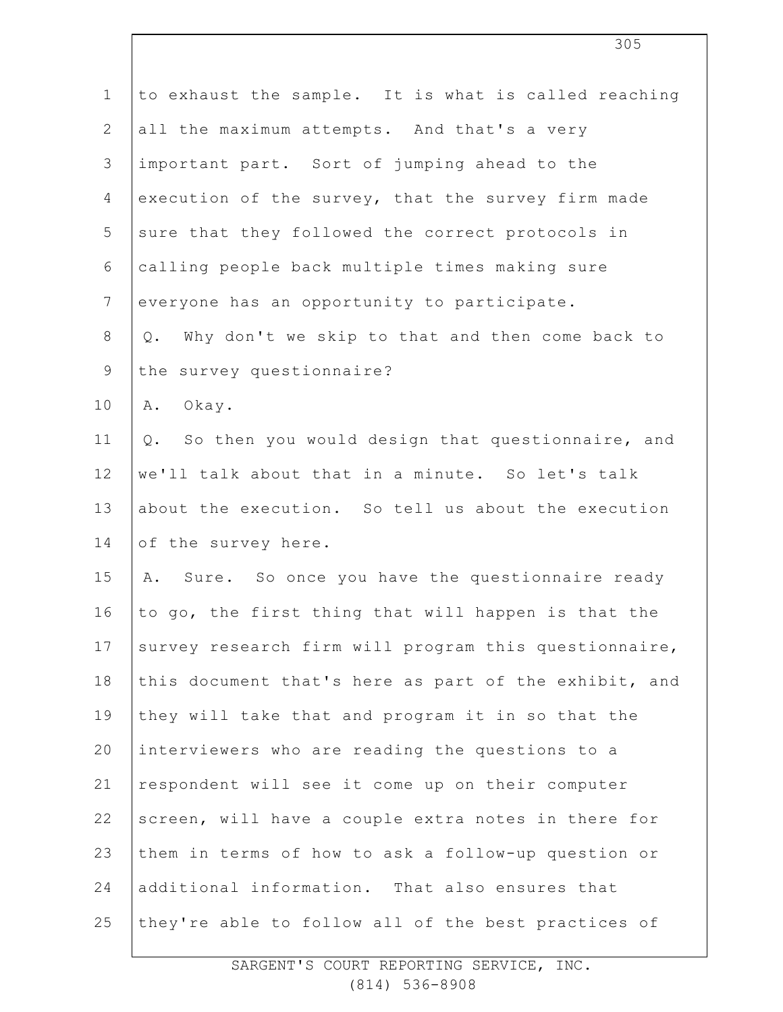| $\mathbf 1$     | to exhaust the sample. It is what is called reaching     |
|-----------------|----------------------------------------------------------|
| $\overline{2}$  | all the maximum attempts. And that's a very              |
| 3               | important part. Sort of jumping ahead to the             |
| 4               | execution of the survey, that the survey firm made       |
| 5               | sure that they followed the correct protocols in         |
| 6               | calling people back multiple times making sure           |
| $7\overline{ }$ | everyone has an opportunity to participate.              |
| $8\,$           | Why don't we skip to that and then come back to<br>$Q$ . |
| $\mathsf 9$     | the survey questionnaire?                                |
| 10              | Okay.<br>Α.                                              |
| 11              | Q. So then you would design that questionnaire, and      |
| 12              | we'll talk about that in a minute. So let's talk         |
| 13              | about the execution. So tell us about the execution      |
| 14              | of the survey here.                                      |
| 15              | A. Sure. So once you have the questionnaire ready        |
| 16              | to go, the first thing that will happen is that the      |
| 17              | survey research firm will program this questionnaire,    |
| 18              | this document that's here as part of the exhibit, and    |
| 19              | they will take that and program it in so that the        |
| 20              | interviewers who are reading the questions to a          |
| 21              | respondent will see it come up on their computer         |
| 22              | screen, will have a couple extra notes in there for      |
| 23              | them in terms of how to ask a follow-up question or      |
| 24              | additional information. That also ensures that           |
| 25              | they're able to follow all of the best practices of      |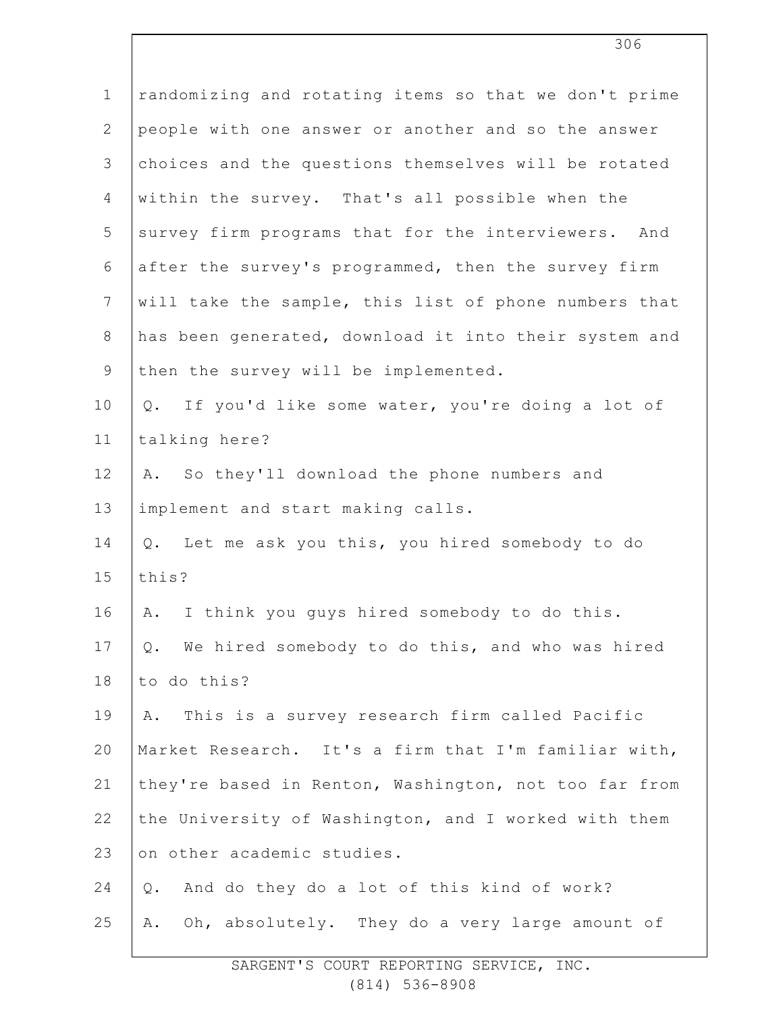| $\mathbf 1$    | randomizing and rotating items so that we don't prime |
|----------------|-------------------------------------------------------|
| $\mathbf{2}$   | people with one answer or another and so the answer   |
| 3              | choices and the questions themselves will be rotated  |
| 4              | within the survey. That's all possible when the       |
| 5              | survey firm programs that for the interviewers. And   |
| 6              | after the survey's programmed, then the survey firm   |
| $\overline{7}$ | will take the sample, this list of phone numbers that |
| $8\,$          | has been generated, download it into their system and |
| $\mathsf 9$    | then the survey will be implemented.                  |
| 10             | If you'd like some water, you're doing a lot of<br>Q. |
| 11             | talking here?                                         |
| 12             | So they'll download the phone numbers and<br>Α.       |
| 13             | implement and start making calls.                     |
| 14             | Let me ask you this, you hired somebody to do<br>Q.   |
| 15             | this?                                                 |
| 16             | I think you guys hired somebody to do this.<br>Α.     |
| 17             | We hired somebody to do this, and who was hired<br>Q. |
| 18             | to do this?                                           |
| 19             | This is a survey research firm called Pacific<br>Α.   |
| 20             | Market Research. It's a firm that I'm familiar with,  |
| 21             | they're based in Renton, Washington, not too far from |
| 22             | the University of Washington, and I worked with them  |
| 23             | on other academic studies.                            |
| 24             | And do they do a lot of this kind of work?<br>$Q$ .   |
| 25             | Oh, absolutely. They do a very large amount of<br>Α.  |
|                |                                                       |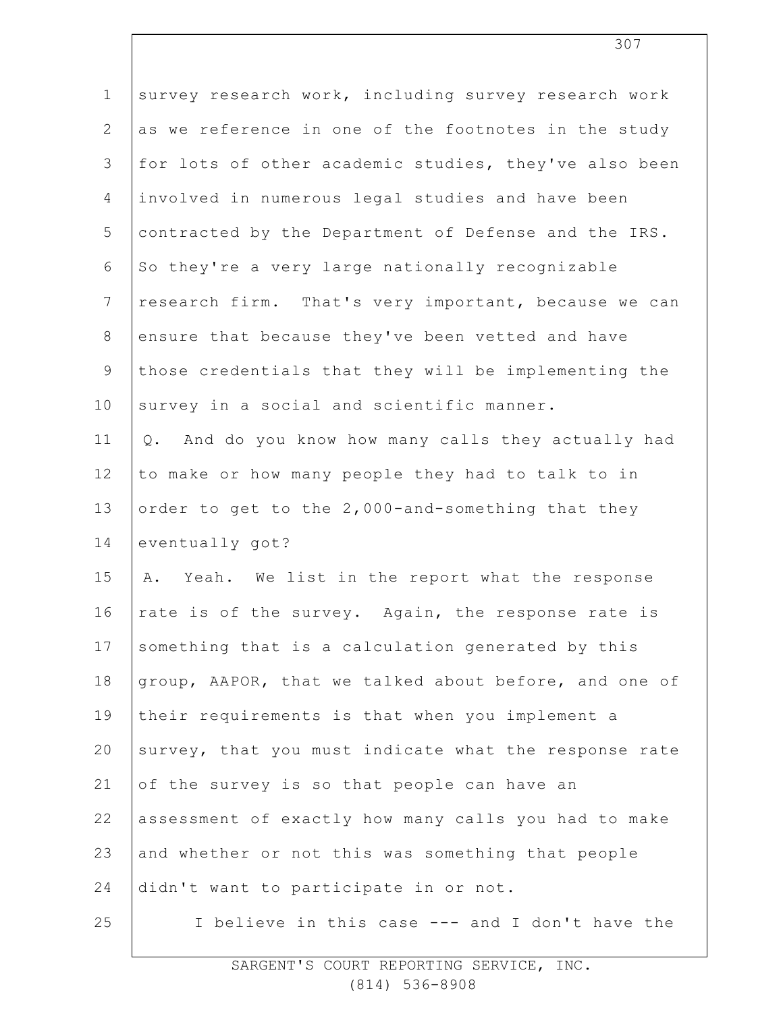| $\mathbf 1$    | survey research work, including survey research work   |
|----------------|--------------------------------------------------------|
| $\mathbf{2}$   | as we reference in one of the footnotes in the study   |
| 3              | for lots of other academic studies, they've also been  |
| $\overline{4}$ | involved in numerous legal studies and have been       |
| 5              | contracted by the Department of Defense and the IRS.   |
| 6              | So they're a very large nationally recognizable        |
| $\overline{7}$ | research firm. That's very important, because we can   |
| 8              | ensure that because they've been vetted and have       |
| 9              | those credentials that they will be implementing the   |
| 10             | survey in a social and scientific manner.              |
| 11             | And do you know how many calls they actually had<br>Q. |
| 12             | to make or how many people they had to talk to in      |
| 13             | order to get to the 2,000-and-something that they      |
| 14             | eventually got?                                        |
| 15             | A. Yeah. We list in the report what the response       |
| 16             | rate is of the survey. Again, the response rate is     |
| 17             | something that is a calculation generated by this      |
| 18             | group, AAPOR, that we talked about before, and one of  |
| 19             | their requirements is that when you implement a        |
| 20             | survey, that you must indicate what the response rate  |
| 21             | of the survey is so that people can have an            |
| 22             | assessment of exactly how many calls you had to make   |
| 23             | and whether or not this was something that people      |
| 24             | didn't want to participate in or not.                  |
| 25             | I believe in this case --- and I don't have the        |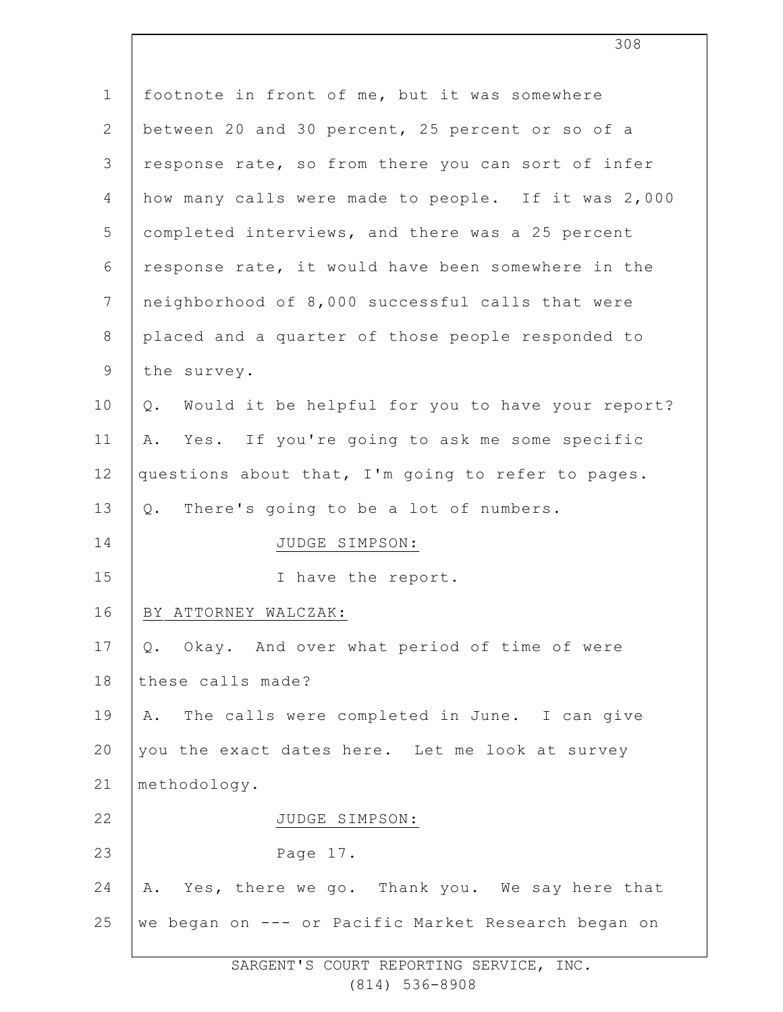| $\mathbf 1$    | footnote in front of me, but it was somewhere          |
|----------------|--------------------------------------------------------|
| $\mathbf{2}$   | between 20 and 30 percent, 25 percent or so of a       |
| 3              | response rate, so from there you can sort of infer     |
| 4              | how many calls were made to people. If it was 2,000    |
| 5              | completed interviews, and there was a 25 percent       |
| 6              | response rate, it would have been somewhere in the     |
| $7\phantom{.}$ | neighborhood of 8,000 successful calls that were       |
| $8\,$          | placed and a quarter of those people responded to      |
| 9              | the survey.                                            |
| 10             | Would it be helpful for you to have your report?<br>Q. |
| 11             | Yes. If you're going to ask me some specific<br>Α.     |
| 12             | questions about that, I'm going to refer to pages.     |
| 13             | There's going to be a lot of numbers.<br>$Q$ .         |
| 14             | JUDGE SIMPSON:                                         |
| 15             | I have the report.                                     |
| 16             | BY ATTORNEY WALCZAK:                                   |
| 17             | Okay. And over what period of time of were<br>Q.       |
| 18             | these calls made?                                      |
| 19             | The calls were completed in June. I can give<br>Α.     |
| 20             | you the exact dates here. Let me look at survey        |
| 21             | methodology.                                           |
| 22             | JUDGE SIMPSON:                                         |
| 23             | Page 17.                                               |
| 24             | Yes, there we go. Thank you. We say here that<br>Α.    |
| 25             | we began on --- or Pacific Market Research began on    |
|                |                                                        |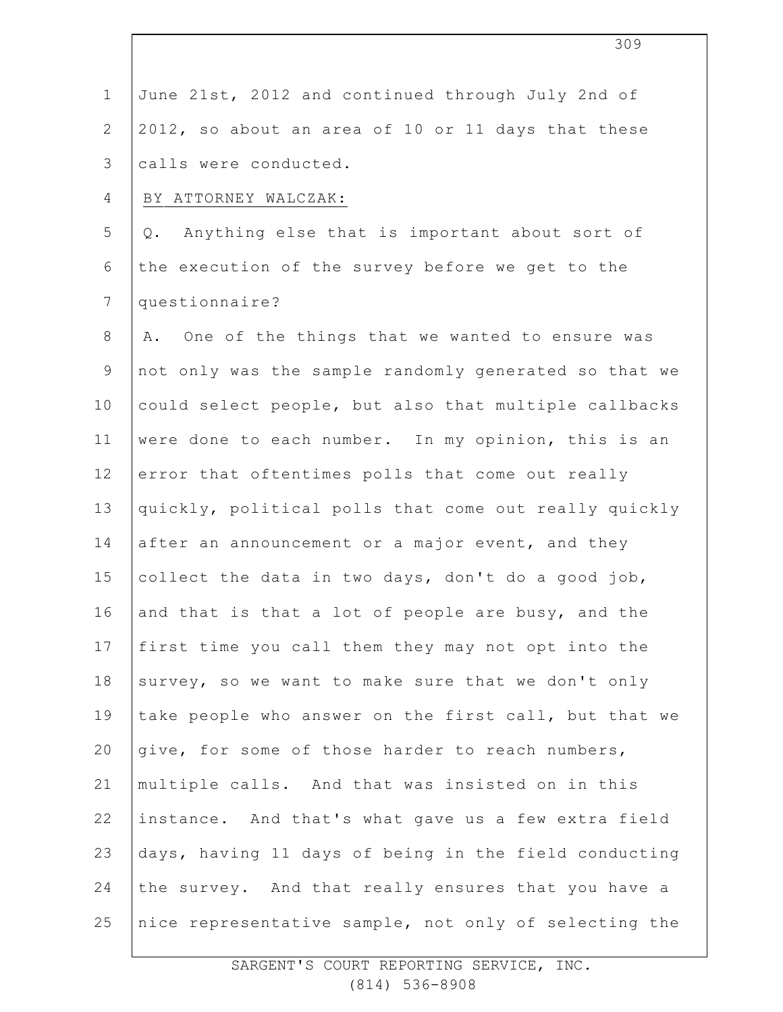| $\mathbf 1$    | June 21st, 2012 and continued through July 2nd of     |
|----------------|-------------------------------------------------------|
| $\mathbf{2}$   | 2012, so about an area of 10 or 11 days that these    |
| $\mathfrak{Z}$ | calls were conducted.                                 |
| 4              | BY ATTORNEY WALCZAK:                                  |
| 5              | Anything else that is important about sort of<br>Q.   |
| 6              | the execution of the survey before we get to the      |
| $\overline{7}$ | questionnaire?                                        |
| $\,8\,$        | One of the things that we wanted to ensure was<br>Α.  |
| $\mathsf 9$    | not only was the sample randomly generated so that we |
| 10             | could select people, but also that multiple callbacks |
| 11             | were done to each number. In my opinion, this is an   |
| 12             | error that oftentimes polls that come out really      |
| 13             | quickly, political polls that come out really quickly |
| 14             | after an announcement or a major event, and they      |
| 15             | collect the data in two days, don't do a good job,    |
| 16             | and that is that a lot of people are busy, and the    |
| 17             | first time you call them they may not opt into the    |
| 18             | survey, so we want to make sure that we don't only    |
| 19             | take people who answer on the first call, but that we |
| 20             | give, for some of those harder to reach numbers,      |
| 21             | multiple calls. And that was insisted on in this      |
| 22             | instance. And that's what gave us a few extra field   |
| 23             | days, having 11 days of being in the field conducting |
| 24             | the survey. And that really ensures that you have a   |
| 25             | nice representative sample, not only of selecting the |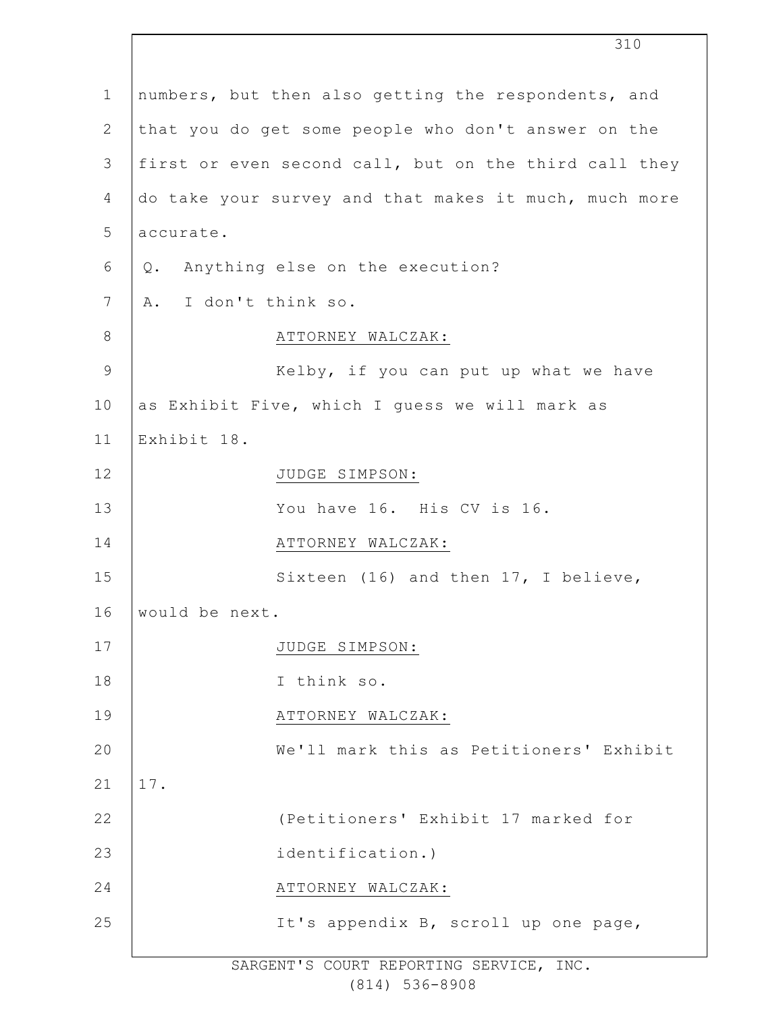|               |                      | 310                                                   |
|---------------|----------------------|-------------------------------------------------------|
| $\mathbf 1$   |                      | numbers, but then also getting the respondents, and   |
| $\mathbf{2}$  |                      | that you do get some people who don't answer on the   |
| 3             |                      | first or even second call, but on the third call they |
| 4             |                      | do take your survey and that makes it much, much more |
| 5             | accurate.            |                                                       |
| 6             |                      | Q. Anything else on the execution?                    |
| 7             | A. I don't think so. |                                                       |
| 8             |                      | ATTORNEY WALCZAK:                                     |
| $\mathcal{G}$ |                      | Kelby, if you can put up what we have                 |
| 10            |                      | as Exhibit Five, which I quess we will mark as        |
| 11            | Exhibit 18.          |                                                       |
| 12            |                      | JUDGE SIMPSON:                                        |
| 13            |                      | You have 16. His CV is 16.                            |
| 14            |                      | ATTORNEY WALCZAK:                                     |
| 15            |                      | Sixteen (16) and then 17, I believe,                  |
| 16            | would be next.       |                                                       |
| 17            |                      | JUDGE SIMPSON:                                        |
| 18            |                      | I think so.                                           |
| 19            |                      | ATTORNEY WALCZAK:                                     |
| 20            |                      | We'll mark this as Petitioners' Exhibit               |
| 21            | 17.                  |                                                       |
| 22            |                      | (Petitioners' Exhibit 17 marked for                   |
| 23            |                      | identification.)                                      |
| 24            |                      | ATTORNEY WALCZAK:                                     |
| 25            |                      | It's appendix B, scroll up one page,                  |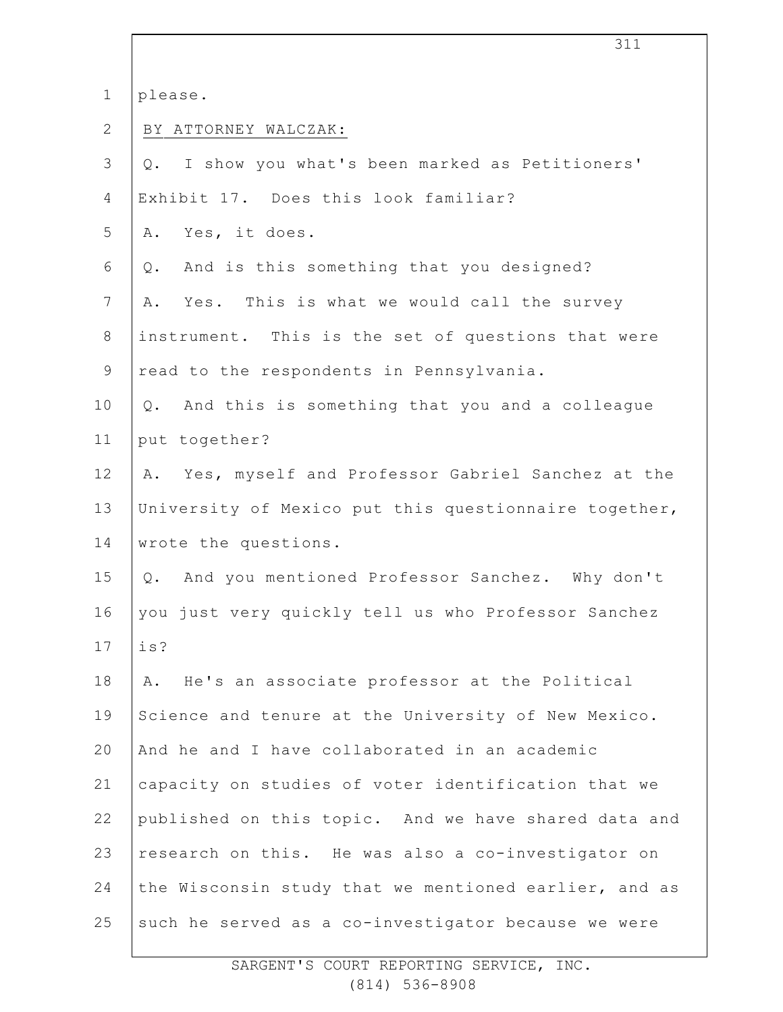1 please.

2 BY ATTORNEY WALCZAK:

| 3              | Q. I show you what's been marked as Petitioners'        |
|----------------|---------------------------------------------------------|
| 4              | Exhibit 17. Does this look familiar?                    |
|                |                                                         |
| 5              | Yes, it does.<br>Α.                                     |
| 6              | And is this something that you designed?<br>Q.          |
| $\overline{7}$ | Yes. This is what we would call the survey<br>Α.        |
| 8              | instrument. This is the set of questions that were      |
| $\mathsf 9$    | read to the respondents in Pennsylvania.                |
| 10             | And this is something that you and a colleague<br>$Q$ . |
| 11             | put together?                                           |
| 12             | A. Yes, myself and Professor Gabriel Sanchez at the     |
| 13             | University of Mexico put this questionnaire together,   |
| 14             | wrote the questions.                                    |
| 15             | And you mentioned Professor Sanchez. Why don't<br>$Q$ . |
| 16             | you just very quickly tell us who Professor Sanchez     |
| 17             | is?                                                     |
| 18             | A. He's an associate professor at the Political         |
| 19             | Science and tenure at the University of New Mexico.     |
| 20             | And he and I have collaborated in an academic           |
| 21             | capacity on studies of voter identification that we     |
| 22             | published on this topic. And we have shared data and    |
| 23             | research on this. He was also a co-investigator on      |
| 24             | the Wisconsin study that we mentioned earlier, and as   |
| 25             | such he served as a co-investigator because we were     |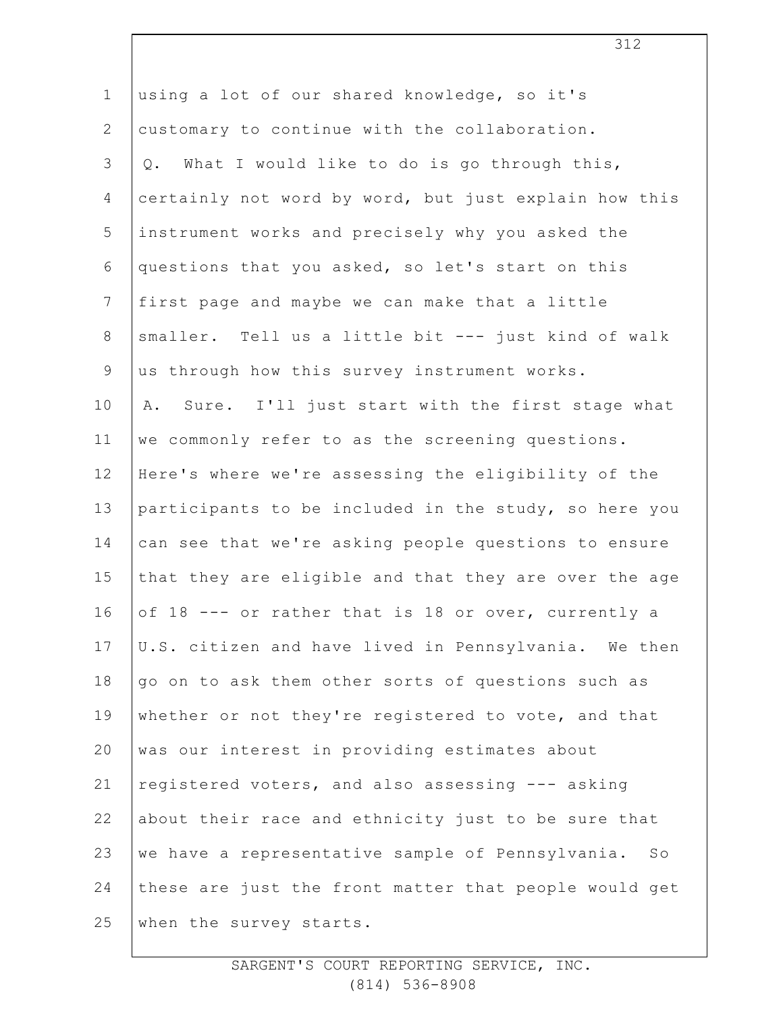| $\mathbf 1$     | using a lot of our shared knowledge, so it's                       |
|-----------------|--------------------------------------------------------------------|
| $\mathbf{2}$    | customary to continue with the collaboration.                      |
| 3               | Q. What I would like to do is go through this,                     |
| 4               | certainly not word by word, but just explain how this              |
| 5               | instrument works and precisely why you asked the                   |
| 6               | questions that you asked, so let's start on this                   |
| $7\phantom{.0}$ | first page and maybe we can make that a little                     |
| 8               | smaller. Tell us a little bit --- just kind of walk                |
| $\mathsf 9$     | us through how this survey instrument works.                       |
| 10              | Sure. I'll just start with the first stage what<br>Α.              |
| 11              | we commonly refer to as the screening questions.                   |
| 12              | Here's where we're assessing the eligibility of the                |
| 13              | participants to be included in the study, so here you              |
| 14              | can see that we're asking people questions to ensure               |
| 15              | that they are eligible and that they are over the age              |
| 16              | of 18 --- or rather that is 18 or over, currently a                |
| 17              | U.S. citizen and have lived in Pennsylvania. We then               |
| 18              | go on to ask them other sorts of questions such as                 |
| 19              | whether or not they're registered to vote, and that                |
| 20              | was our interest in providing estimates about                      |
| 21              | registered voters, and also assessing --- asking                   |
| 22              | about their race and ethnicity just to be sure that                |
| 23              | we have a representative sample of Pennsylvania.<br>$S_{\bigcirc}$ |
| 24              | these are just the front matter that people would get              |
| 25              | when the survey starts.                                            |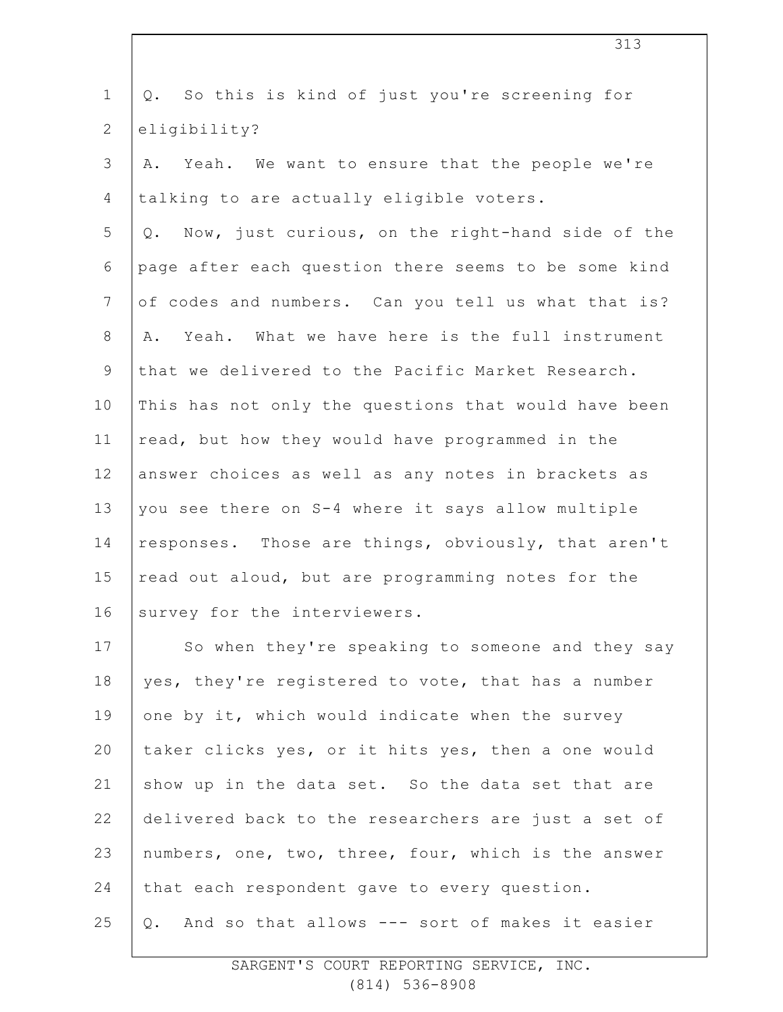| $\mathbf 1$    | So this is kind of just you're screening for<br>Q.   |
|----------------|------------------------------------------------------|
| $\mathbf{2}$   | eligibility?                                         |
| 3              | A. Yeah. We want to ensure that the people we're     |
| 4              | talking to are actually eligible voters.             |
| 5              | Q. Now, just curious, on the right-hand side of the  |
| 6              | page after each question there seems to be some kind |
| $7\phantom{.}$ | of codes and numbers. Can you tell us what that is?  |
| 8              | Yeah. What we have here is the full instrument<br>Α. |
| $\mathsf 9$    | that we delivered to the Pacific Market Research.    |
| 10             | This has not only the questions that would have been |
| 11             | read, but how they would have programmed in the      |
| 12             | answer choices as well as any notes in brackets as   |
| 13             | you see there on S-4 where it says allow multiple    |
| 14             | responses. Those are things, obviously, that aren't  |
| 15             | read out aloud, but are programming notes for the    |
| 16             | survey for the interviewers.                         |
| 17             | So when they're speaking to someone and they say     |
| $18\,$         | yes, they're registered to vote, that has a number   |
| 19             | one by it, which would indicate when the survey      |
| 20             | taker clicks yes, or it hits yes, then a one would   |
| 21             | show up in the data set. So the data set that are    |
| 22             | delivered back to the researchers are just a set of  |
| 23             | numbers, one, two, three, four, which is the answer  |
| 24             | that each respondent gave to every question.         |
| 25             | And so that allows --- sort of makes it easier<br>Q. |
|                |                                                      |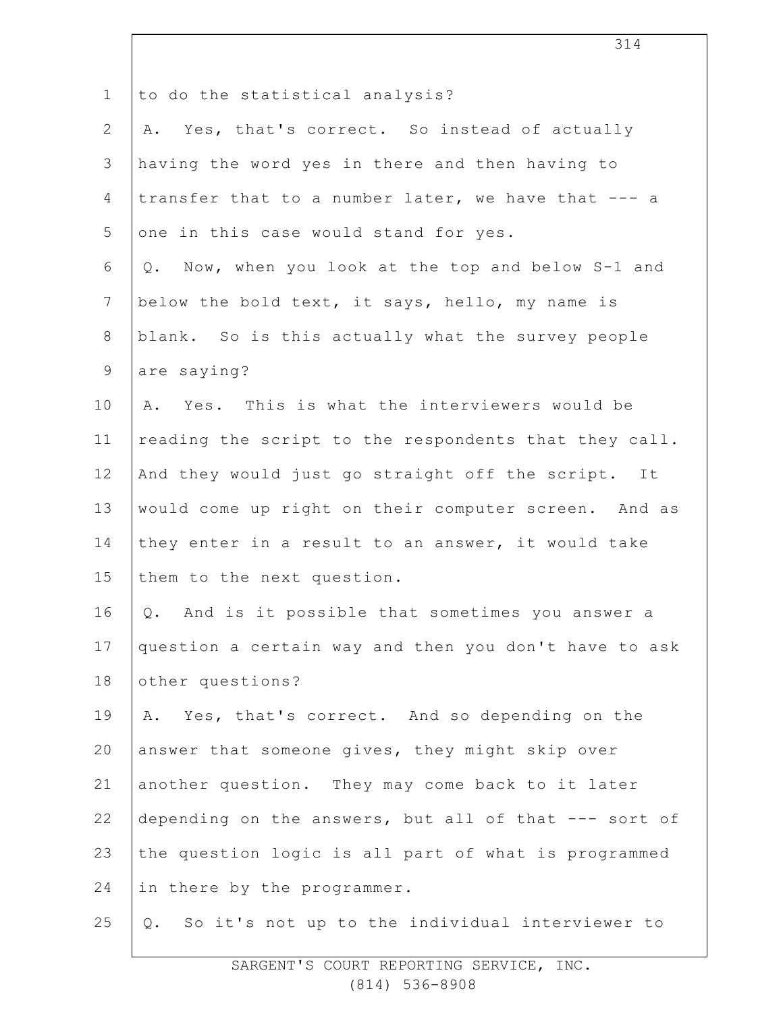| $\mathbf{1}$   | to do the statistical analysis?                       |
|----------------|-------------------------------------------------------|
| $\overline{2}$ | A. Yes, that's correct. So instead of actually        |
| 3              | having the word yes in there and then having to       |
| 4              | transfer that to a number later, we have that --- a   |
| 5              | one in this case would stand for yes.                 |
| 6              | Now, when you look at the top and below S-1 and<br>Q. |
| $7\phantom{.}$ | below the bold text, it says, hello, my name is       |
| 8              | blank. So is this actually what the survey people     |
| 9              | are saying?                                           |
| 10             | Yes. This is what the interviewers would be<br>Α.     |
| 11             | reading the script to the respondents that they call. |
| 12             | And they would just go straight off the script. It    |
| 13             | would come up right on their computer screen. And as  |
| 14             | they enter in a result to an answer, it would take    |
| 15             | them to the next question.                            |
| 16             | And is it possible that sometimes you answer a<br>Q.  |
| 17             | question a certain way and then you don't have to ask |
| 18             | other questions?                                      |
| 19             | A. Yes, that's correct. And so depending on the       |
| 20             | answer that someone gives, they might skip over       |
| 21             | another question. They may come back to it later      |
| 22             | depending on the answers, but all of that --- sort of |
| 23             | the question logic is all part of what is programmed  |
| 24             | in there by the programmer.                           |
| 25             | So it's not up to the individual interviewer to<br>Q. |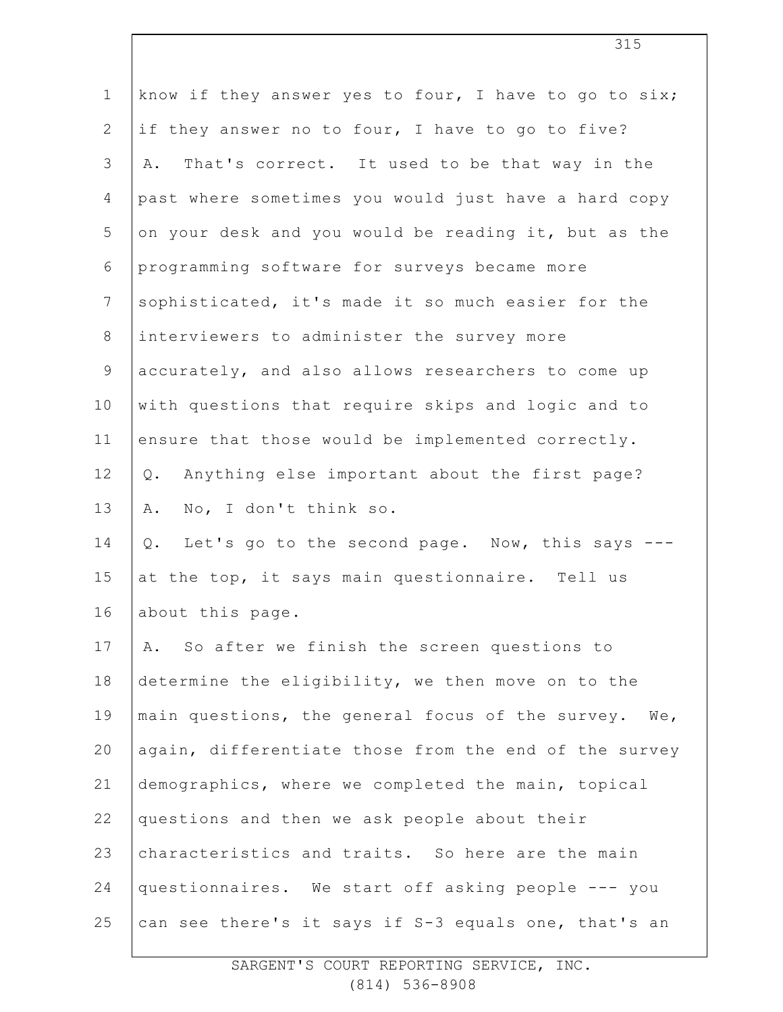| $\mathbf 1$    | know if they answer yes to four, I have to go to six;    |
|----------------|----------------------------------------------------------|
| 2              | if they answer no to four, I have to go to five?         |
| 3              | That's correct. It used to be that way in the<br>Α.      |
| 4              | past where sometimes you would just have a hard copy     |
| 5              | on your desk and you would be reading it, but as the     |
| 6              | programming software for surveys became more             |
| $7\phantom{.}$ | sophisticated, it's made it so much easier for the       |
| 8              | interviewers to administer the survey more               |
| 9              | accurately, and also allows researchers to come up       |
| 10             | with questions that require skips and logic and to       |
| 11             | ensure that those would be implemented correctly.        |
| 12             | Anything else important about the first page?<br>$Q$ .   |
| 13             | No, I don't think so.<br>Α.                              |
| 14             | Let's go to the second page. Now, this says ---<br>$Q$ . |
| 15             | at the top, it says main questionnaire. Tell us          |
| 16             | about this page.                                         |
| 17             | So after we finish the screen questions to<br>Α.         |
| 18             | determine the eligibility, we then move on to the        |
| 19             | main questions, the general focus of the survey. We,     |
| 20             | again, differentiate those from the end of the survey    |
| 21             | demographics, where we completed the main, topical       |
| 22             | questions and then we ask people about their             |
| 23             | characteristics and traits. So here are the main         |
| 24             | questionnaires. We start off asking people --- you       |
| 25             | can see there's it says if S-3 equals one, that's an     |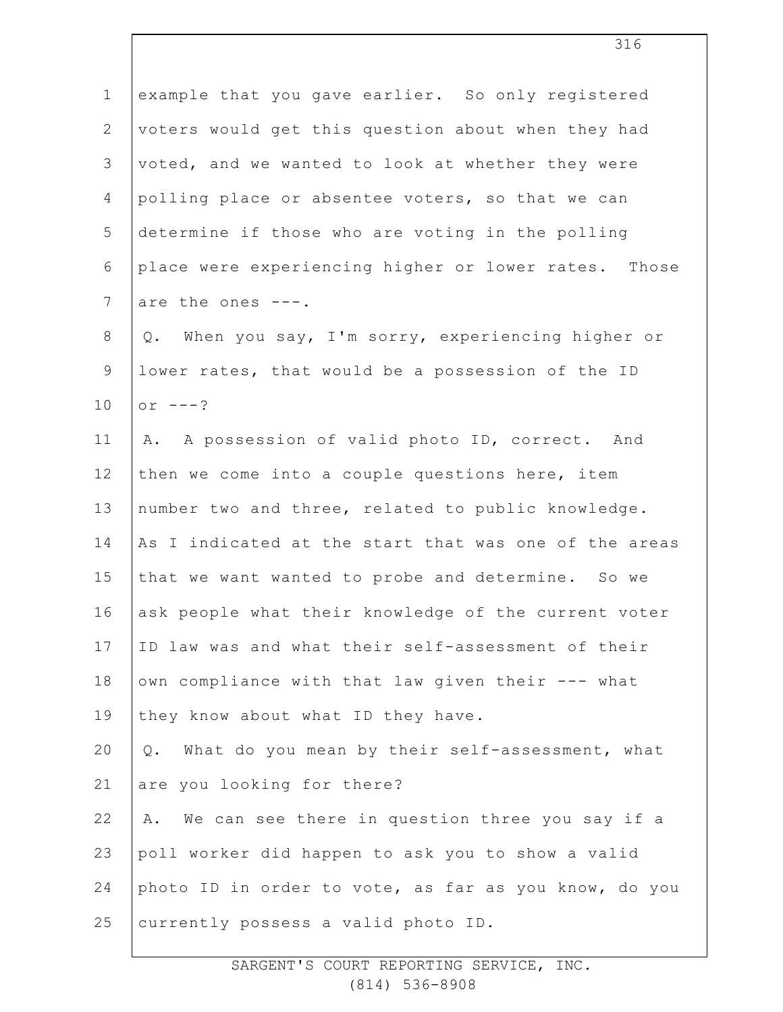| $\mathbf 1$    | example that you gave earlier. So only registered        |
|----------------|----------------------------------------------------------|
| $\mathbf{2}$   | voters would get this question about when they had       |
| 3              | voted, and we wanted to look at whether they were        |
| 4              | polling place or absentee voters, so that we can         |
| 5              | determine if those who are voting in the polling         |
| 6              | place were experiencing higher or lower rates. Those     |
| $7\phantom{.}$ | are the ones ---.                                        |
| $8\,$          | When you say, I'm sorry, experiencing higher or<br>Q.    |
| $\mathsf 9$    | lower rates, that would be a possession of the ID        |
| 10             | or $---?$                                                |
| 11             | A. A possession of valid photo ID, correct. And          |
| 12             | then we come into a couple questions here, item          |
| 13             | number two and three, related to public knowledge.       |
| 14             | As I indicated at the start that was one of the areas    |
| 15             | that we want wanted to probe and determine. So we        |
| 16             | ask people what their knowledge of the current voter     |
| 17             | ID law was and what their self-assessment of their       |
| 18             | own compliance with that law given their --- what        |
| 19             | they know about what ID they have.                       |
| 20             | What do you mean by their self-assessment, what<br>$Q$ . |
| 21             | are you looking for there?                               |
| 22             | We can see there in question three you say if a<br>Α.    |
| 23             | poll worker did happen to ask you to show a valid        |
| 24             | photo ID in order to vote, as far as you know, do you    |
| 25             | currently possess a valid photo ID.                      |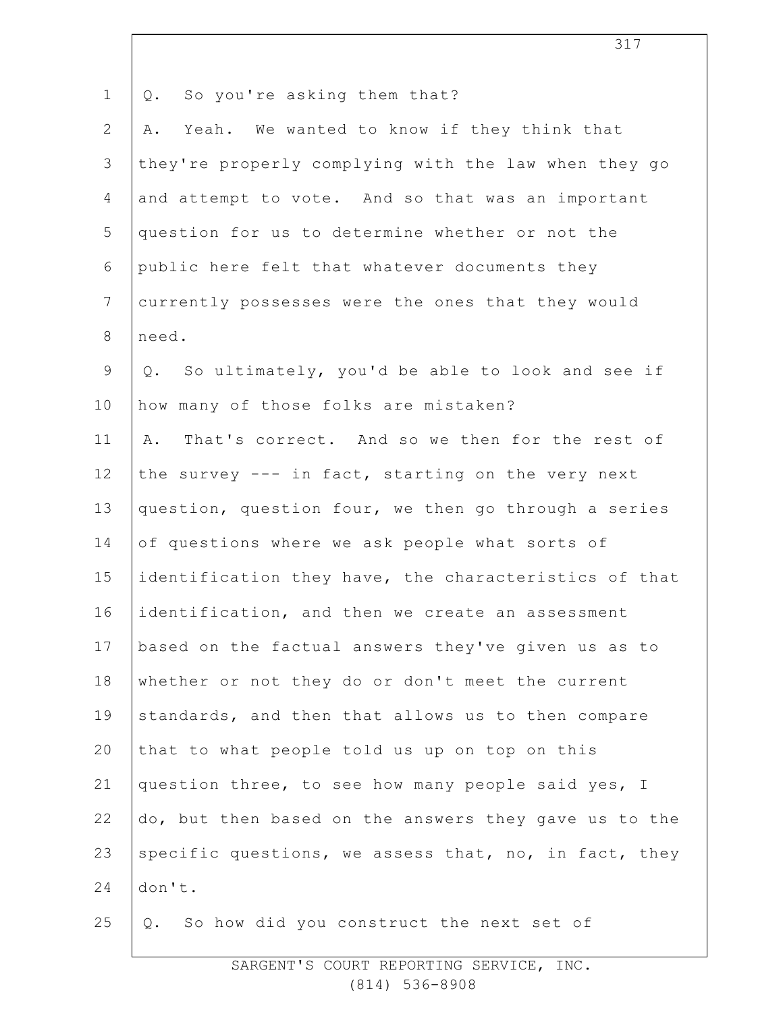| $\mathbf 1$    | So you're asking them that?<br>Q.                     |
|----------------|-------------------------------------------------------|
| $\mathbf{2}$   | Yeah. We wanted to know if they think that<br>Α.      |
| 3              | they're properly complying with the law when they go  |
| 4              | and attempt to vote. And so that was an important     |
| 5              | question for us to determine whether or not the       |
| 6              | public here felt that whatever documents they         |
| $7\phantom{.}$ | currently possesses were the ones that they would     |
| $8\,$          | need.                                                 |
| 9              | So ultimately, you'd be able to look and see if<br>Q. |
| 10             | how many of those folks are mistaken?                 |
| 11             | That's correct. And so we then for the rest of<br>Α.  |
| 12             | the survey --- in fact, starting on the very next     |
| 13             | question, question four, we then go through a series  |
| 14             | of questions where we ask people what sorts of        |
| 15             | identification they have, the characteristics of that |
| 16             | identification, and then we create an assessment      |
| 17             | based on the factual answers they've given us as to   |
| 18             | whether or not they do or don't meet the current      |
| 19             | standards, and then that allows us to then compare    |
| 20             | that to what people told us up on top on this         |
| 21             | question three, to see how many people said yes, I    |
| 22             | do, but then based on the answers they gave us to the |
| 23             | specific questions, we assess that, no, in fact, they |
| 24             | don't.                                                |
| 25             | So how did you construct the next set of<br>Q.        |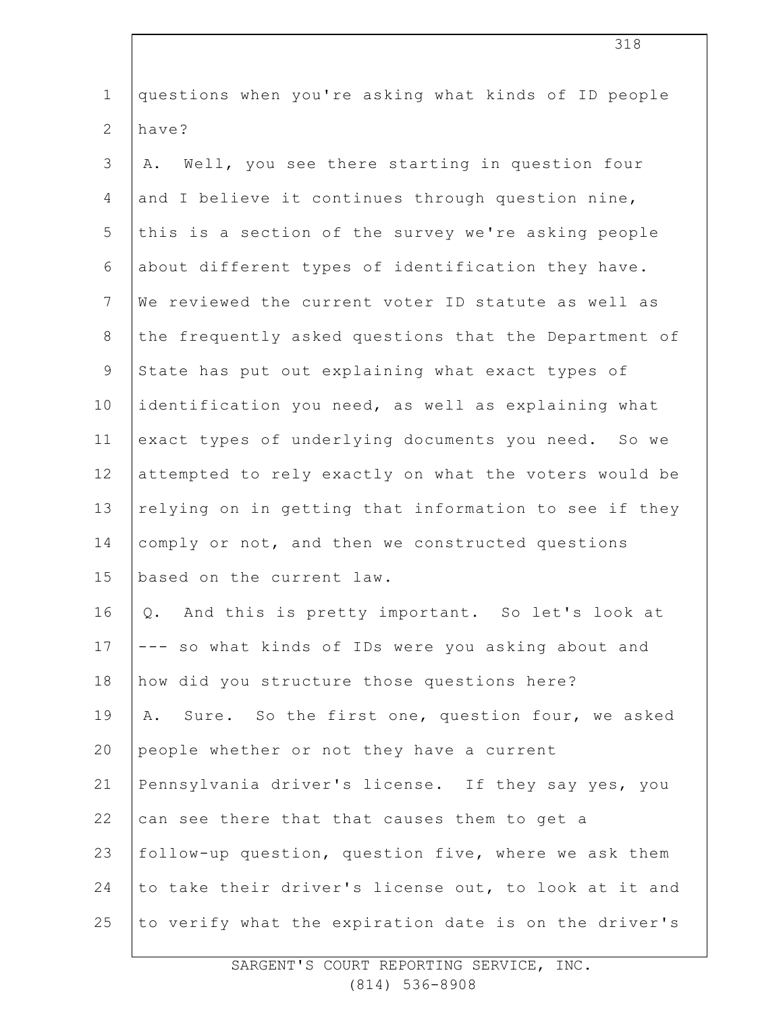| $\mathbf 1$    | questions when you're asking what kinds of ID people  |
|----------------|-------------------------------------------------------|
| $\mathbf{2}$   | have?                                                 |
| $\mathfrak{Z}$ | Well, you see there starting in question four<br>Α.   |
| 4              | and I believe it continues through question nine,     |
| 5              | this is a section of the survey we're asking people   |
| 6              | about different types of identification they have.    |
| $\overline{7}$ | We reviewed the current voter ID statute as well as   |
| $8\,$          | the frequently asked questions that the Department of |
| $\mathsf 9$    | State has put out explaining what exact types of      |
| 10             | identification you need, as well as explaining what   |
| 11             | exact types of underlying documents you need. So we   |
| 12             | attempted to rely exactly on what the voters would be |
| 13             | relying on in getting that information to see if they |
| 14             | comply or not, and then we constructed questions      |
| 15             | based on the current law.                             |
| 16             | And this is pretty important. So let's look at<br>Q.  |
| 17             | --- so what kinds of IDs were you asking about and    |
| 18             | how did you structure those questions here?           |
| 19             | Sure. So the first one, question four, we asked<br>Α. |
| 20             | people whether or not they have a current             |
| 21             | Pennsylvania driver's license. If they say yes, you   |
| 22             | can see there that that causes them to get a          |
| 23             | follow-up question, question five, where we ask them  |
| 24             | to take their driver's license out, to look at it and |
| 25             | to verify what the expiration date is on the driver's |
|                |                                                       |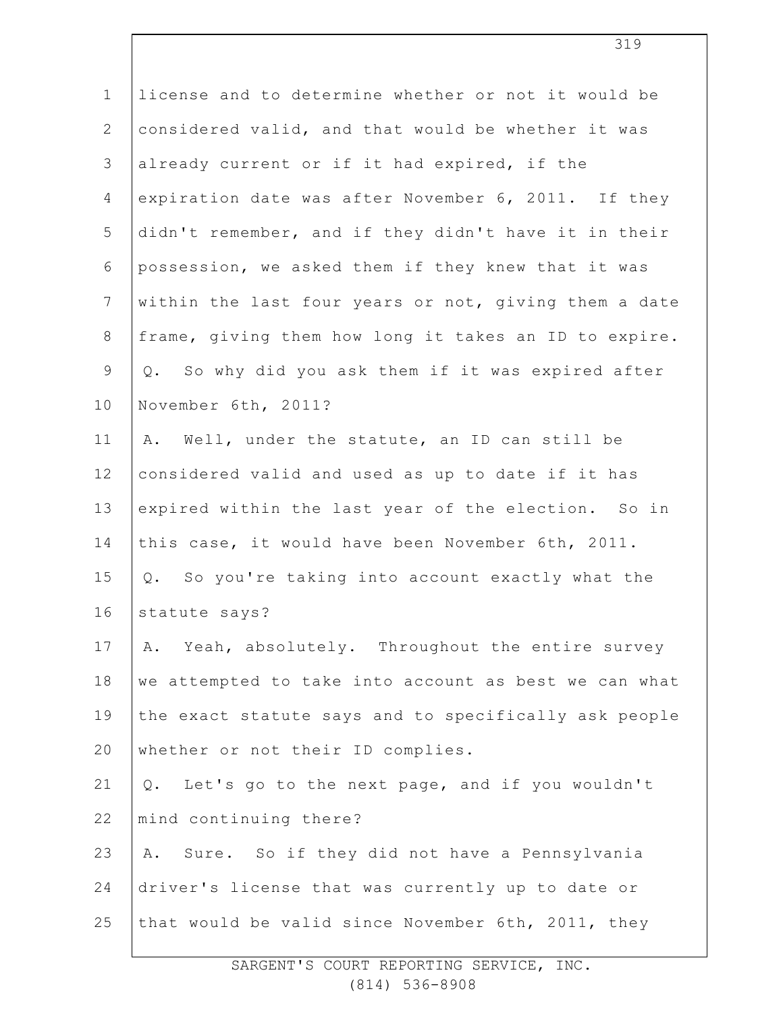| $\mathbf 1$     | license and to determine whether or not it would be   |
|-----------------|-------------------------------------------------------|
| 2               | considered valid, and that would be whether it was    |
| 3               | already current or if it had expired, if the          |
| 4               | expiration date was after November 6, 2011. If they   |
| 5               | didn't remember, and if they didn't have it in their  |
| 6               | possession, we asked them if they knew that it was    |
| $7\phantom{.0}$ | within the last four years or not, giving them a date |
| $8\,$           | frame, giving them how long it takes an ID to expire. |
| $\mathsf 9$     | Q. So why did you ask them if it was expired after    |
| 10              | November 6th, 2011?                                   |
| 11              | A. Well, under the statute, an ID can still be        |
| 12              | considered valid and used as up to date if it has     |
| 13              | expired within the last year of the election. So in   |
| 14              | this case, it would have been November 6th, 2011.     |
| 15              | Q. So you're taking into account exactly what the     |
| 16              | statute says?                                         |
| 17              | A. Yeah, absolutely. Throughout the entire survey     |
| 18              | we attempted to take into account as best we can what |
| 19              | the exact statute says and to specifically ask people |
| 20              | whether or not their ID complies.                     |
| 21              | Let's go to the next page, and if you wouldn't<br>Q.  |
| 22              | mind continuing there?                                |
| 23              | Sure. So if they did not have a Pennsylvania<br>Α.    |
| 24              | driver's license that was currently up to date or     |
| 25              | that would be valid since November 6th, 2011, they    |
|                 |                                                       |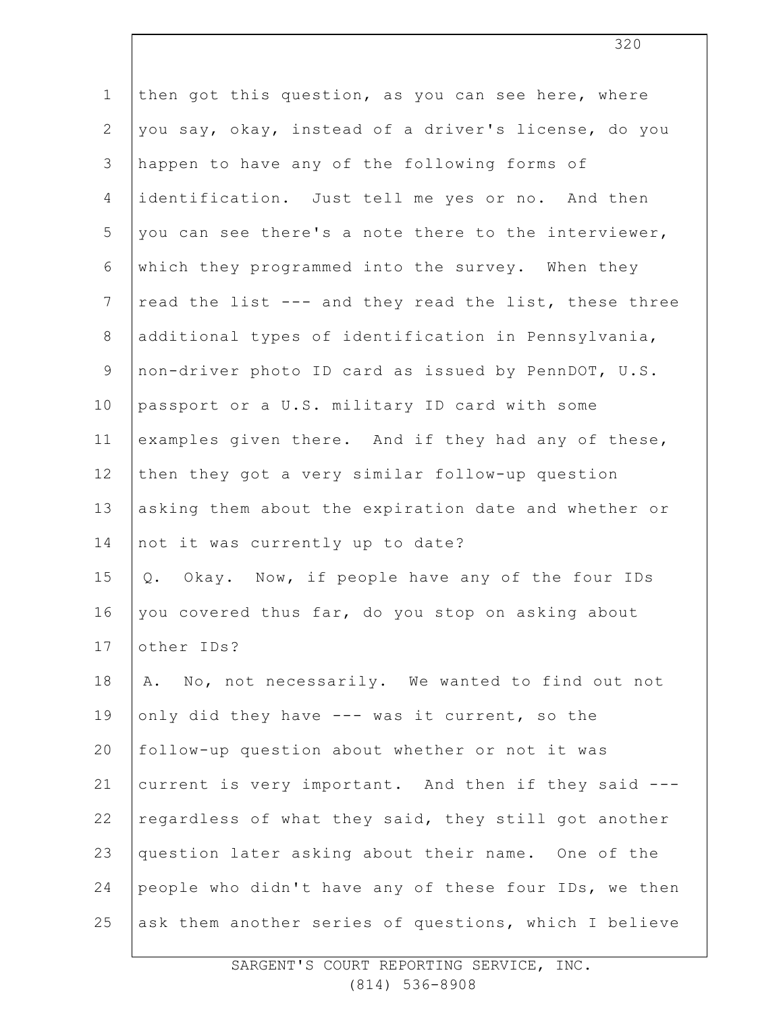| $\mathbf 1$    | then got this question, as you can see here, where    |
|----------------|-------------------------------------------------------|
| $\mathbf{2}$   | you say, okay, instead of a driver's license, do you  |
| 3              | happen to have any of the following forms of          |
| $\overline{4}$ | identification. Just tell me yes or no. And then      |
| 5              | you can see there's a note there to the interviewer,  |
| 6              | which they programmed into the survey. When they      |
| $7\phantom{.}$ | read the list --- and they read the list, these three |
| $8\,$          | additional types of identification in Pennsylvania,   |
| $\mathsf 9$    | non-driver photo ID card as issued by PennDOT, U.S.   |
| 10             | passport or a U.S. military ID card with some         |
| 11             | examples given there. And if they had any of these,   |
| 12             | then they got a very similar follow-up question       |
| 13             | asking them about the expiration date and whether or  |
| 14             | not it was currently up to date?                      |
| 15             | Okay. Now, if people have any of the four IDs<br>Q.   |
| 16             | you covered thus far, do you stop on asking about     |
| 17             | other IDs?                                            |
| 18             | A. No, not necessarily. We wanted to find out not     |
| 19             | only did they have --- was it current, so the         |
| 20             | follow-up question about whether or not it was        |
| 21             | current is very important. And then if they said ---  |
| 22             | regardless of what they said, they still got another  |
| 23             | question later asking about their name. One of the    |
| 24             | people who didn't have any of these four IDs, we then |
| 25             | ask them another series of questions, which I believe |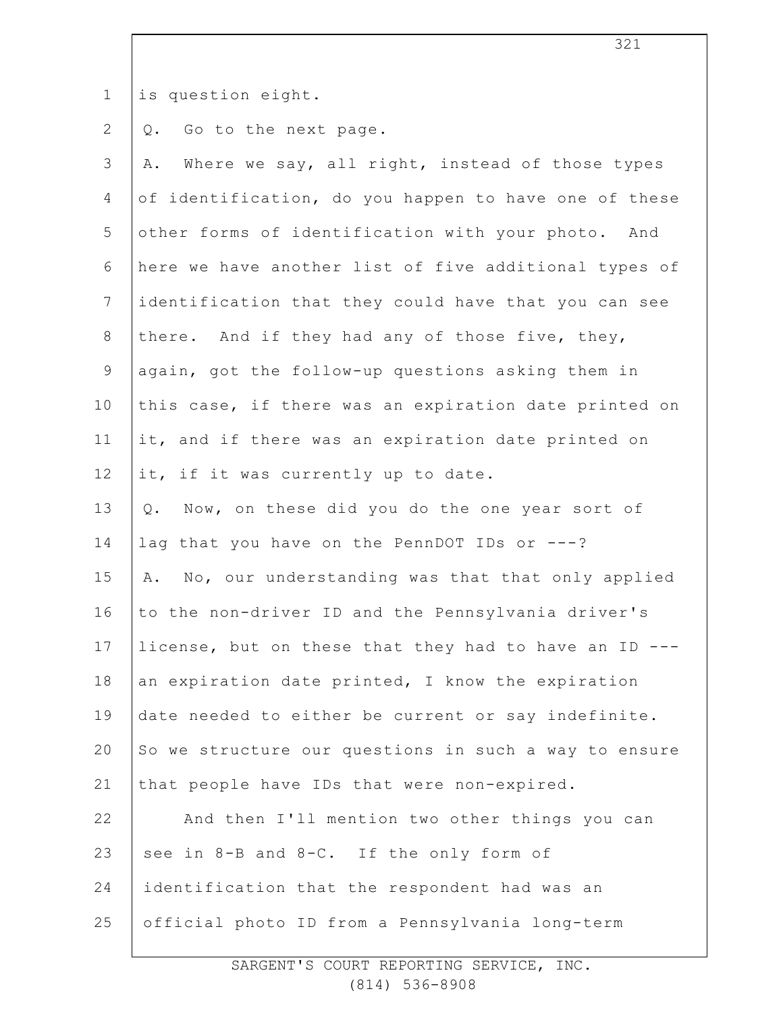1 is question eight.

2 Q. Go to the next page.

| of identification, do you happen to have one of these<br>other forms of identification with your photo. And<br>here we have another list of five additional types of<br>identification that they could have that you can see<br>there. And if they had any of those five, they,<br>again, got the follow-up questions asking them in<br>this case, if there was an expiration date printed on |
|-----------------------------------------------------------------------------------------------------------------------------------------------------------------------------------------------------------------------------------------------------------------------------------------------------------------------------------------------------------------------------------------------|
|                                                                                                                                                                                                                                                                                                                                                                                               |
|                                                                                                                                                                                                                                                                                                                                                                                               |
|                                                                                                                                                                                                                                                                                                                                                                                               |
|                                                                                                                                                                                                                                                                                                                                                                                               |
|                                                                                                                                                                                                                                                                                                                                                                                               |
|                                                                                                                                                                                                                                                                                                                                                                                               |
|                                                                                                                                                                                                                                                                                                                                                                                               |
| it, and if there was an expiration date printed on                                                                                                                                                                                                                                                                                                                                            |
|                                                                                                                                                                                                                                                                                                                                                                                               |
| Now, on these did you do the one year sort of                                                                                                                                                                                                                                                                                                                                                 |
|                                                                                                                                                                                                                                                                                                                                                                                               |
| A. No, our understanding was that that only applied                                                                                                                                                                                                                                                                                                                                           |
| to the non-driver ID and the Pennsylvania driver's                                                                                                                                                                                                                                                                                                                                            |
| license, but on these that they had to have an ID ---                                                                                                                                                                                                                                                                                                                                         |
| an expiration date printed, I know the expiration                                                                                                                                                                                                                                                                                                                                             |
| date needed to either be current or say indefinite.                                                                                                                                                                                                                                                                                                                                           |
| So we structure our questions in such a way to ensure                                                                                                                                                                                                                                                                                                                                         |
|                                                                                                                                                                                                                                                                                                                                                                                               |
| And then I'll mention two other things you can                                                                                                                                                                                                                                                                                                                                                |
|                                                                                                                                                                                                                                                                                                                                                                                               |
|                                                                                                                                                                                                                                                                                                                                                                                               |
|                                                                                                                                                                                                                                                                                                                                                                                               |
|                                                                                                                                                                                                                                                                                                                                                                                               |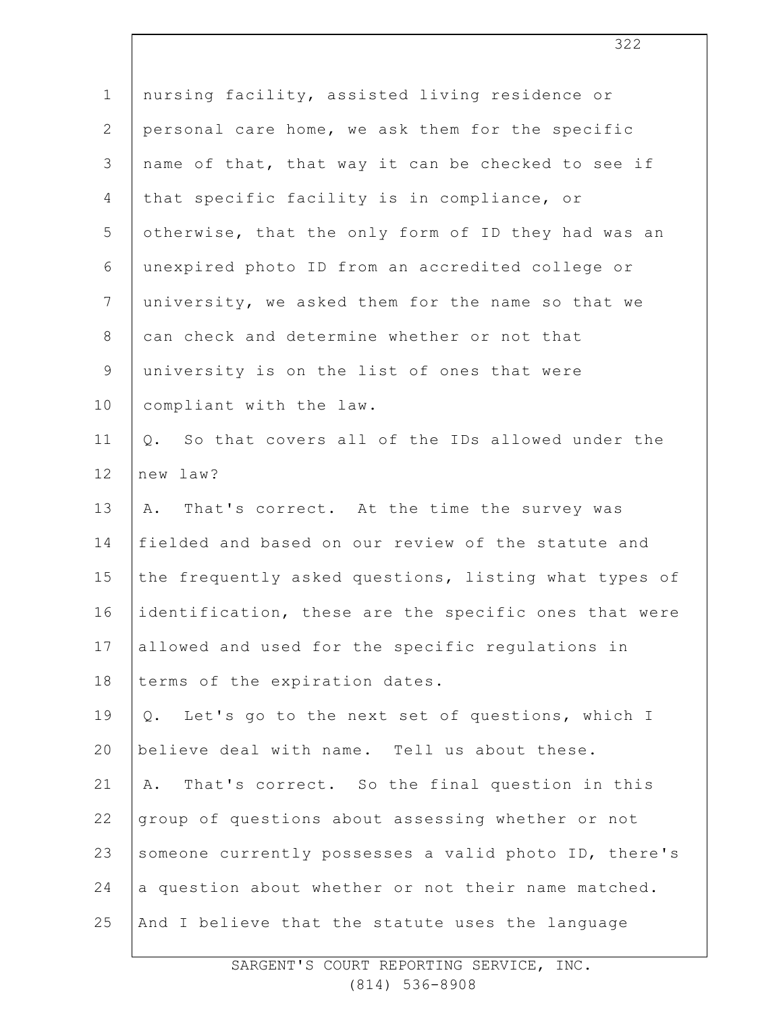| $\mathbf 1$     | nursing facility, assisted living residence or        |
|-----------------|-------------------------------------------------------|
| $\mathbf{2}$    | personal care home, we ask them for the specific      |
| $\mathfrak{Z}$  | name of that, that way it can be checked to see if    |
| 4               | that specific facility is in compliance, or           |
| 5               | otherwise, that the only form of ID they had was an   |
| 6               | unexpired photo ID from an accredited college or      |
| $7\phantom{.0}$ | university, we asked them for the name so that we     |
| 8               | can check and determine whether or not that           |
| $\mathsf 9$     | university is on the list of ones that were           |
| 10              | compliant with the law.                               |
| 11              | So that covers all of the IDs allowed under the<br>Q. |
| 12              | new law?                                              |
| 13              | That's correct. At the time the survey was<br>Α.      |
| 14              | fielded and based on our review of the statute and    |
| 15              | the frequently asked questions, listing what types of |
| 16              | identification, these are the specific ones that were |
| 17              | allowed and used for the specific regulations in      |
| 18              | terms of the expiration dates.                        |
| 19              | Let's go to the next set of questions, which I<br>Q.  |
| 20              | believe deal with name. Tell us about these.          |
| 21              | That's correct. So the final question in this<br>Α.   |
| 22              | group of questions about assessing whether or not     |
| 23              | someone currently possesses a valid photo ID, there's |
| 24              | a question about whether or not their name matched.   |
| 25              | And I believe that the statute uses the language      |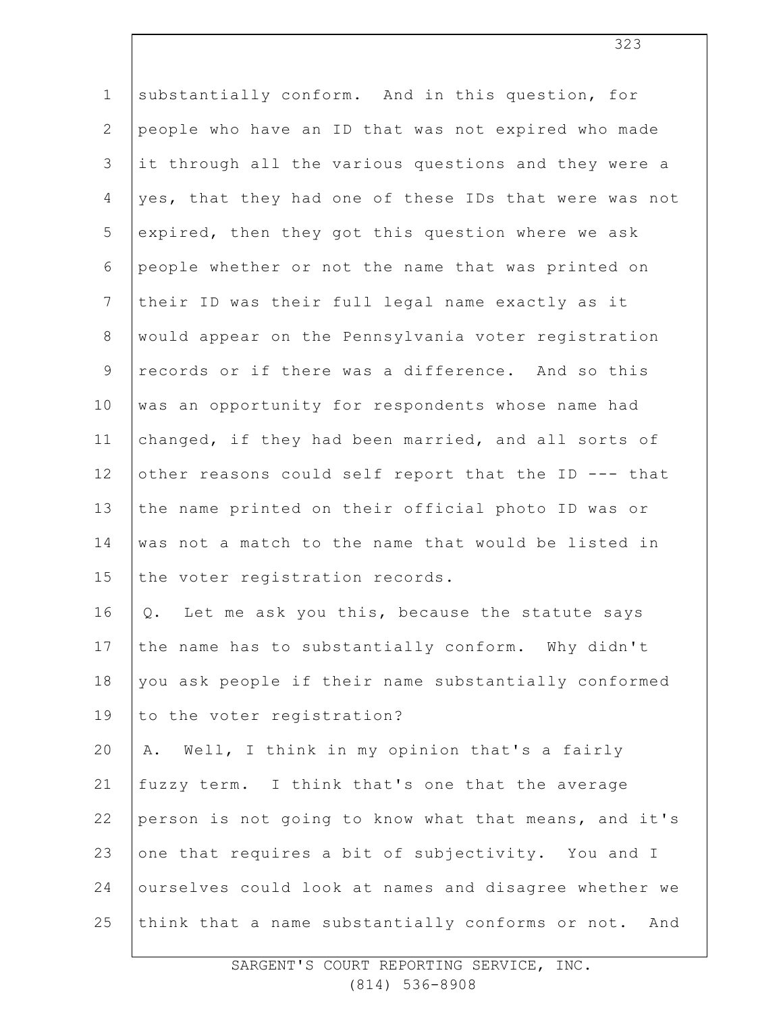| $\mathbf 1$    | substantially conform. And in this question, for      |
|----------------|-------------------------------------------------------|
| $\overline{2}$ | people who have an ID that was not expired who made   |
| 3              | it through all the various questions and they were a  |
| $\overline{4}$ | yes, that they had one of these IDs that were was not |
| 5              | expired, then they got this question where we ask     |
| 6              | people whether or not the name that was printed on    |
| $\overline{7}$ | their ID was their full legal name exactly as it      |
| $8\,$          | would appear on the Pennsylvania voter registration   |
| $\mathsf 9$    | records or if there was a difference. And so this     |
| 10             | was an opportunity for respondents whose name had     |
| 11             | changed, if they had been married, and all sorts of   |
| 12             | other reasons could self report that the ID --- that  |
| 13             | the name printed on their official photo ID was or    |
| 14             | was not a match to the name that would be listed in   |
| 15             | the voter registration records.                       |
| 16             | Let me ask you this, because the statute says<br>Q.   |
| 17             | the name has to substantially conform. Why didn't     |
| 18             | you ask people if their name substantially conformed  |
| 19             | to the voter registration?                            |
| 20             | Well, I think in my opinion that's a fairly<br>Α.     |
| 21             | fuzzy term. I think that's one that the average       |
| 22             | person is not going to know what that means, and it's |
| 23             | one that requires a bit of subjectivity. You and I    |
| 24             | ourselves could look at names and disagree whether we |
| 25             | think that a name substantially conforms or not. And  |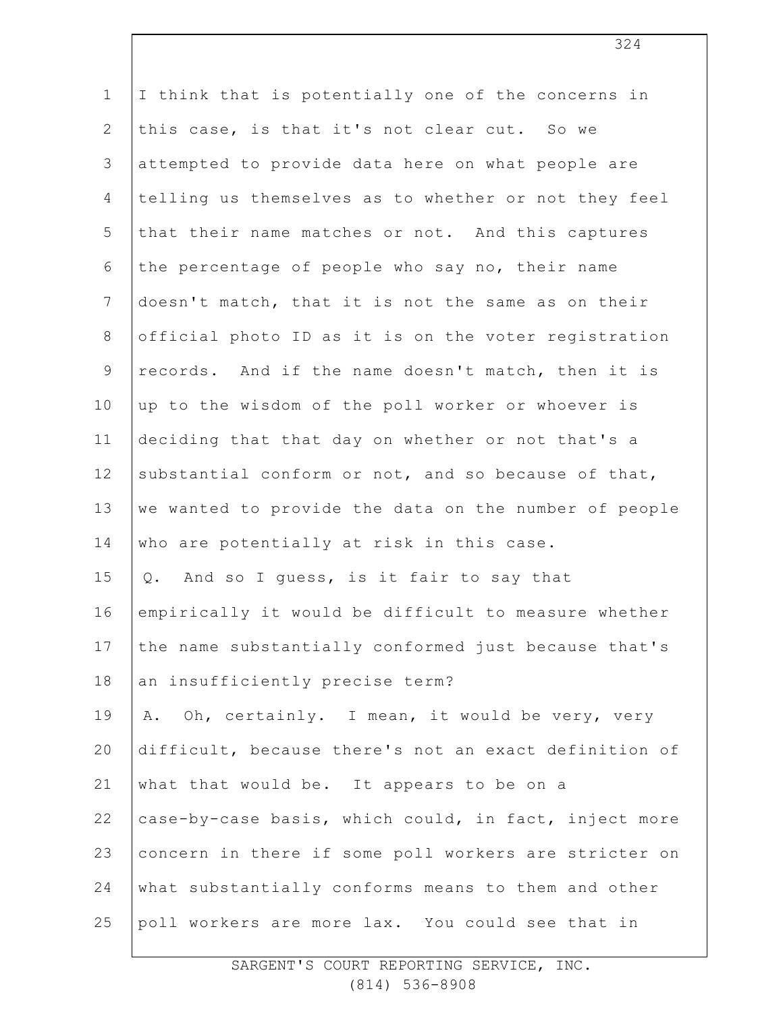| $\mathbf 1$    | I think that is potentially one of the concerns in    |
|----------------|-------------------------------------------------------|
| $\mathbf{2}$   | this case, is that it's not clear cut. So we          |
| $\mathcal{S}$  | attempted to provide data here on what people are     |
| $\overline{4}$ | telling us themselves as to whether or not they feel  |
| 5              | that their name matches or not. And this captures     |
| 6              | the percentage of people who say no, their name       |
| 7              | doesn't match, that it is not the same as on their    |
| $8\,$          | official photo ID as it is on the voter registration  |
| $\mathsf 9$    | records. And if the name doesn't match, then it is    |
| 10             | up to the wisdom of the poll worker or whoever is     |
| 11             | deciding that that day on whether or not that's a     |
| 12             | substantial conform or not, and so because of that,   |
| 13             | we wanted to provide the data on the number of people |
| 14             | who are potentially at risk in this case.             |
| 15             | And so I guess, is it fair to say that<br>Q.          |
| 16             | empirically it would be difficult to measure whether  |
| 17             | the name substantially conformed just because that's  |
| 18             | an insufficiently precise term?                       |
| 19             | A. Oh, certainly. I mean, it would be very, very      |
| 20             | difficult, because there's not an exact definition of |
| 21             | what that would be. It appears to be on a             |
| 22             | case-by-case basis, which could, in fact, inject more |
| 23             | concern in there if some poll workers are stricter on |
| 24             | what substantially conforms means to them and other   |
| 25             | poll workers are more lax. You could see that in      |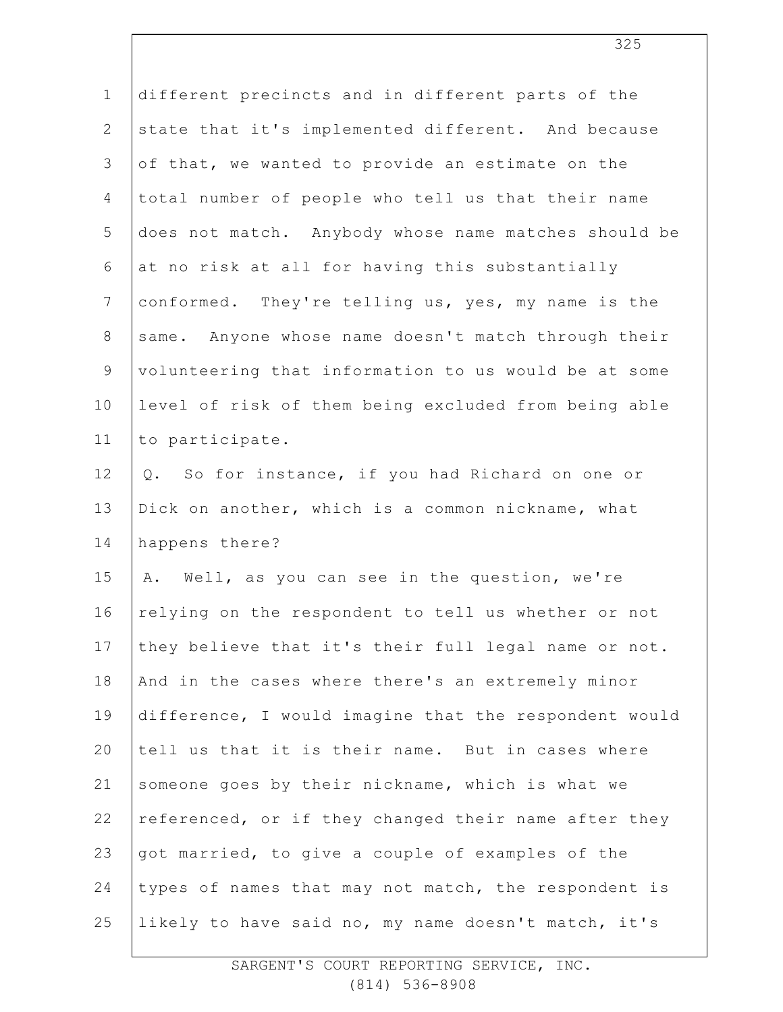| $\mathbf 1$    | different precincts and in different parts of the     |
|----------------|-------------------------------------------------------|
| $\mathbf{2}$   | state that it's implemented different. And because    |
| $\mathfrak{Z}$ | of that, we wanted to provide an estimate on the      |
| 4              | total number of people who tell us that their name    |
| 5              | does not match. Anybody whose name matches should be  |
| 6              | at no risk at all for having this substantially       |
| $\overline{7}$ | conformed. They're telling us, yes, my name is the    |
| $8\,$          | same. Anyone whose name doesn't match through their   |
| 9              | volunteering that information to us would be at some  |
| 10             | level of risk of them being excluded from being able  |
| 11             | to participate.                                       |
| 12             | So for instance, if you had Richard on one or<br>Q.   |
| 13             | Dick on another, which is a common nickname, what     |
| 14             | happens there?                                        |
| 15             | A. Well, as you can see in the question, we're        |
| 16             | relying on the respondent to tell us whether or not   |
| 17             | they believe that it's their full legal name or not.  |
| 18             | And in the cases where there's an extremely minor     |
| 19             | difference, I would imagine that the respondent would |
| 20             | tell us that it is their name. But in cases where     |
| 21             | someone goes by their nickname, which is what we      |
| 22             | referenced, or if they changed their name after they  |
| 23             | got married, to give a couple of examples of the      |
| 24             | types of names that may not match, the respondent is  |
| 25             | likely to have said no, my name doesn't match, it's   |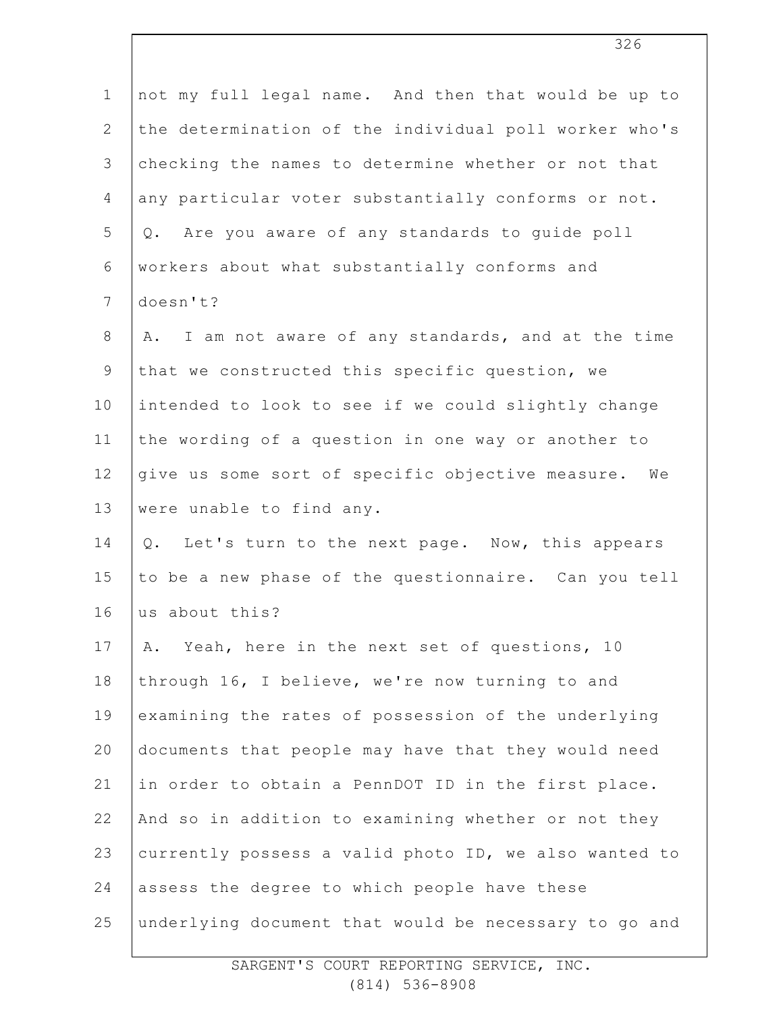| $\mathbf 1$    | not my full legal name. And then that would be up to    |
|----------------|---------------------------------------------------------|
| $\mathbf{2}$   | the determination of the individual poll worker who's   |
| 3              | checking the names to determine whether or not that     |
| 4              | any particular voter substantially conforms or not.     |
| 5              | Are you aware of any standards to guide poll<br>$Q$ .   |
| 6              | workers about what substantially conforms and           |
| $\overline{7}$ | doesn't?                                                |
| $8\,$          | I am not aware of any standards, and at the time<br>Α.  |
| $\mathsf 9$    | that we constructed this specific question, we          |
| 10             | intended to look to see if we could slightly change     |
| 11             | the wording of a question in one way or another to      |
| 12             | give us some sort of specific objective measure. We     |
| 13             | were unable to find any.                                |
| 14             | Let's turn to the next page. Now, this appears<br>$Q$ . |
| 15             | to be a new phase of the questionnaire. Can you tell    |
| 16             | us about this?                                          |
| 17             | Yeah, here in the next set of questions, 10<br>Α.       |
| 18             | through 16, I believe, we're now turning to and         |
| 19             | examining the rates of possession of the underlying     |
| 20             | documents that people may have that they would need     |
| 21             | in order to obtain a PennDOT ID in the first place.     |
| 22             | And so in addition to examining whether or not they     |
| 23             | currently possess a valid photo ID, we also wanted to   |
| 24             | assess the degree to which people have these            |
| 25             | underlying document that would be necessary to go and   |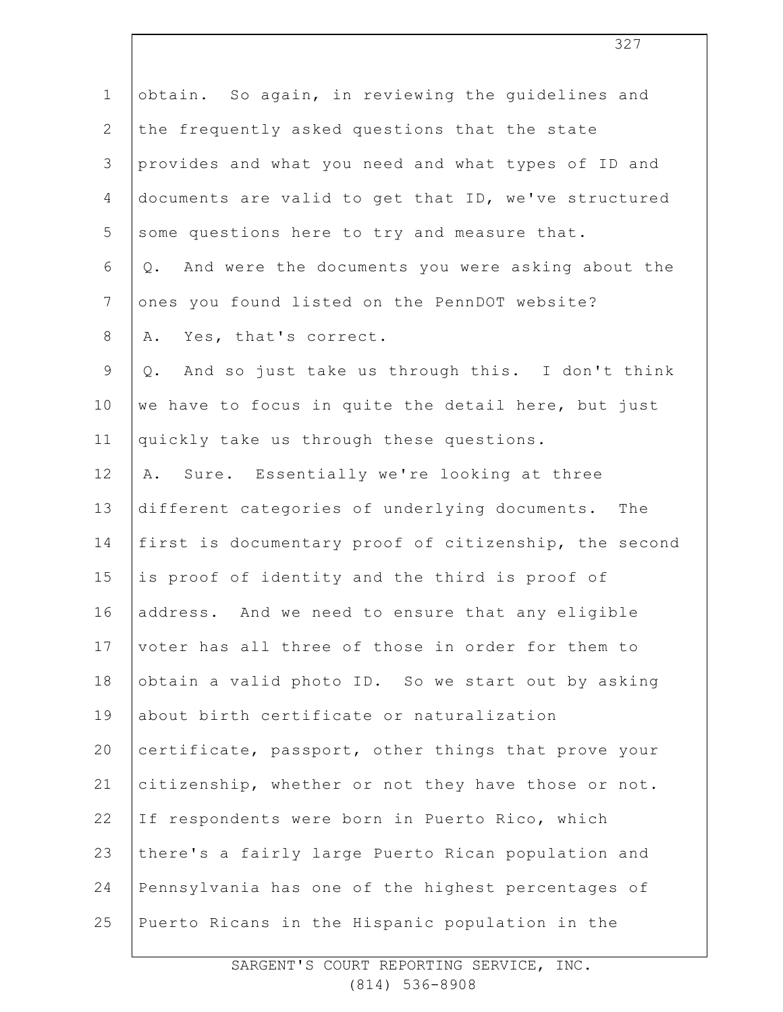| $\mathbf 1$    | obtain. So again, in reviewing the guidelines and         |
|----------------|-----------------------------------------------------------|
| $\mathbf{2}$   | the frequently asked questions that the state             |
| 3              | provides and what you need and what types of ID and       |
| 4              | documents are valid to get that ID, we've structured      |
| 5              | some questions here to try and measure that.              |
| 6              | And were the documents you were asking about the<br>$Q$ . |
| $\overline{7}$ | ones you found listed on the PennDOT website?             |
| $8\,$          | Yes, that's correct.<br>Α.                                |
| $\mathsf 9$    | And so just take us through this. I don't think<br>Q.     |
| 10             | we have to focus in quite the detail here, but just       |
| 11             | quickly take us through these questions.                  |
| 12             | Sure. Essentially we're looking at three<br>Α.            |
| 13             | different categories of underlying documents. The         |
| 14             | first is documentary proof of citizenship, the second     |
| 15             | is proof of identity and the third is proof of            |
| 16             | address. And we need to ensure that any eligible          |
| 17             | voter has all three of those in order for them to         |
| 18             | obtain a valid photo ID. So we start out by asking        |
| 19             | about birth certificate or naturalization                 |
| 20             | certificate, passport, other things that prove your       |
| 21             | citizenship, whether or not they have those or not.       |
| 22             | If respondents were born in Puerto Rico, which            |
| 23             | there's a fairly large Puerto Rican population and        |
| 24             | Pennsylvania has one of the highest percentages of        |
| 25             | Puerto Ricans in the Hispanic population in the           |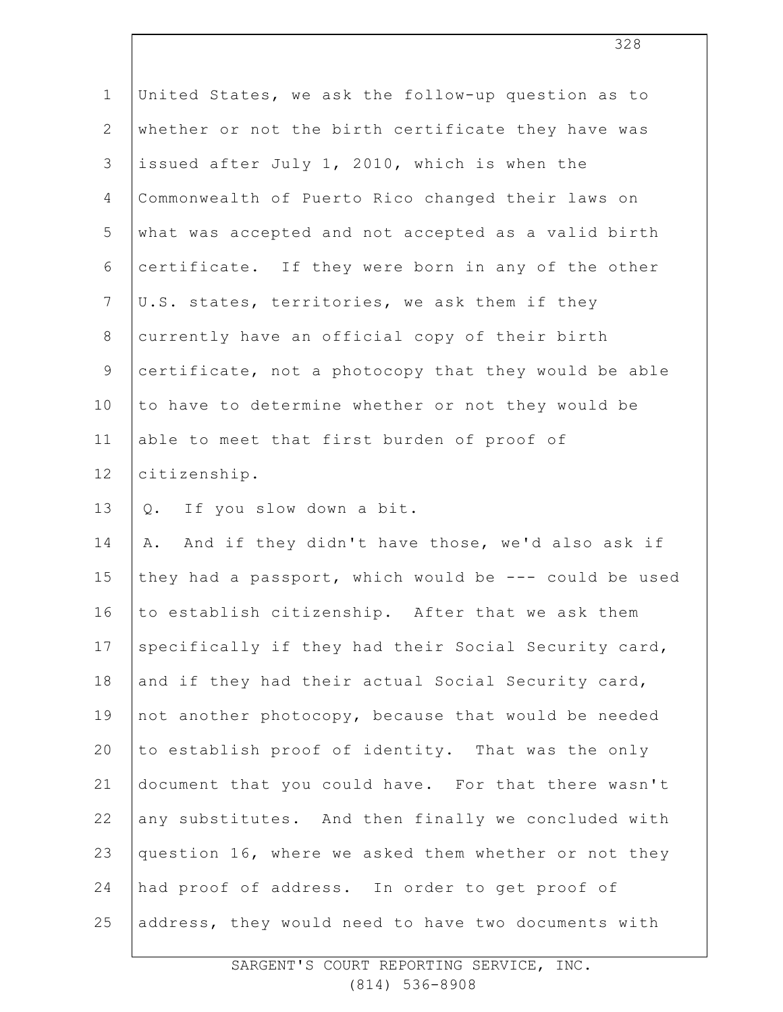| $\mathbf 1$    | United States, we ask the follow-up question as to    |
|----------------|-------------------------------------------------------|
| $\mathbf{2}$   | whether or not the birth certificate they have was    |
| 3              | issued after July 1, 2010, which is when the          |
| $\overline{4}$ | Commonwealth of Puerto Rico changed their laws on     |
| 5              | what was accepted and not accepted as a valid birth   |
| 6              | certificate. If they were born in any of the other    |
| $\overline{7}$ | U.S. states, territories, we ask them if they         |
| $8\,$          | currently have an official copy of their birth        |
| 9              | certificate, not a photocopy that they would be able  |
| 10             | to have to determine whether or not they would be     |
| 11             | able to meet that first burden of proof of            |
| 12             | citizenship.                                          |
| 13             | If you slow down a bit.<br>Q.                         |
| 14             | And if they didn't have those, we'd also ask if<br>Α. |
| 15             | they had a passport, which would be --- could be used |
| 16             | to establish citizenship. After that we ask them      |
| 17             | specifically if they had their Social Security card,  |
| 18             | and if they had their actual Social Security card,    |
| 19             | not another photocopy, because that would be needed   |
| 20             | to establish proof of identity. That was the only     |
| 21             | document that you could have. For that there wasn't   |
| 22             | any substitutes. And then finally we concluded with   |
| 23             | question 16, where we asked them whether or not they  |
| 24             | had proof of address. In order to get proof of        |
| 25             | address, they would need to have two documents with   |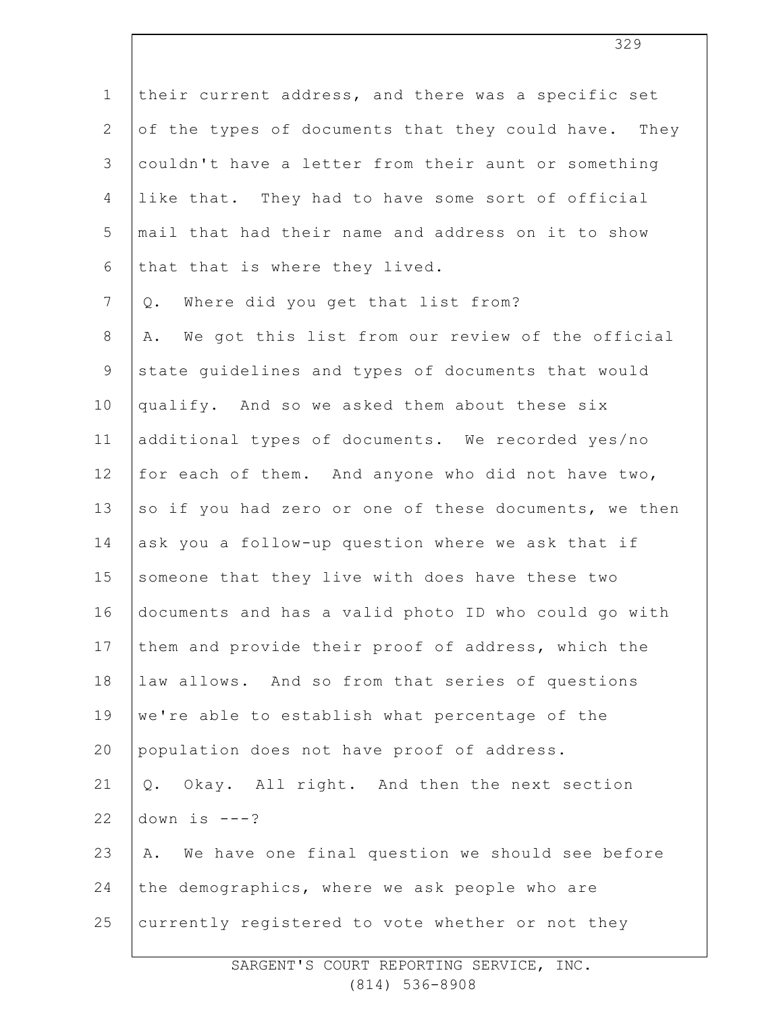1 2 3 4 5 6 7 8 9 10 11 12 13 14 15 16 17 18 19 20 21 22 23 24 25 their current address, and there was a specific set of the types of documents that they could have. They couldn't have a letter from their aunt or something like that. They had to have some sort of official mail that had their name and address on it to show that that is where they lived. Q. Where did you get that list from? A. We got this list from our review of the official state guidelines and types of documents that would qualify. And so we asked them about these six additional types of documents. We recorded yes/no for each of them. And anyone who did not have two, so if you had zero or one of these documents, we then ask you a follow-up question where we ask that if someone that they live with does have these two documents and has a valid photo ID who could go with them and provide their proof of address, which the law allows. And so from that series of questions we're able to establish what percentage of the population does not have proof of address. Q. Okay. All right. And then the next section down is  $---?$ A. We have one final question we should see before the demographics, where we ask people who are currently registered to vote whether or not they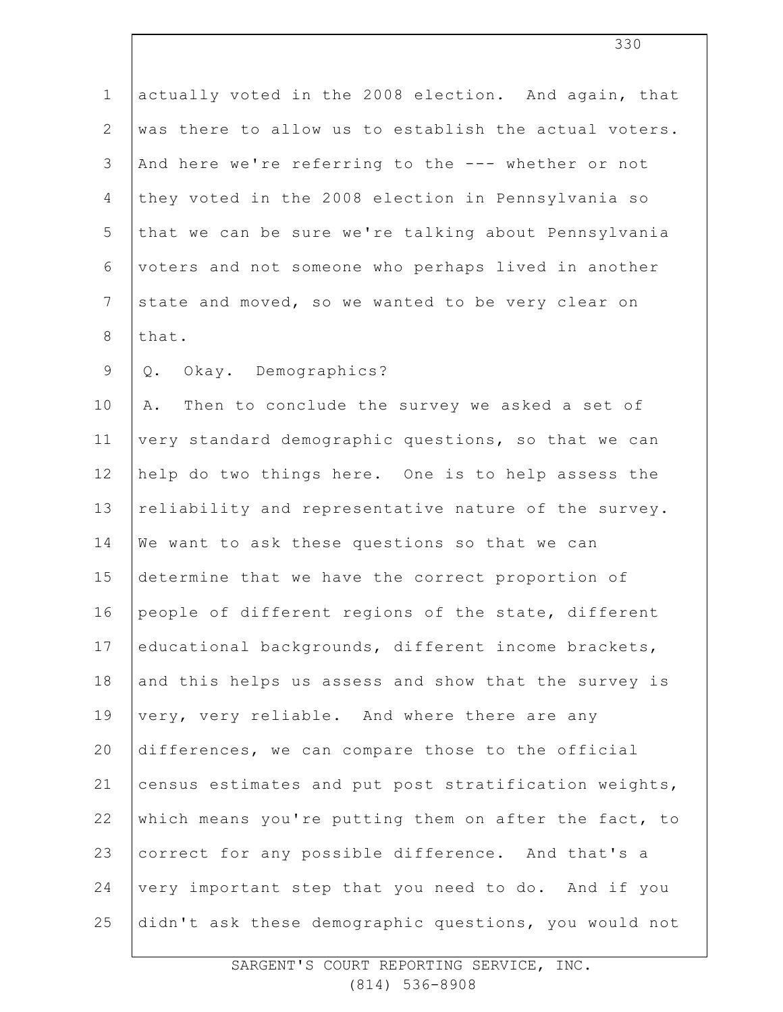| $\mathbf 1$    | actually voted in the 2008 election. And again, that  |
|----------------|-------------------------------------------------------|
| $\overline{2}$ | was there to allow us to establish the actual voters. |
| 3              | And here we're referring to the --- whether or not    |
| 4              | they voted in the 2008 election in Pennsylvania so    |
| 5              | that we can be sure we're talking about Pennsylvania  |
| $\epsilon$     | voters and not someone who perhaps lived in another   |
| $\overline{7}$ | state and moved, so we wanted to be very clear on     |
| $\,8\,$        | that.                                                 |
| $\mathsf 9$    | Okay. Demographics?<br>Q.                             |
| 10             | Then to conclude the survey we asked a set of<br>Α.   |
| 11             | very standard demographic questions, so that we can   |
| 12             | help do two things here. One is to help assess the    |
| 13             | reliability and representative nature of the survey.  |
| 14             | We want to ask these questions so that we can         |
| 15             | determine that we have the correct proportion of      |
| 16             | people of different regions of the state, different   |
| 17             | educational backgrounds, different income brackets,   |
| 18             | and this helps us assess and show that the survey is  |
| 19             | very, very reliable. And where there are any          |
| 20             | differences, we can compare those to the official     |
| 21             | census estimates and put post stratification weights, |
| 22             | which means you're putting them on after the fact, to |
| 23             | correct for any possible difference. And that's a     |
| 24             | very important step that you need to do. And if you   |
| 25             | didn't ask these demographic questions, you would not |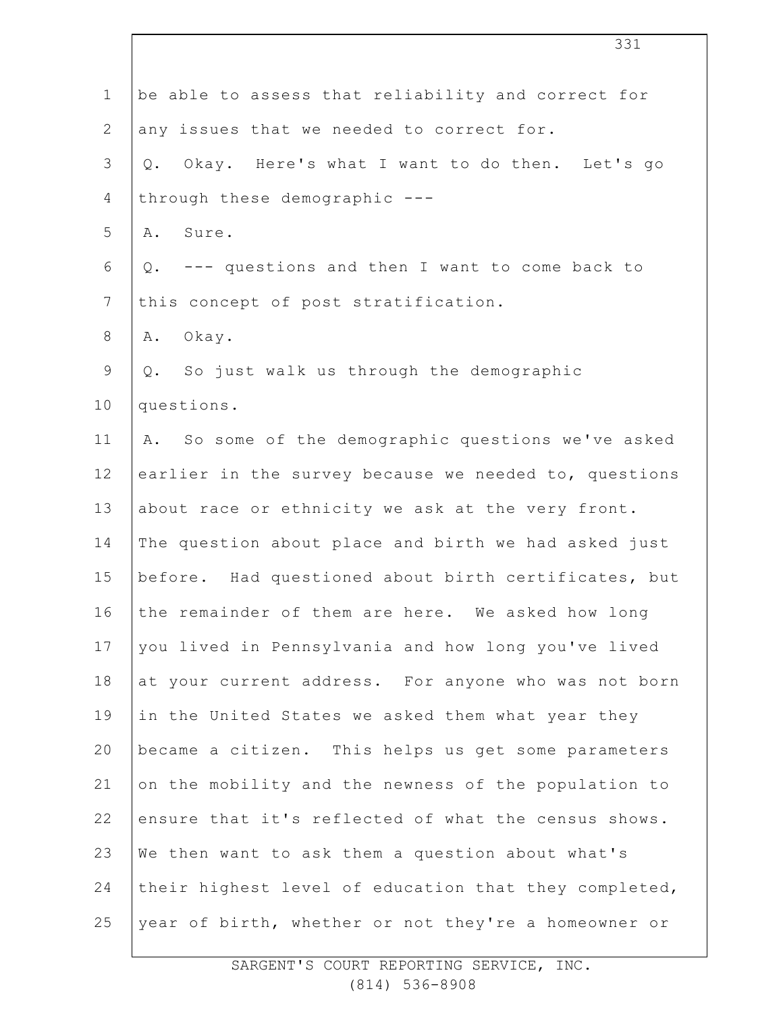| $\mathbf 1$    | be able to assess that reliability and correct for    |
|----------------|-------------------------------------------------------|
| $\mathbf{2}$   | any issues that we needed to correct for.             |
| $\mathcal{S}$  | Okay. Here's what I want to do then. Let's go<br>Q.   |
| $\overline{4}$ | through these demographic ---                         |
| 5              | A. Sure.                                              |
| 6              | Q. --- questions and then I want to come back to      |
| $\overline{7}$ | this concept of post stratification.                  |
| 8              | $O$ kay.<br>Α.                                        |
| $\mathsf 9$    | Q. So just walk us through the demographic            |
| 10             | questions.                                            |
| 11             | A. So some of the demographic questions we've asked   |
| 12             | earlier in the survey because we needed to, questions |
| 13             | about race or ethnicity we ask at the very front.     |
| 14             | The question about place and birth we had asked just  |
| 15             | before. Had questioned about birth certificates, but  |
| 16             | the remainder of them are here. We asked how long     |
| 17             | you lived in Pennsylvania and how long you've lived   |
| 18             | at your current address. For anyone who was not born  |
| 19             | in the United States we asked them what year they     |
| 20             | became a citizen. This helps us get some parameters   |
| 21             | on the mobility and the newness of the population to  |
| 22             | ensure that it's reflected of what the census shows.  |
| 23             | We then want to ask them a question about what's      |
| 24             | their highest level of education that they completed, |
| 25             | year of birth, whether or not they're a homeowner or  |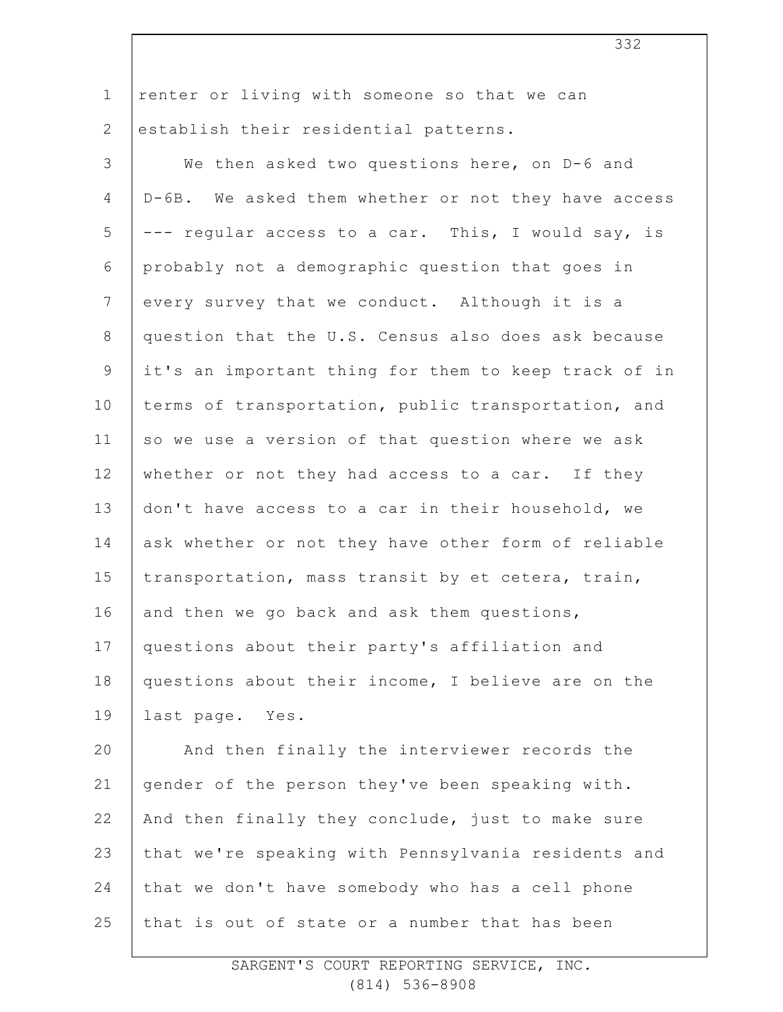| $\mathbf 1$    | renter or living with someone so that we can         |
|----------------|------------------------------------------------------|
| $\mathbf{2}$   | establish their residential patterns.                |
| 3              | We then asked two questions here, on D-6 and         |
| 4              | D-6B. We asked them whether or not they have access  |
| 5              | --- regular access to a car. This, I would say, is   |
| 6              | probably not a demographic question that goes in     |
| $7\phantom{.}$ | every survey that we conduct. Although it is a       |
| $8\,$          | question that the U.S. Census also does ask because  |
| 9              | it's an important thing for them to keep track of in |
| 10             | terms of transportation, public transportation, and  |
| 11             | so we use a version of that question where we ask    |
| 12             | whether or not they had access to a car. If they     |
| 13             | don't have access to a car in their household, we    |
| 14             | ask whether or not they have other form of reliable  |
| 15             | transportation, mass transit by et cetera, train,    |
| 16             | and then we go back and ask them questions,          |
| 17             | questions about their party's affiliation and        |
| 18             | questions about their income, I believe are on the   |
| 19             | last page. Yes.                                      |
| 20             | And then finally the interviewer records the         |
| 21             | gender of the person they've been speaking with.     |
| 22             | And then finally they conclude, just to make sure    |
| 23             | that we're speaking with Pennsylvania residents and  |
| 24             | that we don't have somebody who has a cell phone     |
| 25             | that is out of state or a number that has been       |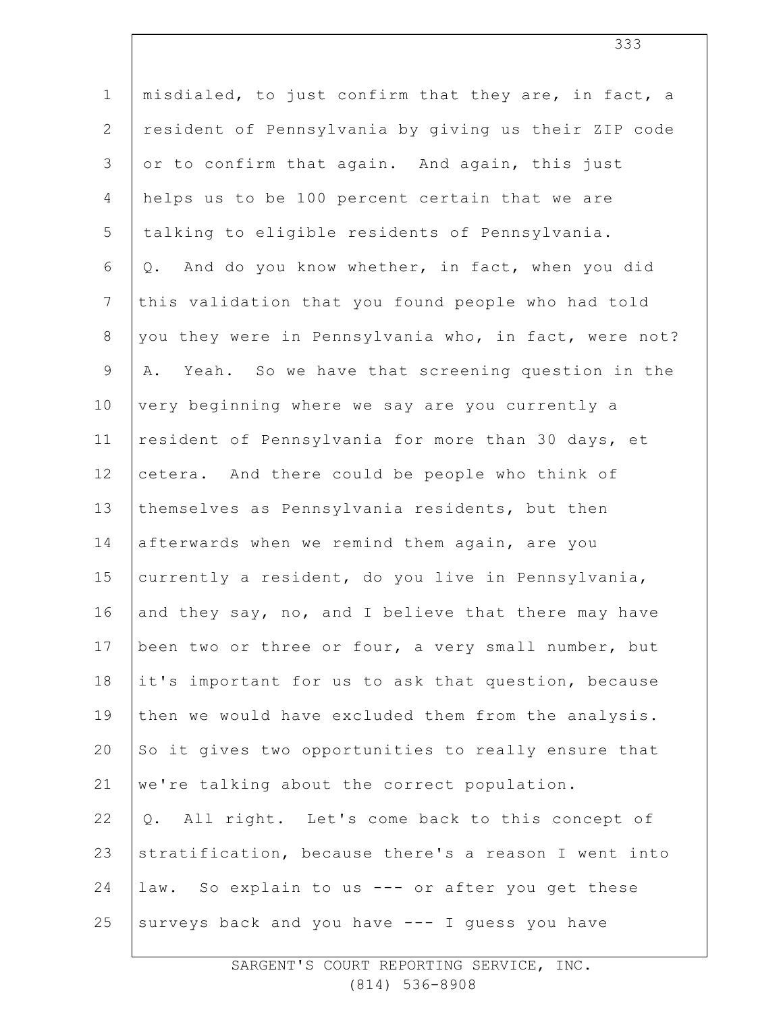| $\mathbf 1$    | misdialed, to just confirm that they are, in fact, a  |
|----------------|-------------------------------------------------------|
| $\mathbf{2}$   | resident of Pennsylvania by giving us their ZIP code  |
| 3              | or to confirm that again. And again, this just        |
| 4              | helps us to be 100 percent certain that we are        |
| 5              | talking to eligible residents of Pennsylvania.        |
| 6              | And do you know whether, in fact, when you did<br>Q.  |
| $7\phantom{.}$ | this validation that you found people who had told    |
| $8\,$          | you they were in Pennsylvania who, in fact, were not? |
| $\mathsf 9$    | Yeah. So we have that screening question in the<br>Α. |
| 10             | very beginning where we say are you currently a       |
| 11             | resident of Pennsylvania for more than 30 days, et    |
| 12             | cetera. And there could be people who think of        |
| 13             | themselves as Pennsylvania residents, but then        |
| 14             | afterwards when we remind them again, are you         |
| 15             | currently a resident, do you live in Pennsylvania,    |
| 16             | and they say, no, and I believe that there may have   |
| 17             | been two or three or four, a very small number, but   |
| 18             | it's important for us to ask that question, because   |
| 19             | then we would have excluded them from the analysis.   |
| 20             | So it gives two opportunities to really ensure that   |
| 21             | we're talking about the correct population.           |
| 22             | All right. Let's come back to this concept of<br>Q.   |
| 23             | stratification, because there's a reason I went into  |
| 24             | law. So explain to us --- or after you get these      |
| 25             | surveys back and you have --- I guess you have        |
|                |                                                       |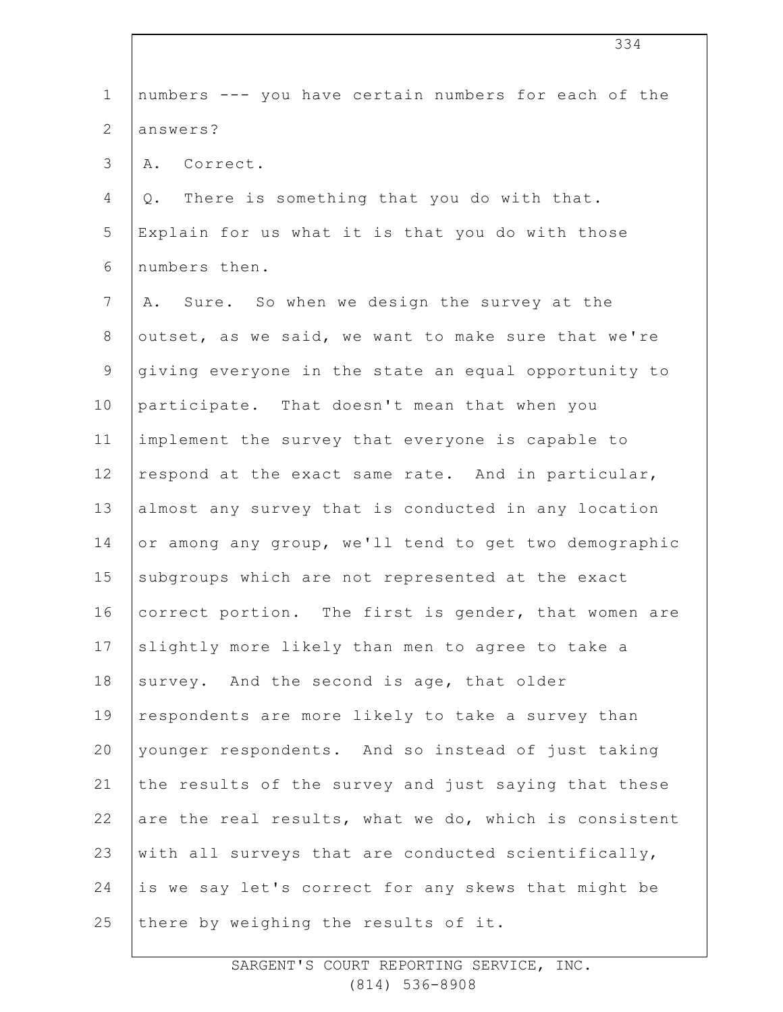| $\mathbf 1$  | numbers --- you have certain numbers for each of the  |
|--------------|-------------------------------------------------------|
| $\mathbf{2}$ | answers?                                              |
| 3            | A. Correct.                                           |
| 4            | There is something that you do with that.<br>Q.       |
| 5            | Explain for us what it is that you do with those      |
| 6            | numbers then.                                         |
| 7            | A. Sure. So when we design the survey at the          |
| $8\,$        | outset, as we said, we want to make sure that we're   |
| 9            | giving everyone in the state an equal opportunity to  |
| 10           | participate. That doesn't mean that when you          |
| 11           | implement the survey that everyone is capable to      |
| 12           | respond at the exact same rate. And in particular,    |
| 13           | almost any survey that is conducted in any location   |
| 14           | or among any group, we'll tend to get two demographic |
| 15           | subgroups which are not represented at the exact      |
| 16           | correct portion. The first is gender, that women are  |
| 17           | slightly more likely than men to agree to take a      |
| 18           | survey. And the second is age, that older             |
| 19           | respondents are more likely to take a survey than     |
| 20           | younger respondents. And so instead of just taking    |
| 21           | the results of the survey and just saying that these  |
| 22           | are the real results, what we do, which is consistent |
| 23           | with all surveys that are conducted scientifically,   |
| 24           | is we say let's correct for any skews that might be   |
| 25           | there by weighing the results of it.                  |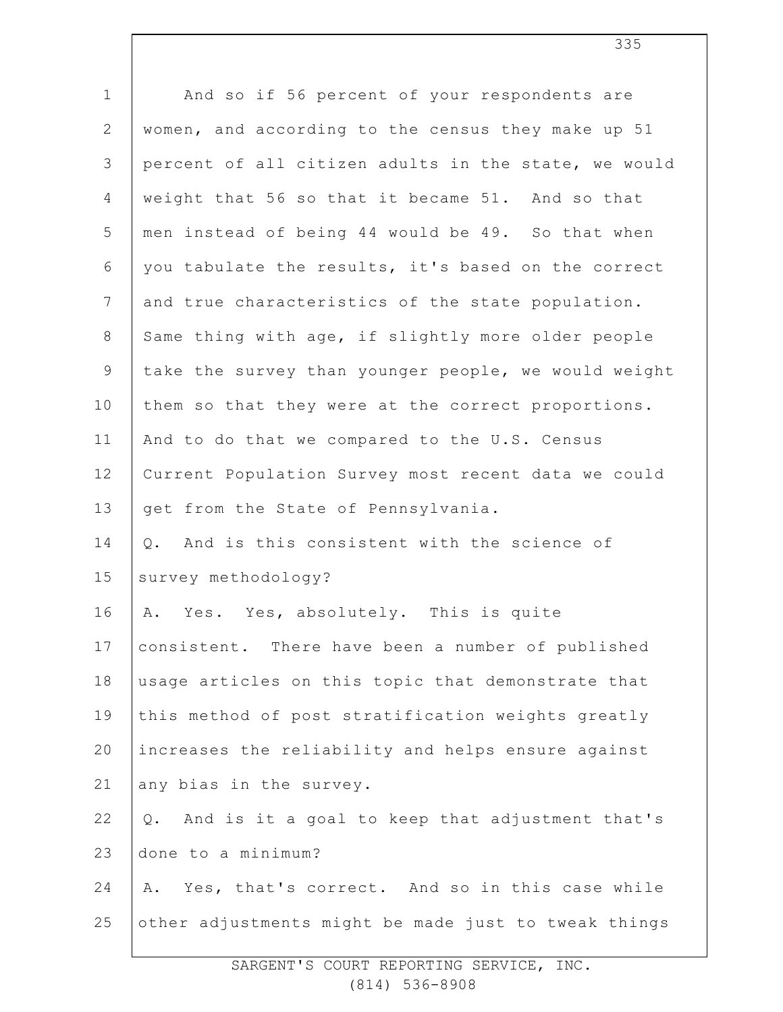| $\mathbf 1$     | And so if 56 percent of your respondents are          |
|-----------------|-------------------------------------------------------|
| $\mathbf{2}$    | women, and according to the census they make up 51    |
| 3               | percent of all citizen adults in the state, we would  |
| $\overline{4}$  | weight that 56 so that it became 51. And so that      |
| 5               | men instead of being 44 would be 49. So that when     |
| 6               | you tabulate the results, it's based on the correct   |
| $7\phantom{.0}$ | and true characteristics of the state population.     |
| $8\,$           | Same thing with age, if slightly more older people    |
| $\mathsf 9$     | take the survey than younger people, we would weight  |
| 10              | them so that they were at the correct proportions.    |
| 11              | And to do that we compared to the U.S. Census         |
| 12              | Current Population Survey most recent data we could   |
| 13              | get from the State of Pennsylvania.                   |
| 14              | And is this consistent with the science of<br>Q.      |
| 15              | survey methodology?                                   |
| 16              | Yes. Yes, absolutely. This is quite<br>Α.             |
| 17              | consistent. There have been a number of published     |
| $18\,$          | usage articles on this topic that demonstrate that    |
| 19              | this method of post stratification weights greatly    |
| 20              | increases the reliability and helps ensure against    |
| 21              | any bias in the survey.                               |
| 22              | And is it a goal to keep that adjustment that's<br>Q. |
| 23              | done to a minimum?                                    |
| 24              | Yes, that's correct. And so in this case while<br>Α.  |
| 25              | other adjustments might be made just to tweak things  |
|                 |                                                       |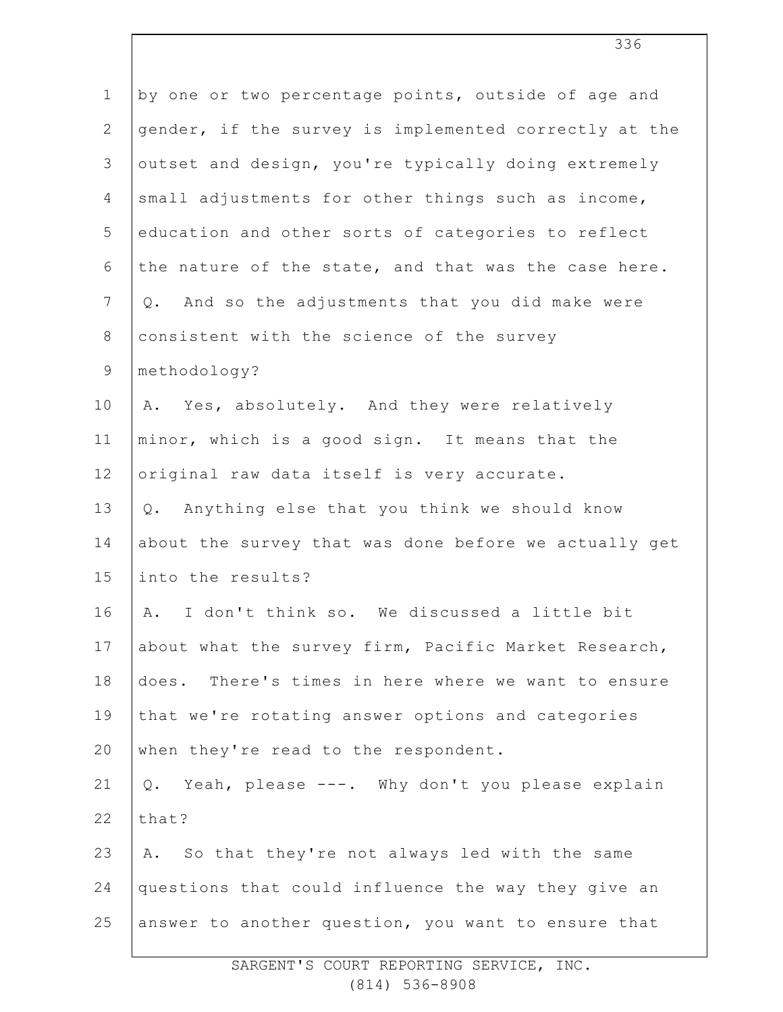| $\mathbf 1$    | by one or two percentage points, outside of age and   |
|----------------|-------------------------------------------------------|
| $\mathbf{2}$   | gender, if the survey is implemented correctly at the |
| 3              | outset and design, you're typically doing extremely   |
| $\overline{4}$ | small adjustments for other things such as income,    |
| 5              | education and other sorts of categories to reflect    |
| 6              | the nature of the state, and that was the case here.  |
| $7\phantom{.}$ | And so the adjustments that you did make were<br>Q.   |
| $8\,$          | consistent with the science of the survey             |
| $\mathsf 9$    | methodology?                                          |
| 10             | A. Yes, absolutely. And they were relatively          |
| 11             | minor, which is a good sign. It means that the        |
| 12             | original raw data itself is very accurate.            |
| 13             | Anything else that you think we should know<br>Q.     |
| 14             | about the survey that was done before we actually get |
| 15             | into the results?                                     |
| 16             | I don't think so. We discussed a little bit<br>Α.     |
| 17             | about what the survey firm, Pacific Market Research,  |
| 18             | does. There's times in here where we want to ensure   |
| 19             | that we're rotating answer options and categories     |
| 20             | when they're read to the respondent.                  |
| 21             | Yeah, please ---. Why don't you please explain<br>Q.  |
| 22             | that?                                                 |
| 23             | So that they're not always led with the same<br>Α.    |
| 24             | questions that could influence the way they give an   |
| 25             | answer to another question, you want to ensure that   |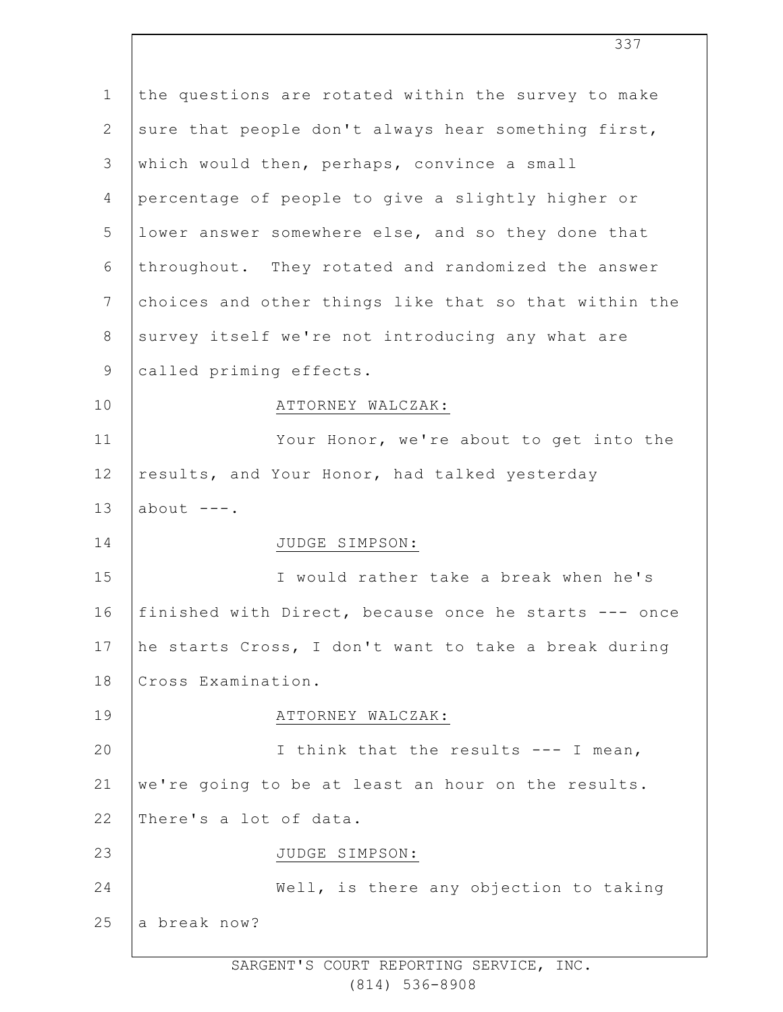| $\mathbf 1$    | the questions are rotated within the survey to make   |
|----------------|-------------------------------------------------------|
| 2              | sure that people don't always hear something first,   |
| 3              | which would then, perhaps, convince a small           |
| 4              | percentage of people to give a slightly higher or     |
| 5              | lower answer somewhere else, and so they done that    |
| 6              | throughout. They rotated and randomized the answer    |
| $7\phantom{.}$ | choices and other things like that so that within the |
| 8              | survey itself we're not introducing any what are      |
| $\mathsf 9$    | called priming effects.                               |
| 10             | ATTORNEY WALCZAK:                                     |
| 11             | Your Honor, we're about to get into the               |
| 12             | results, and Your Honor, had talked yesterday         |
| 13             | about $---$ .                                         |
| 14             | JUDGE SIMPSON:                                        |
| 15             | I would rather take a break when he's                 |
| 16             | finished with Direct, because once he starts --- once |
| 17             | he starts Cross, I don't want to take a break during  |
| 18             | Cross Examination.                                    |
| 19             | ATTORNEY WALCZAK:                                     |
| 20             | I think that the results --- I mean,                  |
| 21             | we're going to be at least an hour on the results.    |
| 22             | There's a lot of data.                                |
| 23             | JUDGE SIMPSON:                                        |
| 24             | Well, is there any objection to taking                |
| 25             | a break now?                                          |
|                |                                                       |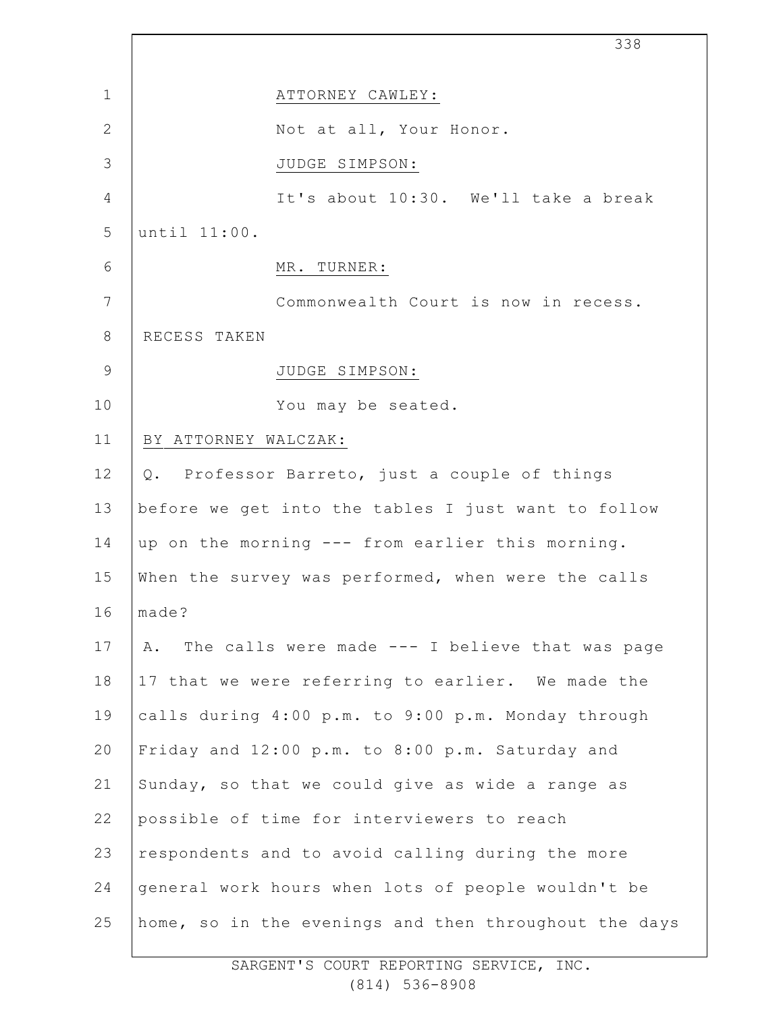|                | 338                                                   |
|----------------|-------------------------------------------------------|
| $\mathbf 1$    | ATTORNEY CAWLEY:                                      |
| $\mathbf{2}$   | Not at all, Your Honor.                               |
| 3              | JUDGE SIMPSON:                                        |
| 4              | It's about 10:30. We'll take a break                  |
| 5              | until 11:00.                                          |
| 6              | MR. TURNER:                                           |
| 7              | Commonwealth Court is now in recess.                  |
| $8\,$          | RECESS TAKEN                                          |
| $\overline{9}$ | JUDGE SIMPSON:                                        |
| 10             | You may be seated.                                    |
| 11             | BY ATTORNEY WALCZAK:                                  |
| 12             | Q. Professor Barreto, just a couple of things         |
| 13             | before we get into the tables I just want to follow   |
| 14             | up on the morning --- from earlier this morning.      |
| 15             | When the survey was performed, when were the calls    |
| 16             | made?                                                 |
| 17             | The calls were made --- I believe that was page<br>Α. |
| 18             | 17 that we were referring to earlier. We made the     |
| 19             | calls during 4:00 p.m. to 9:00 p.m. Monday through    |
| 20             | Friday and 12:00 p.m. to 8:00 p.m. Saturday and       |
| 21             | Sunday, so that we could give as wide a range as      |
| 22             | possible of time for interviewers to reach            |
| 23             | respondents and to avoid calling during the more      |
| 24             | general work hours when lots of people wouldn't be    |
| 25             | home, so in the evenings and then throughout the days |

 $\Gamma$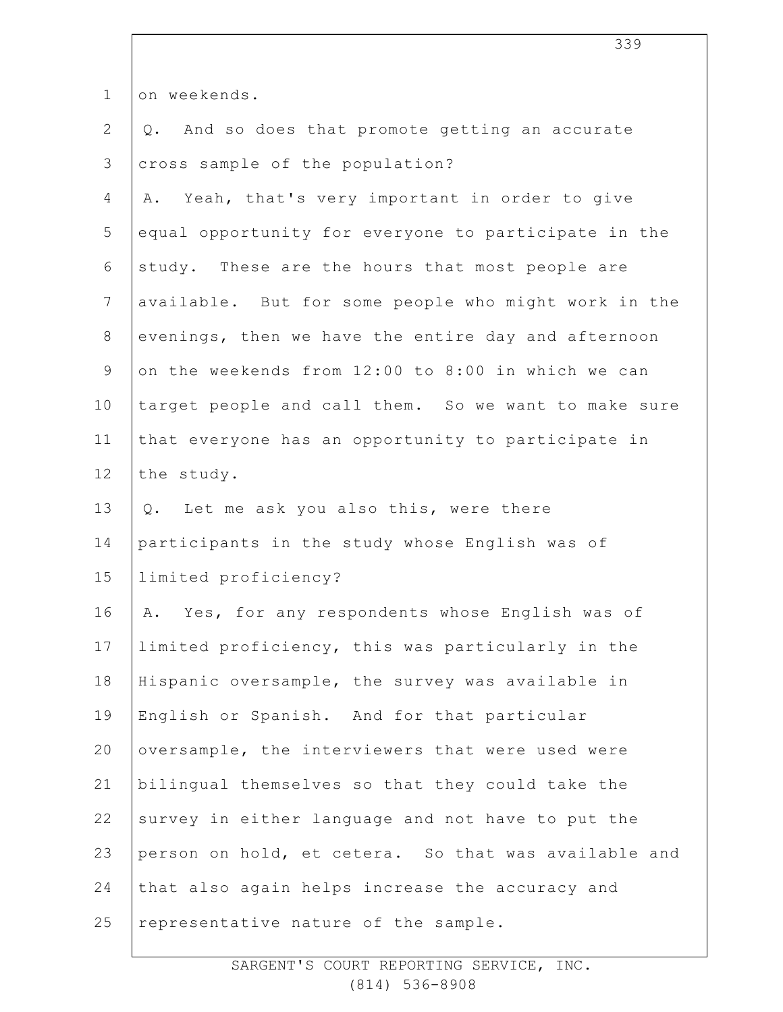| $\mathbf 1$    | on weekends.                                         |
|----------------|------------------------------------------------------|
| 2              | Q. And so does that promote getting an accurate      |
| 3              | cross sample of the population?                      |
| 4              | Yeah, that's very important in order to give<br>Α.   |
| 5              | equal opportunity for everyone to participate in the |
| 6              | study. These are the hours that most people are      |
| $\overline{7}$ | available. But for some people who might work in the |
| 8              | evenings, then we have the entire day and afternoon  |
| $\mathsf 9$    | on the weekends from 12:00 to 8:00 in which we can   |
| 10             | target people and call them. So we want to make sure |
| 11             | that everyone has an opportunity to participate in   |
| 12             | the study.                                           |
| 13             | Q. Let me ask you also this, were there              |
| 14             | participants in the study whose English was of       |
| 15             | limited proficiency?                                 |
| 16             | A. Yes, for any respondents whose English was of     |
| 17             | limited proficiency, this was particularly in the    |
| 18             | Hispanic oversample, the survey was available in     |
| 19             | English or Spanish. And for that particular          |
| 20             | oversample, the interviewers that were used were     |
| 21             | bilingual themselves so that they could take the     |
| 22             | survey in either language and not have to put the    |
| 23             | person on hold, et cetera. So that was available and |
| 24             | that also again helps increase the accuracy and      |
| 25             | representative nature of the sample.                 |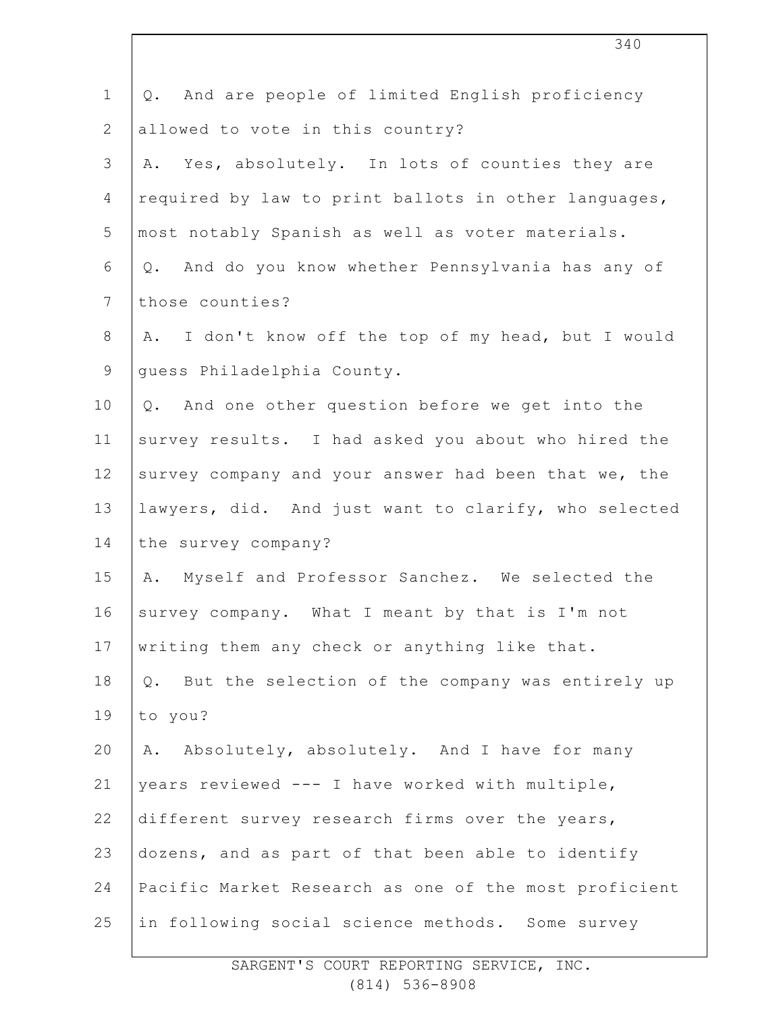| $\mathbf 1$    | And are people of limited English proficiency<br>Q.   |
|----------------|-------------------------------------------------------|
| $\overline{2}$ | allowed to vote in this country?                      |
| 3              | A. Yes, absolutely. In lots of counties they are      |
| 4              | required by law to print ballots in other languages,  |
| 5              | most notably Spanish as well as voter materials.      |
| 6              | Q. And do you know whether Pennsylvania has any of    |
| 7              | those counties?                                       |
| $8\,$          | A. I don't know off the top of my head, but I would   |
| 9              | guess Philadelphia County.                            |
| 10             | Q. And one other question before we get into the      |
| 11             | survey results. I had asked you about who hired the   |
| 12             | survey company and your answer had been that we, the  |
| 13             | lawyers, did. And just want to clarify, who selected  |
| 14             | the survey company?                                   |
| 15             | Myself and Professor Sanchez. We selected the<br>Α.   |
| 16             | survey company. What I meant by that is I'm not       |
| 17             | writing them any check or anything like that.         |
| 18             | Q. But the selection of the company was entirely up   |
| 19             | to you?                                               |
| 20             | Absolutely, absolutely. And I have for many<br>Α.     |
| 21             | years reviewed --- I have worked with multiple,       |
| 22             | different survey research firms over the years,       |
| 23             | dozens, and as part of that been able to identify     |
| 24             | Pacific Market Research as one of the most proficient |
| 25             | in following social science methods. Some survey      |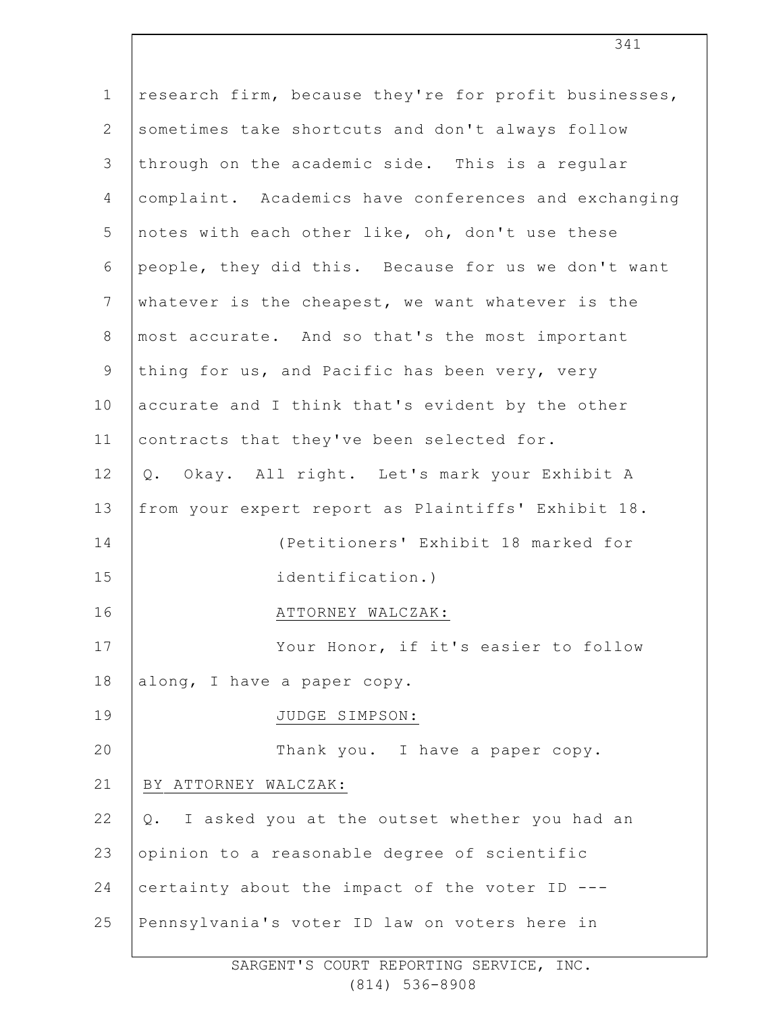| $\mathbf{1}$   | research firm, because they're for profit businesses, |
|----------------|-------------------------------------------------------|
| $\mathbf{2}$   | sometimes take shortcuts and don't always follow      |
| $\mathfrak{Z}$ | through on the academic side. This is a regular       |
| 4              | complaint. Academics have conferences and exchanging  |
| 5              | notes with each other like, oh, don't use these       |
| 6              | people, they did this. Because for us we don't want   |
| $\overline{7}$ | whatever is the cheapest, we want whatever is the     |
| $8\,$          | most accurate. And so that's the most important       |
| 9              | thing for us, and Pacific has been very, very         |
| 10             | accurate and I think that's evident by the other      |
| 11             | contracts that they've been selected for.             |
| 12             | Q. Okay. All right. Let's mark your Exhibit A         |
| 13             | from your expert report as Plaintiffs' Exhibit 18.    |
| 14             | (Petitioners' Exhibit 18 marked for                   |
| 15             | identification.)                                      |
| 16             | ATTORNEY WALCZAK:                                     |
| 17             | Your Honor, if it's easier to follow                  |
| 18             | along, I have a paper copy.                           |
| 19             | JUDGE SIMPSON:                                        |
| 20             | Thank you. I have a paper copy.                       |
| 21             | BY ATTORNEY WALCZAK:                                  |
| 22             | I asked you at the outset whether you had an<br>Q.    |
| 23             | opinion to a reasonable degree of scientific          |
| 24             | certainty about the impact of the voter ID ---        |
| 25             | Pennsylvania's voter ID law on voters here in         |
|                |                                                       |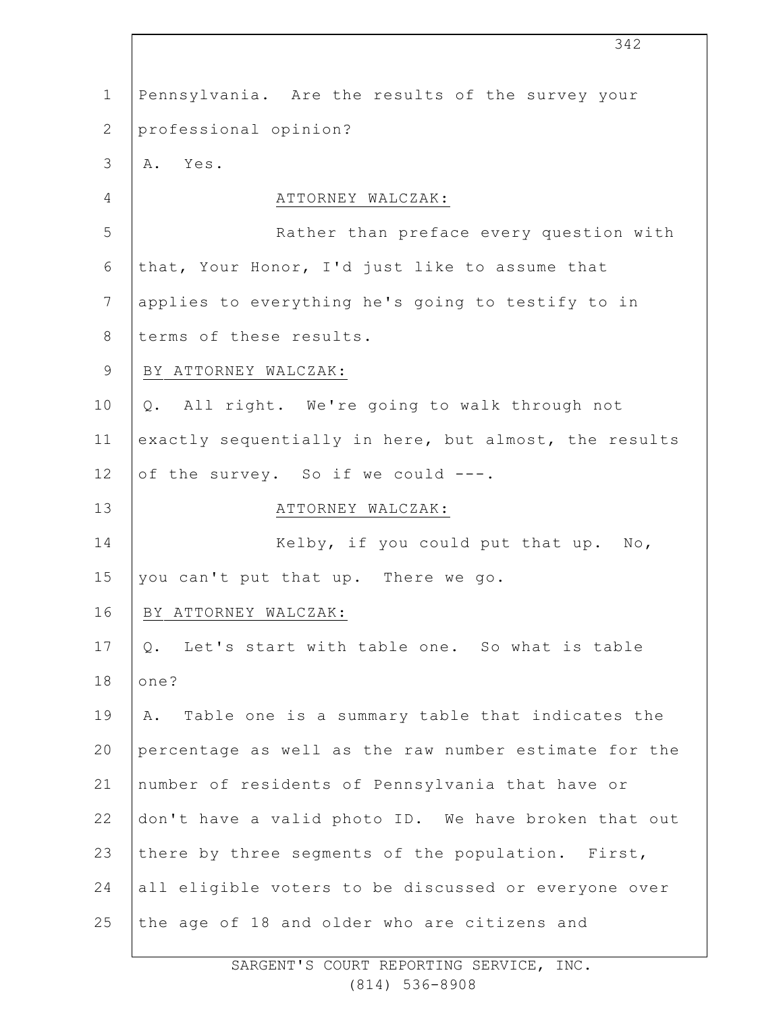1 2 3 4 5 6 7 8 9 10 11 12 13 14 15 16 17 18 19 20 21 22 23 24 25 Pennsylvania. Are the results of the survey your professional opinion? A. Yes. ATTORNEY WALCZAK: Rather than preface every question with that, Your Honor, I'd just like to assume that applies to everything he's going to testify to in terms of these results. BY ATTORNEY WALCZAK: Q. All right. We're going to walk through not exactly sequentially in here, but almost, the results of the survey. So if we could ---. ATTORNEY WALCZAK: Kelby, if you could put that up. No, you can't put that up. There we go. BY ATTORNEY WALCZAK: Q. Let's start with table one. So what is table one? A. Table one is a summary table that indicates the percentage as well as the raw number estimate for the number of residents of Pennsylvania that have or don't have a valid photo ID. We have broken that out there by three segments of the population. First, all eligible voters to be discussed or everyone over the age of 18 and older who are citizens and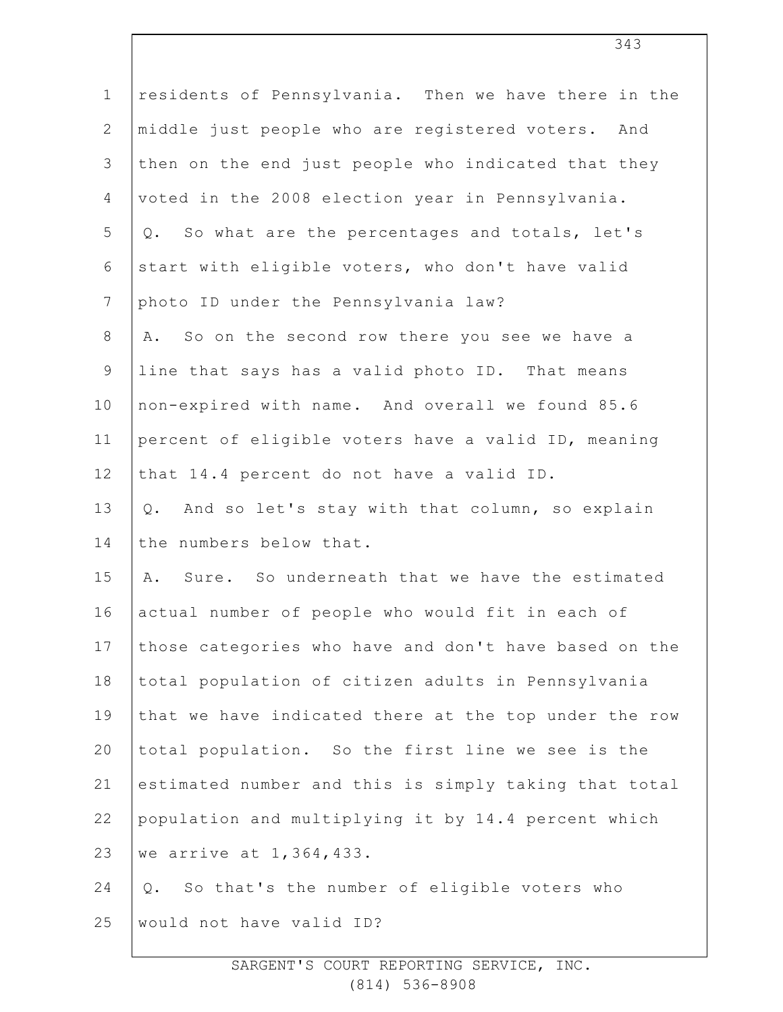| $\mathbf 1$    | residents of Pennsylvania. Then we have there in the    |
|----------------|---------------------------------------------------------|
| $\mathbf{2}$   | middle just people who are registered voters. And       |
| 3              | then on the end just people who indicated that they     |
| $\overline{4}$ | voted in the 2008 election year in Pennsylvania.        |
| 5              | So what are the percentages and totals, let's<br>Q.     |
| 6              | start with eligible voters, who don't have valid        |
| $\overline{7}$ | photo ID under the Pennsylvania law?                    |
| $\,8\,$        | So on the second row there you see we have a<br>Α.      |
| $\overline{9}$ | line that says has a valid photo ID. That means         |
| 10             | non-expired with name. And overall we found 85.6        |
| 11             | percent of eligible voters have a valid ID, meaning     |
| 12             | that 14.4 percent do not have a valid ID.               |
| 13             | And so let's stay with that column, so explain<br>$Q$ . |
| 14             | the numbers below that.                                 |
| 15             | Sure. So underneath that we have the estimated<br>Α.    |
| 16             | actual number of people who would fit in each of        |
| 17             | those categories who have and don't have based on the   |
| 18             | total population of citizen adults in Pennsylvania      |
| 19             | that we have indicated there at the top under the row   |
| 20             | total population. So the first line we see is the       |
| 21             | estimated number and this is simply taking that total   |
| 22             | population and multiplying it by 14.4 percent which     |
| 23             | we arrive at 1,364,433.                                 |
| 24             | So that's the number of eligible voters who<br>$Q$ .    |
| 25             | would not have valid ID?                                |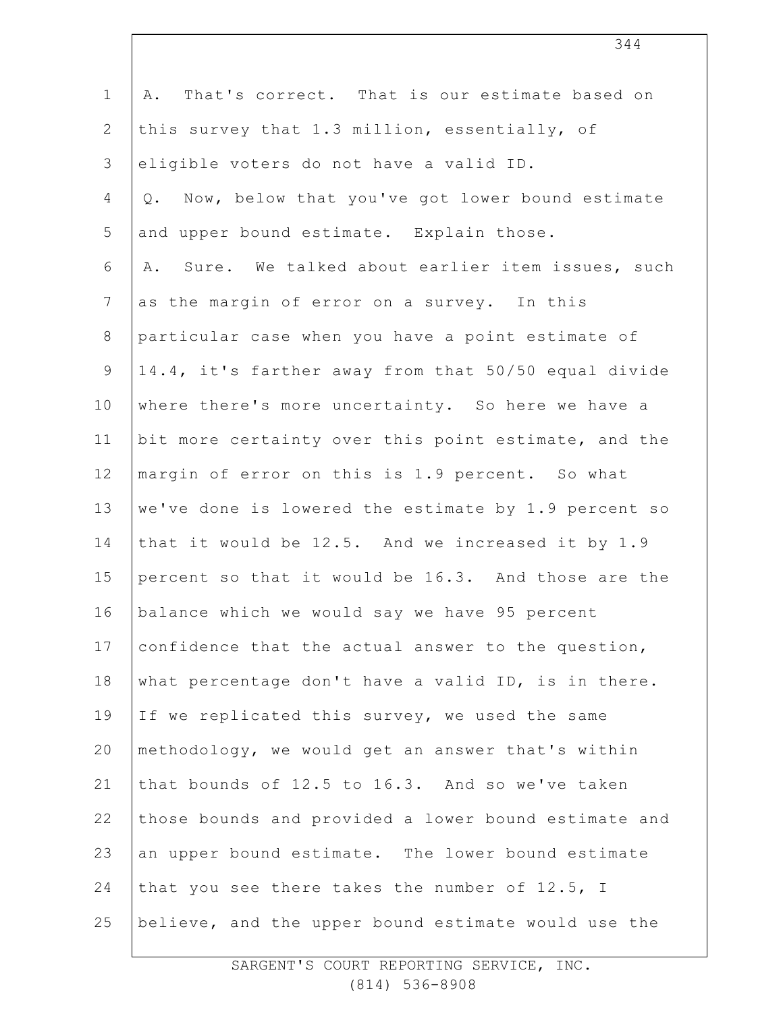| $\mathbf 1$     | That's correct. That is our estimate based on<br>Α.   |
|-----------------|-------------------------------------------------------|
| $\mathbf{2}$    | this survey that 1.3 million, essentially, of         |
| 3               | eligible voters do not have a valid ID.               |
| $\overline{4}$  | Now, below that you've got lower bound estimate<br>Q. |
| 5               | and upper bound estimate. Explain those.              |
| 6               | Sure. We talked about earlier item issues, such<br>Α. |
| $7\phantom{.0}$ | as the margin of error on a survey. In this           |
| $8\,$           | particular case when you have a point estimate of     |
| $\mathsf 9$     | 14.4, it's farther away from that 50/50 equal divide  |
| 10              | where there's more uncertainty. So here we have a     |
| 11              | bit more certainty over this point estimate, and the  |
| 12              | margin of error on this is 1.9 percent. So what       |
| 13              | we've done is lowered the estimate by 1.9 percent so  |
| 14              | that it would be 12.5. And we increased it by 1.9     |
| 15              | percent so that it would be 16.3. And those are the   |
| 16              | balance which we would say we have 95 percent         |
| 17              | confidence that the actual answer to the question,    |
| 18              | what percentage don't have a valid ID, is in there.   |
| 19              | If we replicated this survey, we used the same        |
| 20              | methodology, we would get an answer that's within     |
| 21              | that bounds of 12.5 to 16.3. And so we've taken       |
| 22              | those bounds and provided a lower bound estimate and  |
| 23              | an upper bound estimate. The lower bound estimate     |
| 24              | that you see there takes the number of 12.5, I        |
| 25              | believe, and the upper bound estimate would use the   |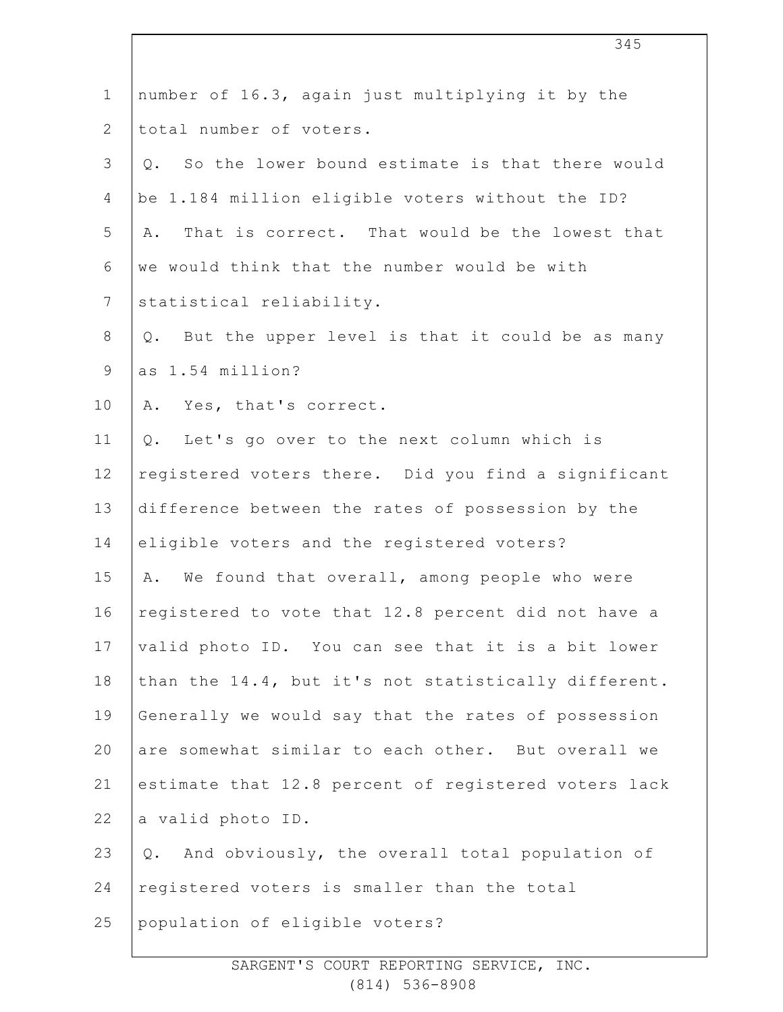| $\mathbf 1$    | number of 16.3, again just multiplying it by the      |
|----------------|-------------------------------------------------------|
| $\mathbf{2}$   | total number of voters.                               |
| $\mathcal{S}$  | So the lower bound estimate is that there would<br>Q. |
| 4              | be 1.184 million eligible voters without the ID?      |
| 5              | That is correct. That would be the lowest that<br>Α.  |
| 6              | we would think that the number would be with          |
| $\overline{7}$ | statistical reliability.                              |
| $\,8\,$        | But the upper level is that it could be as many<br>Q. |
| $\mathsf 9$    | as 1.54 million?                                      |
| 10             | Yes, that's correct.<br>Α.                            |
| 11             | Let's go over to the next column which is<br>Q.       |
| 12             | registered voters there. Did you find a significant   |
| 13             | difference between the rates of possession by the     |
| 14             | eligible voters and the registered voters?            |
| 15             | We found that overall, among people who were<br>Α.    |
| 16             | registered to vote that 12.8 percent did not have a   |
| 17             | valid photo ID. You can see that it is a bit lower    |
| 18             | than the 14.4, but it's not statistically different.  |
| 19             | Generally we would say that the rates of possession   |
| 20             | are somewhat similar to each other. But overall we    |
| 21             | estimate that 12.8 percent of registered voters lack  |
| 22             | a valid photo ID.                                     |
| 23             | And obviously, the overall total population of<br>Q.  |
| 24             | registered voters is smaller than the total           |
| 25             | population of eligible voters?                        |
|                |                                                       |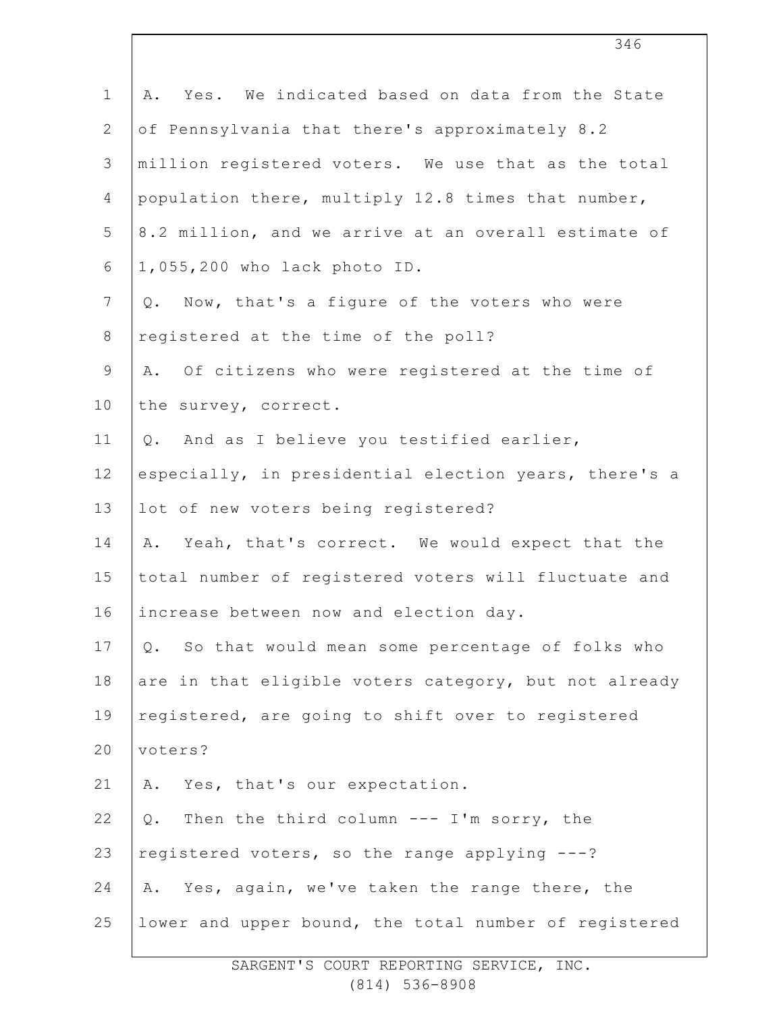| $\mathbf 1$    | Yes. We indicated based on data from the State<br>Α.  |
|----------------|-------------------------------------------------------|
| $\mathbf{2}$   | of Pennsylvania that there's approximately 8.2        |
| $\mathcal{S}$  | million registered voters. We use that as the total   |
| 4              | population there, multiply 12.8 times that number,    |
| 5              | 8.2 million, and we arrive at an overall estimate of  |
| 6              | 1,055,200 who lack photo ID.                          |
| $7\phantom{.}$ | Now, that's a figure of the voters who were<br>Q.     |
| $\,8\,$        | registered at the time of the poll?                   |
| $\mathsf 9$    | A. Of citizens who were registered at the time of     |
| 10             | the survey, correct.                                  |
| 11             | And as I believe you testified earlier,<br>Q.         |
| 12             | especially, in presidential election years, there's a |
| 13             | lot of new voters being registered?                   |
| 14             | Yeah, that's correct. We would expect that the<br>Α.  |
| 15             | total number of registered voters will fluctuate and  |
| 16             | increase between now and election day.                |
| 17             | So that would mean some percentage of folks who<br>Q. |
| 18             | are in that eligible voters category, but not already |
| 19             | registered, are going to shift over to registered     |
| 20             | voters?                                               |
| 21             | Yes, that's our expectation.<br>Α.                    |
| 22             | Then the third column --- I'm sorry, the<br>Q.        |
| 23             | registered voters, so the range applying ---?         |
| 24             | Yes, again, we've taken the range there, the<br>Α.    |
| 25             | lower and upper bound, the total number of registered |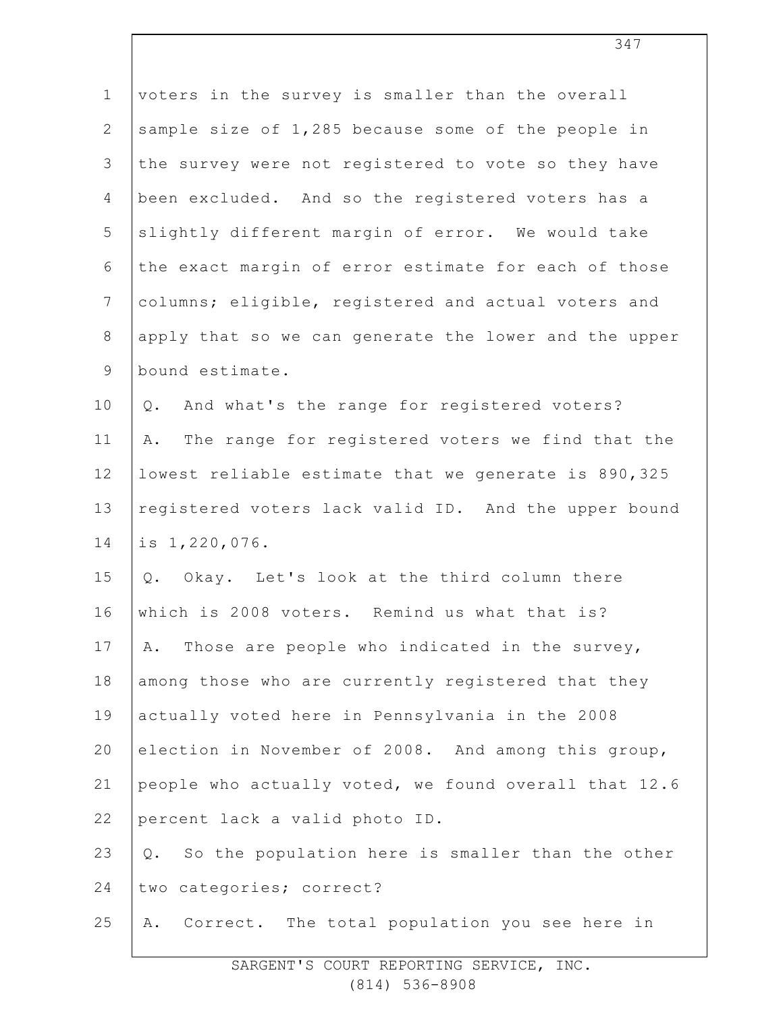| voters in the survey is smaller than the overall       |
|--------------------------------------------------------|
| sample size of 1,285 because some of the people in     |
| the survey were not registered to vote so they have    |
| been excluded. And so the registered voters has a      |
| slightly different margin of error. We would take      |
| the exact margin of error estimate for each of those   |
| columns; eligible, registered and actual voters and    |
| apply that so we can generate the lower and the upper  |
| bound estimate.                                        |
| And what's the range for registered voters?<br>Q.      |
| The range for registered voters we find that the<br>Α. |
| lowest reliable estimate that we generate is 890,325   |
| registered voters lack valid ID. And the upper bound   |
| is 1,220,076.                                          |
| Q. Okay. Let's look at the third column there          |
| which is 2008 voters. Remind us what that is?          |
| Those are people who indicated in the survey,<br>Α.    |
| among those who are currently registered that they     |
| actually voted here in Pennsylvania in the 2008        |
| election in November of 2008. And among this group,    |
| people who actually voted, we found overall that 12.6  |
| percent lack a valid photo ID.                         |
| So the population here is smaller than the other<br>Q. |
| two categories; correct?                               |
| Correct. The total population you see here in<br>Α.    |
|                                                        |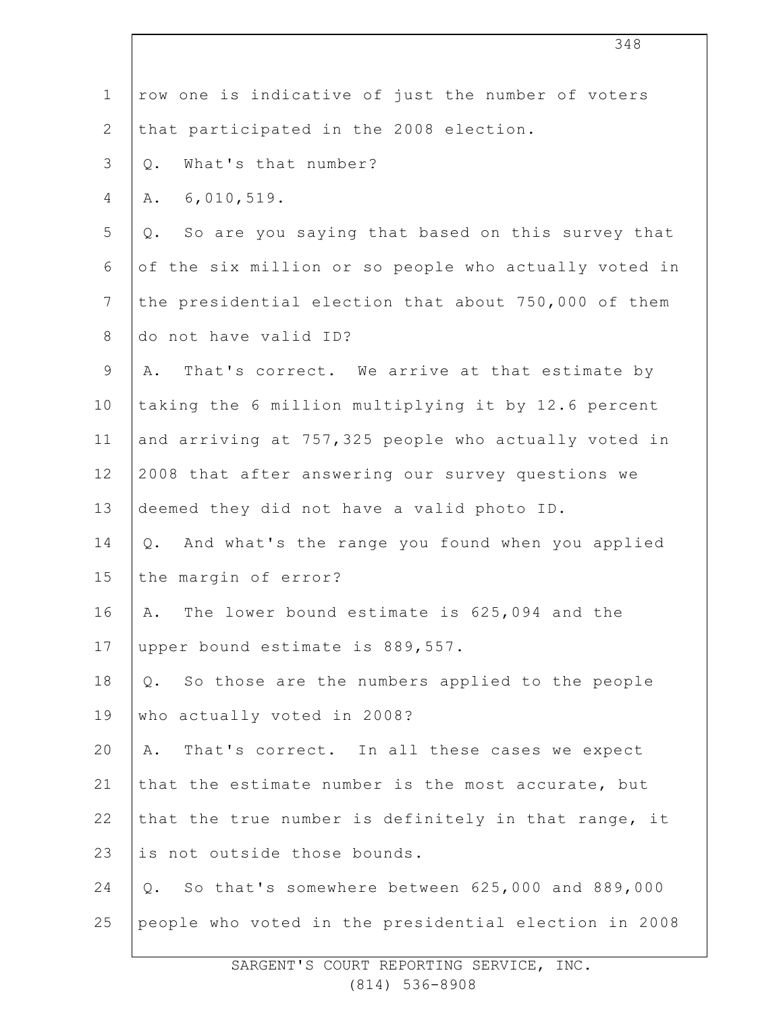| $\mathbf 1$    | row one is indicative of just the number of voters     |
|----------------|--------------------------------------------------------|
| $\mathbf{2}$   | that participated in the 2008 election.                |
| 3              | What's that number?<br>$Q$ .                           |
| 4              | 6,010,519.<br>Α.                                       |
| 5              | So are you saying that based on this survey that<br>Q. |
| 6              | of the six million or so people who actually voted in  |
| $\overline{7}$ | the presidential election that about 750,000 of them   |
| $8\,$          | do not have valid ID?                                  |
| $\mathsf 9$    | That's correct. We arrive at that estimate by<br>Α.    |
| 10             | taking the 6 million multiplying it by 12.6 percent    |
| 11             | and arriving at 757,325 people who actually voted in   |
| 12             | 2008 that after answering our survey questions we      |
| 13             | deemed they did not have a valid photo ID.             |
| 14             | And what's the range you found when you applied<br>Q.  |
| 15             | the margin of error?                                   |
| 16             | The lower bound estimate is 625,094 and the<br>Α.      |
| 17             | upper bound estimate is 889,557.                       |
| 18             | So those are the numbers applied to the people<br>Q.   |
| 19             | who actually voted in 2008?                            |
| 20             | That's correct. In all these cases we expect<br>Α.     |
| 21             | that the estimate number is the most accurate, but     |
| 22             | that the true number is definitely in that range, it   |
| 23             | is not outside those bounds.                           |
| 24             | So that's somewhere between 625,000 and 889,000<br>Q.  |
| 25             | people who voted in the presidential election in 2008  |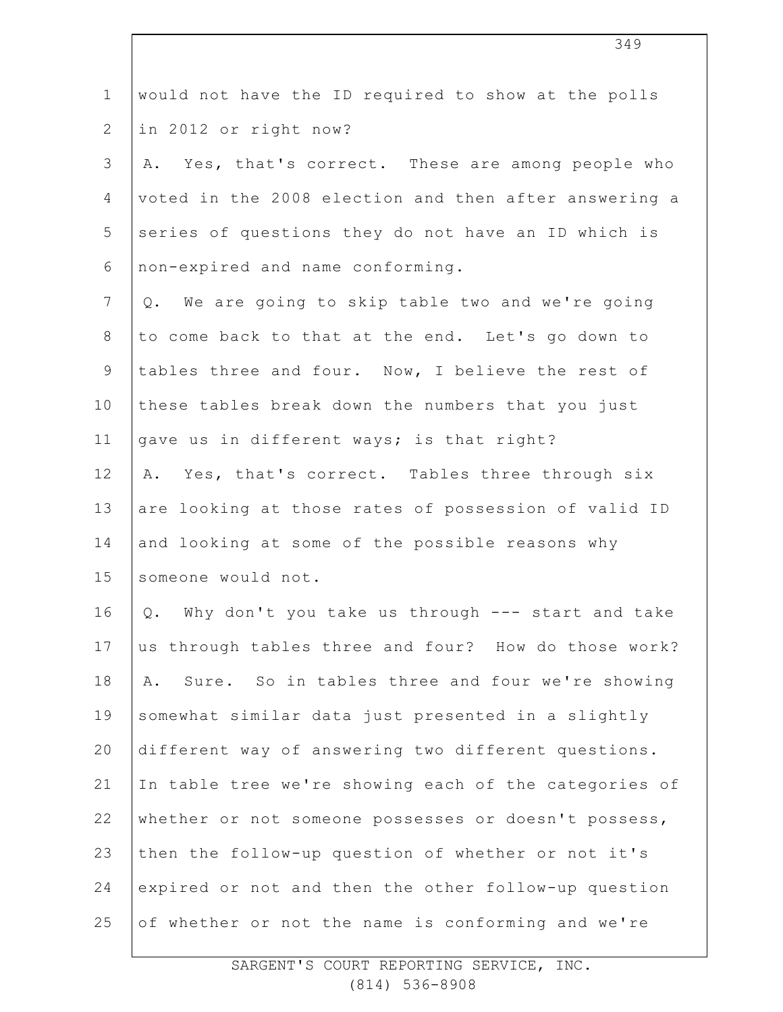| $\mathbf 1$    | would not have the ID required to show at the polls   |
|----------------|-------------------------------------------------------|
| $\overline{2}$ | in 2012 or right now?                                 |
| 3              | Yes, that's correct. These are among people who<br>Α. |
| 4              | voted in the 2008 election and then after answering a |
| 5              | series of questions they do not have an ID which is   |
| 6              | non-expired and name conforming.                      |
| $\overline{7}$ | We are going to skip table two and we're going<br>Q.  |
| $8\,$          | to come back to that at the end. Let's go down to     |
| $\mathsf 9$    | tables three and four. Now, I believe the rest of     |
| 10             | these tables break down the numbers that you just     |
| 11             | gave us in different ways; is that right?             |
| 12             | Yes, that's correct. Tables three through six<br>Α.   |
| 13             | are looking at those rates of possession of valid ID  |
| 14             | and looking at some of the possible reasons why       |
| 15             | someone would not.                                    |
| 16             | Q. Why don't you take us through --- start and take   |
| 17             | us through tables three and four? How do those work?  |
| 18             | Sure. So in tables three and four we're showing<br>Α. |
| 19             | somewhat similar data just presented in a slightly    |
| 20             | different way of answering two different questions.   |
| 21             | In table tree we're showing each of the categories of |
| 22             | whether or not someone possesses or doesn't possess,  |
| 23             | then the follow-up question of whether or not it's    |
| 24             | expired or not and then the other follow-up question  |
| 25             | of whether or not the name is conforming and we're    |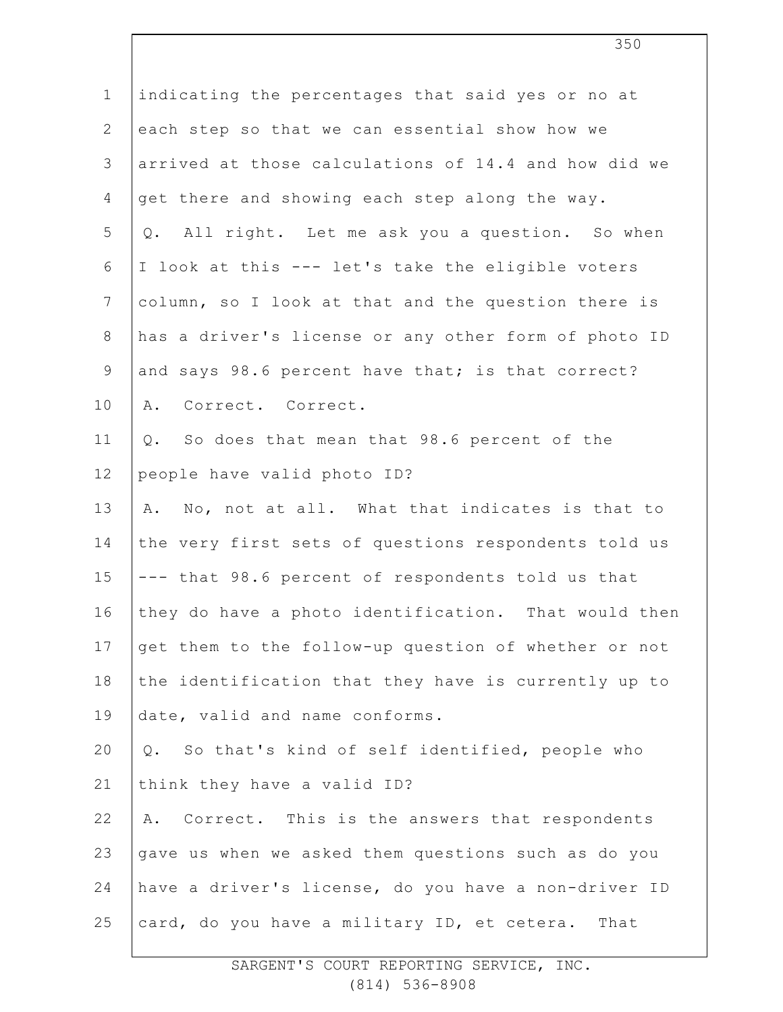| $\mathbf 1$    | indicating the percentages that said yes or no at           |
|----------------|-------------------------------------------------------------|
| $\overline{2}$ | each step so that we can essential show how we              |
| 3              | arrived at those calculations of 14.4 and how did we        |
| 4              | get there and showing each step along the way.              |
| 5              | All right. Let me ask you a question. So when<br>Q.         |
| 6              | I look at this --- let's take the eligible voters           |
| $7\phantom{.}$ | column, so I look at that and the question there is         |
| $8\,$          | has a driver's license or any other form of photo ID        |
| $\mathsf 9$    | and says 98.6 percent have that; is that correct?           |
| 10             | Correct. Correct.<br>Α.                                     |
| 11             | So does that mean that 98.6 percent of the<br>$\mathsf Q$ . |
| 12             | people have valid photo ID?                                 |
| 13             | No, not at all. What that indicates is that to<br>Α.        |
| 14             | the very first sets of questions respondents told us        |
| 15             | --- that 98.6 percent of respondents told us that           |
| 16             | they do have a photo identification. That would then        |
| 17             | get them to the follow-up question of whether or not        |
| 18             | the identification that they have is currently up to        |
| 19             | date, valid and name conforms.                              |
| 20             | Q. So that's kind of self identified, people who            |
| 21             | think they have a valid ID?                                 |
| 22             | Correct. This is the answers that respondents<br>Α.         |
| 23             | gave us when we asked them questions such as do you         |
| 24             | have a driver's license, do you have a non-driver ID        |
| 25             | card, do you have a military ID, et cetera.<br>That         |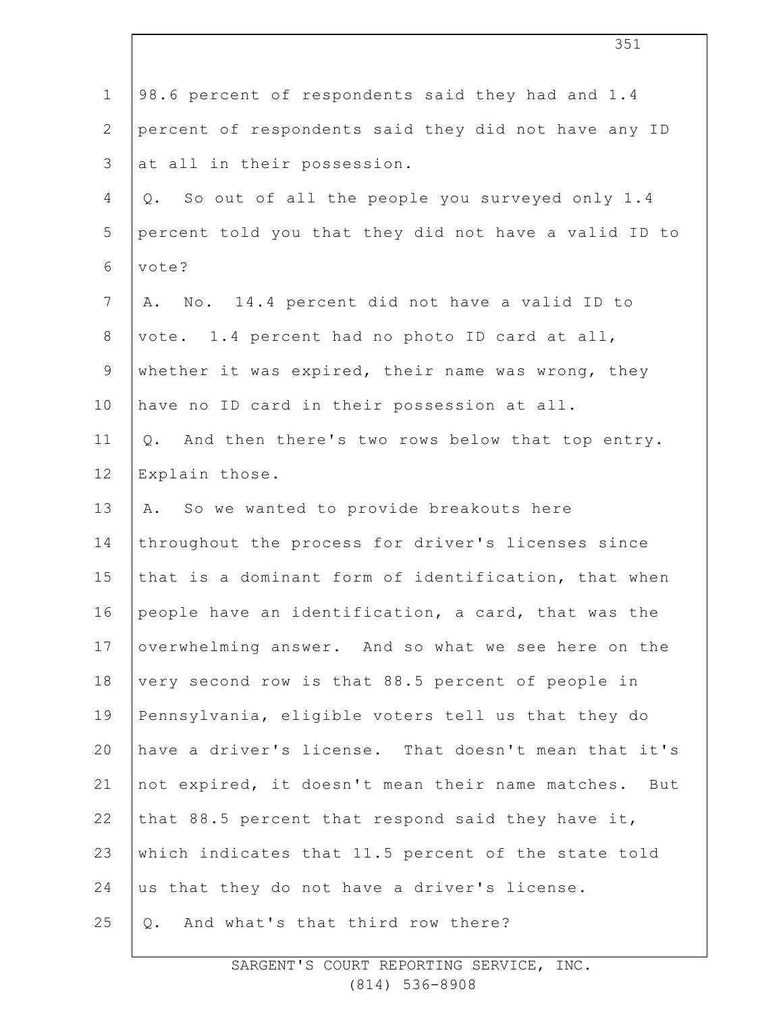| $\mathbf 1$    | 98.6 percent of respondents said they had and 1.4     |
|----------------|-------------------------------------------------------|
| $\overline{2}$ | percent of respondents said they did not have any ID  |
| 3              | at all in their possession.                           |
| 4              | So out of all the people you surveyed only 1.4<br>Q.  |
| 5              | percent told you that they did not have a valid ID to |
| 6              | vote?                                                 |
| $\overline{7}$ | No. 14.4 percent did not have a valid ID to<br>Α.     |
| $8\,$          | vote. 1.4 percent had no photo ID card at all,        |
| $\mathsf 9$    | whether it was expired, their name was wrong, they    |
| 10             | have no ID card in their possession at all.           |
| 11             | And then there's two rows below that top entry.<br>Q. |
| 12             | Explain those.                                        |
| 13             | A. So we wanted to provide breakouts here             |
| 14             | throughout the process for driver's licenses since    |
| 15             | that is a dominant form of identification, that when  |
| 16             | people have an identification, a card, that was the   |
| 17             | overwhelming answer. And so what we see here on the   |
| 18             | very second row is that 88.5 percent of people in     |
| 19             | Pennsylvania, eligible voters tell us that they do    |
| 20             | have a driver's license. That doesn't mean that it's  |
| 21             | not expired, it doesn't mean their name matches. But  |
| 22             | that 88.5 percent that respond said they have it,     |
| 23             | which indicates that 11.5 percent of the state told   |
| 24             | us that they do not have a driver's license.          |
| 25             | And what's that third row there?<br>$Q$ .             |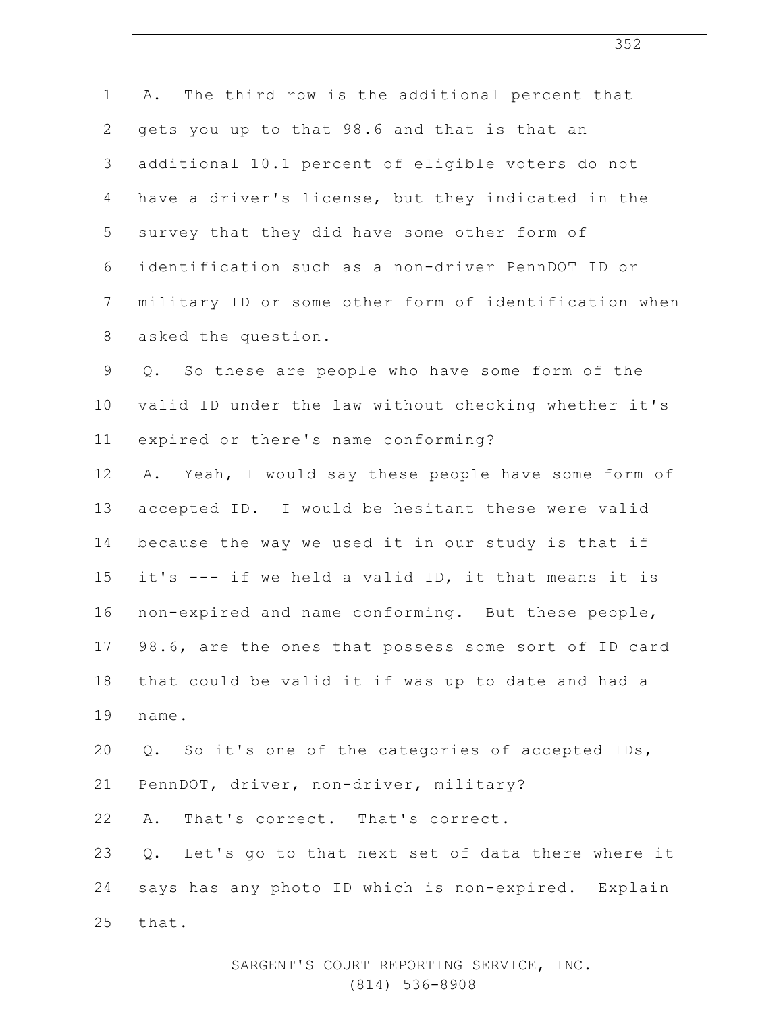| $\mathbf 1$     | The third row is the additional percent that<br>Α.     |
|-----------------|--------------------------------------------------------|
| $\mathbf{2}$    | gets you up to that 98.6 and that is that an           |
| 3               | additional 10.1 percent of eligible voters do not      |
| $\overline{4}$  | have a driver's license, but they indicated in the     |
| 5               | survey that they did have some other form of           |
| 6               | identification such as a non-driver PennDOT ID or      |
| $7\phantom{.0}$ | military ID or some other form of identification when  |
| 8               | asked the question.                                    |
| $\mathsf 9$     | Q. So these are people who have some form of the       |
| 10              | valid ID under the law without checking whether it's   |
| 11              | expired or there's name conforming?                    |
| 12              | A. Yeah, I would say these people have some form of    |
| 13              | accepted ID. I would be hesitant these were valid      |
| 14              | because the way we used it in our study is that if     |
| 15              | it's --- if we held a valid ID, it that means it is    |
| 16              | non-expired and name conforming. But these people,     |
| 17              | 98.6, are the ones that possess some sort of ID card   |
| 18              | that could be valid it if was up to date and had a     |
| 19              | name.                                                  |
| 20              | So it's one of the categories of accepted IDs,<br>Q.   |
| 21              | PennDOT, driver, non-driver, military?                 |
| 22              | That's correct. That's correct.<br>Α.                  |
| 23              | Let's go to that next set of data there where it<br>Q. |
| 24              | says has any photo ID which is non-expired. Explain    |
| 25              | that.                                                  |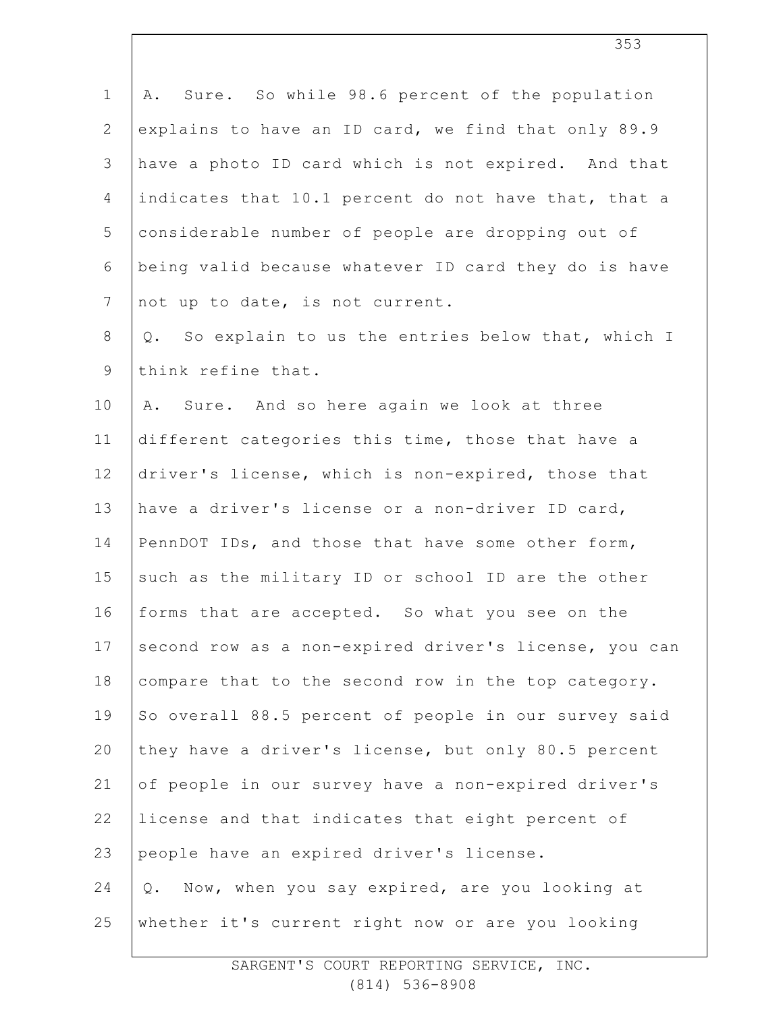1 2 3 4 5 6 7 8 9 10 11 12 13 14 15 16 17 18 19 20 21 22 23 24 25 A. Sure. So while 98.6 percent of the population explains to have an ID card, we find that only 89.9 have a photo ID card which is not expired. And that indicates that 10.1 percent do not have that, that a considerable number of people are dropping out of being valid because whatever ID card they do is have not up to date, is not current. Q. So explain to us the entries below that, which I think refine that. A. Sure. And so here again we look at three different categories this time, those that have a driver's license, which is non-expired, those that have a driver's license or a non-driver ID card, PennDOT IDs, and those that have some other form, such as the military ID or school ID are the other forms that are accepted. So what you see on the second row as a non-expired driver's license, you can compare that to the second row in the top category. So overall 88.5 percent of people in our survey said they have a driver's license, but only 80.5 percent of people in our survey have a non-expired driver's license and that indicates that eight percent of people have an expired driver's license. Q. Now, when you say expired, are you looking at whether it's current right now or are you looking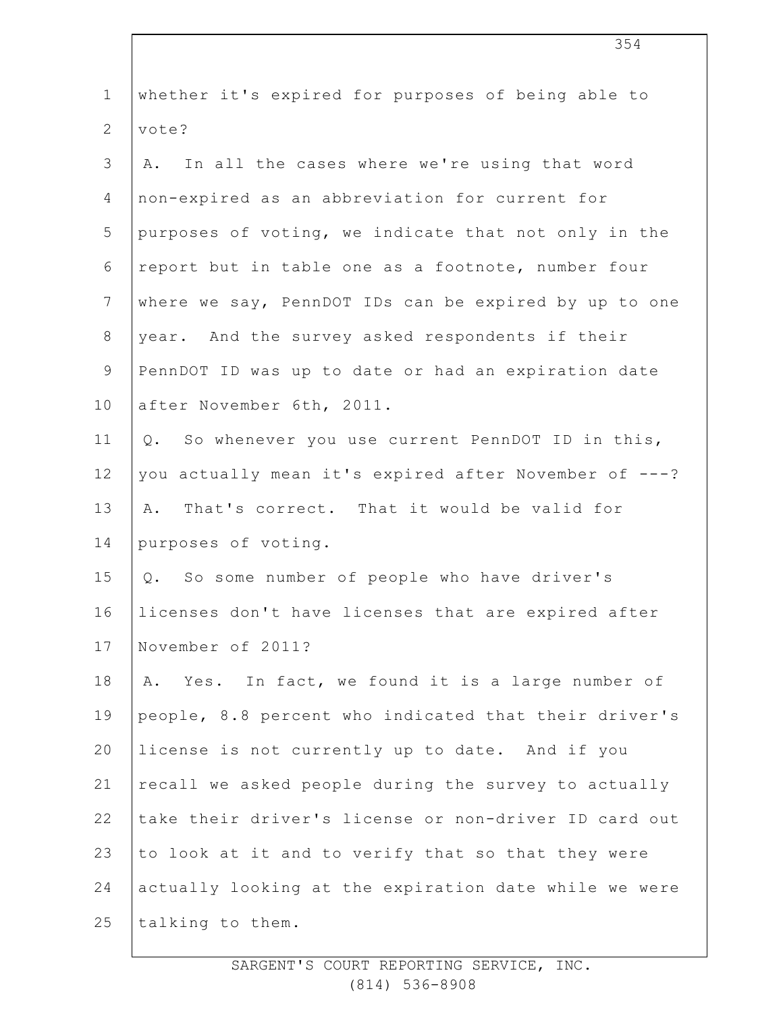| $\mathbf 1$    | whether it's expired for purposes of being able to    |
|----------------|-------------------------------------------------------|
| $\overline{2}$ | vote?                                                 |
| 3              | In all the cases where we're using that word<br>Α.    |
| 4              | non-expired as an abbreviation for current for        |
| 5              | purposes of voting, we indicate that not only in the  |
| 6              | report but in table one as a footnote, number four    |
| $\overline{7}$ | where we say, PennDOT IDs can be expired by up to one |
| $8\,$          | year. And the survey asked respondents if their       |
| $\mathcal{G}$  | PennDOT ID was up to date or had an expiration date   |
| 10             | after November 6th, 2011.                             |
| 11             | So whenever you use current PennDOT ID in this,<br>Q. |
| 12             | you actually mean it's expired after November of ---? |
| 13             | That's correct. That it would be valid for<br>Α.      |
| 14             | purposes of voting.                                   |
| 15             | Q. So some number of people who have driver's         |
| 16             | licenses don't have licenses that are expired after   |
| 17             | November of 2011?                                     |
| 18             | Yes. In fact, we found it is a large number of<br>Α.  |
| 19             | people, 8.8 percent who indicated that their driver's |
| 20             | license is not currently up to date. And if you       |
| 21             | recall we asked people during the survey to actually  |
| 22             | take their driver's license or non-driver ID card out |
| 23             | to look at it and to verify that so that they were    |
| 24             | actually looking at the expiration date while we were |
| 25             | talking to them.                                      |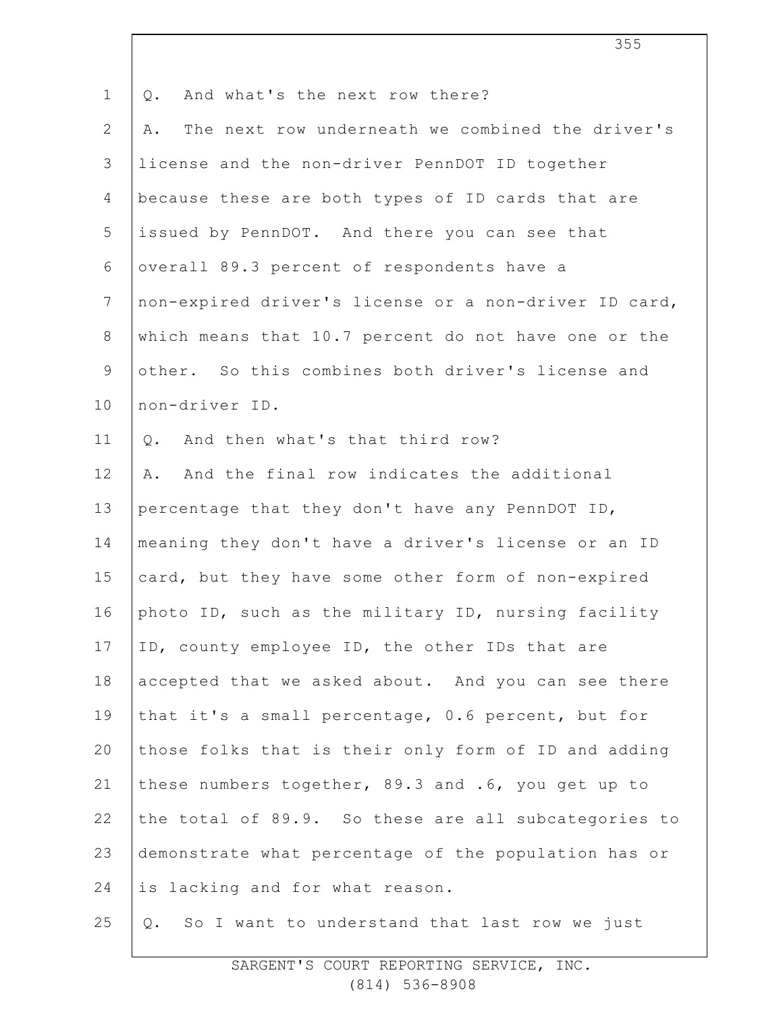| $\mathbf 1$     | And what's the next row there?<br>Q.                   |
|-----------------|--------------------------------------------------------|
| $\overline{2}$  | The next row underneath we combined the driver's<br>Α. |
| 3               | license and the non-driver PennDOT ID together         |
| 4               | because these are both types of ID cards that are      |
| 5               | issued by PennDOT. And there you can see that          |
| 6               | overall 89.3 percent of respondents have a             |
| $7\phantom{.0}$ | non-expired driver's license or a non-driver ID card,  |
| $8\,$           | which means that 10.7 percent do not have one or the   |
| $\mathsf 9$     | other. So this combines both driver's license and      |
| 10              | non-driver ID.                                         |
| 11              | And then what's that third row?<br>$Q$ .               |
| 12              | And the final row indicates the additional<br>Α.       |
| 13              | percentage that they don't have any PennDOT ID,        |
| 14              | meaning they don't have a driver's license or an ID    |
| 15              | card, but they have some other form of non-expired     |
| 16              | photo ID, such as the military ID, nursing facility    |
| 17              | ID, county employee ID, the other IDs that are         |
| 18              | accepted that we asked about. And you can see there    |
| 19              | that it's a small percentage, 0.6 percent, but for     |
| 20              | those folks that is their only form of ID and adding   |
| 21              | these numbers together, 89.3 and .6, you get up to     |
| 22              | the total of 89.9. So these are all subcategories to   |
| 23              | demonstrate what percentage of the population has or   |
| 24              | is lacking and for what reason.                        |
| 25              | So I want to understand that last row we just<br>Q.    |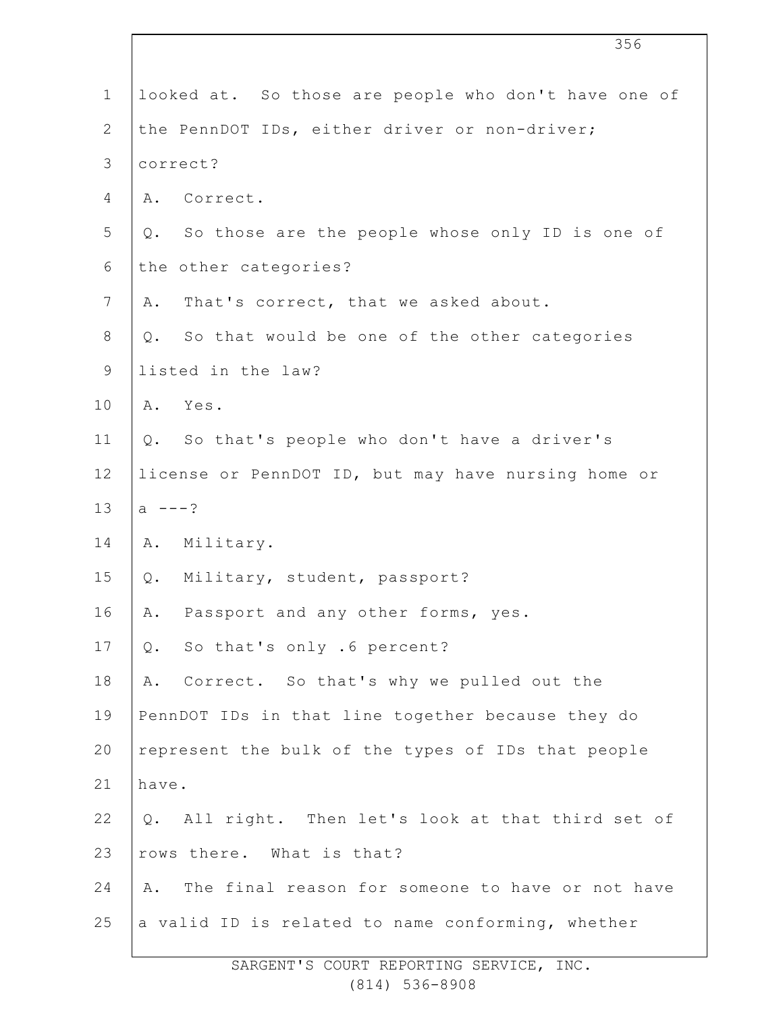| 356                                                    |
|--------------------------------------------------------|
| looked at. So those are people who don't have one of   |
| the PennDOT IDs, either driver or non-driver;          |
| correct?                                               |
| Correct.<br>Α.                                         |
| Q. So those are the people whose only ID is one of     |
| the other categories?                                  |
| That's correct, that we asked about.<br>Α.             |
| So that would be one of the other categories<br>Q.     |
| listed in the law?                                     |
| Yes.<br>Α.                                             |
| Q. So that's people who don't have a driver's          |
| license or PennDOT ID, but may have nursing home or    |
| $a = -2$                                               |
| Military.<br>Α.                                        |
| Military, student, passport?<br>Q.                     |
| Passport and any other forms, yes.<br>Α.               |
| So that's only .6 percent?<br>Q.                       |
| Correct. So that's why we pulled out the<br>Α.         |
| PennDOT IDs in that line together because they do      |
| represent the bulk of the types of IDs that people     |
| have.                                                  |
| All right. Then let's look at that third set of<br>Q.  |
| rows there. What is that?                              |
| The final reason for someone to have or not have<br>Α. |
| a valid ID is related to name conforming, whether      |
|                                                        |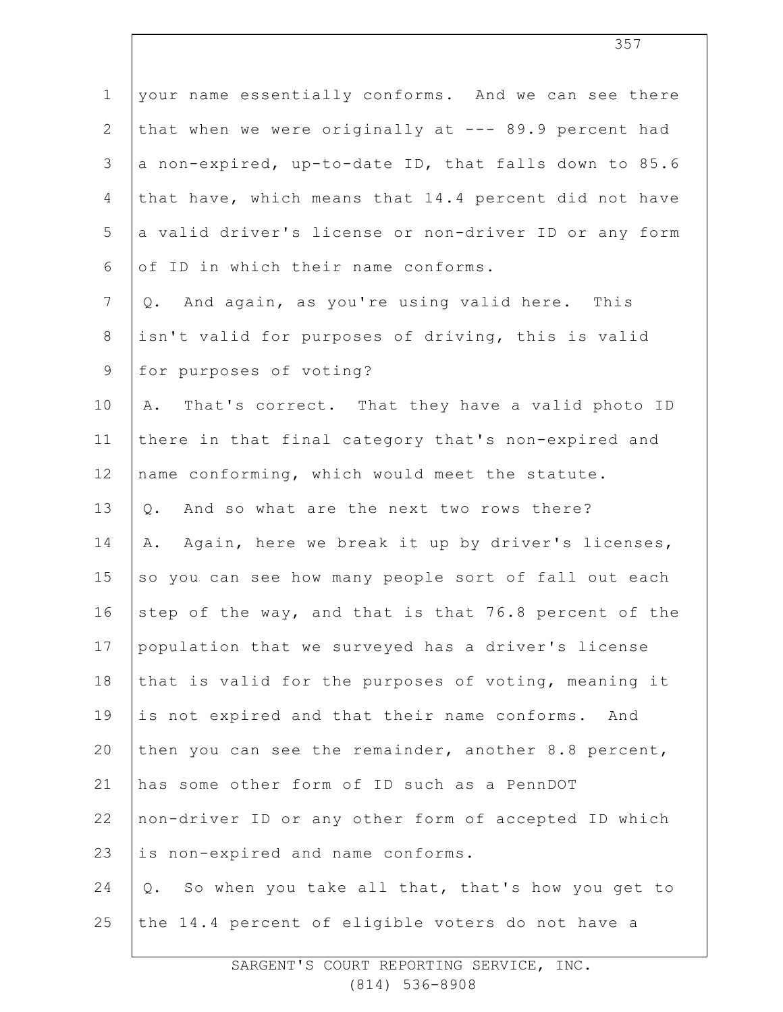1 2 3 4 5 6 7 8 9 10 11 12 13 14 15 16 17 18 19 20 21 22 23 24 25 your name essentially conforms. And we can see there that when we were originally at --- 89.9 percent had a non-expired, up-to-date ID, that falls down to 85.6 that have, which means that 14.4 percent did not have a valid driver's license or non-driver ID or any form of ID in which their name conforms. Q. And again, as you're using valid here. This isn't valid for purposes of driving, this is valid for purposes of voting? A. That's correct. That they have a valid photo ID there in that final category that's non-expired and name conforming, which would meet the statute. Q. And so what are the next two rows there? A. Again, here we break it up by driver's licenses, so you can see how many people sort of fall out each step of the way, and that is that 76.8 percent of the population that we surveyed has a driver's license that is valid for the purposes of voting, meaning it is not expired and that their name conforms. And then you can see the remainder, another 8.8 percent, has some other form of ID such as a PennDOT non-driver ID or any other form of accepted ID which is non-expired and name conforms. Q. So when you take all that, that's how you get to the 14.4 percent of eligible voters do not have a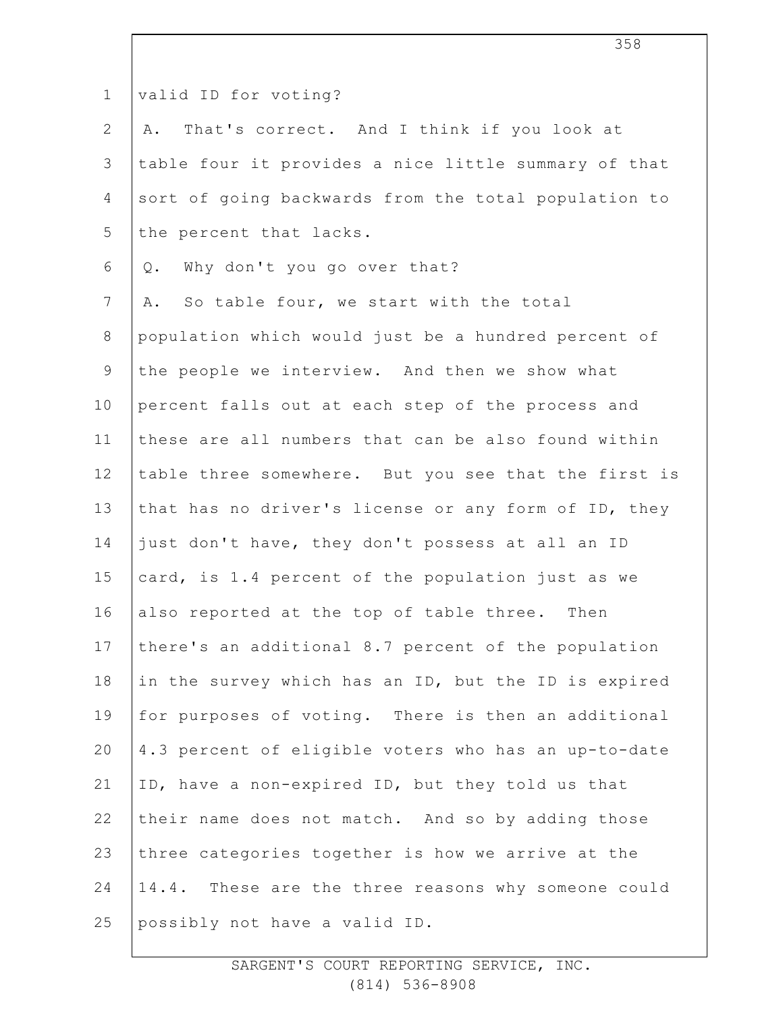| $\mathbf 1$      | valid ID for voting?                                 |
|------------------|------------------------------------------------------|
| 2                | That's correct. And I think if you look at<br>Α.     |
| 3                | table four it provides a nice little summary of that |
| 4                | sort of going backwards from the total population to |
| 5                | the percent that lacks.                              |
| 6                | Why don't you go over that?<br>$Q$ .                 |
| $\boldsymbol{7}$ | A. So table four, we start with the total            |
| 8                | population which would just be a hundred percent of  |
| 9                | the people we interview. And then we show what       |
| 10               | percent falls out at each step of the process and    |
| 11               | these are all numbers that can be also found within  |
| 12               | table three somewhere. But you see that the first is |
| 13               | that has no driver's license or any form of ID, they |
| 14               | just don't have, they don't possess at all an ID     |
| 15               | card, is 1.4 percent of the population just as we    |
| 16               | also reported at the top of table three. Then        |
| 17               | there's an additional 8.7 percent of the population  |
| 18               | in the survey which has an ID, but the ID is expired |
| 19               | for purposes of voting. There is then an additional  |
| 20               | 4.3 percent of eligible voters who has an up-to-date |
| 21               | ID, have a non-expired ID, but they told us that     |
| 22               | their name does not match. And so by adding those    |
| 23               | three categories together is how we arrive at the    |
| 24               | 14.4. These are the three reasons why someone could  |
| 25               | possibly not have a valid ID.                        |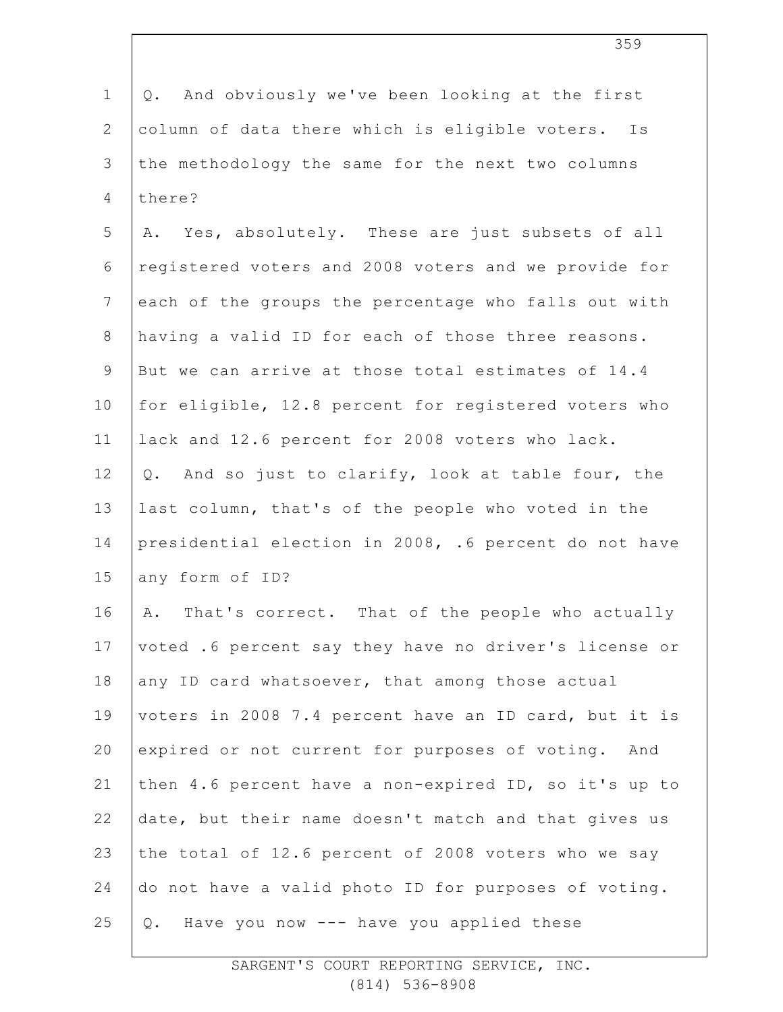1 2 3 4 5 6 7 8 9 10 11 12 13 14 15 16 17 18 19 20 21 22 23 24 25 Q. And obviously we've been looking at the first column of data there which is eligible voters. Is the methodology the same for the next two columns there? A. Yes, absolutely. These are just subsets of all registered voters and 2008 voters and we provide for each of the groups the percentage who falls out with having a valid ID for each of those three reasons. But we can arrive at those total estimates of 14.4 for eligible, 12.8 percent for registered voters who lack and 12.6 percent for 2008 voters who lack. Q. And so just to clarify, look at table four, the last column, that's of the people who voted in the presidential election in 2008, .6 percent do not have any form of ID? A. That's correct. That of the people who actually voted .6 percent say they have no driver's license or any ID card whatsoever, that among those actual voters in 2008 7.4 percent have an ID card, but it is expired or not current for purposes of voting. And then 4.6 percent have a non-expired ID, so it's up to date, but their name doesn't match and that gives us the total of 12.6 percent of 2008 voters who we say do not have a valid photo ID for purposes of voting. Q. Have you now --- have you applied these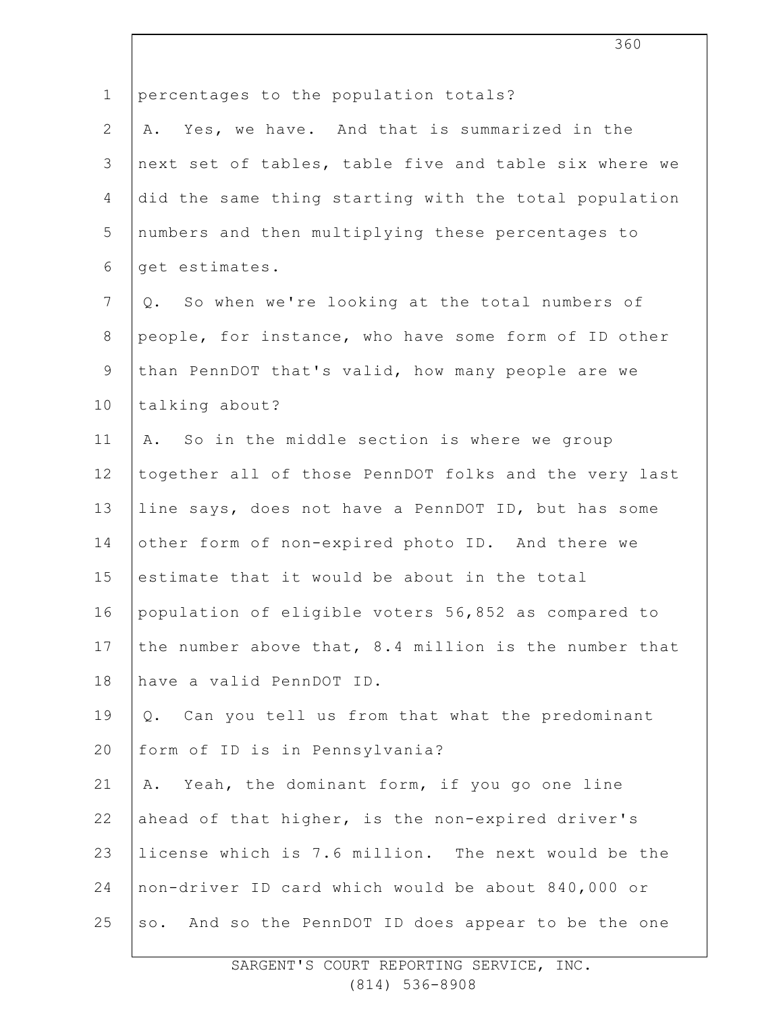| $\mathbf 1$    | percentages to the population totals?                 |
|----------------|-------------------------------------------------------|
| $\mathbf{2}$   | Yes, we have. And that is summarized in the<br>Α.     |
| 3              | next set of tables, table five and table six where we |
| 4              | did the same thing starting with the total population |
| 5              | numbers and then multiplying these percentages to     |
| 6              | get estimates.                                        |
| $7\phantom{.}$ | So when we're looking at the total numbers of<br>Q.   |
| $8\,$          | people, for instance, who have some form of ID other  |
| $\mathsf 9$    | than PennDOT that's valid, how many people are we     |
| 10             | talking about?                                        |
| 11             | A. So in the middle section is where we group         |
| 12             | together all of those PennDOT folks and the very last |
| 13             | line says, does not have a PennDOT ID, but has some   |
| 14             | other form of non-expired photo ID. And there we      |
| 15             | estimate that it would be about in the total          |
| 16             | population of eligible voters 56,852 as compared to   |
| 17             | the number above that, 8.4 million is the number that |
| 18             | have a valid PennDOT ID.                              |
| 19             | Can you tell us from that what the predominant<br>Q.  |
| 20             | form of ID is in Pennsylvania?                        |
| 21             | A. Yeah, the dominant form, if you go one line        |
| 22             | ahead of that higher, is the non-expired driver's     |
| 23             | license which is 7.6 million. The next would be the   |
| 24             | non-driver ID card which would be about 840,000 or    |
| 25             | so. And so the PennDOT ID does appear to be the one   |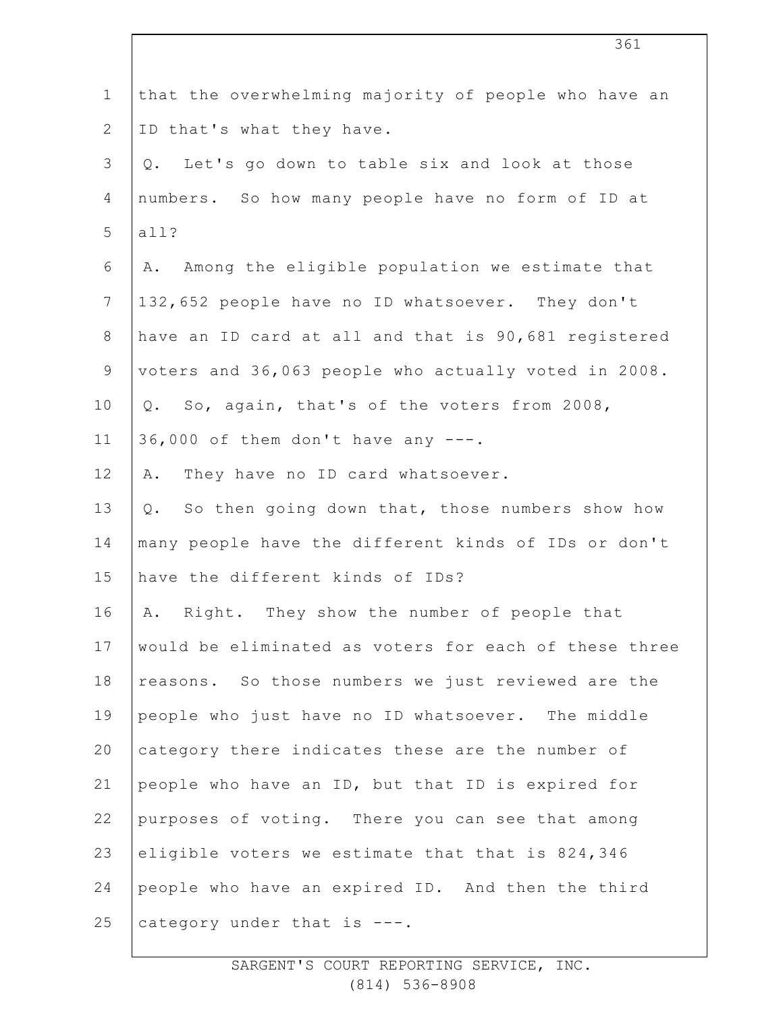| $\mathbf 1$    | that the overwhelming majority of people who have an  |
|----------------|-------------------------------------------------------|
| $\overline{2}$ | ID that's what they have.                             |
| 3              | Let's go down to table six and look at those<br>$Q$ . |
| 4              | numbers. So how many people have no form of ID at     |
| 5              | all?                                                  |
| 6              | Among the eligible population we estimate that<br>Α.  |
| 7              | 132,652 people have no ID whatsoever. They don't      |
| $8\,$          | have an ID card at all and that is 90,681 registered  |
| $\mathsf 9$    | voters and 36,063 people who actually voted in 2008.  |
| 10             | So, again, that's of the voters from 2008,<br>Q.      |
| 11             | 36,000 of them don't have any ---.                    |
| 12             | They have no ID card whatsoever.<br>Α.                |
| 13             | So then going down that, those numbers show how<br>Q. |
| 14             | many people have the different kinds of IDs or don't  |
| 15             | have the different kinds of IDs?                      |
| 16             | Right. They show the number of people that<br>Α.      |
| 17             | would be eliminated as voters for each of these three |
| 18             | reasons. So those numbers we just reviewed are the    |
| 19             | people who just have no ID whatsoever. The middle     |
| 20             | category there indicates these are the number of      |
| 21             | people who have an ID, but that ID is expired for     |
| 22             | purposes of voting. There you can see that among      |
| 23             | eligible voters we estimate that that is 824,346      |
| 24             | people who have an expired ID. And then the third     |
| 25             | category under that is ---.                           |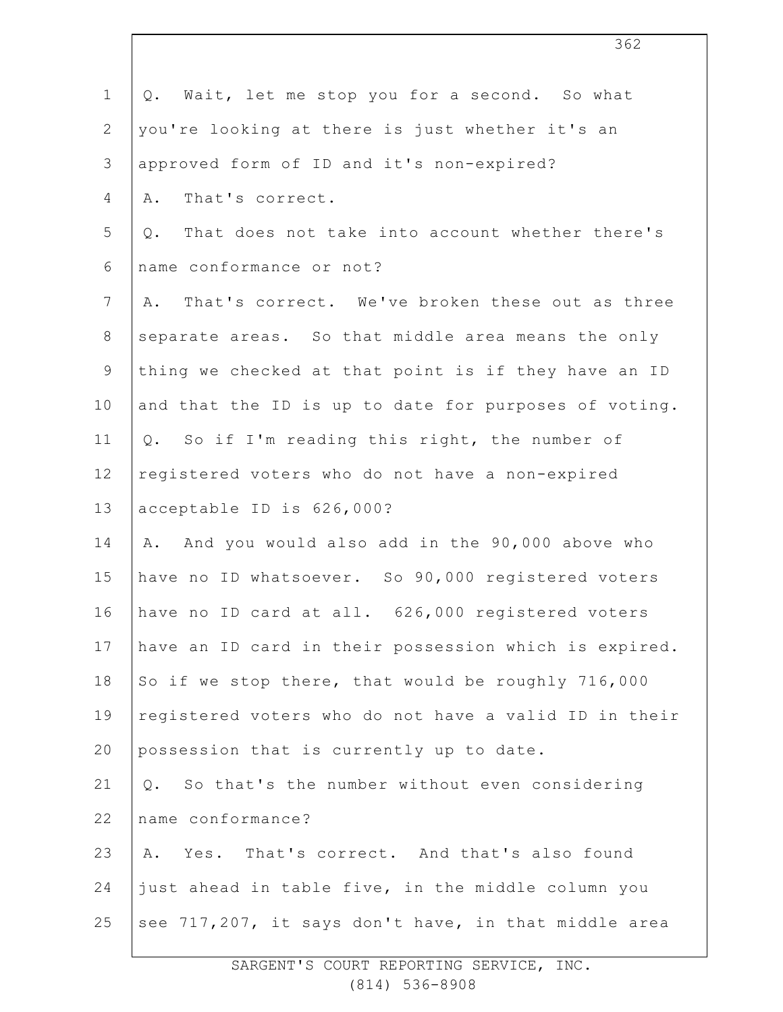| $\mathbf 1$    | Wait, let me stop you for a second. So what<br>Q.     |
|----------------|-------------------------------------------------------|
| $\mathbf{2}$   | you're looking at there is just whether it's an       |
| 3              | approved form of ID and it's non-expired?             |
| $\overline{4}$ | That's correct.<br>Α.                                 |
| 5              | That does not take into account whether there's<br>Q. |
| 6              | name conformance or not?                              |
| $7\phantom{.}$ | That's correct. We've broken these out as three<br>Α. |
| $8\,$          | separate areas. So that middle area means the only    |
| $\mathsf 9$    | thing we checked at that point is if they have an ID  |
| 10             | and that the ID is up to date for purposes of voting. |
| 11             | Q. So if I'm reading this right, the number of        |
| 12             | registered voters who do not have a non-expired       |
| 13             | acceptable ID is 626,000?                             |
| 14             | And you would also add in the 90,000 above who<br>Α.  |
| 15             | have no ID whatsoever. So 90,000 registered voters    |
| 16             | have no ID card at all. 626,000 registered voters     |
| 17             | have an ID card in their possession which is expired. |
| 18             | So if we stop there, that would be roughly 716,000    |
| 19             | registered voters who do not have a valid ID in their |
| 20             | possession that is currently up to date.              |
| 21             | So that's the number without even considering<br>Q.   |
| 22             | name conformance?                                     |
| 23             | A. Yes. That's correct. And that's also found         |
| 24             | just ahead in table five, in the middle column you    |
| 25             | see 717,207, it says don't have, in that middle area  |
|                |                                                       |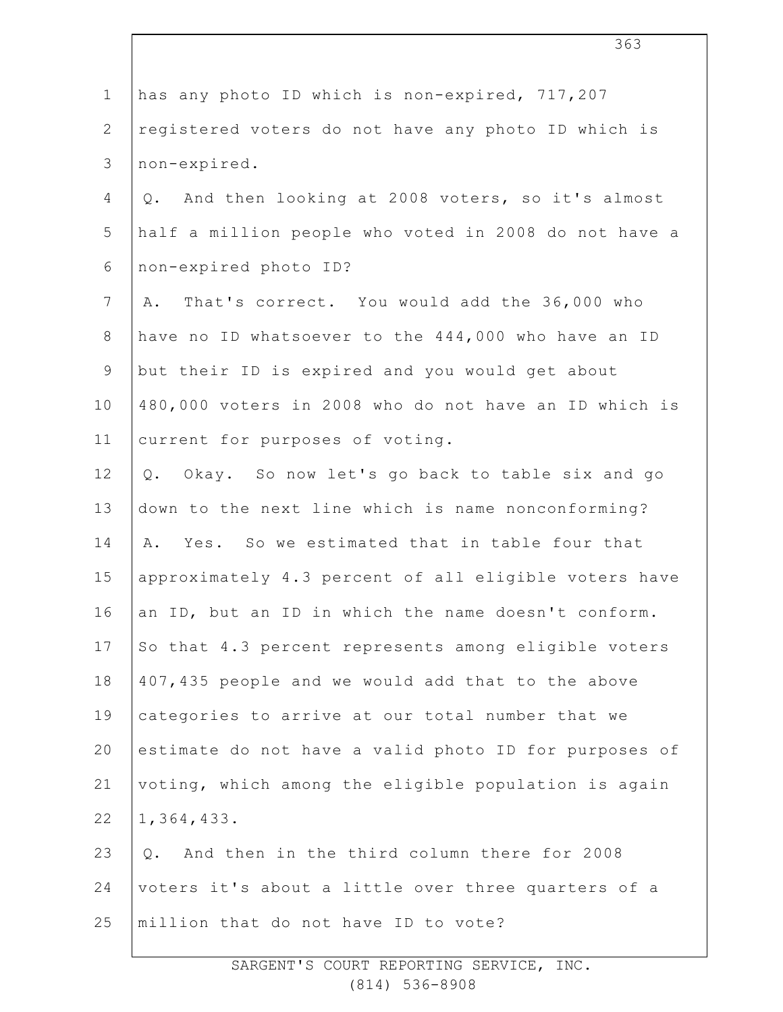| $\mathbf 1$    | has any photo ID which is non-expired, 717,207          |
|----------------|---------------------------------------------------------|
| $\overline{2}$ | registered voters do not have any photo ID which is     |
| 3              | non-expired.                                            |
| 4              | And then looking at 2008 voters, so it's almost<br>Q.   |
| 5              | half a million people who voted in 2008 do not have a   |
| 6              | non-expired photo ID?                                   |
| $\overline{7}$ | That's correct. You would add the 36,000 who<br>Α.      |
| $8\,$          | have no ID whatsoever to the 444,000 who have an ID     |
| $\mathsf 9$    | but their ID is expired and you would get about         |
| 10             | 480,000 voters in 2008 who do not have an ID which is   |
| 11             | current for purposes of voting.                         |
| 12             | Okay. So now let's go back to table six and go<br>$Q$ . |
| 13             | down to the next line which is name nonconforming?      |
| 14             | Yes. So we estimated that in table four that<br>Α.      |
| 15             | approximately 4.3 percent of all eligible voters have   |
| 16             | an ID, but an ID in which the name doesn't conform.     |
| 17             | So that 4.3 percent represents among eligible voters    |
| 18             | 407,435 people and we would add that to the above       |
| 19             | categories to arrive at our total number that we        |
| 20             | estimate do not have a valid photo ID for purposes of   |
| 21             | voting, which among the eligible population is again    |
| 22             | 1,364,433.                                              |
| 23             | And then in the third column there for 2008<br>Q.       |
| 24             | voters it's about a little over three quarters of a     |
| 25             | million that do not have ID to vote?                    |
|                |                                                         |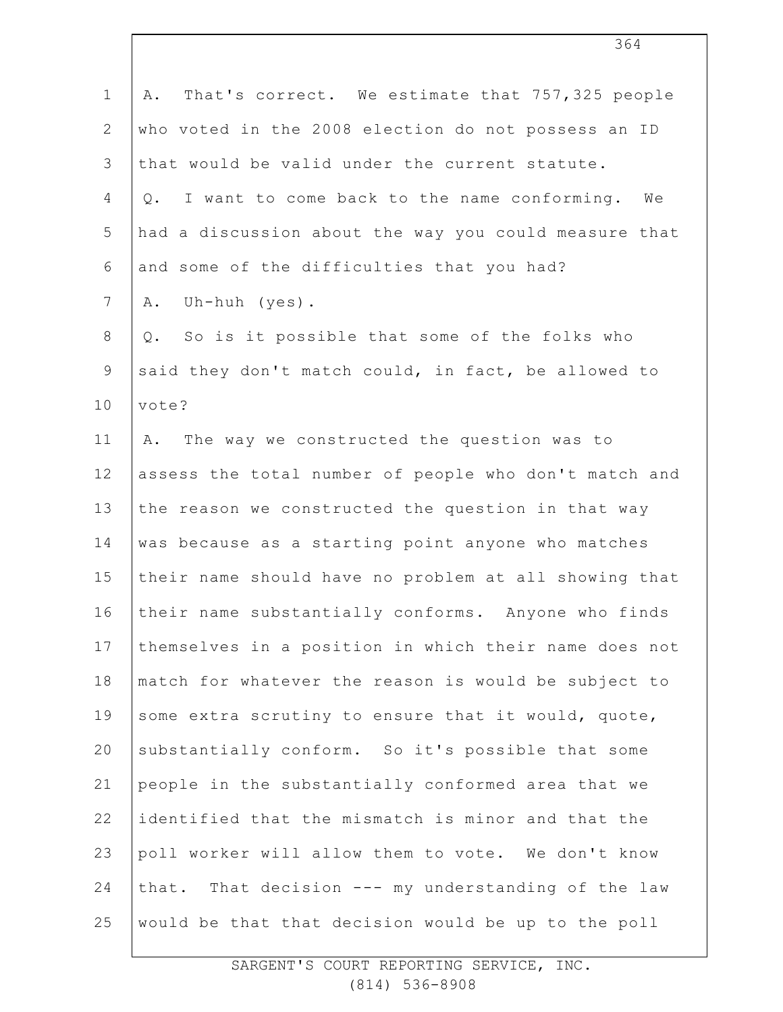| $\mathbf 1$    | That's correct. We estimate that 757,325 people<br>Α.   |
|----------------|---------------------------------------------------------|
| $\mathbf{2}$   | who voted in the 2008 election do not possess an ID     |
| 3              | that would be valid under the current statute.          |
| $\overline{4}$ | I want to come back to the name conforming.<br>We<br>Q. |
| 5              | had a discussion about the way you could measure that   |
| 6              | and some of the difficulties that you had?              |
| $7\phantom{.}$ | Uh-huh (yes).<br>Α.                                     |
| $8\,$          | So is it possible that some of the folks who<br>Q.      |
| $\overline{9}$ | said they don't match could, in fact, be allowed to     |
| 10             | vote?                                                   |
| 11             | The way we constructed the question was to<br>Α.        |
| 12             | assess the total number of people who don't match and   |
| 13             | the reason we constructed the question in that way      |
| 14             | was because as a starting point anyone who matches      |
| 15             | their name should have no problem at all showing that   |
| 16             | their name substantially conforms. Anyone who finds     |
| 17             | themselves in a position in which their name does not   |
| 18             | match for whatever the reason is would be subject to    |
| 19             | some extra scrutiny to ensure that it would, quote,     |
| 20             | substantially conform. So it's possible that some       |
| 21             | people in the substantially conformed area that we      |
| 22             | identified that the mismatch is minor and that the      |
| 23             | poll worker will allow them to vote. We don't know      |
| 24             | that. That decision --- my understanding of the law     |
| 25             | would be that that decision would be up to the poll     |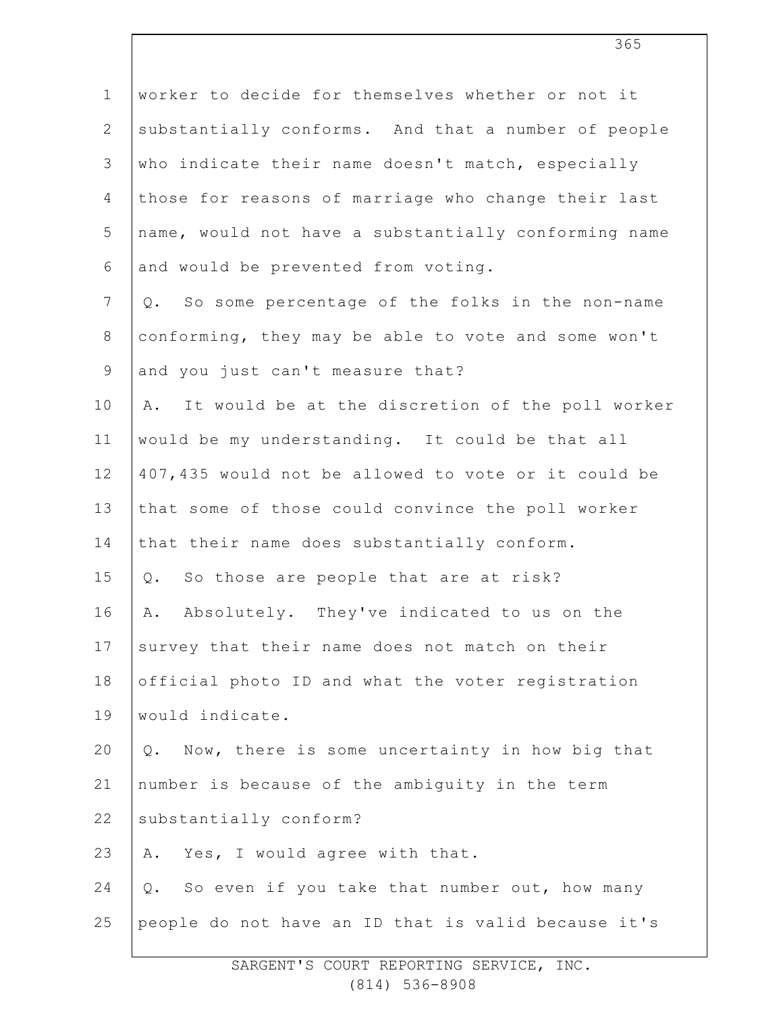| $\mathbf 1$    | worker to decide for themselves whether or not it      |
|----------------|--------------------------------------------------------|
| $\mathbf{2}$   | substantially conforms. And that a number of people    |
| 3              | who indicate their name doesn't match, especially      |
| $\overline{4}$ | those for reasons of marriage who change their last    |
| 5              | name, would not have a substantially conforming name   |
| 6              | and would be prevented from voting.                    |
| $7\phantom{.}$ | So some percentage of the folks in the non-name<br>Q.  |
| $8\,$          | conforming, they may be able to vote and some won't    |
| $\mathsf 9$    | and you just can't measure that?                       |
| 10             | It would be at the discretion of the poll worker<br>Α. |
| 11             | would be my understanding. It could be that all        |
| 12             | 407, 435 would not be allowed to vote or it could be   |
| 13             | that some of those could convince the poll worker      |
| 14             | that their name does substantially conform.            |
| 15             | So those are people that are at risk?<br>Q.            |
| 16             | Absolutely. They've indicated to us on the<br>Α.       |
| 17             | survey that their name does not match on their         |
| 18             | official photo ID and what the voter registration      |
| 19             | would indicate.                                        |
| 20             | Q. Now, there is some uncertainty in how big that      |
| 21             | number is because of the ambiguity in the term         |
| 22             | substantially conform?                                 |
| 23             | Yes, I would agree with that.<br>Α.                    |
| 24             | So even if you take that number out, how many<br>Q.    |
| 25             | people do not have an ID that is valid because it's    |
|                |                                                        |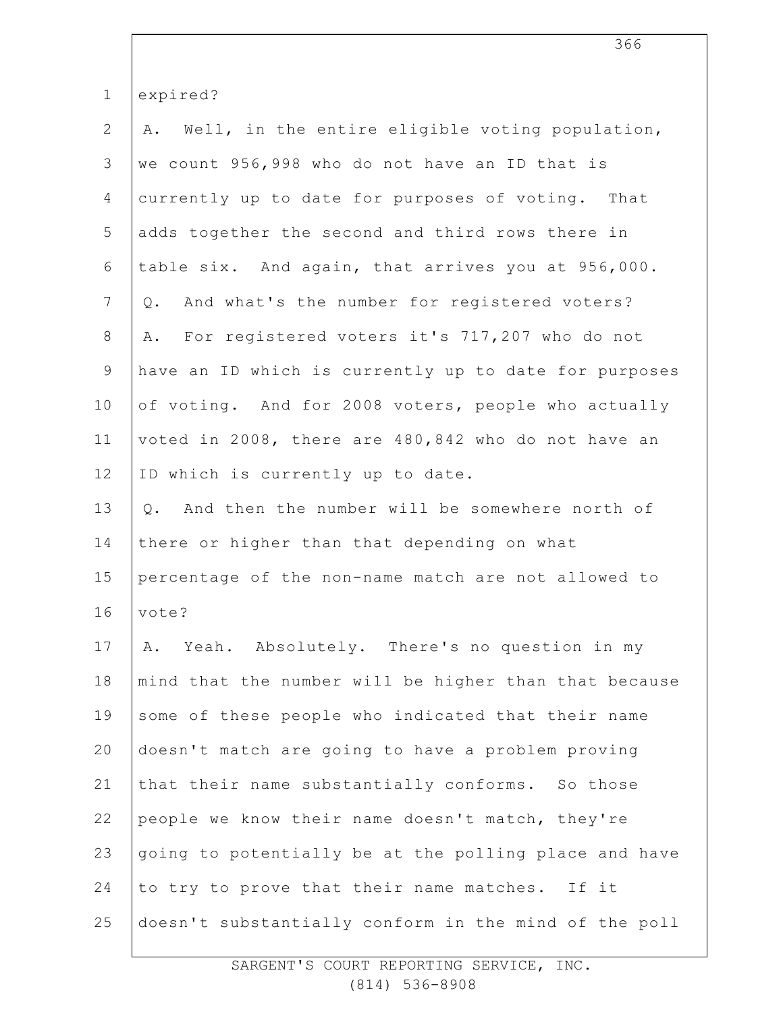| $\mathbf 1$    | expired?                                              |
|----------------|-------------------------------------------------------|
| $\mathbf{2}$   | Well, in the entire eligible voting population,<br>Α. |
| 3              | we count 956,998 who do not have an ID that is        |
| 4              | currently up to date for purposes of voting. That     |
| 5              | adds together the second and third rows there in      |
| 6              | table six. And again, that arrives you at 956,000.    |
| $7\phantom{.}$ | And what's the number for registered voters?<br>Q.    |
| $8\,$          | For registered voters it's 717,207 who do not<br>Α.   |
| $\mathsf 9$    | have an ID which is currently up to date for purposes |
| 10             | of voting. And for 2008 voters, people who actually   |
| 11             | voted in 2008, there are 480,842 who do not have an   |
| 12             | ID which is currently up to date.                     |
| 13             | Q. And then the number will be somewhere north of     |
| 14             | there or higher than that depending on what           |
| 15             | percentage of the non-name match are not allowed to   |
| 16             | vote?                                                 |
| 17             | Yeah. Absolutely. There's no question in my<br>Α.     |
| 18             | mind that the number will be higher than that because |
| 19             | some of these people who indicated that their name    |
| 20             | doesn't match are going to have a problem proving     |
| 21             | that their name substantially conforms. So those      |
| 22             | people we know their name doesn't match, they're      |
| 23             | going to potentially be at the polling place and have |
| 24             | to try to prove that their name matches. If it        |
| 25             | doesn't substantially conform in the mind of the poll |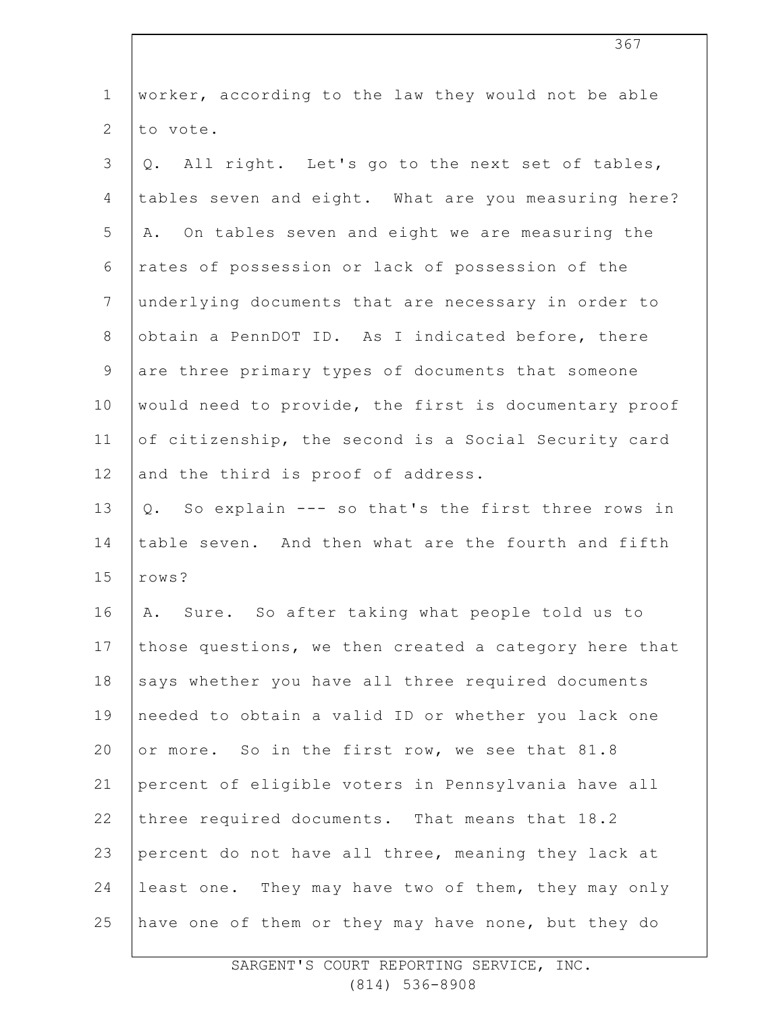| $\mathbf 1$    | worker, according to the law they would not be able   |
|----------------|-------------------------------------------------------|
| $\mathbf{2}$   | to vote.                                              |
| 3              | Q. All right. Let's go to the next set of tables,     |
| 4              | tables seven and eight. What are you measuring here?  |
| 5              | A. On tables seven and eight we are measuring the     |
| 6              | rates of possession or lack of possession of the      |
| $7\phantom{.}$ | underlying documents that are necessary in order to   |
| $8\,$          | obtain a PennDOT ID. As I indicated before, there     |
| $\mathsf 9$    | are three primary types of documents that someone     |
| 10             | would need to provide, the first is documentary proof |
| 11             | of citizenship, the second is a Social Security card  |
| 12             | and the third is proof of address.                    |
| 13             | Q. So explain --- so that's the first three rows in   |
| 14             | table seven. And then what are the fourth and fifth   |
| 15             | rows?                                                 |
| 16             | A. Sure. So after taking what people told us to       |
| 17             | those questions, we then created a category here that |
| 18             | says whether you have all three required documents    |
| 19             | needed to obtain a valid ID or whether you lack one   |
| 20             | or more. So in the first row, we see that 81.8        |
| 21             | percent of eligible voters in Pennsylvania have all   |
| 22             | three required documents. That means that 18.2        |
| 23             | percent do not have all three, meaning they lack at   |
| 24             | least one. They may have two of them, they may only   |
| 25             | have one of them or they may have none, but they do   |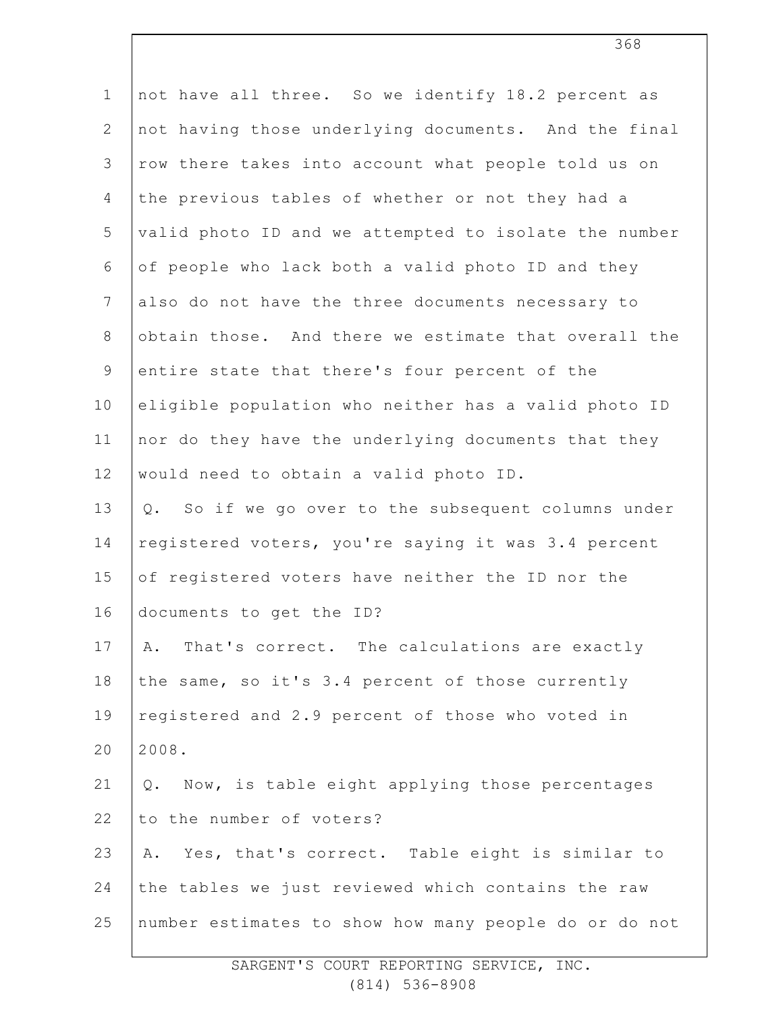| $\mathbf 1$    | not have all three. So we identify 18.2 percent as     |
|----------------|--------------------------------------------------------|
| $\mathbf{2}$   | not having those underlying documents. And the final   |
| 3              | row there takes into account what people told us on    |
| $\overline{4}$ | the previous tables of whether or not they had a       |
| 5              | valid photo ID and we attempted to isolate the number  |
| $\epsilon$     | of people who lack both a valid photo ID and they      |
| $7\phantom{.}$ | also do not have the three documents necessary to      |
| $8\,$          | obtain those. And there we estimate that overall the   |
| $\overline{9}$ | entire state that there's four percent of the          |
| 10             | eligible population who neither has a valid photo ID   |
| 11             | nor do they have the underlying documents that they    |
| 12             | would need to obtain a valid photo ID.                 |
| 13             | So if we go over to the subsequent columns under<br>Q. |
| 14             | registered voters, you're saying it was 3.4 percent    |
| 15             | of registered voters have neither the ID nor the       |
| 16             | documents to get the ID?                               |
| 17             | That's correct. The calculations are exactly<br>Α.     |
| 18             | the same, so it's 3.4 percent of those currently       |
| 19             | registered and 2.9 percent of those who voted in       |
| 20             | 2008.                                                  |
| 21             | Now, is table eight applying those percentages<br>Q.   |
| 22             | to the number of voters?                               |
| 23             | Yes, that's correct. Table eight is similar to<br>Α.   |
| 24             | the tables we just reviewed which contains the raw     |
| 25             | number estimates to show how many people do or do not  |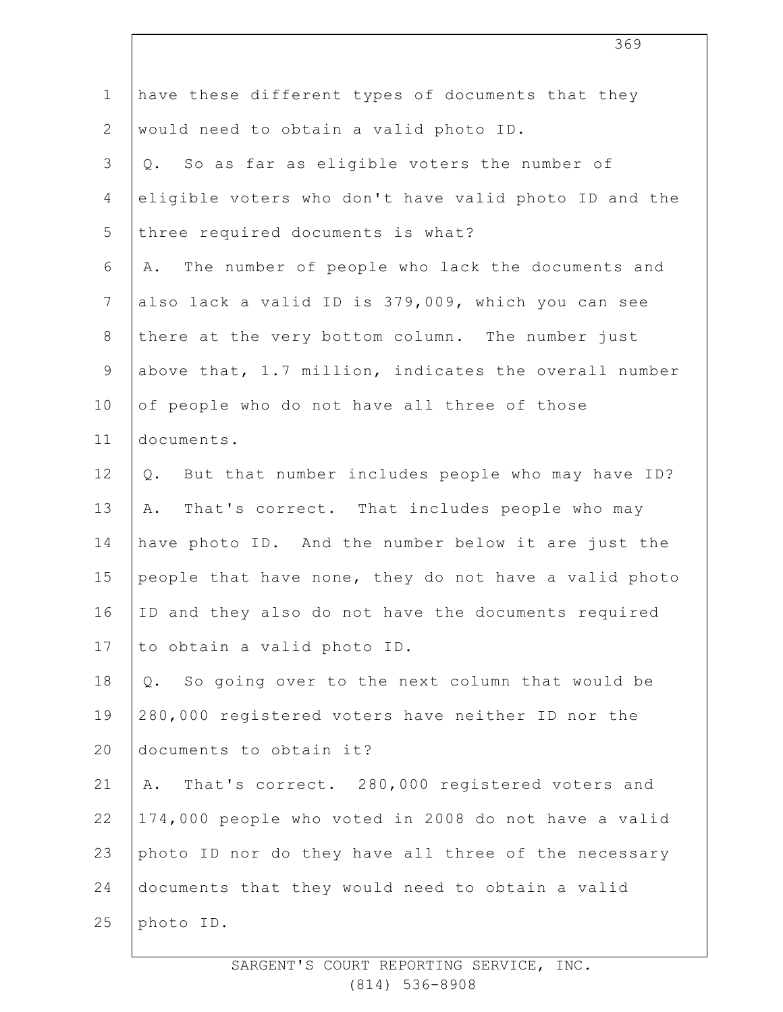| $\mathbf 1$    | have these different types of documents that they      |
|----------------|--------------------------------------------------------|
| $\mathbf{2}$   | would need to obtain a valid photo ID.                 |
| 3              | So as far as eligible voters the number of<br>Q.       |
| $\overline{4}$ | eligible voters who don't have valid photo ID and the  |
| 5              | three required documents is what?                      |
| 6              | The number of people who lack the documents and<br>Α.  |
| $\overline{7}$ | also lack a valid ID is 379,009, which you can see     |
| $8\,$          | there at the very bottom column. The number just       |
| $\mathsf 9$    | above that, 1.7 million, indicates the overall number  |
| 10             | of people who do not have all three of those           |
| 11             | documents.                                             |
| 12             | But that number includes people who may have ID?<br>Q. |
| 13             | That's correct. That includes people who may<br>Α.     |
| 14             | have photo ID. And the number below it are just the    |
| 15             | people that have none, they do not have a valid photo  |
| 16             | ID and they also do not have the documents required    |
| 17             | to obtain a valid photo ID.                            |
| 18             | So going over to the next column that would be<br>Q.   |
| 19             | 280,000 registered voters have neither ID nor the      |
| 20             | documents to obtain it?                                |
| 21             | That's correct. 280,000 registered voters and<br>Α.    |
| 22             | 174,000 people who voted in 2008 do not have a valid   |
| 23             | photo ID nor do they have all three of the necessary   |
| 24             | documents that they would need to obtain a valid       |
| 25             | photo ID.                                              |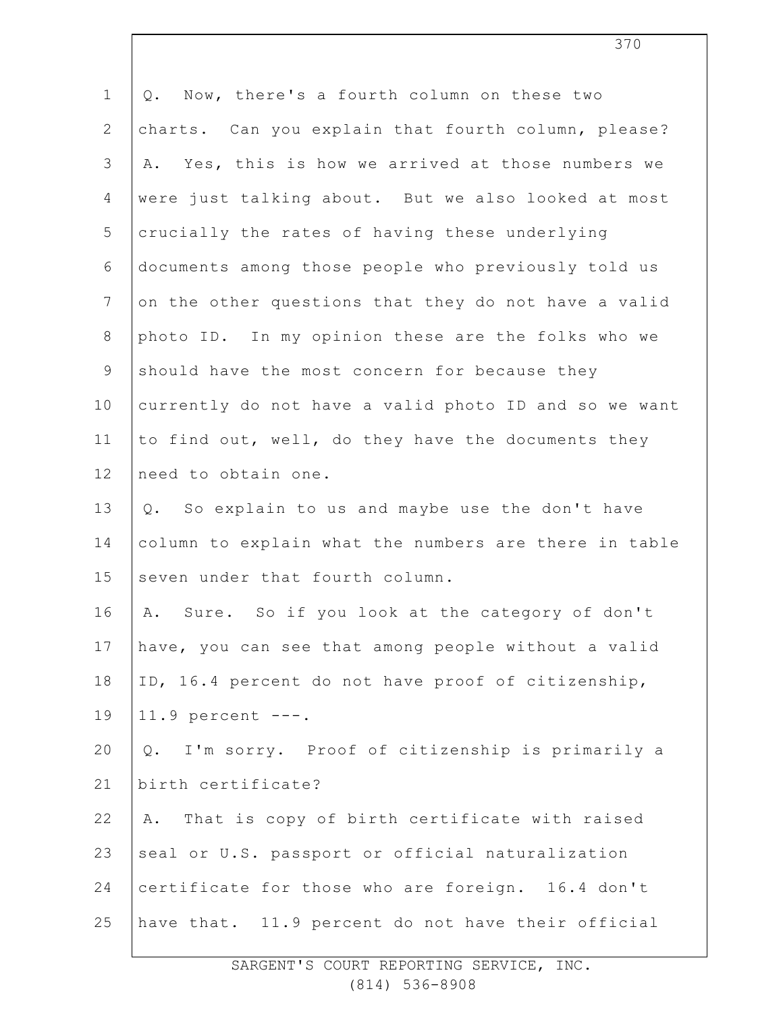| $\mathbf 1$    | Now, there's a fourth column on these two<br>Q.       |
|----------------|-------------------------------------------------------|
| $\mathbf{2}$   | charts. Can you explain that fourth column, please?   |
| 3              | Yes, this is how we arrived at those numbers we<br>Α. |
| $\overline{4}$ | were just talking about. But we also looked at most   |
| 5              | crucially the rates of having these underlying        |
| 6              | documents among those people who previously told us   |
| $7\phantom{.}$ | on the other questions that they do not have a valid  |
| $8\,$          | photo ID. In my opinion these are the folks who we    |
| $\mathsf 9$    | should have the most concern for because they         |
| 10             | currently do not have a valid photo ID and so we want |
| 11             | to find out, well, do they have the documents they    |
| 12             | need to obtain one.                                   |
| 13             | Q. So explain to us and maybe use the don't have      |
| 14             | column to explain what the numbers are there in table |
| 15             | seven under that fourth column.                       |
| 16             | Sure. So if you look at the category of don't<br>Α.   |
| 17             | have, you can see that among people without a valid   |
| 18             | ID, 16.4 percent do not have proof of citizenship,    |
| 19             | $11.9$ percent $---$ .                                |
| 20             | I'm sorry. Proof of citizenship is primarily a<br>Q.  |
| 21             | birth certificate?                                    |
| 22             | That is copy of birth certificate with raised<br>Α.   |
| 23             | seal or U.S. passport or official naturalization      |
| 24             | certificate for those who are foreign. 16.4 don't     |
| 25             | have that. 11.9 percent do not have their official    |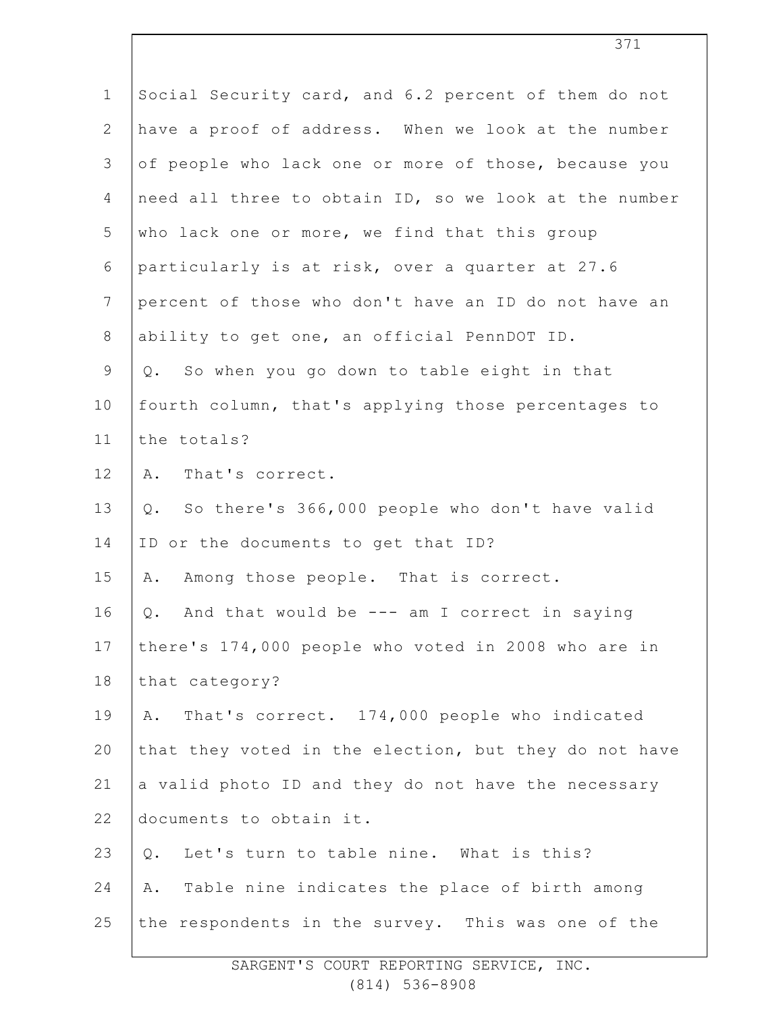| $\mathbf 1$    | Social Security card, and 6.2 percent of them do not    |
|----------------|---------------------------------------------------------|
| $\overline{2}$ | have a proof of address. When we look at the number     |
| 3              | of people who lack one or more of those, because you    |
| $\overline{4}$ | need all three to obtain ID, so we look at the number   |
| 5              | who lack one or more, we find that this group           |
| 6              | particularly is at risk, over a quarter at 27.6         |
| $7\phantom{.}$ | percent of those who don't have an ID do not have an    |
| $8\,$          | ability to get one, an official PennDOT ID.             |
| 9              | So when you go down to table eight in that<br>Q.        |
| 10             | fourth column, that's applying those percentages to     |
| 11             | the totals?                                             |
| 12             | A. That's correct.                                      |
| 13             | So there's 366,000 people who don't have valid<br>$Q$ . |
| 14             | ID or the documents to get that ID?                     |
| 15             | Among those people. That is correct.<br>Α.              |
| 16             | And that would be $---$ am I correct in saying<br>$Q$ . |
| 17             | there's 174,000 people who voted in 2008 who are in     |
| 18             | that category?                                          |
| 19             | That's correct. 174,000 people who indicated<br>Α.      |
| 20             | that they voted in the election, but they do not have   |
| 21             | a valid photo ID and they do not have the necessary     |
| 22             | documents to obtain it.                                 |
| 23             | Let's turn to table nine. What is this?<br>$Q$ .        |
| 24             | Table nine indicates the place of birth among<br>Α.     |
| 25             | the respondents in the survey. This was one of the      |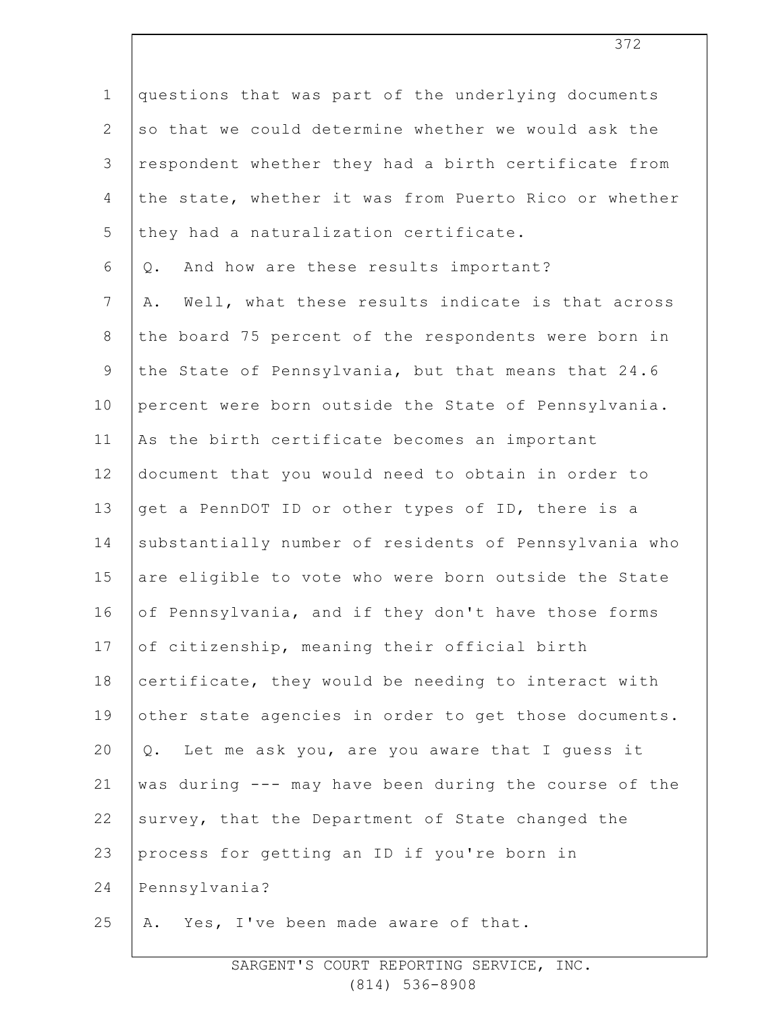| $\mathbf 1$     | questions that was part of the underlying documents    |
|-----------------|--------------------------------------------------------|
| 2               | so that we could determine whether we would ask the    |
| 3               | respondent whether they had a birth certificate from   |
| 4               | the state, whether it was from Puerto Rico or whether  |
| 5               | they had a naturalization certificate.                 |
| 6               | And how are these results important?<br>Q.             |
| $7\phantom{.0}$ | Well, what these results indicate is that across<br>Α. |
| 8               | the board 75 percent of the respondents were born in   |
| $\mathcal{G}$   | the State of Pennsylvania, but that means that 24.6    |
| 10              | percent were born outside the State of Pennsylvania.   |
| 11              | As the birth certificate becomes an important          |
| 12 <sub>2</sub> | document that you would need to obtain in order to     |
| 13              | get a PennDOT ID or other types of ID, there is a      |
| 14              | substantially number of residents of Pennsylvania who  |
| 15              | are eligible to vote who were born outside the State   |
| 16              | of Pennsylvania, and if they don't have those forms    |
| 17              | of citizenship, meaning their official birth           |
| 18              | certificate, they would be needing to interact with    |
| 19              | other state agencies in order to get those documents.  |
| 20              | Q. Let me ask you, are you aware that I guess it       |
| 21              | was during --- may have been during the course of the  |
| 22              | survey, that the Department of State changed the       |
| 23              | process for getting an ID if you're born in            |
| 24              | Pennsylvania?                                          |
| 25              | A. Yes, I've been made aware of that.                  |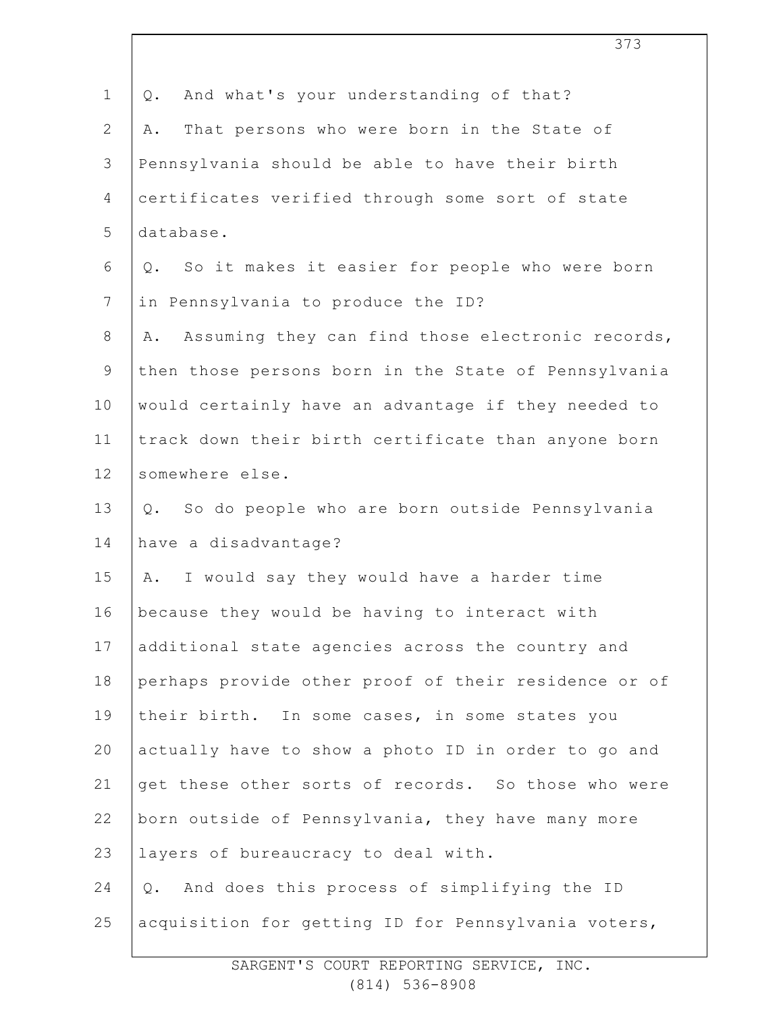| $\mathbf 1$    | And what's your understanding of that?<br>Q.           |
|----------------|--------------------------------------------------------|
| $\mathbf{2}$   | That persons who were born in the State of<br>Α.       |
| 3              | Pennsylvania should be able to have their birth        |
| 4              | certificates verified through some sort of state       |
| 5              | database.                                              |
| 6              | So it makes it easier for people who were born<br>Q.   |
| $\overline{7}$ | in Pennsylvania to produce the ID?                     |
| $8\,$          | Assuming they can find those electronic records,<br>Α. |
| $\mathsf 9$    | then those persons born in the State of Pennsylvania   |
| 10             | would certainly have an advantage if they needed to    |
| 11             | track down their birth certificate than anyone born    |
| 12             | somewhere else.                                        |
| 13             | So do people who are born outside Pennsylvania<br>Q.   |
| 14             | have a disadvantage?                                   |
| 15             | I would say they would have a harder time<br>Α.        |
| 16             | because they would be having to interact with          |
| 17             | additional state agencies across the country and       |
| 18             | perhaps provide other proof of their residence or of   |
| 19             | their birth. In some cases, in some states you         |
| 20             | actually have to show a photo ID in order to go and    |
| 21             | get these other sorts of records. So those who were    |
| 22             | born outside of Pennsylvania, they have many more      |
| 23             | layers of bureaucracy to deal with.                    |
| 24             | And does this process of simplifying the ID<br>Q.      |
| 25             | acquisition for getting ID for Pennsylvania voters,    |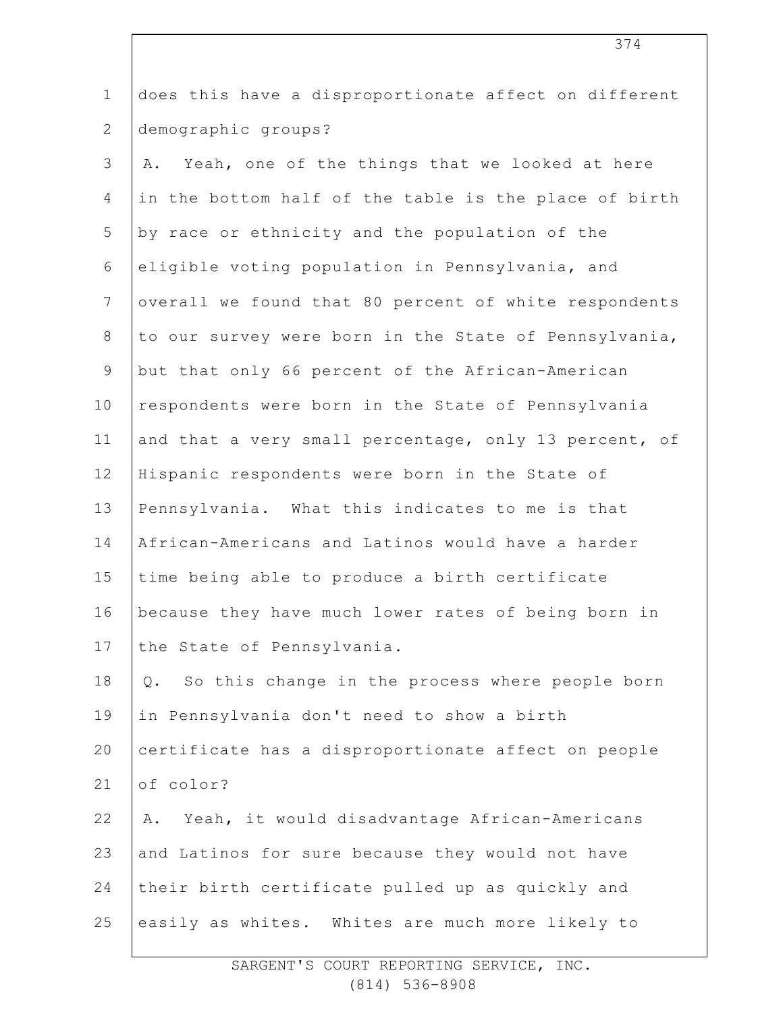| $\mathbf 1$    | does this have a disproportionate affect on different    |
|----------------|----------------------------------------------------------|
| $\mathbf{2}$   | demographic groups?                                      |
| 3              | Yeah, one of the things that we looked at here<br>Α.     |
| $\overline{4}$ | in the bottom half of the table is the place of birth    |
| 5              | by race or ethnicity and the population of the           |
| 6              | eligible voting population in Pennsylvania, and          |
| $7\phantom{.}$ | overall we found that 80 percent of white respondents    |
| $8\,$          | to our survey were born in the State of Pennsylvania,    |
| $\overline{9}$ | but that only 66 percent of the African-American         |
| 10             | respondents were born in the State of Pennsylvania       |
| 11             | and that a very small percentage, only 13 percent, of    |
| 12             | Hispanic respondents were born in the State of           |
| 13             | Pennsylvania. What this indicates to me is that          |
| 14             | African-Americans and Latinos would have a harder        |
| 15             | time being able to produce a birth certificate           |
| 16             | because they have much lower rates of being born in      |
| 17             | the State of Pennsylvania.                               |
| 18             | So this change in the process where people born<br>$Q$ . |
| 19             | in Pennsylvania don't need to show a birth               |
| 20             | certificate has a disproportionate affect on people      |
| 21             | of color?                                                |
| 22             | Yeah, it would disadvantage African-Americans<br>Α.      |
| 23             | and Latinos for sure because they would not have         |
| 24             | their birth certificate pulled up as quickly and         |
| 25             | easily as whites. Whites are much more likely to         |
|                |                                                          |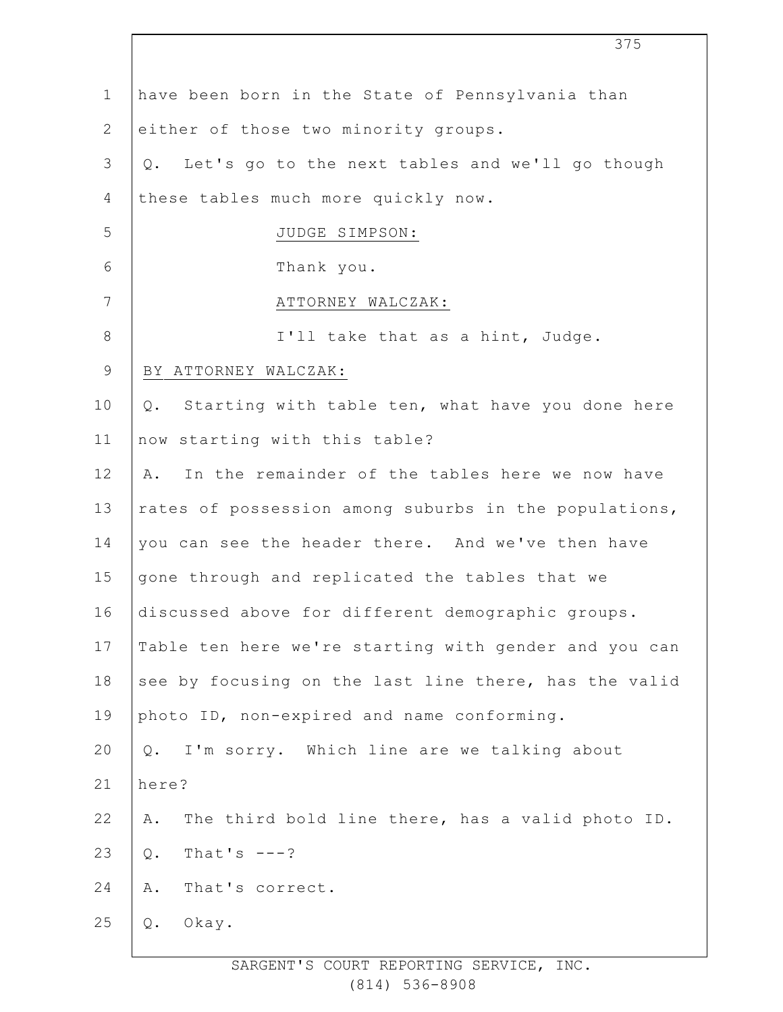| $\mathbf 1$    | have been born in the State of Pennsylvania than          |
|----------------|-----------------------------------------------------------|
| $\overline{2}$ | either of those two minority groups.                      |
| 3              | Let's go to the next tables and we'll go though<br>$Q$ .  |
| 4              | these tables much more quickly now.                       |
| 5              | JUDGE SIMPSON:                                            |
| 6              | Thank you.                                                |
| 7              | ATTORNEY WALCZAK:                                         |
| $8\,$          | I'll take that as a hint, Judge.                          |
| 9              | BY ATTORNEY WALCZAK:                                      |
| 10             | Starting with table ten, what have you done here<br>$Q$ . |
| 11             | now starting with this table?                             |
| 12             | In the remainder of the tables here we now have<br>Α.     |
| 13             | rates of possession among suburbs in the populations,     |
| 14             | you can see the header there. And we've then have         |
| 15             | gone through and replicated the tables that we            |
| 16             | discussed above for different demographic groups.         |
| 17             | Table ten here we're starting with gender and you can     |
| 18             | see by focusing on the last line there, has the valid     |
| 19             | photo ID, non-expired and name conforming.                |
| 20             | I'm sorry. Which line are we talking about<br>Q.          |
| 21             | here?                                                     |
| 22             | The third bold line there, has a valid photo ID.<br>Α.    |
| 23             | That's $---?$<br>$\mathbb Q$ .                            |
| 24             | Α.<br>That's correct.                                     |
| 25             | $\mathbb Q$ .<br>Okay.                                    |
|                |                                                           |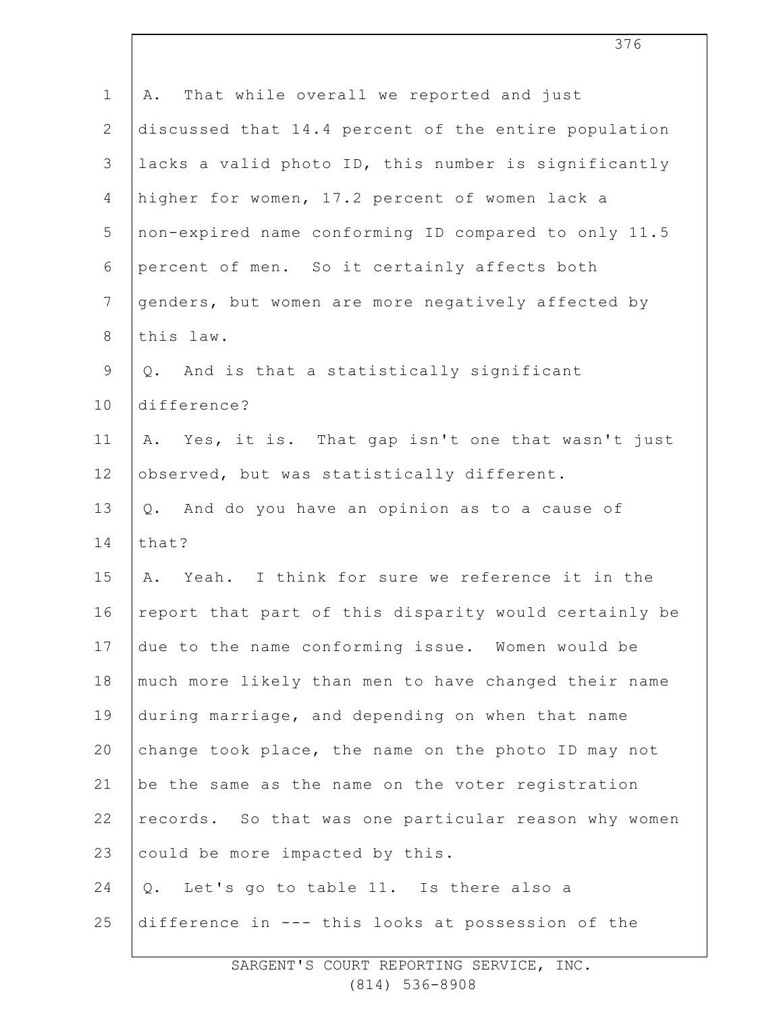| $\mathbf 1$    | That while overall we reported and just<br>Α.         |
|----------------|-------------------------------------------------------|
| $\overline{2}$ | discussed that 14.4 percent of the entire population  |
| 3              | lacks a valid photo ID, this number is significantly  |
| $\overline{4}$ | higher for women, 17.2 percent of women lack a        |
| 5              | non-expired name conforming ID compared to only 11.5  |
| $\sqrt{6}$     | percent of men. So it certainly affects both          |
| $7\phantom{.}$ | genders, but women are more negatively affected by    |
| $\,8\,$        | this law.                                             |
| $\mathsf 9$    | Q. And is that a statistically significant            |
| 10             | difference?                                           |
| 11             | A. Yes, it is. That gap isn't one that wasn't just    |
| 12             | observed, but was statistically different.            |
| 13             | Q. And do you have an opinion as to a cause of        |
| 14             | that?                                                 |
| 15             | A. Yeah. I think for sure we reference it in the      |
| 16             | report that part of this disparity would certainly be |
| 17             | due to the name conforming issue. Women would be      |
| 18             | much more likely than men to have changed their name  |
| 19             | during marriage, and depending on when that name      |
| 20             | change took place, the name on the photo ID may not   |
| 21             | be the same as the name on the voter registration     |
| 22             | records. So that was one particular reason why women  |
| 23             | could be more impacted by this.                       |
| 24             | Let's go to table 11. Is there also a<br>Q.           |
| 25             | difference in --- this looks at possession of the     |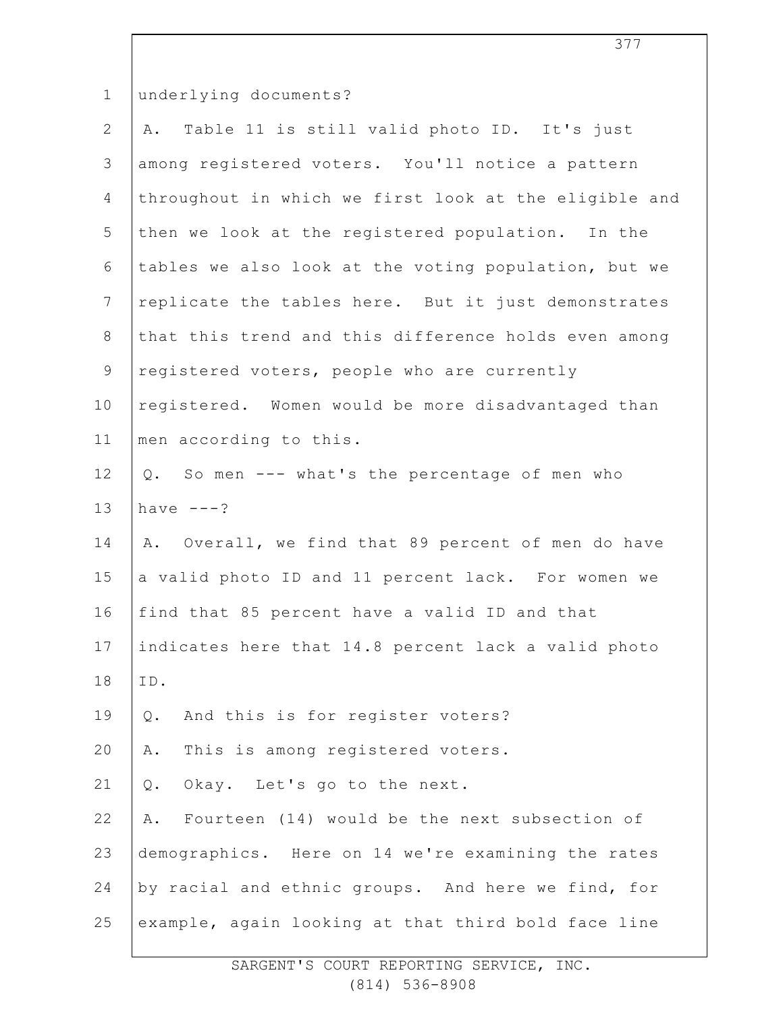| $\mathbf 1$     | underlying documents?                                 |
|-----------------|-------------------------------------------------------|
| $\mathbf{2}$    | Table 11 is still valid photo ID. It's just<br>Α.     |
| 3               | among registered voters. You'll notice a pattern      |
| $\overline{4}$  | throughout in which we first look at the eligible and |
| 5               | then we look at the registered population. In the     |
| 6               | tables we also look at the voting population, but we  |
| $7\phantom{.0}$ | replicate the tables here. But it just demonstrates   |
| $\,8\,$         | that this trend and this difference holds even among  |
| $\mathsf 9$     | registered voters, people who are currently           |
| 10              | registered. Women would be more disadvantaged than    |
| 11              | men according to this.                                |
| 12              | Q. So men --- what's the percentage of men who        |
| 13              | have $---?$                                           |
| 14              | A. Overall, we find that 89 percent of men do have    |
| 15              | a valid photo ID and 11 percent lack. For women we    |
| 16              | find that 85 percent have a valid ID and that         |
| 17              | indicates here that 14.8 percent lack a valid photo   |
| 18              | ID.                                                   |
| 19              | And this is for register voters?<br>Q.                |
| 20              | This is among registered voters.<br>Α.                |
| 21              | Okay. Let's go to the next.<br>Q.                     |
| 22              | Fourteen (14) would be the next subsection of<br>Α.   |
| 23              | demographics. Here on 14 we're examining the rates    |
| 24              | by racial and ethnic groups. And here we find, for    |
| 25              | example, again looking at that third bold face line   |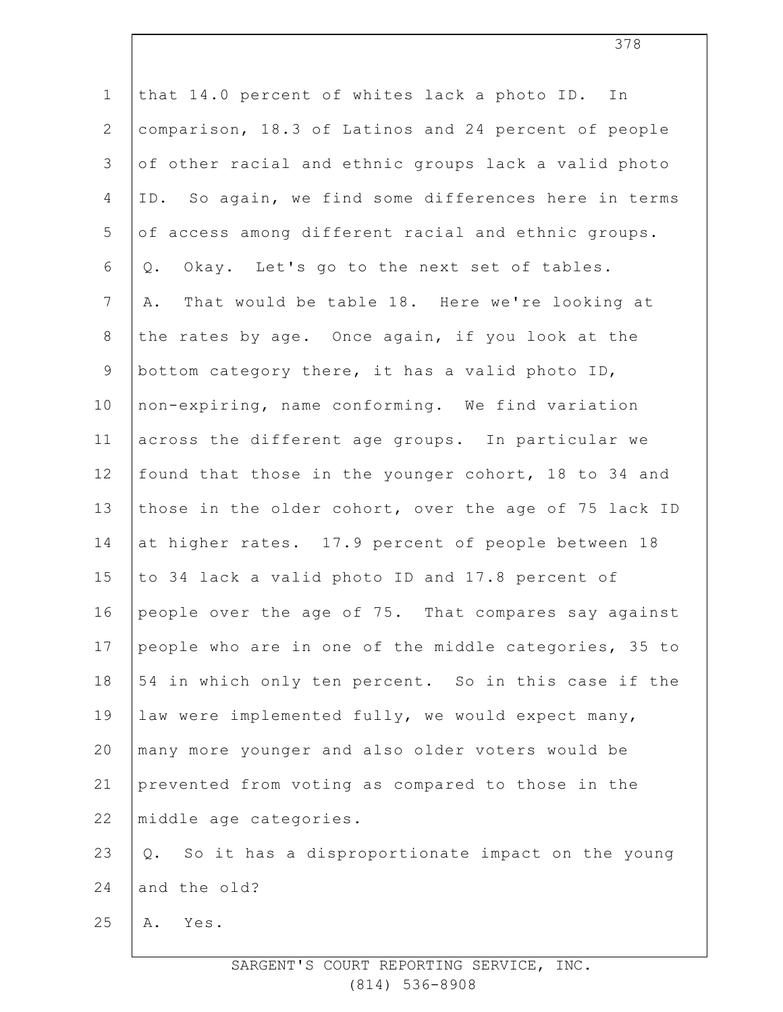| $\mathbf 1$    | that 14.0 percent of whites lack a photo ID. In        |
|----------------|--------------------------------------------------------|
| $\mathbf{2}$   | comparison, 18.3 of Latinos and 24 percent of people   |
| $\mathfrak{Z}$ | of other racial and ethnic groups lack a valid photo   |
| $\overline{4}$ | ID. So again, we find some differences here in terms   |
| 5              | of access among different racial and ethnic groups.    |
| 6              | Okay. Let's go to the next set of tables.<br>Q.        |
| $7\phantom{.}$ | That would be table 18. Here we're looking at<br>Α.    |
| $8\,$          | the rates by age. Once again, if you look at the       |
| $\mathsf 9$    | bottom category there, it has a valid photo ID,        |
| 10             | non-expiring, name conforming. We find variation       |
| 11             | across the different age groups. In particular we      |
| 12             | found that those in the younger cohort, 18 to 34 and   |
| 13             | those in the older cohort, over the age of 75 lack ID  |
| 14             | at higher rates. 17.9 percent of people between 18     |
| 15             | to 34 lack a valid photo ID and 17.8 percent of        |
| 16             | people over the age of 75. That compares say against   |
| 17             | people who are in one of the middle categories, 35 to  |
| 18             | 54 in which only ten percent. So in this case if the   |
| 19             | law were implemented fully, we would expect many,      |
| 20             | many more younger and also older voters would be       |
| 21             | prevented from voting as compared to those in the      |
| 22             | middle age categories.                                 |
| 23             | So it has a disproportionate impact on the young<br>Q. |
| 24             | and the old?                                           |
| 25             | Yes.<br>Α.                                             |
|                |                                                        |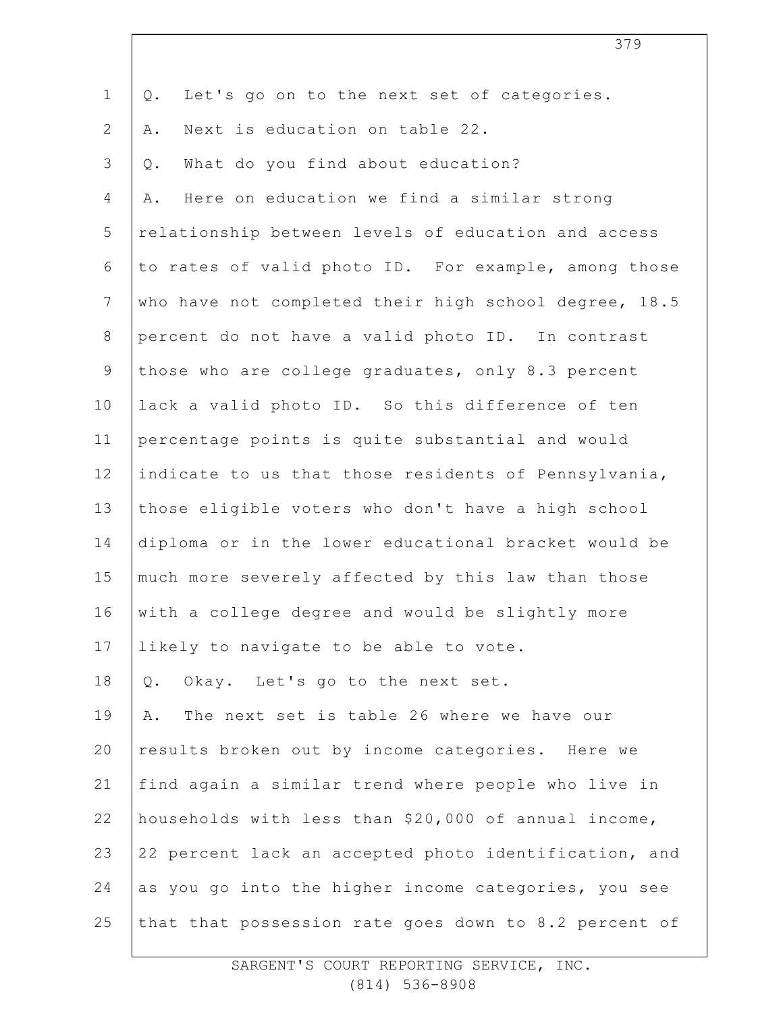| Let's go on to the next set of categories.<br>Q.      |
|-------------------------------------------------------|
| Next is education on table 22.<br>Α.                  |
| What do you find about education?<br>$Q$ .            |
| Here on education we find a similar strong<br>Α.      |
| relationship between levels of education and access   |
| to rates of valid photo ID. For example, among those  |
| who have not completed their high school degree, 18.5 |
| percent do not have a valid photo ID. In contrast     |
| those who are college graduates, only 8.3 percent     |
| lack a valid photo ID. So this difference of ten      |
| percentage points is quite substantial and would      |
| indicate to us that those residents of Pennsylvania,  |
| those eligible voters who don't have a high school    |
| diploma or in the lower educational bracket would be  |
| much more severely affected by this law than those    |
| with a college degree and would be slightly more      |
| likely to navigate to be able to vote.                |
| Okay. Let's go to the next set.<br>Q.                 |
| The next set is table 26 where we have our<br>Α.      |
| results broken out by income categories. Here we      |
| find again a similar trend where people who live in   |
| households with less than \$20,000 of annual income,  |
| 22 percent lack an accepted photo identification, and |
| as you go into the higher income categories, you see  |
| that that possession rate goes down to 8.2 percent of |
|                                                       |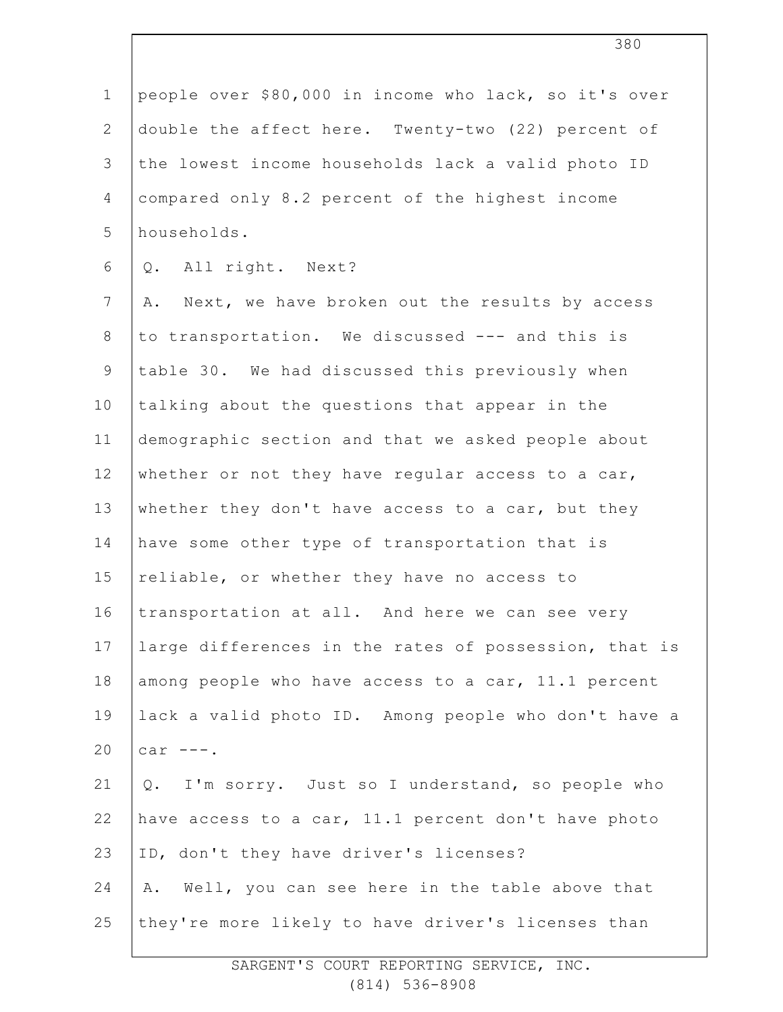| $1\,$          | people over \$80,000 in income who lack, so it's over |
|----------------|-------------------------------------------------------|
| $\mathbf{2}$   | double the affect here. Twenty-two (22) percent of    |
| 3              | the lowest income households lack a valid photo ID    |
| $\overline{4}$ | compared only 8.2 percent of the highest income       |
| 5              | households.                                           |
| 6              | Q. All right. Next?                                   |
| $\overline{7}$ | Next, we have broken out the results by access<br>Α.  |
| $\,8\,$        | to transportation. We discussed --- and this is       |
| $\mathsf 9$    | table 30. We had discussed this previously when       |
| 10             | talking about the questions that appear in the        |
| 11             | demographic section and that we asked people about    |
| 12             | whether or not they have regular access to a car,     |
| 13             | whether they don't have access to a car, but they     |
| 14             | have some other type of transportation that is        |
| 15             | reliable, or whether they have no access to           |
| 16             | transportation at all. And here we can see very       |
| 17             | large differences in the rates of possession, that is |
| 18             | among people who have access to a car, 11.1 percent   |
| 19             | lack a valid photo ID. Among people who don't have a  |
| 20             | car $---$ .                                           |
| 21             | Q. I'm sorry. Just so I understand, so people who     |
| 22             | have access to a car, 11.1 percent don't have photo   |
| 23             | ID, don't they have driver's licenses?                |
| 24             | Well, you can see here in the table above that<br>Α.  |
| 25             | they're more likely to have driver's licenses than    |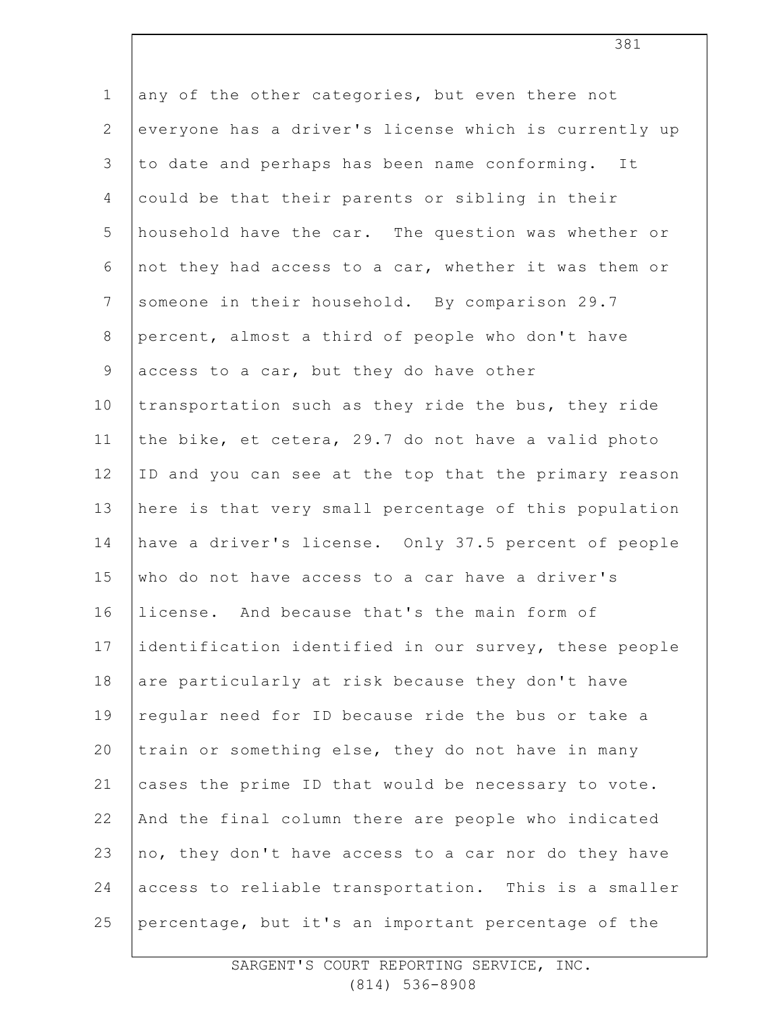1 2 3 4 5 6 7 8 9 10 11 12 13 14 15 16 17 18 19 20 21 22 23 24 25 any of the other categories, but even there not everyone has a driver's license which is currently up to date and perhaps has been name conforming. It could be that their parents or sibling in their household have the car. The question was whether or not they had access to a car, whether it was them or someone in their household. By comparison 29.7 percent, almost a third of people who don't have access to a car, but they do have other transportation such as they ride the bus, they ride the bike, et cetera, 29.7 do not have a valid photo ID and you can see at the top that the primary reason here is that very small percentage of this population have a driver's license. Only 37.5 percent of people who do not have access to a car have a driver's license. And because that's the main form of identification identified in our survey, these people are particularly at risk because they don't have regular need for ID because ride the bus or take a train or something else, they do not have in many cases the prime ID that would be necessary to vote. And the final column there are people who indicated no, they don't have access to a car nor do they have access to reliable transportation. This is a smaller percentage, but it's an important percentage of the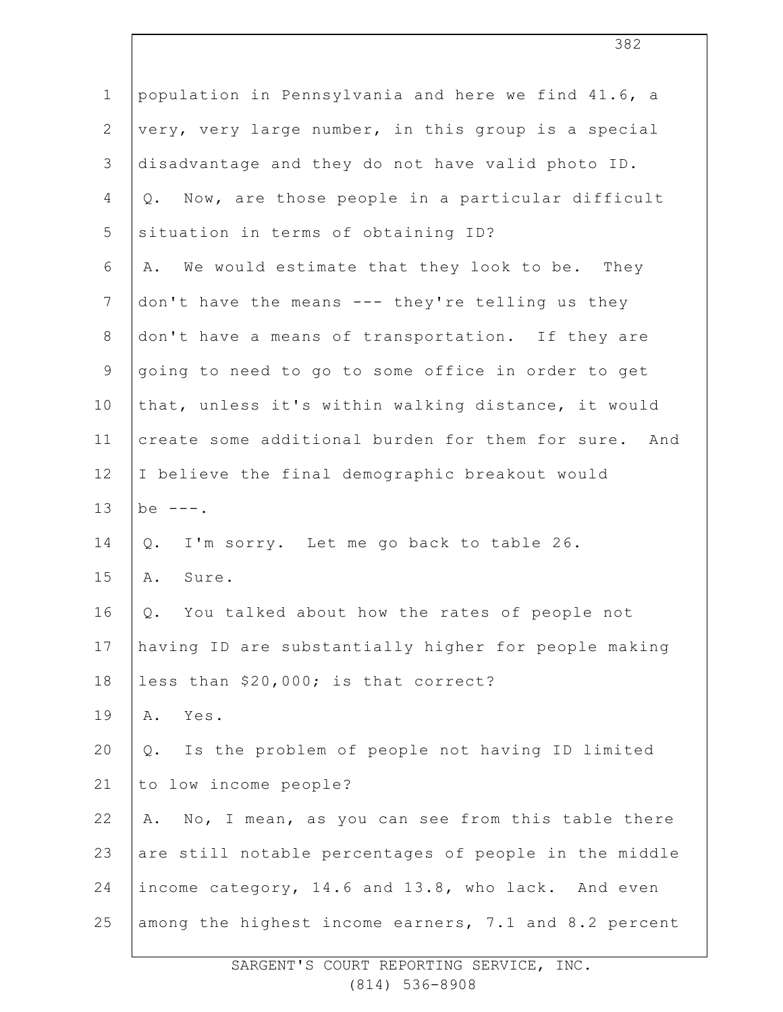| $\mathbf 1$    | population in Pennsylvania and here we find 41.6, a     |
|----------------|---------------------------------------------------------|
| $\mathbf{2}$   | very, very large number, in this group is a special     |
| 3              | disadvantage and they do not have valid photo ID.       |
| 4              | Now, are those people in a particular difficult<br>Q.   |
| 5              | situation in terms of obtaining ID?                     |
| 6              | We would estimate that they look to be. They<br>Α.      |
| $7\phantom{.}$ | don't have the means --- they're telling us they        |
| $8\,$          | don't have a means of transportation. If they are       |
| 9              | going to need to go to some office in order to get      |
| 10             | that, unless it's within walking distance, it would     |
| 11             | create some additional burden for them for sure. And    |
| 12             | I believe the final demographic breakout would          |
|                |                                                         |
| 13             | be $---$ .                                              |
| 14             | I'm sorry. Let me go back to table 26.<br>$Q$ .         |
| 15             | Α.<br>Sure.                                             |
| 16             | You talked about how the rates of people not<br>Q.      |
| 17             | having ID are substantially higher for people making    |
| 18             | less than \$20,000; is that correct?                    |
| 19             | Yes.<br>Α.                                              |
| 20             | Is the problem of people not having ID limited<br>$Q$ . |
| 21             | to low income people?                                   |
| 22             | No, I mean, as you can see from this table there<br>Α.  |
| 23             | are still notable percentages of people in the middle   |
| 24             | income category, 14.6 and 13.8, who lack. And even      |
| 25             | among the highest income earners, 7.1 and 8.2 percent   |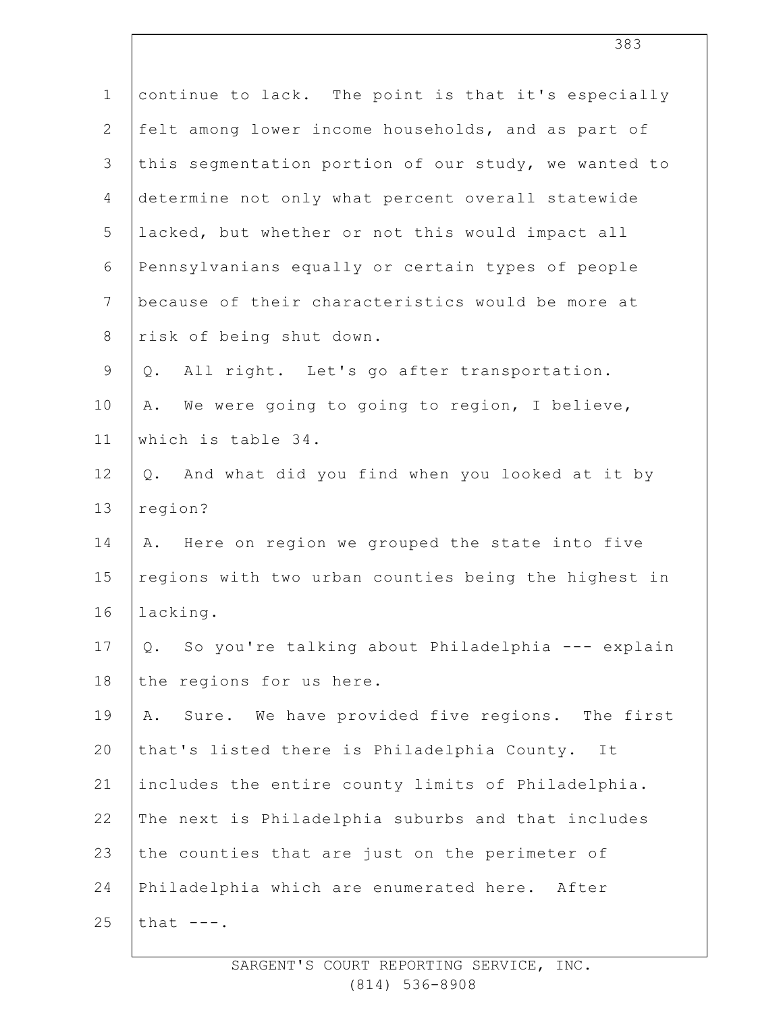| $\mathbf 1$    | continue to lack. The point is that it's especially    |
|----------------|--------------------------------------------------------|
| $\mathbf{2}$   | felt among lower income households, and as part of     |
| 3              | this segmentation portion of our study, we wanted to   |
| 4              | determine not only what percent overall statewide      |
| 5              | lacked, but whether or not this would impact all       |
| 6              | Pennsylvanians equally or certain types of people      |
| $7\phantom{.}$ | because of their characteristics would be more at      |
| $\,8\,$        | risk of being shut down.                               |
| $\mathsf 9$    | All right. Let's go after transportation.<br>Q.        |
| 10             | We were going to going to region, I believe,<br>Α.     |
| 11             | which is table 34.                                     |
| 12             | And what did you find when you looked at it by<br>Q.   |
| 13             | region?                                                |
| 14             | A. Here on region we grouped the state into five       |
| 15             | regions with two urban counties being the highest in   |
| 16             | lacking.                                               |
| 17             | So you're talking about Philadelphia --- explain<br>Q. |
| 18             | the regions for us here.                               |
| 19             | Sure. We have provided five regions. The first<br>Α.   |
| 20             | that's listed there is Philadelphia County. It         |
| 21             | includes the entire county limits of Philadelphia.     |
| 22             | The next is Philadelphia suburbs and that includes     |
| 23             | the counties that are just on the perimeter of         |
| 24             | Philadelphia which are enumerated here. After          |
| 25             | that $---$ .                                           |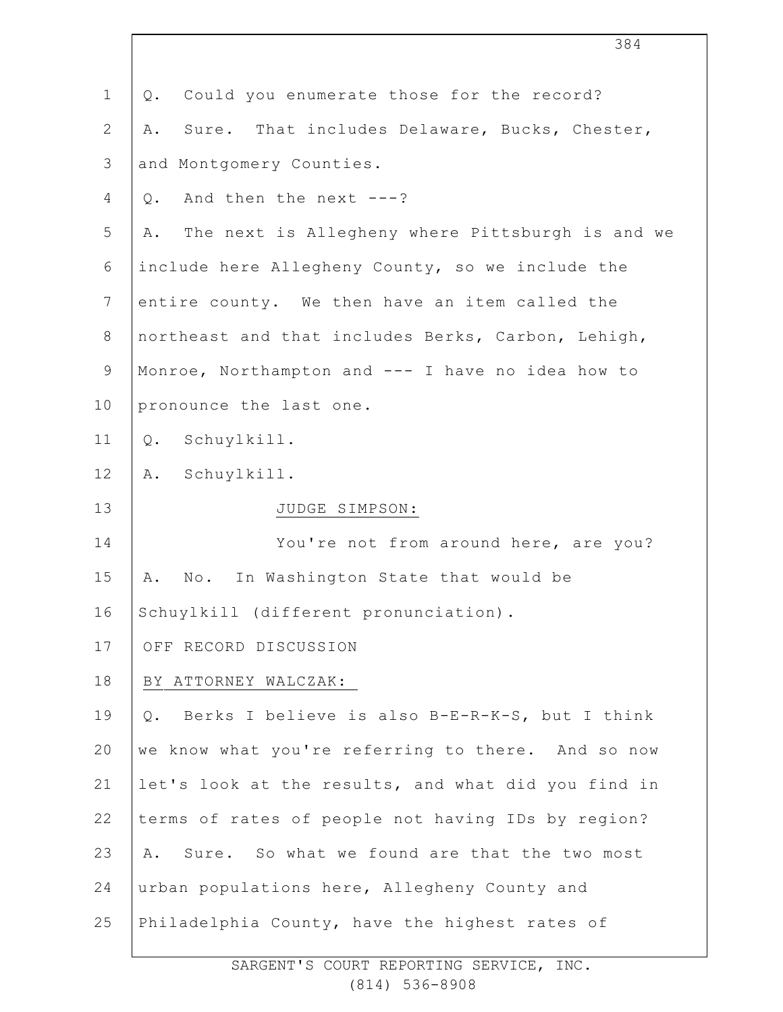|                | 384                                                    |
|----------------|--------------------------------------------------------|
| $\mathbf 1$    | Could you enumerate those for the record?<br>Q.        |
| $\mathbf{2}$   | Sure. That includes Delaware, Bucks, Chester,<br>Α.    |
| 3              | and Montgomery Counties.                               |
| 4              | And then the next $---?$<br>Q.                         |
| 5              | The next is Allegheny where Pittsburgh is and we<br>Α. |
| 6              | include here Allegheny County, so we include the       |
| $7\phantom{.}$ | entire county. We then have an item called the         |
| $8\,$          | northeast and that includes Berks, Carbon, Lehigh,     |
| $\mathsf 9$    | Monroe, Northampton and --- I have no idea how to      |
| 10             | pronounce the last one.                                |
| 11             | Schuylkill.<br>Q.                                      |
| 12             | Schuylkill.<br>Α.                                      |
| 13             | JUDGE SIMPSON:                                         |
| 14             | You're not from around here, are you?                  |
| 15             | In Washington State that would be<br>Α.<br>No.         |
| 16             | Schuylkill (different pronunciation).                  |
| 17             | OFF RECORD DISCUSSION                                  |
| 18             | BY ATTORNEY WALCZAK:                                   |
| 19             | Berks I believe is also B-E-R-K-S, but I think<br>Q.   |
| 20             | we know what you're referring to there. And so now     |
| 21             | let's look at the results, and what did you find in    |
| 22             | terms of rates of people not having IDs by region?     |
| 23             | Sure. So what we found are that the two most<br>Α.     |
| 24             | urban populations here, Allegheny County and           |
| 25             | Philadelphia County, have the highest rates of         |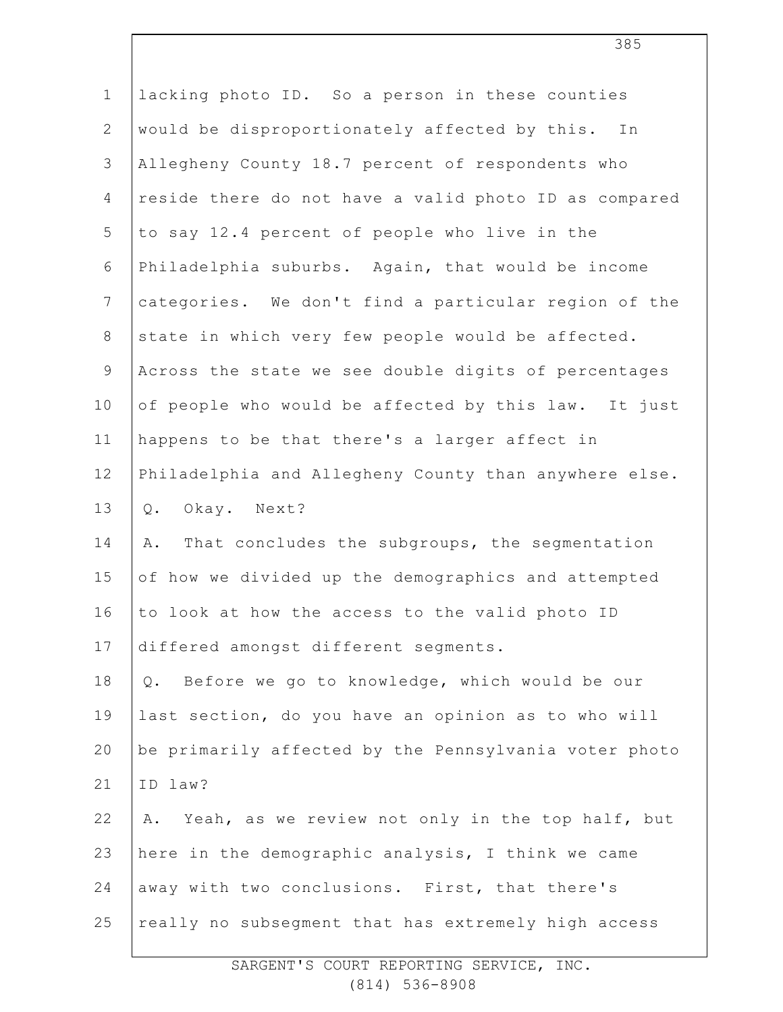| $\mathbf 1$    | lacking photo ID. So a person in these counties        |
|----------------|--------------------------------------------------------|
| $\mathbf{2}$   | would be disproportionately affected by this. In       |
| 3              | Allegheny County 18.7 percent of respondents who       |
| $\overline{4}$ | reside there do not have a valid photo ID as compared  |
| 5              | to say 12.4 percent of people who live in the          |
| 6              | Philadelphia suburbs. Again, that would be income      |
| $7\phantom{.}$ | categories. We don't find a particular region of the   |
| $8\,$          | state in which very few people would be affected.      |
| 9              | Across the state we see double digits of percentages   |
| 10             | of people who would be affected by this law. It just   |
| 11             | happens to be that there's a larger affect in          |
| 12             | Philadelphia and Allegheny County than anywhere else.  |
| 13             | Okay. Next?<br>Q.                                      |
| 14             | That concludes the subgroups, the segmentation<br>Α.   |
| 15             | of how we divided up the demographics and attempted    |
| 16             | to look at how the access to the valid photo ID        |
| 17             | differed amongst different segments.                   |
| 18             | Before we go to knowledge, which would be our<br>Q.    |
| 19             | last section, do you have an opinion as to who will    |
| 20             | be primarily affected by the Pennsylvania voter photo  |
| 21             | ID law?                                                |
| 22             | Yeah, as we review not only in the top half, but<br>Α. |
| 23             | here in the demographic analysis, I think we came      |
| 24             | away with two conclusions. First, that there's         |
| 25             | really no subsegment that has extremely high access    |
|                |                                                        |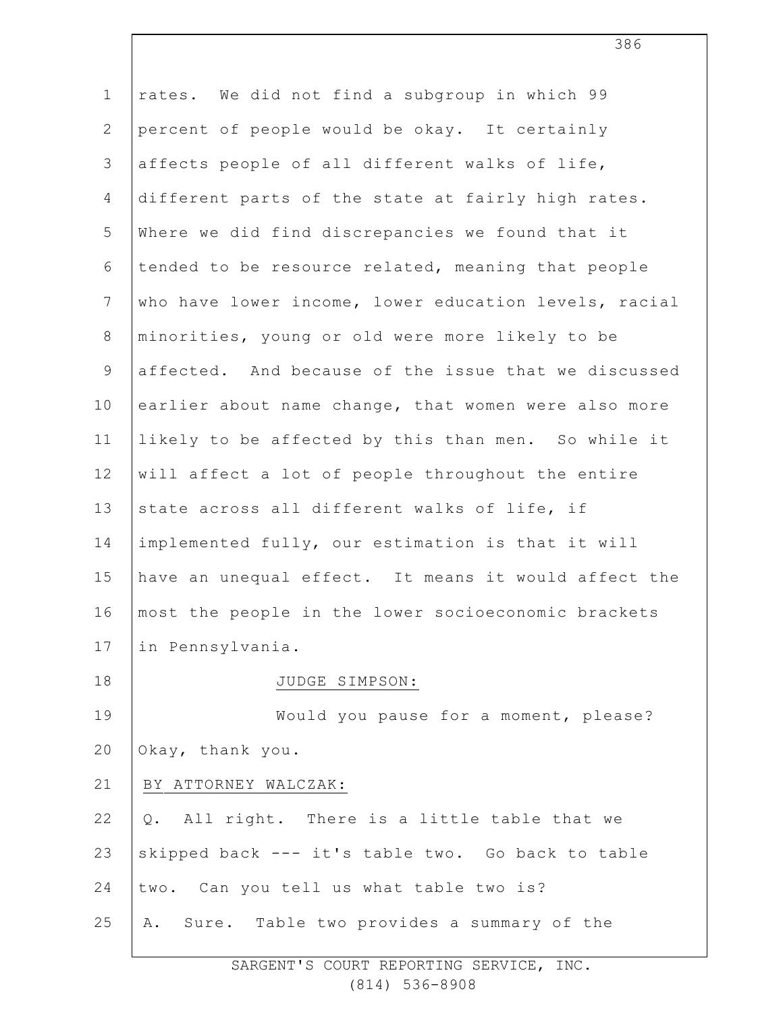| $\mathbf 1$    | rates. We did not find a subgroup in which 99         |
|----------------|-------------------------------------------------------|
| $\overline{2}$ | percent of people would be okay. It certainly         |
| $\mathsf 3$    | affects people of all different walks of life,        |
| 4              | different parts of the state at fairly high rates.    |
| 5              | Where we did find discrepancies we found that it      |
| 6              | tended to be resource related, meaning that people    |
| $7\phantom{.}$ | who have lower income, lower education levels, racial |
| $8\,$          | minorities, young or old were more likely to be       |
| $\mathsf 9$    | affected. And because of the issue that we discussed  |
| 10             | earlier about name change, that women were also more  |
| 11             | likely to be affected by this than men. So while it   |
| 12             | will affect a lot of people throughout the entire     |
| 13             | state across all different walks of life, if          |
| 14             | implemented fully, our estimation is that it will     |
| 15             | have an unequal effect. It means it would affect the  |
| 16             | most the people in the lower socioeconomic brackets   |
| 17             | in Pennsylvania.                                      |
| 18             | JUDGE SIMPSON:                                        |
| 19             | Would you pause for a moment, please?                 |
| 20             | Okay, thank you.                                      |
| 21             | BY ATTORNEY WALCZAK:                                  |
| 22             | Q. All right. There is a little table that we         |
| 23             | skipped back --- it's table two. Go back to table     |
| 24             | two. Can you tell us what table two is?               |
| 25             | Sure. Table two provides a summary of the<br>Α.       |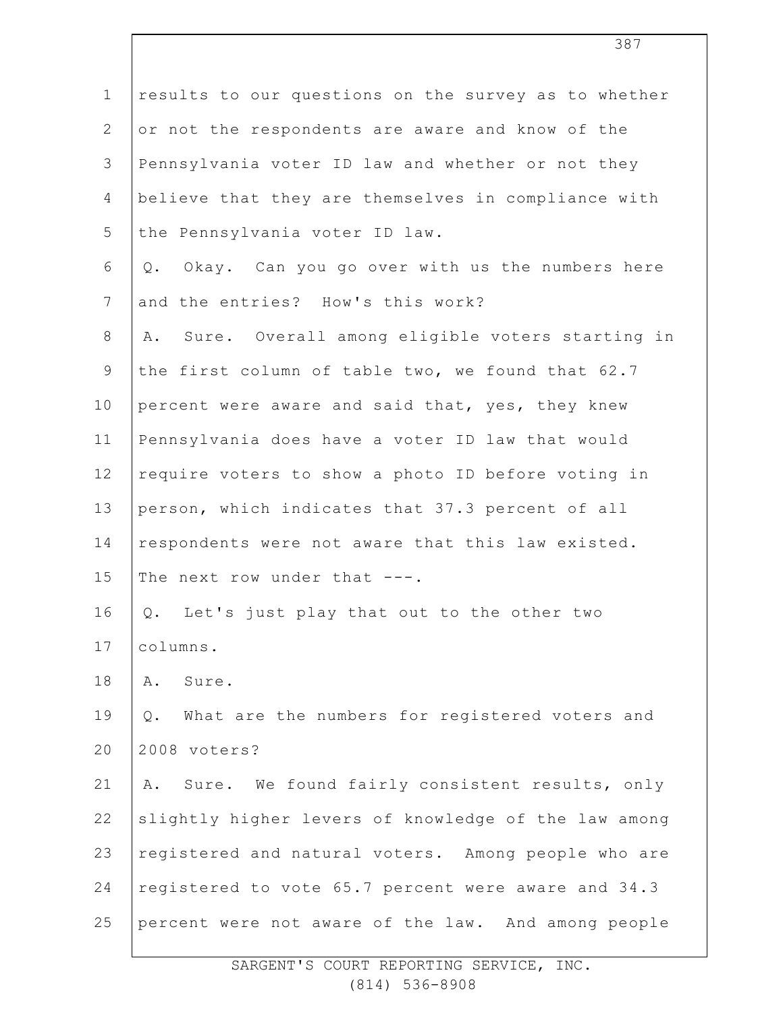| $\mathbf 1$    | results to our questions on the survey as to whether  |
|----------------|-------------------------------------------------------|
| $\overline{2}$ | or not the respondents are aware and know of the      |
| 3              | Pennsylvania voter ID law and whether or not they     |
| 4              | believe that they are themselves in compliance with   |
| 5              | the Pennsylvania voter ID law.                        |
| 6              | Okay. Can you go over with us the numbers here<br>Q.  |
| $\overline{7}$ | and the entries? How's this work?                     |
| $8\,$          | Sure. Overall among eligible voters starting in<br>Α. |
| 9              | the first column of table two, we found that 62.7     |
| 10             | percent were aware and said that, yes, they knew      |
| 11             | Pennsylvania does have a voter ID law that would      |
| 12             | require voters to show a photo ID before voting in    |
| 13             | person, which indicates that 37.3 percent of all      |
| 14             | respondents were not aware that this law existed.     |
| 15             | The next row under that ---.                          |
| 16             | Q. Let's just play that out to the other two          |
| 17             | columns.                                              |
| 18             | Sure.<br>Α.                                           |
| 19             | Q. What are the numbers for registered voters and     |
| 20             | 2008 voters?                                          |
| 21             | Sure. We found fairly consistent results, only<br>Α.  |
| 22             | slightly higher levers of knowledge of the law among  |
| 23             | registered and natural voters. Among people who are   |
| 24             | registered to vote 65.7 percent were aware and 34.3   |
| 25             | percent were not aware of the law. And among people   |
|                |                                                       |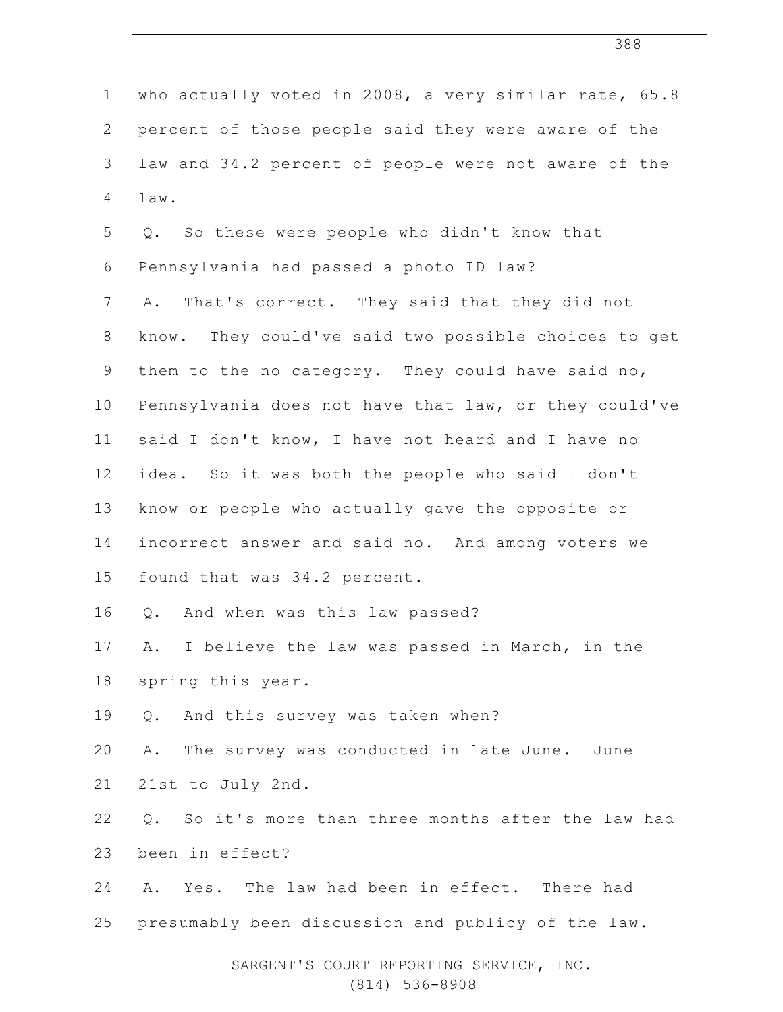| $\mathbf 1$   | who actually voted in 2008, a very similar rate, 65.8  |
|---------------|--------------------------------------------------------|
| $\mathbf{2}$  | percent of those people said they were aware of the    |
| 3             | law and 34.2 percent of people were not aware of the   |
| 4             | law.                                                   |
| 5             | Q. So these were people who didn't know that           |
| 6             | Pennsylvania had passed a photo ID law?                |
| 7             | That's correct. They said that they did not<br>Α.      |
| $8\,$         | know. They could've said two possible choices to get   |
| $\mathcal{G}$ | them to the no category. They could have said no,      |
| 10            | Pennsylvania does not have that law, or they could've  |
| 11            | said I don't know, I have not heard and I have no      |
| 12            | idea. So it was both the people who said I don't       |
| 13            | know or people who actually gave the opposite or       |
| 14            | incorrect answer and said no. And among voters we      |
| 15            | found that was 34.2 percent.                           |
| 16            | And when was this law passed?<br>Q.                    |
| 17            | I believe the law was passed in March, in the<br>Α.    |
| 18            | spring this year.                                      |
| 19            | And this survey was taken when?<br>$Q$ .               |
| 20            | The survey was conducted in late June. June<br>Α.      |
| 21            | 21st to July 2nd.                                      |
| 22            | So it's more than three months after the law had<br>Q. |
| 23            | been in effect?                                        |
| 24            | Yes. The law had been in effect. There had<br>Α.       |
| 25            | presumably been discussion and publicy of the law.     |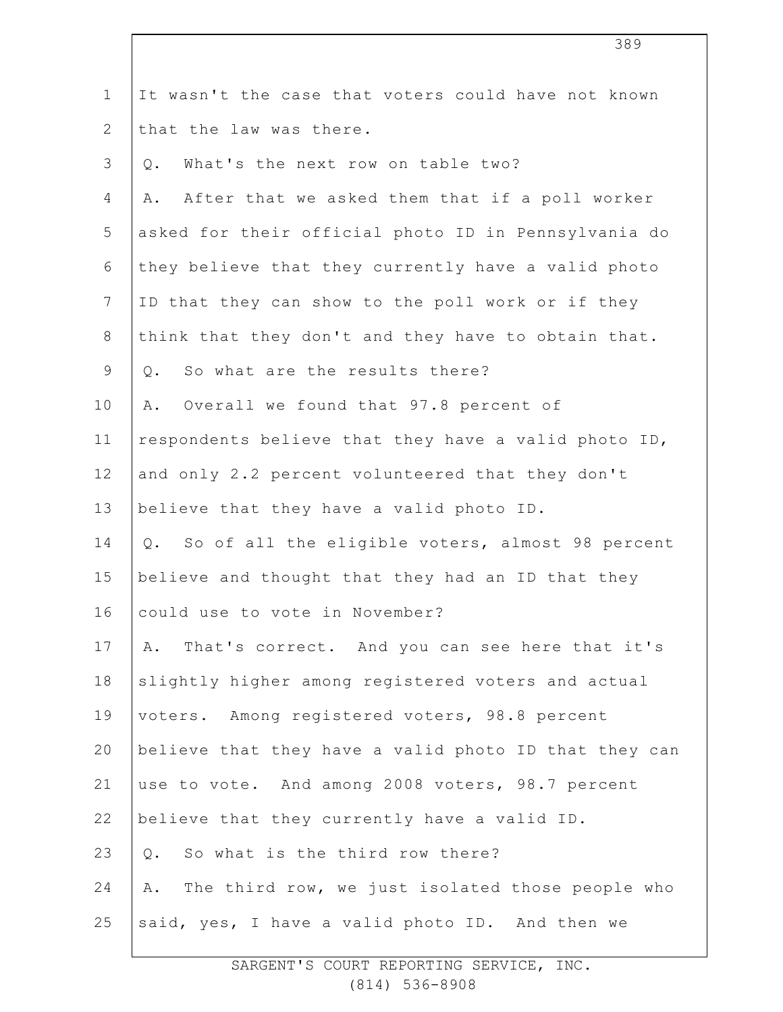| $\mathbf 1$    | It wasn't the case that voters could have not known    |
|----------------|--------------------------------------------------------|
| $\overline{2}$ | that the law was there.                                |
| 3              | What's the next row on table two?<br>$Q$ .             |
| 4              | After that we asked them that if a poll worker<br>Α.   |
| 5              | asked for their official photo ID in Pennsylvania do   |
| 6              | they believe that they currently have a valid photo    |
| $7\phantom{.}$ | ID that they can show to the poll work or if they      |
| 8              | think that they don't and they have to obtain that.    |
| 9              | So what are the results there?<br>Q.                   |
| 10             | Overall we found that 97.8 percent of<br>Α.            |
| 11             | respondents believe that they have a valid photo ID,   |
| 12             | and only 2.2 percent volunteered that they don't       |
| 13             | believe that they have a valid photo ID.               |
| 14             | Q. So of all the eligible voters, almost 98 percent    |
| 15             | believe and thought that they had an ID that they      |
| 16             | could use to vote in November?                         |
| 17             | That's correct. And you can see here that it's<br>Α.   |
| 18             | slightly higher among registered voters and actual     |
| 19             | voters. Among registered voters, 98.8 percent          |
| 20             | believe that they have a valid photo ID that they can  |
| 21             | use to vote. And among 2008 voters, 98.7 percent       |
| 22             | believe that they currently have a valid ID.           |
| 23             | So what is the third row there?<br>Q.                  |
| 24             | The third row, we just isolated those people who<br>Α. |
| 25             | said, yes, I have a valid photo ID. And then we        |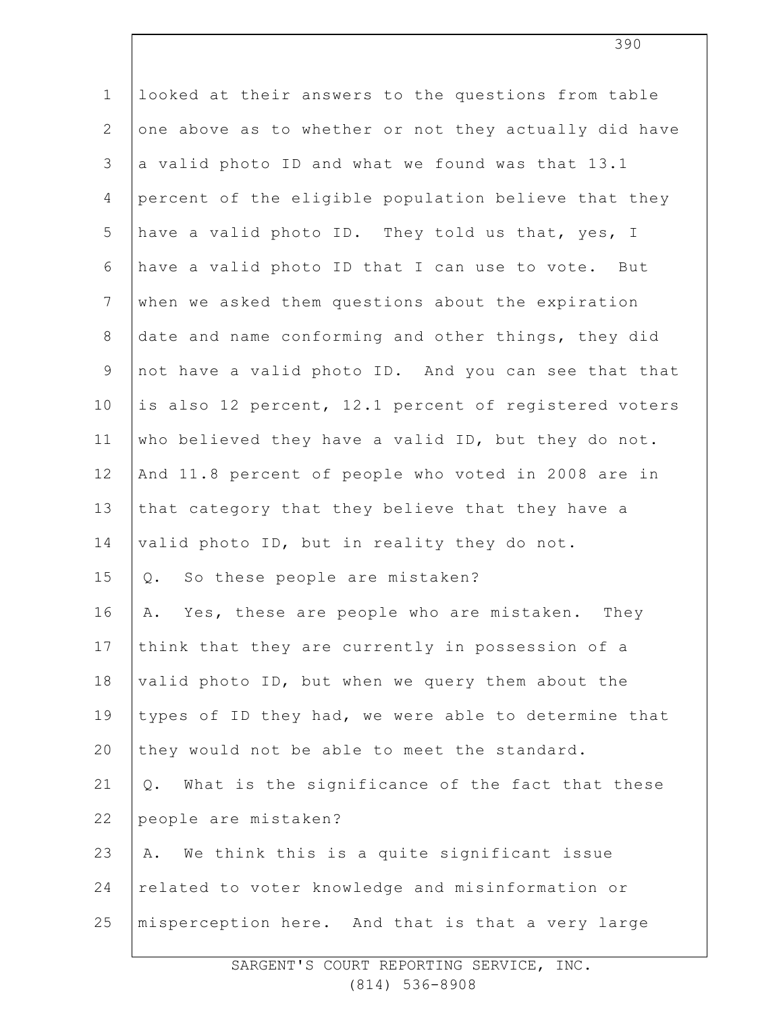| $\mathbf 1$    | looked at their answers to the questions from table   |
|----------------|-------------------------------------------------------|
| $\mathbf{2}$   | one above as to whether or not they actually did have |
| 3              | a valid photo ID and what we found was that 13.1      |
| 4              | percent of the eligible population believe that they  |
| 5              | have a valid photo ID. They told us that, yes, I      |
| 6              | have a valid photo ID that I can use to vote. But     |
| $7\phantom{.}$ | when we asked them questions about the expiration     |
| $8\,$          | date and name conforming and other things, they did   |
| $\mathsf 9$    | not have a valid photo ID. And you can see that that  |
| 10             | is also 12 percent, 12.1 percent of registered voters |
| 11             | who believed they have a valid ID, but they do not.   |
| 12             | And 11.8 percent of people who voted in 2008 are in   |
| 13             | that category that they believe that they have a      |
| 14             | valid photo ID, but in reality they do not.           |
| 15             | So these people are mistaken?<br>Q.                   |
| 16             | Yes, these are people who are mistaken.<br>They<br>Α. |
| 17             | think that they are currently in possession of a      |
| 18             | valid photo ID, but when we query them about the      |
| 19             | types of ID they had, we were able to determine that  |
| 20             | they would not be able to meet the standard.          |
| 21             | What is the significance of the fact that these<br>Q. |
| 22             | people are mistaken?                                  |
| 23             | We think this is a quite significant issue<br>Α.      |
| 24             | related to voter knowledge and misinformation or      |
| 25             | misperception here. And that is that a very large     |
|                |                                                       |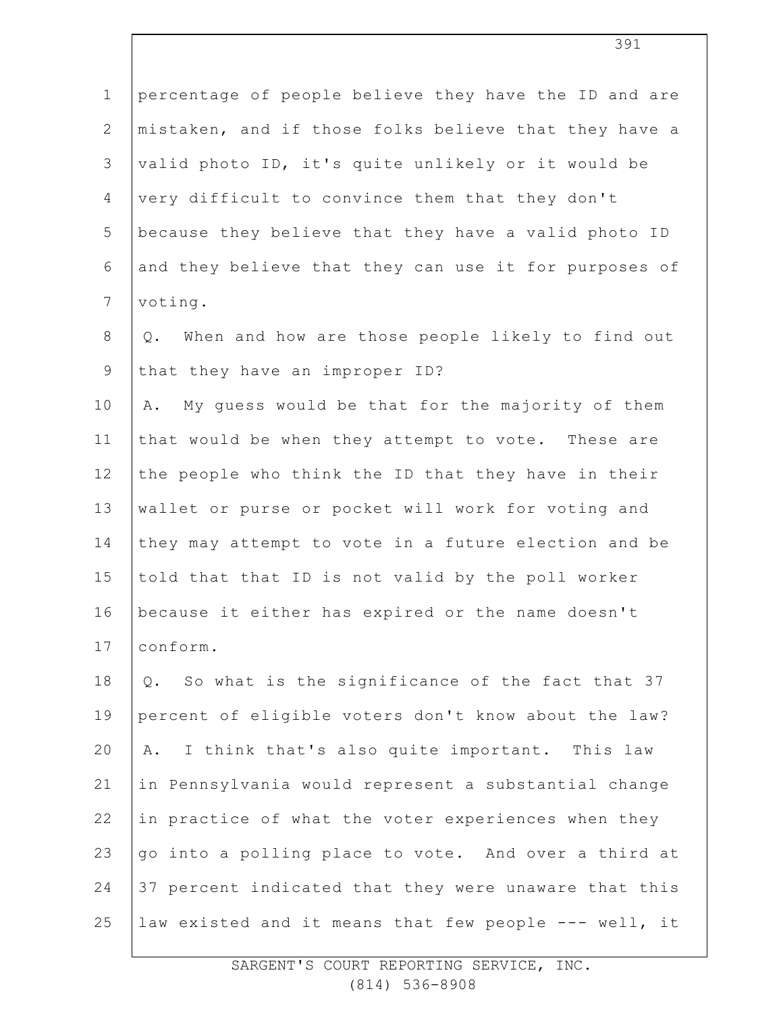| $\mathbf 1$    | percentage of people believe they have the ID and are    |
|----------------|----------------------------------------------------------|
| $\overline{2}$ | mistaken, and if those folks believe that they have a    |
| 3              | valid photo ID, it's quite unlikely or it would be       |
| $\overline{4}$ | very difficult to convince them that they don't          |
| 5              | because they believe that they have a valid photo ID     |
| 6              | and they believe that they can use it for purposes of    |
| $7\phantom{.}$ | voting.                                                  |
| $8\,$          | When and how are those people likely to find out<br>Q.   |
| $\mathsf 9$    | that they have an improper ID?                           |
| 10             | My quess would be that for the majority of them<br>Α.    |
| 11             | that would be when they attempt to vote. These are       |
| 12             | the people who think the ID that they have in their      |
| 13             | wallet or purse or pocket will work for voting and       |
| 14             | they may attempt to vote in a future election and be     |
| 15             | told that that ID is not valid by the poll worker        |
| 16             | because it either has expired or the name doesn't        |
| 17             | conform.                                                 |
| 18             | So what is the significance of the fact that 37<br>$Q$ . |
| 19             | percent of eligible voters don't know about the law?     |
| 20             | I think that's also quite important. This law<br>Α.      |
| 21             | in Pennsylvania would represent a substantial change     |
| 22             | in practice of what the voter experiences when they      |
| 23             | go into a polling place to vote. And over a third at     |
| 24             | 37 percent indicated that they were unaware that this    |
| 25             | law existed and it means that few people --- well, it    |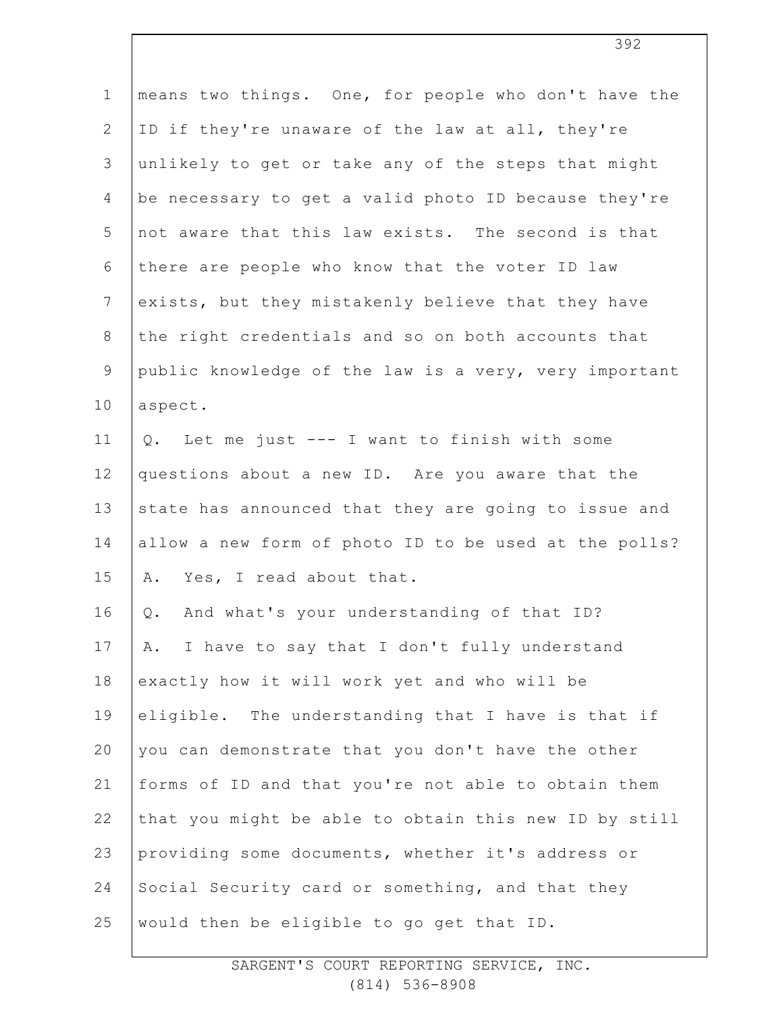| $\mathbf 1$    | means two things. One, for people who don't have the  |
|----------------|-------------------------------------------------------|
| $\overline{2}$ | ID if they're unaware of the law at all, they're      |
| 3              | unlikely to get or take any of the steps that might   |
| $\overline{4}$ | be necessary to get a valid photo ID because they're  |
| 5              | not aware that this law exists. The second is that    |
| 6              | there are people who know that the voter ID law       |
| $7\phantom{.}$ | exists, but they mistakenly believe that they have    |
| $8\,$          | the right credentials and so on both accounts that    |
| $\mathcal{G}$  | public knowledge of the law is a very, very important |
| 10             | aspect.                                               |
| 11             | Q. Let me just --- I want to finish with some         |
| 12             | questions about a new ID. Are you aware that the      |
| 13             | state has announced that they are going to issue and  |
| 14             | allow a new form of photo ID to be used at the polls? |
| 15             | Yes, I read about that.<br>Α.                         |
| 16             | And what's your understanding of that ID?<br>Q.       |
| 17             | I have to say that I don't fully understand<br>Α.     |
| 18             | exactly how it will work yet and who will be          |
| 19             | eligible. The understanding that I have is that if    |
| 20             | you can demonstrate that you don't have the other     |
| 21             | forms of ID and that you're not able to obtain them   |
| 22             | that you might be able to obtain this new ID by still |
| 23             | providing some documents, whether it's address or     |
| 24             | Social Security card or something, and that they      |
| 25             | would then be eligible to go get that ID.             |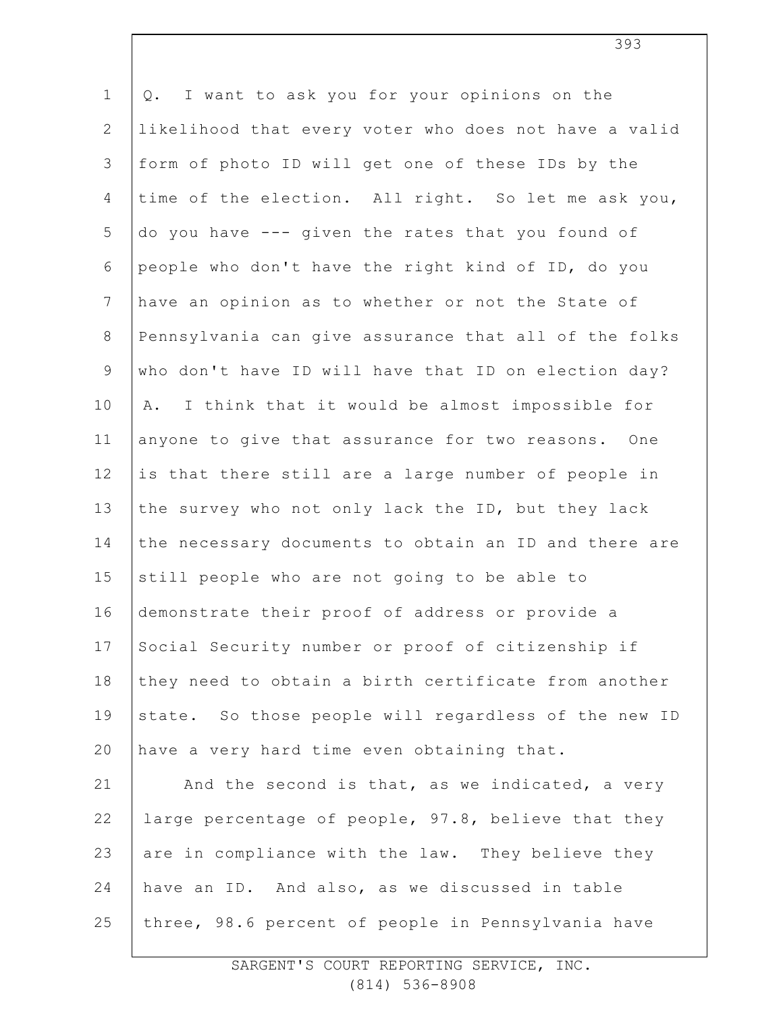1 2 3 4 5 6 7 8 9 10 11 12 13 14 15 16 17 18 19 20 21 22 23 24 25 Q. I want to ask you for your opinions on the likelihood that every voter who does not have a valid form of photo ID will get one of these IDs by the time of the election. All right. So let me ask you, do you have --- given the rates that you found of people who don't have the right kind of ID, do you have an opinion as to whether or not the State of Pennsylvania can give assurance that all of the folks who don't have ID will have that ID on election day? A. I think that it would be almost impossible for anyone to give that assurance for two reasons. One is that there still are a large number of people in the survey who not only lack the ID, but they lack the necessary documents to obtain an ID and there are still people who are not going to be able to demonstrate their proof of address or provide a Social Security number or proof of citizenship if they need to obtain a birth certificate from another state. So those people will regardless of the new ID have a very hard time even obtaining that. And the second is that, as we indicated, a very large percentage of people, 97.8, believe that they are in compliance with the law. They believe they have an ID. And also, as we discussed in table three, 98.6 percent of people in Pennsylvania have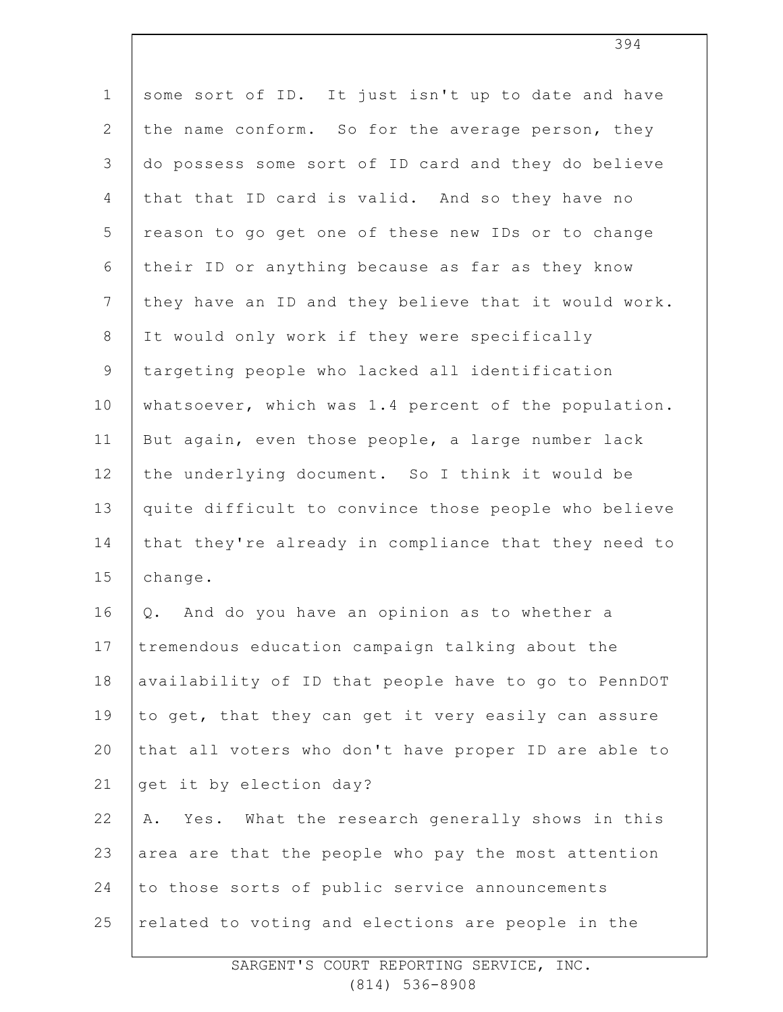| $\mathbf 1$    | some sort of ID. It just isn't up to date and have   |
|----------------|------------------------------------------------------|
| $\mathbf{2}$   | the name conform. So for the average person, they    |
| 3              | do possess some sort of ID card and they do believe  |
| $\overline{4}$ | that that ID card is valid. And so they have no      |
| 5              | reason to go get one of these new IDs or to change   |
| 6              | their ID or anything because as far as they know     |
| $7\phantom{.}$ | they have an ID and they believe that it would work. |
| $\,8\,$        | It would only work if they were specifically         |
| $\mathcal{G}$  | targeting people who lacked all identification       |
| 10             | whatsoever, which was 1.4 percent of the population. |
| 11             | But again, even those people, a large number lack    |
| 12             | the underlying document. So I think it would be      |
| 13             | quite difficult to convince those people who believe |
| 14             | that they're already in compliance that they need to |
| 15             | change.                                              |
| 16             | And do you have an opinion as to whether a<br>Q.     |
| 17             | tremendous education campaign talking about the      |
| 18             | availability of ID that people have to go to PennDOT |
| 19             | to get, that they can get it very easily can assure  |
| 20             | that all voters who don't have proper ID are able to |
| 21             | get it by election day?                              |
| 22             | Yes. What the research generally shows in this<br>Α. |
| 23             | area are that the people who pay the most attention  |
| 24             | to those sorts of public service announcements       |
| 25             | related to voting and elections are people in the    |
|                |                                                      |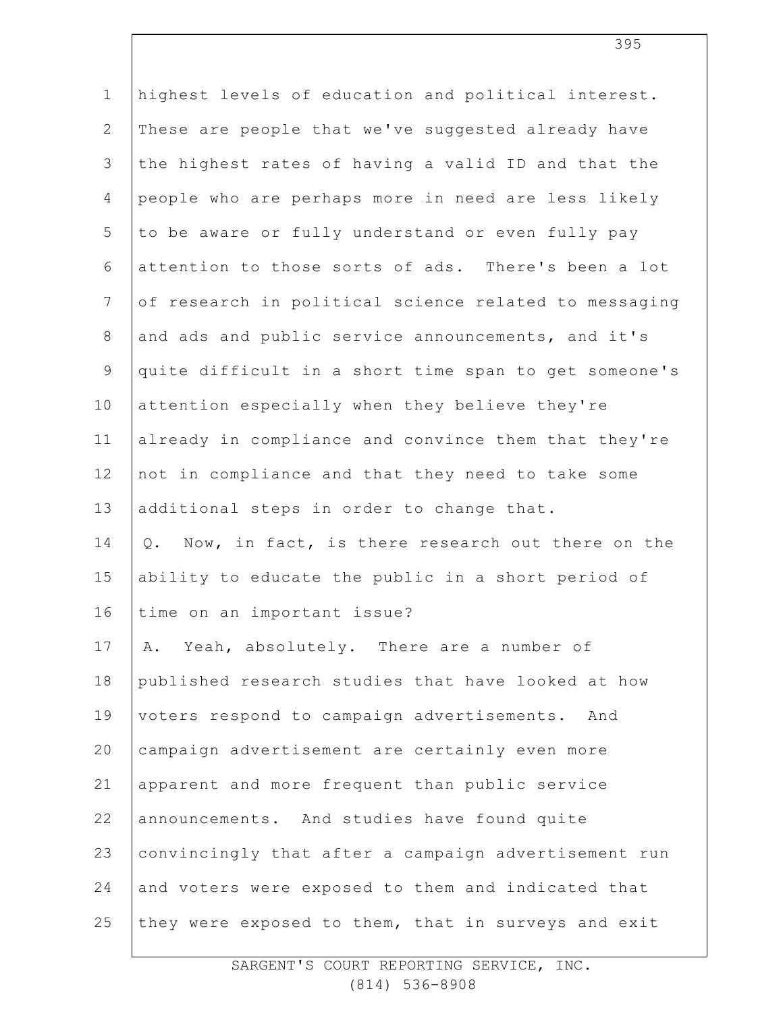| $\mathbf 1$     | highest levels of education and political interest.   |
|-----------------|-------------------------------------------------------|
| $\mathbf{2}$    | These are people that we've suggested already have    |
| 3               | the highest rates of having a valid ID and that the   |
| 4               | people who are perhaps more in need are less likely   |
| 5               | to be aware or fully understand or even fully pay     |
| 6               | attention to those sorts of ads. There's been a lot   |
| $7\phantom{.0}$ | of research in political science related to messaging |
| $8\,$           | and ads and public service announcements, and it's    |
| $\mathsf 9$     | quite difficult in a short time span to get someone's |
| 10              | attention especially when they believe they're        |
| 11              | already in compliance and convince them that they're  |
| 12              | not in compliance and that they need to take some     |
| 13              | additional steps in order to change that.             |
| 14              | Q. Now, in fact, is there research out there on the   |
| 15              | ability to educate the public in a short period of    |
| 16              | time on an important issue?                           |
| 17              | Α.<br>Yeah, absolutely. There are a number of         |
| 18              | published research studies that have looked at how    |
| 19              | voters respond to campaign advertisements. And        |
| 20              | campaign advertisement are certainly even more        |
| 21              | apparent and more frequent than public service        |
| 22              | announcements. And studies have found quite           |
| 23              | convincingly that after a campaign advertisement run  |
| 24              | and voters were exposed to them and indicated that    |
| 25              | they were exposed to them, that in surveys and exit   |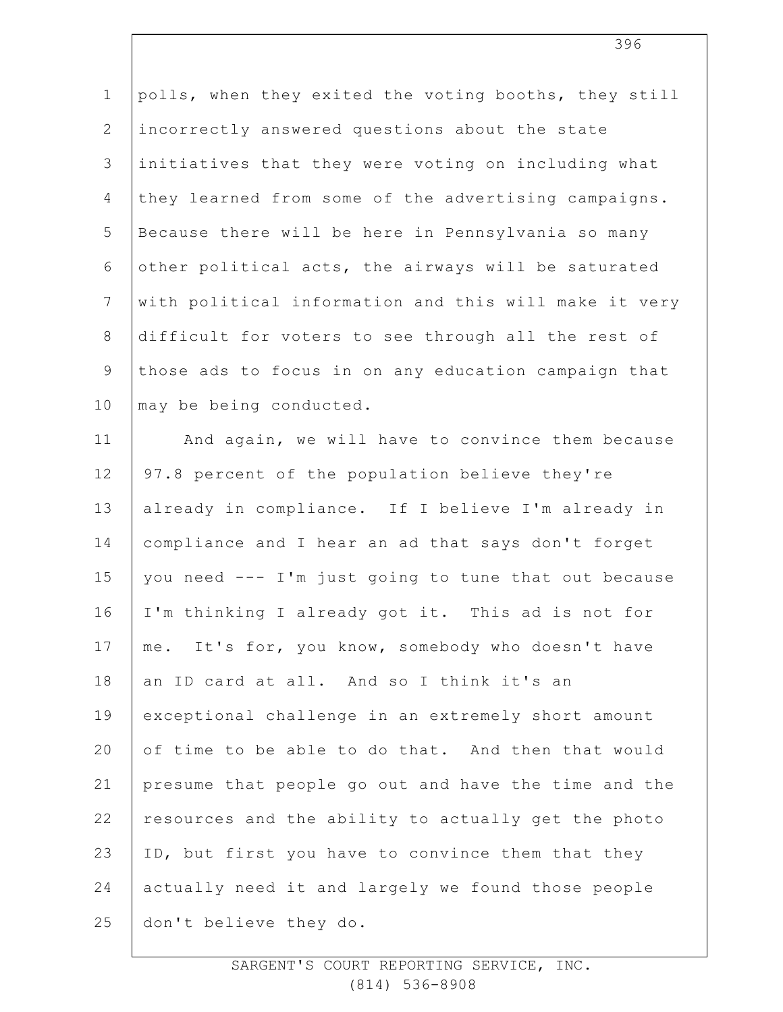1 2 3 4 5 6 7 8 9 10 11 polls, when they exited the voting booths, they still incorrectly answered questions about the state initiatives that they were voting on including what they learned from some of the advertising campaigns. Because there will be here in Pennsylvania so many other political acts, the airways will be saturated with political information and this will make it very difficult for voters to see through all the rest of those ads to focus in on any education campaign that may be being conducted. And again, we will have to convince them because

12 13 14 15 16 17 18 19 20 21 22 23 24 25 97.8 percent of the population believe they're already in compliance. If I believe I'm already in compliance and I hear an ad that says don't forget you need --- I'm just going to tune that out because I'm thinking I already got it. This ad is not for me. It's for, you know, somebody who doesn't have an ID card at all. And so I think it's an exceptional challenge in an extremely short amount of time to be able to do that. And then that would presume that people go out and have the time and the resources and the ability to actually get the photo ID, but first you have to convince them that they actually need it and largely we found those people don't believe they do.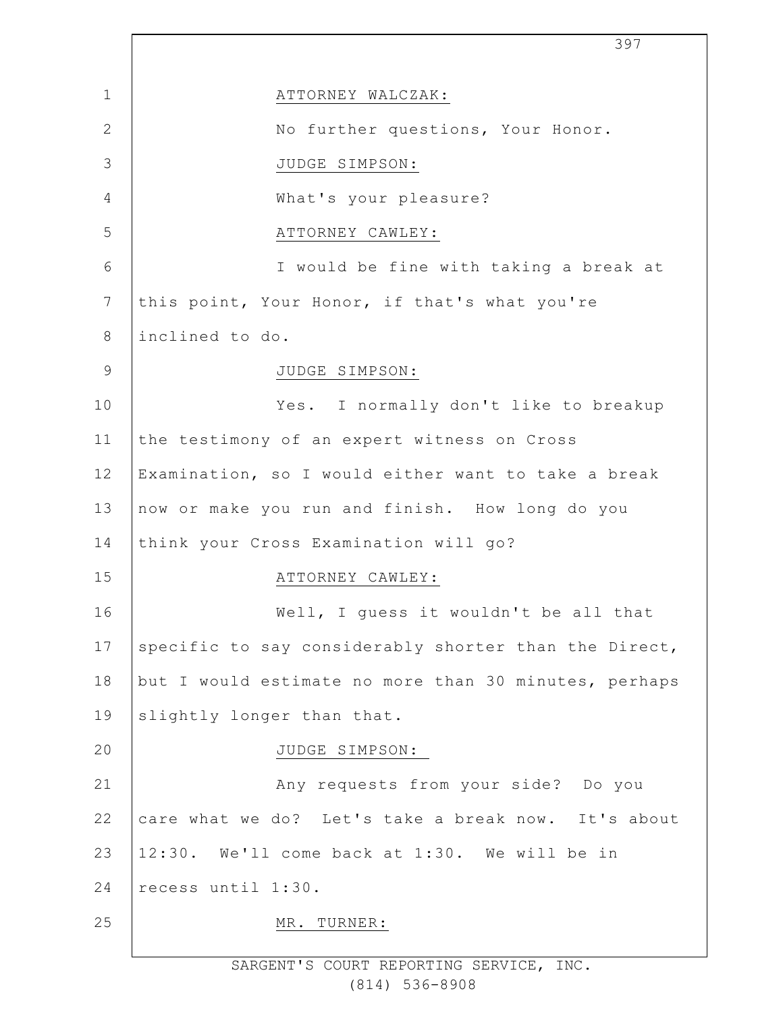|                 | 397                                                   |
|-----------------|-------------------------------------------------------|
| $\mathbf{1}$    | ATTORNEY WALCZAK:                                     |
| $\mathbf{2}$    | No further questions, Your Honor.                     |
| 3               | JUDGE SIMPSON:                                        |
| 4               | What's your pleasure?                                 |
| 5               | ATTORNEY CAWLEY:                                      |
| 6               | I would be fine with taking a break at                |
| $7\phantom{.0}$ | this point, Your Honor, if that's what you're         |
| 8               | inclined to do.                                       |
| $\overline{9}$  | JUDGE SIMPSON:                                        |
| 10              | Yes. I normally don't like to breakup                 |
| 11              | the testimony of an expert witness on Cross           |
| 12              | Examination, so I would either want to take a break   |
| 13              | now or make you run and finish. How long do you       |
| 14              | think your Cross Examination will go?                 |
| 15              | ATTORNEY CAWLEY:                                      |
| 16              | Well, I quess it wouldn't be all that                 |
| 17              | specific to say considerably shorter than the Direct, |
| 18              | but I would estimate no more than 30 minutes, perhaps |
| 19              | slightly longer than that.                            |
| 20              | JUDGE SIMPSON:                                        |
| 21              | Any requests from your side? Do you                   |
| 22              | care what we do? Let's take a break now. It's about   |
| 23              | 12:30. We'll come back at 1:30. We will be in         |
| 24              | recess until 1:30.                                    |
| 25              | MR. TURNER:                                           |
|                 |                                                       |

 $\Gamma$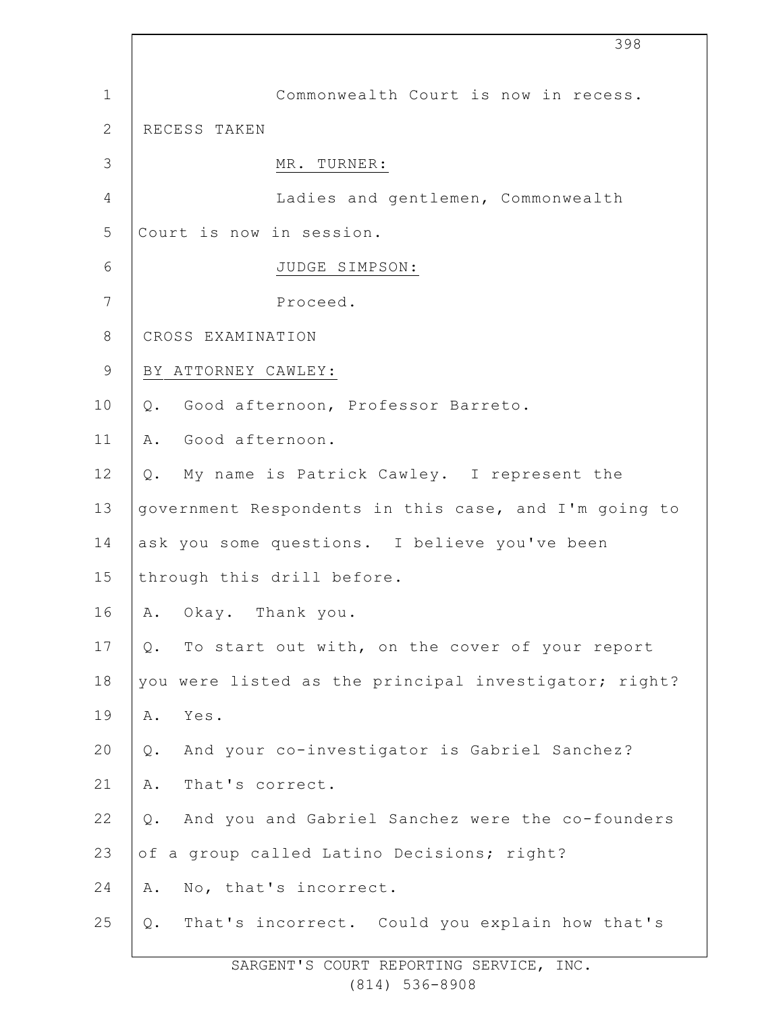|                 | 398                                                           |
|-----------------|---------------------------------------------------------------|
| $\mathbf 1$     | Commonwealth Court is now in recess.                          |
| $\mathbf{2}$    | RECESS TAKEN                                                  |
| 3               | MR. TURNER:                                                   |
| $\overline{4}$  | Ladies and gentlemen, Commonwealth                            |
| 5               | Court is now in session.                                      |
| $6\,$           | JUDGE SIMPSON:                                                |
| $7\phantom{.0}$ | Proceed.                                                      |
| $\,8\,$         | CROSS EXAMINATION                                             |
| $\mathcal{G}$   | BY ATTORNEY CAWLEY:                                           |
| 10              | Good afternoon, Professor Barreto.<br>Q.                      |
| 11              | Good afternoon.<br>Α.                                         |
| 12              | My name is Patrick Cawley. I represent the<br>Q.              |
| 13              | government Respondents in this case, and I'm going to         |
| 14              | ask you some questions. I believe you've been                 |
| 15              | through this drill before.                                    |
| 16              | Okay. Thank you.<br>Α.                                        |
| 17              | To start out with, on the cover of your report<br>Q.          |
| 18              | you were listed as the principal investigator; right?         |
| 19              | Α.<br>Yes.                                                    |
| 20              | And your co-investigator is Gabriel Sanchez?<br>$\mathsf Q$ . |
| 21              | That's correct.<br>Α.                                         |
| 22              | And you and Gabriel Sanchez were the co-founders<br>Q.        |
| 23              | of a group called Latino Decisions; right?                    |
| 24              | No, that's incorrect.<br>Α.                                   |
| 25              | That's incorrect. Could you explain how that's<br>Q.          |
|                 |                                                               |

 $\overline{\phantom{a}}$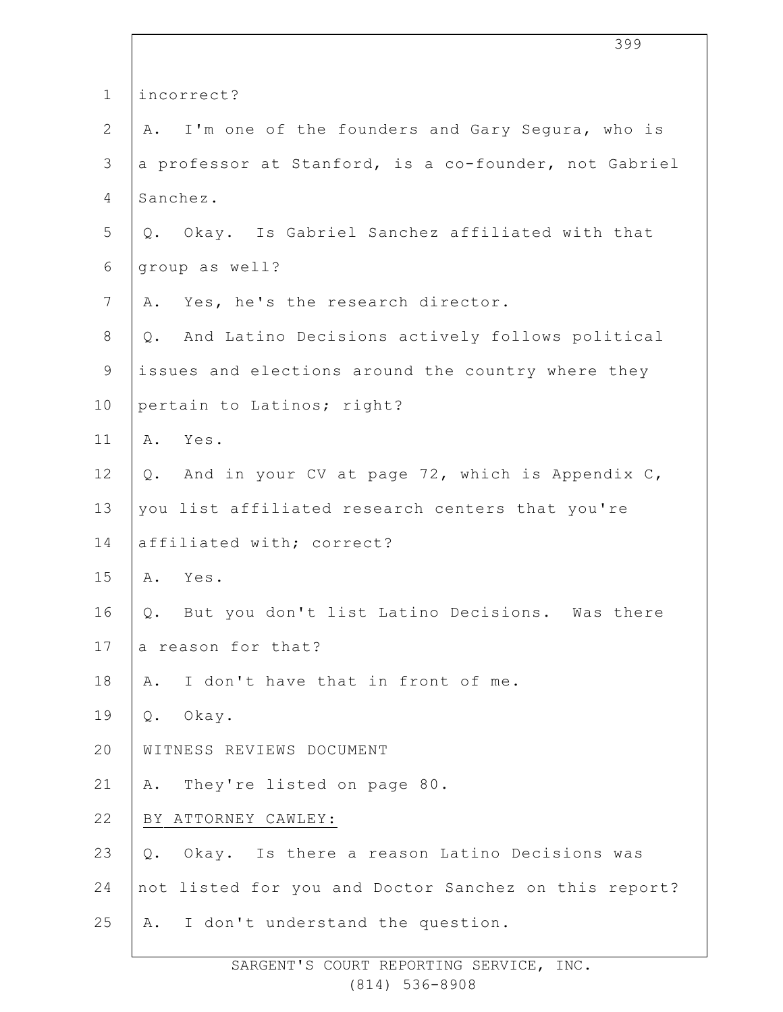|              | 399                                                   |
|--------------|-------------------------------------------------------|
| $\mathbf 1$  | incorrect?                                            |
| $\mathbf{2}$ | A. I'm one of the founders and Gary Segura, who is    |
| 3            | a professor at Stanford, is a co-founder, not Gabriel |
| 4            | Sanchez.                                              |
| 5            | Q. Okay. Is Gabriel Sanchez affiliated with that      |
| 6            | group as well?                                        |
| 7            | Yes, he's the research director.<br>Α.                |
| 8            | And Latino Decisions actively follows political<br>Q. |
| $\mathsf 9$  | issues and elections around the country where they    |
| 10           | pertain to Latinos; right?                            |
| 11           | Yes.<br>Α.                                            |
| 12           | And in your CV at page 72, which is Appendix C,<br>Q. |
| 13           | you list affiliated research centers that you're      |
| 14           | affiliated with; correct?                             |
| 15           | A. Yes.                                               |
| 16           | Q. But you don't list Latino Decisions. Was there     |
| 17           | a reason for that?                                    |
| 18           | I don't have that in front of me.<br>Α.               |
| 19           | Q. Okay.                                              |
| 20           | WITNESS REVIEWS DOCUMENT                              |
| 21           | A. They're listed on page 80.                         |
| 22           | BY ATTORNEY CAWLEY:                                   |
| 23           | Okay. Is there a reason Latino Decisions was<br>Q.    |
| 24           | not listed for you and Doctor Sanchez on this report? |
| 25           | A. I don't understand the question.                   |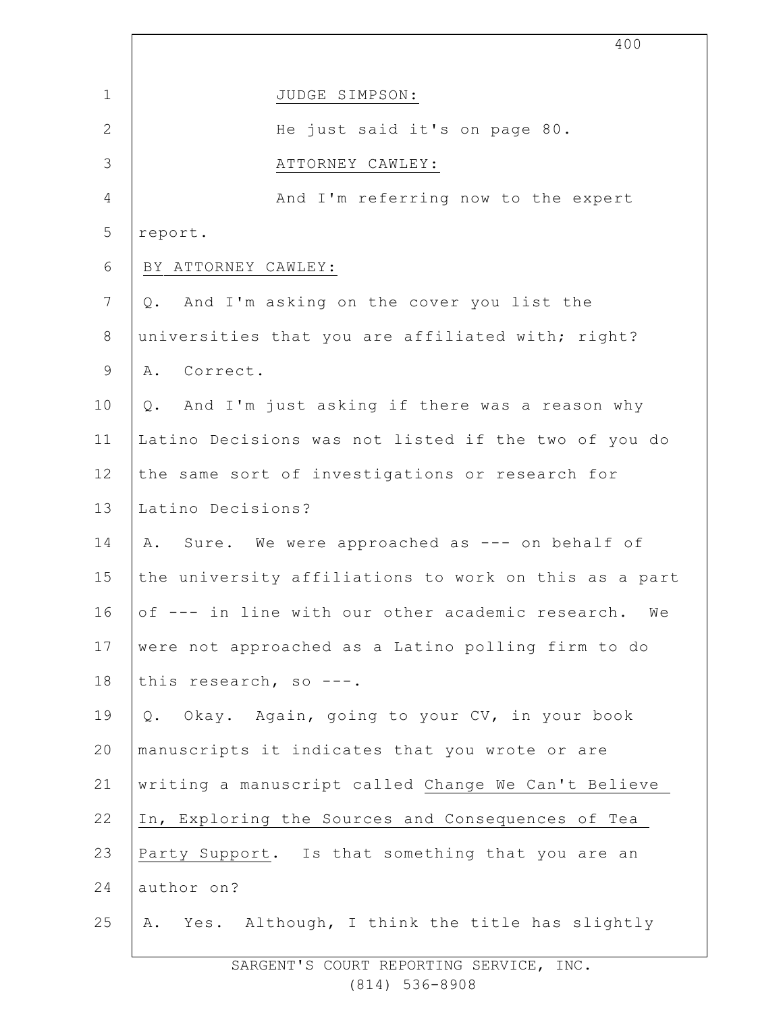|                 | 400                                                   |
|-----------------|-------------------------------------------------------|
| $\mathbf{1}$    | JUDGE SIMPSON:                                        |
| $\mathbf{2}$    | He just said it's on page 80.                         |
| 3               | ATTORNEY CAWLEY:                                      |
| $\overline{4}$  | And I'm referring now to the expert                   |
| 5               | report.                                               |
| 6               | BY ATTORNEY CAWLEY:                                   |
| $7\phantom{.0}$ | And I'm asking on the cover you list the<br>Q.        |
| $\,8\,$         | universities that you are affiliated with; right?     |
| $\mathsf 9$     | A. Correct.                                           |
| 10              | And I'm just asking if there was a reason why<br>Q.   |
| 11              | Latino Decisions was not listed if the two of you do  |
| 12              | the same sort of investigations or research for       |
| 13              | Latino Decisions?                                     |
| 14              | A. Sure. We were approached as --- on behalf of       |
| 15              | the university affiliations to work on this as a part |
| 16              | of --- in line with our other academic research. We   |
| 17              | were not approached as a Latino polling firm to do    |
| 18              | this research, so ---.                                |
| 19              | Okay. Again, going to your CV, in your book<br>Q.     |
| 20              | manuscripts it indicates that you wrote or are        |
| 21              | writing a manuscript called Change We Can't Believe   |
| 22              | In, Exploring the Sources and Consequences of Tea     |
| 23              | Party Support. Is that something that you are an      |
| 24              | author on?                                            |
| 25              | Yes. Although, I think the title has slightly<br>Α.   |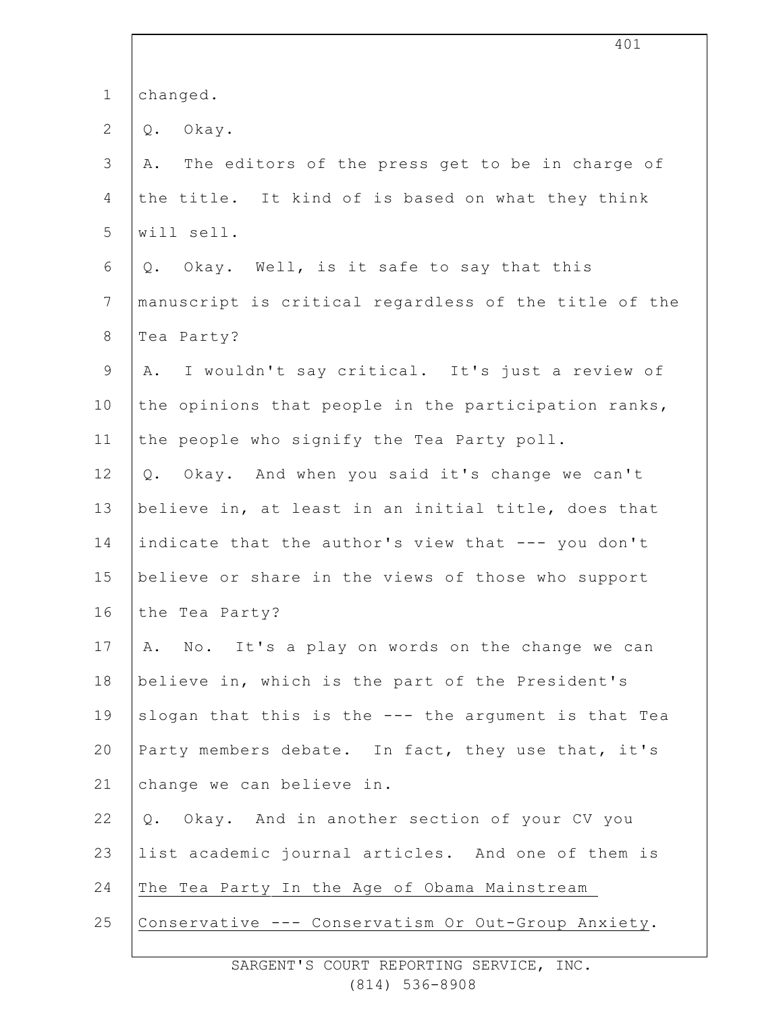| $\mathbf 1$    | changed.                                              |
|----------------|-------------------------------------------------------|
| $\overline{2}$ | Okay.<br>$Q$ .                                        |
| 3              | The editors of the press get to be in charge of<br>Α. |
| 4              | the title. It kind of is based on what they think     |
| 5              | will sell.                                            |
| 6              | Q. Okay. Well, is it safe to say that this            |
| 7              | manuscript is critical regardless of the title of the |
| $8\,$          | Tea Party?                                            |
| $\mathcal{G}$  | I wouldn't say critical. It's just a review of<br>A.  |
| 10             | the opinions that people in the participation ranks,  |
| 11             | the people who signify the Tea Party poll.            |
| 12             | Okay. And when you said it's change we can't<br>$Q$ . |
| 13             | believe in, at least in an initial title, does that   |
| 14             | indicate that the author's view that --- you don't    |
| 15             | believe or share in the views of those who support    |
| 16             | the Tea Party?                                        |
| 17             | A. No. It's a play on words on the change we can      |
| 18             | believe in, which is the part of the President's      |
| 19             | slogan that this is the --- the argument is that Tea  |
| 20             | Party members debate. In fact, they use that, it's    |
| 21             | change we can believe in.                             |
| 22             | Q. Okay. And in another section of your CV you        |
| 23             | list academic journal articles. And one of them is    |
| 24             | The Tea Party In the Age of Obama Mainstream          |
| 25             | Conservative --- Conservatism Or Out-Group Anxiety.   |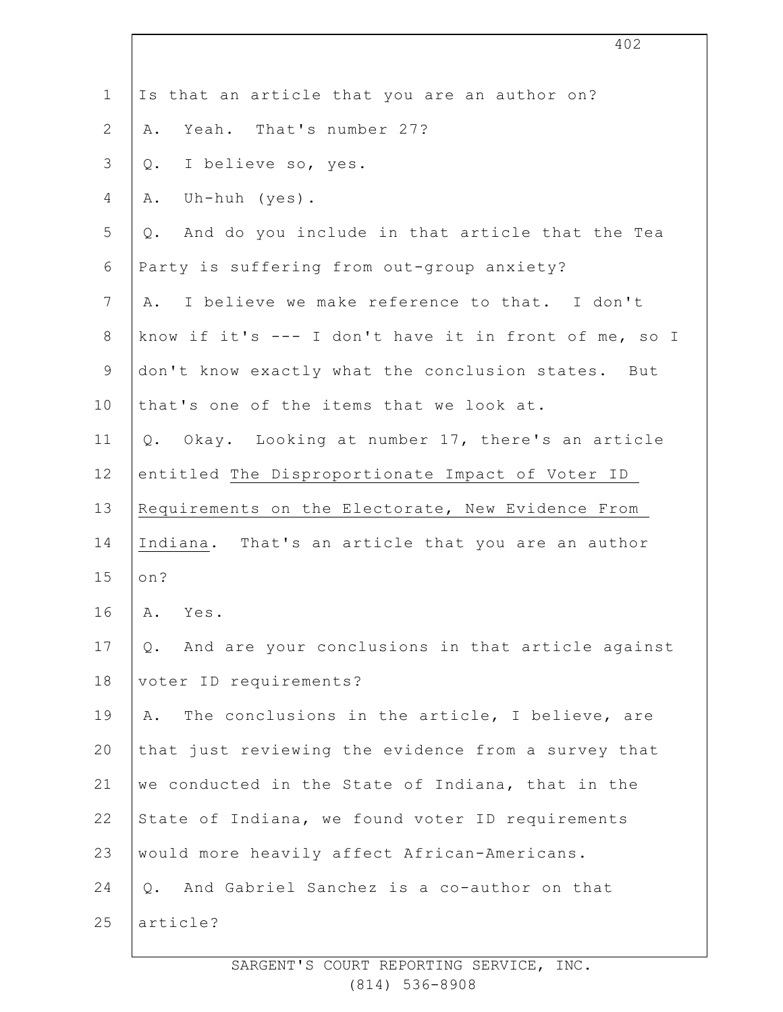|                | 402                                                    |
|----------------|--------------------------------------------------------|
| $\mathbf 1$    | Is that an article that you are an author on?          |
| 2              | Yeah. That's number 27?<br>Α.                          |
| 3              | I believe so, yes.<br>$Q$ .                            |
| 4              | Uh-huh (yes).<br>Α.                                    |
| 5              | And do you include in that article that the Tea<br>Q.  |
| 6              | Party is suffering from out-group anxiety?             |
| $\overline{7}$ | I believe we make reference to that. I don't<br>Α.     |
| $8\,$          | know if it's --- I don't have it in front of me, so I  |
| $\mathsf 9$    | don't know exactly what the conclusion states. But     |
| 10             | that's one of the items that we look at.               |
| 11             | Q. Okay. Looking at number 17, there's an article      |
| 12             | entitled The Disproportionate Impact of Voter ID       |
| 13             | Requirements on the Electorate, New Evidence From      |
| 14             | Indiana. That's an article that you are an author      |
| 15             | on?                                                    |
| 16             | Α.<br>Yes.                                             |
| 17             | And are your conclusions in that article against<br>Q. |
| 18             | voter ID requirements?                                 |
| 19             | The conclusions in the article, I believe, are<br>Α.   |
| 20             | that just reviewing the evidence from a survey that    |
| 21             | we conducted in the State of Indiana, that in the      |
| 22             | State of Indiana, we found voter ID requirements       |
| 23             | would more heavily affect African-Americans.           |
| 24             | And Gabriel Sanchez is a co-author on that<br>$Q$ .    |
| 25             | article?                                               |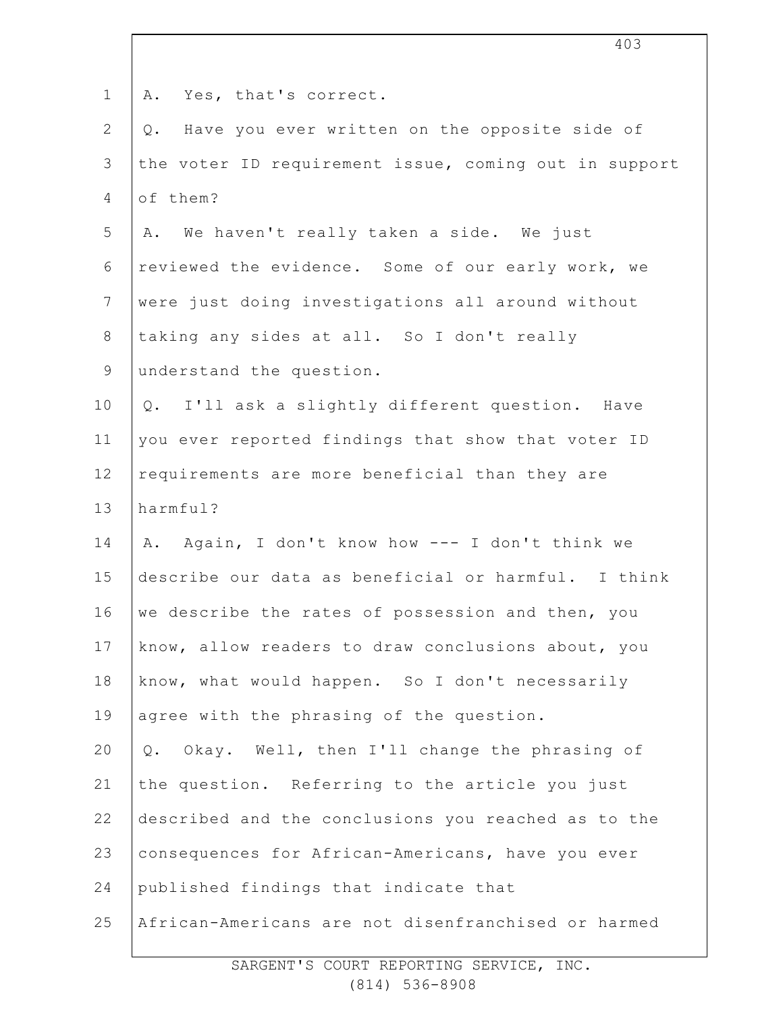| Yes, that's correct.<br>Α.                            |
|-------------------------------------------------------|
| Have you ever written on the opposite side of<br>Q.   |
| the voter ID requirement issue, coming out in support |
| of them?                                              |
| A. We haven't really taken a side. We just            |
| reviewed the evidence. Some of our early work, we     |
| were just doing investigations all around without     |
| taking any sides at all. So I don't really            |
| understand the question.                              |
| Q. I'll ask a slightly different question. Have       |
| you ever reported findings that show that voter ID    |
| requirements are more beneficial than they are        |
| harmful?                                              |
| Again, I don't know how --- I don't think we<br>Α.    |
| describe our data as beneficial or harmful. I think   |
| we describe the rates of possession and then, you     |
| know, allow readers to draw conclusions about, you    |
| know, what would happen. So I don't necessarily       |
| agree with the phrasing of the question.              |
| Okay. Well, then I'll change the phrasing of<br>$Q$ . |
| the question. Referring to the article you just       |
| described and the conclusions you reached as to the   |
| consequences for African-Americans, have you ever     |
| published findings that indicate that                 |
| African-Americans are not disenfranchised or harmed   |
|                                                       |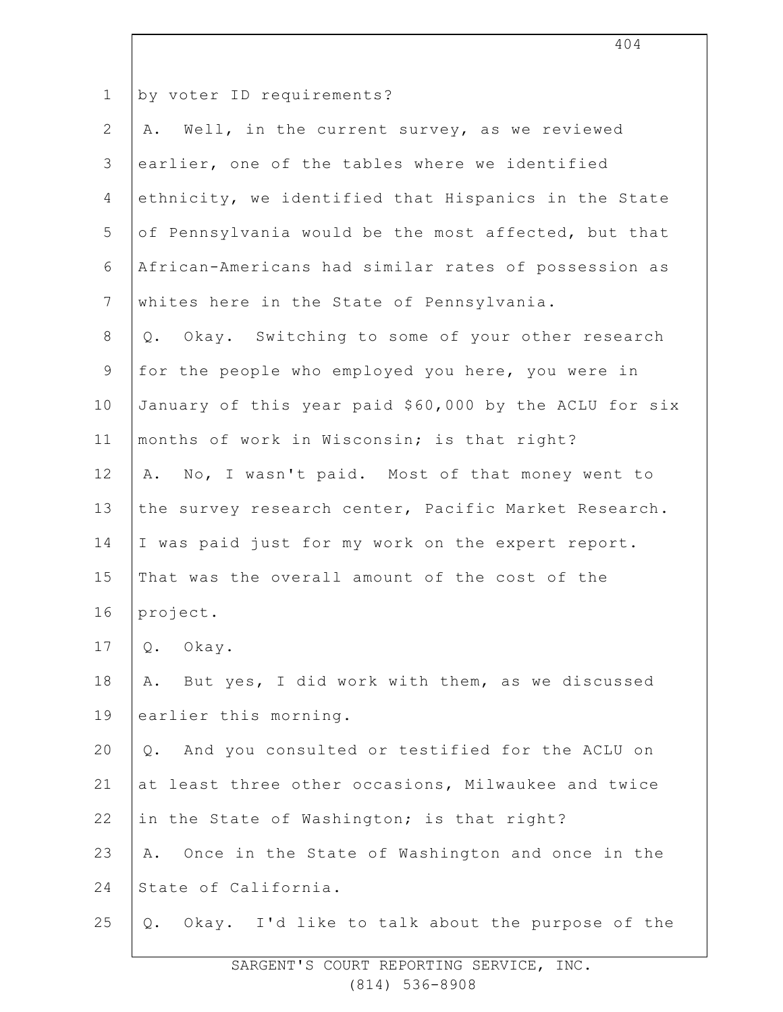| $\mathbf 1$    | by voter ID requirements?                              |
|----------------|--------------------------------------------------------|
| $\mathbf{2}$   | Well, in the current survey, as we reviewed<br>Α.      |
| 3              | earlier, one of the tables where we identified         |
| 4              | ethnicity, we identified that Hispanics in the State   |
| 5              | of Pennsylvania would be the most affected, but that   |
| 6              | African-Americans had similar rates of possession as   |
| $7\phantom{.}$ | whites here in the State of Pennsylvania.              |
| $\,8\,$        | Okay. Switching to some of your other research<br>Q.   |
| $\mathsf 9$    | for the people who employed you here, you were in      |
| 10             | January of this year paid \$60,000 by the ACLU for six |
| 11             | months of work in Wisconsin; is that right?            |
| 12             | No, I wasn't paid. Most of that money went to<br>Α.    |
| 13             | the survey research center, Pacific Market Research.   |
| 14             | I was paid just for my work on the expert report.      |
| 15             | That was the overall amount of the cost of the         |
| 16             | project.                                               |
| 17             | Okay.<br>Q.                                            |
| 18             | But yes, I did work with them, as we discussed<br>Α.   |
| 19             | earlier this morning.                                  |
| 20             | And you consulted or testified for the ACLU on<br>Q.   |
| 21             | at least three other occasions, Milwaukee and twice    |
| 22             | in the State of Washington; is that right?             |
| 23             | Once in the State of Washington and once in the<br>Α.  |
| 24             | State of California.                                   |
| 25             | Okay. I'd like to talk about the purpose of the<br>Q.  |
|                |                                                        |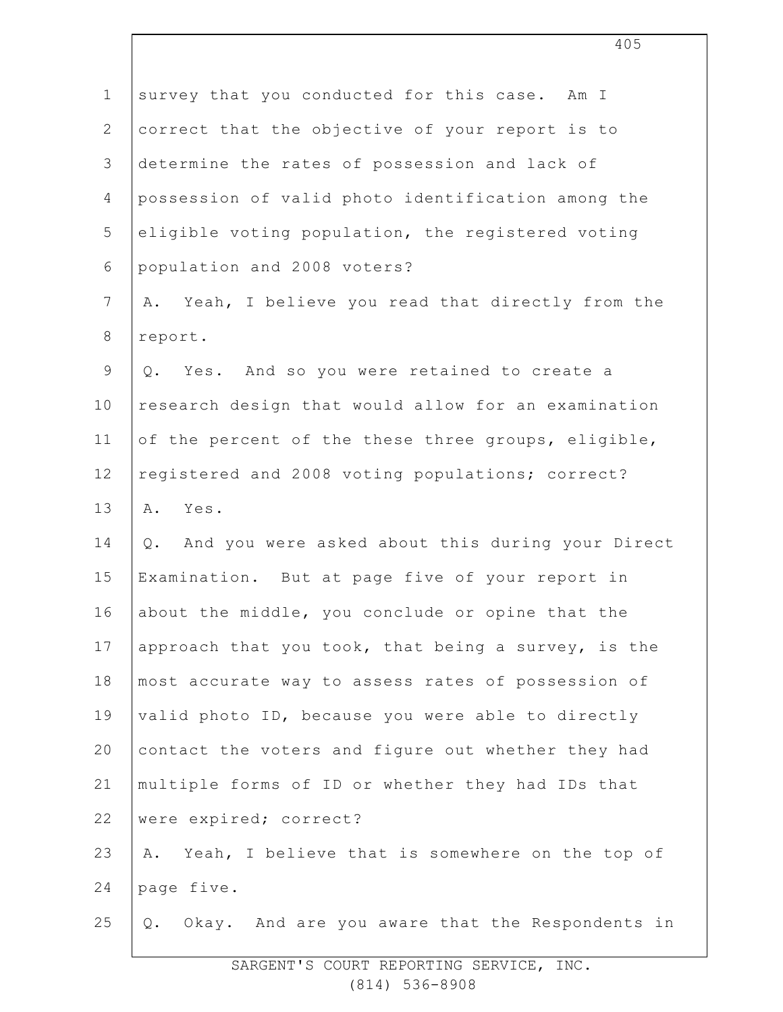| $\mathbf 1$    | survey that you conducted for this case. Am I          |
|----------------|--------------------------------------------------------|
| $\overline{2}$ | correct that the objective of your report is to        |
| 3              | determine the rates of possession and lack of          |
| $\overline{4}$ | possession of valid photo identification among the     |
| 5              | eligible voting population, the registered voting      |
| 6              | population and 2008 voters?                            |
| 7              | Yeah, I believe you read that directly from the<br>Α.  |
| $8\,$          | report.                                                |
| $\mathsf 9$    | Q. Yes. And so you were retained to create a           |
| 10             | research design that would allow for an examination    |
| 11             | of the percent of the these three groups, eligible,    |
| 12             | registered and 2008 voting populations; correct?       |
| 13             | A. Yes.                                                |
| 14             | And you were asked about this during your Direct<br>Q. |
| 15             | Examination. But at page five of your report in        |
| 16             | about the middle, you conclude or opine that the       |
| 17             | approach that you took, that being a survey, is the    |
| 18             | most accurate way to assess rates of possession of     |
| 19             | valid photo ID, because you were able to directly      |
| 20             | contact the voters and figure out whether they had     |
| 21             | multiple forms of ID or whether they had IDs that      |
| 22             | were expired; correct?                                 |
| 23             | Yeah, I believe that is somewhere on the top of<br>Α.  |
| 24             | page five.                                             |
| 25             | Q. Okay. And are you aware that the Respondents in     |
|                |                                                        |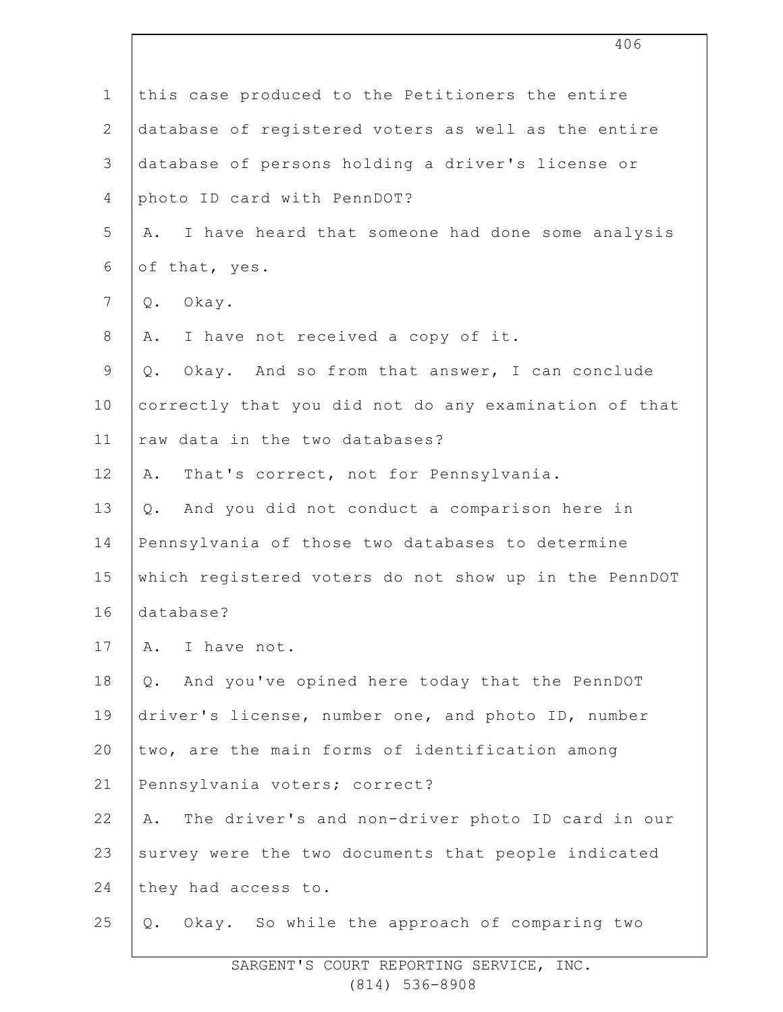|                | 406                                                    |
|----------------|--------------------------------------------------------|
| $\mathbf{1}$   | this case produced to the Petitioners the entire       |
| $\mathbf{2}$   | database of registered voters as well as the entire    |
| 3              | database of persons holding a driver's license or      |
| $\overline{4}$ | photo ID card with PennDOT?                            |
| 5              | I have heard that someone had done some analysis<br>Α. |
| 6              | of that, yes.                                          |
| $7\phantom{.}$ | Okay.<br>$Q$ .                                         |
| $8\,$          | A. I have not received a copy of it.                   |
| $\mathsf 9$    | Okay. And so from that answer, I can conclude<br>Q.    |
| 10             | correctly that you did not do any examination of that  |
| 11             | raw data in the two databases?                         |
| 12             | That's correct, not for Pennsylvania.<br>Α.            |
| 13             | Q. And you did not conduct a comparison here in        |
| 14             | Pennsylvania of those two databases to determine       |
| 15             | which registered voters do not show up in the PennDOT  |
| 16             | database?                                              |
| 17             | A. I have not.                                         |
| 18             | And you've opined here today that the PennDOT<br>Q.    |
| 19             | driver's license, number one, and photo ID, number     |
| 20             | two, are the main forms of identification among        |
| 21             | Pennsylvania voters; correct?                          |
| 22             | The driver's and non-driver photo ID card in our<br>Α. |
| 23             | survey were the two documents that people indicated    |
| 24             | they had access to.                                    |
| 25             | Okay. So while the approach of comparing two<br>Q.     |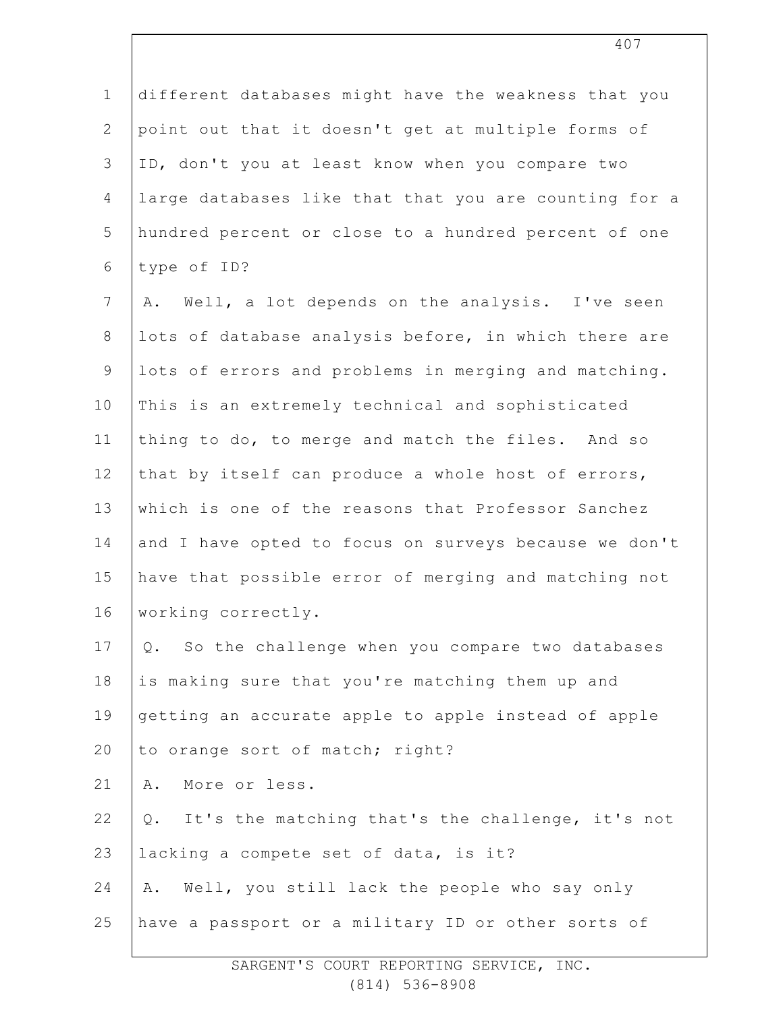| $\mathbf 1$    | different databases might have the weakness that you  |
|----------------|-------------------------------------------------------|
| $\overline{2}$ | point out that it doesn't get at multiple forms of    |
| 3              | ID, don't you at least know when you compare two      |
| 4              | large databases like that that you are counting for a |
| 5              | hundred percent or close to a hundred percent of one  |
| 6              | type of ID?                                           |
| 7              | A. Well, a lot depends on the analysis. I've seen     |
| $\,8\,$        | lots of database analysis before, in which there are  |
| $\mathsf 9$    | lots of errors and problems in merging and matching.  |
| 10             | This is an extremely technical and sophisticated      |
| 11             | thing to do, to merge and match the files. And so     |
| 12             | that by itself can produce a whole host of errors,    |
| 13             | which is one of the reasons that Professor Sanchez    |
| 14             | and I have opted to focus on surveys because we don't |
| 15             | have that possible error of merging and matching not  |
| 16             | working correctly.                                    |
| 17             | So the challenge when you compare two databases<br>Q. |
| 18             | is making sure that you're matching them up and       |
| 19             | getting an accurate apple to apple instead of apple   |
| 20             | to orange sort of match; right?                       |
| 21             | More or less.<br>Α.                                   |
| 22             | Q. It's the matching that's the challenge, it's not   |
| 23             | lacking a compete set of data, is it?                 |
| 24             | A. Well, you still lack the people who say only       |
| 25             | have a passport or a military ID or other sorts of    |
|                |                                                       |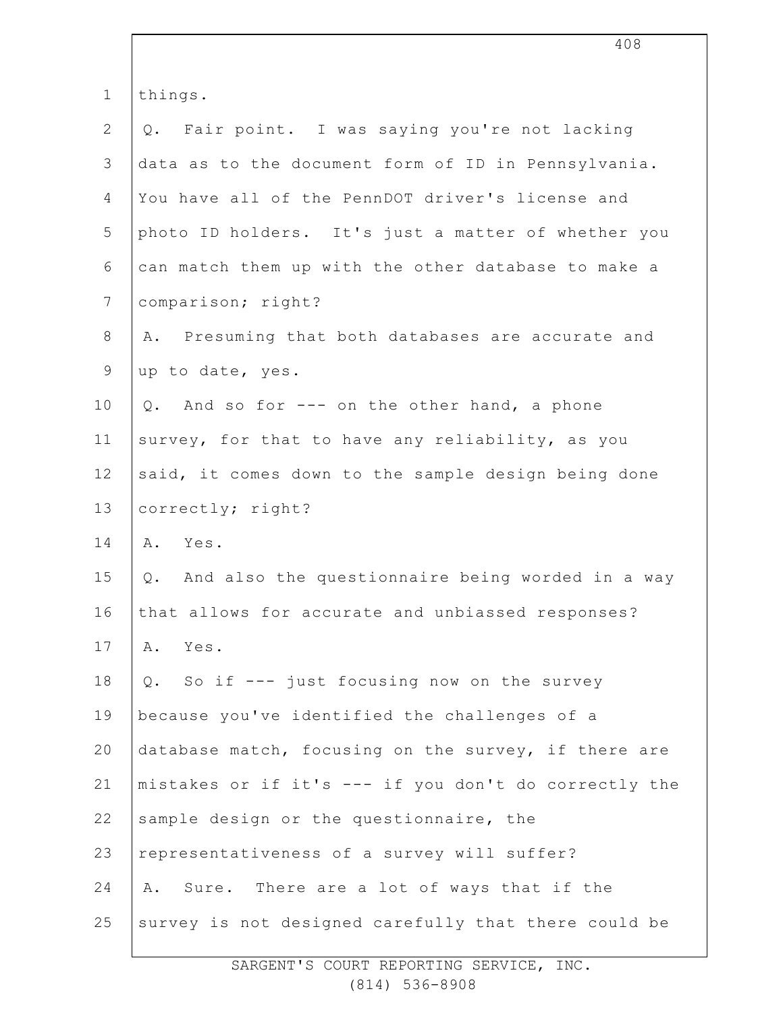| $\mathbf 1$    | things.                                               |
|----------------|-------------------------------------------------------|
| $\mathbf{2}$   | Q. Fair point. I was saying you're not lacking        |
| $\mathfrak{Z}$ | data as to the document form of ID in Pennsylvania.   |
| 4              | You have all of the PennDOT driver's license and      |
| 5              | photo ID holders. It's just a matter of whether you   |
| $\sqrt{6}$     | can match them up with the other database to make a   |
| $7\phantom{.}$ | comparison; right?                                    |
| $\,8\,$        | Presuming that both databases are accurate and<br>Α.  |
| $\mathsf 9$    | up to date, yes.                                      |
| 10             | And so for --- on the other hand, a phone<br>Q.       |
| 11             | survey, for that to have any reliability, as you      |
| 12             | said, it comes down to the sample design being done   |
| 13             | correctly; right?                                     |
| 14             | Yes.<br>Α.                                            |
| 15             | Q. And also the questionnaire being worded in a way   |
| 16             | that allows for accurate and unbiassed responses?     |
| 17             | Α.<br>Yes.                                            |
| 18             | So if --- just focusing now on the survey<br>Q.       |
| 19             | because you've identified the challenges of a         |
| 20             | database match, focusing on the survey, if there are  |
| 21             | mistakes or if it's --- if you don't do correctly the |
| 22             | sample design or the questionnaire, the               |
| 23             | representativeness of a survey will suffer?           |
| 24             | Sure. There are a lot of ways that if the<br>Α.       |
| 25             | survey is not designed carefully that there could be  |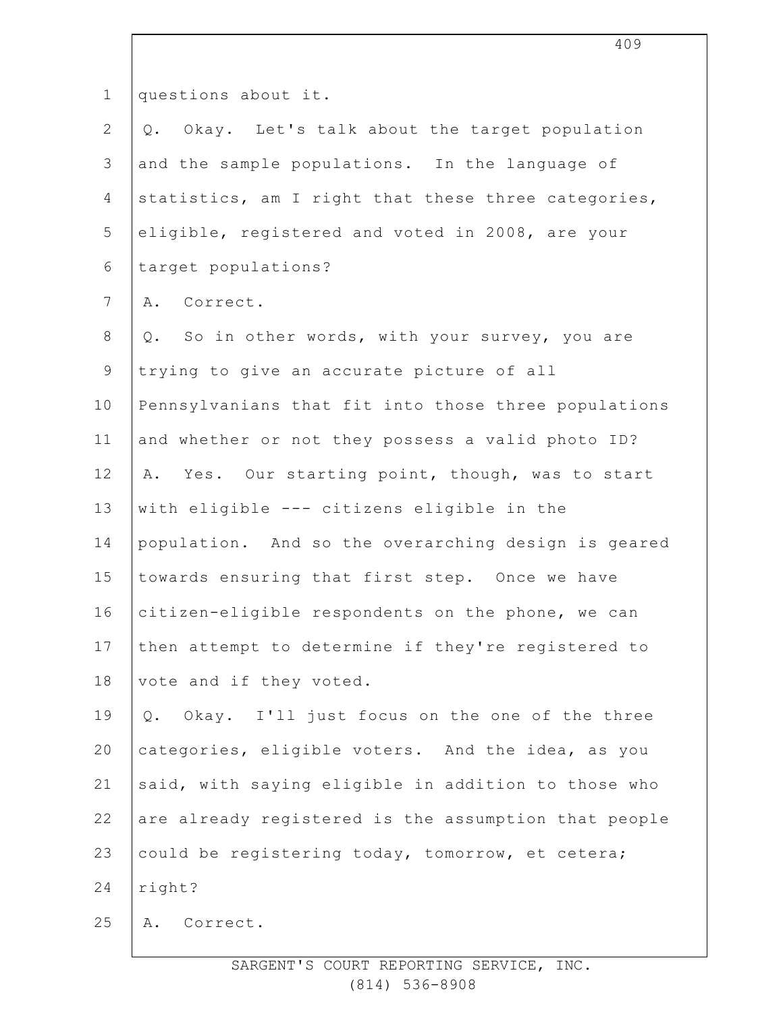| $\mathbf 1$    | questions about it.                                  |
|----------------|------------------------------------------------------|
| $\overline{2}$ | Q. Okay. Let's talk about the target population      |
| 3              | and the sample populations. In the language of       |
| 4              | statistics, am I right that these three categories,  |
| 5              | eligible, registered and voted in 2008, are your     |
| 6              | target populations?                                  |
| $7\phantom{.}$ | A. Correct.                                          |
| $8\,$          | So in other words, with your survey, you are<br>Q.   |
| 9              | trying to give an accurate picture of all            |
| 10             | Pennsylvanians that fit into those three populations |
| 11             | and whether or not they possess a valid photo ID?    |
| 12             | A. Yes. Our starting point, though, was to start     |
| 13             | with eligible --- citizens eligible in the           |
| 14             | population. And so the overarching design is geared  |
| 15             | towards ensuring that first step. Once we have       |
| 16             | citizen-eligible respondents on the phone, we can    |
| 17             | then attempt to determine if they're registered to   |
| 18             | vote and if they voted.                              |
| 19             | Q. Okay. I'll just focus on the one of the three     |
| 20             | categories, eligible voters. And the idea, as you    |
| 21             | said, with saying eligible in addition to those who  |
| 22             | are already registered is the assumption that people |
| 23             | could be registering today, tomorrow, et cetera;     |
| 24             | right?                                               |
| 25             | Correct.<br>Α.                                       |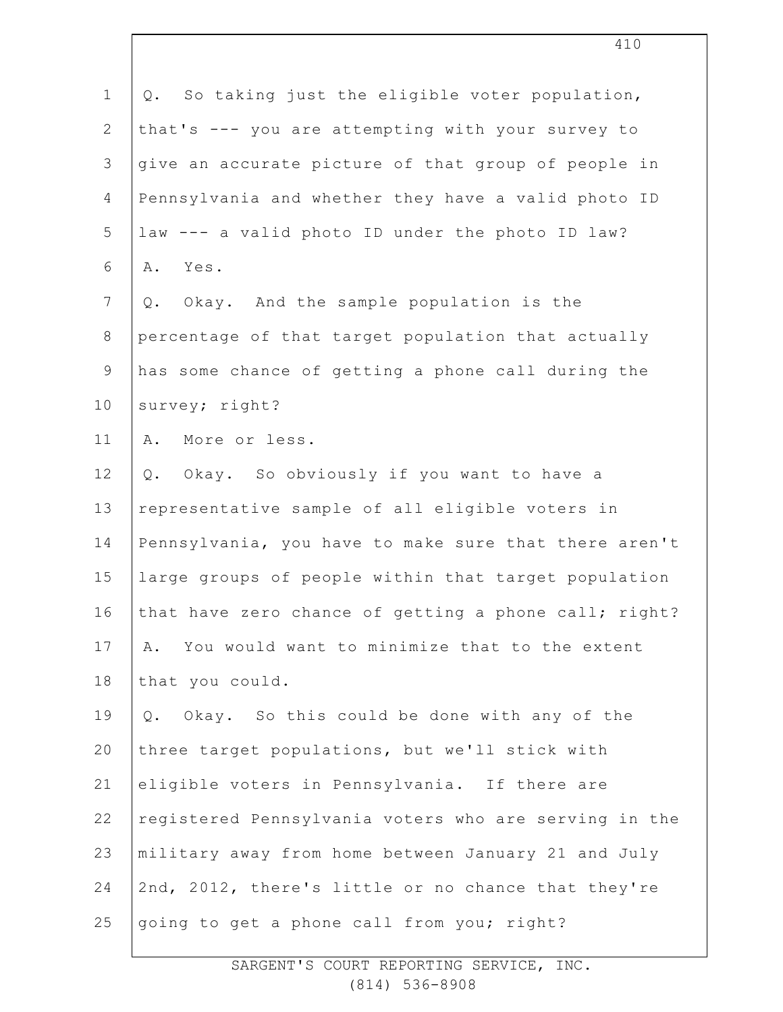| $\mathbf 1$    | Q. So taking just the eligible voter population,      |
|----------------|-------------------------------------------------------|
| $\overline{2}$ | that's --- you are attempting with your survey to     |
| 3              | give an accurate picture of that group of people in   |
| 4              | Pennsylvania and whether they have a valid photo ID   |
| 5              | law --- a valid photo ID under the photo ID law?      |
| 6              | Yes.<br>Α.                                            |
| $\overline{7}$ | Okay. And the sample population is the<br>Q.          |
| $8\,$          | percentage of that target population that actually    |
| 9              | has some chance of getting a phone call during the    |
| 10             | survey; right?                                        |
| 11             | More or less.<br>Α.                                   |
| 12             | Okay. So obviously if you want to have a<br>$Q$ .     |
| 13             | representative sample of all eligible voters in       |
| 14             | Pennsylvania, you have to make sure that there aren't |
| 15             | large groups of people within that target population  |
| 16             | that have zero chance of getting a phone call; right? |
| 17             | You would want to minimize that to the extent<br>Α.   |
| 18             | that you could.                                       |
| 19             | Q. Okay. So this could be done with any of the        |
| 20             | three target populations, but we'll stick with        |
| 21             | eligible voters in Pennsylvania. If there are         |
| 22             | registered Pennsylvania voters who are serving in the |
| 23             | military away from home between January 21 and July   |
| 24             | 2nd, 2012, there's little or no chance that they're   |
| 25             | going to get a phone call from you; right?            |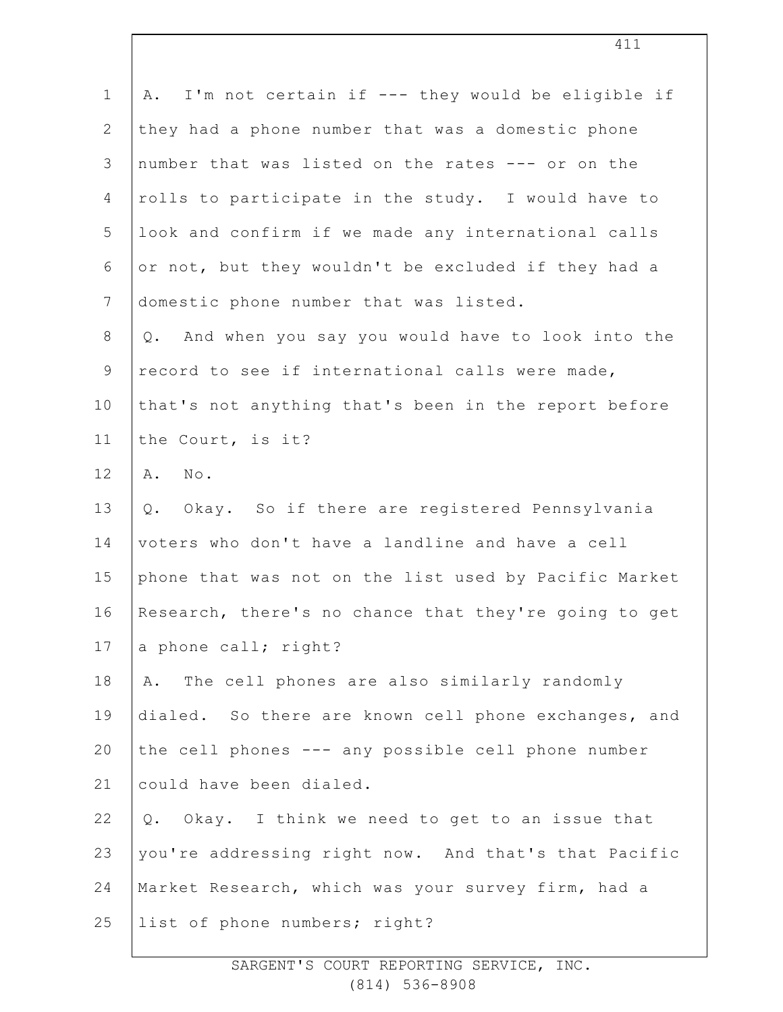| $\mathbf 1$   | I'm not certain if --- they would be eligible if<br>Α. |
|---------------|--------------------------------------------------------|
| $\mathbf{2}$  | they had a phone number that was a domestic phone      |
| $\mathcal{S}$ | number that was listed on the rates --- or on the      |
| 4             | rolls to participate in the study. I would have to     |
| 5             | look and confirm if we made any international calls    |
| 6             | or not, but they wouldn't be excluded if they had a    |
| 7             | domestic phone number that was listed.                 |
| $8\,$         | Q. And when you say you would have to look into the    |
| $\mathsf 9$   | record to see if international calls were made,        |
| 10            | that's not anything that's been in the report before   |
| 11            | the Court, is it?                                      |
| 12            | $\mathbb{N} \circ$ .<br>Α.                             |
| 13            | Okay. So if there are registered Pennsylvania<br>Q.    |
| 14            | voters who don't have a landline and have a cell       |
| 15            | phone that was not on the list used by Pacific Market  |
| 16            | Research, there's no chance that they're going to get  |
| 17            | a phone call; right?                                   |
| 18            | The cell phones are also similarly randomly<br>Α.      |
| 19            | dialed. So there are known cell phone exchanges, and   |
| 20            | the cell phones --- any possible cell phone number     |
| 21            | could have been dialed.                                |
| 22            | Q. Okay. I think we need to get to an issue that       |
| 23            | you're addressing right now. And that's that Pacific   |
| 24            | Market Research, which was your survey firm, had a     |
| 25            | list of phone numbers; right?                          |
|               |                                                        |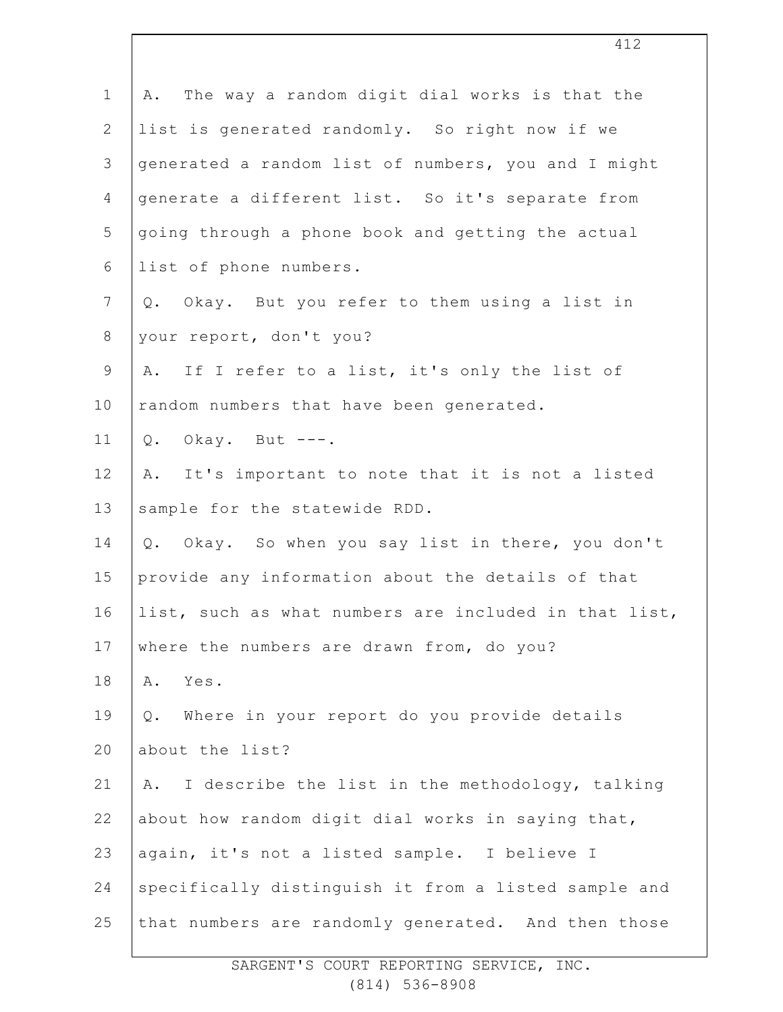| $\mathbf 1$    | The way a random digit dial works is that the<br>Α.   |
|----------------|-------------------------------------------------------|
| $\mathbf{2}$   | list is generated randomly. So right now if we        |
| 3              | generated a random list of numbers, you and I might   |
| 4              | generate a different list. So it's separate from      |
| 5              | going through a phone book and getting the actual     |
| 6              | list of phone numbers.                                |
| $\overline{7}$ | Q. Okay. But you refer to them using a list in        |
| $8\,$          | your report, don't you?                               |
| $\mathsf 9$    | If I refer to a list, it's only the list of<br>Α.     |
| 10             | random numbers that have been generated.              |
| 11             | $Q.$ Okay. But ---.                                   |
| 12             | It's important to note that it is not a listed<br>Α.  |
| 13             | sample for the statewide RDD.                         |
| 14             | Okay. So when you say list in there, you don't<br>Q.  |
| 15             | provide any information about the details of that     |
| 16             | list, such as what numbers are included in that list, |
| 17             | where the numbers are drawn from, do you?             |
| 18             | Yes.<br>Α.                                            |
| 19             | Where in your report do you provide details<br>Q.     |
| 20             | about the list?                                       |
| 21             | I describe the list in the methodology, talking<br>Α. |
| 22             | about how random digit dial works in saying that,     |
| 23             | again, it's not a listed sample. I believe I          |
| 24             | specifically distinguish it from a listed sample and  |
| 25             | that numbers are randomly generated. And then those   |
|                |                                                       |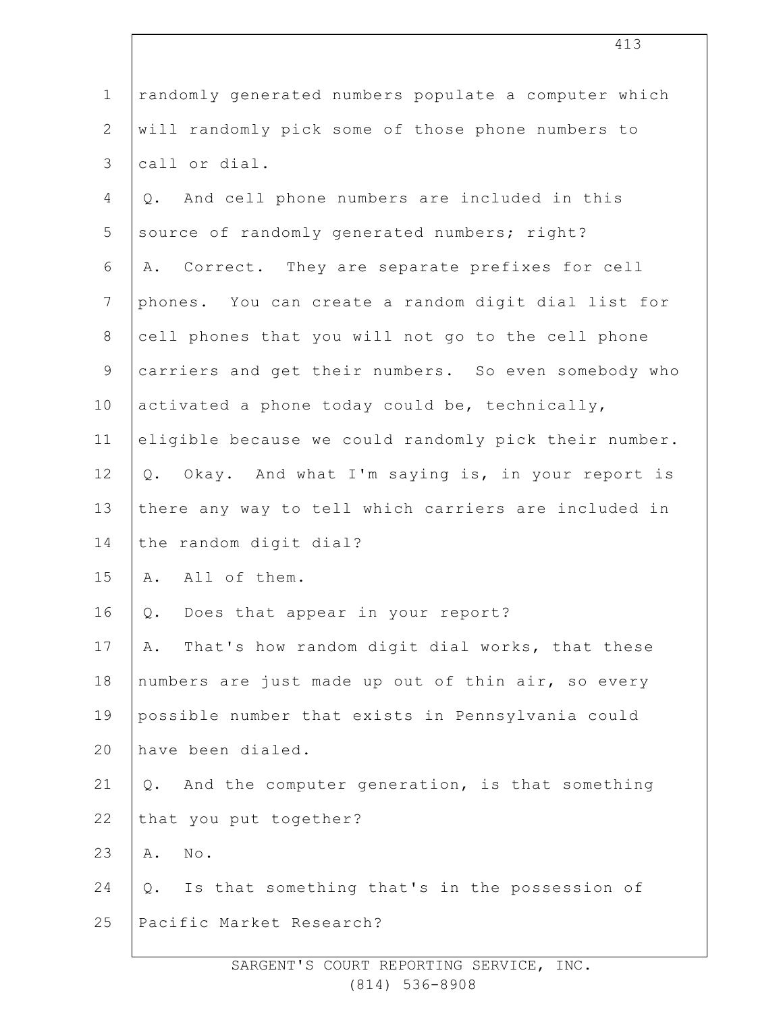| $1\,$          | randomly generated numbers populate a computer which  |
|----------------|-------------------------------------------------------|
| $\mathbf{2}$   | will randomly pick some of those phone numbers to     |
| $\mathcal{S}$  | call or dial.                                         |
| $\overline{4}$ | And cell phone numbers are included in this<br>Q.     |
| 5              | source of randomly generated numbers; right?          |
| 6              | Correct. They are separate prefixes for cell<br>Α.    |
| $7\phantom{.}$ | phones. You can create a random digit dial list for   |
| $\,8\,$        | cell phones that you will not go to the cell phone    |
| $\mathsf 9$    | carriers and get their numbers. So even somebody who  |
| 10             | activated a phone today could be, technically,        |
| 11             | eligible because we could randomly pick their number. |
| 12             | Okay. And what I'm saying is, in your report is<br>Q. |
| 13             | there any way to tell which carriers are included in  |
| 14             | the random digit dial?                                |
| 15             | A. All of them.                                       |
| 16             | Does that appear in your report?<br>Q.                |
| 17             | That's how random digit dial works, that these<br>Α.  |
| 18             | numbers are just made up out of thin air, so every    |
| 19             | possible number that exists in Pennsylvania could     |
| 20             | have been dialed.                                     |
| 21             | And the computer generation, is that something<br>Q.  |
| 22             | that you put together?                                |
| 23             | $\texttt{No}$ .<br>Α.                                 |
| 24             | Is that something that's in the possession of<br>Q.   |
| 25             | Pacific Market Research?                              |
|                |                                                       |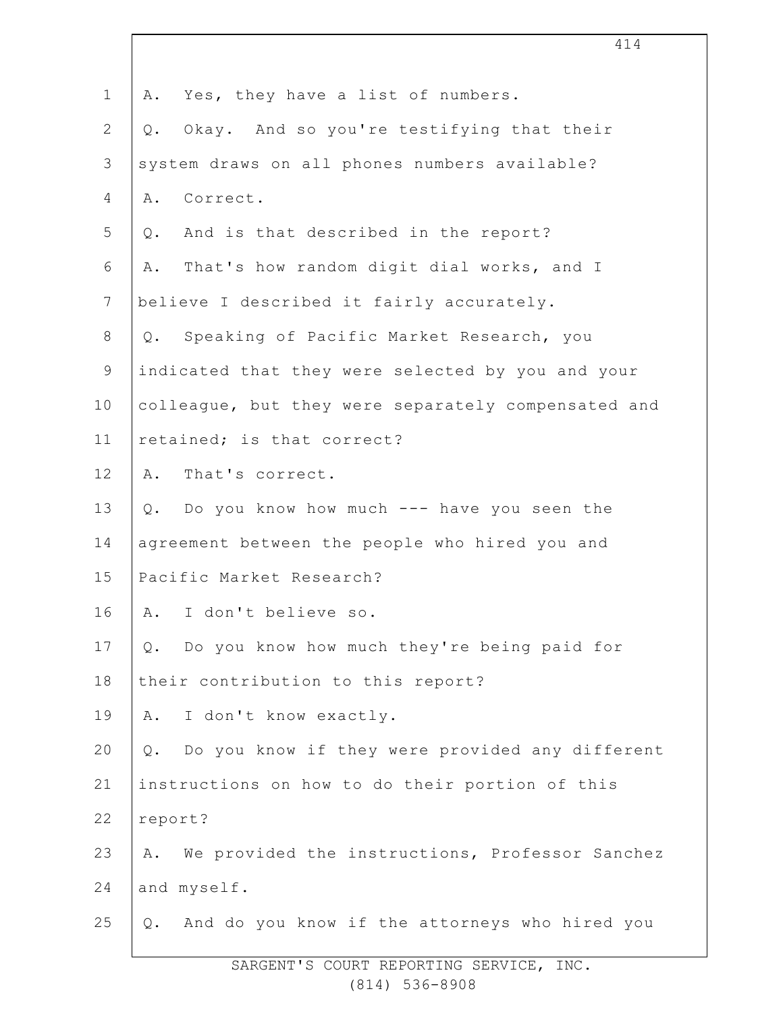| $\mathbf 1$    | Yes, they have a list of numbers.<br>Α.                  |
|----------------|----------------------------------------------------------|
| $\mathbf{2}$   | Okay. And so you're testifying that their<br>Q.          |
| $\mathcal{S}$  | system draws on all phones numbers available?            |
| 4              | Correct.<br>Α.                                           |
| 5              | Q. And is that described in the report?                  |
| 6              | That's how random digit dial works, and I<br>Α.          |
| $\overline{7}$ | believe I described it fairly accurately.                |
| $\,8\,$        | Q. Speaking of Pacific Market Research, you              |
| $\mathsf 9$    | indicated that they were selected by you and your        |
| 10             | colleague, but they were separately compensated and      |
| 11             | retained; is that correct?                               |
| 12             | That's correct.<br>Α.                                    |
| 13             | Q. Do you know how much --- have you seen the            |
| 14             | agreement between the people who hired you and           |
| 15             | Pacific Market Research?                                 |
| 16             | A. I don't believe so.                                   |
| 17             | Do you know how much they're being paid for<br>$Q$ .     |
| 18             | their contribution to this report?                       |
| 19             | I don't know exactly.<br>A.                              |
| 20             | Do you know if they were provided any different<br>$Q$ . |
| 21             | instructions on how to do their portion of this          |
| 22             | report?                                                  |
| 23             | We provided the instructions, Professor Sanchez<br>Α.    |
| 24             | and myself.                                              |
| 25             | Q. And do you know if the attorneys who hired you        |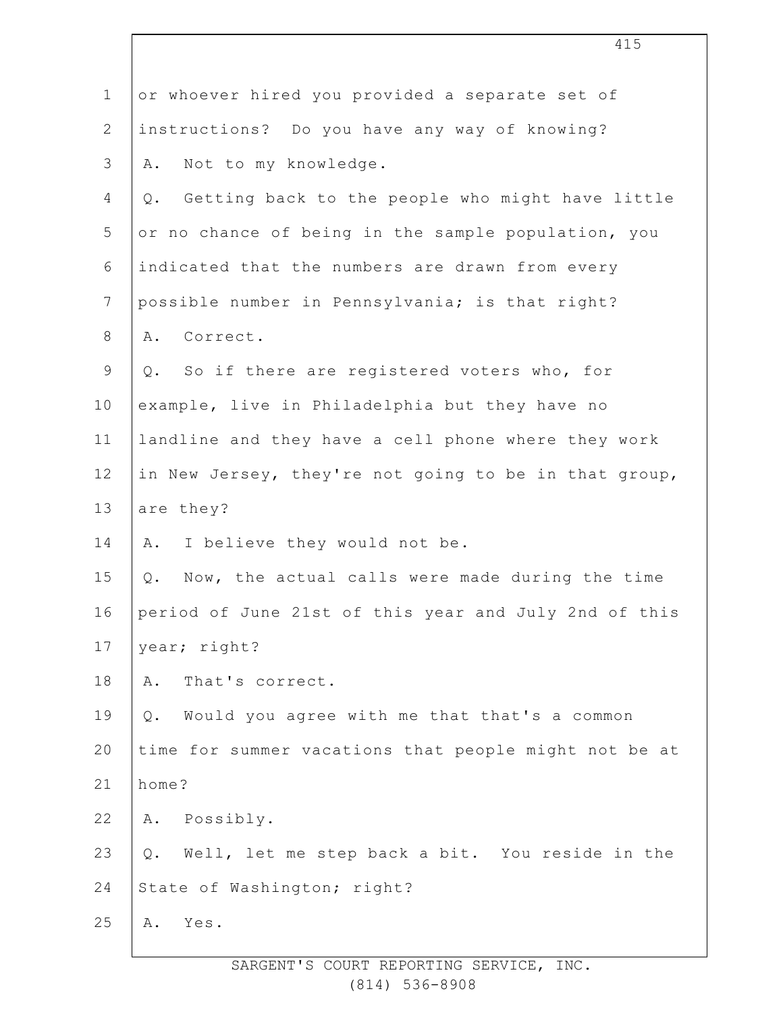| $\mathbf 1$    | or whoever hired you provided a separate set of          |
|----------------|----------------------------------------------------------|
| $\overline{2}$ | instructions? Do you have any way of knowing?            |
| 3              | Not to my knowledge.<br>Α.                               |
| 4              | Getting back to the people who might have little<br>Q.   |
| 5              | or no chance of being in the sample population, you      |
| 6              | indicated that the numbers are drawn from every          |
| $\overline{7}$ | possible number in Pennsylvania; is that right?          |
| $8\,$          | A. Correct.                                              |
| $\mathsf 9$    | Q. So if there are registered voters who, for            |
| 10             | example, live in Philadelphia but they have no           |
| 11             | landline and they have a cell phone where they work      |
| 12             | in New Jersey, they're not going to be in that group,    |
| 13             | are they?                                                |
| 14             | I believe they would not be.<br>Α.                       |
| 15             | Now, the actual calls were made during the time<br>Q.    |
| 16             | period of June 21st of this year and July 2nd of this    |
| 17             | year; right?                                             |
| 18             | That's correct.<br>Α.                                    |
| 19             | Would you agree with me that that's a common<br>Q.       |
| 20             | time for summer vacations that people might not be at    |
| 21             | home?                                                    |
| 22             | Possibly.<br>Α.                                          |
| 23             | Well, let me step back a bit. You reside in the<br>$Q$ . |
| 24             | State of Washington; right?                              |
| 25             | Yes.<br>Α.                                               |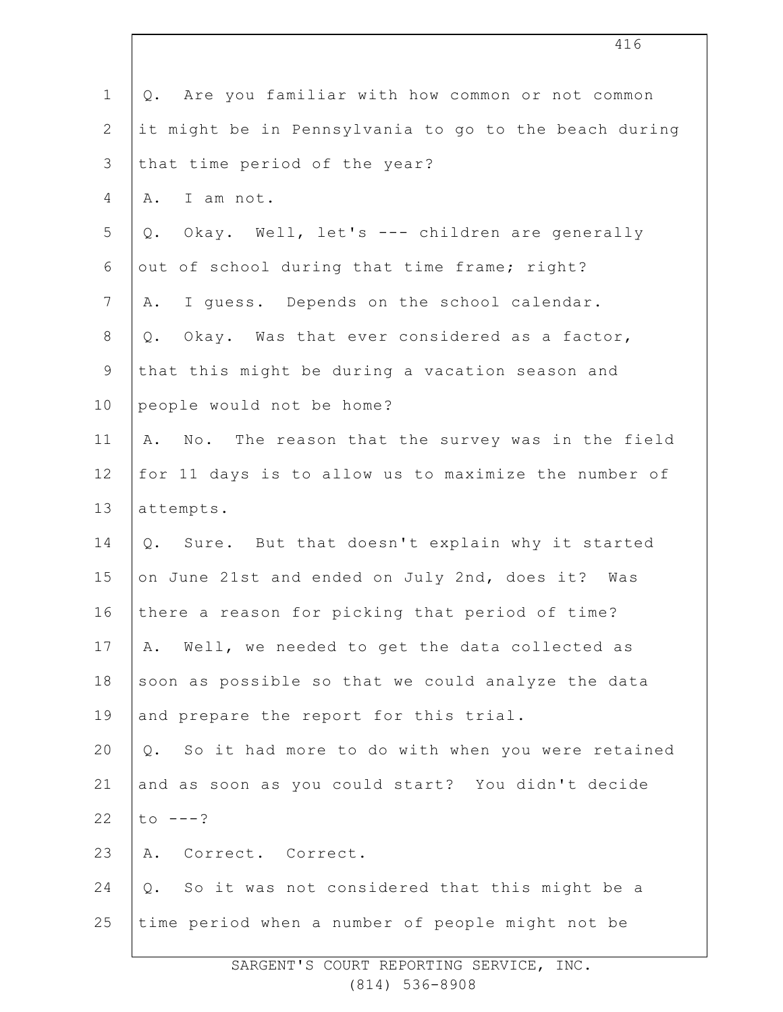| $\mathbf 1$    | Are you familiar with how common or not common<br>Q.   |
|----------------|--------------------------------------------------------|
| $\mathbf{2}$   | it might be in Pennsylvania to go to the beach during  |
| 3              | that time period of the year?                          |
| 4              | I am not.<br>Α.                                        |
| 5              | Okay. Well, let's --- children are generally<br>Q.     |
| 6              | out of school during that time frame; right?           |
| $\overline{7}$ | I guess. Depends on the school calendar.<br>Α.         |
| $8\,$          | Okay. Was that ever considered as a factor,<br>Q.      |
| 9              | that this might be during a vacation season and        |
| 10             | people would not be home?                              |
| 11             | No. The reason that the survey was in the field<br>Α.  |
| 12             | for 11 days is to allow us to maximize the number of   |
| 13             | attempts.                                              |
| 14             | Sure. But that doesn't explain why it started<br>Q.    |
| 15             | on June 21st and ended on July 2nd, does it? Was       |
| 16             | there a reason for picking that period of time?        |
| 17             | Well, we needed to get the data collected as<br>Α.     |
| 18             | soon as possible so that we could analyze the data     |
| 19             | and prepare the report for this trial.                 |
| 20             | So it had more to do with when you were retained<br>Q. |
| 21             | and as soon as you could start? You didn't decide      |
| 22             | to $---?$                                              |
| 23             | Correct. Correct.<br>Α.                                |
| 24             | So it was not considered that this might be a<br>Q.    |
| 25             | time period when a number of people might not be       |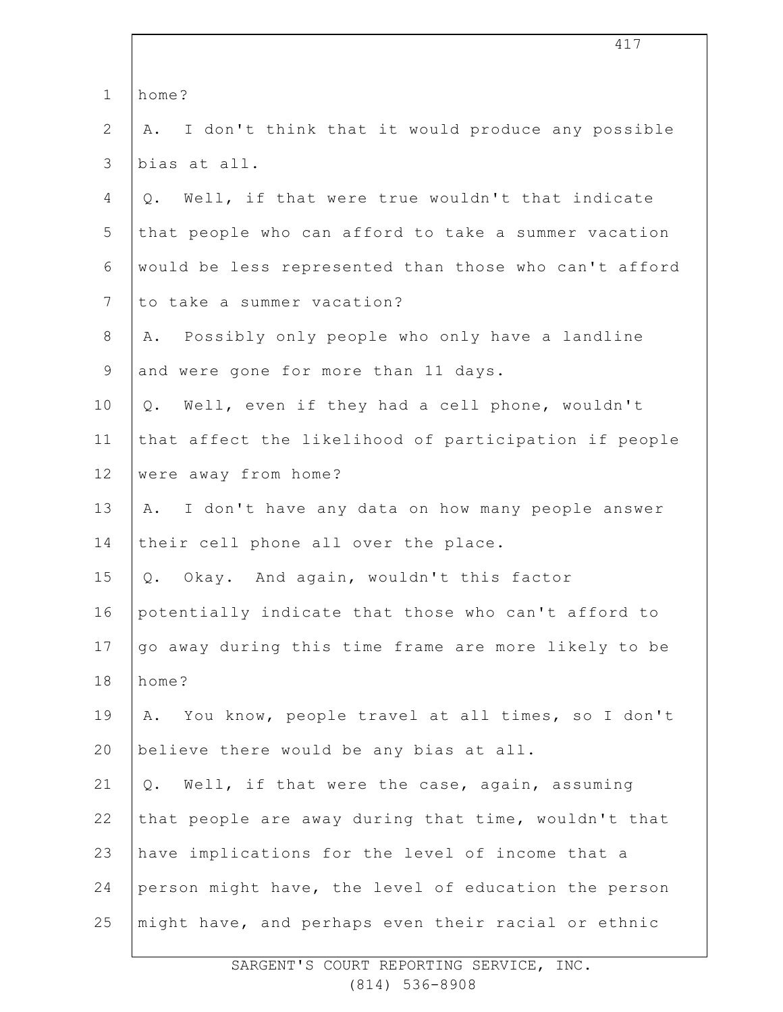|                | 417                                                    |
|----------------|--------------------------------------------------------|
| $\mathbf 1$    | home?                                                  |
| 2              | I don't think that it would produce any possible<br>Α. |
| 3              | bias at all.                                           |
| 4              | Well, if that were true wouldn't that indicate<br>Q.   |
| 5              | that people who can afford to take a summer vacation   |
| 6              | would be less represented than those who can't afford  |
| $7\phantom{.}$ | to take a summer vacation?                             |
| $8\,$          | Possibly only people who only have a landline<br>Α.    |
| $\mathsf 9$    | and were gone for more than 11 days.                   |
| 10             | Well, even if they had a cell phone, wouldn't<br>Q.    |
| 11             | that affect the likelihood of participation if people  |
| 12             | were away from home?                                   |
| 13             | I don't have any data on how many people answer<br>Α.  |
| 14             | their cell phone all over the place.                   |
| 15             | Okay. And again, wouldn't this factor<br>Q.            |
| 16             | potentially indicate that those who can't afford to    |
| 17             | go away during this time frame are more likely to be   |
| 18             | home?                                                  |
| 19             | You know, people travel at all times, so I don't<br>Α. |
| 20             | believe there would be any bias at all.                |
| 21             | Well, if that were the case, again, assuming<br>$Q$ .  |
| 22             | that people are away during that time, wouldn't that   |
| 23             | have implications for the level of income that a       |
| 24             | person might have, the level of education the person   |
| 25             | might have, and perhaps even their racial or ethnic    |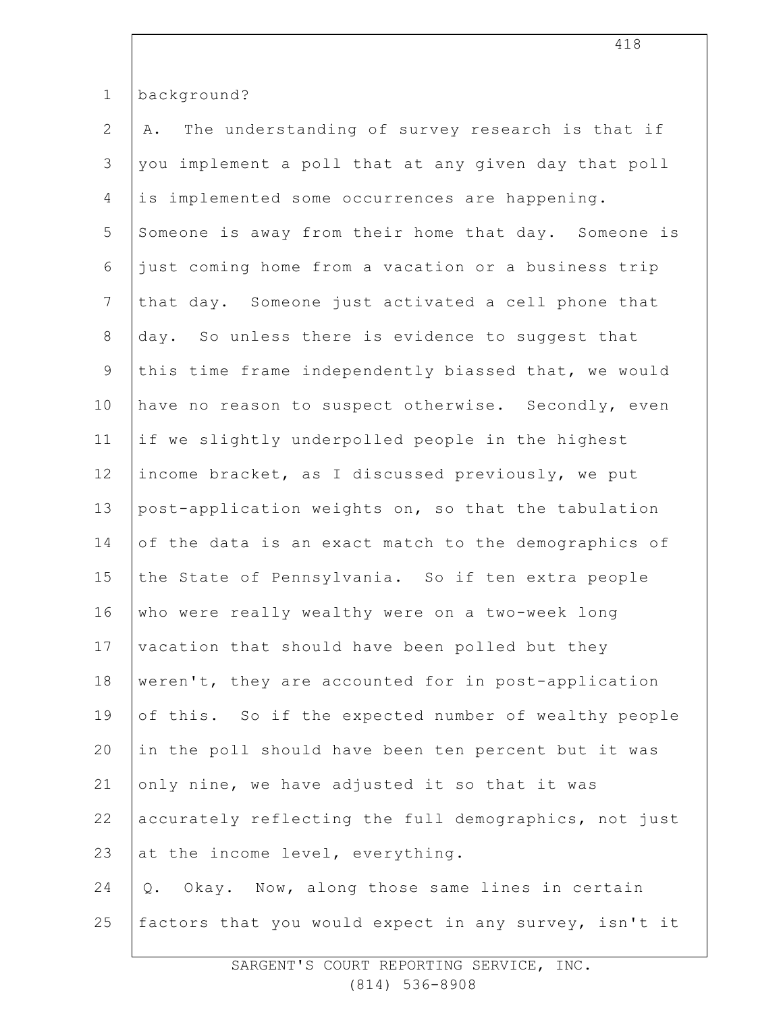| $\mathbf 1$     | background?                                           |
|-----------------|-------------------------------------------------------|
| $\mathbf{2}$    | The understanding of survey research is that if<br>Α. |
| 3               | you implement a poll that at any given day that poll  |
| $\overline{4}$  | is implemented some occurrences are happening.        |
| 5               | Someone is away from their home that day. Someone is  |
| $\sqrt{6}$      | just coming home from a vacation or a business trip   |
| $7\overline{ }$ | that day. Someone just activated a cell phone that    |
| $\,8\,$         | day. So unless there is evidence to suggest that      |
| $\mathsf 9$     | this time frame independently biassed that, we would  |
| 10              | have no reason to suspect otherwise. Secondly, even   |
| 11              | if we slightly underpolled people in the highest      |
| 12              | income bracket, as I discussed previously, we put     |
| 13              | post-application weights on, so that the tabulation   |
| 14              | of the data is an exact match to the demographics of  |
| 15              | the State of Pennsylvania. So if ten extra people     |
| 16              | who were really wealthy were on a two-week long       |
| 17              | vacation that should have been polled but they        |
| 18              | weren't, they are accounted for in post-application   |
| 19              | of this. So if the expected number of wealthy people  |
| 20              | in the poll should have been ten percent but it was   |
| 21              | only nine, we have adjusted it so that it was         |
| 22              | accurately reflecting the full demographics, not just |
| 23              | at the income level, everything.                      |
| 24              | Q. Okay. Now, along those same lines in certain       |
| 25              | factors that you would expect in any survey, isn't it |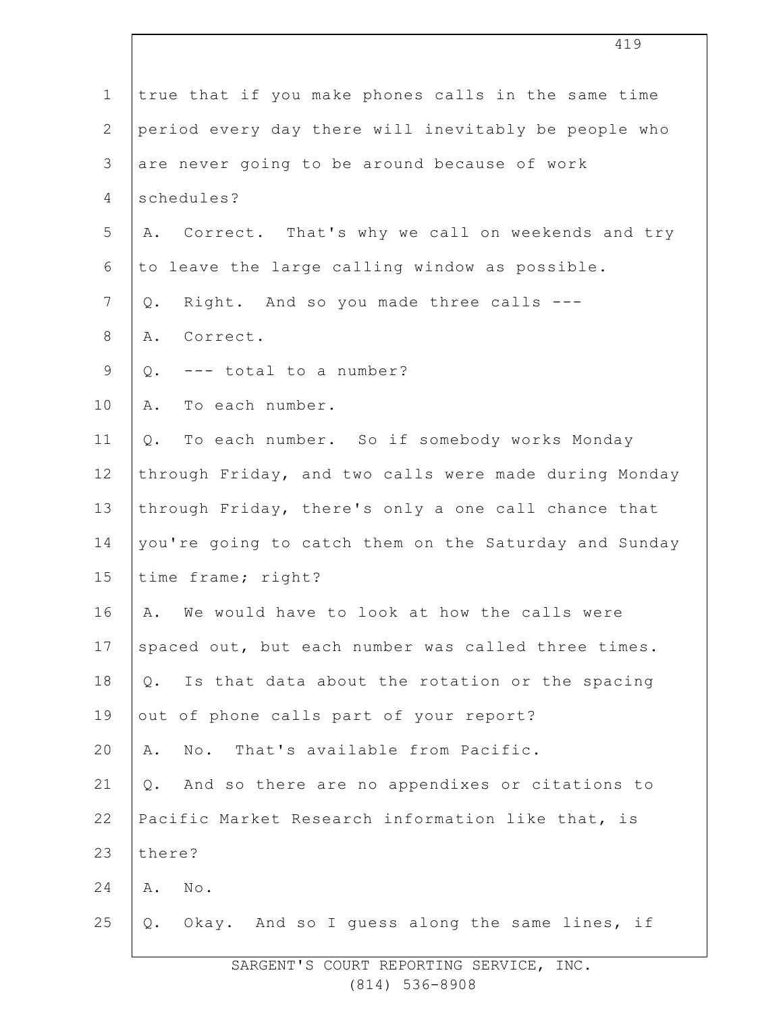| $\mathbf 1$    | true that if you make phones calls in the same time     |
|----------------|---------------------------------------------------------|
| $\overline{2}$ | period every day there will inevitably be people who    |
| 3              | are never going to be around because of work            |
| 4              | schedules?                                              |
| 5              | A. Correct. That's why we call on weekends and try      |
| 6              | to leave the large calling window as possible.          |
| 7              | Right. And so you made three calls ---<br>$Q$ .         |
| 8              | Correct.<br>Α.                                          |
| $\mathsf 9$    | --- total to a number?<br>Q.                            |
| 10             | To each number.<br>Α.                                   |
| 11             | To each number. So if somebody works Monday<br>$Q$ .    |
| 12             | through Friday, and two calls were made during Monday   |
| 13             | through Friday, there's only a one call chance that     |
| 14             | you're going to catch them on the Saturday and Sunday   |
| 15             | time frame; right?                                      |
| 16             | We would have to look at how the calls were<br>Α.       |
| 17             | spaced out, but each number was called three times.     |
| 18             | Is that data about the rotation or the spacing<br>$Q$ . |
| 19             | out of phone calls part of your report?                 |
| 20             | No. That's available from Pacific.<br>Α.                |
| 21             | And so there are no appendixes or citations to<br>Q.    |
| 22             | Pacific Market Research information like that, is       |
| 23             | there?                                                  |
| 24             | $\mathbb{N} \circ$ .<br>Α.                              |
| 25             | Q. Okay. And so I quess along the same lines, if        |
|                |                                                         |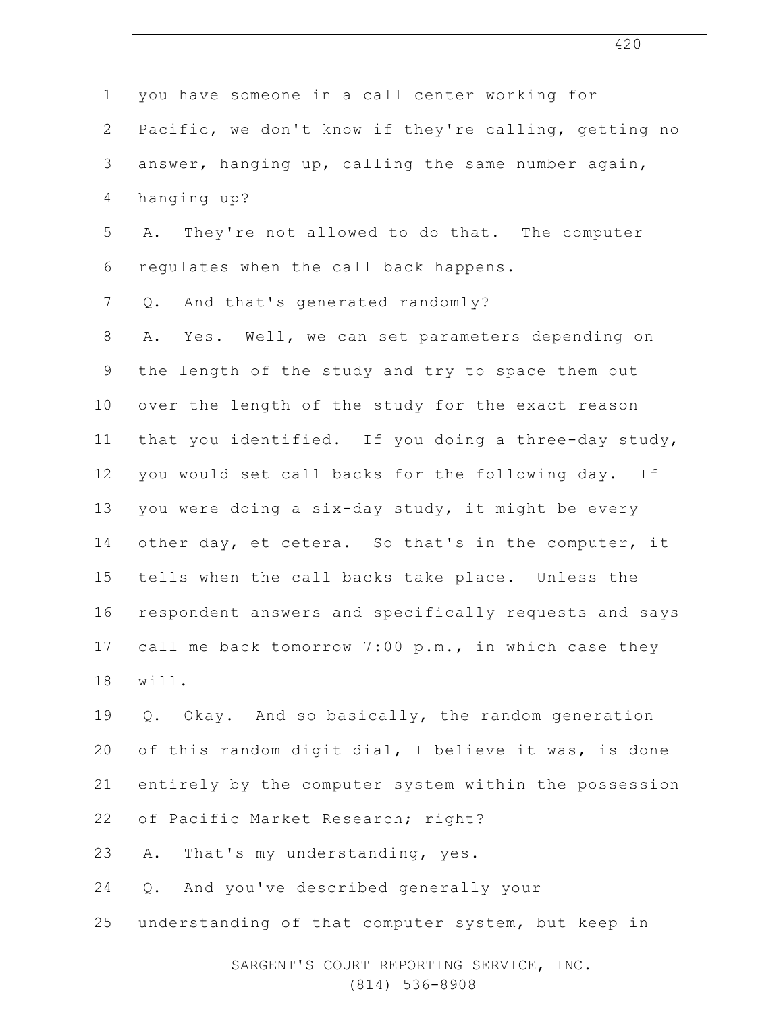| $\mathbf 1$    | you have someone in a call center working for         |
|----------------|-------------------------------------------------------|
| $\overline{2}$ | Pacific, we don't know if they're calling, getting no |
| 3              | answer, hanging up, calling the same number again,    |
| $\overline{4}$ | hanging up?                                           |
| 5              | They're not allowed to do that. The computer<br>Α.    |
| 6              | regulates when the call back happens.                 |
| 7              | And that's generated randomly?<br>Q.                  |
| 8              | Yes. Well, we can set parameters depending on<br>Α.   |
| $\mathsf 9$    | the length of the study and try to space them out     |
| 10             | over the length of the study for the exact reason     |
| 11             | that you identified. If you doing a three-day study,  |
| 12             | you would set call backs for the following day. If    |
| 13             | you were doing a six-day study, it might be every     |
| 14             | other day, et cetera. So that's in the computer, it   |
| 15             | tells when the call backs take place. Unless the      |
| 16             | respondent answers and specifically requests and says |
| 17             | call me back tomorrow 7:00 p.m., in which case they   |
| 18             | will.                                                 |
| 19             | Okay. And so basically, the random generation<br>Q.   |
| 20             | of this random digit dial, I believe it was, is done  |
| 21             | entirely by the computer system within the possession |
| 22             | of Pacific Market Research; right?                    |
| 23             | That's my understanding, yes.<br>Α.                   |
| 24             | And you've described generally your<br>Q.             |
| 25             | understanding of that computer system, but keep in    |
|                |                                                       |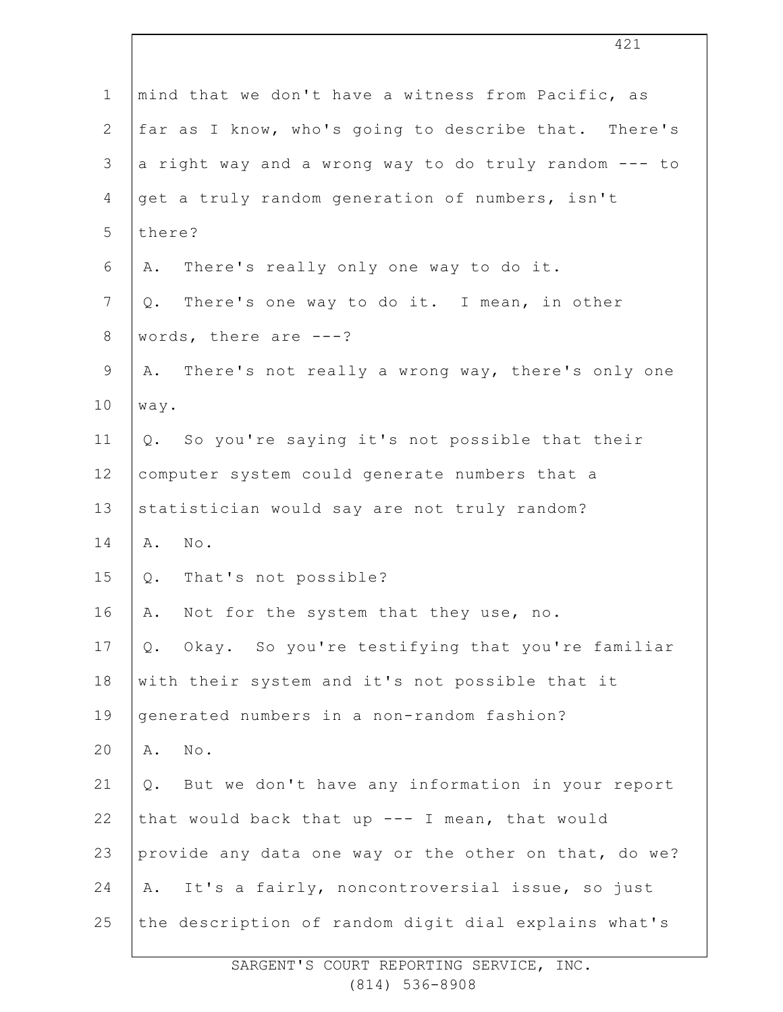| $\mathbf 1$    | mind that we don't have a witness from Pacific, as        |
|----------------|-----------------------------------------------------------|
| $\mathbf{2}$   | far as I know, who's going to describe that. There's      |
| 3              | a right way and a wrong way to do truly random --- to     |
| 4              | get a truly random generation of numbers, isn't           |
| 5              | there?                                                    |
| 6              | There's really only one way to do it.<br>Α.               |
| $7\phantom{.}$ | There's one way to do it. I mean, in other<br>Q.          |
| 8              | words, there are $---?$                                   |
| 9              | There's not really a wrong way, there's only one<br>Α.    |
| 10             | way.                                                      |
| 11             | Q. So you're saying it's not possible that their          |
| 12             | computer system could generate numbers that a             |
| 13             | statistician would say are not truly random?              |
| 14             | No.<br>Α.                                                 |
| 15             | That's not possible?<br>$Q$ .                             |
| 16             | Not for the system that they use, no.<br>Α.               |
| 17             | Okay. So you're testifying that you're familiar<br>$Q$ .  |
| 18             | with their system and it's not possible that it           |
| 19             | generated numbers in a non-random fashion?                |
| 20             | $\texttt{No}$ .<br>Α.                                     |
| 21             | But we don't have any information in your report<br>$Q$ . |
| 22             | that would back that up $---$ I mean, that would          |
| 23             | provide any data one way or the other on that, do we?     |
| 24             | It's a fairly, noncontroversial issue, so just<br>Α.      |
| 25             | the description of random digit dial explains what's      |
|                |                                                           |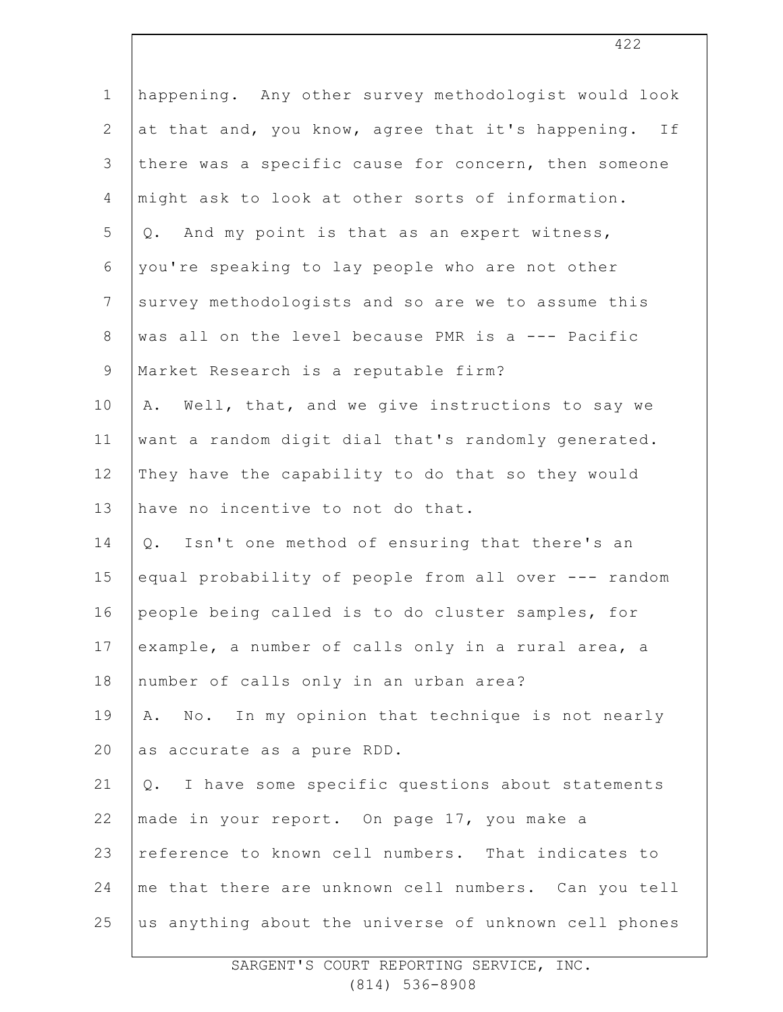| $\mathbf 1$     | happening. Any other survey methodologist would look  |
|-----------------|-------------------------------------------------------|
| $\overline{2}$  | at that and, you know, agree that it's happening. If  |
| 3               | there was a specific cause for concern, then someone  |
| 4               | might ask to look at other sorts of information.      |
| 5               | And my point is that as an expert witness,<br>Q.      |
| 6               | you're speaking to lay people who are not other       |
| $7\phantom{.0}$ | survey methodologists and so are we to assume this    |
| $8\,$           | was all on the level because PMR is a --- Pacific     |
| $\mathsf 9$     | Market Research is a reputable firm?                  |
| 10              | Well, that, and we give instructions to say we<br>Α.  |
| 11              | want a random digit dial that's randomly generated.   |
| 12              | They have the capability to do that so they would     |
| 13              | have no incentive to not do that.                     |
| 14              | Isn't one method of ensuring that there's an<br>Q.    |
| 15              | equal probability of people from all over --- random  |
| 16              | people being called is to do cluster samples, for     |
| 17              | example, a number of calls only in a rural area, a    |
| 18              | number of calls only in an urban area?                |
| 19              | No. In my opinion that technique is not nearly<br>Α.  |
| 20              | as accurate as a pure RDD.                            |
| 21              | I have some specific questions about statements<br>Q. |
| 22              | made in your report. On page 17, you make a           |
| 23              | reference to known cell numbers. That indicates to    |
| 24              | me that there are unknown cell numbers. Can you tell  |
| 25              | us anything about the universe of unknown cell phones |
|                 |                                                       |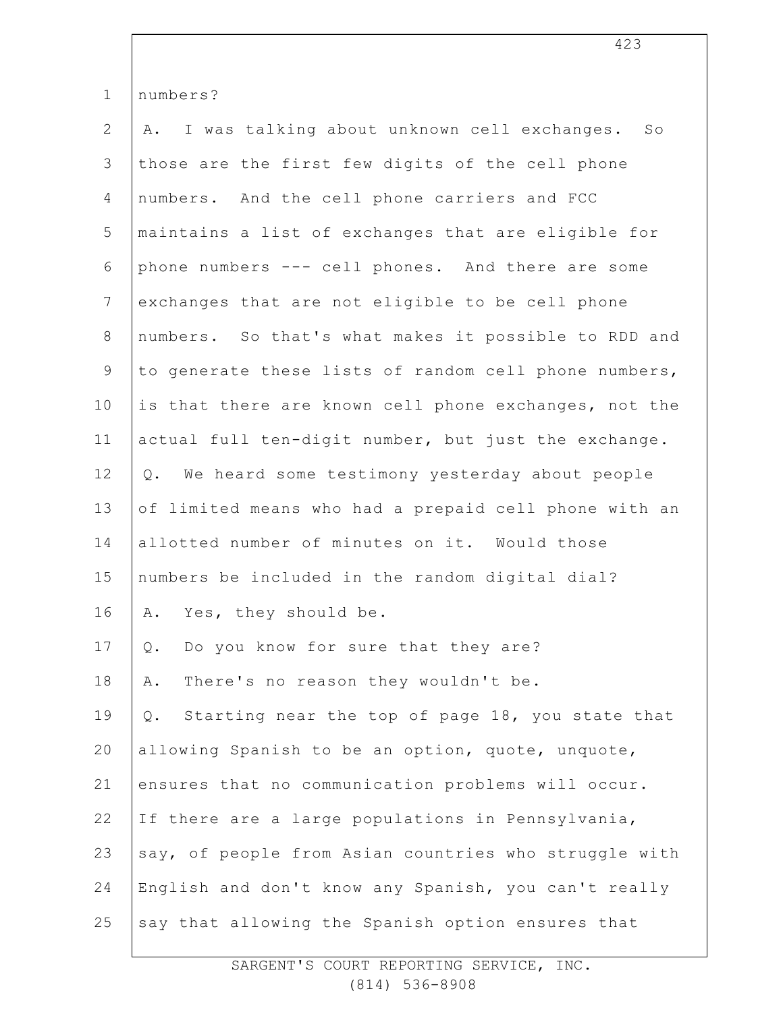| $\mathbf 1$    | numbers?                                                  |
|----------------|-----------------------------------------------------------|
| $\mathbf{2}$   | I was talking about unknown cell exchanges. So<br>Α.      |
| 3              | those are the first few digits of the cell phone          |
| $\overline{4}$ | numbers. And the cell phone carriers and FCC              |
| 5              | maintains a list of exchanges that are eligible for       |
| $\sqrt{6}$     | phone numbers --- cell phones. And there are some         |
| $7\phantom{.}$ | exchanges that are not eligible to be cell phone          |
| $\,8\,$        | numbers. So that's what makes it possible to RDD and      |
| 9              | to generate these lists of random cell phone numbers,     |
| 10             | is that there are known cell phone exchanges, not the     |
| 11             | actual full ten-digit number, but just the exchange.      |
| 12             | We heard some testimony yesterday about people<br>$Q$ .   |
| 13             | of limited means who had a prepaid cell phone with an     |
| 14             | allotted number of minutes on it. Would those             |
| 15             | numbers be included in the random digital dial?           |
| 16             | Yes, they should be.<br>Α.                                |
| 17             | Do you know for sure that they are?<br>Q.                 |
| 18             | There's no reason they wouldn't be.<br>Α.                 |
| 19             | Starting near the top of page 18, you state that<br>$Q$ . |
| 20             | allowing Spanish to be an option, quote, unquote,         |
| 21             | ensures that no communication problems will occur.        |
| 22             | If there are a large populations in Pennsylvania,         |
| 23             | say, of people from Asian countries who struggle with     |
| 24             | English and don't know any Spanish, you can't really      |
| 25             | say that allowing the Spanish option ensures that         |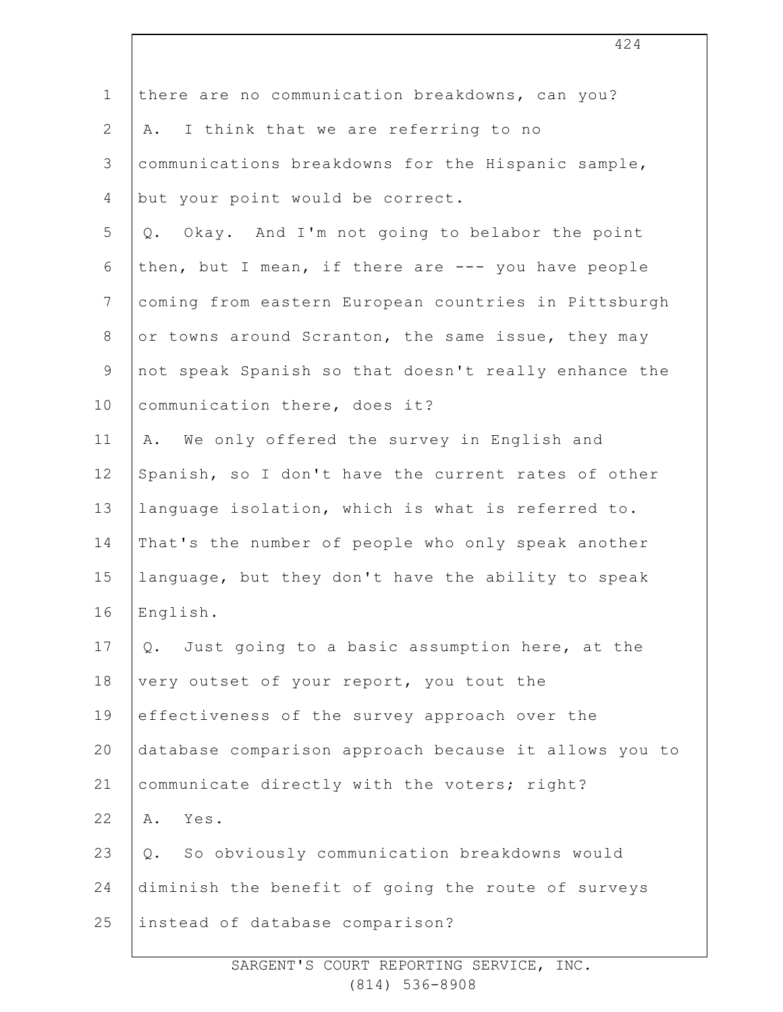| $\mathbf 1$  | there are no communication breakdowns, can you?       |
|--------------|-------------------------------------------------------|
| $\mathbf{2}$ | I think that we are referring to no<br>Α.             |
| 3            | communications breakdowns for the Hispanic sample,    |
| 4            | but your point would be correct.                      |
| 5            | Okay. And I'm not going to belabor the point<br>Q.    |
| 6            | then, but I mean, if there are --- you have people    |
| 7            | coming from eastern European countries in Pittsburgh  |
| 8            | or towns around Scranton, the same issue, they may    |
| 9            | not speak Spanish so that doesn't really enhance the  |
| 10           | communication there, does it?                         |
| 11           | We only offered the survey in English and<br>Α.       |
| 12           | Spanish, so I don't have the current rates of other   |
| 13           | language isolation, which is what is referred to.     |
| 14           | That's the number of people who only speak another    |
| 15           | language, but they don't have the ability to speak    |
| 16           | English.                                              |
| 17           | Just going to a basic assumption here, at the<br>Q.   |
| 18           | very outset of your report, you tout the              |
| 19           | effectiveness of the survey approach over the         |
| 20           | database comparison approach because it allows you to |
| 21           | communicate directly with the voters; right?          |
| 22           | Yes.<br>Α.                                            |
| 23           | So obviously communication breakdowns would<br>Q.     |
| 24           | diminish the benefit of going the route of surveys    |
| 25           | instead of database comparison?                       |
|              |                                                       |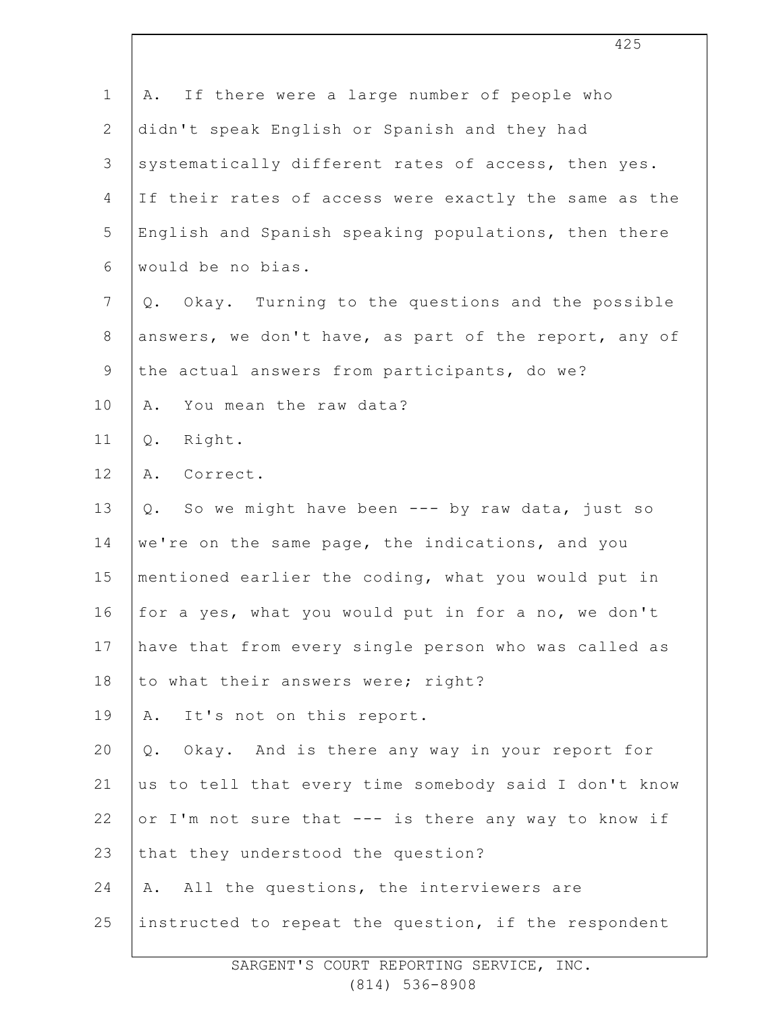| $\mathbf 1$  | If there were a large number of people who<br>Α.      |
|--------------|-------------------------------------------------------|
| $\mathbf{2}$ | didn't speak English or Spanish and they had          |
| 3            | systematically different rates of access, then yes.   |
| 4            | If their rates of access were exactly the same as the |
| 5            | English and Spanish speaking populations, then there  |
| $\epsilon$   | would be no bias.                                     |
| 7            | Q. Okay. Turning to the questions and the possible    |
| $8\,$        | answers, we don't have, as part of the report, any of |
| $\mathsf 9$  | the actual answers from participants, do we?          |
| 10           | You mean the raw data?<br>Α.                          |
| 11           | Right.<br>Q.                                          |
| 12           | A. Correct.                                           |
| 13           | So we might have been --- by raw data, just so<br>Q.  |
| 14           | we're on the same page, the indications, and you      |
| 15           | mentioned earlier the coding, what you would put in   |
| 16           | for a yes, what you would put in for a no, we don't   |
| 17           | have that from every single person who was called as  |
| $18\,$       | to what their answers were; right?                    |
| 19           | It's not on this report.<br>A.                        |
| 20           | Q. Okay. And is there any way in your report for      |
| 21           | us to tell that every time somebody said I don't know |
| 22           | or I'm not sure that --- is there any way to know if  |
| 23           | that they understood the question?                    |
| 24           | A. All the questions, the interviewers are            |
| 25           | instructed to repeat the question, if the respondent  |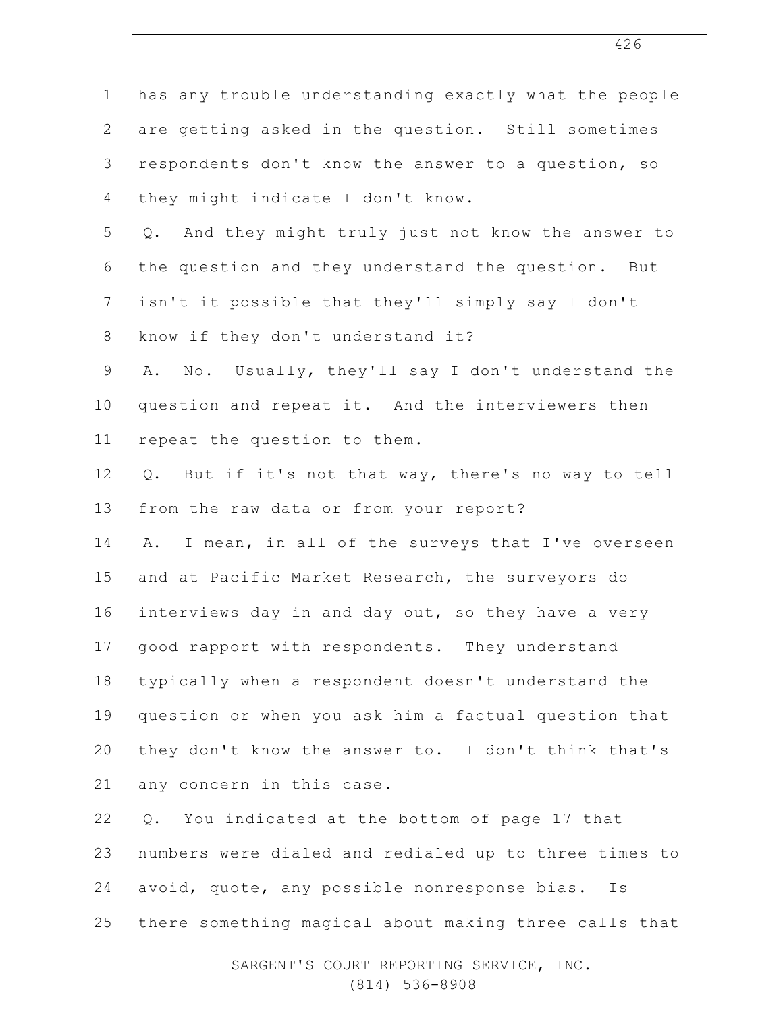| $\mathbf 1$    | has any trouble understanding exactly what the people  |
|----------------|--------------------------------------------------------|
| $\overline{2}$ | are getting asked in the question. Still sometimes     |
| 3              | respondents don't know the answer to a question, so    |
| $\overline{4}$ | they might indicate I don't know.                      |
| 5              | And they might truly just not know the answer to<br>Q. |
| 6              | the question and they understand the question. But     |
| $7\phantom{.}$ | isn't it possible that they'll simply say I don't      |
| $\,8\,$        | know if they don't understand it?                      |
| 9              | A. No. Usually, they'll say I don't understand the     |
| 10             | question and repeat it. And the interviewers then      |
| 11             | repeat the question to them.                           |
| 12             | But if it's not that way, there's no way to tell<br>Q. |
| 13             | from the raw data or from your report?                 |
| 14             | I mean, in all of the surveys that I've overseen<br>Α. |
| 15             | and at Pacific Market Research, the surveyors do       |
| 16             | interviews day in and day out, so they have a very     |
| 17             | good rapport with respondents. They understand         |
| 18             | typically when a respondent doesn't understand the     |
| 19             | question or when you ask him a factual question that   |
| 20             | they don't know the answer to. I don't think that's    |
| 21             | any concern in this case.                              |
| 22             | You indicated at the bottom of page 17 that<br>Q.      |
| 23             | numbers were dialed and redialed up to three times to  |
| 24             | avoid, quote, any possible nonresponse bias. Is        |
| 25             | there something magical about making three calls that  |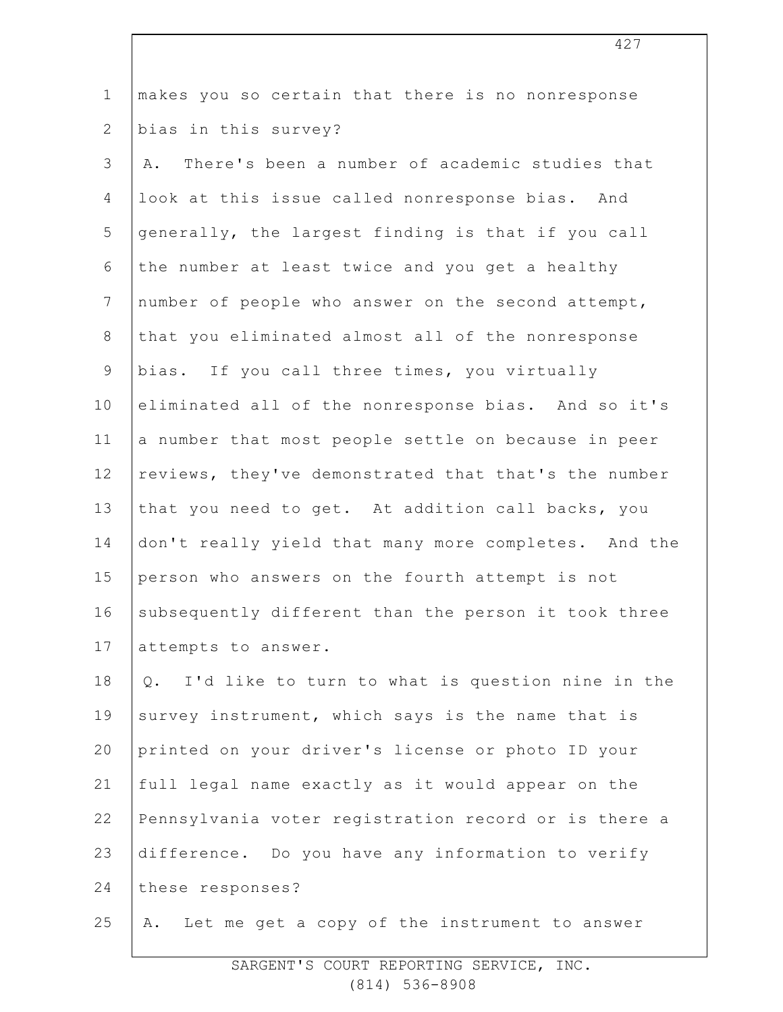| $\mathbf 1$    | makes you so certain that there is no nonresponse      |
|----------------|--------------------------------------------------------|
| $\mathbf{2}$   | bias in this survey?                                   |
| 3              | There's been a number of academic studies that<br>Α.   |
| 4              | look at this issue called nonresponse bias. And        |
| 5              | generally, the largest finding is that if you call     |
| 6              | the number at least twice and you get a healthy        |
| $\overline{7}$ | number of people who answer on the second attempt,     |
| 8              | that you eliminated almost all of the nonresponse      |
| $\mathsf 9$    | bias. If you call three times, you virtually           |
| 10             | eliminated all of the nonresponse bias. And so it's    |
| 11             | a number that most people settle on because in peer    |
| 12             | reviews, they've demonstrated that that's the number   |
| 13             | that you need to get. At addition call backs, you      |
| 14             | don't really yield that many more completes. And the   |
| 15             | person who answers on the fourth attempt is not        |
| 16             | subsequently different than the person it took three   |
| 17             | attempts to answer.                                    |
| 18             | I'd like to turn to what is question nine in the<br>Q. |
| 19             | survey instrument, which says is the name that is      |
| 20             | printed on your driver's license or photo ID your      |
| 21             | full legal name exactly as it would appear on the      |
| 22             | Pennsylvania voter registration record or is there a   |
| 23             | difference. Do you have any information to verify      |
| 24             | these responses?                                       |
| 25             | Let me get a copy of the instrument to answer<br>Α.    |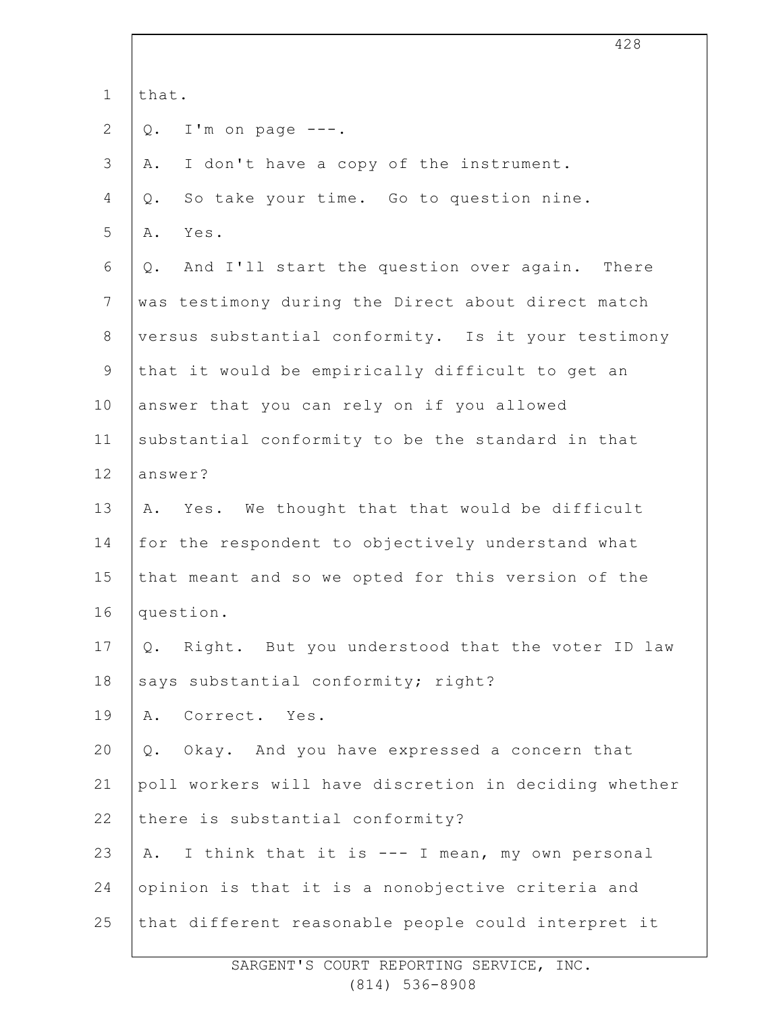|                | 428                                                   |
|----------------|-------------------------------------------------------|
| $\mathbf 1$    | that.                                                 |
| 2              | I'm on page $---$ .<br>$Q$ .                          |
| 3              | I don't have a copy of the instrument.<br>Α.          |
| 4              | So take your time. Go to question nine.<br>Q.         |
| 5              | Yes.<br>Α.                                            |
| 6              | And I'll start the question over again. There<br>Q.   |
| $7\phantom{.}$ | was testimony during the Direct about direct match    |
| $8\,$          | versus substantial conformity. Is it your testimony   |
| $\mathsf 9$    | that it would be empirically difficult to get an      |
| 10             | answer that you can rely on if you allowed            |
| 11             | substantial conformity to be the standard in that     |
| 12             | answer?                                               |
| 13             | Yes. We thought that that would be difficult<br>Α.    |
| 14             | for the respondent to objectively understand what     |
| 15             | that meant and so we opted for this version of the    |
| 16             | question.                                             |
| 17             | Right. But you understood that the voter ID law<br>Q. |
| 18             | says substantial conformity; right?                   |
| 19             | Correct. Yes.<br>Α.                                   |
| 20             | Okay. And you have expressed a concern that<br>Q.     |
| 21             | poll workers will have discretion in deciding whether |
| 22             | there is substantial conformity?                      |
| 23             | I think that it is --- I mean, my own personal<br>Α.  |
| 24             | opinion is that it is a nonobjective criteria and     |
| 25             | that different reasonable people could interpret it   |
|                |                                                       |

 $\Gamma$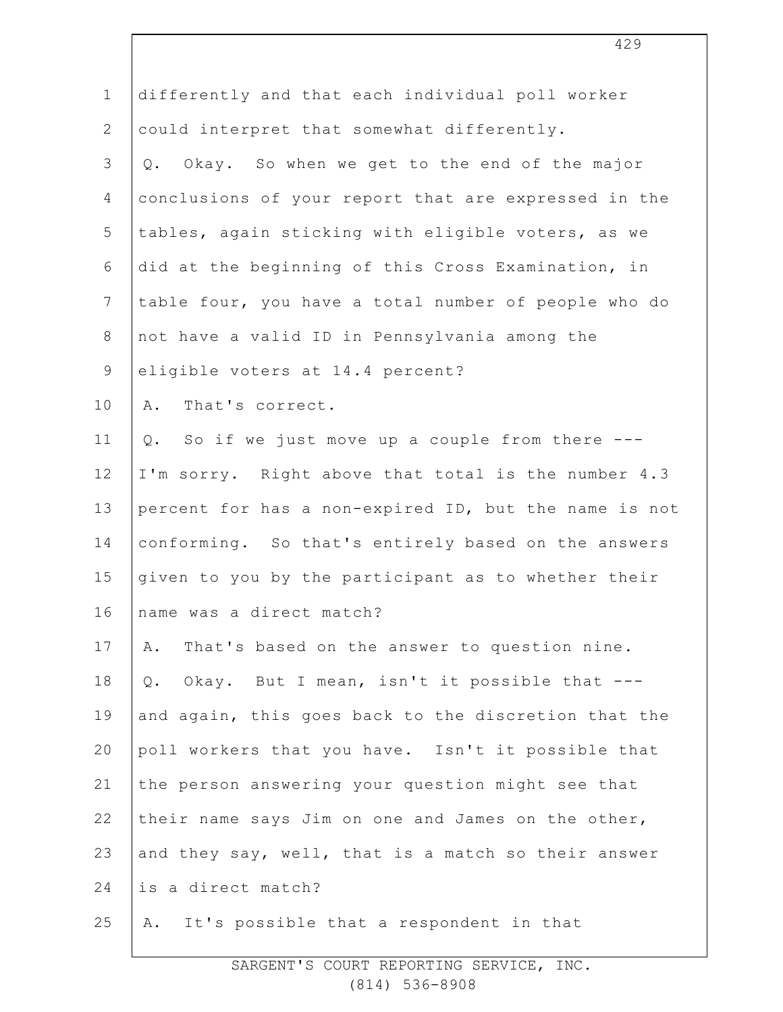| differently and that each individual poll worker      |
|-------------------------------------------------------|
| could interpret that somewhat differently.            |
| Okay. So when we get to the end of the major<br>$Q$ . |
| conclusions of your report that are expressed in the  |
| tables, again sticking with eligible voters, as we    |
| did at the beginning of this Cross Examination, in    |
| table four, you have a total number of people who do  |
| not have a valid ID in Pennsylvania among the         |
| eligible voters at 14.4 percent?                      |
| That's correct.<br>Α.                                 |
| So if we just move up a couple from there ---<br>Q.   |
| I'm sorry. Right above that total is the number 4.3   |
| percent for has a non-expired ID, but the name is not |
| conforming. So that's entirely based on the answers   |
| given to you by the participant as to whether their   |
| name was a direct match?                              |
| That's based on the answer to question nine.<br>Α.    |
| Okay. But I mean, isn't it possible that ---<br>$Q$ . |
| and again, this goes back to the discretion that the  |
| poll workers that you have. Isn't it possible that    |
| the person answering your question might see that     |
| their name says Jim on one and James on the other,    |
| and they say, well, that is a match so their answer   |
| is a direct match?                                    |
| It's possible that a respondent in that<br>Α.         |
|                                                       |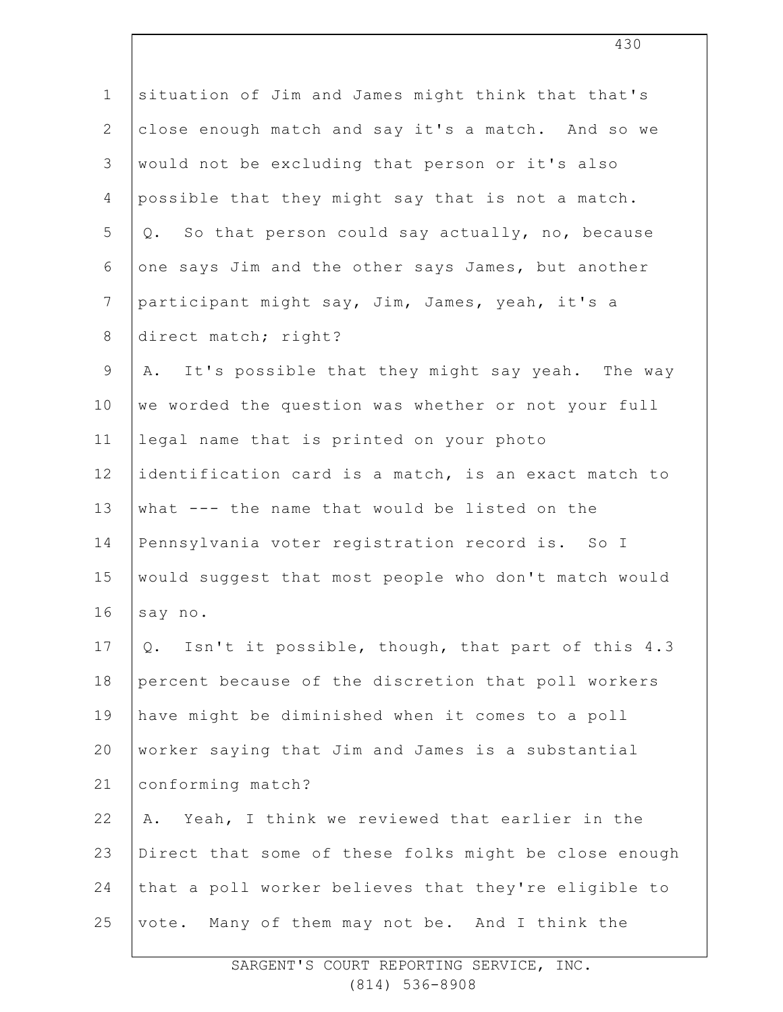| $1\,$          | situation of Jim and James might think that that's     |
|----------------|--------------------------------------------------------|
| $\mathbf{2}$   | close enough match and say it's a match. And so we     |
| $\mathfrak{Z}$ | would not be excluding that person or it's also        |
| 4              | possible that they might say that is not a match.      |
| 5              | So that person could say actually, no, because<br>Q.   |
| 6              | one says Jim and the other says James, but another     |
| $\overline{7}$ | participant might say, Jim, James, yeah, it's a        |
| $\,8\,$        | direct match; right?                                   |
| $\mathsf 9$    | It's possible that they might say yeah. The way<br>Α.  |
| 10             | we worded the question was whether or not your full    |
| 11             | legal name that is printed on your photo               |
| 12             | identification card is a match, is an exact match to   |
| 13             | what --- the name that would be listed on the          |
| 14             | Pennsylvania voter registration record is. So I        |
| 15             | would suggest that most people who don't match would   |
| 16             | say no.                                                |
| 17             | Isn't it possible, though, that part of this 4.3<br>Q. |
| 18             | percent because of the discretion that poll workers    |
| 19             | have might be diminished when it comes to a poll       |
| 20             | worker saying that Jim and James is a substantial      |
| 21             | conforming match?                                      |
| 22             | Yeah, I think we reviewed that earlier in the<br>Α.    |
| 23             | Direct that some of these folks might be close enough  |
| 24             | that a poll worker believes that they're eligible to   |
| 25             | Many of them may not be. And I think the<br>vote.      |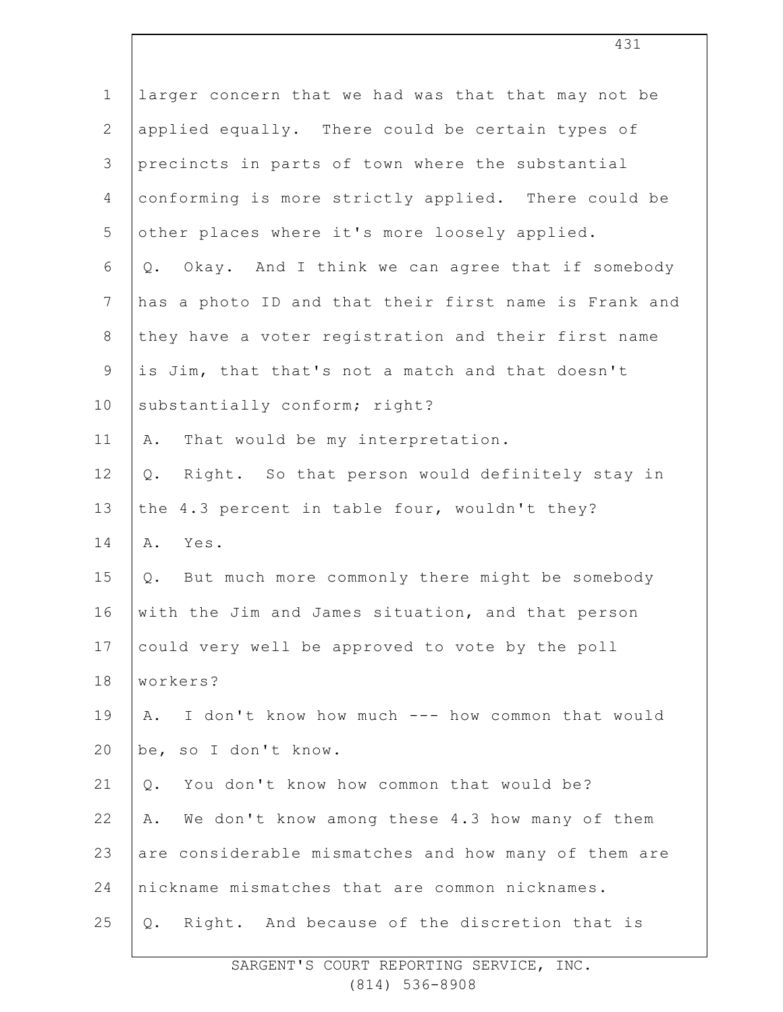| $\mathbf 1$    | larger concern that we had was that that may not be      |
|----------------|----------------------------------------------------------|
| $\mathbf{2}$   | applied equally. There could be certain types of         |
| 3              | precincts in parts of town where the substantial         |
| $\overline{4}$ | conforming is more strictly applied. There could be      |
| 5              | other places where it's more loosely applied.            |
| 6              | Okay. And I think we can agree that if somebody<br>$Q$ . |
| $\overline{7}$ | has a photo ID and that their first name is Frank and    |
| $\,8\,$        | they have a voter registration and their first name      |
| $\mathsf 9$    | is Jim, that that's not a match and that doesn't         |
| 10             | substantially conform; right?                            |
| 11             | That would be my interpretation.<br>Α.                   |
| 12             | Right. So that person would definitely stay in<br>Q.     |
| 13             | the 4.3 percent in table four, wouldn't they?            |
| 14             | Α.<br>Yes.                                               |
| 15             | Q. But much more commonly there might be somebody        |
| 16             | with the Jim and James situation, and that person        |
| 17             | could very well be approved to vote by the poll          |
| 18             | workers?                                                 |
| 19             | I don't know how much --- how common that would<br>Α.    |
| 20             | be, so I don't know.                                     |
| 21             | You don't know how common that would be?<br>Q.           |
| 22             | We don't know among these 4.3 how many of them<br>Α.     |
| 23             | are considerable mismatches and how many of them are     |
| 24             | nickname mismatches that are common nicknames.           |
| 25             | Right. And because of the discretion that is<br>Q.       |
|                |                                                          |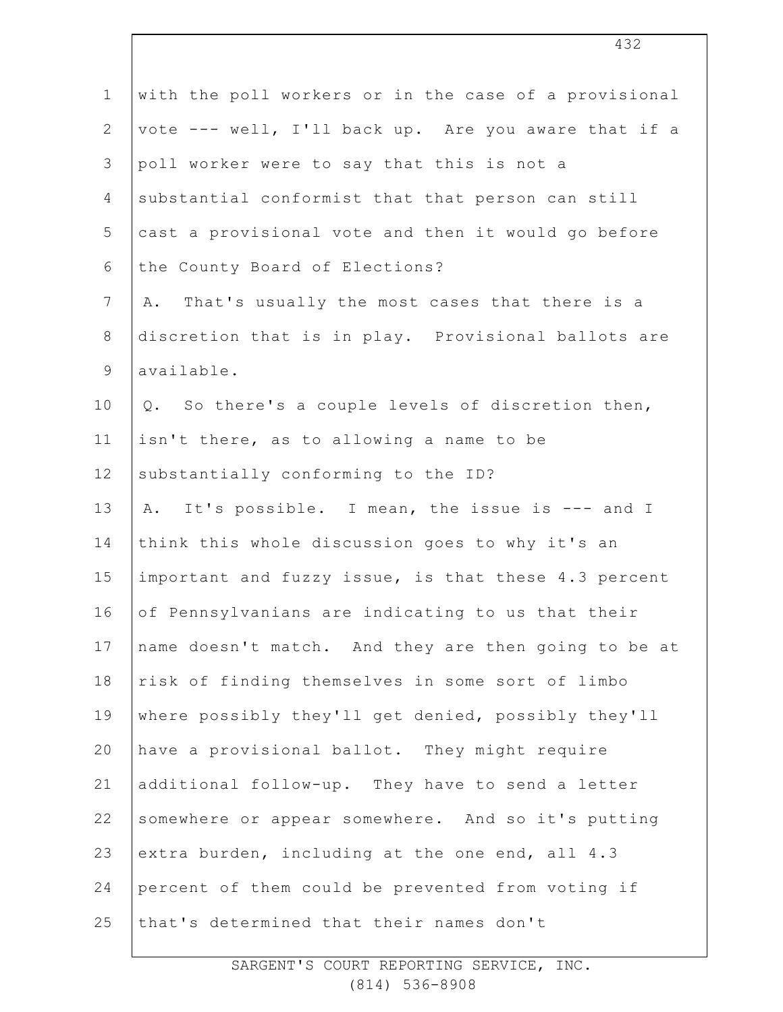| $\mathbf 1$    | with the poll workers or in the case of a provisional |
|----------------|-------------------------------------------------------|
| $\overline{2}$ | vote --- well, I'll back up. Are you aware that if a  |
| 3              | poll worker were to say that this is not a            |
| 4              | substantial conformist that that person can still     |
| 5              | cast a provisional vote and then it would go before   |
| 6              | the County Board of Elections?                        |
| $\overline{7}$ | That's usually the most cases that there is a<br>Α.   |
| $8\,$          | discretion that is in play. Provisional ballots are   |
| $\mathsf 9$    | available.                                            |
| 10             | So there's a couple levels of discretion then,<br>Q.  |
| 11             | isn't there, as to allowing a name to be              |
| 12             | substantially conforming to the ID?                   |
| 13             | It's possible. I mean, the issue is --- and I<br>Α.   |
| 14             | think this whole discussion goes to why it's an       |
| 15             | important and fuzzy issue, is that these 4.3 percent  |
| 16             | of Pennsylvanians are indicating to us that their     |
| 17             | name doesn't match. And they are then going to be at  |
| 18             | risk of finding themselves in some sort of limbo      |
| 19             | where possibly they'll get denied, possibly they'll   |
| 20             | have a provisional ballot. They might require         |
| 21             | additional follow-up. They have to send a letter      |
| 22             | somewhere or appear somewhere. And so it's putting    |
| 23             | extra burden, including at the one end, all 4.3       |
| 24             | percent of them could be prevented from voting if     |
| 25             | that's determined that their names don't              |
|                |                                                       |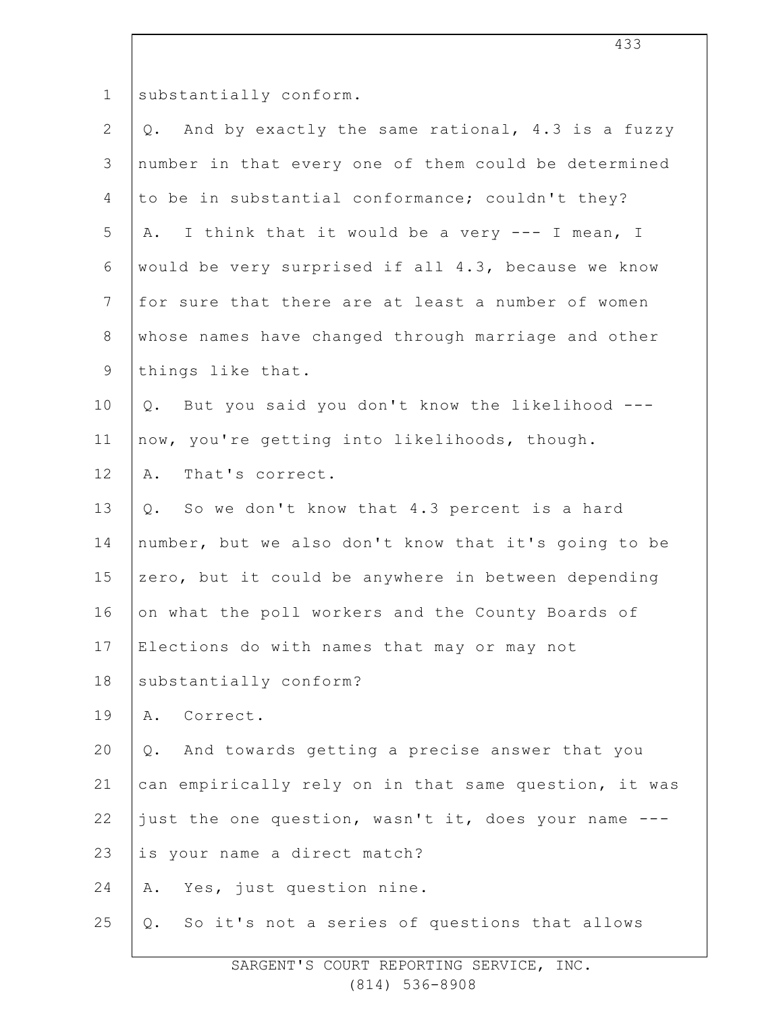1

substantially conform.

| $\mathbf{2}$   | And by exactly the same rational, 4.3 is a fuzzy<br>Q. |
|----------------|--------------------------------------------------------|
| $\mathfrak{Z}$ | number in that every one of them could be determined   |
| 4              | to be in substantial conformance; couldn't they?       |
| 5              | I think that it would be a very --- I mean, I<br>Α.    |
| 6              | would be very surprised if all 4.3, because we know    |
| $\overline{7}$ | for sure that there are at least a number of women     |
| $8\,$          | whose names have changed through marriage and other    |
| 9              | things like that.                                      |
| 10             | But you said you don't know the likelihood ---<br>Q.   |
| 11             | now, you're getting into likelihoods, though.          |
| 12             | That's correct.<br>Α.                                  |
| 13             | So we don't know that 4.3 percent is a hard<br>Q.      |
| 14             | number, but we also don't know that it's going to be   |
| 15             | zero, but it could be anywhere in between depending    |
| 16             | on what the poll workers and the County Boards of      |
| 17             | Elections do with names that may or may not            |
| 18             | substantially conform?                                 |
| 19             | Correct.<br>Α.                                         |
| 20             | And towards getting a precise answer that you<br>$Q$ . |
| 21             | can empirically rely on in that same question, it was  |
| 22             | just the one question, wasn't it, does your name ---   |
| 23             | is your name a direct match?                           |
| 24             | Yes, just question nine.<br>Α.                         |
| 25             | So it's not a series of questions that allows<br>Q.    |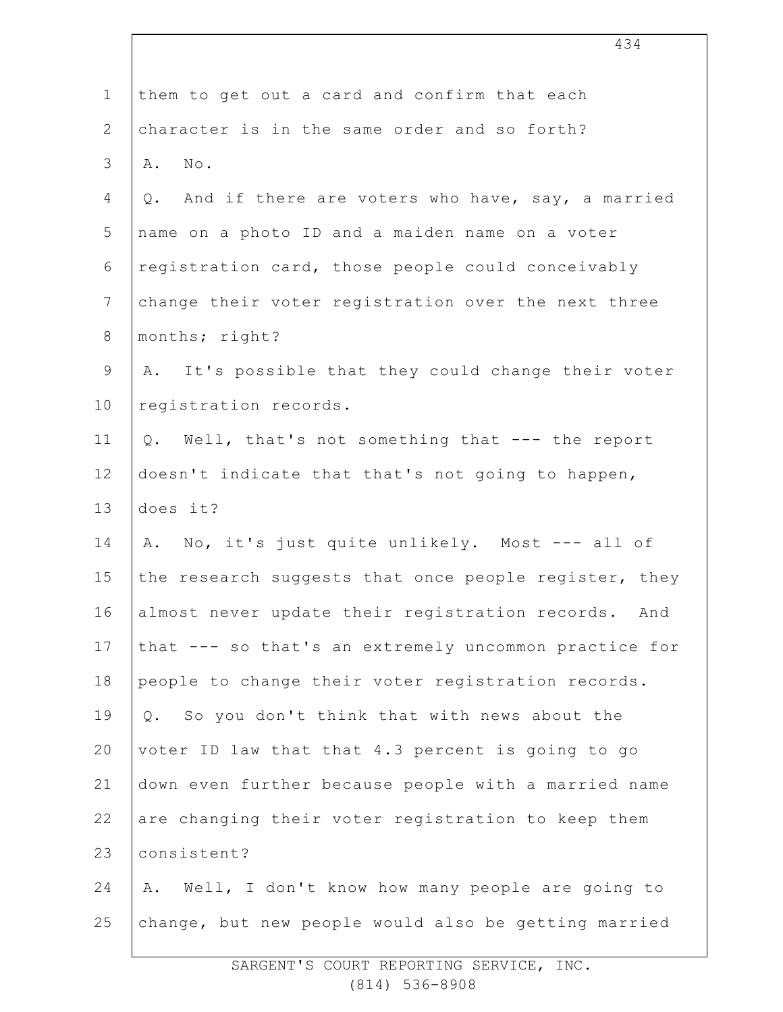|                | 434                                                    |
|----------------|--------------------------------------------------------|
| $\mathbf 1$    | them to get out a card and confirm that each           |
| $\mathbf{2}$   | character is in the same order and so forth?           |
| 3              | No.<br>Α.                                              |
| 4              | And if there are voters who have, say, a married<br>Q. |
| 5              | name on a photo ID and a maiden name on a voter        |
| 6              | registration card, those people could conceivably      |
| $7\phantom{.}$ | change their voter registration over the next three    |
| $8\,$          | months; right?                                         |
| $\mathsf 9$    | It's possible that they could change their voter<br>A. |
| 10             | registration records.                                  |
| 11             | Q. Well, that's not something that --- the report      |
| 12             | doesn't indicate that that's not going to happen,      |
| 13             | does it?                                               |
| 14             | A. No, it's just quite unlikely. Most --- all of       |
| 15             | the research suggests that once people register, they  |
| 16             | almost never update their registration records. And    |
| 17             | that --- so that's an extremely uncommon practice for  |
| 18             | people to change their voter registration records.     |
| 19             | Q. So you don't think that with news about the         |
| 20             | voter ID law that that 4.3 percent is going to go      |
| 21             | down even further because people with a married name   |
| 22             | are changing their voter registration to keep them     |
| 23             | consistent?                                            |
| 24             | Well, I don't know how many people are going to<br>Α.  |
| 25             | change, but new people would also be getting married   |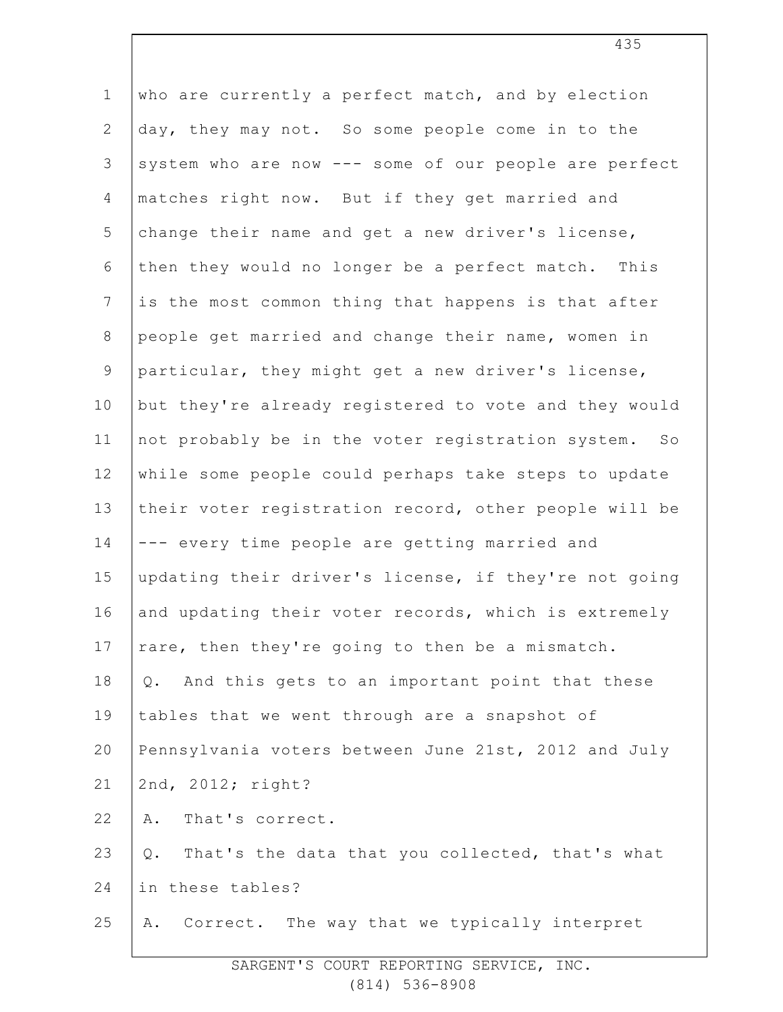| $\mathbf 1$     | who are currently a perfect match, and by election    |
|-----------------|-------------------------------------------------------|
| $\overline{2}$  | day, they may not. So some people come in to the      |
| 3               | system who are now --- some of our people are perfect |
| $\overline{4}$  | matches right now. But if they get married and        |
| 5               | change their name and get a new driver's license,     |
| 6               | then they would no longer be a perfect match. This    |
| $7\phantom{.0}$ | is the most common thing that happens is that after   |
| $8\,$           | people get married and change their name, women in    |
| $\mathsf 9$     | particular, they might get a new driver's license,    |
| 10              | but they're already registered to vote and they would |
| 11              | not probably be in the voter registration system. So  |
| 12              | while some people could perhaps take steps to update  |
| 13              | their voter registration record, other people will be |
| 14              | --- every time people are getting married and         |
| 15              | updating their driver's license, if they're not going |
| 16              | and updating their voter records, which is extremely  |
| 17              | rare, then they're going to then be a mismatch.       |
| 18              | And this gets to an important point that these<br>Q.  |
| 19              | tables that we went through are a snapshot of         |
| 20              | Pennsylvania voters between June 21st, 2012 and July  |
| 21              | 2nd, 2012; right?                                     |
| 22              | That's correct.<br>Α.                                 |
| 23              | That's the data that you collected, that's what<br>Q. |
| 24              | in these tables?                                      |
| 25              | Correct. The way that we typically interpret<br>Α.    |
|                 |                                                       |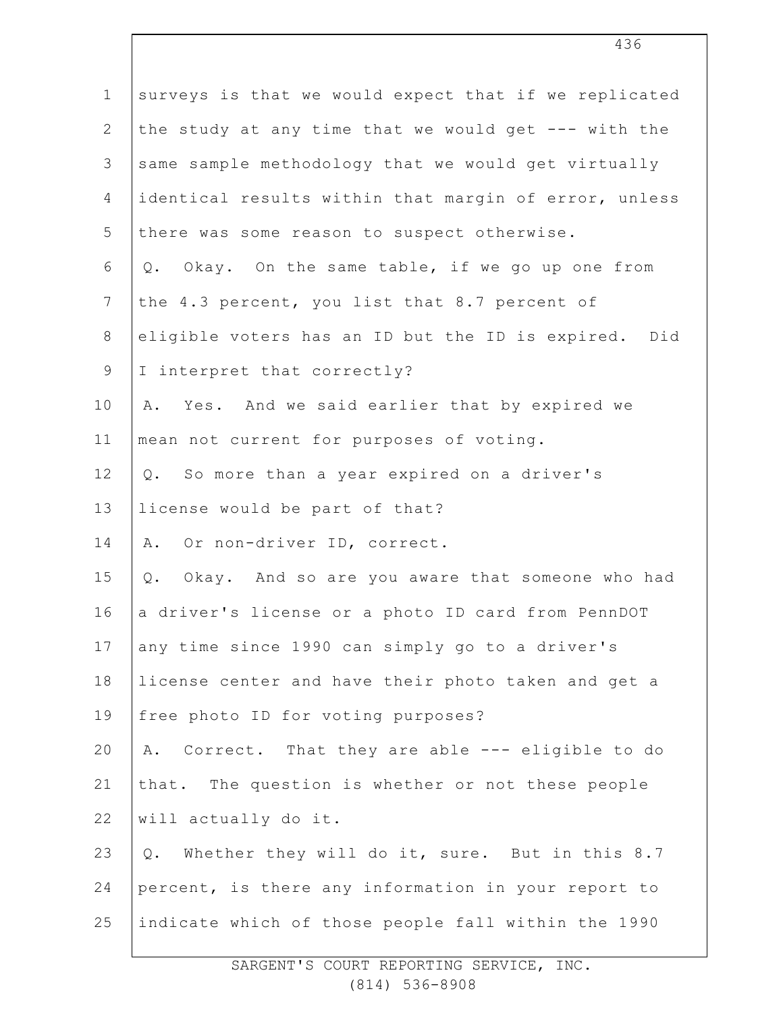| $\mathbf 1$     | surveys is that we would expect that if we replicated |
|-----------------|-------------------------------------------------------|
| $\overline{2}$  | the study at any time that we would get --- with the  |
| 3               | same sample methodology that we would get virtually   |
| $\overline{4}$  | identical results within that margin of error, unless |
| 5               | there was some reason to suspect otherwise.           |
| 6               | Q. Okay. On the same table, if we go up one from      |
| $7\phantom{.0}$ | the 4.3 percent, you list that 8.7 percent of         |
| $8\,$           | eligible voters has an ID but the ID is expired. Did  |
| 9               | I interpret that correctly?                           |
| 10              | A. Yes. And we said earlier that by expired we        |
| 11              | mean not current for purposes of voting.              |
| 12              | So more than a year expired on a driver's<br>Q.       |
| 13              | license would be part of that?                        |
| 14              | A. Or non-driver ID, correct.                         |
| 15              | Okay. And so are you aware that someone who had<br>Q. |
| 16              | a driver's license or a photo ID card from PennDOT    |
| 17              | any time since 1990 can simply go to a driver's       |
| 18              | license center and have their photo taken and get a   |
| 19              | free photo ID for voting purposes?                    |
| 20              | A. Correct. That they are able --- eligible to do     |
| 21              | that. The question is whether or not these people     |
| 22              | will actually do it.                                  |
| 23              | Whether they will do it, sure. But in this 8.7<br>Q.  |
| 24              | percent, is there any information in your report to   |
| 25              | indicate which of those people fall within the 1990   |
|                 |                                                       |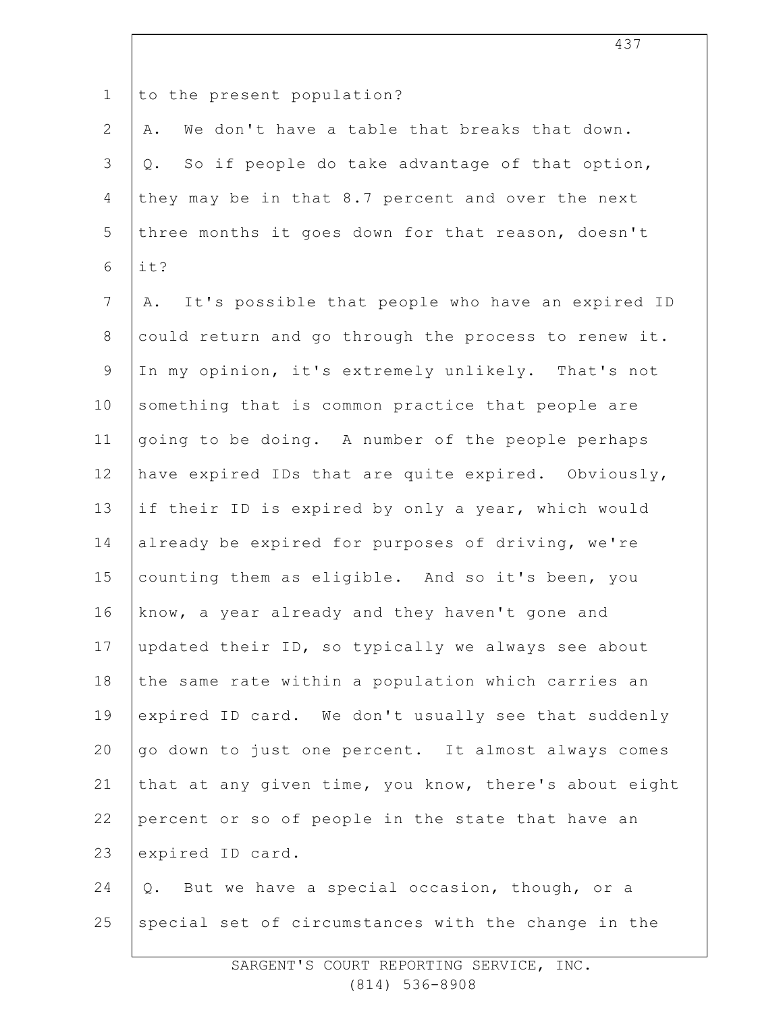1

to the present population?

2 3 4 5 6 A. We don't have a table that breaks that down. Q. So if people do take advantage of that option, they may be in that 8.7 percent and over the next three months it goes down for that reason, doesn't it?

7 8 9 10 11 12 13 14 15 16 17 18 19 20 21 22 23 24 A. It's possible that people who have an expired ID could return and go through the process to renew it. In my opinion, it's extremely unlikely. That's not something that is common practice that people are going to be doing. A number of the people perhaps have expired IDs that are quite expired. Obviously, if their ID is expired by only a year, which would already be expired for purposes of driving, we're counting them as eligible. And so it's been, you know, a year already and they haven't gone and updated their ID, so typically we always see about the same rate within a population which carries an expired ID card. We don't usually see that suddenly go down to just one percent. It almost always comes that at any given time, you know, there's about eight percent or so of people in the state that have an expired ID card. Q. But we have a special occasion, though, or a

25 special set of circumstances with the change in the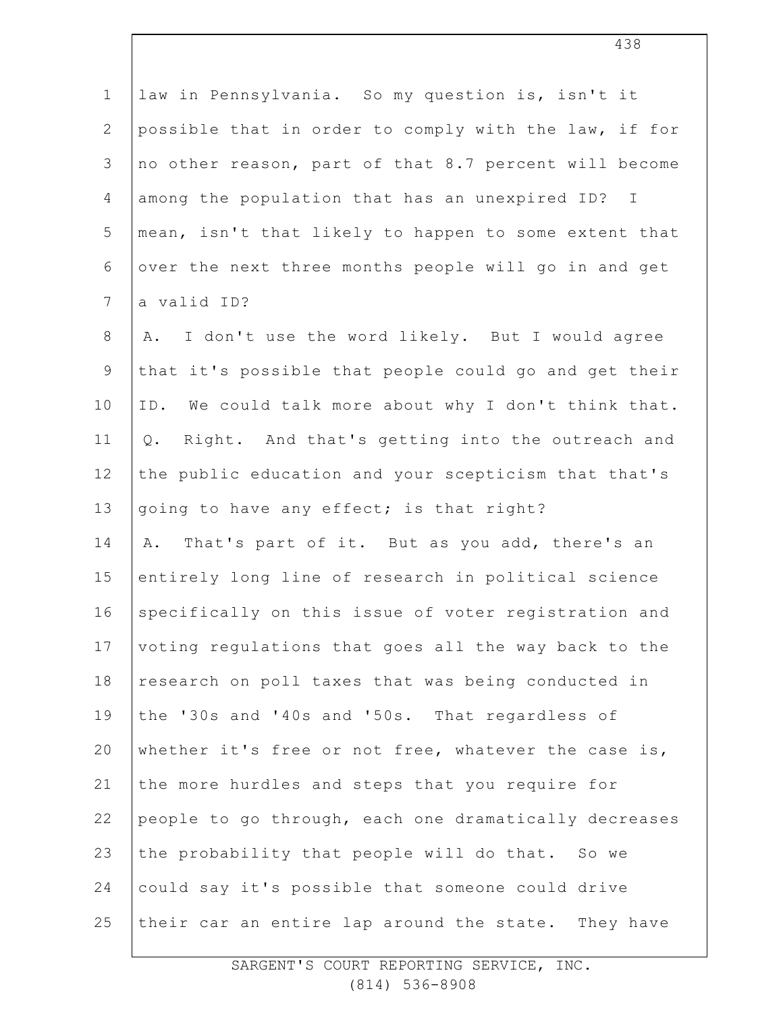| $\mathbf 1$     | law in Pennsylvania. So my question is, isn't it         |
|-----------------|----------------------------------------------------------|
| $\overline{2}$  | possible that in order to comply with the law, if for    |
| 3               | no other reason, part of that 8.7 percent will become    |
| $\overline{4}$  | among the population that has an unexpired ID? I         |
| 5               | mean, isn't that likely to happen to some extent that    |
| 6               | over the next three months people will go in and get     |
| $7\phantom{.0}$ | a valid ID?                                              |
| $\,8\,$         | I don't use the word likely. But I would agree<br>Α.     |
| $\mathsf 9$     | that it's possible that people could go and get their    |
| 10              | ID. We could talk more about why I don't think that.     |
| 11              | Right. And that's getting into the outreach and<br>$Q$ . |
| 12              | the public education and your scepticism that that's     |
| 13              | going to have any effect; is that right?                 |
| 14              | That's part of it. But as you add, there's an<br>Α.      |
| 15              | entirely long line of research in political science      |
| 16              | specifically on this issue of voter registration and     |
| 17              | voting regulations that goes all the way back to the     |
| 18              | research on poll taxes that was being conducted in       |
| 19              | the '30s and '40s and '50s. That regardless of           |
| 20              | whether it's free or not free, whatever the case is,     |
| 21              | the more hurdles and steps that you require for          |
| 22              | people to go through, each one dramatically decreases    |
| 23              | the probability that people will do that. So we          |
| 24              | could say it's possible that someone could drive         |
| 25              | their car an entire lap around the state. They have      |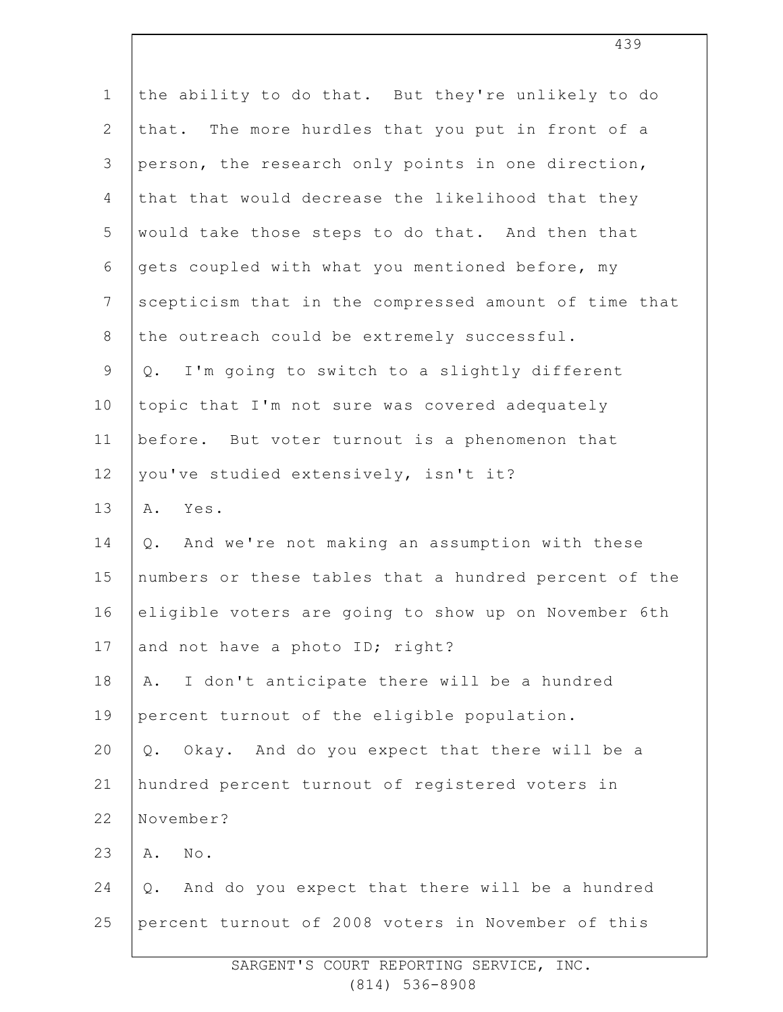| $\mathbf 1$    | the ability to do that. But they're unlikely to do    |
|----------------|-------------------------------------------------------|
| $\mathbf{2}$   | that. The more hurdles that you put in front of a     |
| 3              | person, the research only points in one direction,    |
| $\overline{4}$ | that that would decrease the likelihood that they     |
| 5              | would take those steps to do that. And then that      |
| 6              | gets coupled with what you mentioned before, my       |
| $\overline{7}$ | scepticism that in the compressed amount of time that |
| $8\,$          | the outreach could be extremely successful.           |
| $\mathsf 9$    | I'm going to switch to a slightly different<br>Q.     |
| 10             | topic that I'm not sure was covered adequately        |
| 11             | before. But voter turnout is a phenomenon that        |
| 12             | you've studied extensively, isn't it?                 |
| 13             | Yes.<br>Α.                                            |
| 14             | And we're not making an assumption with these<br>Q.   |
| 15             | numbers or these tables that a hundred percent of the |
| 16             | eligible voters are going to show up on November 6th  |
| 17             | and not have a photo ID; right?                       |
| 18             | I don't anticipate there will be a hundred<br>Α.      |
| 19             | percent turnout of the eligible population.           |
| 20             | Okay. And do you expect that there will be a<br>Q.    |
| 21             | hundred percent turnout of registered voters in       |
| 22             | November?                                             |
| 23             | $\texttt{No}$ .<br>Α.                                 |
| 24             | And do you expect that there will be a hundred<br>Q.  |
| 25             | percent turnout of 2008 voters in November of this    |
|                |                                                       |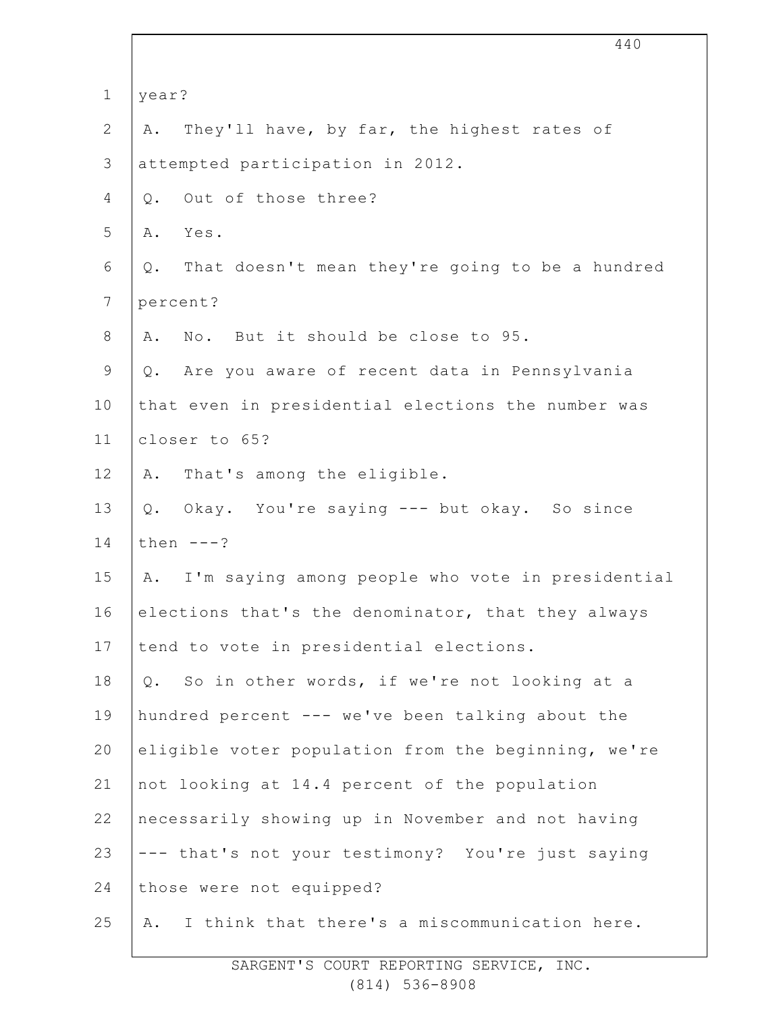|                 | 440                                                    |
|-----------------|--------------------------------------------------------|
| $1\,$           | year?                                                  |
| $\mathbf{2}$    | They'll have, by far, the highest rates of<br>Α.       |
| $\mathcal{S}$   | attempted participation in 2012.                       |
| 4               | Out of those three?<br>Q.                              |
| 5               | Yes.<br>Α.                                             |
| 6               | That doesn't mean they're going to be a hundred<br>Q.  |
| $7\phantom{.0}$ | percent?                                               |
| $\,8\,$         | No. But it should be close to 95.<br>Α.                |
| $\mathsf 9$     | Are you aware of recent data in Pennsylvania<br>Q.     |
| 10              | that even in presidential elections the number was     |
| 11              | closer to 65?                                          |
| 12              | That's among the eligible.<br>Α.                       |
| 13              | Q. Okay. You're saying --- but okay. So since          |
| 14              | then $---?$                                            |
| 15              | I'm saying among people who vote in presidential<br>Α. |
| 16              | elections that's the denominator, that they always     |
| 17              | tend to vote in presidential elections.                |
| 18              | So in other words, if we're not looking at a<br>Q.     |
| 19              | hundred percent --- we've been talking about the       |
| 20              | eligible voter population from the beginning, we're    |
| 21              | not looking at 14.4 percent of the population          |
| 22              | necessarily showing up in November and not having      |
| 23              | --- that's not your testimony? You're just saying      |
| 24              | those were not equipped?                               |
| 25              | I think that there's a miscommunication here.<br>Α.    |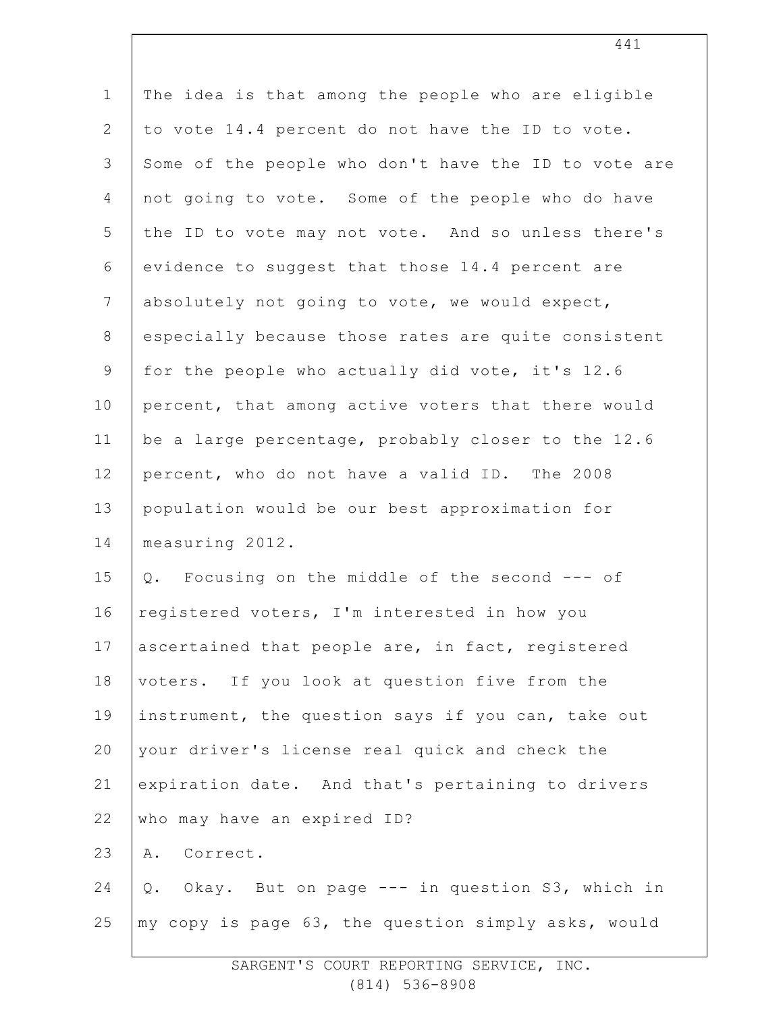| $\mathbf 1$    | The idea is that among the people who are eligible   |
|----------------|------------------------------------------------------|
| $\mathbf{2}$   | to vote 14.4 percent do not have the ID to vote.     |
| $\mathfrak{Z}$ | Some of the people who don't have the ID to vote are |
| 4              | not going to vote. Some of the people who do have    |
| 5              | the ID to vote may not vote. And so unless there's   |
| 6              | evidence to suggest that those 14.4 percent are      |
| 7              | absolutely not going to vote, we would expect,       |
| $8\,$          | especially because those rates are quite consistent  |
| $\mathsf 9$    | for the people who actually did vote, it's 12.6      |
| 10             | percent, that among active voters that there would   |
| 11             | be a large percentage, probably closer to the 12.6   |
| 12             | percent, who do not have a valid ID. The 2008        |
| 13             | population would be our best approximation for       |
| 14             | measuring 2012.                                      |
| 15             | Q. Focusing on the middle of the second --- of       |
| 16             | registered voters, I'm interested in how you         |
| 17             | ascertained that people are, in fact, registered     |
| 18             | voters. If you look at question five from the        |
| 19             | instrument, the question says if you can, take out   |
| 20             | your driver's license real quick and check the       |
| 21             | expiration date. And that's pertaining to drivers    |
| 22             | who may have an expired ID?                          |
| 23             | Correct.<br>Α.                                       |
| 24             | Okay. But on page --- in question S3, which in<br>Q. |
| 25             | my copy is page 63, the question simply asks, would  |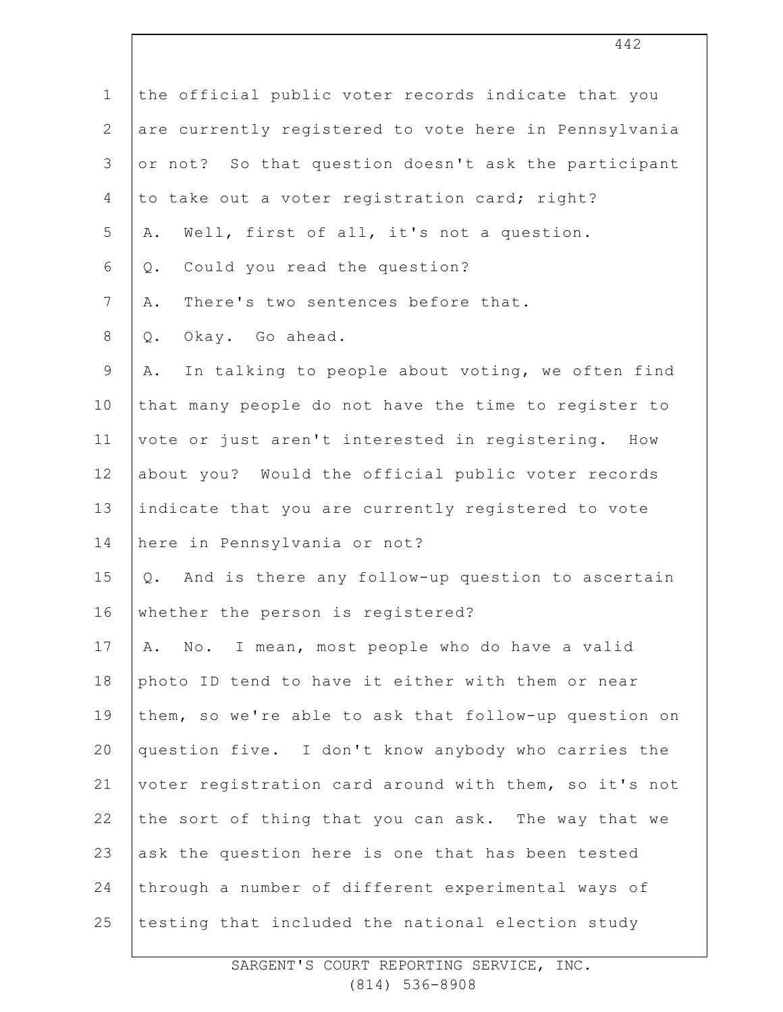| $\mathbf 1$    | the official public voter records indicate that you    |
|----------------|--------------------------------------------------------|
| $\overline{2}$ | are currently registered to vote here in Pennsylvania  |
| 3              | or not? So that question doesn't ask the participant   |
| 4              | to take out a voter registration card; right?          |
| 5              | Well, first of all, it's not a question.<br>Α.         |
| 6              | Could you read the question?<br>Q.                     |
| $\overline{7}$ | There's two sentences before that.<br>Α.               |
| $8\,$          | Okay. Go ahead.<br>Q.                                  |
| $\mathsf 9$    | In talking to people about voting, we often find<br>Α. |
| 10             | that many people do not have the time to register to   |
| 11             | vote or just aren't interested in registering. How     |
| 12             | about you? Would the official public voter records     |
| 13             | indicate that you are currently registered to vote     |
| 14             | here in Pennsylvania or not?                           |
| 15             | And is there any follow-up question to ascertain<br>Q. |
| 16             | whether the person is registered?                      |
| 17             | No. I mean, most people who do have a valid<br>Α.      |
| 18             | photo ID tend to have it either with them or near      |
| 19             | them, so we're able to ask that follow-up question on  |
| 20             | question five. I don't know anybody who carries the    |
| 21             | voter registration card around with them, so it's not  |
| 22             | the sort of thing that you can ask. The way that we    |
| 23             | ask the question here is one that has been tested      |
| 24             | through a number of different experimental ways of     |
| 25             | testing that included the national election study      |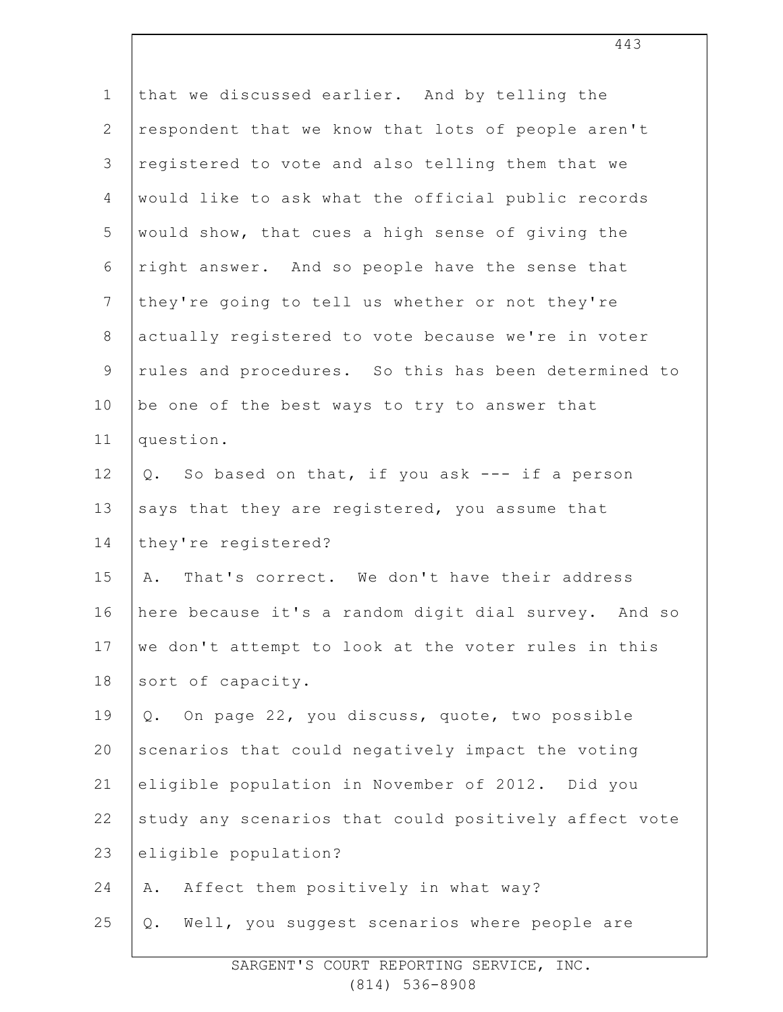| $\mathbf 1$    | that we discussed earlier. And by telling the         |
|----------------|-------------------------------------------------------|
| $\mathbf{2}$   | respondent that we know that lots of people aren't    |
| 3              | registered to vote and also telling them that we      |
| $\overline{4}$ | would like to ask what the official public records    |
| 5              | would show, that cues a high sense of giving the      |
| 6              | right answer. And so people have the sense that       |
| $7\phantom{.}$ | they're going to tell us whether or not they're       |
| $8\,$          | actually registered to vote because we're in voter    |
| $\mathcal{G}$  | rules and procedures. So this has been determined to  |
| 10             | be one of the best ways to try to answer that         |
| 11             | question.                                             |
| 12             | Q. So based on that, if you ask --- if a person       |
| 13             | says that they are registered, you assume that        |
| 14             | they're registered?                                   |
| 15             | That's correct. We don't have their address<br>Α.     |
| 16             | here because it's a random digit dial survey. And so  |
| 17             | we don't attempt to look at the voter rules in this   |
| 18             | sort of capacity.                                     |
| 19             | On page 22, you discuss, quote, two possible<br>Q.    |
| 20             | scenarios that could negatively impact the voting     |
| 21             | eligible population in November of 2012. Did you      |
| 22             | study any scenarios that could positively affect vote |
| 23             | eligible population?                                  |
| 24             | Affect them positively in what way?<br>Α.             |
| 25             | Well, you suggest scenarios where people are<br>Q.    |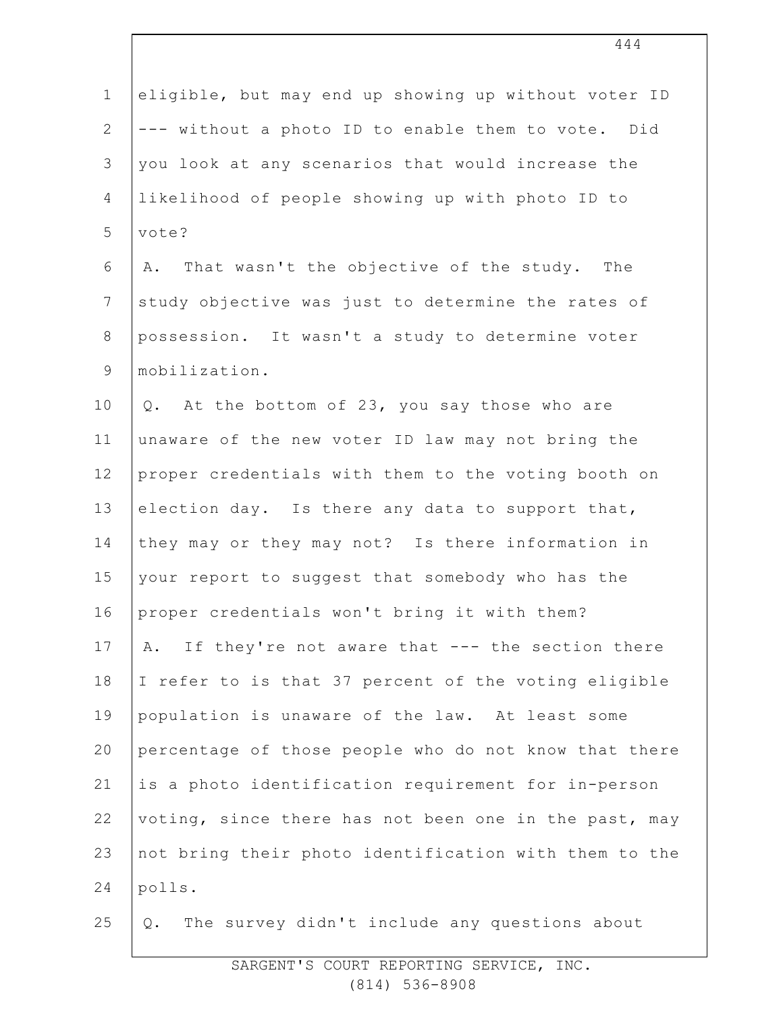| $\mathbf 1$    | eligible, but may end up showing up without voter ID  |
|----------------|-------------------------------------------------------|
| $\mathbf{2}$   | --- without a photo ID to enable them to vote. Did    |
| 3              | you look at any scenarios that would increase the     |
| 4              | likelihood of people showing up with photo ID to      |
| 5              | vote?                                                 |
| 6              | That wasn't the objective of the study. The<br>Α.     |
| $\overline{7}$ | study objective was just to determine the rates of    |
| 8              | possession. It wasn't a study to determine voter      |
| $\mathsf 9$    | mobilization.                                         |
| 10             | Q. At the bottom of 23, you say those who are         |
| 11             | unaware of the new voter ID law may not bring the     |
| 12             | proper credentials with them to the voting booth on   |
| 13             | election day. Is there any data to support that,      |
| 14             | they may or they may not? Is there information in     |
| 15             | your report to suggest that somebody who has the      |
| 16             | proper credentials won't bring it with them?          |
| 17             | If they're not aware that --- the section there<br>A. |
| 18             | I refer to is that 37 percent of the voting eligible  |
| 19             | population is unaware of the law. At least some       |
| 20             | percentage of those people who do not know that there |
| 21             | is a photo identification requirement for in-person   |
| 22             | voting, since there has not been one in the past, may |
| 23             | not bring their photo identification with them to the |
| 24             | polls.                                                |
| 25             | The survey didn't include any questions about<br>Q.   |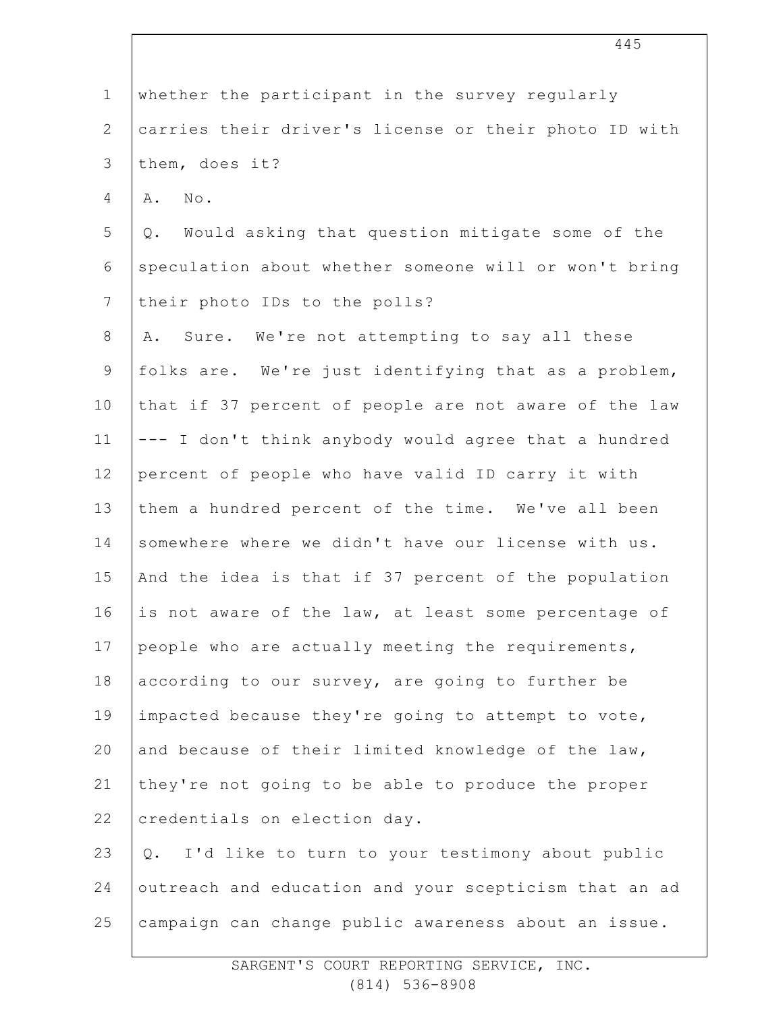| $\mathbf 1$    | whether the participant in the survey regularly       |
|----------------|-------------------------------------------------------|
| $\mathbf{2}$   | carries their driver's license or their photo ID with |
| 3              | them, does it?                                        |
| $\overline{4}$ | No.<br>Α.                                             |
| 5              | Would asking that question mitigate some of the<br>Q. |
| 6              | speculation about whether someone will or won't bring |
| $\overline{7}$ | their photo IDs to the polls?                         |
| $8\,$          | Sure. We're not attempting to say all these<br>Α.     |
| $\mathsf 9$    | folks are. We're just identifying that as a problem,  |
| 10             | that if 37 percent of people are not aware of the law |
| 11             | --- I don't think anybody would agree that a hundred  |
| 12             | percent of people who have valid ID carry it with     |
| 13             | them a hundred percent of the time. We've all been    |
| 14             | somewhere where we didn't have our license with us.   |
| 15             | And the idea is that if 37 percent of the population  |
| 16             | is not aware of the law, at least some percentage of  |
| 17             | people who are actually meeting the requirements,     |
| 18             | according to our survey, are going to further be      |
| 19             | impacted because they're going to attempt to vote,    |
| 20             | and because of their limited knowledge of the law,    |
| 21             | they're not going to be able to produce the proper    |
| 22             | credentials on election day.                          |
| 23             | I'd like to turn to your testimony about public<br>Q. |
| 24             | outreach and education and your scepticism that an ad |
| 25             | campaign can change public awareness about an issue.  |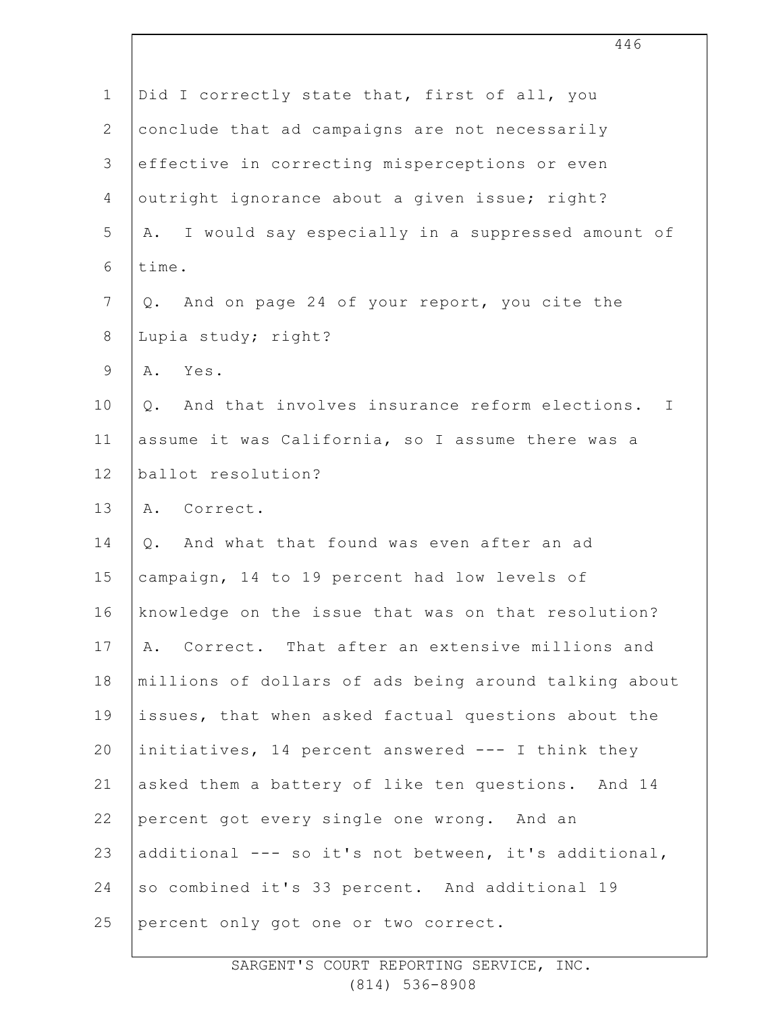|                | 446                                                                 |
|----------------|---------------------------------------------------------------------|
| $\mathbf 1$    | Did I correctly state that, first of all, you                       |
| $\overline{2}$ | conclude that ad campaigns are not necessarily                      |
| 3              | effective in correcting misperceptions or even                      |
| 4              | outright ignorance about a given issue; right?                      |
| 5              | A. I would say especially in a suppressed amount of                 |
| 6              | time.                                                               |
| $\overline{7}$ | And on page 24 of your report, you cite the<br>Q.                   |
| $8\,$          | Lupia study; right?                                                 |
| $\mathsf 9$    | A. Yes.                                                             |
| 10             | And that involves insurance reform elections.<br>$\mathbb{I}$<br>Q. |
| 11             | assume it was California, so I assume there was a                   |
| 12             | ballot resolution?                                                  |
| 13             | A. Correct.                                                         |
| 14             | And what that found was even after an ad<br>Q.                      |
| 15             | campaign, 14 to 19 percent had low levels of                        |
| 16             | knowledge on the issue that was on that resolution?                 |
| 17             | A. Correct. That after an extensive millions and                    |
| 18             | millions of dollars of ads being around talking about               |
| 19             | issues, that when asked factual questions about the                 |
| 20             | initiatives, 14 percent answered --- I think they                   |
| 21             | asked them a battery of like ten questions. And 14                  |
| 22             | percent got every single one wrong. And an                          |
| 23             | additional --- so it's not between, it's additional,                |
| 24             | so combined it's 33 percent. And additional 19                      |
| 25             | percent only got one or two correct.                                |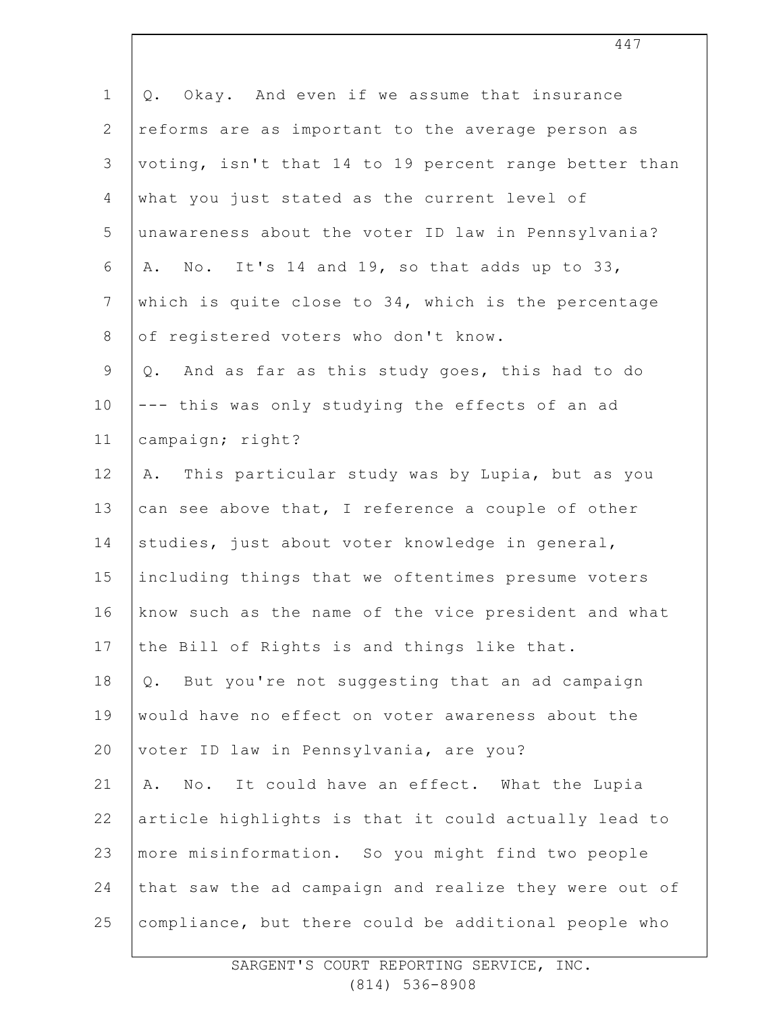| $\mathbf 1$    | Okay. And even if we assume that insurance<br>$Q$ .   |
|----------------|-------------------------------------------------------|
| $\mathbf{2}$   | reforms are as important to the average person as     |
| 3              | voting, isn't that 14 to 19 percent range better than |
| 4              | what you just stated as the current level of          |
| 5              | unawareness about the voter ID law in Pennsylvania?   |
| 6              | A. No. It's 14 and 19, so that adds up to 33,         |
| $7\phantom{.}$ | which is quite close to 34, which is the percentage   |
| $\,8\,$        | of registered voters who don't know.                  |
| $\mathsf 9$    | And as far as this study goes, this had to do<br>Q.   |
| 10             | --- this was only studying the effects of an ad       |
| 11             | campaign; right?                                      |
| 12             | A. This particular study was by Lupia, but as you     |
| 13             | can see above that, I reference a couple of other     |
| 14             | studies, just about voter knowledge in general,       |
| 15             | including things that we oftentimes presume voters    |
| 16             | know such as the name of the vice president and what  |
| 17             | the Bill of Rights is and things like that.           |
| 18             | But you're not suggesting that an ad campaign<br>Q.   |
| 19             | would have no effect on voter awareness about the     |
| 20             | voter ID law in Pennsylvania, are you?                |
| 21             | No. It could have an effect. What the Lupia<br>Α.     |
| 22             | article highlights is that it could actually lead to  |
| 23             | more misinformation. So you might find two people     |
| 24             | that saw the ad campaign and realize they were out of |
| 25             | compliance, but there could be additional people who  |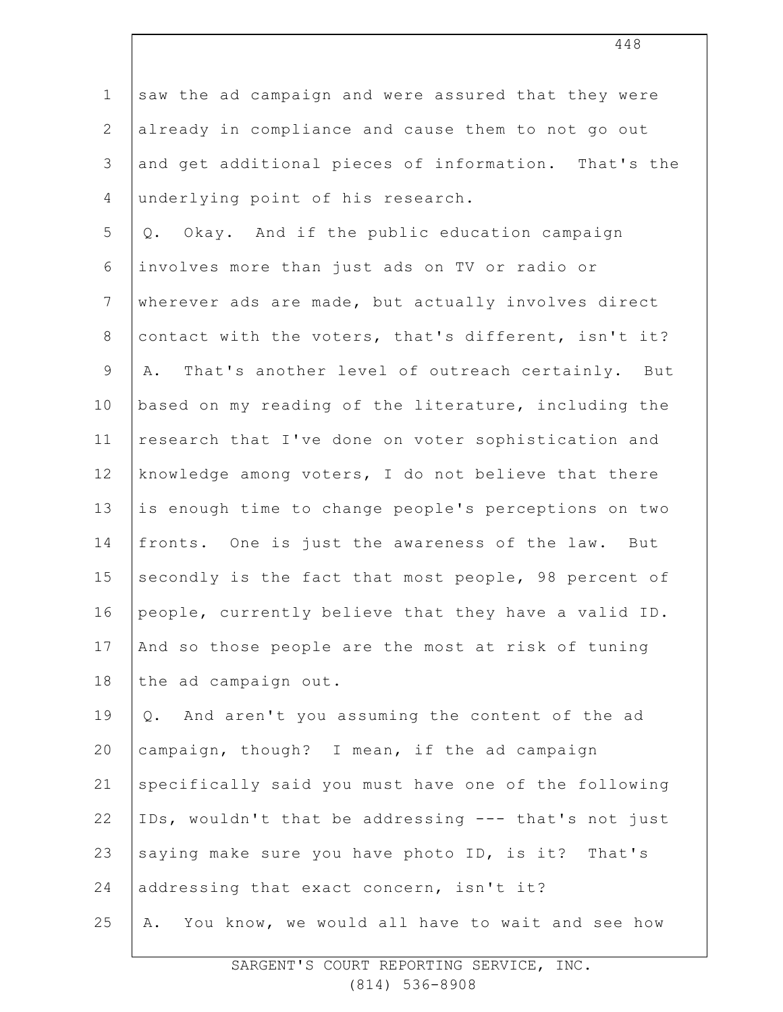| $1\,$          | saw the ad campaign and were assured that they were   |
|----------------|-------------------------------------------------------|
| $\mathbf{2}$   | already in compliance and cause them to not go out    |
| 3              | and get additional pieces of information. That's the  |
| 4              | underlying point of his research.                     |
| 5              | Okay. And if the public education campaign<br>Q.      |
| 6              | involves more than just ads on TV or radio or         |
| $\overline{7}$ | wherever ads are made, but actually involves direct   |
| $8\,$          | contact with the voters, that's different, isn't it?  |
| $\mathsf 9$    | That's another level of outreach certainly. But<br>Α. |
| 10             | based on my reading of the literature, including the  |
| 11             | research that I've done on voter sophistication and   |
| 12             | knowledge among voters, I do not believe that there   |
| 13             | is enough time to change people's perceptions on two  |
| 14             | fronts. One is just the awareness of the law. But     |
| 15             | secondly is the fact that most people, 98 percent of  |
| 16             | people, currently believe that they have a valid ID.  |
| 17             | And so those people are the most at risk of tuning    |
| 18             | the ad campaign out.                                  |
| 19             | And aren't you assuming the content of the ad<br>Q.   |
| 20             | campaign, though? I mean, if the ad campaign          |
| 21             | specifically said you must have one of the following  |
| 22             | IDs, wouldn't that be addressing --- that's not just  |
| 23             | saying make sure you have photo ID, is it? That's     |
| 24             | addressing that exact concern, isn't it?              |
| 25             | You know, we would all have to wait and see how<br>Α. |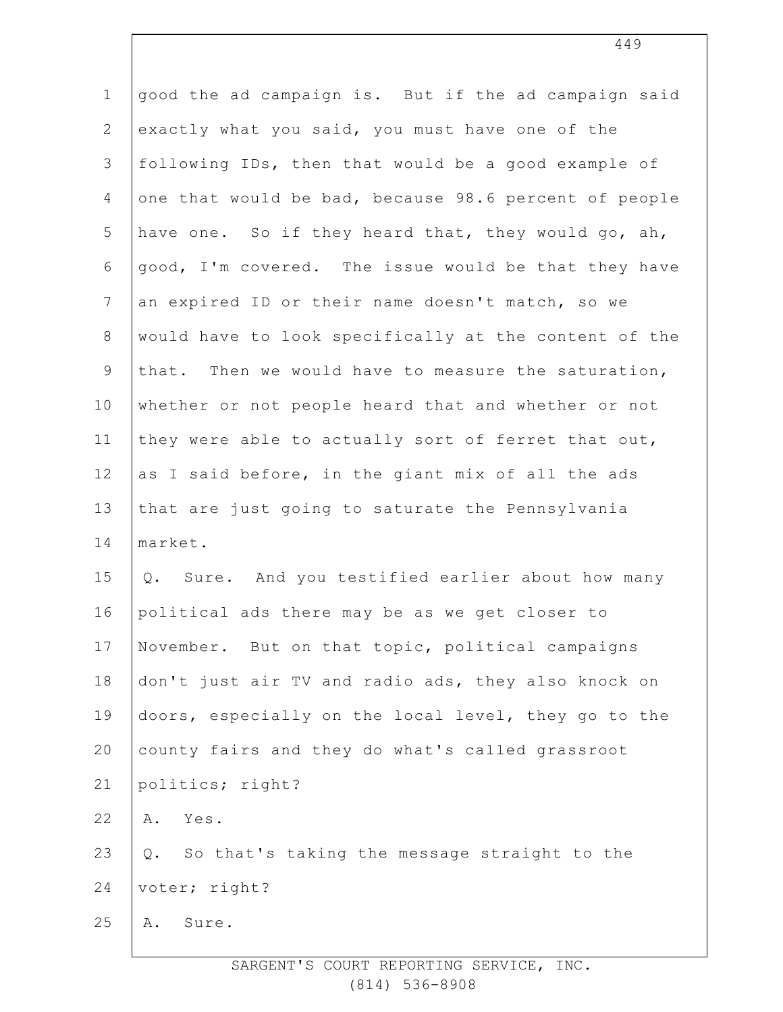| $1\,$          | good the ad campaign is. But if the ad campaign said  |
|----------------|-------------------------------------------------------|
| $\mathbf{2}$   | exactly what you said, you must have one of the       |
| 3              | following IDs, then that would be a good example of   |
| 4              | one that would be bad, because 98.6 percent of people |
| 5              | have one. So if they heard that, they would go, ah,   |
| 6              | good, I'm covered. The issue would be that they have  |
| $7\phantom{.}$ | an expired ID or their name doesn't match, so we      |
| $8\,$          | would have to look specifically at the content of the |
| $\mathsf 9$    | that. Then we would have to measure the saturation,   |
| 10             | whether or not people heard that and whether or not   |
| 11             | they were able to actually sort of ferret that out,   |
| 12             | as I said before, in the giant mix of all the ads     |
| 13             | that are just going to saturate the Pennsylvania      |
| 14             | market.                                               |
| 15             | Q. Sure. And you testified earlier about how many     |
| 16             | political ads there may be as we get closer to        |
| 17             | November. But on that topic, political campaigns      |
| 18             | don't just air TV and radio ads, they also knock on   |
| 19             | doors, especially on the local level, they go to the  |
| 20             | county fairs and they do what's called grassroot      |
| 21             | politics; right?                                      |
| 22             | Yes.<br>Α.                                            |
| 23             | So that's taking the message straight to the<br>Q.    |
| 24             | voter; right?                                         |
| 25             | Sure.<br>Α.                                           |
|                |                                                       |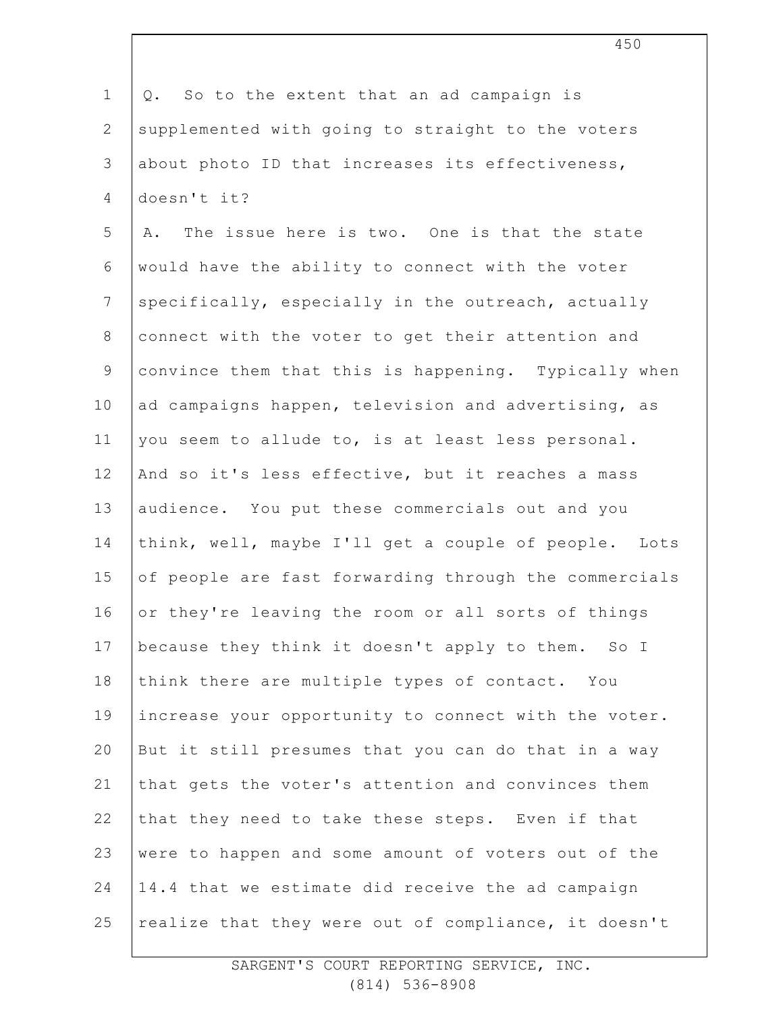1 2 3 4 5 6 7 8 9 10 11 12 13 14 15 16 17 18 19 20 21 22 23 24 25 Q. So to the extent that an ad campaign is supplemented with going to straight to the voters about photo ID that increases its effectiveness, doesn't it? A. The issue here is two. One is that the state would have the ability to connect with the voter specifically, especially in the outreach, actually connect with the voter to get their attention and convince them that this is happening. Typically when ad campaigns happen, television and advertising, as you seem to allude to, is at least less personal. And so it's less effective, but it reaches a mass audience. You put these commercials out and you think, well, maybe I'll get a couple of people. Lots of people are fast forwarding through the commercials or they're leaving the room or all sorts of things because they think it doesn't apply to them. So I think there are multiple types of contact. You increase your opportunity to connect with the voter. But it still presumes that you can do that in a way that gets the voter's attention and convinces them that they need to take these steps. Even if that were to happen and some amount of voters out of the 14.4 that we estimate did receive the ad campaign realize that they were out of compliance, it doesn't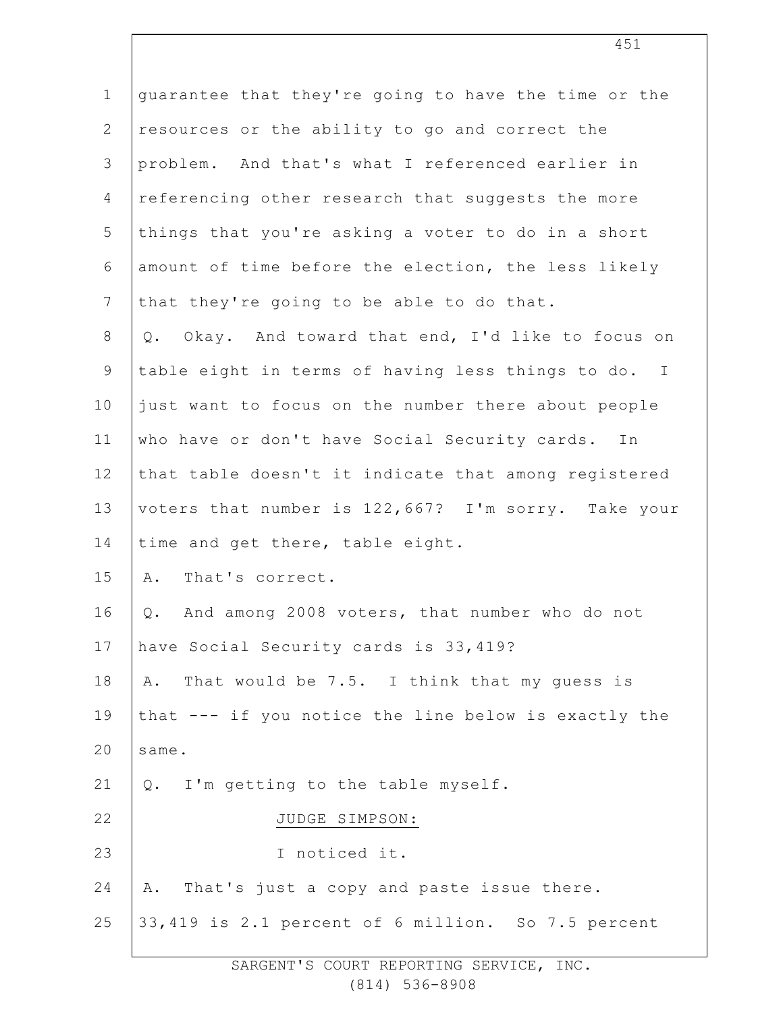| $\mathbf 1$     | guarantee that they're going to have the time or the |
|-----------------|------------------------------------------------------|
| $\mathbf{2}$    | resources or the ability to go and correct the       |
| 3               | problem. And that's what I referenced earlier in     |
| $\overline{4}$  | referencing other research that suggests the more    |
| 5               | things that you're asking a voter to do in a short   |
| 6               | amount of time before the election, the less likely  |
| $7\phantom{.0}$ | that they're going to be able to do that.            |
| $8\,$           | Q. Okay. And toward that end, I'd like to focus on   |
| $\mathsf 9$     | table eight in terms of having less things to do. I  |
| 10              | just want to focus on the number there about people  |
| 11              | who have or don't have Social Security cards.<br>In  |
| 12              | that table doesn't it indicate that among registered |
| 13              | voters that number is 122,667? I'm sorry. Take your  |
| 14              | time and get there, table eight.                     |
| 15              | That's correct.<br>Α.                                |
| 16              | And among 2008 voters, that number who do not<br>Q.  |
| 17              | have Social Security cards is 33, 419?               |
| 18              | That would be 7.5. I think that my guess is<br>Α.    |
| 19              | that --- if you notice the line below is exactly the |
| 20              | same.                                                |
| 21              | I'm getting to the table myself.<br>Q.               |
| 22              | JUDGE SIMPSON:                                       |
| 23              | I noticed it.                                        |
| 24              | That's just a copy and paste issue there.<br>Α.      |
| 25              | 33,419 is 2.1 percent of 6 million. So 7.5 percent   |
|                 |                                                      |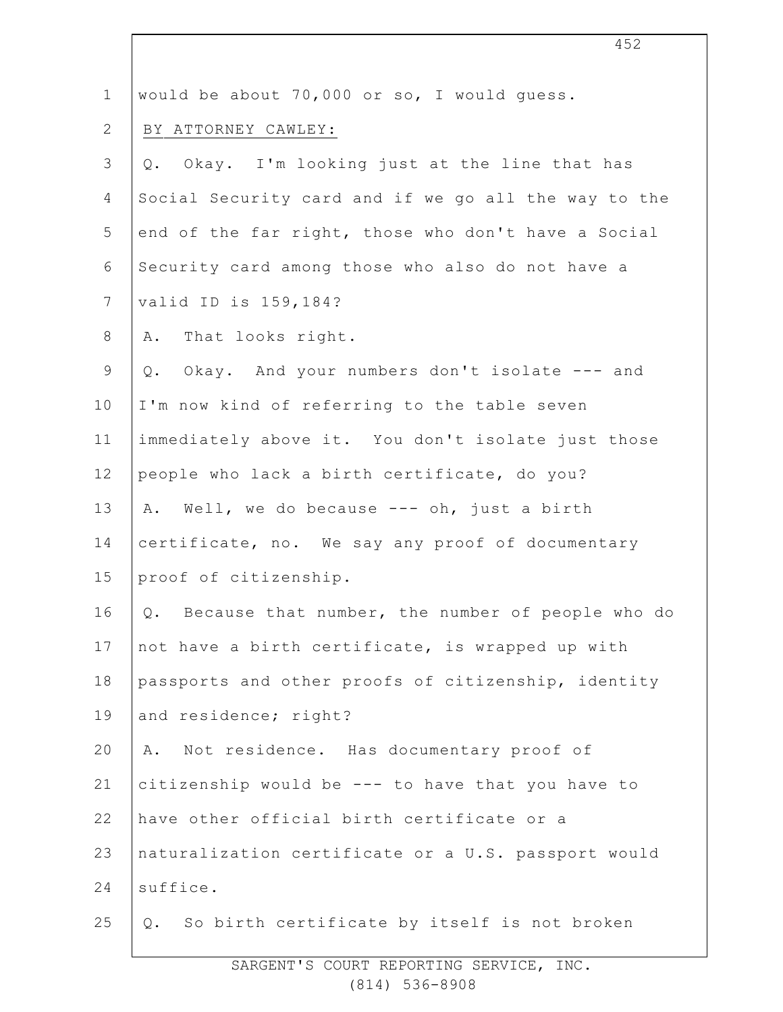| $\mathbf 1$    | would be about 70,000 or so, I would quess.          |
|----------------|------------------------------------------------------|
| $\mathbf{2}$   | BY ATTORNEY CAWLEY:                                  |
| $\mathsf 3$    | Okay. I'm looking just at the line that has<br>$Q$ . |
| 4              | Social Security card and if we go all the way to the |
| 5              | end of the far right, those who don't have a Social  |
| $\sqrt{6}$     | Security card among those who also do not have a     |
| $7\phantom{.}$ | valid ID is 159, 184?                                |
| $\,8\,$        | That looks right.<br>Α.                              |
| $\mathsf 9$    | Q. Okay. And your numbers don't isolate --- and      |
| 10             | I'm now kind of referring to the table seven         |
| 11             | immediately above it. You don't isolate just those   |
| 12             | people who lack a birth certificate, do you?         |
| 13             | A. Well, we do because --- oh, just a birth          |
| 14             | certificate, no. We say any proof of documentary     |
| 15             | proof of citizenship.                                |
| 16             | Q. Because that number, the number of people who do  |
| 17             | not have a birth certificate, is wrapped up with     |
| 18             | passports and other proofs of citizenship, identity  |
| 19             | and residence; right?                                |
| 20             | Not residence. Has documentary proof of<br>Α.        |
| 21             | citizenship would be --- to have that you have to    |
| 22             | have other official birth certificate or a           |
| 23             | naturalization certificate or a U.S. passport would  |
| 24             | suffice.                                             |
| 25             | Q. So birth certificate by itself is not broken      |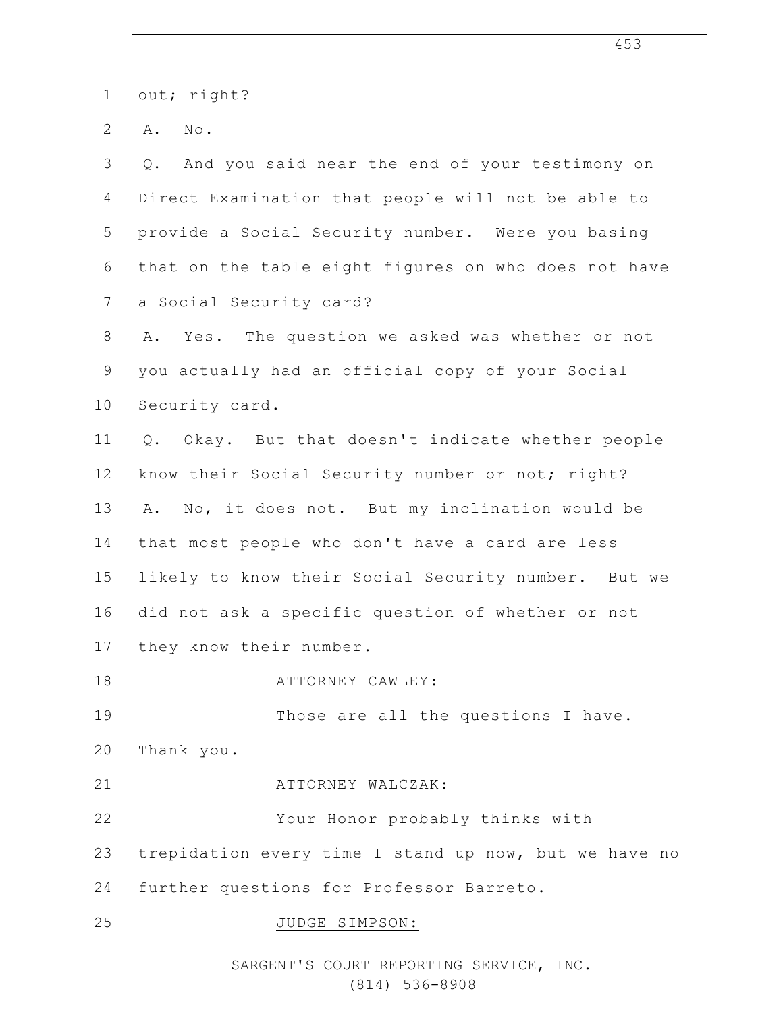| $\mathbf 1$    | out; right?                                             |
|----------------|---------------------------------------------------------|
| $\overline{2}$ | No.<br>Α.                                               |
| 3              | And you said near the end of your testimony on<br>$Q$ . |
| $\overline{4}$ | Direct Examination that people will not be able to      |
| 5              | provide a Social Security number. Were you basing       |
| 6              | that on the table eight figures on who does not have    |
| $\overline{7}$ | a Social Security card?                                 |
| $8\,$          | Yes. The question we asked was whether or not<br>Α.     |
| $\mathsf 9$    | you actually had an official copy of your Social        |
| 10             | Security card.                                          |
| 11             | Q. Okay. But that doesn't indicate whether people       |
| 12             | know their Social Security number or not; right?        |
| 13             | A. No, it does not. But my inclination would be         |
| 14             | that most people who don't have a card are less         |
| 15             | likely to know their Social Security number. But we     |
| 16             | did not ask a specific question of whether or not       |
| 17             | they know their number.                                 |
| 18             | ATTORNEY CAWLEY:                                        |
| 19             | Those are all the questions I have.                     |
| 20             | Thank you.                                              |
| 21             | ATTORNEY WALCZAK:                                       |
| 22             | Your Honor probably thinks with                         |
| 23             | trepidation every time I stand up now, but we have no   |
| 24             | further questions for Professor Barreto.                |
| 25             | JUDGE SIMPSON:                                          |
|                |                                                         |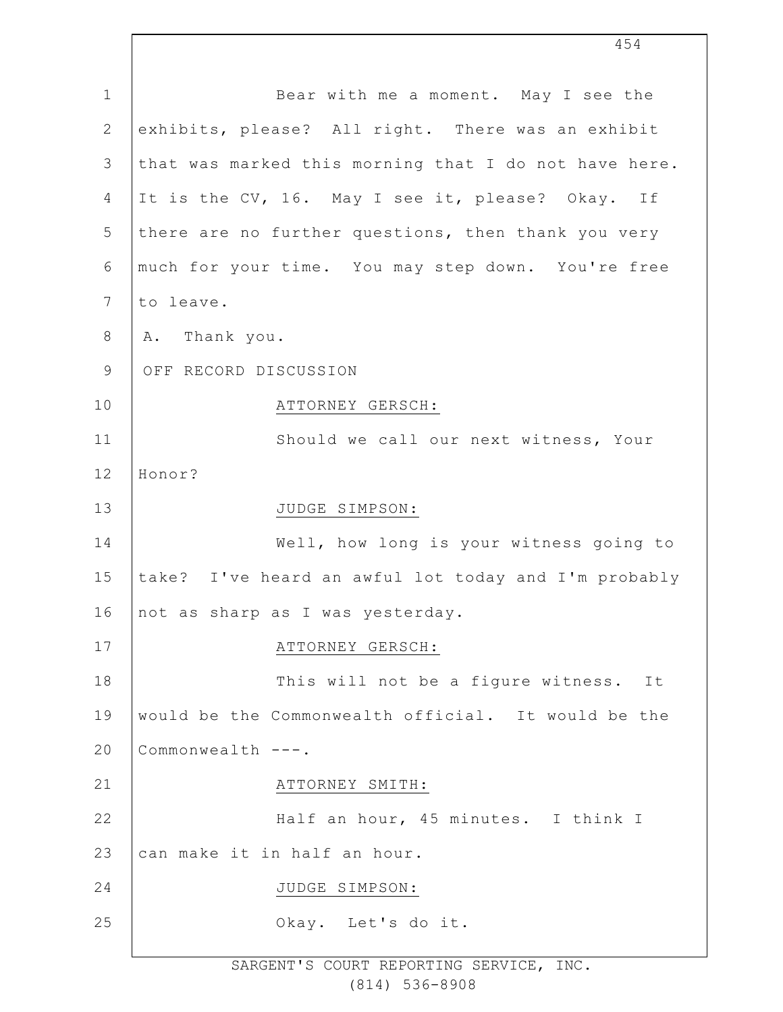| $\mathbf 1$   | Bear with me a moment. May I see the                  |
|---------------|-------------------------------------------------------|
| $\sqrt{2}$    | exhibits, please? All right. There was an exhibit     |
| $\mathcal{S}$ | that was marked this morning that I do not have here. |
| 4             | It is the CV, 16. May I see it, please? Okay. If      |
| 5             | there are no further questions, then thank you very   |
| 6             | much for your time. You may step down. You're free    |
| 7             | to leave.                                             |
| $8\,$         | A. Thank you.                                         |
| $\mathsf 9$   | OFF RECORD DISCUSSION                                 |
| 10            | ATTORNEY GERSCH:                                      |
| 11            | Should we call our next witness, Your                 |
| 12            | Honor?                                                |
| 13            | JUDGE SIMPSON:                                        |
| 14            | Well, how long is your witness going to               |
| 15            | take? I've heard an awful lot today and I'm probably  |
| 16            | not as sharp as I was yesterday.                      |
| 17            | ATTORNEY GERSCH:                                      |
| 18            | This will not be a figure witness. It                 |
|               |                                                       |
| 19            | would be the Commonwealth official. It would be the   |
| 20            | Commonwealth ---.                                     |
| 21            | ATTORNEY SMITH:                                       |
| 22            | Half an hour, 45 minutes. I think I                   |
| 23            | can make it in half an hour.                          |
| 24            | JUDGE SIMPSON:                                        |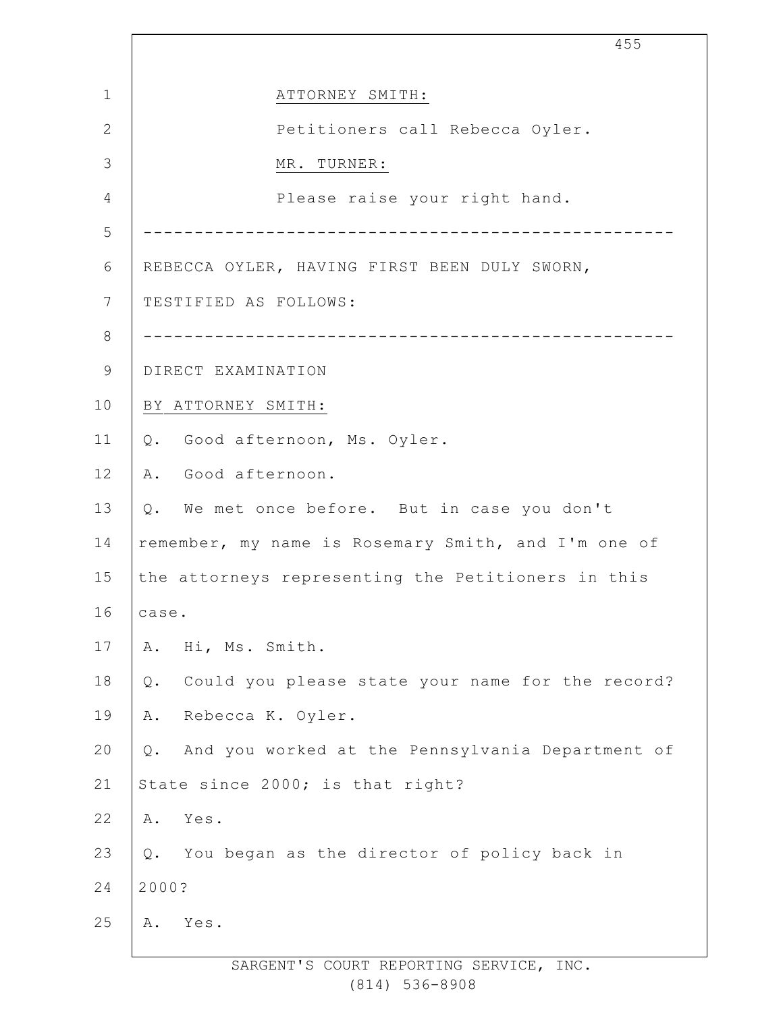1 2 3 4 5 6 7 8 9 10 11 12 13 14 15 16 17 18 19 20 21 22 23 24 25 455 ATTORNEY SMITH: Petitioners call Rebecca Oyler. MR. TURNER: Please raise your right hand. ---------------------------------------------------- REBECCA OYLER, HAVING FIRST BEEN DULY SWORN, TESTIFIED AS FOLLOWS: ---------------------------------------------------- DIRECT EXAMINATION BY ATTORNEY SMITH: Q. Good afternoon, Ms. Oyler. A. Good afternoon. Q. We met once before. But in case you don't remember, my name is Rosemary Smith, and I'm one of the attorneys representing the Petitioners in this case. A. Hi, Ms. Smith. Q. Could you please state your name for the record? A. Rebecca K. Oyler. Q. And you worked at the Pennsylvania Department of State since 2000; is that right? A. Yes. Q. You began as the director of policy back in 2000? A. Yes.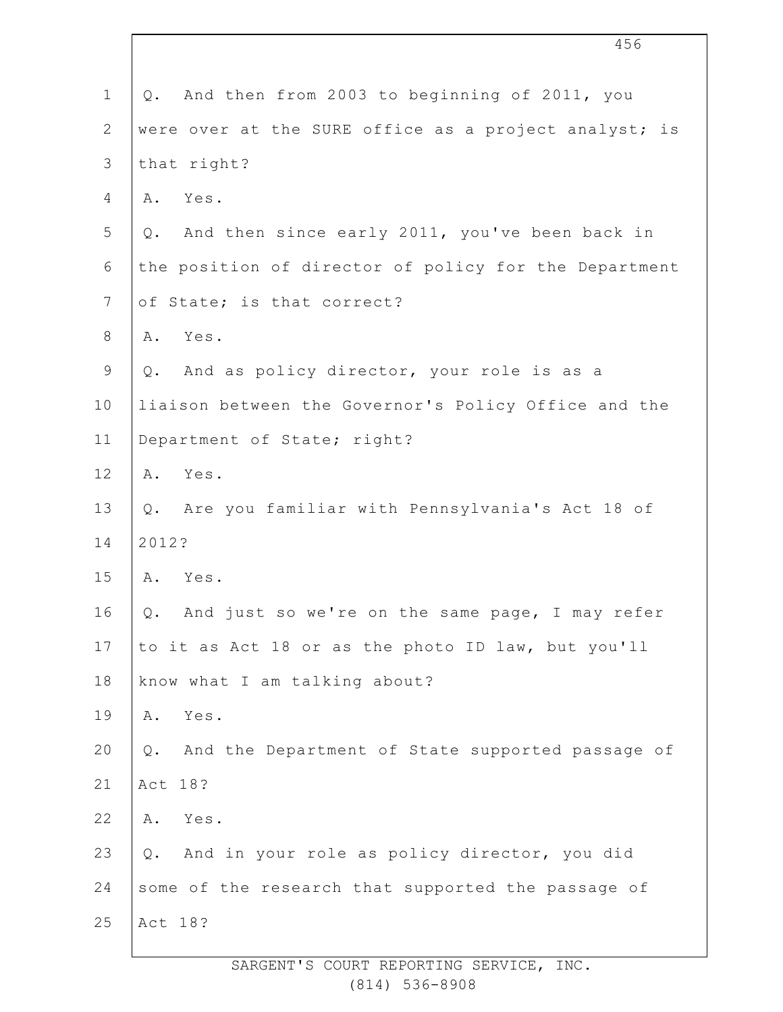|                | 456                                                       |
|----------------|-----------------------------------------------------------|
| $\mathbf 1$    | And then from 2003 to beginning of 2011, you<br>Q.        |
| $\overline{2}$ | were over at the SURE office as a project analyst; is     |
| $\mathfrak{Z}$ | that right?                                               |
| 4              | Yes.<br>Α.                                                |
| 5              | And then since early 2011, you've been back in<br>Q.      |
| 6              | the position of director of policy for the Department     |
| $\overline{7}$ | of State; is that correct?                                |
| 8              | Yes.<br>Α.                                                |
| $\mathsf 9$    | Q. And as policy director, your role is as a              |
| 10             | liaison between the Governor's Policy Office and the      |
| 11             | Department of State; right?                               |
| 12             | Yes.<br>Α.                                                |
| 13             | Q. Are you familiar with Pennsylvania's Act 18 of         |
| 14             | 2012?                                                     |
| 15             | Α.<br>Yes.                                                |
| 16             | And just so we're on the same page, I may refer<br>$Q$ .  |
| 17             | to it as Act 18 or as the photo ID law, but you'll        |
| 18             | know what I am talking about?                             |
| 19             | Yes.<br>Α.                                                |
| 20             | And the Department of State supported passage of<br>$Q$ . |
| 21             | Act 18?                                                   |
| 22             | Yes.<br>Α.                                                |
| 23             | And in your role as policy director, you did<br>Q.        |
| 24             | some of the research that supported the passage of        |
| 25             | Act 18?                                                   |
|                |                                                           |

 $\overline{\phantom{a}}$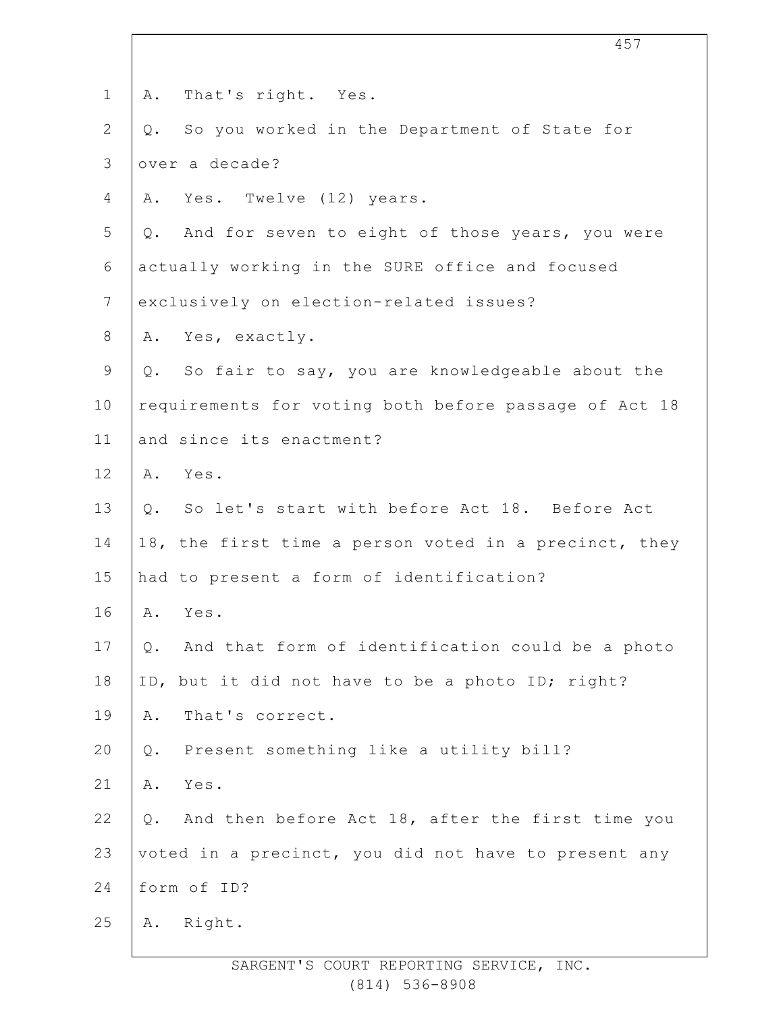| $\mathbf 1$    | That's right. Yes.<br>Α.                                  |
|----------------|-----------------------------------------------------------|
| $\mathbf{2}$   | So you worked in the Department of State for<br>Q.        |
| $\mathfrak{Z}$ | over a decade?                                            |
| 4              | A. Yes. Twelve (12) years.                                |
| 5              | Q. And for seven to eight of those years, you were        |
| $\sqrt{6}$     | actually working in the SURE office and focused           |
| 7              | exclusively on election-related issues?                   |
| 8              | A. Yes, exactly.                                          |
| 9              | Q. So fair to say, you are knowledgeable about the        |
| 10             | requirements for voting both before passage of Act 18     |
| 11             | and since its enactment?                                  |
| 12             | A. Yes.                                                   |
| 13             | Q. So let's start with before Act 18. Before Act          |
| 14             | 18, the first time a person voted in a precinct, they     |
| 15             | had to present a form of identification?                  |
| 16             | A. Yes.                                                   |
| 17             | And that form of identification could be a photo<br>Q.    |
| 18             | ID, but it did not have to be a photo ID; right?          |
| 19             | That's correct.<br>Α.                                     |
| 20             | Present something like a utility bill?<br>$Q$ .           |
| 21             | Α.<br>Yes.                                                |
| 22             | And then before Act 18, after the first time you<br>$Q$ . |
| 23             | voted in a precinct, you did not have to present any      |
| 24             | form of ID?                                               |
| 25             | Right.<br>Α.                                              |
|                |                                                           |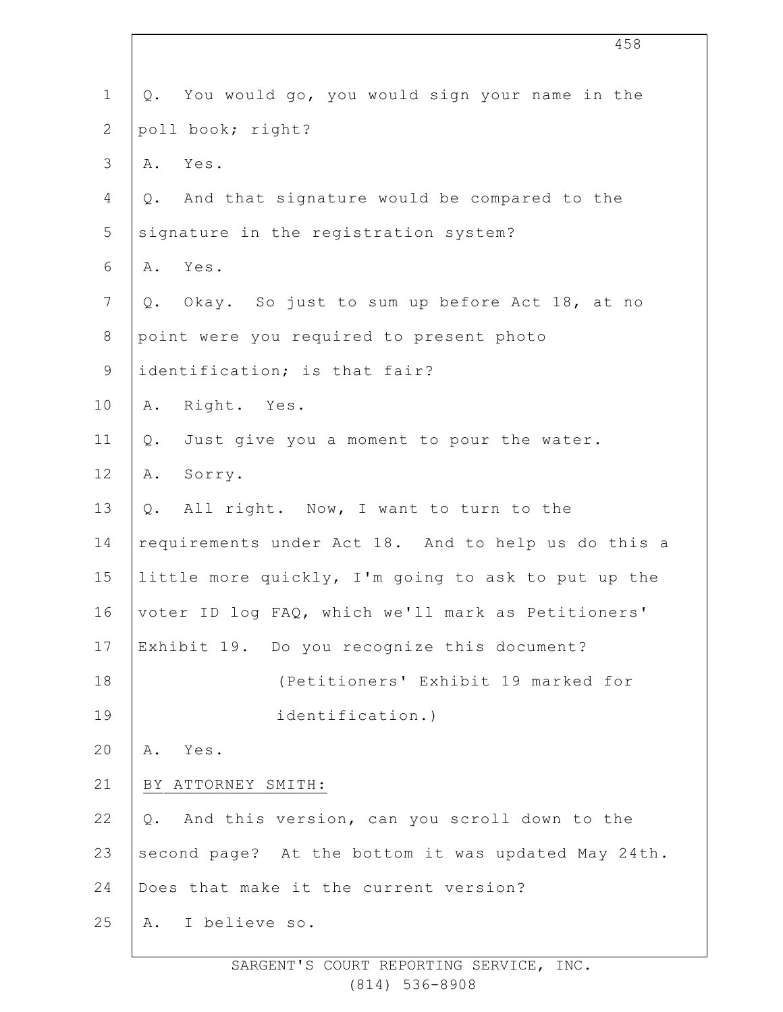| $\mathbf 1$    | You would go, you would sign your name in the<br>Q. |
|----------------|-----------------------------------------------------|
| $\mathbf{2}$   | poll book; right?                                   |
| 3              | Yes.<br>Α.                                          |
| 4              | And that signature would be compared to the<br>Q.   |
| 5              | signature in the registration system?               |
| 6              | A. Yes.                                             |
| $7\phantom{.}$ | Okay. So just to sum up before Act 18, at no<br>Q.  |
| $\,8\,$        | point were you required to present photo            |
| $\mathsf 9$    | identification; is that fair?                       |
| 10             | A. Right. Yes.                                      |
| 11             | Just give you a moment to pour the water.<br>Q.     |
| 12             | Sorry.<br>Α.                                        |
| 13             | All right. Now, I want to turn to the<br>$Q$ .      |
| 14             | requirements under Act 18. And to help us do this a |
| 15             | little more quickly, I'm going to ask to put up the |
| 16             | voter ID log FAQ, which we'll mark as Petitioners'  |
| 17             | Exhibit 19. Do you recognize this document?         |
| 18             | (Petitioners' Exhibit 19 marked for                 |
| 19             | identification.)                                    |
| 20             | Yes.<br>Α.                                          |
| 21             | BY ATTORNEY SMITH:                                  |
| 22             | And this version, can you scroll down to the<br>Q.  |
| 23             | second page? At the bottom it was updated May 24th. |
| 24             | Does that make it the current version?              |
| 25             | I believe so.<br>Α.                                 |
|                |                                                     |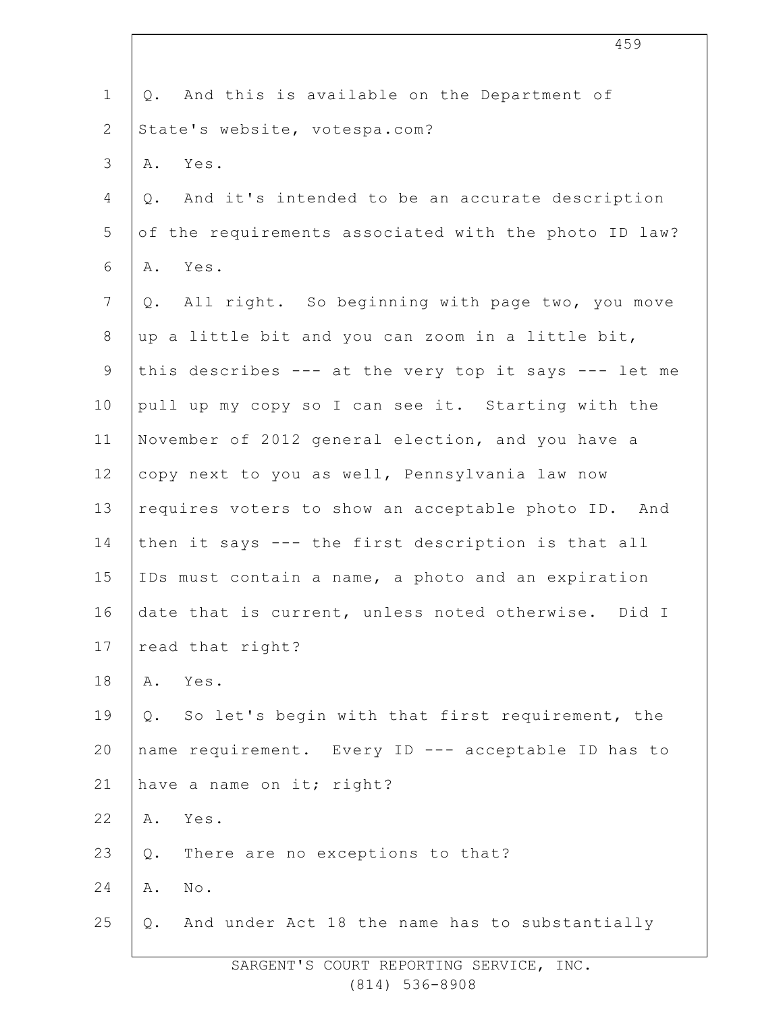| $\mathbf 1$    | And this is available on the Department of<br>Q.         |
|----------------|----------------------------------------------------------|
| $\mathbf{2}$   | State's website, votespa.com?                            |
| 3              | Yes.<br>Α.                                               |
| 4              | And it's intended to be an accurate description<br>$Q$ . |
| 5              | of the requirements associated with the photo ID law?    |
| 6              | Yes.<br>Α.                                               |
| $7\phantom{.}$ | All right. So beginning with page two, you move<br>Q.    |
| $8\,$          | up a little bit and you can zoom in a little bit,        |
| 9              | this describes --- at the very top it says --- let me    |
| 10             | pull up my copy so I can see it. Starting with the       |
| 11             | November of 2012 general election, and you have a        |
| 12             | copy next to you as well, Pennsylvania law now           |
| 13             | requires voters to show an acceptable photo ID. And      |
| 14             | then it says --- the first description is that all       |
| 15             | IDs must contain a name, a photo and an expiration       |
| 16             | date that is current, unless noted otherwise.<br>Did I   |
| 17             | read that right?                                         |
| 18             | Yes.<br>Α.                                               |
| 19             | So let's begin with that first requirement, the<br>Q.    |
| 20             | name requirement. Every ID --- acceptable ID has to      |
| 21             | have a name on it; right?                                |
| 22             | Yes.<br>Α.                                               |
| 23             | There are no exceptions to that?<br>Q.                   |
| 24             | $\texttt{No}$ .<br>Α.                                    |
| 25             | And under Act 18 the name has to substantially<br>Q.     |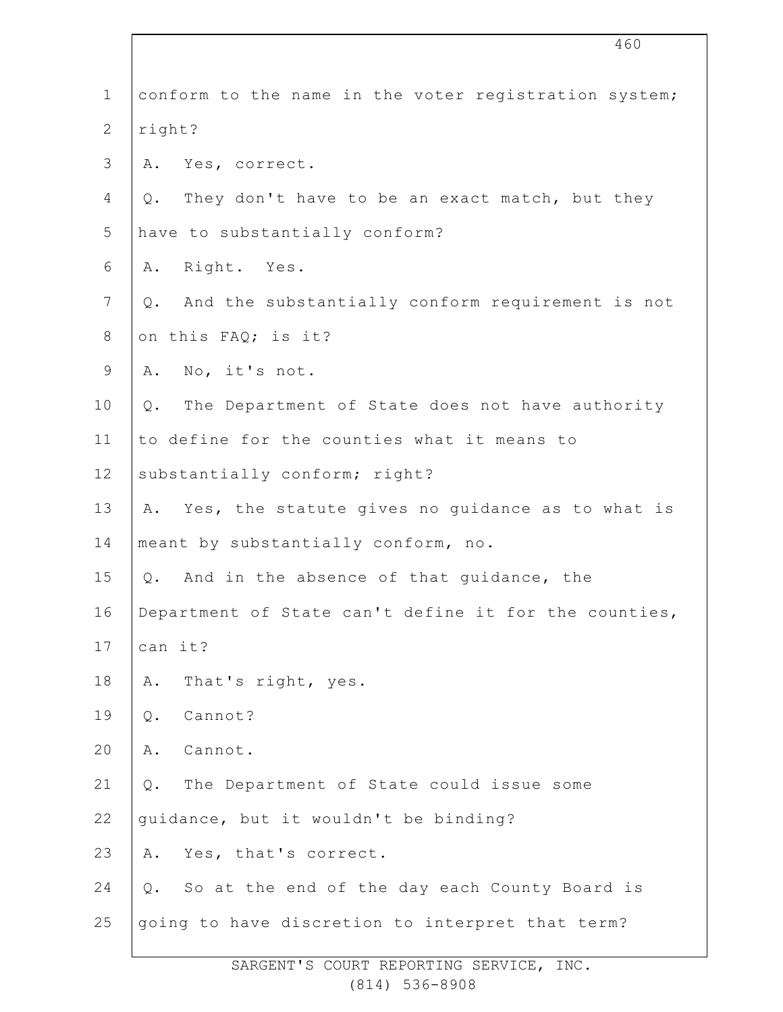|                | 460                                                    |
|----------------|--------------------------------------------------------|
| $\mathbf 1$    | conform to the name in the voter registration system;  |
| $\mathbf{2}$   | right?                                                 |
| 3              | Yes, correct.<br>Α.                                    |
| 4              | They don't have to be an exact match, but they<br>Q.   |
| 5              | have to substantially conform?                         |
| 6              | Right. Yes.<br>Α.                                      |
| $7\phantom{.}$ | And the substantially conform requirement is not<br>Q. |
| $8\,$          | on this FAQ; is it?                                    |
| $\mathsf 9$    | No, it's not.<br>Α.                                    |
| 10             | The Department of State does not have authority<br>Q.  |
| 11             | to define for the counties what it means to            |
| 12             | substantially conform; right?                          |
| 13             | A. Yes, the statute gives no guidance as to what is    |
| 14             | meant by substantially conform, no.                    |
| 15             | And in the absence of that guidance, the<br>$Q$ .      |
| 16             | Department of State can't define it for the counties,  |
| 17             | can it?                                                |
| 18             | That's right, yes.<br>Α.                               |
| 19             | Cannot?<br>Q.                                          |
| 20             | Cannot.<br>Α.                                          |
| 21             | The Department of State could issue some<br>Q.         |
| 22             | quidance, but it wouldn't be binding?                  |
| 23             | Yes, that's correct.<br>Α.                             |
| 24             | So at the end of the day each County Board is<br>Q.    |
| 25             | going to have discretion to interpret that term?       |
|                |                                                        |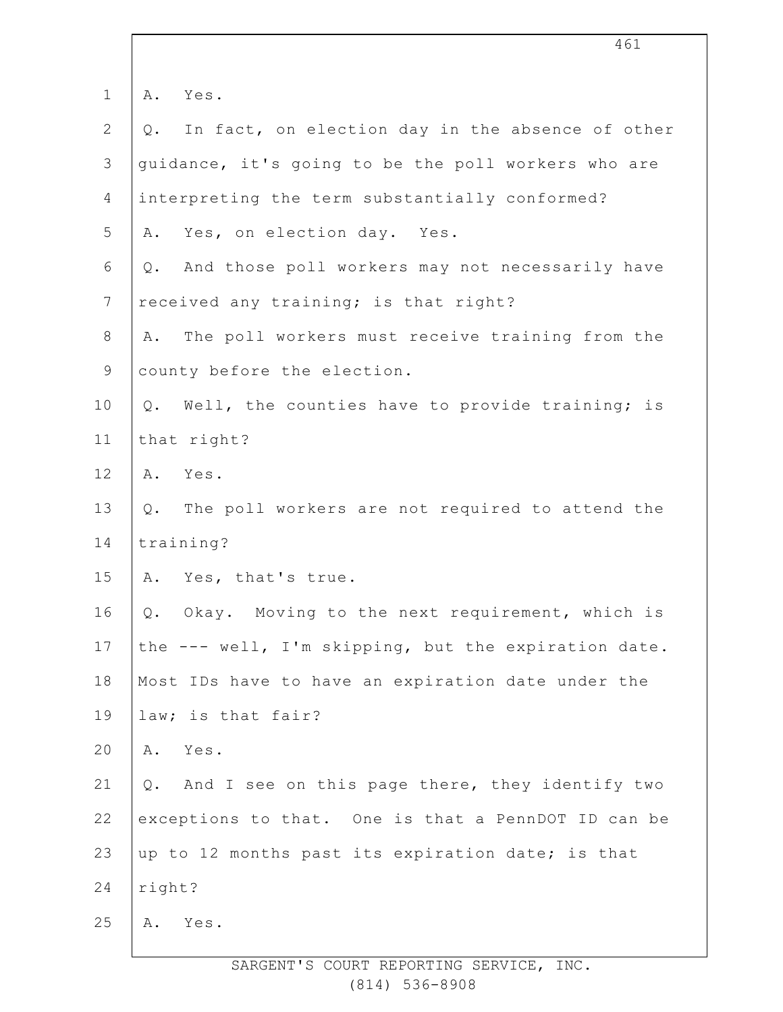| $\mathbf 1$    | Yes.<br>Α.                                                |
|----------------|-----------------------------------------------------------|
| $\mathbf{2}$   | In fact, on election day in the absence of other<br>$Q$ . |
| 3              | guidance, it's going to be the poll workers who are       |
| 4              | interpreting the term substantially conformed?            |
| 5              | Yes, on election day. Yes.<br>Α.                          |
| 6              | And those poll workers may not necessarily have<br>Q.     |
| $7\phantom{.}$ | received any training; is that right?                     |
| $8\,$          | The poll workers must receive training from the<br>Α.     |
| $\mathsf 9$    | county before the election.                               |
| 10             | Well, the counties have to provide training; is<br>Q.     |
| 11             | that right?                                               |
| 12             | A. Yes.                                                   |
| 13             | Q. The poll workers are not required to attend the        |
| 14             | training?                                                 |
| 15             | A. Yes, that's true.                                      |
| 16             | Okay. Moving to the next requirement, which is<br>Q.      |
| 17             | the --- well, I'm skipping, but the expiration date.      |
| 18             | Most IDs have to have an expiration date under the        |
| 19             | law; is that fair?                                        |
| 20             | Yes.<br>Α.                                                |
| 21             | And I see on this page there, they identify two<br>Q.     |
| 22             | exceptions to that. One is that a PennDOT ID can be       |
| 23             | up to 12 months past its expiration date; is that         |
| 24             | right?                                                    |
| 25             | Yes.<br>Α.                                                |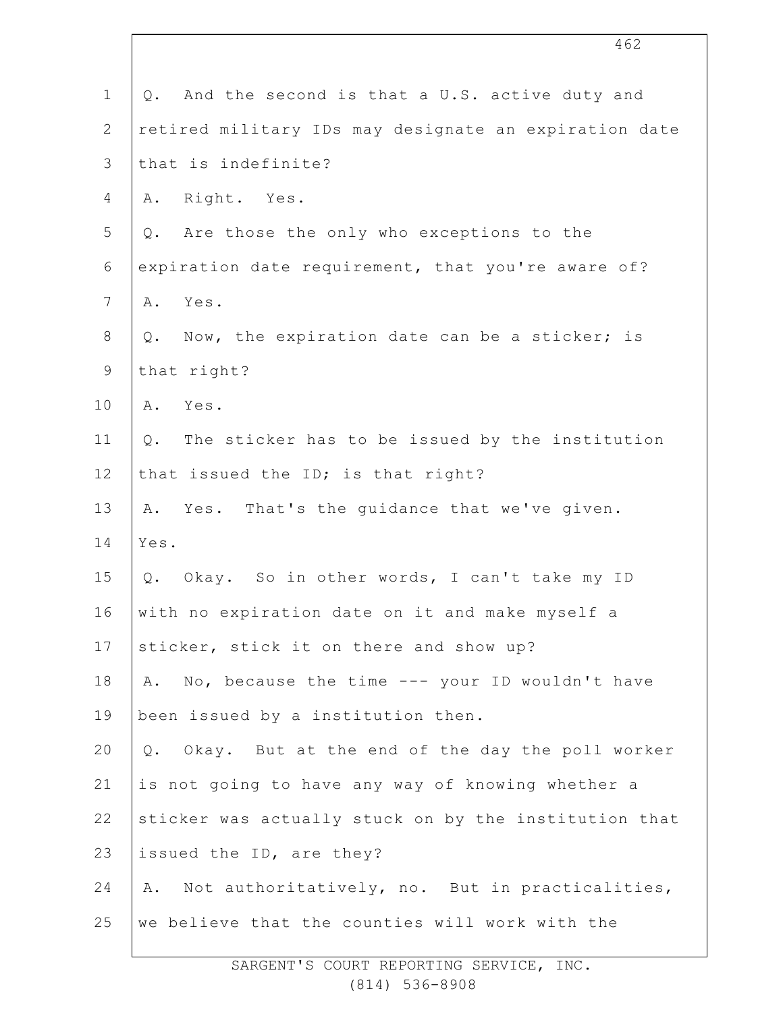|                | 462                                                   |
|----------------|-------------------------------------------------------|
| $\mathbf 1$    | And the second is that a U.S. active duty and<br>Q.   |
| $\mathbf{2}$   | retired military IDs may designate an expiration date |
| 3              | that is indefinite?                                   |
| 4              | Right. Yes.<br>Α.                                     |
| 5              | Q. Are those the only who exceptions to the           |
| $\sqrt{6}$     | expiration date requirement, that you're aware of?    |
| $7\phantom{.}$ | Yes.<br>Α.                                            |
| $8\,$          | Now, the expiration date can be a sticker; is<br>Q.   |
| $\mathsf 9$    | that right?                                           |
| 10             | Yes.<br>Α.                                            |
| 11             | The sticker has to be issued by the institution<br>Q. |
| 12             | that issued the ID; is that right?                    |
| 13             | A. Yes. That's the guidance that we've given.         |
| 14             | Yes.                                                  |
| 15             | Q. Okay. So in other words, I can't take my ID        |
| 16             | with no expiration date on it and make myself a       |
| 17             | sticker, stick it on there and show up?               |
| 18             | No, because the time --- your ID wouldn't have<br>Α.  |
| 19             | been issued by a institution then.                    |
| 20             | Q. Okay. But at the end of the day the poll worker    |
| 21             | is not going to have any way of knowing whether a     |
| 22             | sticker was actually stuck on by the institution that |
| 23             | issued the ID, are they?                              |
| 24             | Not authoritatively, no. But in practicalities,<br>Α. |
| 25             | we believe that the counties will work with the       |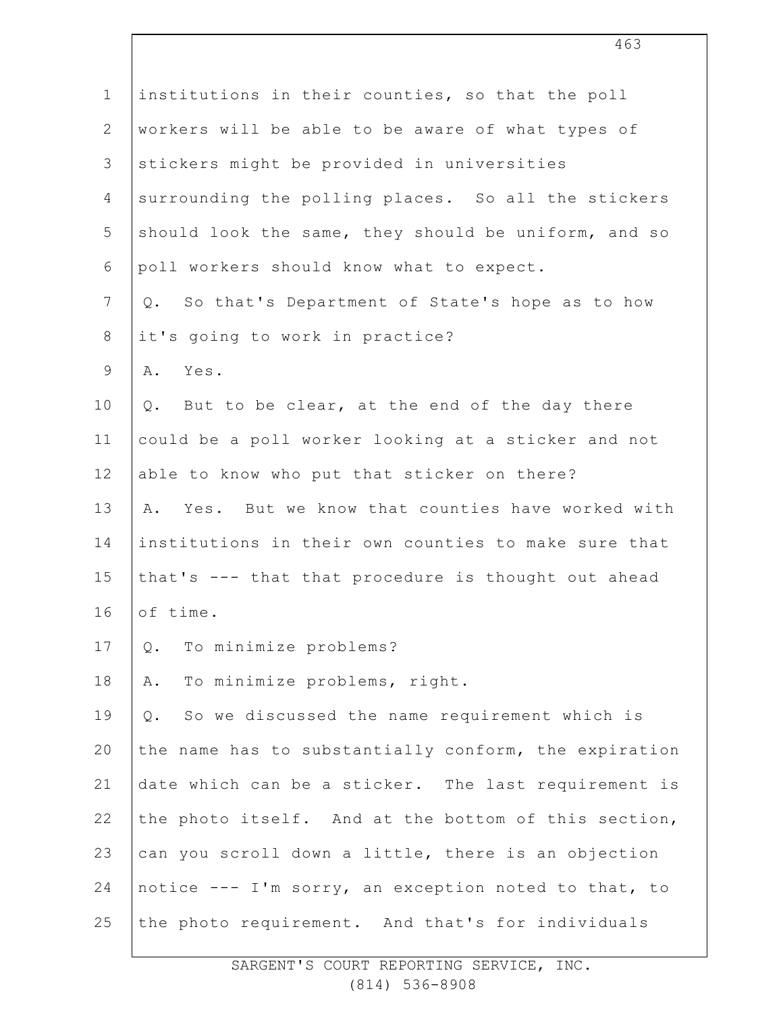| $\mathbf 1$      | institutions in their counties, so that the poll      |
|------------------|-------------------------------------------------------|
| $\mathbf{2}$     | workers will be able to be aware of what types of     |
| $\mathcal{S}$    | stickers might be provided in universities            |
| $\overline{4}$   | surrounding the polling places. So all the stickers   |
| 5                | should look the same, they should be uniform, and so  |
| 6                | poll workers should know what to expect.              |
| $\boldsymbol{7}$ | Q. So that's Department of State's hope as to how     |
| $\,8\,$          | it's going to work in practice?                       |
| $\mathsf 9$      | Yes.<br>Α.                                            |
| 10               | But to be clear, at the end of the day there<br>Q.    |
| 11               | could be a poll worker looking at a sticker and not   |
| 12               | able to know who put that sticker on there?           |
| 13               | A. Yes. But we know that counties have worked with    |
| 14               | institutions in their own counties to make sure that  |
| 15               | that's --- that that procedure is thought out ahead   |
| 16               | of time.                                              |
| 17               | To minimize problems?<br>Q.                           |
| 18               | To minimize problems, right.<br>Α.                    |
| 19               | So we discussed the name requirement which is<br>Q.   |
| 20               | the name has to substantially conform, the expiration |
| 21               | date which can be a sticker. The last requirement is  |
| 22               | the photo itself. And at the bottom of this section,  |
| 23               | can you scroll down a little, there is an objection   |
| 24               | notice --- I'm sorry, an exception noted to that, to  |
| 25               | the photo requirement. And that's for individuals     |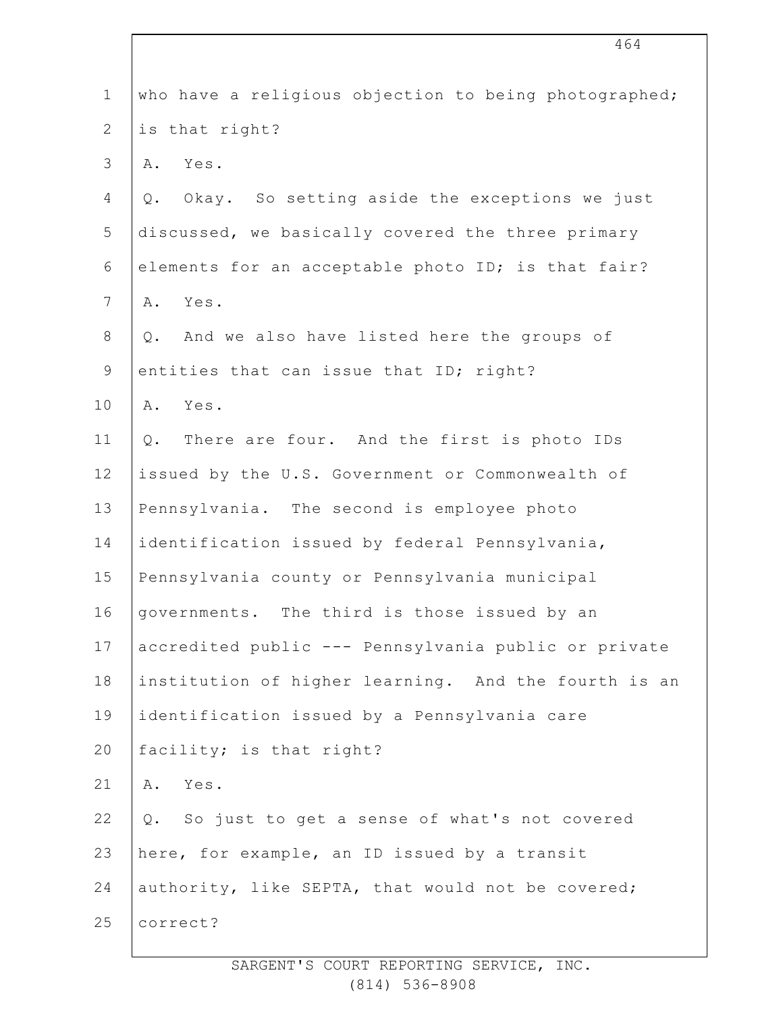| $\mathbf 1$    | who have a religious objection to being photographed; |
|----------------|-------------------------------------------------------|
| $\overline{2}$ | is that right?                                        |
| 3              | Yes.<br>Α.                                            |
| 4              | Okay. So setting aside the exceptions we just<br>Q.   |
| 5              | discussed, we basically covered the three primary     |
| $\epsilon$     | elements for an acceptable photo ID; is that fair?    |
| $\overline{7}$ | Yes.<br>Α.                                            |
| $8\,$          | And we also have listed here the groups of<br>Q.      |
| $\mathsf 9$    | entities that can issue that ID; right?               |
| 10             | Yes.<br>Α.                                            |
| 11             | There are four. And the first is photo IDs<br>Q.      |
| 12             | issued by the U.S. Government or Commonwealth of      |
| 13             | Pennsylvania. The second is employee photo            |
| 14             | identification issued by federal Pennsylvania,        |
| 15             | Pennsylvania county or Pennsylvania municipal         |
| 16             | governments. The third is those issued by an          |
| 17             | accredited public --- Pennsylvania public or private  |
| 18             | institution of higher learning. And the fourth is an  |
| 19             | identification issued by a Pennsylvania care          |
| 20             | facility; is that right?                              |
| 21             | Yes.<br>Α.                                            |
| 22             | Q. So just to get a sense of what's not covered       |
| 23             | here, for example, an ID issued by a transit          |
| 24             | authority, like SEPTA, that would not be covered;     |
| 25             | correct?                                              |
|                |                                                       |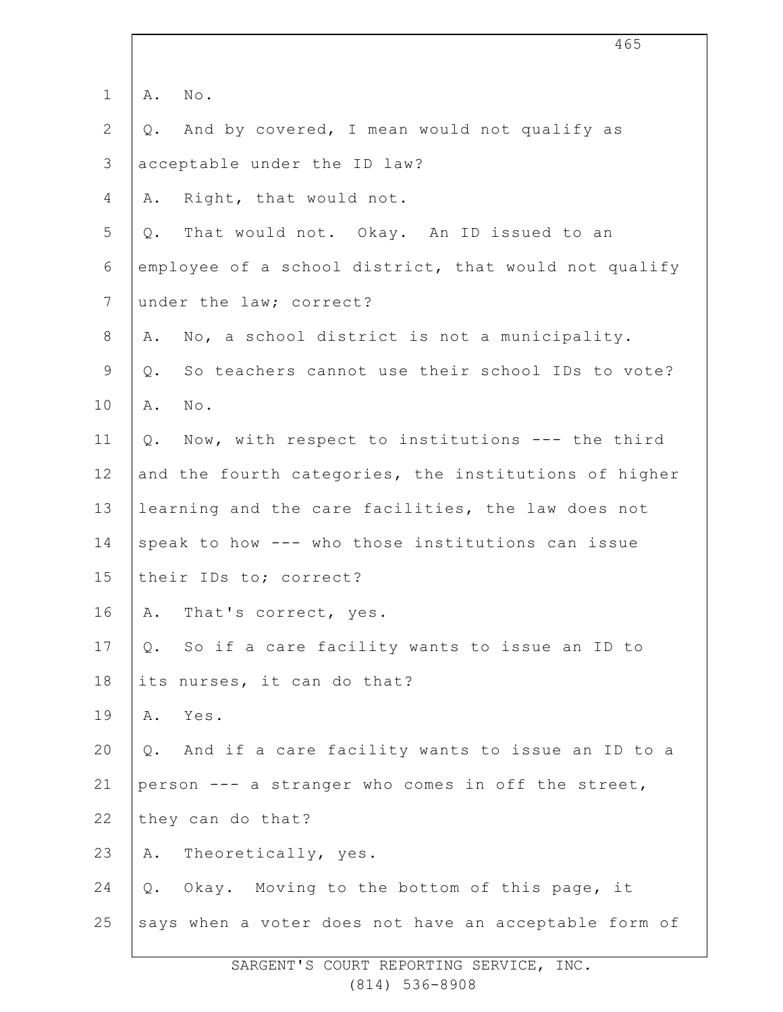|              |    | 465                                                   |
|--------------|----|-------------------------------------------------------|
|              |    |                                                       |
| $\mathbf 1$  | Α. | $\mathbb{N} \circ$ .                                  |
| $\mathbf{2}$ | Q. | And by covered, I mean would not qualify as           |
| 3            |    | acceptable under the ID law?                          |
| 4            | Α. | Right, that would not.                                |
| 5            | Q. | That would not. Okay. An ID issued to an              |
| 6            |    | employee of a school district, that would not qualify |
| 7            |    | under the law; correct?                               |
| 8            | Α. | No, a school district is not a municipality.          |
| $\mathsf 9$  | Q. | So teachers cannot use their school IDs to vote?      |
| 10           | Α. | No.                                                   |
| 11           | Q. | Now, with respect to institutions --- the third       |
| 12           |    | and the fourth categories, the institutions of higher |
| 13           |    | learning and the care facilities, the law does not    |
| 14           |    | speak to how --- who those institutions can issue     |
| 15           |    | their IDs to; correct?                                |
| 16           |    | A. That's correct, yes.                               |
| 17           | Q. | So if a care facility wants to issue an ID to         |
| 18           |    | its nurses, it can do that?                           |
| 19           | Α. | Yes.                                                  |
| 20           | Q. | And if a care facility wants to issue an ID to a      |
| 21           |    | person --- a stranger who comes in off the street,    |
| 22           |    | they can do that?                                     |
| 23           | Α. | Theoretically, yes.                                   |
| 24           | Q. | Okay. Moving to the bottom of this page, it           |
| 25           |    | says when a voter does not have an acceptable form of |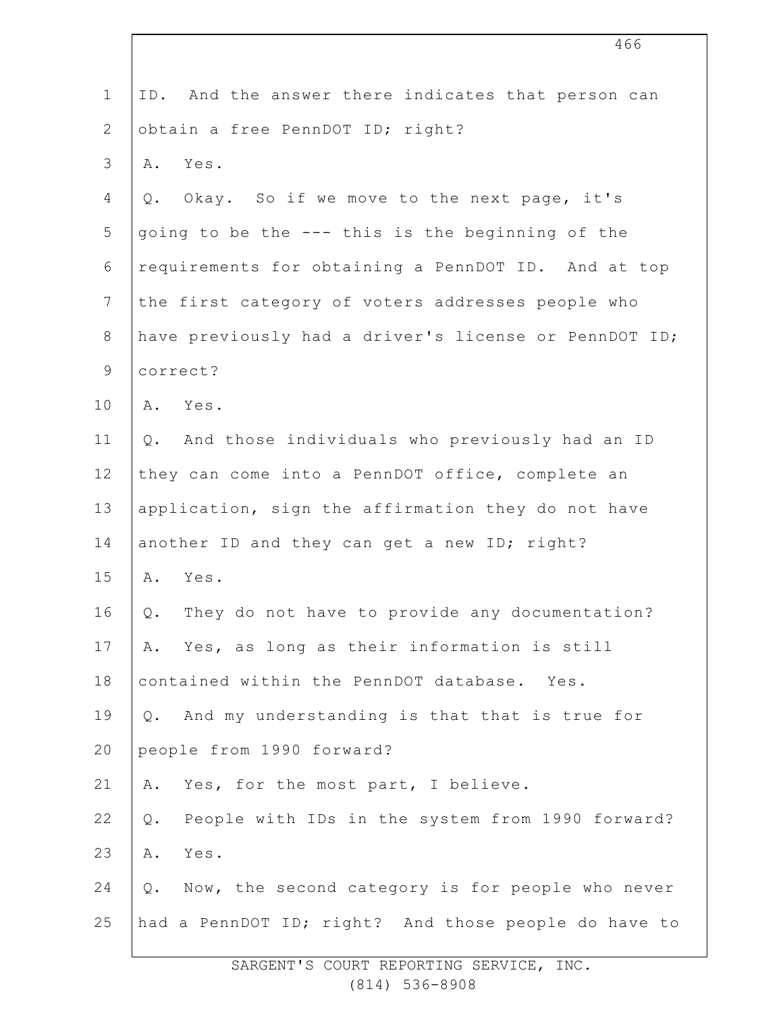| $\mathbf 1$    | ID. And the answer there indicates that person can        |
|----------------|-----------------------------------------------------------|
| $\overline{2}$ | obtain a free PennDOT ID; right?                          |
| $\mathcal{S}$  | A. Yes.                                                   |
| 4              | Q. Okay. So if we move to the next page, it's             |
| 5              | going to be the --- this is the beginning of the          |
| 6              | requirements for obtaining a PennDOT ID. And at top       |
| $\overline{7}$ | the first category of voters addresses people who         |
| $\,8\,$        | have previously had a driver's license or PennDOT ID;     |
| $\mathsf 9$    | correct?                                                  |
| 10             | A. Yes.                                                   |
| 11             | And those individuals who previously had an ID<br>Q.      |
| 12             | they can come into a PennDOT office, complete an          |
| 13             | application, sign the affirmation they do not have        |
| 14             | another ID and they can get a new ID; right?              |
| 15             | A. Yes.                                                   |
| 16             | They do not have to provide any documentation?<br>Q.      |
| 17             | A. Yes, as long as their information is still             |
| 18             | contained within the PennDOT database. Yes.               |
| 19             | Q. And my understanding is that that is true for          |
| 20             | people from 1990 forward?                                 |
| 21             | Yes, for the most part, I believe.<br>Α.                  |
| 22             | People with IDs in the system from 1990 forward?<br>$Q$ . |
| 23             | Α.<br>Yes.                                                |
| 24             | Now, the second category is for people who never<br>$Q$ . |
| 25             | had a PennDOT ID; right? And those people do have to      |
|                |                                                           |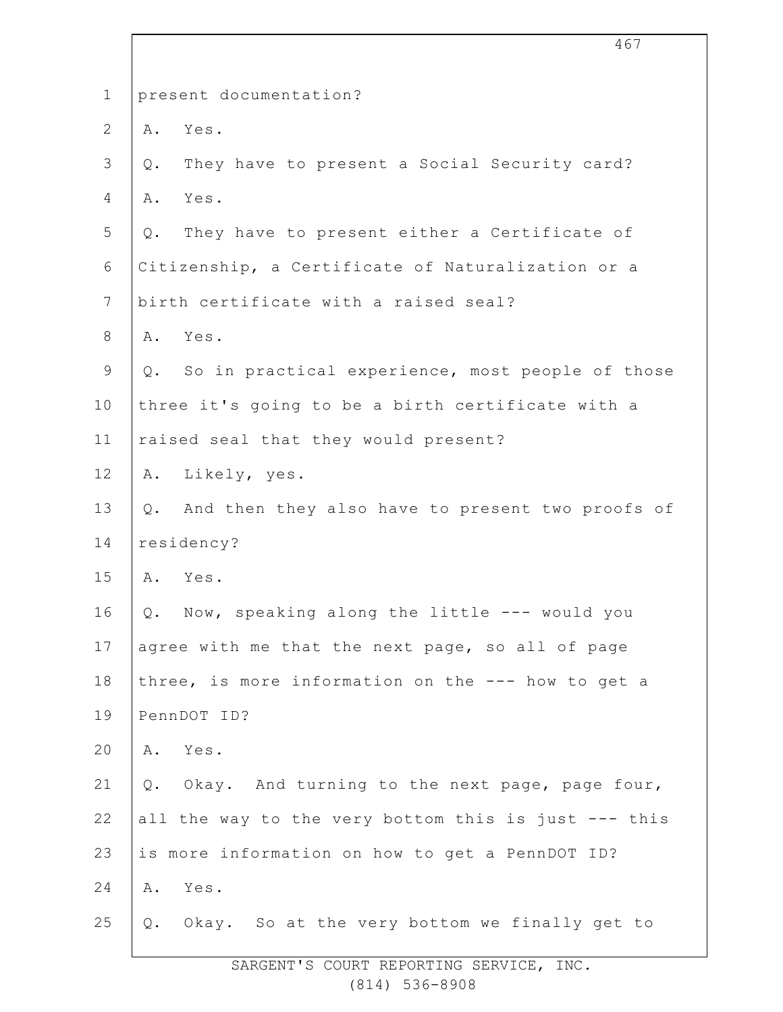| $\mathbf 1$    | present documentation?                                  |
|----------------|---------------------------------------------------------|
| $\overline{2}$ | Yes.<br>Α.                                              |
| 3              | They have to present a Social Security card?<br>Q.      |
| 4              | Yes.<br>Α.                                              |
| 5              | They have to present either a Certificate of<br>Q.      |
| 6              | Citizenship, a Certificate of Naturalization or a       |
| $7\phantom{.}$ | birth certificate with a raised seal?                   |
| 8              | Yes.<br>Α.                                              |
| $\mathsf 9$    | Q. So in practical experience, most people of those     |
| 10             | three it's going to be a birth certificate with a       |
| 11             | raised seal that they would present?                    |
| 12             | Likely, yes.<br>Α.                                      |
| 13             | And then they also have to present two proofs of<br>Q.  |
| 14             | residency?                                              |
| 15             | Yes.<br>Α.                                              |
| 16             | Now, speaking along the little --- would you<br>Q.      |
| 17             | agree with me that the next page, so all of page        |
| 18             | three, is more information on the --- how to get a      |
| 19             | PennDOT ID?                                             |
| 20             | Yes.<br>Α.                                              |
| 21             | Okay. And turning to the next page, page four,<br>$Q$ . |
| 22             | all the way to the very bottom this is just --- this    |
| 23             | is more information on how to get a PennDOT ID?         |
| 24             | Yes.<br>Α.                                              |
| 25             | Okay. So at the very bottom we finally get to<br>$Q$ .  |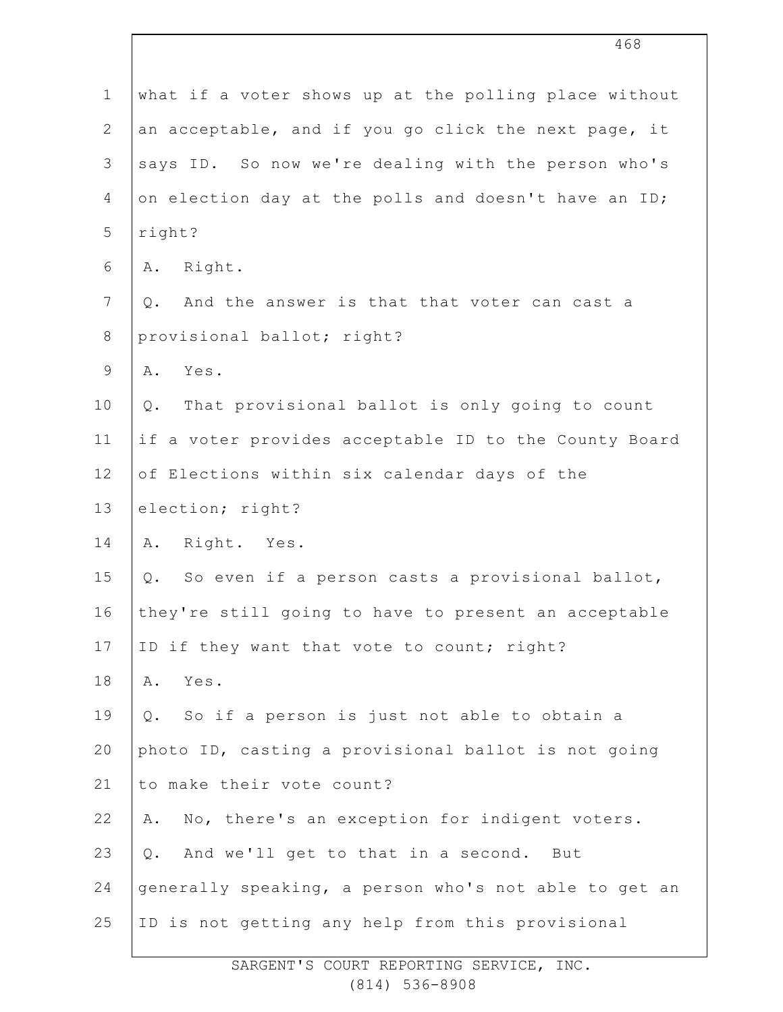| $\mathbf 1$    | what if a voter shows up at the polling place without   |
|----------------|---------------------------------------------------------|
| $\mathbf{2}$   | an acceptable, and if you go click the next page, it    |
| 3              | says ID. So now we're dealing with the person who's     |
| 4              | on election day at the polls and doesn't have an ID;    |
| 5              | right?                                                  |
| 6              | Right.<br>Α.                                            |
| $7\phantom{.}$ | And the answer is that that voter can cast a<br>Q.      |
| $8\,$          | provisional ballot; right?                              |
| $\mathsf 9$    | A. Yes.                                                 |
| 10             | That provisional ballot is only going to count<br>$Q$ . |
| 11             | if a voter provides acceptable ID to the County Board   |
| 12             | of Elections within six calendar days of the            |
| 13             | election; right?                                        |
| 14             | Right. Yes.<br>Α.                                       |
| 15             | So even if a person casts a provisional ballot,<br>Q.   |
| 16             | they're still going to have to present an acceptable    |
| 17             | ID if they want that vote to count; right?              |
| 18             | Yes.<br>Α.                                              |
| 19             | So if a person is just not able to obtain a<br>Q.       |
| 20             | photo ID, casting a provisional ballot is not going     |
| 21             | to make their vote count?                               |
| 22             | No, there's an exception for indigent voters.<br>Α.     |
| 23             | And we'll get to that in a second. But<br>Q.            |
| 24             | generally speaking, a person who's not able to get an   |
| 25             | ID is not getting any help from this provisional        |
|                |                                                         |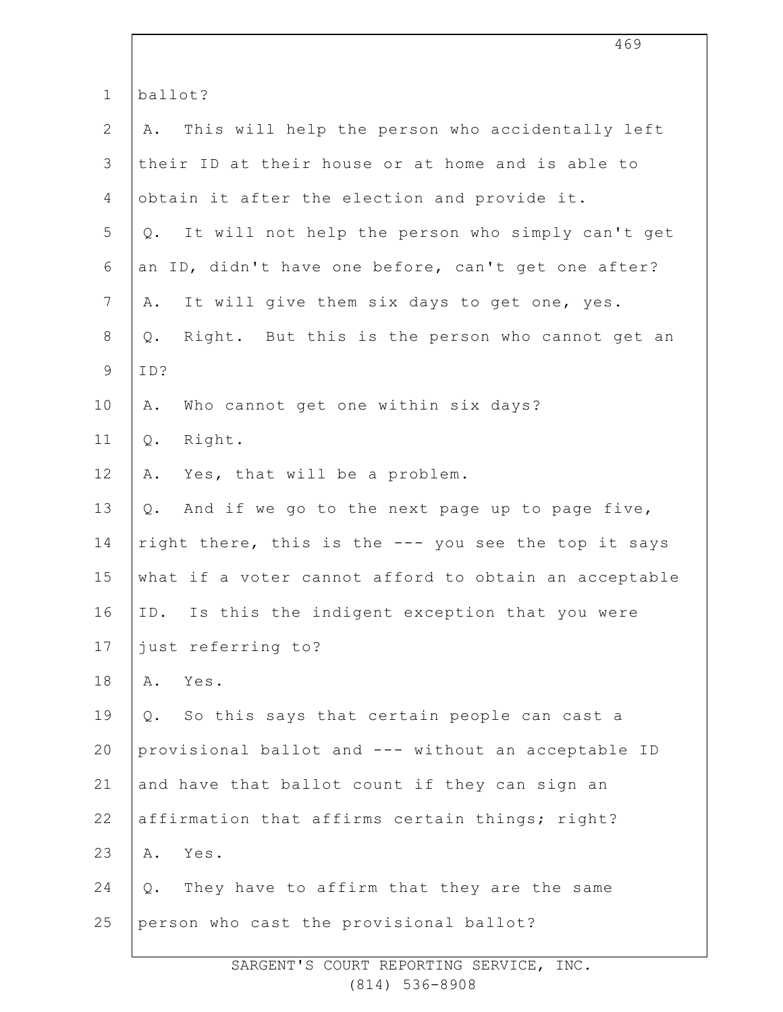|                | 469                                                      |
|----------------|----------------------------------------------------------|
| $\mathbf 1$    | ballot?                                                  |
| $\overline{2}$ | This will help the person who accidentally left<br>Α.    |
| 3              | their ID at their house or at home and is able to        |
| 4              | obtain it after the election and provide it.             |
| 5              | It will not help the person who simply can't get<br>Q.   |
| 6              | an ID, didn't have one before, can't get one after?      |
| 7              | It will give them six days to get one, yes.<br>Α.        |
| $8\,$          | Right. But this is the person who cannot get an<br>$Q$ . |
| $\mathsf 9$    | ID?                                                      |
| 10             | Who cannot get one within six days?<br>Α.                |
| 11             | Right.<br>Q.                                             |
| 12             | Yes, that will be a problem.<br>Α.                       |
| 13             | And if we go to the next page up to page five,<br>Q.     |
| 14             | right there, this is the --- you see the top it says     |
| 15             | what if a voter cannot afford to obtain an acceptable    |
| 16             | ID. Is this the indigent exception that you were         |
| 17             | just referring to?                                       |
| 18             | Yes.<br>Α.                                               |
| 19             | So this says that certain people can cast a<br>Q.        |
| 20             | provisional ballot and --- without an acceptable ID      |
| 21             | and have that ballot count if they can sign an           |
| 22             | affirmation that affirms certain things; right?          |
| 23             | Yes.<br>Α.                                               |
| 24             | They have to affirm that they are the same<br>Q.         |
| 25             | person who cast the provisional ballot?                  |
|                |                                                          |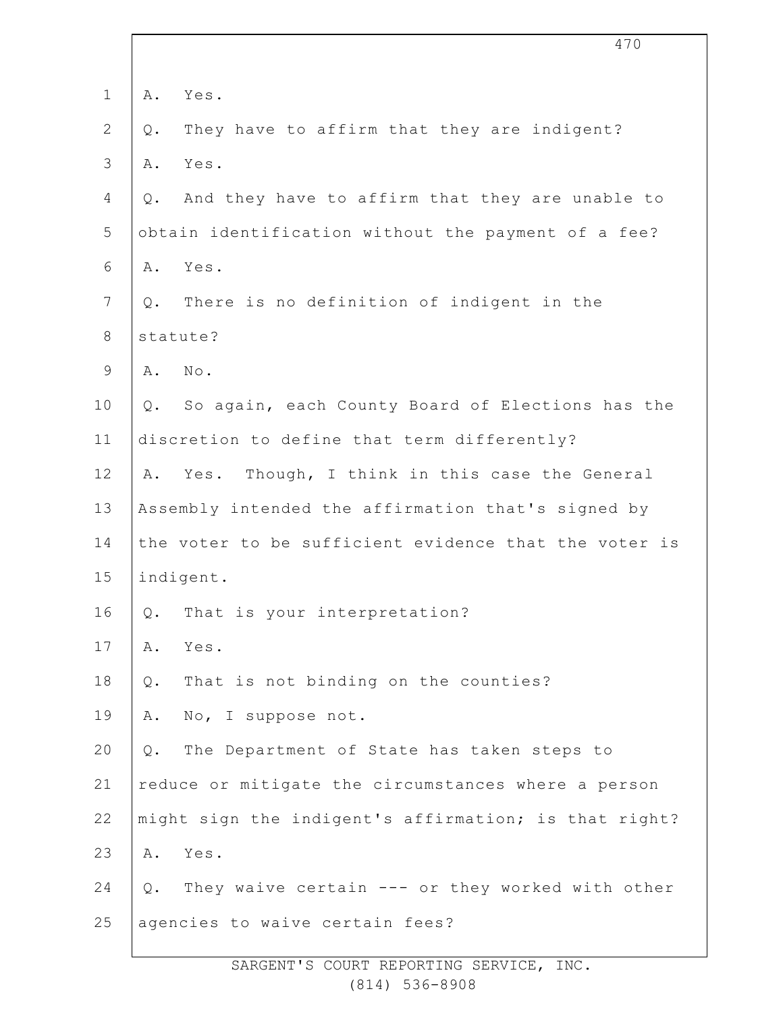| $\mathbf 1$    | Α.            | Yes.                                                  |
|----------------|---------------|-------------------------------------------------------|
| 2              | $\mathsf Q$ . | They have to affirm that they are indigent?           |
| 3              | Α.            | Yes.                                                  |
| 4              | Q.            | And they have to affirm that they are unable to       |
| 5              |               | obtain identification without the payment of a fee?   |
| 6              | Α.            | Yes.                                                  |
| $\overline{7}$ | Q.            | There is no definition of indigent in the             |
| $8\,$          |               | statute?                                              |
| $\mathsf 9$    | Α.            | $\texttt{No}$ .                                       |
| 10             | Q.            | So again, each County Board of Elections has the      |
| 11             |               | discretion to define that term differently?           |
| 12             | Α.            | Yes. Though, I think in this case the General         |
| 13             |               | Assembly intended the affirmation that's signed by    |
| 14             |               | the voter to be sufficient evidence that the voter is |
| 15             |               | indigent.                                             |
| 16             | Q.            | That is your interpretation?                          |
| 17             | Α.            | Yes.                                                  |
| 18             | Q.            | That is not binding on the counties?                  |
| 19             | Α.            | No, I suppose not.                                    |
| 20             | Q.            | The Department of State has taken steps to            |
| 21             |               | reduce or mitigate the circumstances where a person   |
| 22             |               | might sign the indigent's affirmation; is that right? |
| 23             | Α.            | Yes.                                                  |
| 24             |               | Q. They waive certain --- or they worked with other   |
| 25             |               | agencies to waive certain fees?                       |
|                |               |                                                       |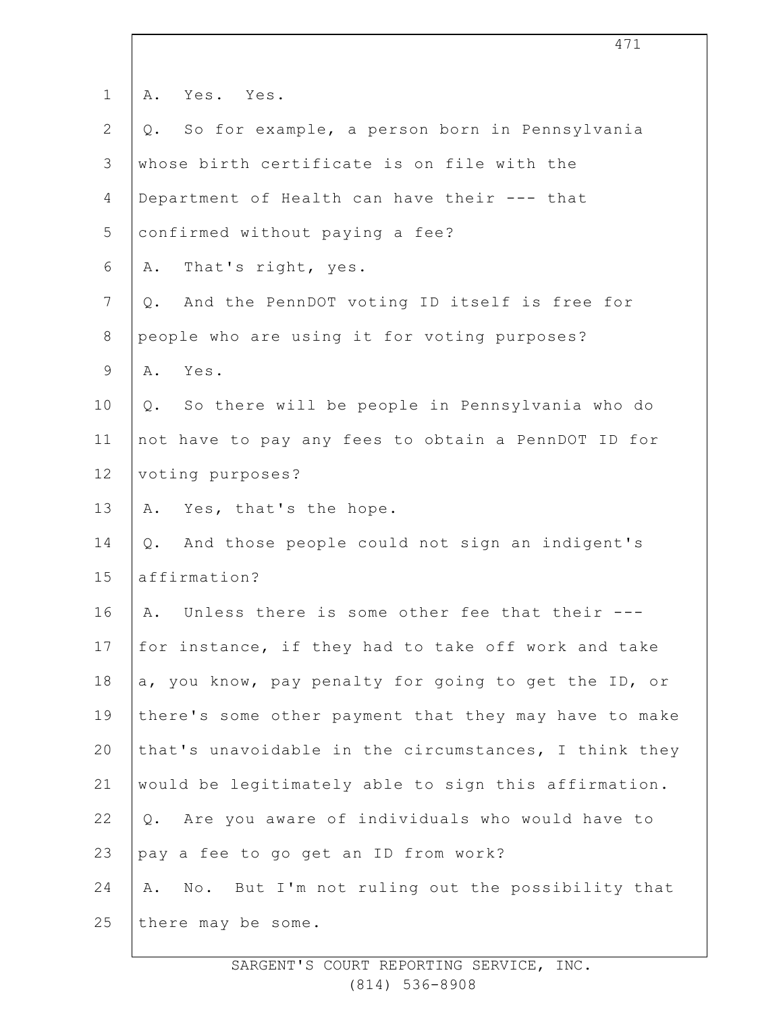| $\mathbf 1$    | Yes. Yes.<br>Α.                                       |
|----------------|-------------------------------------------------------|
| $\overline{2}$ | So for example, a person born in Pennsylvania<br>Q.   |
| 3              | whose birth certificate is on file with the           |
| $\overline{4}$ | Department of Health can have their --- that          |
| 5              | confirmed without paying a fee?                       |
| 6              | That's right, yes.<br>Α.                              |
| $7\phantom{.}$ | Q. And the PennDOT voting ID itself is free for       |
| $\,8\,$        | people who are using it for voting purposes?          |
| $\mathsf 9$    | Yes.<br>Α.                                            |
| 10             | So there will be people in Pennsylvania who do<br>Q.  |
| 11             | not have to pay any fees to obtain a PennDOT ID for   |
| 12             | voting purposes?                                      |
| 13             | A. Yes, that's the hope.                              |
| 14             | And those people could not sign an indigent's<br>Q.   |
| 15             | affirmation?                                          |
| 16             | Unless there is some other fee that their ---<br>Α.   |
| 17             | for instance, if they had to take off work and take   |
| 18             | a, you know, pay penalty for going to get the ID, or  |
| 19             | there's some other payment that they may have to make |
| 20             | that's unavoidable in the circumstances, I think they |
| 21             | would be legitimately able to sign this affirmation.  |
| 22             | Are you aware of individuals who would have to<br>Q.  |
| 23             | pay a fee to go get an ID from work?                  |
| 24             | No. But I'm not ruling out the possibility that<br>Α. |
| 25             | there may be some.                                    |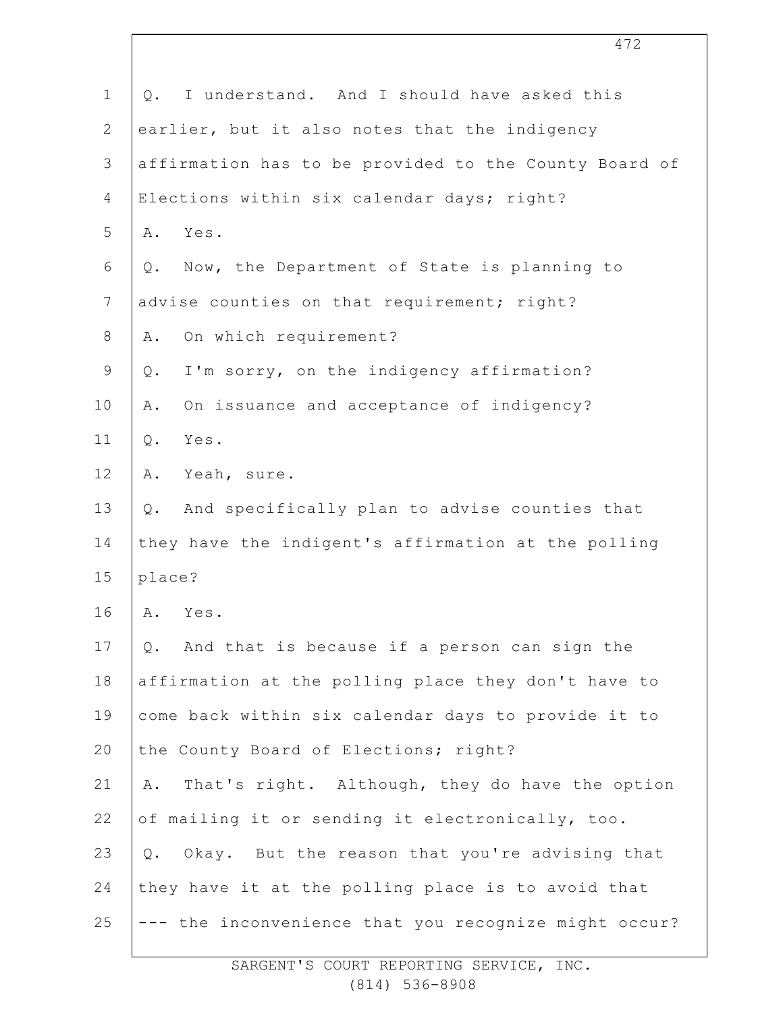| $\mathbf 1$    | I understand. And I should have asked this<br>Q.        |
|----------------|---------------------------------------------------------|
| $\mathbf{2}$   | earlier, but it also notes that the indigency           |
| $\mathsf 3$    | affirmation has to be provided to the County Board of   |
| $\overline{4}$ | Elections within six calendar days; right?              |
| 5              | Yes.<br>Α.                                              |
| 6              | Now, the Department of State is planning to<br>Q.       |
| $\overline{7}$ | advise counties on that requirement; right?             |
| $\,8\,$        | On which requirement?<br>Α.                             |
| $\mathsf 9$    | I'm sorry, on the indigency affirmation?<br>Q.          |
| 10             | On issuance and acceptance of indigency?<br>Α.          |
| 11             | Yes.<br>Q.                                              |
| 12             | Α.<br>Yeah, sure.                                       |
| 13             | And specifically plan to advise counties that<br>$Q$ .  |
| 14             | they have the indigent's affirmation at the polling     |
| 15             | place?                                                  |
| 16             | Yes.<br>Α.                                              |
| 17             | And that is because if a person can sign the<br>Q.      |
| 18             | affirmation at the polling place they don't have to     |
| 19             | come back within six calendar days to provide it to     |
| 20             | the County Board of Elections; right?                   |
| 21             | That's right. Although, they do have the option<br>Α.   |
| 22             | of mailing it or sending it electronically, too.        |
| 23             | Okay. But the reason that you're advising that<br>$Q$ . |
| 24             | they have it at the polling place is to avoid that      |
| 25             | --- the inconvenience that you recognize might occur?   |

472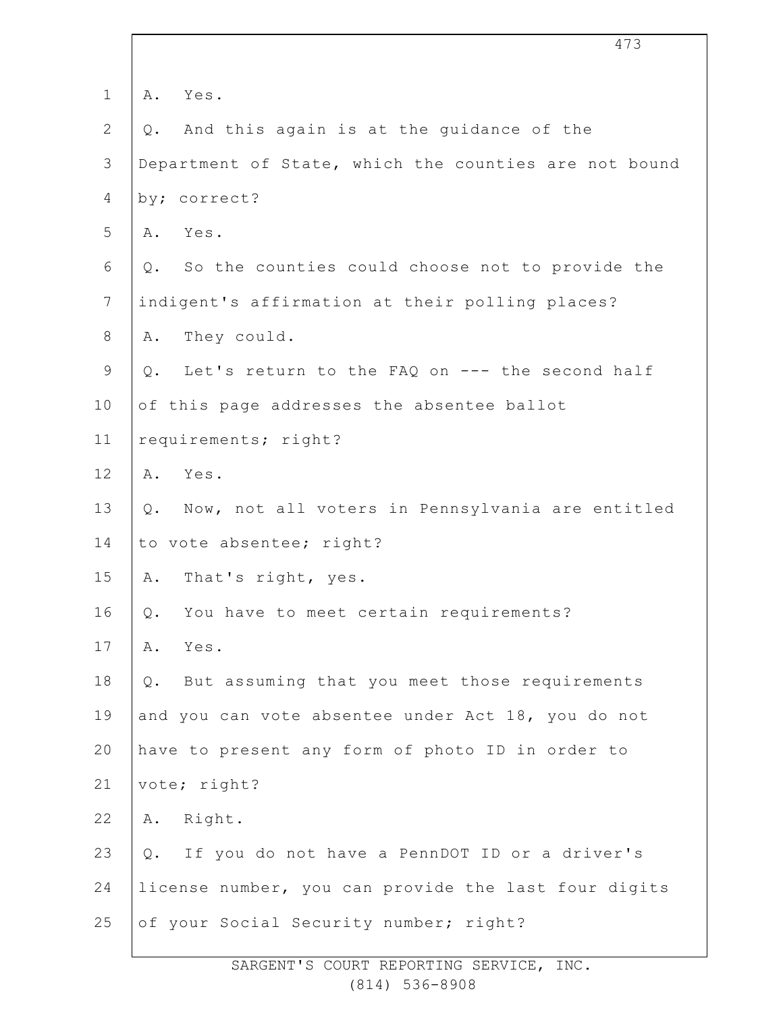| $\mathbf 1$    | Yes.<br>Α.                                               |
|----------------|----------------------------------------------------------|
| $\overline{2}$ | And this again is at the guidance of the<br>$Q$ .        |
| $\mathfrak{Z}$ | Department of State, which the counties are not bound    |
| 4              | by; correct?                                             |
| 5              | Yes.<br>Α.                                               |
| 6              | So the counties could choose not to provide the<br>$Q$ . |
| $\overline{7}$ | indigent's affirmation at their polling places?          |
| 8              | They could.<br>Α.                                        |
| $\mathsf 9$    | Let's return to the FAQ on --- the second half<br>Q.     |
| 10             | of this page addresses the absentee ballot               |
| 11             | requirements; right?                                     |
| 12             | Yes.<br>Α.                                               |
| 13             | Now, not all voters in Pennsylvania are entitled<br>Q.   |
| 14             | to vote absentee; right?                                 |
| 15             | That's right, yes.<br>Α.                                 |
| 16             | You have to meet certain requirements?<br>Q.             |
| 17             | Yes.<br>Α.                                               |
| 18             | But assuming that you meet those requirements<br>Q.      |
| 19             | and you can vote absentee under Act 18, you do not       |
| 20             | have to present any form of photo ID in order to         |
| 21             | vote; right?                                             |
| 22             | Right.<br>Α.                                             |
| 23             | Q. If you do not have a PennDOT ID or a driver's         |
| 24             | license number, you can provide the last four digits     |
| 25             | of your Social Security number; right?                   |
|                |                                                          |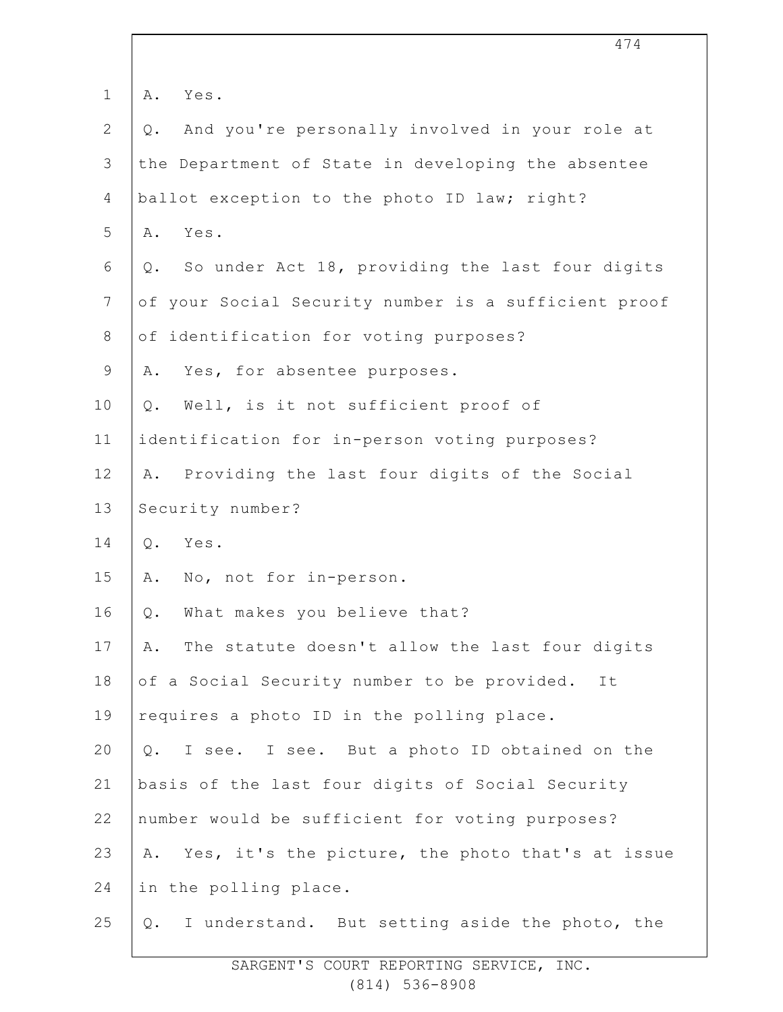| $\mathbf 1$  | Yes.<br>Α.                                              |
|--------------|---------------------------------------------------------|
| $\mathbf{2}$ | And you're personally involved in your role at<br>$Q$ . |
| 3            | the Department of State in developing the absentee      |
| 4            | ballot exception to the photo ID law; right?            |
| 5            | Yes.<br>Α.                                              |
| 6            | So under Act 18, providing the last four digits<br>Q.   |
| 7            | of your Social Security number is a sufficient proof    |
| $8\,$        | of identification for voting purposes?                  |
| $\mathsf 9$  | Yes, for absentee purposes.<br>Α.                       |
| 10           | Well, is it not sufficient proof of<br>$Q$ .            |
| 11           | identification for in-person voting purposes?           |
| 12           | Providing the last four digits of the Social<br>Α.      |
| 13           | Security number?                                        |
| 14           | Yes.<br>$Q$ .                                           |
| 15           | No, not for in-person.<br>Α.                            |
| 16           | What makes you believe that?<br>Q.                      |
| 17           | The statute doesn't allow the last four digits<br>Α.    |
| 18           | of a Social Security number to be provided.<br>It       |
| 19           | requires a photo ID in the polling place.               |
| 20           | I see. I see. But a photo ID obtained on the<br>Q.      |
| 21           | basis of the last four digits of Social Security        |
| 22           | number would be sufficient for voting purposes?         |
| 23           | Yes, it's the picture, the photo that's at issue<br>Α.  |
| 24           | in the polling place.                                   |
| 25           | I understand. But setting aside the photo, the<br>$Q$ . |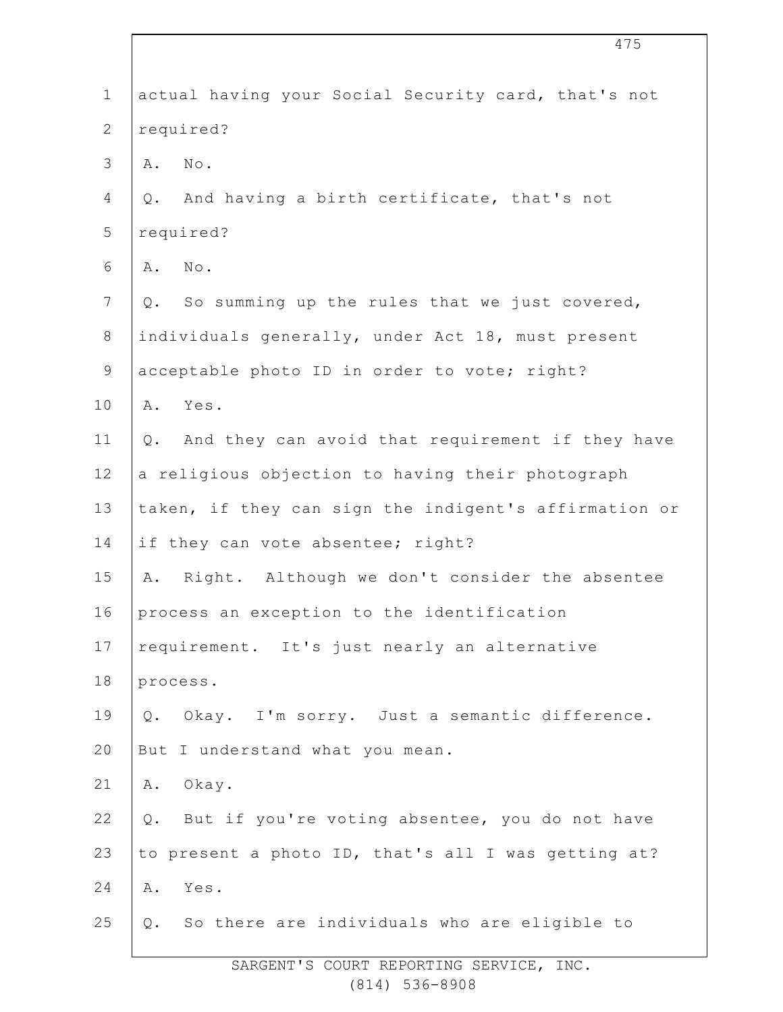| $\mathbf 1$    | actual having your Social Security card, that's not    |
|----------------|--------------------------------------------------------|
| $\mathbf{2}$   | required?                                              |
| $\mathcal{S}$  | $\mbox{No}$ .<br>Α.                                    |
| $\overline{4}$ | And having a birth certificate, that's not<br>Q.       |
| 5              | required?                                              |
| 6              | $\mbox{No}$ .<br>Α.                                    |
| $\overline{7}$ | So summing up the rules that we just covered,<br>Q.    |
| $\,8\,$        | individuals generally, under Act 18, must present      |
| $\mathsf 9$    | acceptable photo ID in order to vote; right?           |
| 10             | Yes.<br>Α.                                             |
| 11             | And they can avoid that requirement if they have<br>Q. |
| 12             | a religious objection to having their photograph       |
| 13             | taken, if they can sign the indigent's affirmation or  |
| 14             | if they can vote absentee; right?                      |
| 15             | Right. Although we don't consider the absentee<br>Α.   |
| 16             | process an exception to the identification             |
| 17             | requirement. It's just nearly an alternative           |
| 18             | process.                                               |
| 19             | Okay. I'm sorry. Just a semantic difference.<br>Q.     |
| 20             | But I understand what you mean.                        |
| 21             | A. Okay.                                               |
| 22             | Q. But if you're voting absentee, you do not have      |
| 23             | to present a photo ID, that's all I was getting at?    |
| 24             | Yes.<br>Α.                                             |
| 25             | Q. So there are individuals who are eligible to        |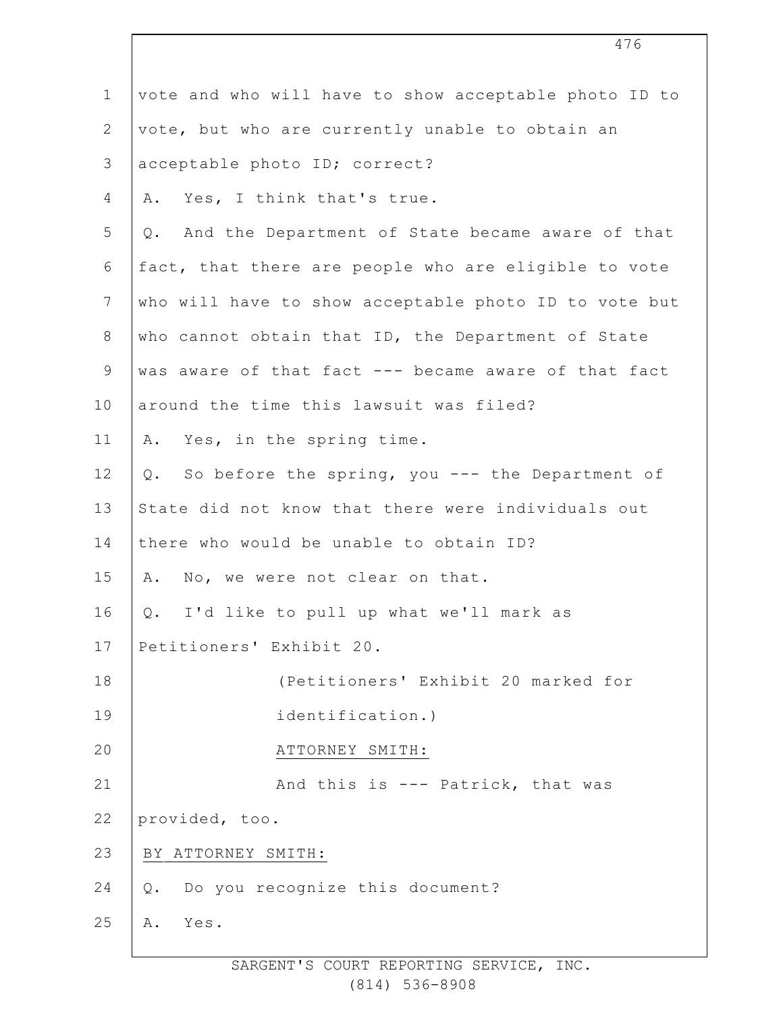| $\mathbf 1$    | vote and who will have to show acceptable photo ID to  |
|----------------|--------------------------------------------------------|
| $\overline{2}$ | vote, but who are currently unable to obtain an        |
| 3              | acceptable photo ID; correct?                          |
| $\overline{4}$ | Yes, I think that's true.<br>Α.                        |
| 5              | And the Department of State became aware of that<br>Q. |
| 6              | fact, that there are people who are eligible to vote   |
| $\overline{7}$ | who will have to show acceptable photo ID to vote but  |
| 8              | who cannot obtain that ID, the Department of State     |
| $\mathsf 9$    | was aware of that fact --- became aware of that fact   |
| 10             | around the time this lawsuit was filed?                |
| 11             | A. Yes, in the spring time.                            |
| 12             | Q. So before the spring, you --- the Department of     |
| 13             | State did not know that there were individuals out     |
| 14             | there who would be unable to obtain ID?                |
| 15             | No, we were not clear on that.<br>Α.                   |
| 16             | Q. I'd like to pull up what we'll mark as              |
| 17             | Petitioners' Exhibit 20.                               |
| 18             | (Petitioners' Exhibit 20 marked for                    |
| 19             | identification.)                                       |
| 20             | ATTORNEY SMITH:                                        |
| 21             | And this is --- Patrick, that was                      |
| 22             | provided, too.                                         |
| 23             | BY ATTORNEY SMITH:                                     |
| 24             | Do you recognize this document?<br>Q.                  |
| 25             | Yes.<br>Α.                                             |
|                |                                                        |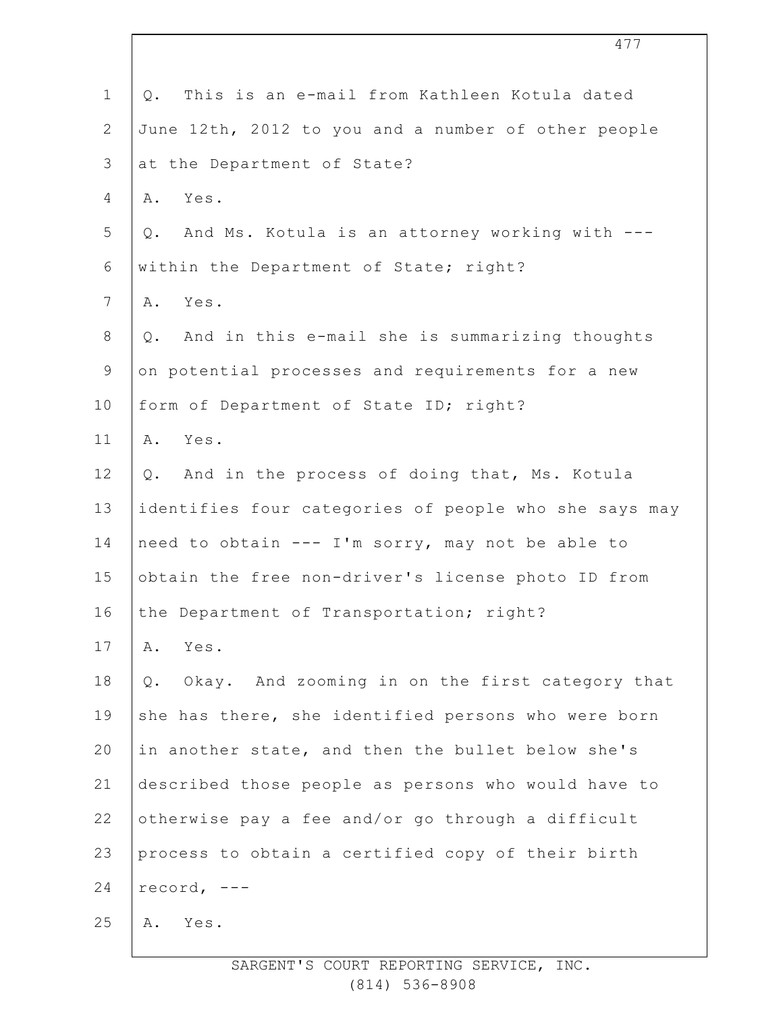| $\mathbf 1$    | This is an e-mail from Kathleen Kotula dated<br>$Q$ .    |
|----------------|----------------------------------------------------------|
| $\overline{2}$ | June 12th, 2012 to you and a number of other people      |
| 3              | at the Department of State?                              |
| 4              | Yes.<br>Α.                                               |
| 5              | And Ms. Kotula is an attorney working with ---<br>Q.     |
| 6              | within the Department of State; right?                   |
| 7              | Yes.<br>Α.                                               |
| $8\,$          | And in this e-mail she is summarizing thoughts<br>$Q$ .  |
| $\mathsf 9$    | on potential processes and requirements for a new        |
| 10             | form of Department of State ID; right?                   |
| 11             | Yes.<br>Α.                                               |
| 12             | And in the process of doing that, Ms. Kotula<br>Q.       |
| 13             | identifies four categories of people who she says may    |
| 14             | need to obtain --- I'm sorry, may not be able to         |
| 15             | obtain the free non-driver's license photo ID from       |
| 16             | the Department of Transportation; right?                 |
| 17             | Yes.<br>Α.                                               |
| 18             | Okay. And zooming in on the first category that<br>$Q$ . |
| 19             | she has there, she identified persons who were born      |
| 20             | in another state, and then the bullet below she's        |
| 21             | described those people as persons who would have to      |
| 22             | otherwise pay a fee and/or go through a difficult        |
| 23             | process to obtain a certified copy of their birth        |
| 24             | record, $---$                                            |
| 25             | Yes.<br>Α.                                               |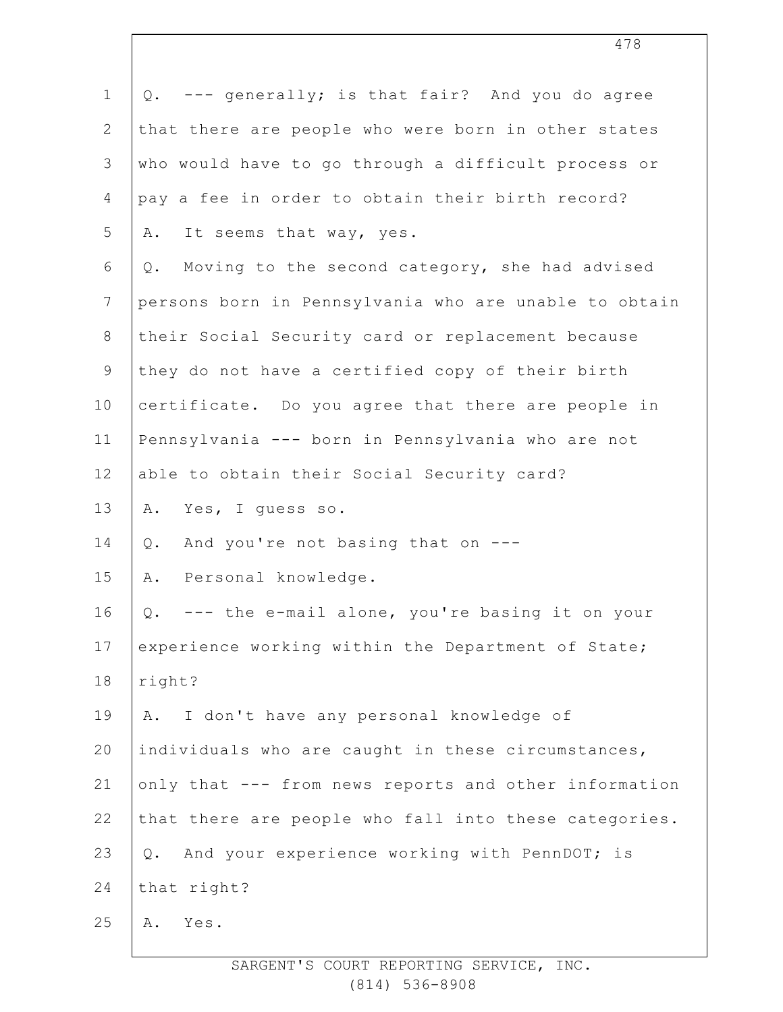| $\mathbf 1$    | Q. --- generally; is that fair? And you do agree        |
|----------------|---------------------------------------------------------|
| $\mathbf{2}$   | that there are people who were born in other states     |
| 3              | who would have to go through a difficult process or     |
| 4              | pay a fee in order to obtain their birth record?        |
| 5              | It seems that way, yes.<br>Α.                           |
| 6              | Moving to the second category, she had advised<br>$Q$ . |
| $\overline{7}$ | persons born in Pennsylvania who are unable to obtain   |
| $\,8\,$        | their Social Security card or replacement because       |
| $\mathsf 9$    | they do not have a certified copy of their birth        |
| 10             | certificate. Do you agree that there are people in      |
| 11             | Pennsylvania --- born in Pennsylvania who are not       |
| 12             | able to obtain their Social Security card?              |
| 13             | Yes, I guess so.<br>Α.                                  |
| 14             | And you're not basing that on ---<br>$Q$ .              |
| 15             | Personal knowledge.<br>Α.                               |
| 16             | --- the e-mail alone, you're basing it on your<br>Q.    |
| 17             | experience working within the Department of State;      |
| 18             | right?                                                  |
| 19             | I don't have any personal knowledge of<br>Α.            |
| 20             | individuals who are caught in these circumstances,      |
| 21             | only that --- from news reports and other information   |
| 22             | that there are people who fall into these categories.   |
| 23             | And your experience working with PennDOT; is<br>Q.      |
| 24             | that right?                                             |
| 25             | Yes.<br>Α.                                              |
|                |                                                         |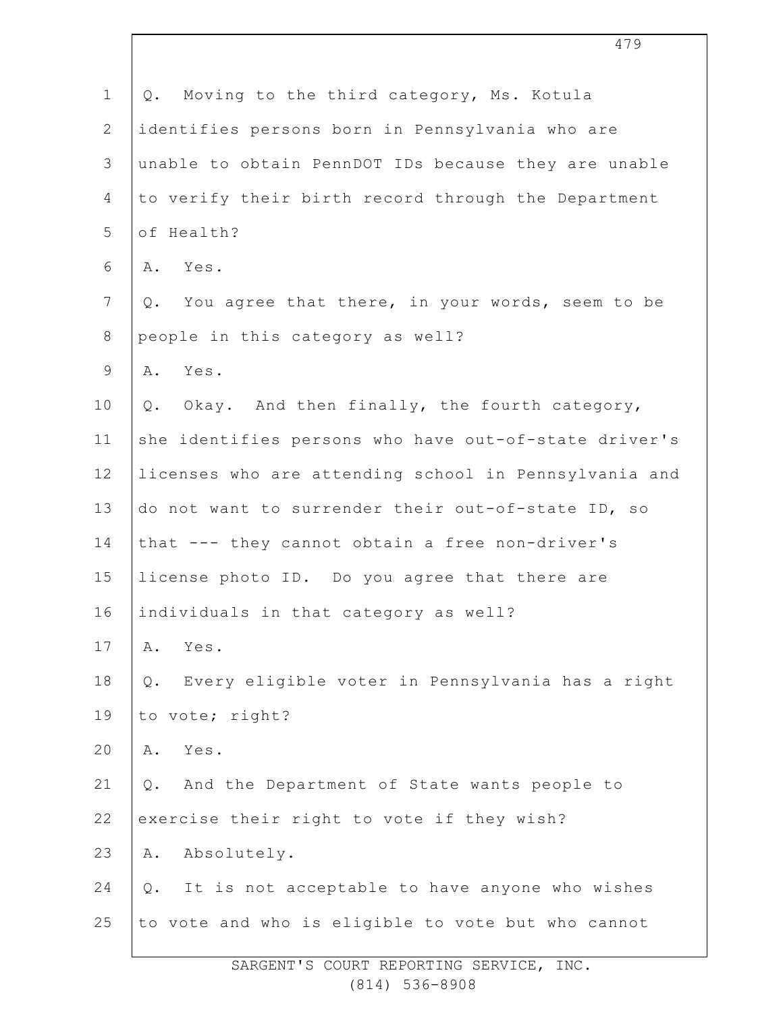| $\mathbf 1$      | Q. Moving to the third category, Ms. Kotula               |
|------------------|-----------------------------------------------------------|
| $\overline{2}$   | identifies persons born in Pennsylvania who are           |
| $\mathsf 3$      | unable to obtain PennDOT IDs because they are unable      |
| 4                | to verify their birth record through the Department       |
| 5                | of Health?                                                |
| 6                | A. Yes.                                                   |
| $\boldsymbol{7}$ | Q. You agree that there, in your words, seem to be        |
| $8\,$            | people in this category as well?                          |
| $\mathsf 9$      | A. Yes.                                                   |
| 10               | Q. Okay. And then finally, the fourth category,           |
| 11               | she identifies persons who have out-of-state driver's     |
| 12               | licenses who are attending school in Pennsylvania and     |
| 13               | do not want to surrender their out-of-state ID, so        |
| 14               | that --- they cannot obtain a free non-driver's           |
| 15               | license photo ID. Do you agree that there are             |
| 16               | individuals in that category as well?                     |
| 17               | Yes.<br>Α.                                                |
| 18               | Every eligible voter in Pennsylvania has a right<br>$Q$ . |
| 19               | to vote; right?                                           |
| 20               | Yes.<br>Α.                                                |
| 21               | And the Department of State wants people to<br>$Q$ .      |
| 22               | exercise their right to vote if they wish?                |
| 23               | Absolutely.<br>Α.                                         |
| 24               | It is not acceptable to have anyone who wishes<br>$Q$ .   |
| 25               | to vote and who is eligible to vote but who cannot        |
|                  |                                                           |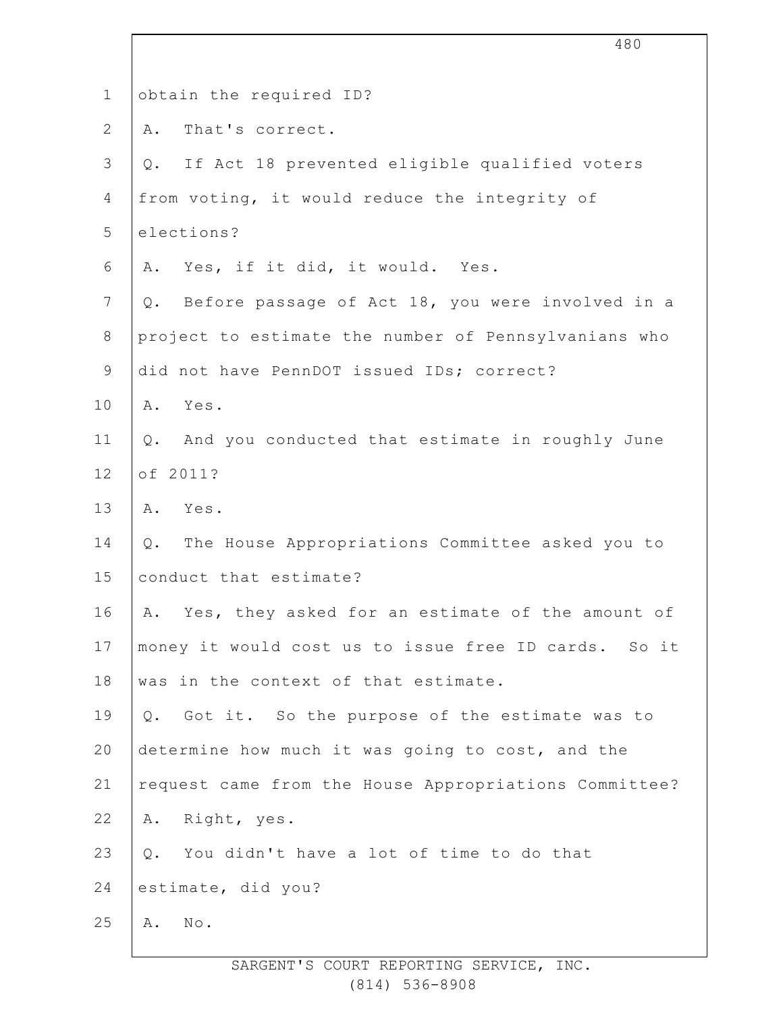| $\mathbf 1$    | obtain the required ID?                                  |
|----------------|----------------------------------------------------------|
| $\overline{2}$ | That's correct.<br>Α.                                    |
| 3              | If Act 18 prevented eligible qualified voters<br>Q.      |
| $\overline{4}$ | from voting, it would reduce the integrity of            |
| 5              | elections?                                               |
| 6              | Yes, if it did, it would. Yes.<br>Α.                     |
| 7              | Before passage of Act 18, you were involved in a<br>Q.   |
| $8\,$          | project to estimate the number of Pennsylvanians who     |
| $\mathsf 9$    | did not have PennDOT issued IDs; correct?                |
| 10             | Yes.<br>Α.                                               |
| 11             | And you conducted that estimate in roughly June<br>$Q$ . |
| 12             | of 2011?                                                 |
| 13             | A. Yes.                                                  |
| 14             | The House Appropriations Committee asked you to<br>Q.    |
| 15             | conduct that estimate?                                   |
| 16             | A. Yes, they asked for an estimate of the amount of      |
| 17             | money it would cost us to issue free ID cards. So it     |
| 18             | was in the context of that estimate.                     |
| 19             | Q. Got it. So the purpose of the estimate was to         |
| 20             | determine how much it was going to cost, and the         |
| 21             | request came from the House Appropriations Committee?    |
| 22             | Right, yes.<br>Α.                                        |
| 23             | You didn't have a lot of time to do that<br>Q.           |
| 24             | estimate, did you?                                       |
| 25             | No.<br>Α.                                                |
|                |                                                          |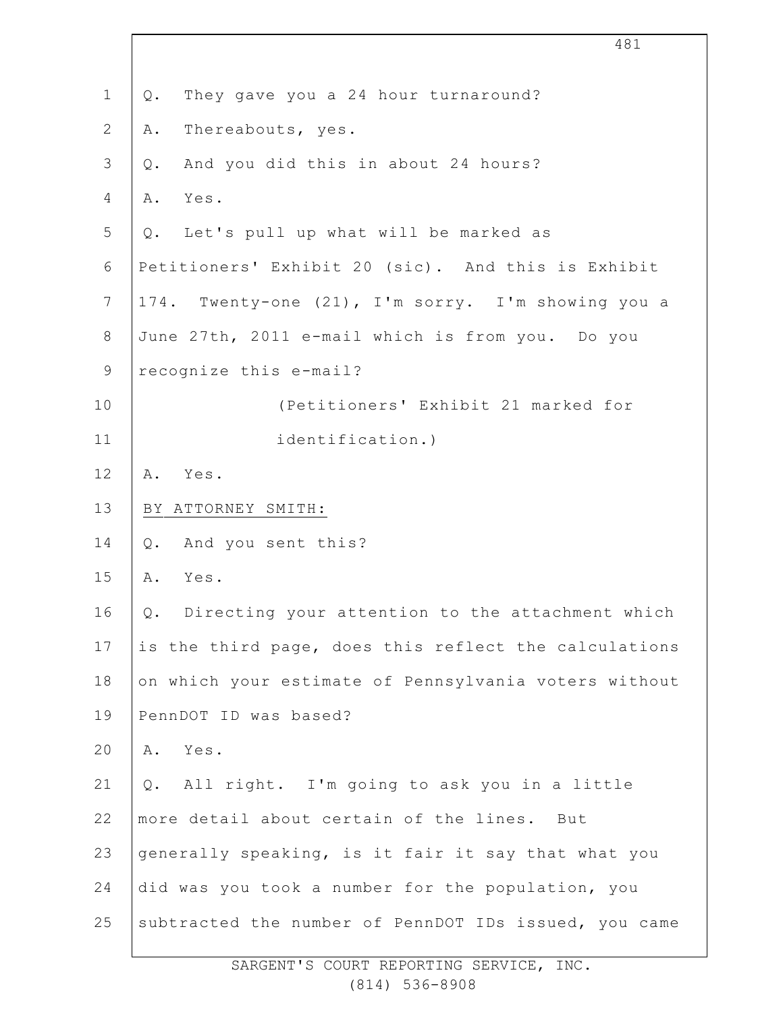|                | 481                                                    |
|----------------|--------------------------------------------------------|
| $\mathbf 1$    | They gave you a 24 hour turnaround?<br>Q.              |
| $\mathbf{2}$   | Thereabouts, yes.<br>Α.                                |
| 3              | And you did this in about 24 hours?<br>$Q$ .           |
| 4              | Yes.<br>Α.                                             |
| 5              | Q. Let's pull up what will be marked as                |
| 6              | Petitioners' Exhibit 20 (sic). And this is Exhibit     |
| $7\phantom{.}$ | 174. Twenty-one (21), I'm sorry. I'm showing you a     |
| $\,8\,$        | June 27th, 2011 e-mail which is from you. Do you       |
| $\mathsf 9$    | recognize this e-mail?                                 |
| 10             | (Petitioners' Exhibit 21 marked for                    |
| 11             | identification.)                                       |
| 12             | Yes.<br>Α.                                             |
| 13             | BY ATTORNEY SMITH:                                     |
| 14             | And you sent this?<br>Q.                               |
| 15             | Α.<br>Yes.                                             |
| 16             | Directing your attention to the attachment which<br>Q. |
| 17             | is the third page, does this reflect the calculations  |
| 18             | on which your estimate of Pennsylvania voters without  |
| 19             | PennDOT ID was based?                                  |
| 20             | Yes.<br>Α.                                             |
| 21             | Q. All right. I'm going to ask you in a little         |
| 22             | more detail about certain of the lines. But            |
| 23             | generally speaking, is it fair it say that what you    |
| 24             | did was you took a number for the population, you      |
| 25             | subtracted the number of PennDOT IDs issued, you came  |
|                |                                                        |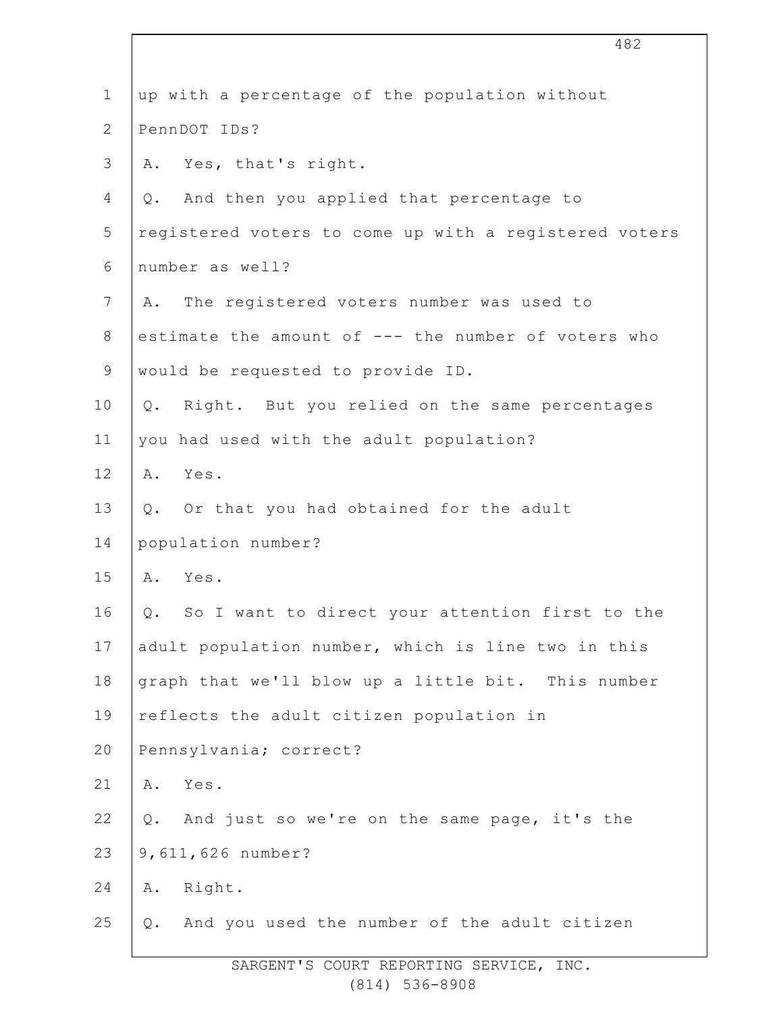| $\mathbf 1$    | up with a percentage of the population without                |
|----------------|---------------------------------------------------------------|
| $\overline{2}$ | PennDOT IDs?                                                  |
| 3              | Yes, that's right.<br>Α.                                      |
| 4              | And then you applied that percentage to<br>Q.                 |
| 5              | registered voters to come up with a registered voters         |
| $\sqrt{6}$     | number as well?                                               |
| 7              | The registered voters number was used to<br>Α.                |
| 8              | estimate the amount of --- the number of voters who           |
| $\mathsf 9$    | would be requested to provide ID.                             |
| 10             | Q. Right. But you relied on the same percentages              |
| 11             | you had used with the adult population?                       |
| 12             | A. Yes.                                                       |
| 13             | Q. Or that you had obtained for the adult                     |
| 14             | population number?                                            |
| 15             | Yes.<br>Α.                                                    |
| 16             | Q. So I want to direct your attention first to the            |
| 17             | adult population number, which is line two in this            |
| 18             | graph that we'll blow up a little bit. This number            |
| 19             | reflects the adult citizen population in                      |
| 20             | Pennsylvania; correct?                                        |
| 21             | Yes.<br>Α.                                                    |
| 22             | And just so we're on the same page, it's the<br>$Q_{\bullet}$ |
| 23             | 9,611,626 number?                                             |
| 24             | Right.<br>Α.                                                  |
| 25             | And you used the number of the adult citizen<br>Q.            |
|                |                                                               |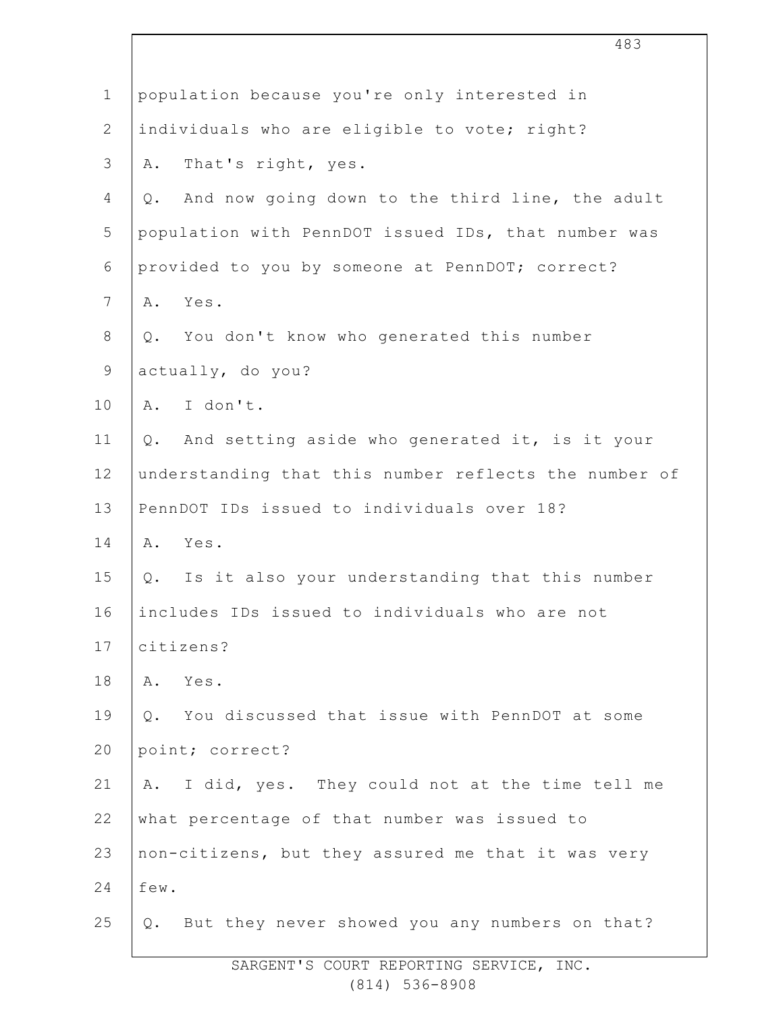| $\mathbf 1$    | population because you're only interested in                    |
|----------------|-----------------------------------------------------------------|
| $\overline{2}$ | individuals who are eligible to vote; right?                    |
| $\mathsf 3$    | That's right, yes.<br>Α.                                        |
| 4              | And now going down to the third line, the adult<br>$Q$ .        |
| 5              | population with PennDOT issued IDs, that number was             |
| 6              | provided to you by someone at PennDOT; correct?                 |
| $\overline{7}$ | Yes.<br>Α.                                                      |
| $8\,$          | You don't know who generated this number<br>$Q$ .               |
| $\mathsf 9$    | actually, do you?                                               |
| 10             | A. I don't.                                                     |
| 11             | And setting aside who generated it, is it your<br>$Q_{\bullet}$ |
| 12             | understanding that this number reflects the number of           |
| 13             | PennDOT IDs issued to individuals over 18?                      |
| 14             | A. Yes.                                                         |
| 15             | Q. Is it also your understanding that this number               |
| 16             | includes IDs issued to individuals who are not                  |
| 17             | citizens?                                                       |
| 18             | Yes.<br>Α.                                                      |
| 19             | You discussed that issue with PennDOT at some<br>$Q_{\bullet}$  |
| 20             | point; correct?                                                 |
| 21             | I did, yes. They could not at the time tell me<br>Α.            |
| 22             | what percentage of that number was issued to                    |
| 23             | non-citizens, but they assured me that it was very              |
| 24             | few.                                                            |
| 25             | Q. But they never showed you any numbers on that?               |
|                |                                                                 |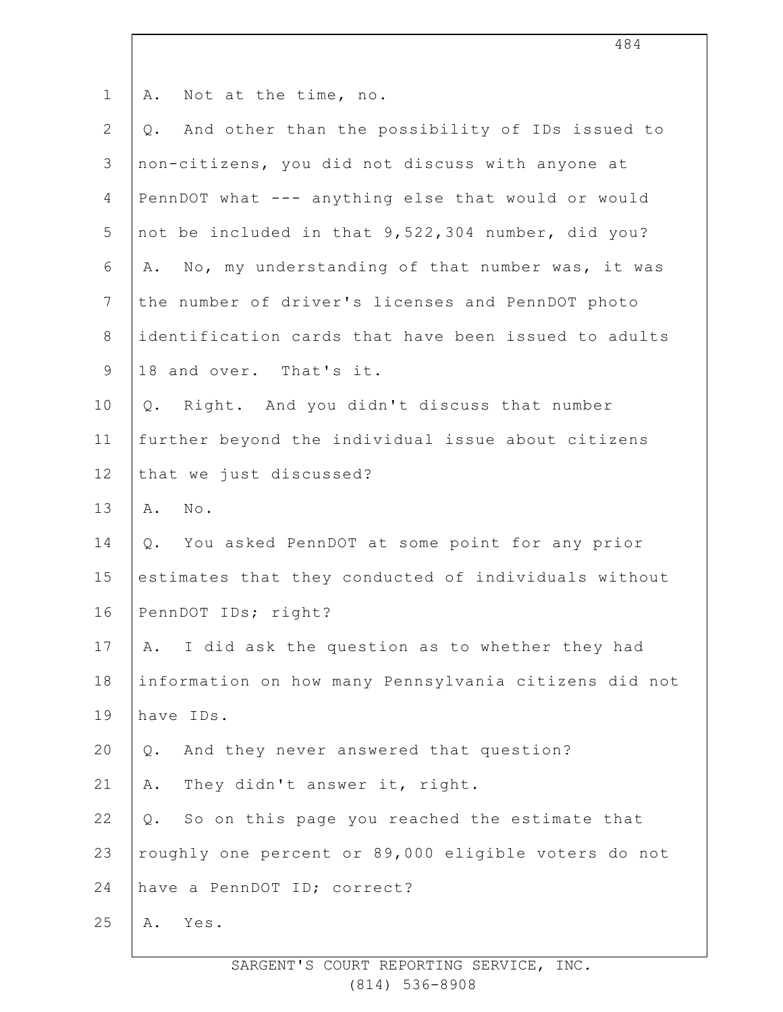| $\mathbf 1$    | A. Not at the time, no.                                |
|----------------|--------------------------------------------------------|
| $\overline{2}$ | And other than the possibility of IDs issued to<br>Q.  |
| 3              | non-citizens, you did not discuss with anyone at       |
| 4              | PennDOT what --- anything else that would or would     |
| 5              | not be included in that 9,522,304 number, did you?     |
| 6              | No, my understanding of that number was, it was<br>Α.  |
| $\overline{7}$ | the number of driver's licenses and PennDOT photo      |
| 8              | identification cards that have been issued to adults   |
| 9              | 18 and over. That's it.                                |
| 10             | Right. And you didn't discuss that number<br>Q.        |
| 11             | further beyond the individual issue about citizens     |
| 12             | that we just discussed?                                |
| 13             | $N \circ$ .<br>Α.                                      |
| 14             | You asked PennDOT at some point for any prior<br>Q.    |
| 15             | estimates that they conducted of individuals without   |
| 16             | PennDOT IDs; right?                                    |
| 17             | I did ask the question as to whether they had<br>A.    |
| 18             | information on how many Pennsylvania citizens did not  |
| 19             | have IDs.                                              |
| 20             | And they never answered that question?<br>Q.           |
| 21             | They didn't answer it, right.<br>Α.                    |
| 22             | So on this page you reached the estimate that<br>$Q$ . |
| 23             | roughly one percent or 89,000 eligible voters do not   |
| 24             | have a PennDOT ID; correct?                            |
| 25             | Yes.<br>Α.                                             |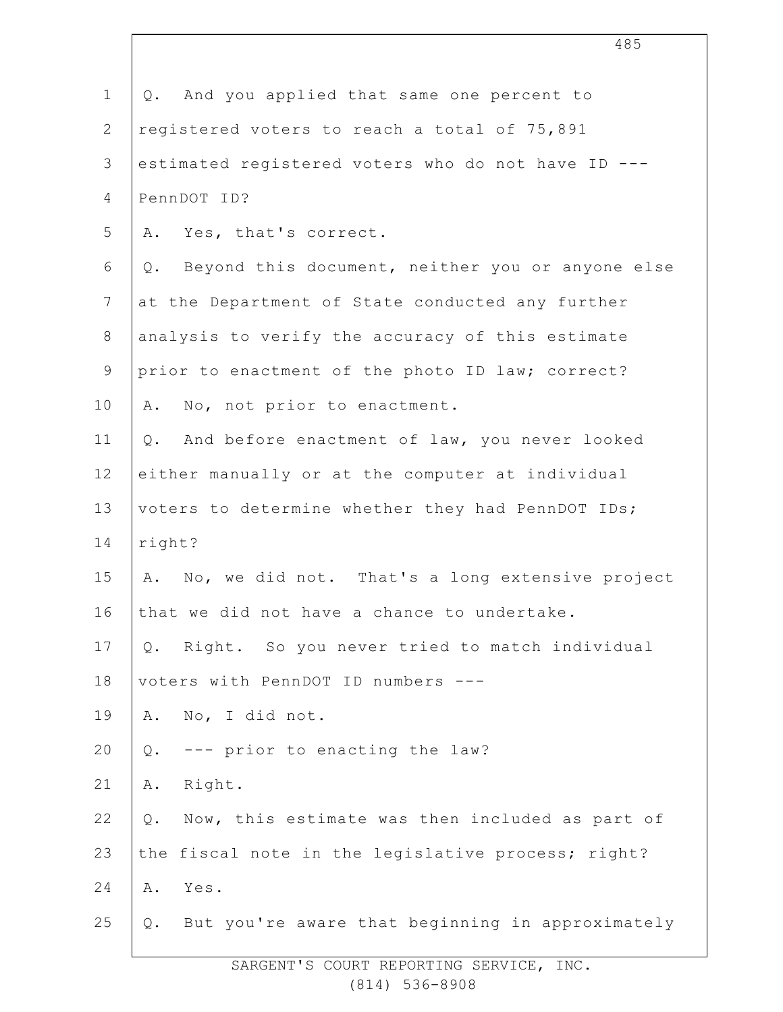| $\mathbf 1$    | And you applied that same one percent to<br>Q.           |
|----------------|----------------------------------------------------------|
| $\overline{2}$ | registered voters to reach a total of 75,891             |
| 3              | estimated registered voters who do not have ID ---       |
| 4              | PennDOT ID?                                              |
| 5              | Yes, that's correct.<br>Α.                               |
| 6              | Beyond this document, neither you or anyone else<br>Q.   |
| $7\phantom{.}$ | at the Department of State conducted any further         |
| $\,8\,$        | analysis to verify the accuracy of this estimate         |
| $\mathsf 9$    | prior to enactment of the photo ID law; correct?         |
| 10             | No, not prior to enactment.<br>Α.                        |
| 11             | And before enactment of law, you never looked<br>$Q$ .   |
| 12             | either manually or at the computer at individual         |
| 13             | voters to determine whether they had PennDOT IDs;        |
| 14             | right?                                                   |
| 15             | No, we did not. That's a long extensive project<br>Α.    |
| 16             | that we did not have a chance to undertake.              |
| 17             | Right. So you never tried to match individual<br>Q.      |
| 18             | voters with PennDOT ID numbers                           |
| 19             | No, I did not.<br>Α.                                     |
| 20             | --- prior to enacting the law?<br>Q.                     |
| 21             | Right.<br>Α.                                             |
| 22             | Now, this estimate was then included as part of<br>$Q$ . |
| 23             | the fiscal note in the legislative process; right?       |
| 24             | Yes.<br>Α.                                               |
| 25             | But you're aware that beginning in approximately<br>Q.   |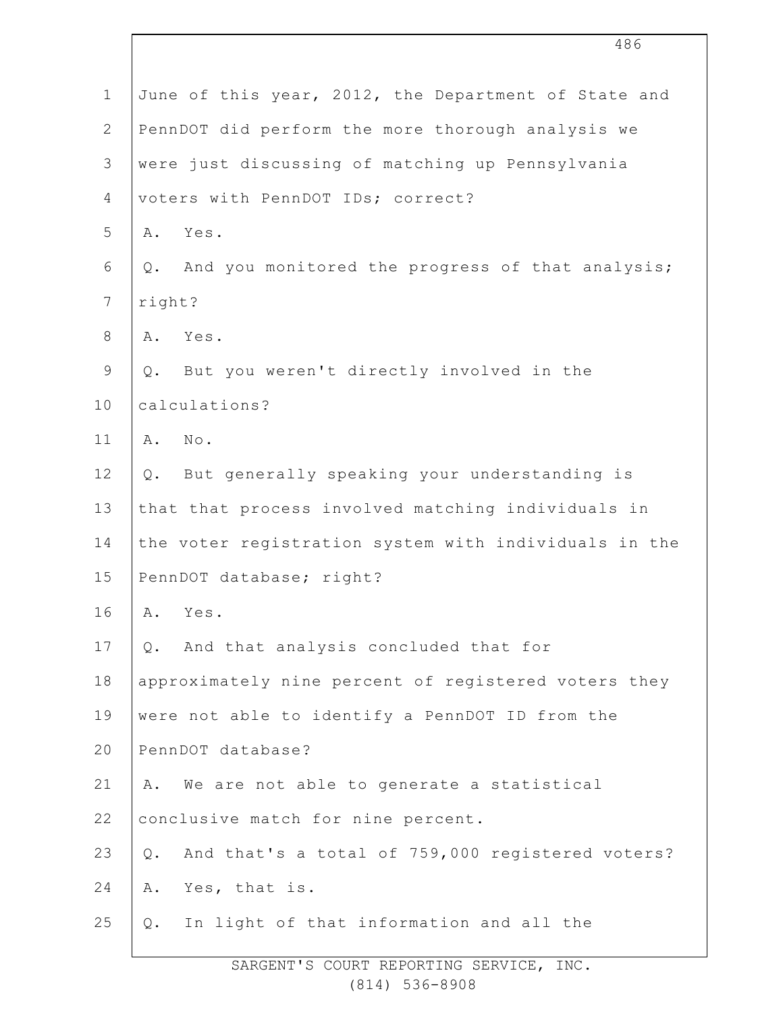| $\mathbf 1$    | June of this year, 2012, the Department of State and      |
|----------------|-----------------------------------------------------------|
| $\overline{2}$ | PennDOT did perform the more thorough analysis we         |
| 3              | were just discussing of matching up Pennsylvania          |
| $\overline{4}$ | voters with PennDOT IDs; correct?                         |
| 5              | Yes.<br>Α.                                                |
| 6              | And you monitored the progress of that analysis;<br>Q.    |
| 7              | right?                                                    |
| 8              | Yes.<br>Α.                                                |
| $\mathsf 9$    | But you weren't directly involved in the<br>Q.            |
| 10             | calculations?                                             |
| 11             | $N \circ$ .<br>Α.                                         |
| 12             | But generally speaking your understanding is<br>$Q$ .     |
| 13             | that that process involved matching individuals in        |
| 14             | the voter registration system with individuals in the     |
| 15             | PennDOT database; right?                                  |
| 16             | Yes.<br>Α.                                                |
| 17             | And that analysis concluded that for<br>Q.                |
| 18             | approximately nine percent of registered voters they      |
| 19             | were not able to identify a PennDOT ID from the           |
| 20             | PennDOT database?                                         |
| 21             | We are not able to generate a statistical<br>Α.           |
| 22             | conclusive match for nine percent.                        |
| 23             | And that's a total of 759,000 registered voters?<br>$Q$ . |
| 24             | Yes, that is.<br>Α.                                       |
| 25             | In light of that information and all the<br>Q.            |
|                |                                                           |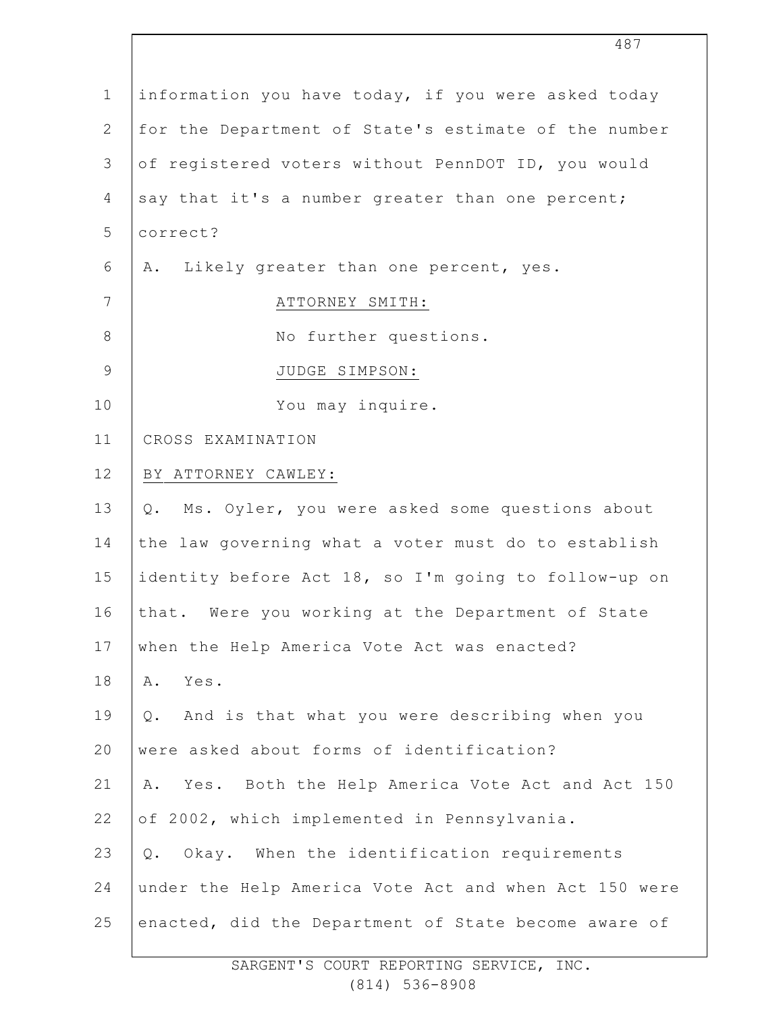| information you have today, if you were asked today    |
|--------------------------------------------------------|
| for the Department of State's estimate of the number   |
| of registered voters without PennDOT ID, you would     |
| say that it's a number greater than one percent;       |
| correct?                                               |
| Likely greater than one percent, yes.<br>Α.            |
| ATTORNEY SMITH:                                        |
| No further questions.                                  |
| JUDGE SIMPSON:                                         |
| You may inquire.                                       |
| CROSS EXAMINATION                                      |
| BY ATTORNEY CAWLEY:                                    |
| Ms. Oyler, you were asked some questions about<br>Q.   |
| the law governing what a voter must do to establish    |
| identity before Act 18, so I'm going to follow-up on   |
| that. Were you working at the Department of State      |
| when the Help America Vote Act was enacted?            |
| Α.<br>Yes.                                             |
| And is that what you were describing when you<br>$Q$ . |
| were asked about forms of identification?              |
| Yes. Both the Help America Vote Act and Act 150<br>Α.  |
| of 2002, which implemented in Pennsylvania.            |
| Okay. When the identification requirements<br>$Q$ .    |
| under the Help America Vote Act and when Act 150 were  |
| enacted, did the Department of State become aware of   |
|                                                        |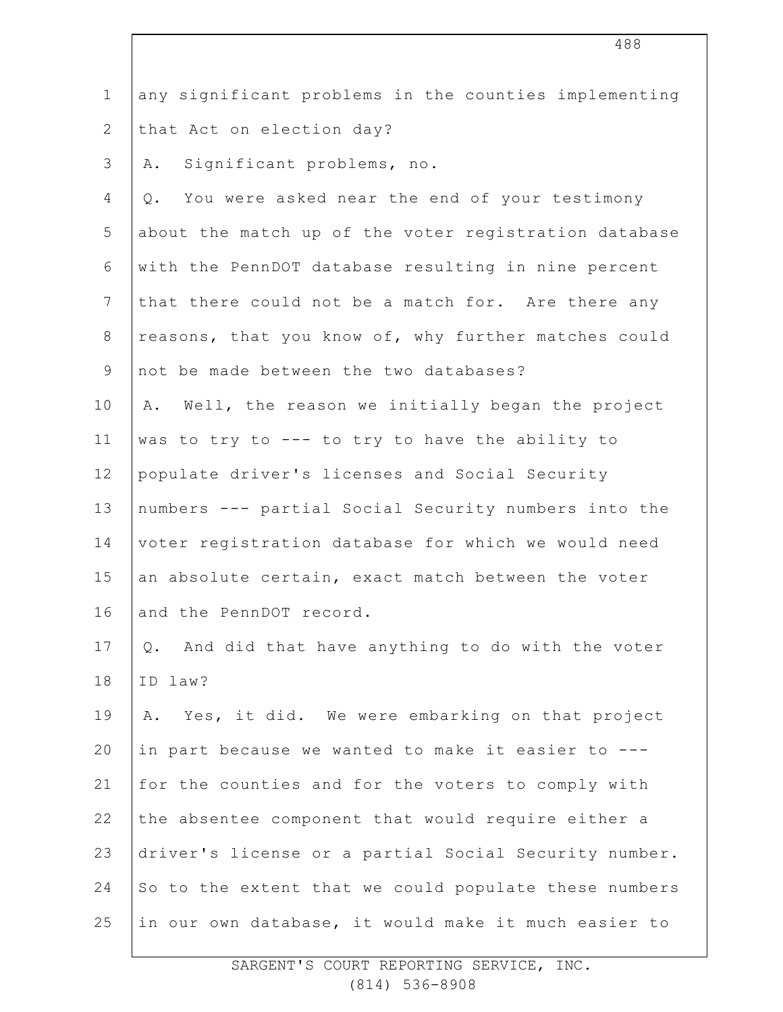| $\mathbf 1$    | any significant problems in the counties implementing  |
|----------------|--------------------------------------------------------|
| $\mathbf{2}$   | that Act on election day?                              |
| $\mathcal{S}$  | Significant problems, no.<br>Α.                        |
| 4              | You were asked near the end of your testimony<br>$Q$ . |
| 5              | about the match up of the voter registration database  |
| 6              | with the PennDOT database resulting in nine percent    |
| $7\phantom{.}$ | that there could not be a match for. Are there any     |
| $\,8\,$        | reasons, that you know of, why further matches could   |
| $\mathsf 9$    | not be made between the two databases?                 |
| 10             | Well, the reason we initially began the project<br>Α.  |
| 11             | was to try to --- to try to have the ability to        |
| 12             | populate driver's licenses and Social Security         |
| 13             | numbers --- partial Social Security numbers into the   |
| 14             | voter registration database for which we would need    |
| 15             | an absolute certain, exact match between the voter     |
| 16             | and the PennDOT record.                                |
| 17             | And did that have anything to do with the voter<br>Q.  |
| 18             | ID law?                                                |
| 19             | Yes, it did. We were embarking on that project<br>Α.   |
| 20             | in part because we wanted to make it easier to ---     |
| 21             | for the counties and for the voters to comply with     |
| 22             | the absentee component that would require either a     |
| 23             | driver's license or a partial Social Security number.  |
| 24             | So to the extent that we could populate these numbers  |
| 25             | in our own database, it would make it much easier to   |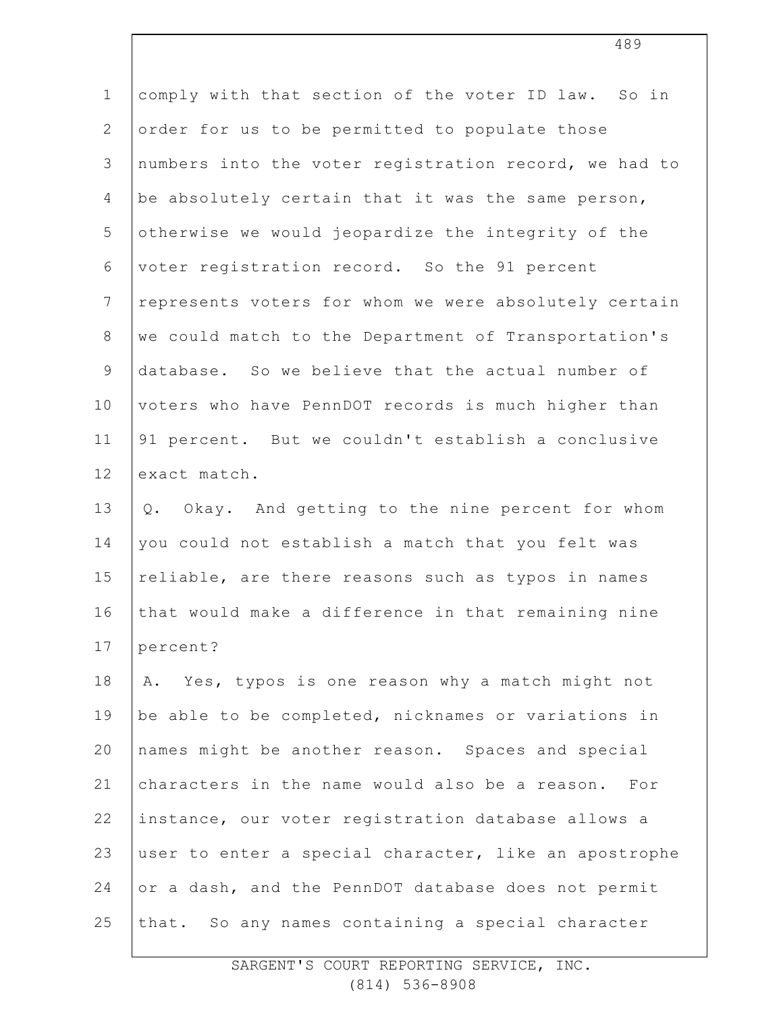| $\mathbf 1$    | comply with that section of the voter ID law. So in   |
|----------------|-------------------------------------------------------|
| $\mathbf{2}$   | order for us to be permitted to populate those        |
| $\mathfrak{Z}$ | numbers into the voter registration record, we had to |
| 4              | be absolutely certain that it was the same person,    |
| 5              | otherwise we would jeopardize the integrity of the    |
| $\sqrt{6}$     | voter registration record. So the 91 percent          |
| $\overline{7}$ | represents voters for whom we were absolutely certain |
| $8\,$          | we could match to the Department of Transportation's  |
| $\mathsf 9$    | database. So we believe that the actual number of     |
| 10             | voters who have PennDOT records is much higher than   |
| 11             | 91 percent. But we couldn't establish a conclusive    |
| 12             | exact match.                                          |
| 13             | Okay. And getting to the nine percent for whom<br>Q.  |
| 14             | you could not establish a match that you felt was     |
| 15             | reliable, are there reasons such as typos in names    |
| 16             | that would make a difference in that remaining nine   |
| 17             | percent?                                              |
| 18             | A. Yes, typos is one reason why a match might not     |
| 19             | be able to be completed, nicknames or variations in   |
| 20             | names might be another reason. Spaces and special     |
| 21             | characters in the name would also be a reason. For    |
| 22             | instance, our voter registration database allows a    |
| 23             | user to enter a special character, like an apostrophe |
| 24             | or a dash, and the PennDOT database does not permit   |
| 25             | that. So any names containing a special character     |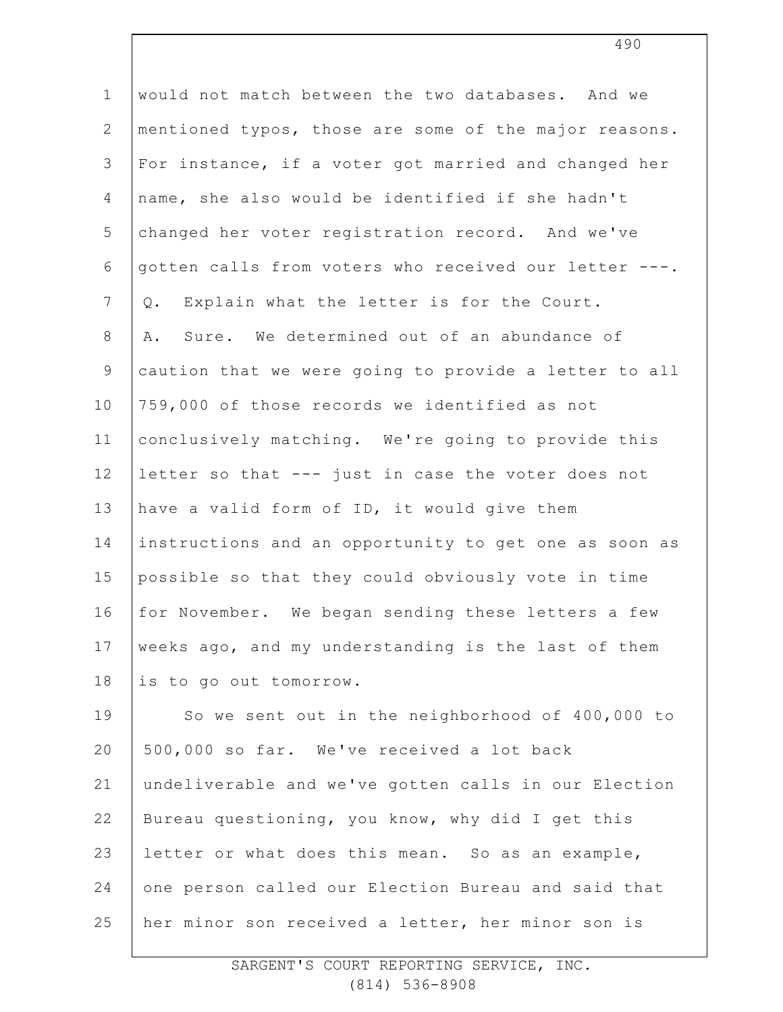| $\mathbf 1$    | would not match between the two databases. And we     |
|----------------|-------------------------------------------------------|
| $\overline{2}$ | mentioned typos, those are some of the major reasons. |
| $\mathfrak{Z}$ | For instance, if a voter got married and changed her  |
| $\overline{4}$ | name, she also would be identified if she hadn't      |
| 5              | changed her voter registration record. And we've      |
| 6              | gotten calls from voters who received our letter ---. |
| $7\phantom{.}$ | Explain what the letter is for the Court.<br>Q.       |
| $8\,$          | Sure. We determined out of an abundance of<br>Α.      |
| $\mathsf 9$    | caution that we were going to provide a letter to all |
| 10             | 759,000 of those records we identified as not         |
| 11             | conclusively matching. We're going to provide this    |
| 12             | letter so that --- just in case the voter does not    |
| 13             | have a valid form of ID, it would give them           |
| 14             | instructions and an opportunity to get one as soon as |
| 15             | possible so that they could obviously vote in time    |
| 16             | for November. We began sending these letters a few    |
| 17             | weeks ago, and my understanding is the last of them   |
| 18             | is to go out tomorrow.                                |
| 19             | So we sent out in the neighborhood of 400,000 to      |
| 20             | 500,000 so far. We've received a lot back             |
| 21             | undeliverable and we've gotten calls in our Election  |
| 22             | Bureau questioning, you know, why did I get this      |
| 23             | letter or what does this mean. So as an example,      |
| 24             | one person called our Election Bureau and said that   |
| 25             | her minor son received a letter, her minor son is     |
|                |                                                       |

SARGENT'S COURT REPORTING SERVICE, INC. (814) 536-8908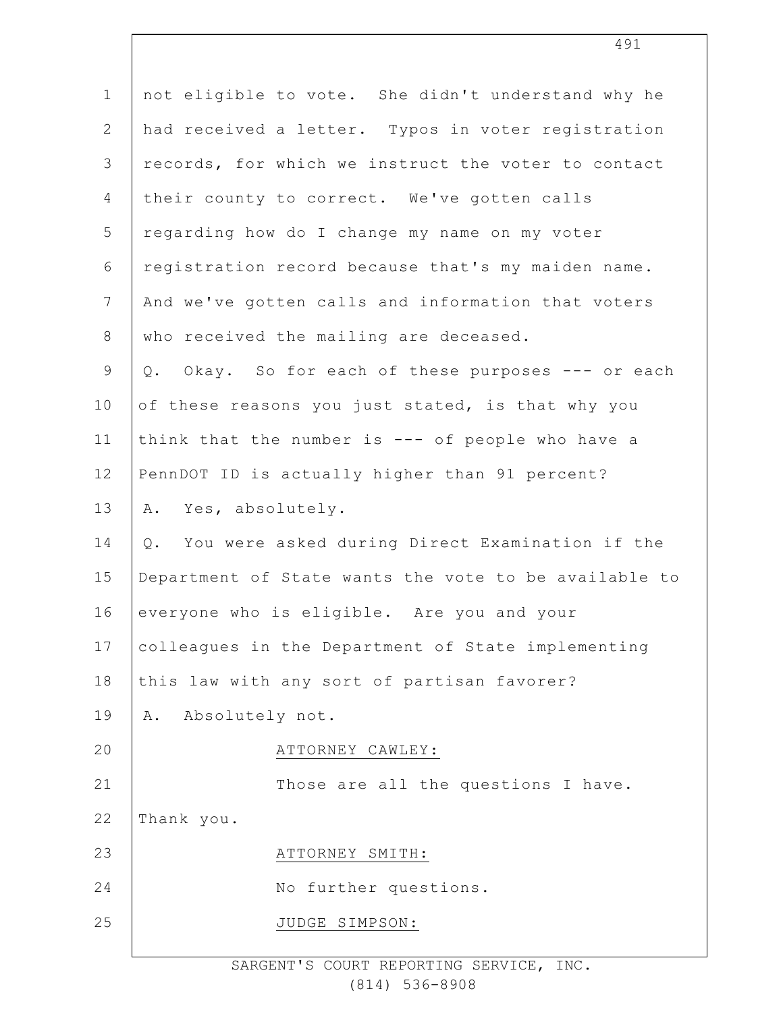| $\mathbf 1$    | not eligible to vote. She didn't understand why he    |
|----------------|-------------------------------------------------------|
| $\overline{2}$ | had received a letter. Typos in voter registration    |
| 3              | records, for which we instruct the voter to contact   |
| 4              | their county to correct. We've gotten calls           |
| 5              | regarding how do I change my name on my voter         |
| 6              | registration record because that's my maiden name.    |
| $\overline{7}$ | And we've gotten calls and information that voters    |
| 8              | who received the mailing are deceased.                |
| $\mathsf 9$    | Q. Okay. So for each of these purposes --- or each    |
| 10             | of these reasons you just stated, is that why you     |
| 11             | think that the number is --- of people who have a     |
| 12             | PennDOT ID is actually higher than 91 percent?        |
| 13             | A. Yes, absolutely.                                   |
| 14             | You were asked during Direct Examination if the<br>Q. |
| 15             | Department of State wants the vote to be available to |
| 16             | everyone who is eligible. Are you and your            |
| 17             | colleagues in the Department of State implementing    |
| 18             | this law with any sort of partisan favorer?           |
| 19             | A. Absolutely not.                                    |
| 20             | ATTORNEY CAWLEY:                                      |
| 21             | Those are all the questions I have.                   |
| 22             | Thank you.                                            |
| 23             | ATTORNEY SMITH:                                       |
| 24             | No further questions.                                 |
| 25             | JUDGE SIMPSON:                                        |
|                |                                                       |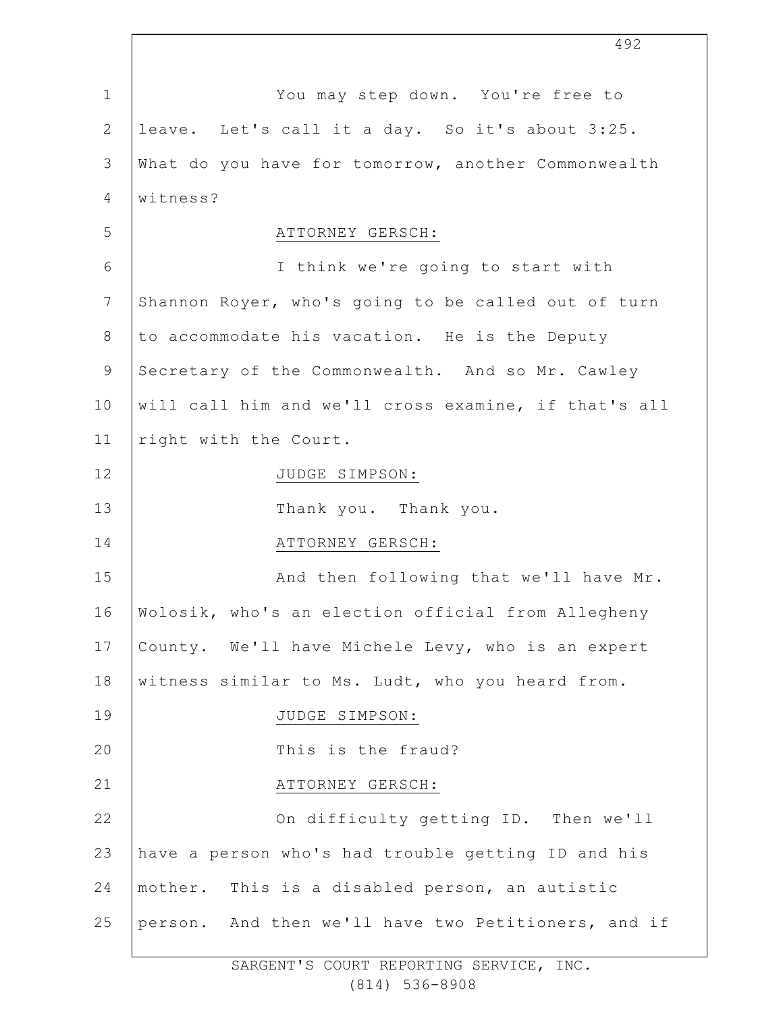1 2 3 4 5 6 7 8 9 10 11 12 13 14 15 16 17 18 19  $20$ 21 22 23 24 25 You may step down. You're free to leave. Let's call it a day. So it's about 3:25. What do you have for tomorrow, another Commonwealth witness? ATTORNEY GERSCH: I think we're going to start with Shannon Royer, who's going to be called out of turn to accommodate his vacation. He is the Deputy Secretary of the Commonwealth. And so Mr. Cawley will call him and we'll cross examine, if that's all right with the Court. JUDGE SIMPSON: Thank you. Thank you. ATTORNEY GERSCH: And then following that we'll have Mr. Wolosik, who's an election official from Allegheny County. We'll have Michele Levy, who is an expert witness similar to Ms. Ludt, who you heard from. JUDGE SIMPSON: This is the fraud? ATTORNEY GERSCH: On difficulty getting ID. Then we'll have a person who's had trouble getting ID and his mother. This is a disabled person, an autistic person. And then we'll have two Petitioners, and if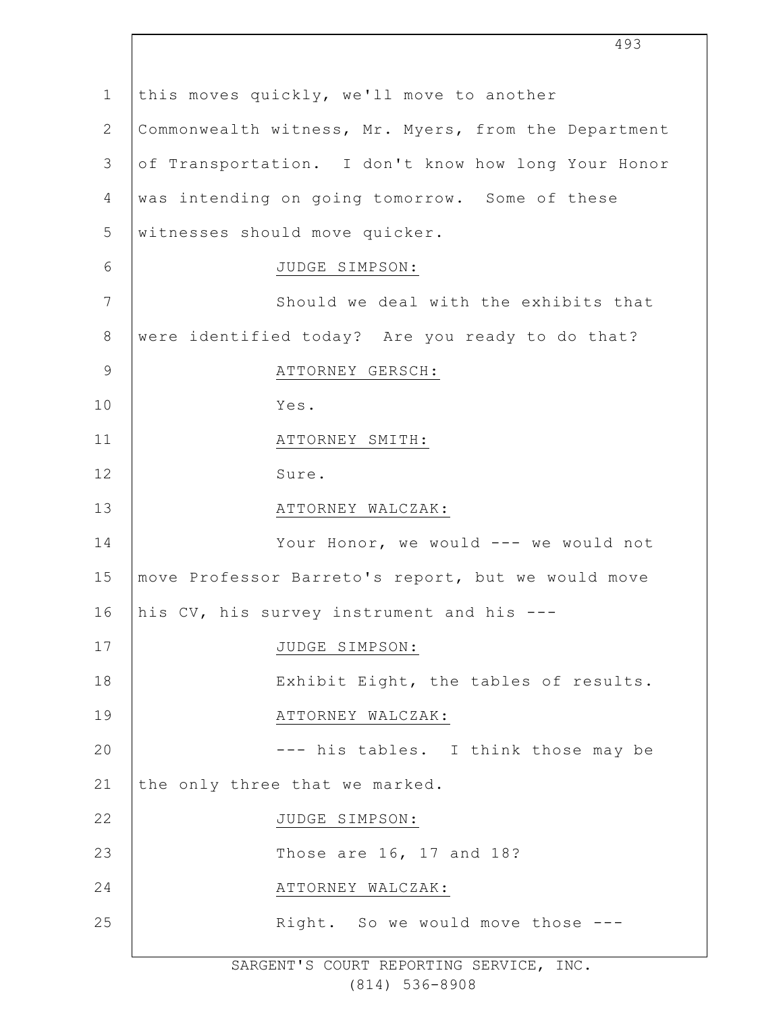1 2 3 4 5 6 7 8 9 10 11 12 13 14 15 16 17 18 19 20 21 22 23 24 25 this moves quickly, we'll move to another Commonwealth witness, Mr. Myers, from the Department of Transportation. I don't know how long Your Honor was intending on going tomorrow. Some of these witnesses should move quicker. JUDGE SIMPSON: Should we deal with the exhibits that were identified today? Are you ready to do that? ATTORNEY GERSCH: Yes. ATTORNEY SMITH: Sure. ATTORNEY WALCZAK: Your Honor, we would --- we would not move Professor Barreto's report, but we would move his CV, his survey instrument and his --- JUDGE SIMPSON: Exhibit Eight, the tables of results. ATTORNEY WALCZAK: --- his tables. I think those may be the only three that we marked. JUDGE SIMPSON: Those are 16, 17 and 18? ATTORNEY WALCZAK: Right. So we would move those ---

493

SARGENT'S COURT REPORTING SERVICE, INC. (814) 536-8908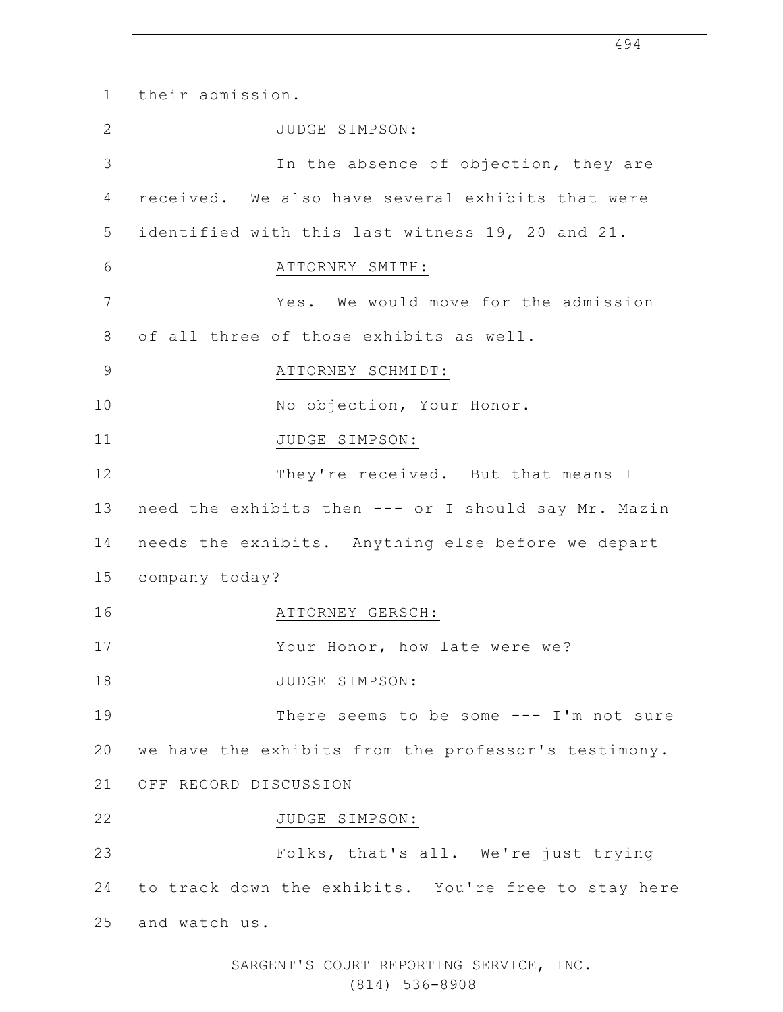1 2 3 4 5 6 7 8 9 10 11 12 13 14 15 16 17 18 19 20 21 22 23 24 25 their admission. JUDGE SIMPSON: In the absence of objection, they are received. We also have several exhibits that were identified with this last witness 19, 20 and 21. ATTORNEY SMITH: Yes. We would move for the admission of all three of those exhibits as well. ATTORNEY SCHMIDT: No objection, Your Honor. JUDGE SIMPSON: They're received. But that means I need the exhibits then --- or I should say Mr. Mazin needs the exhibits. Anything else before we depart company today? ATTORNEY GERSCH: Your Honor, how late were we? JUDGE SIMPSON: There seems to be some --- I'm not sure we have the exhibits from the professor's testimony. OFF RECORD DISCUSSION JUDGE SIMPSON: Folks, that's all. We're just trying to track down the exhibits. You're free to stay here and watch us.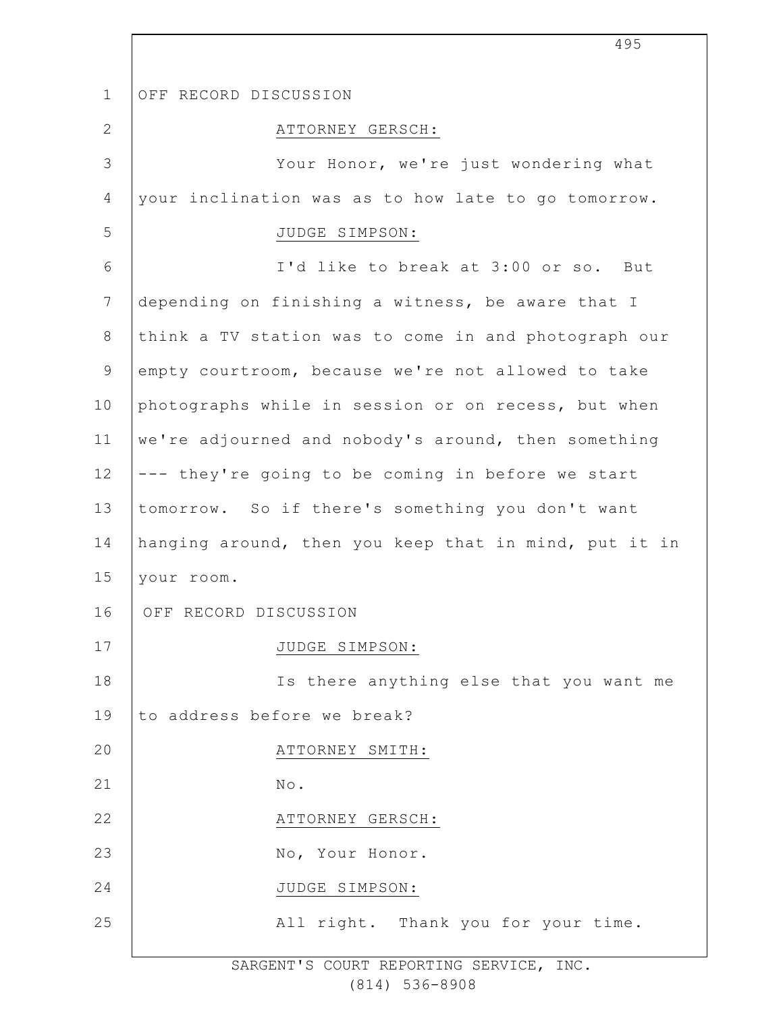1 2 3 4 5 6 7 8 9 10 11 12 13 14 15 16 17 18 19  $20$ 21 22 23 24 25 OFF RECORD DISCUSSION ATTORNEY GERSCH: Your Honor, we're just wondering what your inclination was as to how late to go tomorrow. JUDGE SIMPSON: I'd like to break at 3:00 or so. But depending on finishing a witness, be aware that I think a TV station was to come in and photograph our empty courtroom, because we're not allowed to take photographs while in session or on recess, but when we're adjourned and nobody's around, then something --- they're going to be coming in before we start tomorrow. So if there's something you don't want hanging around, then you keep that in mind, put it in your room. OFF RECORD DISCUSSION JUDGE SIMPSON: Is there anything else that you want me to address before we break? ATTORNEY SMITH: No. ATTORNEY GERSCH: No, Your Honor. JUDGE SIMPSON: All right. Thank you for your time.

> SARGENT'S COURT REPORTING SERVICE, INC. (814) 536-8908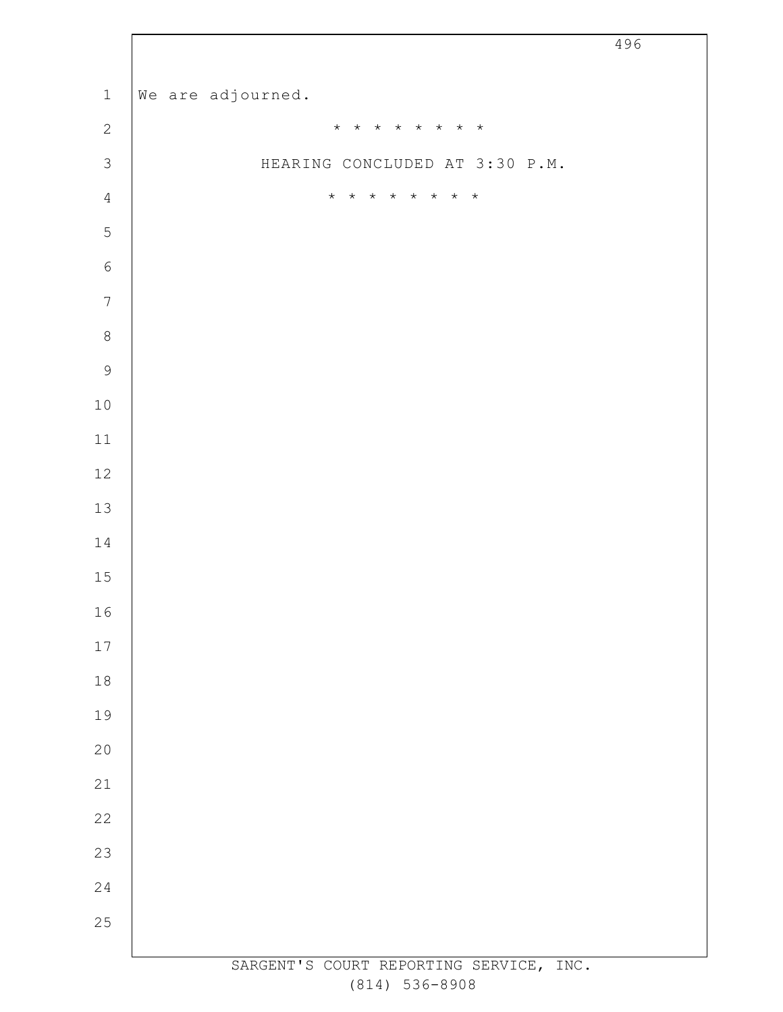|                          |                                         | - - - |
|--------------------------|-----------------------------------------|-------|
| $\mathbf 1$              | We are adjourned.                       |       |
| $\sqrt{2}$               | * * * * * * * *                         |       |
| $\mathfrak{Z}$           | HEARING CONCLUDED AT 3:30 P.M.          |       |
| $\overline{4}$           | $\star$<br>* * * * * *<br>$\star$       |       |
| 5                        |                                         |       |
| $\sqrt{6}$               |                                         |       |
| $\overline{\mathcal{I}}$ |                                         |       |
| $\,8\,$                  |                                         |       |
| 9                        |                                         |       |
| $10$                     |                                         |       |
| $11\,$                   |                                         |       |
| $12\,$                   |                                         |       |
| $13\,$                   |                                         |       |
| $14\,$                   |                                         |       |
| 15                       |                                         |       |
| 16                       |                                         |       |
| $17\,$                   |                                         |       |
| $1\,8$                   |                                         |       |
| 19                       |                                         |       |
| $20$                     |                                         |       |
| $2\sqrt{1}$              |                                         |       |
| $2\sqrt{2}$              |                                         |       |
| 23                       |                                         |       |
| $2\sqrt{4}$              |                                         |       |
| 25                       |                                         |       |
|                          | SARGENT'S COURT REPORTING SERVICE, INC. |       |

 $\overline{\phantom{a}}$